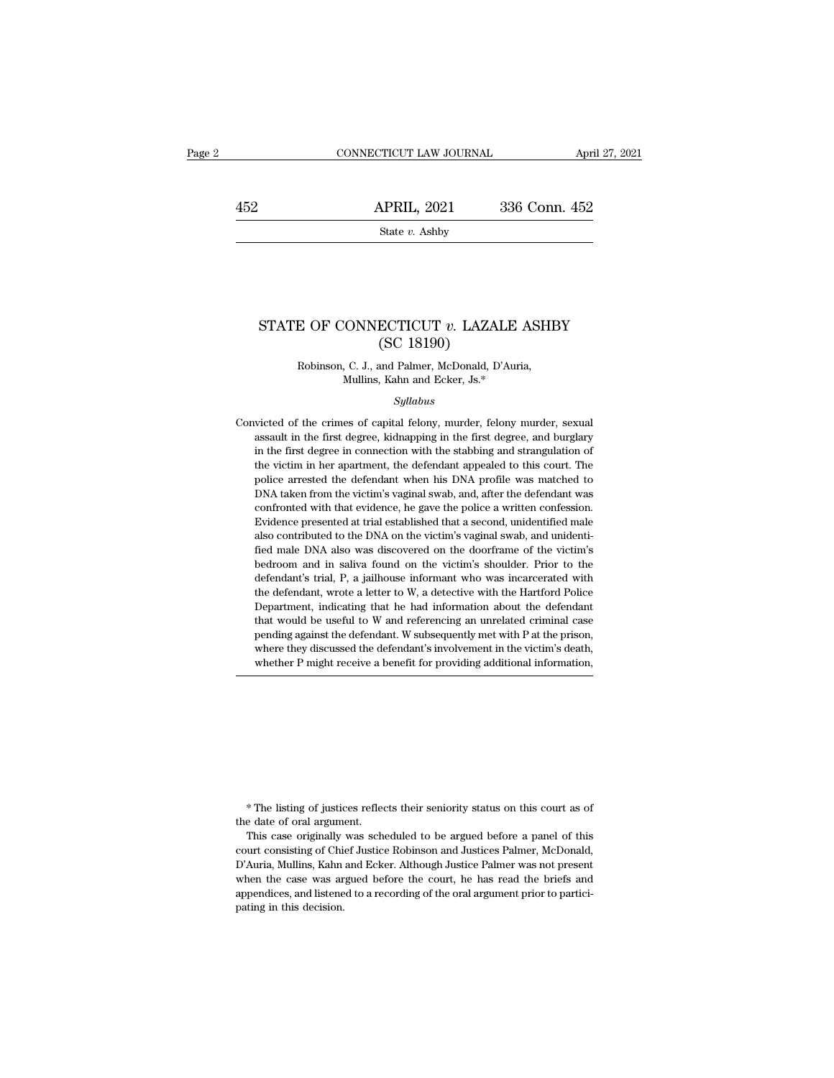1452 CONNECTICUT LAW JOURNAL April 27, 2021<br>452 APRIL, 2021 336 Conn. 452<br>5tate v. Ashby

State *v.* Ashby

# STATE OF CONNECTICUT *v*. LAZALE ASHBY (SC 18190) State v. Ashby<br>
ECTICUT v. LAZAI<br>
(SC 18190)<br>
and Palmer, McDonald, D'<br>
Keha ard Felian Is \*  $E$  OF CONNECTICUT  $v$ . LAZALE ASHI (SC 18190)<br>Robinson, C. J., and Palmer, McDonald, D'Auria, Mullins, Kahn and Ecker, Js.\* CONNECTICUT  $v$ . LAZALE A<br>
(SC 18190)<br>
, C. J., and Palmer, McDonald, D'Auria<br>
Mullins, Kahn and Ecker, Js.\*<br>
Syllabus

#### *Syllabus*

(SC 18190)<br>Robinson, C. J., and Palmer, McDonald, D'Auria,<br>Mullins, Kahn and Ecker, Js.\*<br>Syllabus<br>Convicted of the crimes of capital felony, murder, felony murder, sexual<br>assault in the first degree, kidnapping in the firs Robinson, C. J., and Palmer, McDonald, D'Auria,<br>Mullins, Kahn and Ecker, Js.\*<br>Syllabus<br>victed of the crimes of capital felony, murder, felony murder, sexual<br>assault in the first degree, kidnapping in the first degree, and *Mullins, Kahn and Ecker, Js.\**<br>*Syllabus*<br>victed of the crimes of capital felony, murder, felony murder, sexual<br>assault in the first degree, kidnapping in the first degree, and burglary<br>in the first degree in connection w Syllabus<br>Syllabus<br>Syllabus<br>Syllabus<br>Syllabus<br>Syllabus<br>Syllabus<br>Syllabus<br>Syllabus<br>Syllabus<br>The first degree, sides a model appealed to this court. The<br>police arrested the defendant when his DNA profile was matched to<br>police *Syllabus*<br> *Syllabus*<br>
victed of the crimes of capital felony, murder, felony murder, sexual<br>
assault in the first degree, kidnapping in the first degree, and burglary<br>
in the first degree in connection with the stabbing victed of the crimes of capital felony, murder, felony murder, sexual assault in the first degree, kidnapping in the first degree, and burglary in the first degree in connection with the stabbing and strangulation of the v confronted with the evidence, he gave the police are dividend with the first degree, and burglary in the first degree in connection with the stabbing and strangulation of the victim in her apartment, the defendant appealed in the first degree, industpant, in the measured at trial established that scales are verified that in the first degree in connection with the stabling and strangulation of the victim in her apartment, the defendant appeal also contributed to the DNA on the victim's vaginal swab, and states are victim in her apartment, the defendant appealed to this court. The police arrested the defendant when his DNA profile was matched to DNA taken from t field male male many also was discovered on the victim's police arrested the defendant when his DNA profile was matched to DNA taken from the victim's vaginal swab, and, after the defendant was confronted with that evidenc bedroom and in saliva found on the victim's show and active and point was matched to DNA taken from the victim's vaginal swab, and, after the defendant was confronted with that evidence, he gave the police a written confes EVIT daten Hom are Vietnics Vigaha Sous, and, also are determined with that evidence, he gave the police a written confession.<br>Evidence presented at trial established that a second, unidentified male<br>also contributed to th Evidence presented at trial established that a second, unidentified male<br>Evidence presented at trial established that a second, unidentified male<br>fied male DNA also was discovered on the doorframe of the victim's<br>bedroom a Evidence presented at all established at at a second, and entails<br>also contributed to the DNA on the victim's vaginal swab, and unidenti-<br>fied male DNA also was discovered on the doorframe of the victim's<br>bedroom and in sa fied male DNA also was discovered on the doorframe of the victim's bedroom and in saliva found on the victim's shoulder. Prior to the defendant's trial, P, a jailhouse informant who was incarcerated with the defendant, wro pedroom and in saliva found on the victim's shoulder. Prior to the defendant's trial, P, a jailhouse informant who was incarcerated with the defendant, wrote a letter to W, a detective with the Hartford Police Department, beta dollar in start of the victim's shoulder. They do defendant's trial, P, a jailhouse informant who was incarcerated with the defendant, wrote a letter to W, a detective with the Hartford Police Department, indicating t the defendant, wrote a letter to W, a detective with the Hartford Police Department, indicating that he had information about the defendant that would be useful to W and referencing an unrelated criminal case pending agai

\* The listing of justices reflects their seniority status on this court as of <sup>\*</sup> The listing of justices reflect<br>the date of oral argument.<br>This case originally was sche

The listing of justices reflects their seniority status on this court as of<br>e date of oral argument.<br>This case originally was scheduled to be argued before a panel of this<br>urt consisting of Chief Justice Robinson and Justi <sup>\*</sup> The listing of justices reflects their seniority status on this court as of the date of oral argument.<br>This case originally was scheduled to be argued before a panel of this court consisting of Chief Justice Robinson a <sup>\*</sup> The listing of justices reflects their seniority status on this court as of the date of oral argument.<br>This case originally was scheduled to be argued before a panel of this court consisting of Chief Justice Robinson a  $*$  The listing of justices reflects their seniority status on this court as of the date of oral argument.<br>This case originally was scheduled to be argued before a panel of this court consisting of Chief Justice Robinson From the date of oral argument.<br>This case originally was scheduled to be argued before a panel of this court consisting of Chief Justice Robinson and Justices Palmer, McDonald, D'Auria, Mullins, Kahn and Ecker. Although Ju re was originally<br>
court consisting of Chi<br>
D'Auria, Mullins, Kahn<br>
when the case was are<br>
appendices, and listene<br>
pating in this decision.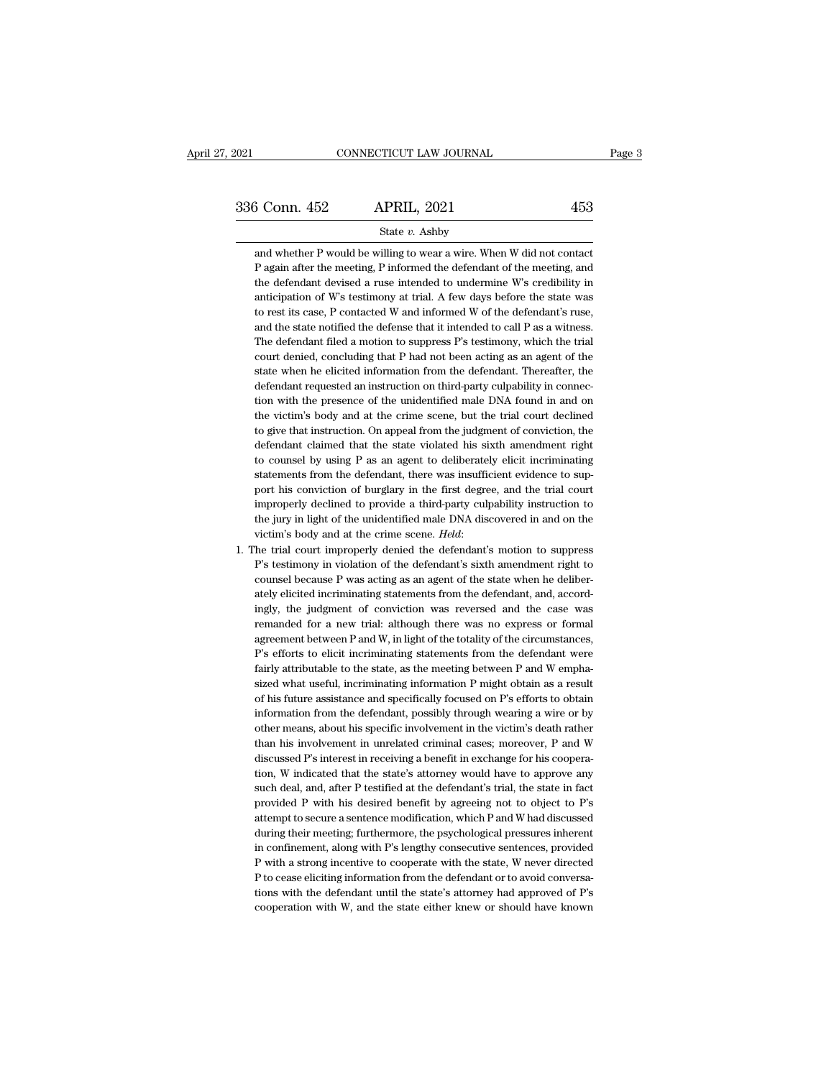<sup>3</sup> Conn. 452 APRIL, 2021 453<br>
State v. Ashby<br>
and whether P would be willing to wear a wire. When W did not contact<br>
P again after the meeting, P informed the defendant of the meeting, and 3 Conn. 452 APRIL, 2021 453<br>
State v. Ashby<br>
and whether P would be willing to wear a wire. When W did not contact<br>
P again after the meeting, P informed the defendant of the meeting, and<br>
the defendant devised a ruse inte 5 Conn. 452 APRIL, 2021 453<br>
State v. Ashby<br>
and whether P would be willing to wear a wire. When W did not contact<br>
P again after the meeting, P informed the defendant of the meeting, and<br>
the defendant devised a ruse inte State  $v$ . Ashby<br>and whether P would be willing to wear a wire. When W did not contact<br>P again after the meeting, P informed the defendant of the meeting, and<br>the defendant devised a ruse intended to undermine W's credibi State v. Ashby<br>and whether P would be willing to wear a wire. When W did not contact<br>P again after the meeting, P informed the defendant of the meeting, and<br>the defendant devised a ruse intended to undermine W's credibilit and whether P would be willing to wear a wire. When W did not contact<br>P again after the meeting, P informed the defendant of the meeting, and<br>the defendant devised a ruse intended to undermine W's credibility in<br>anticipati P again after the meeting, P informed the defendant of the meeting, and<br>the defendant devised a ruse intended to undermine W's credibility in<br>anticipation of W's testimony at trial. A few days before the state was<br>to rest the defendant devised a ruse intended to undermine W's credibility in anticipation of W's testimony at trial. A few days before the state was to rest its case, P contacted W and informed W of the defendant's ruse, and the anticipation of W's testimony at trial. A few days before the state was to rest its case, P contacted W and informed W of the defendant's ruse, and the state notified the defense that it intended to call P as a witness. Th to rest its case, P contacted W and informed W of the defendant's ruse, and the state notified the defense that it intended to call P as a witness. The defendant filed a motion to suppress P's testimony, which the trial c and the state notified the defense that it intended to call P as a witness.<br>The defendant filed a motion to suppress P's testimony, which the trial<br>court denied, concluding that P had not been acting as an agent of the<br>sta The defendant filed a motion to suppress P's testimony, which the trial court denied, concluding that P had not been acting as an agent of the state when he elicited information from the defendant. Thereafter, the defendan court denied, concluding that P had not been acting as an agent of the state when he elicited information from the defendant. Thereafter, the defendant requested an instruction on third-party culpability in connection with state when he elicited information from the defendant. Thereafter, the defendant requested an instruction on third-party culpability in connection with the presence of the unidentified male DNA found in and on the victim's defendant requested an instruction on third-party culpability in connection with the presence of the unidentified male DNA found in and on the victim's body and at the crime scene, but the trial court declined to give that tion with the presence of the unidentified male DNA found in and on<br>the victim's body and at the crime scene, but the trial court declined<br>to give that instruction. On appeal from the judgment of conviction, the<br>defendant the victim's body and at the crime scene, but the trial court declined<br>to give that instruction. On appeal from the judgment of conviction, the<br>defendant claimed that the state violated his sixth amendment right<br>to counsel to give that instruction. On appeal from the judgment of conviction, the defendant claimed that the state violated his sixth amendment right to counsel by using P as an agent to deliberately elicit incriminating statements defendant claimed that the state violated his sixth amendment right<br>to counsel by using P as an agent to deliberately elicit incriminating<br>statements from the defendant, there was insufficient evidence to sup-<br>port his con to counsel by using P as an agent to deliberately elicit incriminating<br>statements from the defendant, there was insufficient evidence to sup-<br>port his conviction of burglary in the first degree, and the trial court<br>improp port his conviction of burglary in the first degree, and the trial court<br>improperly declined to provide a third-party culpability instruction to<br>the jury in light of the unidentified male DNA discovered in and on the<br>victi

improperly declined to provide a third-party culpability instruction to<br>the jury in light of the unidentified male DNA discovered in and on the<br>victim's body and at the crime scene. *Held*:<br>1. The trial court improperly d the jury in light of the unidentified male DNA discovered in and on the victim's body and at the crime scene. *Held*:<br>The trial court improperly denied the defendant's motion to suppress P's testimony in violation of the d victim's body and at the crime scene. *Held*:<br>he trial court improperly denied the defendant's motion to suppress<br>P's testimony in violation of the defendant's sixth amendment right to<br>counsel because P was acting as an ag The trial court improperly denied the defendant's motion to suppress<br>P's testimony in violation of the defendant's sixth amendment right to<br>counsel because P was acting as an agent of the state when he deliber-<br>ately elici P's testimony in violation of the defendant's sixth amendment right to counsel because P was acting as an agent of the state when he deliberately elicited incriminating statements from the defendant, and, accordingly, the counsel because P was acting as an agent of the state when he deliberately elicited incriminating statements from the defendant, and, accordingly, the judgment of conviction was reversed and the case was remanded for a new agreement between P and W, in light of the totality of the circumstances, P's efforts to elicit incriminating statements from the defendant were fairly attributable to the state, as the meeting between P and W empha-<br>sized ingly, the judgment of conviction was reversed and the case was remanded for a new trial: although there was no express or formal agreement between P and W, in light of the totality of the circumstances, P's efforts to eli remanded for a new trial: although there was no express or formal agreement between P and W, in light of the totality of the circumstances, P's efforts to elicit incriminating statements from the defendant were fairly attr agreement between P and W, in light of the totality of the circumstances,<br>P's efforts to elicit incriminating statements from the defendant were<br>fairly attributable to the state, as the meeting between P and W empha-<br>sized P's efforts to elicit incriminating statements from the defendant were fairly attributable to the state, as the meeting between P and W emphasized what useful, incriminating information P might obtain as a result of his fu fairly attributable to the state, as the meeting between P and W emphasized what useful, incriminating information P might obtain as a result of his future assistance and specifically focused on P's efforts to obtain infor information from the defendant, possibly through wearing a wire or by other means, about his specific involvement in the victim's death rather than his involvement in unrelated criminal cases; moreover, P and W discussed P of his future assistance and specifically focused on P's efforts to obtain<br>information from the defendant, possibly through wearing a wire or by<br>other means, about his specific involvement in the victim's death rather<br>than information from the defendant, possibly through wearing a wire or by<br>other means, about his specific involvement in the victim's death rather<br>than his involvement in unrelated criminal cases; moreover, P and W<br>discussed P other means, about his specific involvement in the victim's death rather<br>than his involvement in unrelated criminal cases; moreover, P and W<br>discussed P's interest in receiving a benefit in exchange for his coopera-<br>tion, than his involvement in unrelated criminal cases; moreover, P and W discussed P's interest in receiving a benefit in exchange for his cooperation, W indicated that the state's attorney would have to approve any such deal, discussed P's interest in receiving a benefit in exchange for his cooperation, W indicated that the state's attorney would have to approve any such deal, and, after P testified at the defendant's trial, the state in fact p tion, W indicated that the state's attorney would have to approve any<br>such deal, and, after P testified at the defendant's trial, the state in fact<br>provided P with his desired benefit by agreeing not to object to P's<br>attem such deal, and, after P testified at the defendant's trial, the state in fact<br>provided P with his desired benefit by agreeing not to object to P's<br>attempt to secure a sentence modification, which P and W had discussed<br>duri provided P with his desired benefit by agreeing not to object to P's<br>attempt to secure a sentence modification, which P and W had discussed<br>during their meeting; furthermore, the psychological pressures inherent<br>in confine attempt to secure a sentence modification, which P and W had discussed<br>during their meeting; furthermore, the psychological pressures inherent<br>in confinement, along with P's lengthy consecutive sentences, provided<br>P with a during their meeting; furthermore, the psychological pressures inherent<br>in confinement, along with P's lengthy consecutive sentences, provided<br>P with a strong incentive to cooperate with the state, W never directed<br>P to ce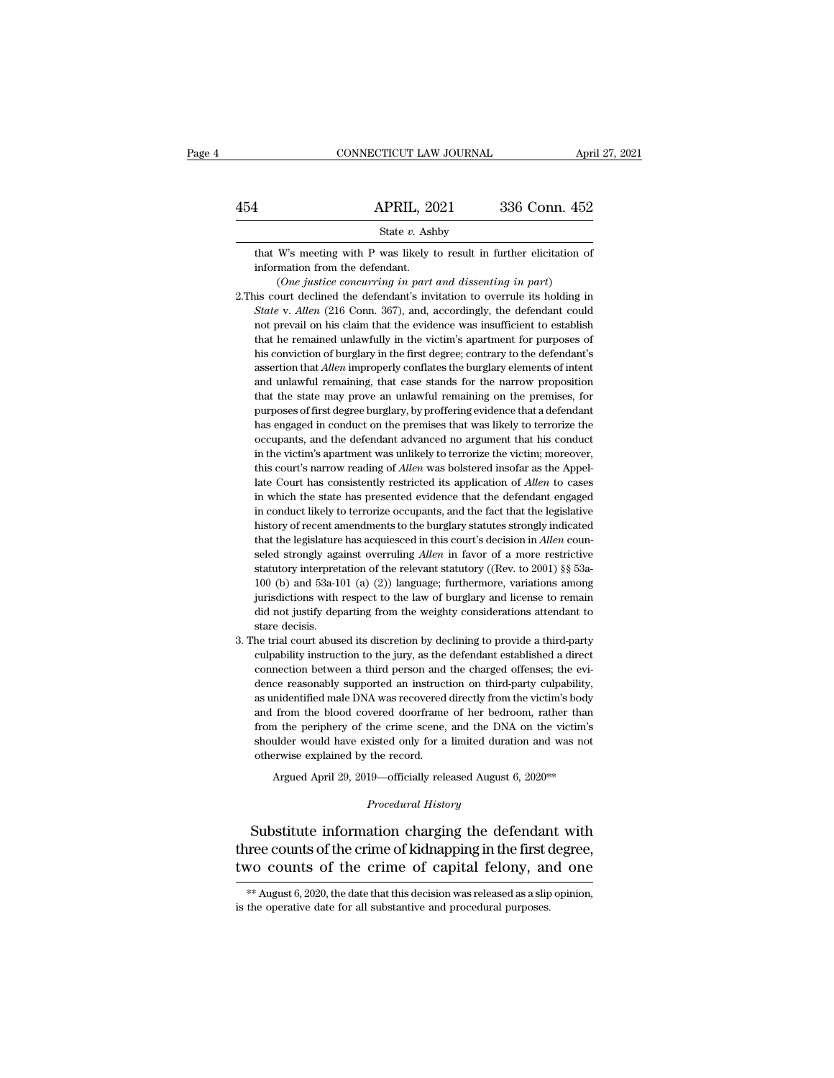|     | CONNECTICUT LAW JOURNAL                                                                                                                 | April 27, 2021 |
|-----|-----------------------------------------------------------------------------------------------------------------------------------------|----------------|
|     |                                                                                                                                         |                |
| 454 | <b>APRIL, 2021</b>                                                                                                                      | 336 Conn. 452  |
|     | State $v$ . Ashby                                                                                                                       |                |
|     | that W's meeting with P was likely to result in further elicitation of<br>information from the defendant.                               |                |
|     | (One justice concurring in part and dissenting in part)<br>2. This court declined the defendant's invitation to overrule its holding in |                |

- 2. State v. Ashby<br>
2. That W's meeting with P was likely to result in further elicitation of<br>
1. Convertistion from the defendant.<br>
2. This court declined the defendant's invitation to overrule its holding in<br>
2. This cour **State** *v*. Ashby<br> **State** *w* is the P was likely to result in further elicitation of<br>
information from the defendant.<br>
(*One justice concurring in part and dissenting in part*)<br>
is court declined the defendant's invitat that W's meeting with P was likely to result in further elicitation of information from the defendant.<br>
(One justice concurring in part and dissenting in part) is court declined the defendant's invitation to overrule its information from the defendant.<br>  $(One\ nistic\ concurring\ in\ part\ and\ dissenting\ in\ part)$ <br>
is court declined the defendant's invitation to overrule its holding in<br> *State v. Allen* (216 Conn. 367), and, accordingly, the defendant could<br>
not prevail on (One justice concurring in part and dissenting in part)<br>is court declined the defendant's invitation to overrule its holding in<br>State v. Allen (216 Conn. 367), and, accordingly, the defendant could<br>not prevail on his clai is court declined the defendant's invitation to overrule its holding in *State* v. *Allen* (216 Conn. 367), and, accordingly, the defendant could not prevail on his claim that the evidence was insufficient to establish tha *State* v. *Allen* (216 Conn. 367), and, accordingly, the defendant could not prevail on his claim that the evidence was insufficient to establish that he remained unlawfully in the victim's apartment for purposes of his not prevail on his claim that the evidence was insufficient to establish<br>that he remained unlawfully in the victim's apartment for purposes of<br>his conviction of burglary in the first degree; contrary to the defendant's<br>ass that he remained unlawfully in the victim's apartment for purposes of his conviction of burglary in the first degree; contrary to the defendant's assertion that *Allen* improperly conflates the burglary elements of intent has environ of burglary in the first degree; contrary to the defendant's assertion that *Allen* improperly conflates the burglary elements of intent and unlawful remaining, that case stands for the narrow proposition that assertion that *Allen* improperly conflates the burglary elements of intent and unlawful remaining, that case stands for the narrow proposition that the state may prove an unlawful remaining on the premises, for purposes o and unlawful remaining, that case stands for the narrow proposition<br>that the state may prove an unlawful remaining on the premises, for<br>purposes of first degree burglary, by proffering evidence that a defendant<br>has engage that the state may prove an unlawful remaining on the premises, for purposes of first degree burglary, by proffering evidence that a defendant has engaged in conduct on the premises that was likely to terrorize the occupan purposes of first degree burglary, by proffering evidence that a defendant has engaged in conduct on the premises that was likely to terrorize the occupants, and the defendant advanced no argument that his conduct in the v has engaged in conduct on the premises that was likely to terrorize the occupants, and the defendant advanced no argument that his conduct in the victim's apartment was unlikely to terrorize the victim; moreover, this cour occupants, and the defendant advanced no argument that his conduct<br>in the victim's apartment was unlikely to terrorize the victim; moreover,<br>this court's narrow reading of *Allen* was bolstered insofar as the Appel-<br>late C in the victim's apartment was unlikely to terrorize the victim; moreover, this court's narrow reading of *Allen* was bolstered insofar as the Appellate Court has consistently restricted its application of *Allen* to cases this court's narrow reading of *Allen* was bolstered insofar as the Appellate Court has consistently restricted its application of *Allen* to cases in which the state has presented evidence that the defendant engaged in co in which the state has presented evidence that the defendant engaged<br>in conduct likely to terrorize occupants, and the fact that the legislative<br>history of recent amendments to the burglary statutes strongly indicated<br>tha in conduct likely to terrorize occupants, and the fact that the legislative history of recent amendments to the burglary statutes strongly indicated that the legislature has acquiesced in this court's decision in *Allen* history of recent amendments to the burglary statutes strongly indicated that the legislature has acquiesced in this court's decision in *Allen* counseled strongly against overruling *Allen* in favor of a more restrictive that the legislature has acquiesced in this court's decision in *Allen* counseled strongly against overruling *Allen* in favor of a more restrictive statutory interpretation of the relevant statutory ((Rev. to 2001) §§ 53 seled strongly age<br>statutory interpret<br>100 (b) and 53a-1<br>jurisdictions with<br>did not justify dep<br>stare decisis.<br>he trial court abus statutory interpretation of the relevant statutory ((Rev. to 2001) §§ 53a-100 (b) and 53a-101 (a) (2)) language; furthermore, variations among jurisdictions with respect to the law of burglary and license to remain did no statutory interpretation of the relevant statutory ((Rev. to 2001) §§ 53a-100 (b) and 53a-101 (a) (2)) language; furthermore, variations among jurisdictions with respect to the law of burglary and license to remain did no
- jurisdictions with respect to the law of burglary and license to remain<br>did not justify departing from the weighty considerations attendant to<br>stare decisis.<br>The trial court abused its discretion by declining to provide a did not justify departing from the weighty considerations attendant to stare decisis.<br>The trial court abused its discretion by declining to provide a third-party culpability instruction to the jury, as the defendant establ stare decisis.<br>he trial court abused its discretion by declining to provide a third-party<br>culpability instruction to the jury, as the defendant established a direct<br>connection between a third person and the charged offense he trial court abused its discretion by declining to provide a third-party culpability instruction to the jury, as the defendant established a direct connection between a third person and the charged offenses; the evidence culpability instruction to the jury, as the defendant established a direct connection between a third person and the charged offenses; the evidence reasonably supported an instruction on third-party culpability, as unident connection between a third person and the charged offenses; the evidence reasonably supported an instruction on third-party culpability, as unidentified male DNA was recovered directly from the victim's body and from the b dence reasonably supported an instruct<br>as unidentified male DNA was recovered<br>and from the blood covered doorframe<br>from the periphery of the crime scene,<br>shoulder would have existed only for a<br>otherwise explained by the re midentified male DNA was recovered directly from the victim's body<br>from the blood covered doorframe of her bedroom, rather than<br>n the periphery of the crime scene, and the DNA on the victim's<br>ulder would have existed only *Procedural scene, and the DNA*<br> *Procedural History*<br> *Procedural History*<br> **Procedural History** from the periphery of the crime scene, and the DNA on the victim's<br>shoulder would have existed only for a limited duration and was not<br>otherwise explained by the record.<br>Argued April 29, 2019—officially released August 6,

shoulder would have existed only for a limited duration and was not<br>otherwise explained by the record.<br>Argued April 29, 2019—officially released August 6, 2020\*\*<br> $Procedural History$ <br>Substitute information charging the defendant with<br>t otherwise explained by the record.<br>
Argued April 29, 2019—officially released August 6, 2020\*\*<br>
Procedural History<br>
Substitute information charging the defendant with<br>
three counts of the crime of kidnapping in the first d Substitute information charging the defendant with<br>ree counts of the crime of kidnapping in the first degree,<br>yo counts of the crime of capital felony, and one<br> $**$  August 6, 2020, the date that this decision was released Substitute information charging the defendar<br>three counts of the crime of kidnapping in the first  $\alpha$ <br>two counts of the crime of capital felony, an<br> $\ast$  August 6, 2020, the date that this decision was released as a slip<br>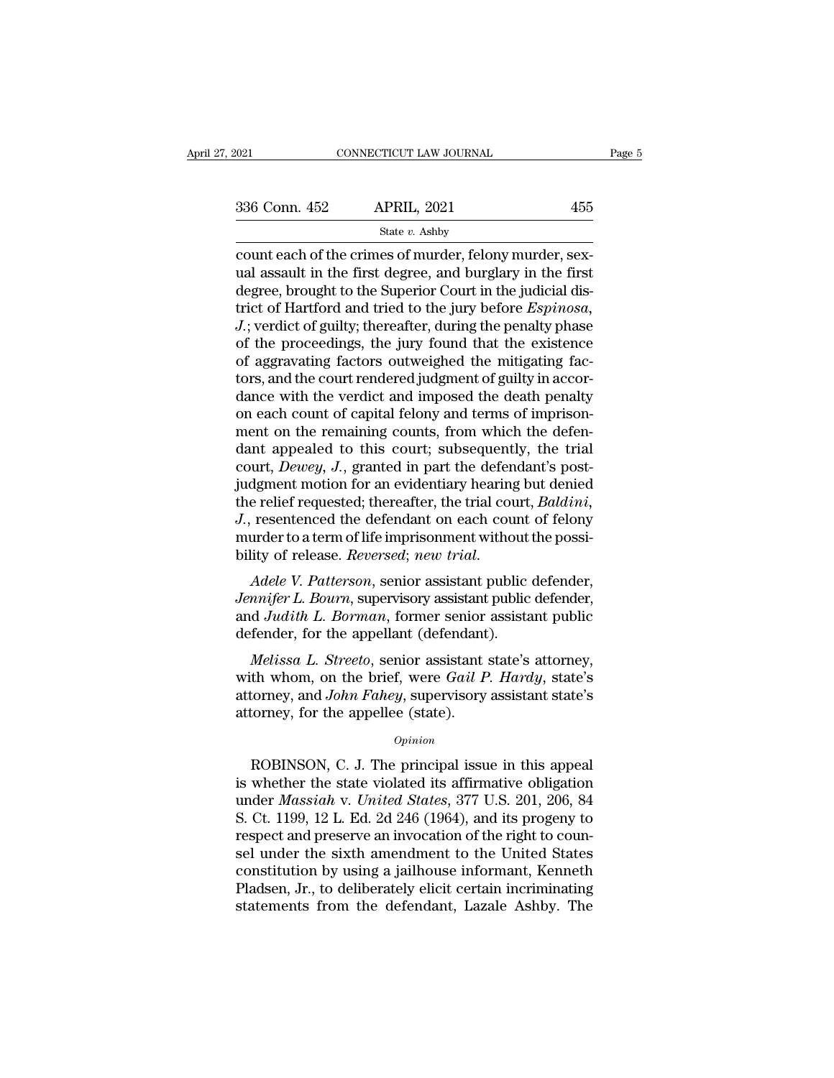| 2021          | CONNECTICUT LAW JOURNAL                                                                                                                                                           | Page 5 |
|---------------|-----------------------------------------------------------------------------------------------------------------------------------------------------------------------------------|--------|
|               |                                                                                                                                                                                   |        |
| 336 Conn. 452 | <b>APRIL, 2021</b>                                                                                                                                                                | 455    |
|               | State $v$ . Ashby                                                                                                                                                                 |        |
|               | count each of the crimes of murder, felony murder, sex-<br>ual assault in the first degree, and burglary in the first<br>dogroe brought to the Superior Court in the judicial dig |        |

 $\begin{array}{ll}\n 336 \text{ Conn. } 452 \quad \text{APRIL, } 2021 \quad \text{455} \\
 \text{State } v. \text{ Ashby} \\
 \text{count each of the crimes of murder, fellow murder, sexual assault in the first degree, and burglary in the first degree, brought to the Superior Court in the judicial distinct of Hartford and tried to the jury before Fernines.\n$ 336 Conn. 452 APRIL, 2021 455<br>
State v. Ashby<br>
count each of the crimes of murder, felony murder, sex-<br>
ual assault in the first degree, and burglary in the first<br>
degree, brought to the Superior Court in the judicial dis 336 Conn. 452 APRIL, 2021 455<br>
state  $v$ . Ashby<br>
count each of the crimes of murder, felony murder, sex-<br>
ual assault in the first degree, and burglary in the first<br>
degree, brought to the Superior Court in the judicial d *Soff Collar 102 J.1.1.1.1, 2021 J.1.1.1.1, 2021 J.1.1.1.1, 2021 State v. Ashby*<br>
count each of the crimes of murder, felony murder, sex-<br>
ual assault in the first degree, and burglary in the first<br>
degree, brough state  $v$ . Ashby<br>
count each of the crimes of murder, felony murder, sex-<br>
ual assault in the first degree, and burglary in the first<br>
degree, brought to the Superior Court in the judicial dis-<br>
trict of Hartford and trie count each of the crimes of murder, felony murder, sex-<br>ual assault in the first degree, and burglary in the first<br>degree, brought to the Superior Court in the judicial dis-<br>trict of Hartford and tried to the jury before E ual assault in the first degree, and burglary in the first<br>degree, brought to the Superior Court in the judicial dis-<br>trict of Hartford and tried to the jury before Espinosa,<br>J.; verdict of guilty; thereafter, during the p degree, brought to the Superior Court in the judicial district of Hartford and tried to the jury before *Espinosa*,<br>*J.*; verdict of guilty; thereafter, during the penalty phase<br>of the proceedings, the jury found that the trict of Hartford and tried to the jury before *Espinosa*,<br>J.; verdict of guilty; thereafter, during the penalty phase<br>of the proceedings, the jury found that the existence<br>of aggravating factors outweighed the mitigating J.; verdict of guilty; thereafter, during the penalty phase<br>of the proceedings, the jury found that the existence<br>of aggravating factors outweighed the mitigating fac-<br>tors, and the court rendered judgment of guilty in ac of the proceedings, the jury found that the existence<br>of aggravating factors outweighed the mitigating fac-<br>tors, and the court rendered judgment of guilty in accor-<br>dance with the verdict and imposed the death penalty<br>on of aggravating factors outweighed the mitigating factors, and the court rendered judgment of guilty in accordance with the verdict and imposed the death penalty on each count of capital felony and terms of imprisonment on tors, and the court rendered judgment of guilty in accordance with the verdict and imposed the death penalty<br>on each count of capital felony and terms of imprison-<br>ment on the remaining counts, from which the defen-<br>dant a dance with the verdict and imposed the death penalty<br>on each count of capital felony and terms of imprison-<br>ment on the remaining counts, from which the defen-<br>dant appealed to this court; subsequently, the trial<br>court, *D* on each count of capital felony and terms of imprisonment on the remaining counts, from which the defendant appealed to this court; subsequently, the trial court, *Dewey*, *J.*, granted in part the defendant's post-judgmen ment on the remaining counts, from which the defendant appealed to this court; subsequently, the trial court, *Dewey*, *J*., granted in part the defendant's post-judgment motion for an evidentiary hearing but denied the re dant appealed to this court; subsequently, the trial<br>court, *Dewey*, *J*., granted in part the defendant's post-<br>judgment motion for an evidentiary hearing but denied<br>the relief requested; thereafter, the trial court, *Bal Judgment motion for an evidentiary nearing but defined*<br>the relief requested; thereafter, the trial court, *Baldini*,<br>*J.*, resentenced the defendant on each count of felony<br>murder to a term of life imprisonment without t

Intertual reduction, the transformation, *Dutaint*,<br>*J.*, resentenced the defendant on each count of felony<br>murder to a term of life imprisonment without the possi-<br>bility of release. *Reversed*; *new trial.*<br>*Adele V. Pat* definition are the defendant of each count<br>murder to a term of life imprisonment without<br>bility of release. *Reversed*; *new trial.*<br>*Adele V. Patterson*, senior assistant public<br>*Jennifer L. Bourn*, supervisory assistant *Melity of release. Reversed; new trial.*<br> *Adele V. Patterson, senior assistant public defender,*<br> *mnifer L. Bourn, supervisory assistant public defender,*<br> *d Judith L. Borman, former senior assistant public<br>
fender, fo* Adele V. Patterson, senior assistant public defender,<br>Jennifer L. Bourn, supervisory assistant public defender,<br>and Judith L. Borman, former senior assistant public<br>defender, for the appellant (defendant).<br>Melissa L. Stree

Adele V. Fatterson, senior assistant public defender,<br>Jennifer L. Bourn, supervisory assistant public defender,<br>and *Judith L. Borman*, former senior assistant public<br>defender, for the appellant (defendant).<br>*Melissa L. St* behaver *L. Boarn*, supervisory assistant and *Judith L. Borman*, former senior defender, for the appellant (defendant *Melissa L. Streeto*, senior assistant with whom, on the brief, were *Gail P* attorney, and *John Fahey Melissa L. Streeto*, senior assistant state's attorney,<br>th whom, on the brief, were *Gail P. Hardy*, state's<br>torney, and *John Fahey*, supervisory assistant state's<br>torney, for the appellee (state).<br> $opinion$ <br>ROBINSON, C. J. T

#### *Opinion*

with whom, on the brief, were *Gail P. Hardy*, state's<br>attorney, and *John Fahey*, supervisory assistant state's<br>attorney, for the appellee (state).<br> $o_{pinion}$ <br>ROBINSON, C. J. The principal issue in this appeal<br>is whether th attorney, and *John Fahey*, supervisory assistant state's<br>attorney, for the appellee (state).<br> $opinion$ <br>ROBINSON, C. J. The principal issue in this appeal<br>is whether the state violated its affirmative obligation<br>under *Massiah* opinion<br>
opinion<br>
Copinion<br>
ROBINSON, C. J. The principal issue in this appeal<br>
is whether the state violated its affirmative obligation<br>
under *Massiah* v. *United States*, 377 U.S. 201, 206, 84<br>
S. Ct. 1199, 12 L. Ed. 2d *Opinion*<br>ROBINSON, C. J. The principal issue in this appeal<br>is whether the state violated its affirmative obligation<br>under *Massiah* v. *United States*, 377 U.S. 201, 206, 84<br>S. Ct. 1199, 12 L. Ed. 2d 246 (1964), and its sel under Massiah v. United States, 377 U.S. 201, 206, 84<br>S. Ct. 1199, 12 L. Ed. 2d 246 (1964), and its progeny to<br>respect and preserve an invocation of the right to coun-<br>sel under the sixth amendment to the United States ROBINSON, C. J. The principal issue in this appeal<br>is whether the state violated its affirmative obligation<br>under *Massiah* v. *United States*, 377 U.S. 201, 206, 84<br>S. Ct. 1199, 12 L. Ed. 2d 246 (1964), and its progeny to is whether the state violated its affirmative obligation<br>under *Massiah* v. *United States*, 377 U.S. 201, 206, 84<br>S. Ct. 1199, 12 L. Ed. 2d 246 (1964), and its progeny to<br>respect and preserve an invocation of the right to under *Massiah v. United States*, 377 U.S. 201, 206, 84<br>S. Ct. 1199, 12 L. Ed. 2d 246 (1964), and its progeny to<br>respect and preserve an invocation of the right to coun-<br>sel under the sixth amendment to the United States<br>c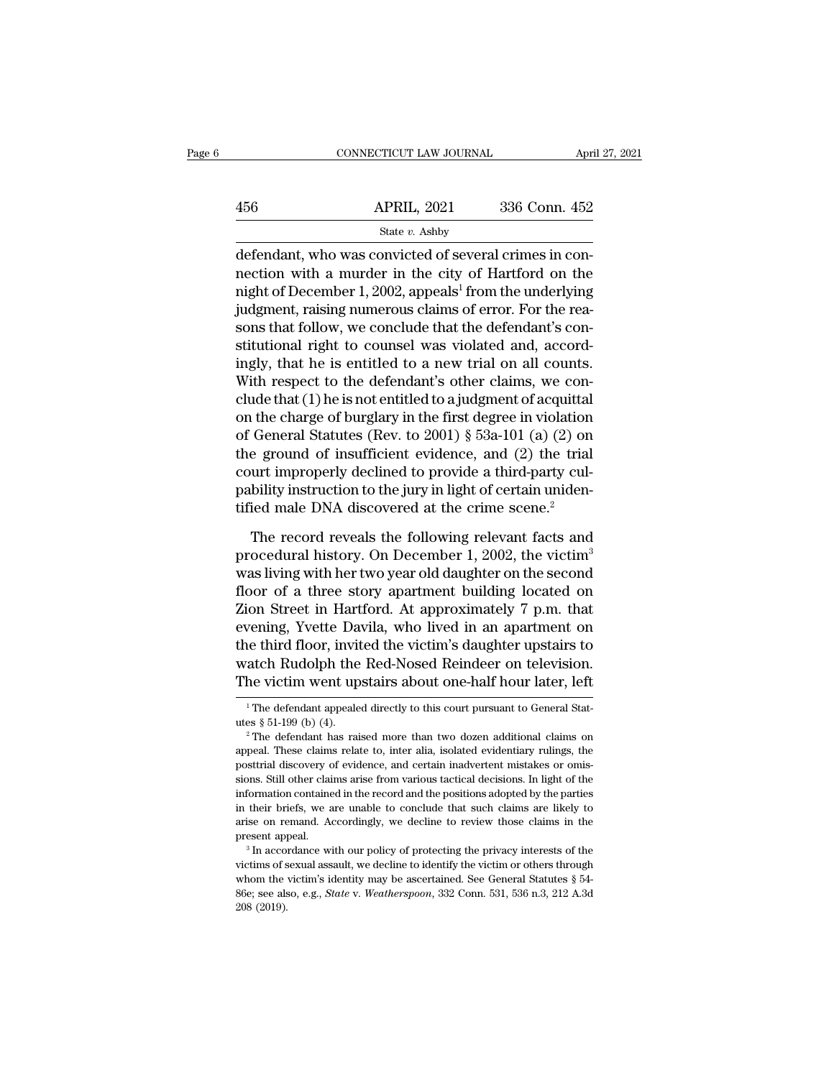|     | CONNECTICUT LAW JOURNAL                                                                                                                                                  | April 27, 2021 |
|-----|--------------------------------------------------------------------------------------------------------------------------------------------------------------------------|----------------|
| 456 | <b>APRIL, 2021</b>                                                                                                                                                       | 336 Conn. 452  |
|     | State $v$ . Ashby                                                                                                                                                        |                |
|     | defendant, who was convicted of several crimes in con-<br>nection with a murder in the city of Hartford on the<br>pight of December 1, 2002, eppeald from the underlying |                |

 $\begin{array}{r} \text{APRIL, 2021} \qquad \text{336 Conn. } 452 \ \text{State } v. \text{ Ashby} \ \text{defendant, who was convicted of several crimes in connection with a murder in the city of Hartford on the night of December 1, 2002, appears<sup>1</sup> from the underlying judgmenths in the primary edges of error. For the region$  $\begin{array}{r} \text{APRIL, 2021} \qquad \text{336 Conn. 452} \ \hline \text{defendant, who was convicted of several crimes in connection with a murder in the city of Hartford on the night of December 1, 2002, appealing<sup>1</sup> from the underlying judgment, raising numerous claims of error. For the reason that follow, we conclude that the defendant's can be used.} \end{array}$  $\frac{\text{APRIL, 2021}}{\text{State } v. \text{ Ashby}}$ <br>defendant, who was convicted of several crimes in connection with a murder in the city of Hartford on the night of December 1, 2002, appeals<sup>1</sup> from the underlying judgment, raising numerou State v. Ashby<br>
defendant, who was convicted of several crimes in con-<br>
nection with a murder in the city of Hartford on the<br>
night of December 1, 2002, appeals<sup>1</sup> from the underlying<br>
judgment, raising numerous claims of state  $v$ . Ashby<br>defendant, who was convicted of several crimes in con-<br>nection with a murder in the city of Hartford on the<br>night of December 1, 2002, appeals<sup>1</sup> from the underlying<br>judgment, raising numerous claims of e defendant, who was convicted of several crimes in con-<br>nection with a murder in the city of Hartford on the<br>night of December 1, 2002, appeals<sup>1</sup> from the underlying<br>judgment, raising numerous claims of error. For the reanection with a murder in the city of Hartford on the<br>night of December 1, 2002, appeals<sup>1</sup> from the underlying<br>judgment, raising numerous claims of error. For the rea-<br>sons that follow, we conclude that the defendant's con might of December 1, 2002, appeals<sup>1</sup> from the underlying<br>judgment, raising numerous claims of error. For the rea-<br>sons that follow, we conclude that the defendant's con-<br>stitutional right to counsel was violated and, acc judgment, raising numerous claims of error. For the reasons that follow, we conclude that the defendant's constitutional right to counsel was violated and, accordingly, that he is entitled to a new trial on all counts.<br>Wit sons that follow, we conclude that the defendant's constitutional right to counsel was violated and, accordingly, that he is entitled to a new trial on all counts.<br>With respect to the defendant's other claims, we conclude stitutional right to counsel was violated and, accordingly, that he is entitled to a new trial on all counts.<br>With respect to the defendant's other claims, we conclude that (1) he is not entitled to a judgment of acquittal ingly, that he is entitled to a new trial on all counts.<br>With respect to the defendant's other claims, we conclude that (1) he is not entitled to a judgment of acquittal<br>on the charge of burglary in the first degree in vi With respect to the defendant's other claims, we conclude that (1) he is not entitled to a judgment of acquittal on the charge of burglary in the first degree in violation of General Statutes (Rev. to 2001) § 53a-101 (a) clude that (1) he is not entitled to a judgment of acquittal<br>on the charge of burglary in the first degree in violation<br>of General Statutes (Rev. to 2001)  $\S$  53a-101 (a) (2) on<br>the ground of insufficient evidence, and (2 General Statutes (Rev. to 2001) § 53a-101 (a) (2) on<br>e ground of insufficient evidence, and (2) the trial<br>urt improperly declined to provide a third-party cul-<br>bility instruction to the jury in light of certain uniden-<br>ie the ground of insufficient evidence, and (2) the trial<br>court improperly declined to provide a third-party cul-<br>pability instruction to the jury in light of certain uniden-<br>tified male DNA discovered at the crime scene.<sup>2</sup><br>

court improperly declined to provide a third-party cul-<br>pability instruction to the jury in light of certain uniden-<br>tified male DNA discovered at the crime scene.<sup>2</sup><br>The record reveals the following relevant facts and<br>pr pability instruction to the jury in light of certain unidentified male DNA discovered at the crime scene.<sup>2</sup><br>The record reveals the following relevant facts and<br>procedural history. On December 1, 2002, the victim<sup>3</sup><br>was li ified male DNA discovered at the crime scene.<sup>2</sup><br>The record reveals the following relevant facts and<br>procedural history. On December 1, 2002, the victim<sup>3</sup><br>was living with her two year old daughter on the second<br>floor of a The record reveals the following relevant facts and<br>procedural history. On December 1, 2002, the victim<sup>3</sup><br>was living with her two year old daughter on the second<br>floor of a three story apartment building located on<br>Zion S The record reveals the following relevant facts and<br>procedural history. On December 1, 2002, the victim<sup>3</sup><br>was living with her two year old daughter on the second<br>floor of a three story apartment building located on<br>Zion S procedural history. On December 1, 2002, the victim<sup>3</sup><br>was living with her two year old daughter on the second<br>floor of a three story apartment building located on<br>Zion Street in Hartford. At approximately 7 p.m. that<br>even was living with her two year old daughter on the second<br>floor of a three story apartment building located on<br>Zion Street in Hartford. At approximately 7 p.m. that<br>evening, Yvette Davila, who lived in an apartment on<br>the th evening, Yvette Davila, who lived in an apartment on<br>the third floor, invited the victim's daughter upstairs to<br>watch Rudolph the Red-Nosed Reindeer on television.<br>The victim went upstairs about one-half hour later, left<br> the third floor, invited the victim's daughter upstairs to<br>watch Rudolph the Red-Nosed Reindeer on television.<br>The victim went upstairs about one-half hour later, left<br> $\frac{1}{1}$  The defendant appealed directly to this cou

The victim went upstairs about one-half hour later, left<br>
<sup>1</sup>The defendant appealed directly to this court pursuant to General Stat-<br>
<sup>2</sup>The defendant has raised more than two dozen additional claims on<br>
appeal. These clai appeal. These claims relate to, inter alia, isolated evidentiary rulings, the posttrial discovery of evidence, and certain inadvertent mistakes or omissions. Still other claims arise from various tactical decisions. In lig <sup>1</sup> The defendant appealed directly to this court pursuant to General Statures  $\S 51-199$  (b) (4).<br><sup>2</sup> The defendant has raised more than two dozen additional claims on appeal. These claims relate to, inter alia, isolated information contained in the record and the positions adopted by the parties<br>in their briefs, we are unable to conclude that such claims are likely to<br>arise on remand. Accordingly, we decline to review those claims in the <sup>2</sup> The defendant has raised more than two dozen additional claims on appeal. These claims relate to, inter alia, isolated evidentiary rulings, the posttrial discovery of evidence, and certain inadvertent mistakes or omis appeal. These claims relate to, inter alia, isolated evidentiary rulings, the posttrial discovery of evidence, and certain inadvertent mistakes or omisions. Still other claims arise from various tactical decisions. In ligh posttrial discovery of evidence, and certain inadvertent mistakes or omissions. Still other claims arise from various tactical decisions. In light of the information contained in the record and the positions adopted by the information contained in the record and the positions adopted by the parties<br>in their briefs, we are unable to conclude that such claims are likely to<br>arise on remand. Accordingly, we decline to review those claims in the present appeal.

in their briefs, we are unable to conclude that such claims are likely to arise on remand. Accordingly, we decline to review those claims in the present appeal.<br><sup>3</sup> In accordance with our policy of protecting the privacy arise on remand. Accordingly, we decline to review those claims in the present appeal.<br><sup>3</sup> In accordance with our policy of protecting the privacy interests of the victims of sexual assault, we decline to identify the vict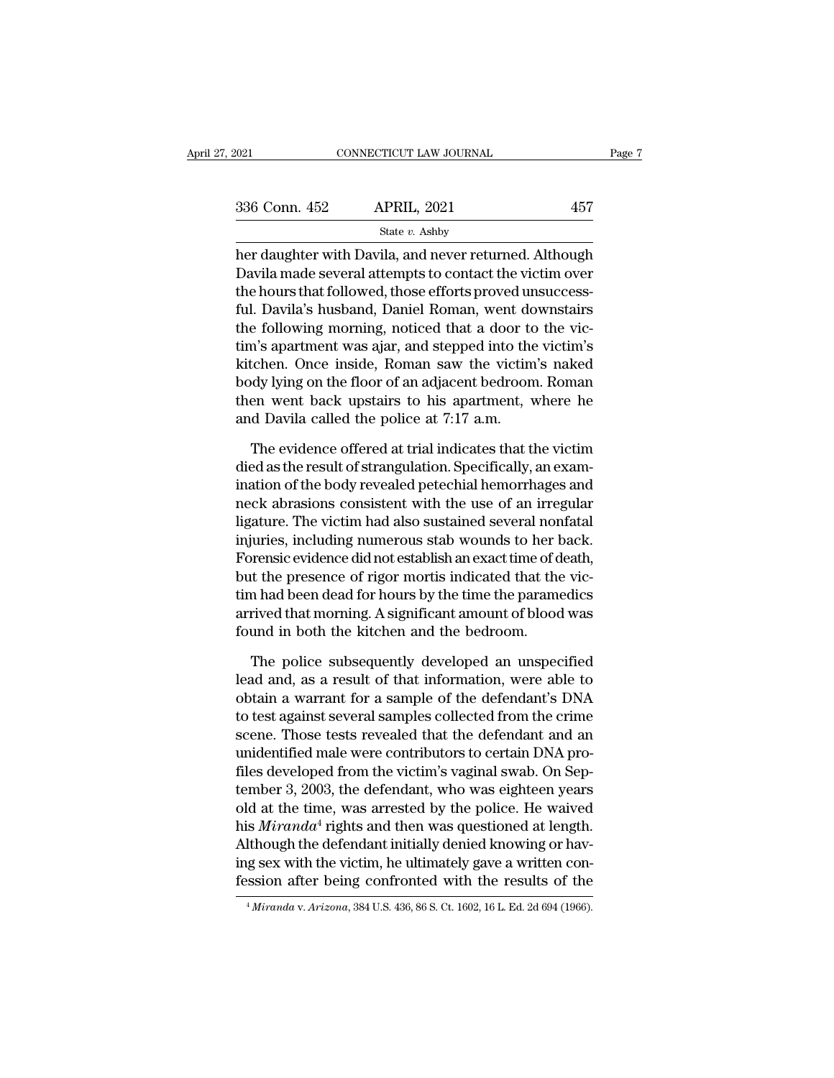| 2021          | CONNECTICUT LAW JOURNAL                                 |     | Page 7 |
|---------------|---------------------------------------------------------|-----|--------|
|               |                                                         |     |        |
| 336 Conn. 452 | <b>APRIL, 2021</b>                                      | 457 |        |
|               | State $v$ . Ashby                                       |     |        |
|               | her daughter with Davila, and never returned. Although  |     |        |
|               | Davila made several attempts to contact the victim over |     |        |
|               | the hours that followed those offers proved unquegoge   |     |        |

 $\begin{array}{ll} \text{336 Conn. } \text{452} & \text{APRIL, 2021} & \text{457} \\ & \text{State $v$. } \text{Ashby} \\ \text{her daughter with David, and never returned. Although } \text{David made several attempts to contact the victim over the hours that followed, those efforts proved unsuccessful. } \text{David } \text{Bemen, want dormatim} \end{array}$ 336 Conn. 452 APRIL, 2021 457<br>
State v. Ashby<br>
her daughter with Davila, and never returned. Although<br>
Davila made several attempts to contact the victim over<br>
the hours that followed, those efforts proved unsuccess-<br>
ful  $\frac{\text{336 Conn. 452}}{\text{State } v. \text{ Ashby}}$ <br>
her daughter with Davila, and never returned. Although<br>
Davila made several attempts to contact the victim over<br>
the hours that followed, those efforts proved unsuccess-<br>
ful. Davila's husb State v. Ashby<br>
her daughter with Davila, and never returned. Although<br>
Davila made several attempts to contact the victim over<br>
the hours that followed, those efforts proved unsuccess-<br>
ful. Davila's husband, Daniel Roma  $\frac{1}{3}$  and  $\frac{1}{2}$  and never returned. Although Davila made several attempts to contact the victim over the hours that followed, those efforts proved unsuccessful. Davila's husband, Daniel Roman, went downstairs the her daughter with Davila, and never returned. Although<br>Davila made several attempts to contact the victim over<br>the hours that followed, those efforts proved unsuccess-<br>ful. Davila's husband, Daniel Roman, went downstairs<br>t Davila made several attempts to contact the victim over<br>the hours that followed, those efforts proved unsuccess-<br>ful. Davila's husband, Daniel Roman, went downstairs<br>the following morning, noticed that a door to the vic-<br> the hours that followed, those efforts proved unsuccess-<br>ful. Davila's husband, Daniel Roman, went downstairs<br>the following morning, noticed that a door to the vic-<br>tim's apartment was ajar, and stepped into the victim's<br>k ful. Davila's husband, Daniel Roman, went do<br>the following morning, noticed that a door to<br>tim's apartment was ajar, and stepped into the<br>kitchen. Once inside, Roman saw the victim<br>body lying on the floor of an adjacent be m's apartment was ajar, and stepped into the victim's<br>tchen. Once inside, Roman saw the victim's naked<br>dy lying on the floor of an adjacent bedroom. Roman<br>en went back upstairs to his apartment, where he<br>d Davila called th kitchen. Once inside, Roman saw the victim's naked<br>body lying on the floor of an adjacent bedroom. Roman<br>then went back upstairs to his apartment, where he<br>and Davila called the police at 7:17 a.m.<br>The evidence offered at

body lying on the floor of an adjacent bedroom. Roman<br>then went back upstairs to his apartment, where he<br>and Davila called the police at 7:17 a.m.<br>The evidence offered at trial indicates that the victim<br>died as the result then went back upstairs to his apartment, where he<br>and Davila called the police at 7:17 a.m.<br>The evidence offered at trial indicates that the victim<br>died as the result of strangulation. Specifically, an exam-<br>ination of th and Davila called the police at 7:17 a.m.<br>The evidence offered at trial indicates that the victim<br>died as the result of strangulation. Specifically, an exam-<br>ination of the body revealed petechial hemorrhages and<br>neck abra The evidence offered at trial indicates that the victim<br>died as the result of strangulation. Specifically, an exam-<br>ination of the body revealed petechial hemorrhages and<br>neck abrasions consistent with the use of an irregu The evidence offered at trial indicates that the victim<br>died as the result of strangulation. Specifically, an exam-<br>ination of the body revealed petechial hemorrhages and<br>neck abrasions consistent with the use of an irregu died as the result of strangulation. Specifically, an examination of the body revealed petechial hemorrhages and<br>neck abrasions consistent with the use of an irregular<br>ligature. The victim had also sustained several nonfat ination of the body revealed petechial hemorrhages and<br>neck abrasions consistent with the use of an irregular<br>ligature. The victim had also sustained several nonfatal<br>injuries, including numerous stab wounds to her back.<br>F neck abrasions consistent with the use of an irregular<br>ligature. The victim had also sustained several nonfatal<br>injuries, including numerous stab wounds to her back.<br>Forensic evidence did not establish an exact time of dea ligature. The victim had also sustained several nor<br>injuries, including numerous stab wounds to her l<br>Forensic evidence did not establish an exact time of d<br>but the presence of rigor mortis indicated that the<br>tim had been prensic evidence did not establish an exact time of death,<br>t the presence of rigor mortis indicated that the vic-<br>n had been dead for hours by the time the paramedics<br>rived that morning. A significant amount of blood was<br>u but the presence of rigor mortis indicated that the victim had been dead for hours by the time the paramedics<br>arrived that morning. A significant amount of blood was<br>found in both the kitchen and the bedroom.<br>The police su

tim had been dead for hours by the time the paramedics<br>arrived that morning. A significant amount of blood was<br>found in both the kitchen and the bedroom.<br>The police subsequently developed an unspecified<br>lead and, as a resu arrived that morning. A significant amount of blood was<br>found in both the kitchen and the bedroom.<br>The police subsequently developed an unspecified<br>lead and, as a result of that information, were able to<br>obtain a warrant f found in both the kitchen and the bedroom.<br>The police subsequently developed an unspecified<br>lead and, as a result of that information, were able to<br>obtain a warrant for a sample of the defendant's DNA<br>to test against sever The police subsequently developed an unspecified<br>lead and, as a result of that information, were able to<br>obtain a warrant for a sample of the defendant's DNA<br>to test against several samples collected from the crime<br>scene. The police subsequently developed an unspecified<br>lead and, as a result of that information, were able to<br>obtain a warrant for a sample of the defendant's DNA<br>to test against several samples collected from the crime<br>scene. lead and, as a result of that information, were able to<br>obtain a warrant for a sample of the defendant's DNA<br>to test against several samples collected from the crime<br>scene. Those tests revealed that the defendant and an<br>un obtain a warrant for a sample of the defendant's DNA<br>to test against several samples collected from the crime<br>scene. Those tests revealed that the defendant and an<br>unidentified male were contributors to certain DNA pro-<br>f to test against several samples collected from the crime<br>scene. Those tests revealed that the defendant and an<br>unidentified male were contributors to certain DNA pro-<br>files developed from the victim's vaginal swab. On Sepscene. Those tests revealed that the defendant and an unidentified male were contributors to certain DNA profiles developed from the victim's vaginal swab. On September 3, 2003, the defendant, who was eighteen years old a unidentified male were contributors to certain DNA pro-<br>files developed from the victim's vaginal swab. On Sep-<br>tember 3, 2003, the defendant, who was eighteen years<br>old at the time, was arrested by the police. He waived<br> files developed from the victim's vaginal swab. On September 3, 2003, the defendant, who was eighteen years old at the time, was arrested by the police. He waived his *Miranda*<sup>4</sup> rights and then was questioned at length. his *Miranda*<sup>4</sup> rights and then was questioned at length.<br>Although the defendant initially denied knowing or having sex with the victim, he ultimately gave a written confession after being confronted with the results of t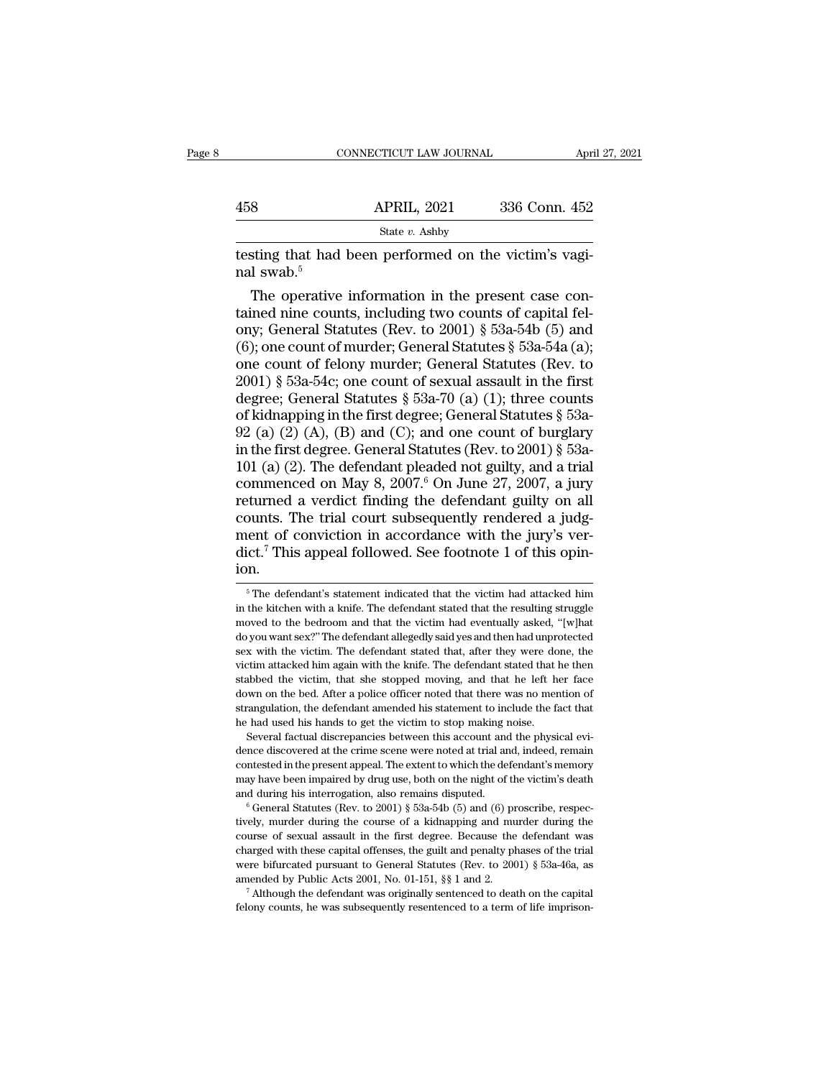|                        | CONNECTICUT LAW JOURNAL                               | April 27, 2021 |
|------------------------|-------------------------------------------------------|----------------|
|                        |                                                       |                |
| 458                    | <b>APRIL, 2021</b>                                    | 336 Conn. 452  |
|                        | State $v$ . Ashby                                     |                |
| nal swab. <sup>5</sup> | testing that had been performed on the victim's vagi- |                |
|                        | The operative information in the present case con-    |                |

8 APRIL, 2021 336 Conn. 452<br>
State v. Ashby<br>
sting that had been performed on the victim's vagi-<br>
I swab.<sup>5</sup><br>
The operative information in the present case con-<br>
ined nine counts, including two counts of capital fel-<br>
W. 458 APRIL, 2021 336 Conn. 452<br>
State v. Ashby<br>
testing that had been performed on the victim's vagi-<br>
ral swab.<sup>5</sup><br>
The operative information in the present case contained nine counts, including two counts of capital fel-State v. Ashby<br>
testing that had been performed on the victim's vagi-<br>
ral swab.<sup>5</sup><br>
The operative information in the present case con-<br>
tained nine counts, including two counts of capital fel-<br>
ony; General Statutes (Rev testing that had been performed on the victim's vaginal swab.<sup>5</sup><br>The operative information in the present case con-<br>tained nine counts, including two counts of capital fel-<br>ony; General Statutes (Rev. to 2001)  $\S$  53a-54b testing that had been performed on the victim's vagi-<br>nal swab.<sup>5</sup><br>The operative information in the present case con-<br>tained nine counts, including two counts of capital fel-<br>ony; General Statutes (Rev. to 2001) § 53a-54b ral swab.<sup>5</sup><br>The operative information in the present case contained nine counts, including two counts of capital fel-<br>ony; General Statutes (Rev. to 2001) § 53a-54b (5) and<br>(6); one count of murder; General Statutes § 53 The operative information in the present case con-<br>tained nine counts, including two counts of capital fel-<br>ony; General Statutes (Rev. to 2001) § 53a-54b (5) and<br>(6); one count of murder; General Statutes § 53a-54a (a);<br> tained nine counts, including two counts of capital fel-<br>ony; General Statutes (Rev. to 2001) § 53a-54b (5) and<br>(6); one count of murder; General Statutes § 53a-54a (a);<br>one count of felony murder; General Statutes (Rev. ony; General Statutes (Rev. to 2001) § 53a-54b (5) and (6); one count of murder; General Statutes § 53a-54a (a); one count of felony murder; General Statutes (Rev. to 2001) § 53a-54c; one count of sexual assault in the fi (6); one count of murder; General Statutes § 53a-54a (a);<br>one count of felony murder; General Statutes (Rev. to<br>2001) § 53a-54c; one count of sexual assault in the first<br>degree; General Statutes § 53a-70 (a) (1); three co one count of felony murder; General Statutes (Rev. to 2001) § 53a-54c; one count of sexual assault in the first degree; General Statutes § 53a-70 (a) (1); three counts of kidnapping in the first degree; General Statutes § 2001) § 53a-54c; one count of sexual assault in the first<br>degree; General Statutes § 53a-70 (a) (1); three counts<br>of kidnapping in the first degree; General Statutes § 53a-<br>92 (a) (2) (A), (B) and (C); and one count of bu degree; General Statutes § 53a-70 (a) (1); three counts<br>of kidnapping in the first degree; General Statutes § 53a-<br>92 (a) (2) (A), (B) and (C); and one count of burglary<br>in the first degree. General Statutes (Rev. to 2001 of kidnapping in the first degree; General Statutes § 53a-<br>92 (a) (2) (A), (B) and (C); and one count of burglary<br>in the first degree. General Statutes (Rev. to 2001) § 53a-<br>101 (a) (2). The defendant pleaded not guilty, 92 (a) (2) (A), (B) and (C); and one count of burglary<br>in the first degree. General Statutes (Rev. to 2001) § 53a-<br>101 (a) (2). The defendant pleaded not guilty, and a trial<br>commenced on May 8, 2007.<sup>6</sup> On June 27, 2007, in the first degree. General Statutes (Rev. to 2001) § 53a-101 (a) (2). The defendant pleaded not guilty, and a trial commenced on May 8, 2007.<sup>6</sup> On June 27, 2007, a jury returned a verdict finding the defendant guilty o ion. bounts. The trial court subsequently rendered a judge-<br>ent of conviction in accordance with the jury's ver-<br>ict.<sup>7</sup> This appeal followed. See footnote 1 of this opin-<br>n.<br><sup>5</sup> The defendant's statement indicated that the vic ment of conviction in accordance with the jury's verdict.<sup>7</sup> This appeal followed. See footnote 1 of this opin-<br>ion.<br> $\frac{1}{100}$   $\frac{1}{100}$   $\frac{1}{100}$   $\frac{1}{100}$   $\frac{1}{100}$   $\frac{1}{100}$   $\frac{1}{100}$   $\frac{1}{100}$   $\frac{1}{10$ 

down on the bed. After a police officer noted that there was no mention of strangulation, the defendant amended his statement to include the fact that he had used his hands to get the victim to stop making noise. Several f strangulation, the defendant amended his statement to include the fact that he had used his hands to get the victim to stop making noise.<br>Several factual discrepancies between this account and the physical evidence discove and during his interrogation, also remains disputed. Several factual discrepancies between this account and the physical evidence discovered at the crime scene were noted at trial and, indeed, remain contested in the pres dence discovered at the crime scene were noted at trial and, indeed, remain contested in the present appeal. The extent to which the defendant's memory may have been impaired by drug use, both on the night of the victim's

contested in the present appeal. The extent to which the defendant's memory may have been impaired by drug use, both on the night of the victim's death and during his interrogation, also remains disputed.<br>
<sup>6</sup> General Sta may have been impaired by drug use, both on the night of the victim's death<br>and during his interrogation, also remains disputed.<br><sup>6</sup> General Statutes (Rev. to 2001) § 53a-54b (5) and (6) proscribe, respec-<br>tively, murder tively, murder during the course of a kidnapping and murder during the course of sexual assault in the first degree. Because the defendant was charged with these capital offenses, the guilt and penalty phases of the trial <sup>a</sup> General Statutes (Rev. to 2001) § 53a-54b (5) and (6) proscribe, respectively, murder during the course of a kidnapping and murder during the course of sexual assault in the first degree. Because the defendant was cha course of sexual assault in the first degree. Because the defendant was charged with these capital offenses, the guilt and penalty phases of the trial were bifurcated pursuant to General Statutes (Rev. to 2001)  $\S$  53a-46

dict.<sup>7</sup> This appeal followed. See footnote 1 of this opin-<br>ion.<br><sup>5</sup> The defendant's statement indicated that the victim had attacked him<br>in the kitchen with a knife. The defendant stated that the resulting struggle<br>moved door. This appear followed: See Toothote T of this opin<br>ion.<br><sup>5</sup> The defendant's statement indicated that the victim had attacked him<br>in the kitchen with a knife. The defendant stated that the resulting struggle<br>moved to t For the defendant's statement indicated that the victim had attacked him<br>in the kitchen with a knife. The defendant stated that the resulting struggle<br>moved to the bedroom and that the victim had eventually asked, "[w]hat <sup>5</sup> The defendant's statement indicated that the victim had attacked him in the kitchen with a knife. The defendant stated that the resulting struggle moved to the bedroom and that the victim had eventually asked, "[w]hat in the kitchen with a knife. The defendant stated that the resulting struggle moved to the bedroom and that the victim had eventually asked, "[w]hat do you want sex?" The defendant allegedly said yes and then had unprotect moved to the bedroom and that the victim had eventually asked, "[w]hat do you want sex?" The defendant allegedly said yes and then had unprotected sex with the victim. The defendant stated that, after they were done, the strangulation, the defendant allegedly said yes and then had unprotected sex with the victim. The defendant stated that, after they were done, the victim attacked him again with the knife. The defendant stated that he then sex with the victim. The defendant stated that, after they were done, the victim attacked him again with the knife. The defendant stated that he then stabbed the victim, that she stopped moving, and that he left her face d victim attacked him again with the knife. The defendant stated that he then realistabled the victim, that she stopped moving, and that he left her face down on the bed. After a police officer noted that there was no mention of strangulation, the defendant amended his statement to include the fact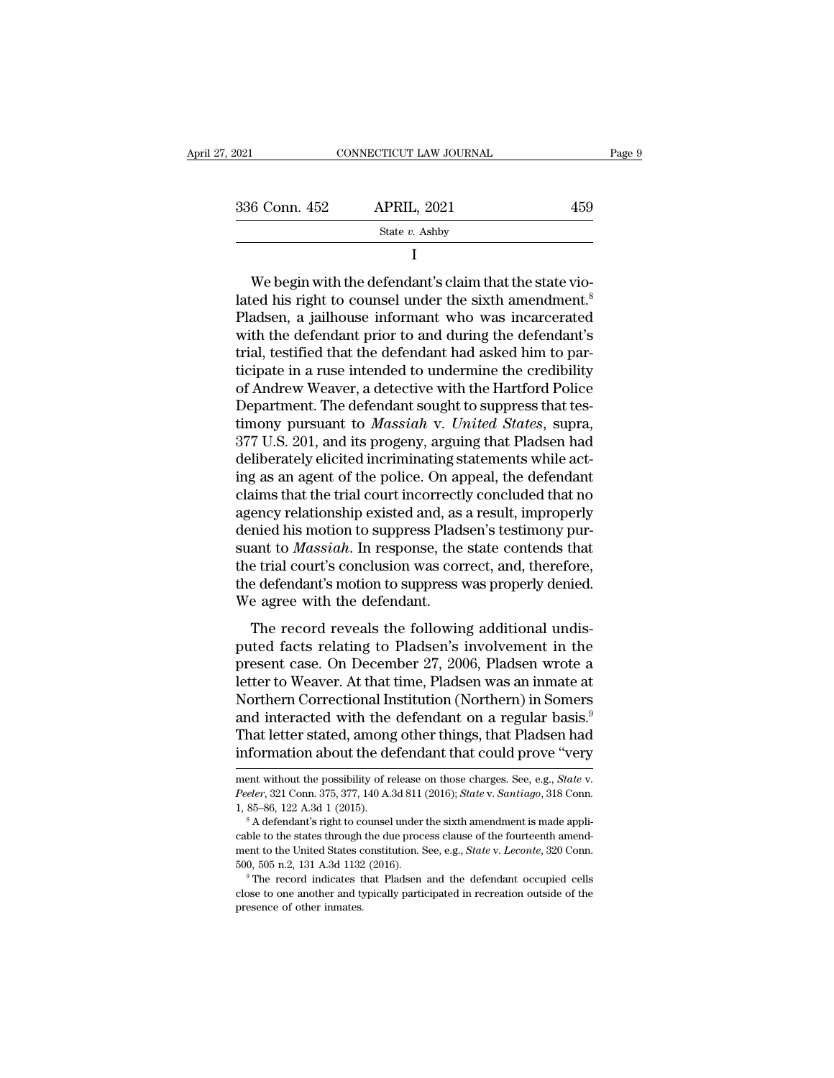| Page 9 |     | CONNECTICUT LAW JOURNAL | 7, 2021       |
|--------|-----|-------------------------|---------------|
|        | 459 | <b>APRIL, 2021</b>      | 336 Conn. 452 |
|        |     | State $v$ . Ashby       |               |
|        |     |                         |               |

336 Conn. 452 APRIL, 2021 459<br>
State v. Ashby<br>
I<br>
We begin with the defendant's claim that the state vio-<br>
lated his right to counsel under the sixth amendment.<sup>8</sup><br>
Pladsen, a jailhouse informant who was incarcerated<br>
wit 336 Conn. 452 APRIL, 2021 459<br>
State v. Ashby<br>
I<br>
We begin with the defendant's claim that the state vio-<br>
lated his right to counsel under the sixth amendment.<sup>8</sup><br>
Pladsen, a jailhouse informant who was incarcerated<br>
wit State  $v$ . Ashby<br>
I<br>
We begin with the defendant's claim that the state vio-<br>
lated his right to counsel under the sixth amendment.<sup>8</sup><br>
Pladsen, a jailhouse informant who was incarcerated<br>
with the defendant prior to and I<br>
We begin with the defendant's claim that the state vio-<br>
lated his right to counsel under the sixth amendment.<sup>8</sup><br>
Pladsen, a jailhouse informant who was incarcerated<br>
with the defendant prior to and during the defendan We begin with the defendant's claim that the state vio-<br>lated his right to counsel under the sixth amendment.<sup>8</sup><br>Pladsen, a jailhouse informant who was incarcerated<br>with the defendant prior to and during the defendant's<br>tr We begin with the defendant's claim that the state vio-<br>lated his right to counsel under the sixth amendment.<sup>8</sup><br>Pladsen, a jailhouse informant who was incarcerated<br>with the defendant prior to and during the defendant's<br>t lated his right to counsel under the sixth amendment.<sup>8</sup><br>Pladsen, a jailhouse informant who was incarcerated<br>with the defendant prior to and during the defendant's<br>trial, testified that the defendant had asked him to par-<br> Pladsen, a jailhouse informant who was incarcerated<br>with the defendant prior to and during the defendant's<br>trial, testified that the defendant had asked him to par-<br>ticipate in a ruse intended to undermine the credibility<br> with the defendant prior to and during the defendant's<br>trial, testified that the defendant had asked him to par-<br>ticipate in a ruse intended to undermine the credibility<br>of Andrew Weaver, a detective with the Hartford Poli trial, testified that the defendant had asked him to participate in a ruse intended to undermine the credibility of Andrew Weaver, a detective with the Hartford Police Department. The defendant sought to suppress that test ticipate in a ruse intended to undermine the credibility<br>of Andrew Weaver, a detective with the Hartford Police<br>Department. The defendant sought to suppress that tes-<br>timony pursuant to *Massiah* v. *United States*, supra, of Andrew Weaver, a detective with the Hartford Police<br>Department. The defendant sought to suppress that tes-<br>timony pursuant to *Massiah* v. *United States*, supra,<br>377 U.S. 201, and its progeny, arguing that Pladsen had<br> Department. The defendant sought to suppress that tes-<br>timony pursuant to *Massiah* v. *United States*, supra,<br>377 U.S. 201, and its progeny, arguing that Pladsen had<br>deliberately elicited incriminating statements while ac timony pursuant to *Massiah v. United States*, supra, 377 U.S. 201, and its progeny, arguing that Pladsen had deliberately elicited incriminating statements while acting as an agent of the police. On appeal, the defendant 377 U.S. 201, and its progeny, arguing that Pladsen had<br>deliberately elicited incriminating statements while act-<br>ing as an agent of the police. On appeal, the defendant<br>claims that the trial court incorrectly concluded th deliberately elicited incriminating statements while act-<br>ing as an agent of the police. On appeal, the defendant<br>claims that the trial court incorrectly concluded that no<br>agency relationship existed and, as a result, impr ing as an agent of the police. On appeal, the defendant claims that the trial court incorrectly concluded that no agency relationship existed and, as a result, improperly denied his motion to suppress Pladsen's testimony p claims that the trial court incorrectl<br>agency relationship existed and, as<br>denied his motion to suppress Plads<br>suant to *Massiah*. In response, the<br>the trial court's conclusion was cor<br>the defendant's motion to suppress w<br> The record reveals the following additional undistinct and resolution to suppress Pladsen's testimony purant to *Massiah*. In response, the state contends that e trial court's conclusion was correct, and, therefore, e defe ectrica instruction to Suppress radiser is testimony pur<br>suant to *Massiah*. In response, the state contends that<br>the trial court's conclusion was correct, and, therefore,<br>the defendant's motion to suppress was properly de

staan to *massum.* In response, the state contends that<br>the trial court's conclusion was correct, and, therefore,<br>the defendant's motion to suppress was properly denied.<br>We agree with the defendant.<br>The record reveals the the defendant's concrussion was correct, and, therefore,<br>the defendant's motion to suppress was properly denied.<br>We agree with the defendant.<br>The record reveals the following additional undis-<br>puted facts relating to Plads We agree with the defendant.<br>We agree with the defendant.<br>The record reveals the following additional undis-<br>puted facts relating to Pladsen's involvement in the<br>present case. On December 27, 2006, Pladsen wrote a<br>letter t The record reveals the following additional undis-<br>puted facts relating to Pladsen's involvement in the<br>present case. On December 27, 2006, Pladsen wrote a<br>letter to Weaver. At that time, Pladsen was an inmate at<br>Northern The record reveals the following additional undis-<br>puted facts relating to Pladsen's involvement in the<br>present case. On December 27, 2006, Pladsen wrote a<br>letter to Weaver. At that time, Pladsen was an inmate at<br>Northern puted facts relating to Pladsen's involvement in the<br>present case. On December 27, 2006, Pladsen wrote a<br>letter to Weaver. At that time, Pladsen was an inmate at<br>Northern Correctional Institution (Northern) in Somers<br>and i Morthern Correctional Institution (Northern) in Somers<br>and interacted with the defendant on a regular basis.<sup>9</sup><br>That letter stated, among other things, that Pladsen had<br>information about the defendant that could prove "ver

That letter stated, among other things, that Pladsen had<br>information about the defendant that could prove "very<br>ment without the possibility of release on those charges. See, e.g., *State* v.<br>*Peeler*, 321 Conn. 375, 377,

ment without the possibility of release on those charges. See, e.g., *State v.*<br> *Peeler*, 321 Conn. 375, 377, 140 A.3d 811 (2016); *State v. Santiago*, 318 Conn.<br>
1, 85–86, 122 A.3d 1 (2015).<br>
<sup>8</sup> A defendant's right to c ment without the possibility of release on those charges. See, e.g., *State* v. *Peeler*, 321 Conn. 375, 377, 140 A.3d 811 (2016); *State* v. *Santiago*, 318 Conn. 4, 85–86, 122 A.3d 1 (2015).<br>
<sup>8</sup> A defendant's right to c Feeler, 321 Conn. 375, 377, 140 A.3d 811 (2016); *State v. Santiago*, 318 Conn. 1, 85–86, 122 A.3d 1 (2015).<br>
<sup>8</sup> A defendant's right to counsel under the sixth amendment is made applicable to the states through the due pr <sup>8</sup> A defendant's right to counsel under the sixth amendment is made applicable to the states through the due process clause of the fourteenth amendment to the United States constitution. See, e.g., *State* v. *Leconte*, cable to the states through the due process clause of the fourteenth amendment to the United States constitution. See, e.g., *State* v. *Leconte*, 320 Conn. 500, 505 n.2, 131 A.3d 1132 (2016).<br><sup>9</sup> The record indicates tha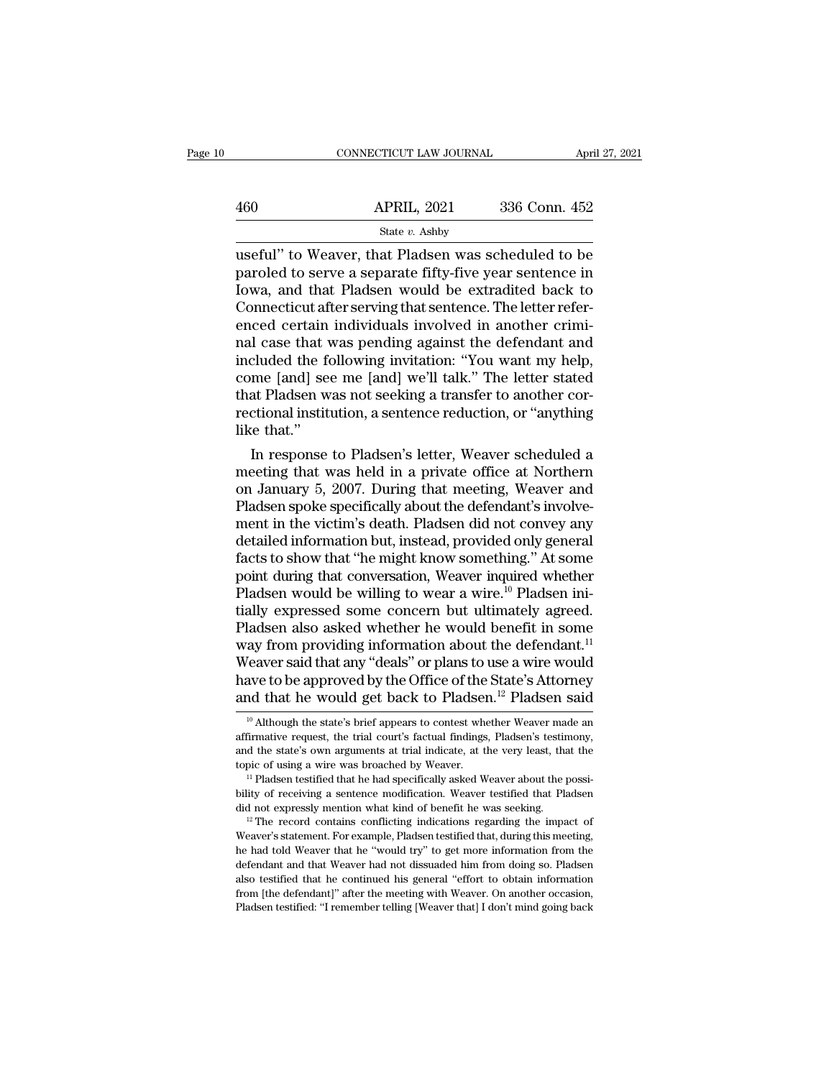|     | CONNECTICUT LAW JOURNAL                                                                                                                                              | April 27, 2021 |
|-----|----------------------------------------------------------------------------------------------------------------------------------------------------------------------|----------------|
| 460 | <b>APRIL, 2021</b>                                                                                                                                                   | 336 Conn. 452  |
|     | State $v$ . Ashby                                                                                                                                                    |                |
|     | useful" to Weaver, that Pladsen was scheduled to be<br>paroled to serve a separate fifty-five year sentence in<br>Jowe, and that Pladson would be extradited hack to |                |

 $\begin{array}{ll} \text{460} & \text{APRIL, 2021} & \text{336 Conn. 452} \\ & \text{State } v. \text{ Ashby} \\ \text{useful" to Weaver, that Pladsen was scheduled to be paroled to serve a separate fifty-five year sentence in Iowa, and that Pladsen would be extracted back to Connecticut after serving that sentence. The letter refer.} \end{array}$  $\begin{array}{c|c} \text{APRIL, 2021} & \text{336 Conn. 452} \end{array}$ <br>
Useful" to Weaver, that Pladsen was scheduled to be paroled to serve a separate fifty-five year sentence in Iowa, and that Pladsen would be extradited back to Connecticut after  $\frac{\text{APRIL, 2021}}{\text{State } v. \text{ Ashby}}$ <br>
useful" to Weaver, that Pladsen was scheduled to be<br>
paroled to serve a separate fifty-five year sentence in<br>
Iowa, and that Pladsen would be extradited back to<br>
Connecticut after serving t  $\begin{array}{c}\n\hline\n\text{State } v. \text{ Ashy} \\
\hline\n\text{Use 2.21} & \text{SUS OGLI.} \text{ } 122 \\
\hline\n\end{array}$ state v. Ashby<br>useful" to Weaver, that Pladsen was scheduled to be<br>paroled to serve a separate fifty-five year sentence in<br>Iowa, and that Pladsen would be extradited back to<br>Connecticut after serving that sentence. The le useful" to Weaver, that Pladsen was scheduled to be<br>paroled to serve a separate fifty-five year sentence in<br>Iowa, and that Pladsen would be extradited back to<br>Connecticut after serving that sentence. The letter refer-<br>ence paroled to serve a separate fifty-five year sentence in<br>Iowa, and that Pladsen would be extradited back to<br>Connecticut after serving that sentence. The letter refer-<br>enced certain individuals involved in another crimi-<br>nal Iowa, and that Pladsen would be extradited back to<br>Connecticut after serving that sentence. The letter refer-<br>enced certain individuals involved in another crimi-<br>nal case that was pending against the defendant and<br>include Connecticut after serving that sentence. The letter referenced certain individuals involved in another criminal case that was pending against the defendant and included the following invitation: "You want my help, come [an enced certain<br>nal case that vincluded the fe<br>come [and] se<br>that Pladsen w<br>rectional instit<br>like that.''<br>In response I case that was pending against the derendant and<br>cluded the following invitation: "You want my help,<br>me [and] see me [and] we'll talk." The letter stated<br>at Pladsen was not seeking a transfer to another cor-<br>ctional insti metuded the following invitation: "You want my help,<br>come [and] see me [and] we'll talk." The letter stated<br>that Pladsen was not seeking a transfer to another cor-<br>rectional institution, a sentence reduction, or "anything<br>

come [and] see me [and] we'll talk." The letter stated<br>that Pladsen was not seeking a transfer to another cor-<br>rectional institution, a sentence reduction, or "anything<br>like that."<br>In response to Pladsen's letter, Weaver s that Pladsen was not seeking a transfer to another correctional institution, a sentence reduction, or "anything like that."<br>In response to Pladsen's letter, Weaver scheduled a meeting that was held in a private office at N rectional institution, a sentence reduction, or "anything<br>like that."<br>In response to Pladsen's letter, Weaver scheduled a<br>meeting that was held in a private office at Northern<br>on January 5, 2007. During that meeting, Weave like that."<br>
In response to Pladsen's letter, Weaver scheduled a<br>
meeting that was held in a private office at Northern<br>
on January 5, 2007. During that meeting, Weaver and<br>
Pladsen spoke specifically about the defendant's In response to Pladsen's letter, Weaver scheduled a<br>meeting that was held in a private office at Northern<br>on January 5, 2007. During that meeting, Weaver and<br>Pladsen spoke specifically about the defendant's involve-<br>ment i meeting that was held in a private office at Northern<br>on January 5, 2007. During that meeting, Weaver and<br>Pladsen spoke specifically about the defendant's involve-<br>ment in the victim's death. Pladsen did not convey any<br>det on January 5, 2007. During that meeting, Weaver and Pladsen spoke specifically about the defendant's involvement in the victim's death. Pladsen did not convey any detailed information but, instead, provided only general f Pladsen spoke specifically about the defendant's involve-<br>ment in the victim's death. Pladsen did not convey any<br>detailed information but, instead, provided only general<br>facts to show that "he might know something." At som ment in the victim's death. Pladsen did not convey any<br>detailed information but, instead, provided only general<br>facts to show that "he might know something." At some<br>point during that conversation, Weaver inquired whether<br> detailed information but, instead, provided only general<br>facts to show that "he might know something." At some<br>point during that conversation, Weaver inquired whether<br>Pladsen would be willing to wear a wire.<sup>10</sup> Pladsen in facts to show that "he might know something." At some<br>point during that conversation, Weaver inquired whether<br>Pladsen would be willing to wear a wire.<sup>10</sup> Pladsen ini-<br>tially expressed some concern but ultimately agreed.<br>P point during that conversation, Weaver inquired whether<br>Pladsen would be willing to wear a wire.<sup>10</sup> Pladsen ini-<br>tially expressed some concern but ultimately agreed.<br>Pladsen also asked whether he would benefit in some<br>way Pladsen would be willing to wear a wire.<sup>10</sup> Pladsen initially expressed some concern but ultimately agreed.<br>Pladsen also asked whether he would benefit in some way from providing information about the defendant.<sup>11</sup> Weav ay from providing information about the defendant.<sup>11</sup><br>Veaver said that any "deals" or plans to use a wire would<br>ave to be approved by the Office of the State's Attorney<br>nd that he would get back to Pladsen.<sup>12</sup> Pladsen s Weaver said that any "deals" or plans to use a wire would<br>have to be approved by the Office of the State's Attorney<br>and that he would get back to Pladsen.<sup>12</sup> Pladsen said<br> $\frac{10}{10}$  Although the state's brief appears to

bility of receiving a sentence modification. Weaver testified that Pladsen did not expressly mention what kind of benefit he was seeking.<br><sup>12</sup> The record contains conflicting indications regarding the impact of Weaver's s <sup>11</sup> Pladsen testified that he had specifically asked Weaver about the possi-<br><sup>11</sup> Pladsen testified that he had specifically asked Weaver about the possi-<br>bility of receiving a sentence modification. Weaver testified tha bility of receiving a sentence modification. Weaver testified that Pladsen did not expressly mention what kind of benefit he was seeking.<br><sup>12</sup> The record contains conflicting indications regarding the impact of Weaver's s and that the contains conflicting indications regarding the impact of Weaver's statement. For example, Pladsen testified that, during this meeting, the had told Weaver that he "would try" to get more information from the <sup>12</sup> The record contains conflicting indications regarding the impact of Weaver's statement. For example, Pladsen testified that, during this meeting, he had told Weaver that he "would try" to get more information from th Weaver's statement. For example, Pladsen testified that, during this meeting, the had told Weaver that he "would try" to get more information from the defendant and that Weaver had not dissuaded him from doing so. Pladsen

have to be approved by the Office of the State's Attorney<br>and that he would get back to Pladsen.<sup>12</sup> Pladsen said<br><sup>10</sup> Although the state's brief appears to contest whether Weaver made an<br>affirmative request, the trial cou and that he would get back to Pladsen.<sup>12</sup> Pladsen said<br>
<sup>10</sup> Although the state's brief appears to contest whether Weaver made an<br>
affirmative request, the trial court's factual findings, Pladsen's testimony,<br>
and the st <sup>10</sup> Although the state's brief appears to contest whether Weaver made an affirmative request, the trial court's factual findings, Pladsen's testimony, and the state's own arguments at trial indicate, at the very least, t affirmative request, the trial court's factual findings, Pladsen's testimony, and the state's own arguments at trial indicate, at the very least, that the topic of using a wire was broached by Weaver. "Pladsen testified t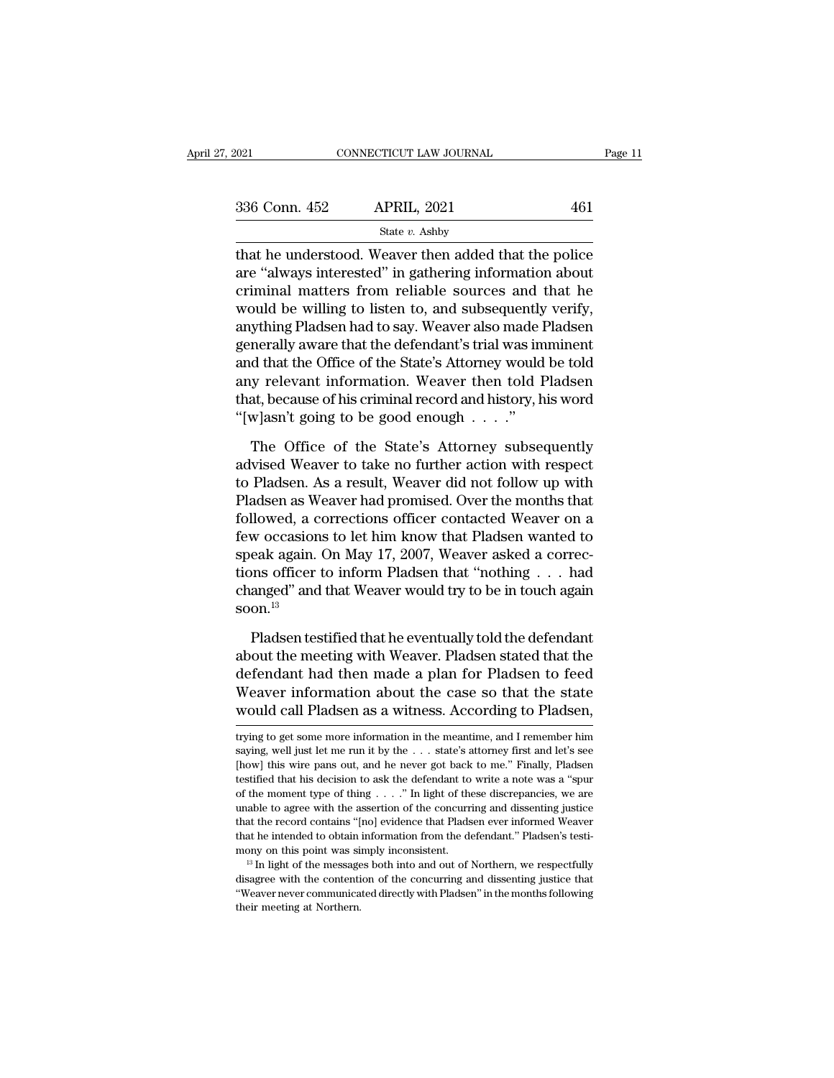| 2021          | CONNECTICUT LAW JOURNAL |     | Page 11 |
|---------------|-------------------------|-----|---------|
| 336 Conn. 452 | <b>APRIL, 2021</b>      | 461 |         |
|               | State $v$ . Ashby       |     |         |

that he understood. Weaver then added that the police<br>are "always interested" in gathering information about<br>ariminal metters from reliable sources and that he 336 Conn. 452 APRIL, 2021 461<br>
State  $v$ . Ashby<br>
that he understood. Weaver then added that the police<br>
are "always interested" in gathering information about<br>
criminal matters from reliable sources and that he<br>
would be 336 Conn. 452 APRIL, 2021 461<br>
State v. Ashby<br>
that he understood. Weaver then added that the police<br>
are "always interested" in gathering information about<br>
criminal matters from reliable sources and that he<br>
would be wi  $336$  Conn.  $452$  APRIL,  $2021$   $461$ <br>  $544$  Eure  $v$ . Ashby<br>
that he understood. Weaver then added that the police<br>
are "always interested" in gathering information about<br>
criminal matters from reliable sources and that State  $v$ . Ashby<br>
that he understood. Weaver then added that the police<br>
are "always interested" in gathering information about<br>
criminal matters from reliable sources and that he<br>
would be willing to listen to, and subse state  $v$ . Ashby<br>that he understood. Weaver then added that the police<br>are "always interested" in gathering information about<br>criminal matters from reliable sources and that he<br>would be willing to listen to, and subsequen that he understood. Weaver then added that the police<br>are "always interested" in gathering information about<br>criminal matters from reliable sources and that he<br>would be willing to listen to, and subsequently verify,<br>anythi are "always interested" in gathering information about<br>criminal matters from reliable sources and that he<br>would be willing to listen to, and subsequently verify,<br>anything Pladsen had to say. Weaver also made Pladsen<br>genera criminal matters from reliable sources and that he<br>would be willing to listen to, and subsequently verify,<br>anything Pladsen had to say. Weaver also made Pladsen<br>generally aware that the defendant's trial was imminent<br>and t would be willing to listen to, and subsequently<br>anything Pladsen had to say. Weaver also made l<br>generally aware that the defendant's trial was im<br>and that the Office of the State's Attorney would<br>any relevant information. nerally aware that the defendant's trial was imminent<br>d that the Office of the State's Attorney would be told<br>y relevant information. Weaver then told Pladsen<br>at, because of his criminal record and history, his word<br>w]asn and that the Office of the State's Attorney would be told<br>any relevant information. Weaver then told Pladsen<br>that, because of his criminal record and history, his word<br>"[w]asn't going to be good enough  $\ldots$ ."<br>The Office

any relevant information. Weaver then told Pladsen<br>that, because of his criminal record and history, his word<br>"[w]asn't going to be good enough . . . ."<br>The Office of the State's Attorney subsequently<br>advised Weaver to tak that, because of his criminal record and history, his word<br>
"[w]asn't going to be good enough  $\ldots$ ."<br>
The Office of the State's Attorney subsequently<br>
advised Weaver to take no further action with respect<br>
to Pladsen. As "[w]asn't going to be good enough  $\ldots$ ."<br>The Office of the State's Attorney subsequently<br>advised Weaver to take no further action with respect<br>to Pladsen. As a result, Weaver did not follow up with<br>Pladsen as Weaver had The Office of the State's Attorney subsequently<br>advised Weaver to take no further action with respect<br>to Pladsen. As a result, Weaver did not follow up with<br>Pladsen as Weaver had promised. Over the months that<br>followed, a The Office of the State's Attorney subsequently<br>advised Weaver to take no further action with respect<br>to Pladsen. As a result, Weaver did not follow up with<br>Pladsen as Weaver had promised. Over the months that<br>followed, a advised Weaver to take no further action with respect<br>to Pladsen. As a result, Weaver did not follow up with<br>Pladsen as Weaver had promised. Over the months that<br>followed, a corrections officer contacted Weaver on a<br>few oc to Pladsen. As a result, Weaver did not follow up with<br>Pladsen as Weaver had promised. Over the months that<br>followed, a corrections officer contacted Weaver on a<br>few occasions to let him know that Pladsen wanted to<br>speak soon. $^{13}$ w occasions to let him know that Pladsen wanted to<br>eak again. On May 17, 2007, Weaver asked a correc-<br>ons officer to inform Pladsen that "nothing  $\ldots$  had<br>anged" and that Weaver would try to be in touch again<br>on.<sup>13</sup><br>Pla speak again. On May 17, 2007, Weaver asked a corrections officer to inform Pladsen that "nothing . . . had<br>changed" and that Weaver would try to be in touch again<br>soon.<sup>13</sup><br>Pladsen testified that he eventually told the de

tions officer to inform Pladsen that "nothing  $\ldots$  had changed" and that Weaver would try to be in touch again soon.<sup>13</sup><br>Pladsen testified that he eventually told the defendant about the meeting with Weaver. Pladsen stat changed" and that Weaver would try to be in touch again<br>soon.<sup>13</sup><br>Pladsen testified that he eventually told the defendant<br>about the meeting with Weaver. Pladsen stated that the<br>defendant had then made a plan for Pladsen to soon.<sup>13</sup><br>Pladsen testified that he eventually told the defendant<br>about the meeting with Weaver. Pladsen stated that the<br>defendant had then made a plan for Pladsen to feed<br>Weaver information about the case so that the stat about the meeting with weaver. Pladsen stated that the<br>defendant had then made a plan for Pladsen to feed<br>Weaver information about the case so that the state<br>would call Pladsen as a witness. According to Pladsen,<br>trying to defendant had then made a plan for Pladsen to feed<br>Weaver information about the case so that the state<br>would call Pladsen as a witness. According to Pladsen,<br>trying to get some more information in the meantime, and I remem

Weaver information about the case so that the state<br>would call Pladsen as a witness. According to Pladsen,<br>trying to get some more information in the meantime, and I remember him<br>saying, well just let me run it by the . . would call Pladsen as a witness. According to Pladsen,<br>trying to get some more information in the meantime, and I remember him<br>saying, well just let me run it by the  $\dots$  state's attorney first and let's see<br>[how] this wi of the moment type of thing . . . .'' In light of these discrepancies, we are trying to get some more information in the meantime, and I remember him<br>saying, well just let me run it by the  $\dots$  state's attorney first and let's see<br>[how] this wire pans out, and he never got back to me." Finally, Pla Example, well just let me run it by the  $\ldots$  state's attorney first and let's see [how] this wire pans out, and he never got back to me." Finally, Pladsen testified that his decision to ask the defendant to write a note that he intended to obtain information from the defendant." Pladsen testified that his decision to ask the defendant to write a note was a "spure of the moment type of thing . . . ." In light of these discrepancies, we ar mony on this point was simply inconsistent.<br>
It is a more was a "spure of the moment type of thing . . . ." In light of these discrepancies, we are unable to agree with the assertion of the concurring and dissenting justi % of the moment type of thing . . . . ." In light of these discrepancies, we are unable to agree with the assertion of the concurring and dissenting justice that the record contains "[no] evidence that Pladsen ever inform that he intended to obtain information from the defendant." Pladsen's testi-

that the record contains "[no] evidence that Pladsen ever informed Weaver<br>that he intended to obtain information from the defendant." Pladsen's testi-<br>mony on this point was simply inconsistent.<br><sup>13</sup> In light of the messag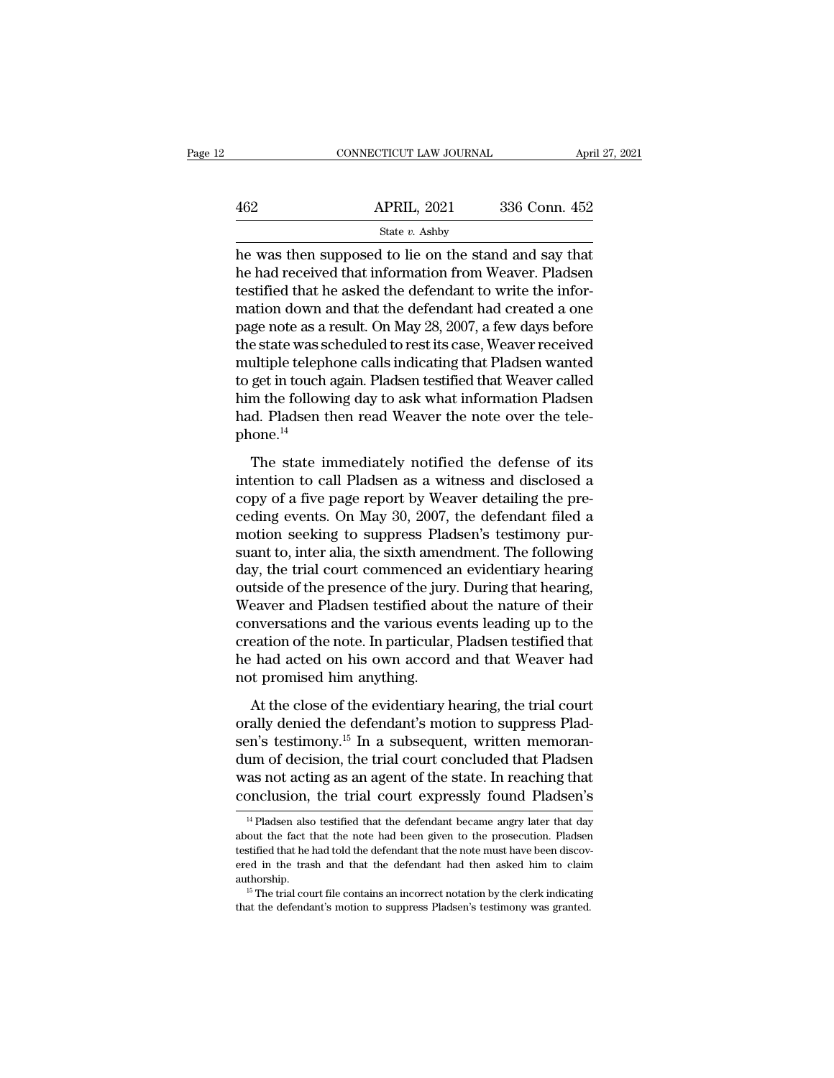|     | CONNECTICUT LAW JOURNAL                                                                                                                                                      | April 27, 2021 |
|-----|------------------------------------------------------------------------------------------------------------------------------------------------------------------------------|----------------|
| 462 | <b>APRIL, 2021</b>                                                                                                                                                           | 336 Conn. 452  |
|     | State $v$ . Ashby                                                                                                                                                            |                |
|     | he was then supposed to lie on the stand and say that<br>he had received that information from Weaver. Pladsen<br>togrified that he eqlied the defendant to write the infor- |                |

he had received that information from Weaver. Pladsen  $\begin{array}{r} \n 462 \quad \text{APRIL, } 2021 \quad \text{336 Conn. } 452 \\
 \hline \n\text{State } v. \text{ Ashby} \n\end{array}$ the was then supposed to lie on the stand and say that<br>
the had received that information from Weaver. Pladsen<br>
testified that he asked the defendan  $\frac{\text{APRIL, 2021}}{\text{State } v. \text{ Ashby}}$ <br>
he was then supposed to lie on the stand and say that<br>
he had received that information from Weaver. Pladsen<br>
testified that he asked the defendant to write the infor-<br>
mation down and that State  $v$ . Ashby<br>
he was then supposed to lie on the stand and say that<br>
he had received that information from Weaver. Pladsen<br>
testified that he asked the defendant to write the infor-<br>
mation down and that the defendant state v. Ashby<br>he was then supposed to lie on the stand and say that<br>he had received that information from Weaver. Pladsen<br>testified that he asked the defendant to write the infor-<br>mation down and that the defendant had c he was then supposed to lie on the stand and say that<br>he had received that information from Weaver. Pladsen<br>testified that he asked the defendant to write the infor-<br>mation down and that the defendant had created a one<br>pag he had received that information from Weaver. Pladsen<br>testified that he asked the defendant to write the infor-<br>mation down and that the defendant had created a one<br>page note as a result. On May 28, 2007, a few days before testified that he asked the defendant to write the information down and that the defendant had created a one<br>page note as a result. On May 28, 2007, a few days before<br>the state was scheduled to rest its case, Weaver receiv mation down and that the defendant had created a one<br>page note as a result. On May 28, 2007, a few days before<br>the state was scheduled to rest its case, Weaver received<br>multiple telephone calls indicating that Pladsen want phone.<sup>14</sup> The state immediately notified that Weaver called<br>the following day to ask what information Pladsen<br>d. Pladsen then read Weaver the note over the tele-<br>one.<sup>14</sup><br>The state immediately notified the defense of its<br>tention to to get in touch again. Pladsen testified that Weaver called<br>him the following day to ask what information Pladsen<br>had. Pladsen then read Weaver the note over the tele-<br>phone.<sup>14</sup><br>The state immediately notified the defense

copy of a five page report by Weaver detailing the pre-<br>copy of a five page report by Weaver the telephone.<sup>14</sup><br>The state immediately notified the defense of its<br>intention to call Pladsen as a witness and disclosed a<br>copy Film the Frist angles and Weaver the note over the tele-<br>phone.<sup>14</sup><br>The state immediately notified the defense of its<br>intention to call Pladsen as a witness and disclosed a<br>copy of a five page report by Weaver detailing th The state immediately notified the defense of its<br>intention to call Pladsen as a witness and disclosed a<br>copy of a five page report by Weaver detailing the pre-<br>ceding events. On May 30, 2007, the defendant filed a<br>motion The state immediately notified the defense of its<br>intention to call Pladsen as a witness and disclosed a<br>copy of a five page report by Weaver detailing the pre-<br>ceding events. On May 30, 2007, the defendant filed a<br>motion The state immediately notified the defense of its<br>intention to call Pladsen as a witness and disclosed a<br>copy of a five page report by Weaver detailing the pre-<br>ceding events. On May 30, 2007, the defendant filed a<br>motion intention to call Pladsen as a witness and disclosed a<br>copy of a five page report by Weaver detailing the pre-<br>ceding events. On May 30, 2007, the defendant filed a<br>motion seeking to suppress Pladsen's testimony pur-<br>suant copy of a five page report by Weaver detailing the preceding events. On May 30, 2007, the defendant filed a<br>motion seeking to suppress Pladsen's testimony pur-<br>suant to, inter alia, the sixth amendment. The following<br>day, ceding events. On May 30, 2007, the defendant filed a<br>motion seeking to suppress Pladsen's testimony pur-<br>suant to, inter alia, the sixth amendment. The following<br>day, the trial court commenced an evidentiary hearing<br>outsi motion seeking to suppress Pladsen's testimony pursuant to, inter alia, the sixth amendment. The following<br>day, the trial court commenced an evidentiary hearing<br>outside of the presence of the jury. During that hearing,<br>Wea suant to, inter alia, the sixth amendment. The following<br>day, the trial court commenced an evidentiary hearing<br>outside of the presence of the jury. During that hearing,<br>Weaver and Pladsen testified about the nature of thei day, the trial court commenced a<br>outside of the presence of the jury<br>Weaver and Pladsen testified abc<br>conversations and the various ev<br>creation of the note. In particular,<br>he had acted on his own accord<br>not promised him an Extra and Pladsen testified about the nature of their<br>nversations and the various events leading up to the<br>eation of the note. In particular, Pladsen testified that<br>had acted on his own accord and that Weaver had<br>at promi rearch and Flatach testhroa asset and hastate of them<br>conversations and the various events leading up to the<br>creation of the note. In particular, Pladsen testified that<br>he had acted on his own accord and that Weaver had<br>no

sent existence and the various events reading up to the<br>creation of the note. In particular, Pladsen testified that<br>he had acted on his own accord and that Weaver had<br>not promised him anything.<br>At the close of the evidenti dum of decision and that Weaver had<br>not promised him anything.<br>At the close of the evidentiary hearing, the trial court<br>orally denied the defendant's motion to suppress Plad-<br>sen's testimony.<sup>15</sup> In a subsequent, written m From the state and anything.<br>
At the close of the evidentiary hearing, the trial court<br>
orally denied the defendant's motion to suppress Plad-<br>
sen's testimony.<sup>15</sup> In a subsequent, written memoran-<br>
dum of decision, the t At the close of the evidentiary hearing, the trial court<br>orally denied the defendant's motion to suppress Plad-<br>sen's testimony.<sup>15</sup> In a subsequent, written memoran-<br>dum of decision, the trial court concluded that Pladse 24 Pladsen also testified that the defendant became angly later that day<br>as not acting as an agent of the state. In reaching that<br>onclusion, the trial court expressly found Pladsen's<br> $\frac{14}$  Pladsen also testified that t dum of decision, the trial court concluded that Pladsen<br>was not acting as an agent of the state. In reaching that<br>conclusion, the trial court expressly found Pladsen's<br><sup>14</sup> Pladsen also testified that the defendant became

was not acting as an agent of the state. In reaching that conclusion, the trial court expressly found Pladsen's  $\frac{14 \text{ Pladsen}}{4}$  Pladsen also testified that the defendant became angry later that day about the fact that t ered in the trial court expressly found Pladsen's<br>
<sup>14</sup> Pladsen also testified that the defendant became angry later that day<br>
about the fact that the note had been given to the prosecution. Pladsen<br>
testified that he had authorship. <sup>14</sup> Pladsen also testified that the defendant became angry later that day about the fact that the note had been given to the prosecution. Pladsen testified that he had told the defendant that the note must have been disc about the fact that the note had been given to the prosecution. Pladsen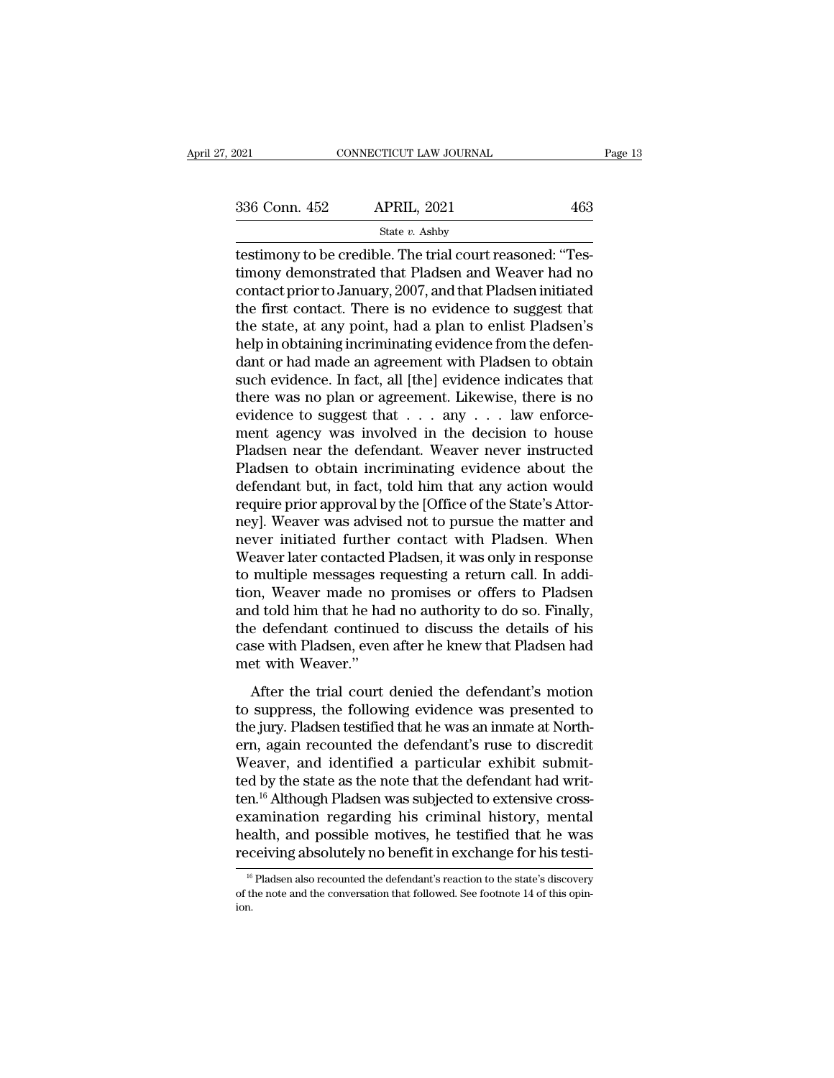testimony to be credible. The trial court reasoned: ''Tes-<br>
testimony to be credible. The trial court reasoned: ''Tes-<br>
timony demonstrated that Pladsen and Weaver had no<br>
contact prior to January 2007, and that Pladsen in  $\begin{array}{r} \text{336 Conn. 452} \quad \text{APRIL, 2021} \quad \text{463} \\\text{State $v$. Ashby} \\\text{testimony to be credible. The trial court reasoned: "Testimony demonstrated that Pladsen and Weaver had no contact prior to January, 2007, and that Pladsen initiated the first contact. There is no evidence to equacent that$ 336 Conn. 452 APRIL, 2021 463<br>
State v. Ashby<br>
testimony to be credible. The trial court reasoned: "Testimony demonstrated that Pladsen and Weaver had no<br>
contact prior to January, 2007, and that Pladsen initiated<br>
the fi 336 Conn. 452 APRIL, 2021 463<br>  $\frac{\text{State } v. \text{ Ashby}}{\text{testimony to be credible. The trial court reasoned: \text{``Test-}}\$ timony demonstrated that Pladsen and Weaver had no contact prior to January, 2007, and that Pladsen initiated the first contact. There is no evidence t State v. Ashby<br>
testimony to be credible. The trial court reasoned: "Tes-<br>
timony demonstrated that Pladsen and Weaver had no<br>
contact prior to January, 2007, and that Pladsen initiated<br>
the first contact. There is no evi  $\begin{array}{l} \text{state }v\text{. } \text{Ashy} \end{array}$  restimony to be credible. The trial court reasoned: "Testimony demonstrated that Pladsen and Weaver had no contact prior to January, 2007, and that Pladsen initiated the first contact. Ther testimony to be credible. The trial court reasoned: "Testimony demonstrated that Pladsen and Weaver had no<br>contact prior to January, 2007, and that Pladsen initiated<br>the first contact. There is no evidence to suggest that<br> timony demonstrated that Pladsen and Weaver had no<br>contact prior to January, 2007, and that Pladsen initiated<br>the first contact. There is no evidence to suggest that<br>the state, at any point, had a plan to enlist Pladsen's<br> contact prior to January, 2007, and that Pladsen initiated<br>the first contact. There is no evidence to suggest that<br>the state, at any point, had a plan to enlist Pladsen's<br>help in obtaining incriminating evidence from the the first contact. There is no evidence to suggest that<br>the state, at any point, had a plan to enlist Pladsen's<br>help in obtaining incriminating evidence from the defen-<br>dant or had made an agreement with Pladsen to obtain<br> the state, at any point, had a plan to enlist Pladsen's<br>help in obtaining incriminating evidence from the defen-<br>dant or had made an agreement with Pladsen to obtain<br>such evidence. In fact, all [the] evidence indicates tha help in obtaining incriminating evidence from the defendant or had made an agreement with Pladsen to obtain<br>such evidence. In fact, all [the] evidence indicates that<br>there was no plan or agreement. Likewise, there is no<br>ev dant or had made an agreement with Pladsen to obtain<br>such evidence. In fact, all [the] evidence indicates that<br>there was no plan or agreement. Likewise, there is no<br>evidence to suggest that . . . any . . . law enforce-<br>men such evidence. In fact, all [the] evidence indicates that<br>there was no plan or agreement. Likewise, there is no<br>evidence to suggest that  $\dots$  any  $\dots$  law enforce-<br>ment agency was involved in the decision to house<br>Pladsen there was no plan or agreement. Likewise, there is no<br>evidence to suggest that  $\dots$  any  $\dots$  law enforce-<br>ment agency was involved in the decision to house<br>Pladsen near the defendant. Weaver never instructed<br>Pladsen to ob evidence to suggest that . . . any . . . law enforcement agency was involved in the decision to house<br>Pladsen near the defendant. Weaver never instructed<br>Pladsen to obtain incriminating evidence about the<br>defendant but, in ment agency was involved in the decision to house<br>Pladsen near the defendant. Weaver never instructed<br>Pladsen to obtain incriminating evidence about the<br>defendant but, in fact, told him that any action would<br>require prior Pladsen near the defendant. Weaver never instructed<br>Pladsen to obtain incriminating evidence about the<br>defendant but, in fact, told him that any action would<br>require prior approval by the [Office of the State's Attor-<br>ney] Pladsen to obtain incriminating evidence about the<br>defendant but, in fact, told him that any action would<br>require prior approval by the [Office of the State's Attor-<br>ney]. Weaver was advised not to pursue the matter and<br>ne defendant but, in fact, told him that any action would<br>require prior approval by the [Office of the State's Attor-<br>ney]. Weaver was advised not to pursue the matter and<br>never initiated further contact with Pladsen. When<br>We require prior approval by the [Office of the State's Attor-<br>ney]. Weaver was advised not to pursue the matter and<br>never initiated further contact with Pladsen. When<br>Weaver later contacted Pladsen, it was only in response<br>t ney]. Weaver was advised not to pursue the matter and<br>never initiated further contact with Pladsen. When<br>Weaver later contacted Pladsen, it was only in response<br>to multiple messages requesting a return call. In addi-<br>tion, never initiated further contact with Pladsen. When<br>Weaver later contacted Pladsen, it was only in response<br>to multiple messages requesting a return call. In addi-<br>tion, Weaver made no promises or offers to Pladsen<br>and told Weaver later contacted<br>to multiple messages re<br>tion, Weaver made no<br>and told him that he ha<br>the defendant continue<br>case with Pladsen, even<br>met with Weaver."<br>After the trial court Mataphe messages requesting a retain edit. In addition,<br>m, Weaver made no promises or offers to Pladsen<br>d told him that he had no authority to do so. Finally,<br>e defendant continued to discuss the details of his<br>se with Pla and told him that he had no authority to do so. Finally,<br>and told him that he had no authority to do so. Finally,<br>the defendant continued to discuss the details of his<br>case with Pladsen, even after he knew that Pladsen had

the defendant continued to discuss the details of his<br>case with Pladsen, even after he knew that Pladsen had<br>met with Weaver."<br>After the trial court denied the defendant's motion<br>to suppress, the following evidence was pre example in Pladsen, even after he knew that Pladsen had<br>met with Weaver."<br>After the trial court denied the defendant's motion<br>to suppress, the following evidence was presented to<br>the jury. Pladsen testified that he was an Met with Weaver."<br>
After the trial court denied the defendant's motion<br>
to suppress, the following evidence was presented to<br>
the jury. Pladsen testified that he was an inmate at North-<br>
ern, again recounted the defendant' After the trial court denied the defendant's motion<br>to suppress, the following evidence was presented to<br>the jury. Pladsen testified that he was an inmate at North-<br>ern, again recounted the defendant's ruse to discredit<br>We After the trial court denied the defendant's motion<br>to suppress, the following evidence was presented to<br>the jury. Pladsen testified that he was an inmate at North-<br>ern, again recounted the defendant's ruse to discredit<br>We to suppress, the following evidence was presented to<br>the jury. Pladsen testified that he was an inmate at North-<br>ern, again recounted the defendant's ruse to discredit<br>Weaver, and identified a particular exhibit submit-<br>te the jury. Pladsen testified that he was an inmate at North-<br>ern, again recounted the defendant's ruse to discredit<br>Weaver, and identified a particular exhibit submit-<br>ted by the state as the note that the defendant had wri ern, again recounted the defendant's ruse to discredit Weaver, and identified a particular exhibit submitted by the state as the note that the defendant had written.<sup>16</sup> Although Pladsen was subjected to extensive cross-<br>e 16 Platinough Pladsen was subjected to extensive cross-<br>xamination regarding his criminal history, mental<br>ealth, and possible motives, he testified that he was<br>ceiving absolutely no benefit in exchange for his testi-<br> $\frac{$ examination regarding his criminal history, mental<br>health, and possible motives, he testified that he was<br>receiving absolutely no benefit in exchange for his testi-<br> $\frac{16}{16}$  Pladsen also recounted the defendant's react

ion.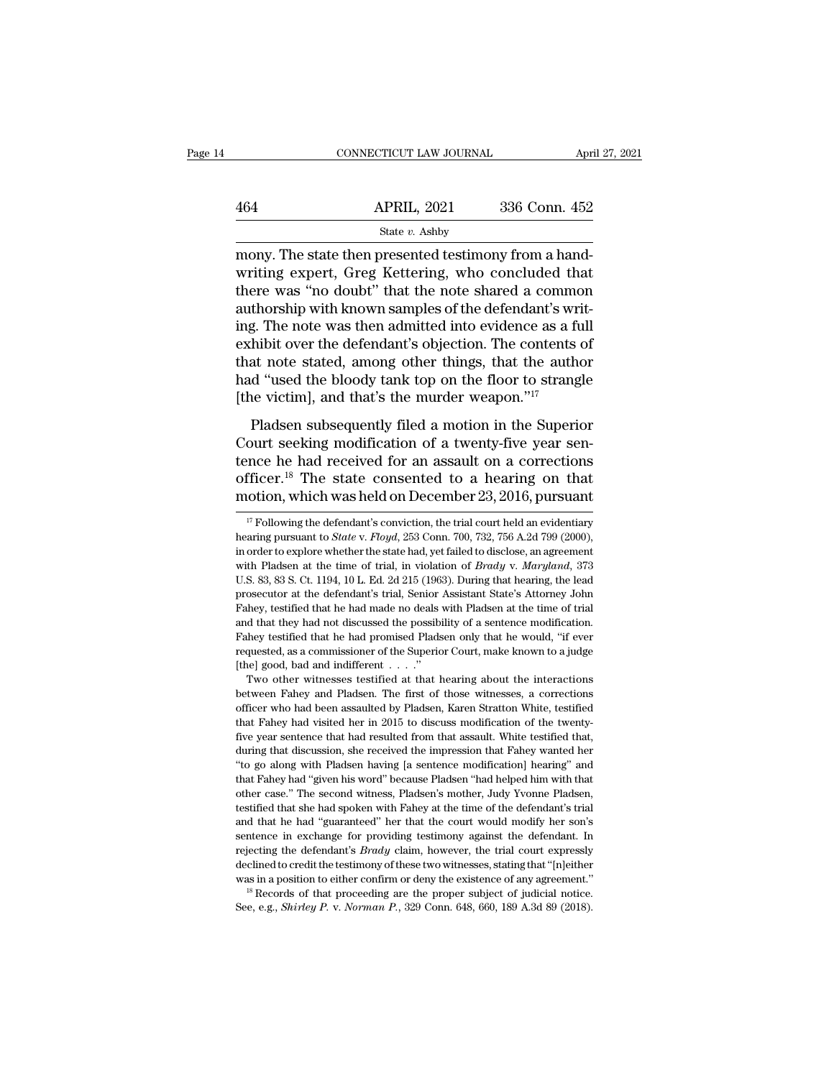|     | CONNECTICUT LAW JOURNAL | April 27, 2021 |  |
|-----|-------------------------|----------------|--|
|     |                         |                |  |
| 464 | <b>APRIL, 2021</b>      | 336 Conn. 452  |  |
|     | State v. Ashby          |                |  |

CONNECTICUT LAW JOURNAL APT<br>
464 APRIL, 2021 336 Conn. 452<br>
5tate v. Ashby<br>
5tate v. Ashby<br>
5tate v. Ashby<br>
5tate v. Ashby<br>
4tate then presented testimony from a hand-<br>
5tate v. Greg Kettering, who concluded that  $\frac{\text{APRIL, 2021}}{\text{State } v. \text{ Ashby}}$ <br>
mony. The state then presented testimony from a hand-<br>
writing expert, Greg Kettering, who concluded that<br>
there was "no doubt" that the note shared a common<br>
authorship with known samples  $\begin{array}{r} \text{464} \text{  \quad \quad \text{APRIL, 2021} \text{ } \text{336 Conn. 452} \ \text{State } v. \text{ Ashby} \ \text{many. The state then presented testimony from a hand-writing expert, Greg Kettering, who concluded that there was "no doubt" that the note shared a common authorship with known samples of the defendant's writing. The note was then admitted into evidence as a full.} \end{array}$  $\frac{\text{APRIL, 2021}}{\text{State } v. \text{ Ashby}}$ <br>
mony. The state then presented testimony from a hand-<br>
writing expert, Greg Kettering, who concluded that<br>
there was "no doubt" that the note shared a common<br>
authorship with known samples State v. Ashby<br>
mony. The state then presented testimony from a hand-<br>
writing expert, Greg Kettering, who concluded that<br>
there was "no doubt" that the note shared a common<br>
authorship with known samples of the defendant state v. Ashby<br>
mony. The state then presented testimony from a hand-<br>
writing expert, Greg Kettering, who concluded that<br>
there was "no doubt" that the note shared a common<br>
authorship with known samples of the defendant mony. The state then presented testimony from a hand-<br>writing expert, Greg Kettering, who concluded that<br>there was "no doubt" that the note shared a common<br>authorship with known samples of the defendant's writ-<br>ing. The no writing expert, Greg Kettering, who concluded that<br>there was "no doubt" that the note shared a common<br>authorship with known samples of the defendant's writ-<br>ing. The note was then admitted into evidence as a full<br>exhibit o there was "no doubt" that the note shared a commo<br>authorship with known samples of the defendant's wr<br>ing. The note was then admitted into evidence as a fi<br>exhibit over the defendant's objection. The contents<br>that note st g. The note was then admitted into evidence as a full<br>hibit over the defendant's objection. The contents of<br>at note stated, among other things, that the author<br>d "used the bloody tank top on the floor to strangle<br>ne victim Equivalently interesting modification. The contents of that note stated, among other things, that the author had "used the bloody tank top on the floor to strangle [the victim], and that's the murder weapon."<sup>17</sup><br>Pladsen

that note stated, among other things, that the author<br>had "used the bloody tank top on the floor to strangle<br>[the victim], and that's the murder weapon."<sup>17</sup><br>Pladsen subsequently filed a motion in the Superior<br>Court seeki had "used the bloody tank top on the floor to strangle<br>
[the victim], and that's the murder weapon."<sup>17</sup><br>
Pladsen subsequently filed a motion in the Superior<br>
Court seeking modification of a twenty-five year sen-<br>
tence h The victim], and that's the murder weapon."<sup>17</sup><br>Pladsen subsequently filed a motion in the Superior<br>Court seeking modification of a twenty-five year sen-<br>tence he had received for an assault on a corrections<br>officer.<sup>18</sup> ourt seeking modification of a twenty-five year sen-<br>nce he had received for an assault on a corrections<br>fficer.<sup>18</sup> The state consented to a hearing on that<br>otion, which was held on December 23, 2016, pursuant<br><sup>17</sup> Follow tence he had received for an assault on a corrections<br>officer.<sup>18</sup> The state consented to a hearing on that<br>motion, which was held on December 23, 2016, pursuant<br><sup>17</sup> Following the defendant's conviction, the trial court h

officer.<sup>18</sup> The state consented to a hearing on that motion, which was held on December 23, 2016, pursuant  $\frac{17}{17}$  Following the defendant's conviction, the trial court held an evidentiary hearing pursuant to *State* with Pladsen at the time of trial, in violation of *Brady* v. *Maryland*, 373<br>U.S. 83, 83 S. Ct. 1194, 10 L. Ed. 2d 215 (1963). During that heating pursuant to *State v. Floyd*, 253 Conn. 700, 732, 756 A.2d 799 (2000), in The ULOT, WHICH WAS HERE ON DECEMBET 25, 2010, pursuant  $\frac{1}{17}$  Following the defendant's conviction, the trial court held an evidentiary hearing pursuant to *State v. Floyd*, 253 Conn. 700, 732, 756 A.2d 799 (2000), i <sup>17</sup> Following the defendant's conviction, the trial court held an evidentiary hearing pursuant to *State* v. *Floyd*, 253 Conn. 700, 732, 756 A.2d 799 (2000), in order to explore whether the state had, yet failed to disc hearing pursuant to *State* v. *Floyd*, 253 Conn. 700, 732, 756 A.2d 799 (2000), in order to explore whether the state had, yet failed to disclose, an agreement with Pladsen at the time of trial, in violation of *Brady* v in order to explore whether the state had, yet failed to disclose, an agreement with Pladsen at the time of trial, in violation of *Brady* v. *Maryland*, 373 U.S. 83, 83 S. Ct. 1194, 10 L. Ed. 2d 215 (1963). During that he with Pladsen at the time of trial, in violation of *Brady v. Maryland*, 373 U.S. 83, 83 S. Ct. 1194, 10 L. Ed. 2d 215 (1963). During that hearing, the lead prosecutor at the defendant's trial, Senior Assistant State's Att U.S. 83, 83 S. Ct. 1194, 10 L. Ed. 2d 215 (1963). During that hearing, the lead prosecutor at the defendant's trial, Senior Assistant State's Attorney John Fahey, testified that he had made no deals with Pladsen at the ti Fahey testified that he had promised Pladsen only that he would, "if ever requested, as a commissioner of the Superior Court, make known to a judge [the] good, bad and indifferent  $\ldots$ ."<br>Two other witnesses testified at hey, testified that he had made no deals with Pladsen at the time of trial<br>d that they had not discussed the possibility of a sentence modification.<br>hey testified that he had promised Pladsen only that he would, "if ever<br>q Fahey testified that he had promised the possibility of a sentence modification.<br>Fahey testified that he had promised Pladsen only that he would, "if ever<br>requested, as a commissioner of the Superior Court, make known to

Fahey testified that he had promised Pladsen only that he would, "if ever<br>requested, as a commissioner of the Superior Court, make known to a judge<br>[the] good, bad and indifferent . . . ."<br>Two other witnesses testified at requested, as a commissioner of the Superior Court, make known to a judge [the] good, bad and indifferent  $\ldots$ ."<br>Two other witnesses testified at that hearing about the interactions between Fahey and Pladsen. The first o Five year, and indifferent that had resulted from the interactions<br>fittel good, bad and indifferent . . . ."<br>Two other witnesses testified at that hearing about the interactions<br>officer who had been assaulted by Pladsen, K Two other witnesses testified at that hearing about the interactions<br>between Fahey and Pladsen. The first of those witnesses, a corrections<br>officer who had been assaulted by Pladsen, Karen Stratton White, testified<br>that Fa between Fahey and Pladsen. The first of those witnesses, a corrections officer who had been assaulted by Pladsen, Karen Stratton White, testified that Fahey had visited her in 2015 to discuss modification of the twenty-fiv before who had been assaulted by Pladsen, Karen Stratton White, testified that Fahey had visited her in 2015 to discuss modification of the twenty-<br>five year sentence that had resulted from that assault. White testified th other case.'' The second witness, Pladsen's modification of the twenty-<br>five year sentence that had resulted from that assault. White testified that,<br>during that discussion, she received the impression that Fahey wanted he five year sentence that had resulted from that assault. White testified that, during that discussion, she received the impression that Fahey wanted her "to go along with Pladsen having [a sentence modification] hearing" an during that discussion, she received the impression that Fahey wanted her "to go along with Pladsen having [a sentence modification] hearing" and that Fahey had "given his word" because Pladsen "had helped him with that ot "to go along with Pladsen having [a sentence modification] hearing" and that Fahey had "given his word" because Pladsen "had helped him with that other case." The second witness, Pladsen's mother, Judy Yvonne Pladsen, test <sup>or</sup> that Fahey had "given his word" because Pladsen "had helped him with that Fahey had "given his word" because Pladsen "had helped him with that other case." The second witness, Pladsen's mother, Judy Yvonne Pladsen, te other case." The second witness, Pladsen's mother, Judy Yvonne Pladsen, testified that she had spoken with Fahey at the time of the defendant's trial and that he had "guaranteed" her that the court would modify her son's between the had spoken with Fahey at the time of the defendant's trial<br>and that he had "guaranteed" her that the court would modify her son's<br>sentence in exchange for providing testimony against the defendant. In<br>rejectin sentence in exchange for providing testimony against the defendant. In rejecting the defendant's *Brady* claim, however, the trial court expressly declined to credit the testimony of these two witnesses, stating that "[n]e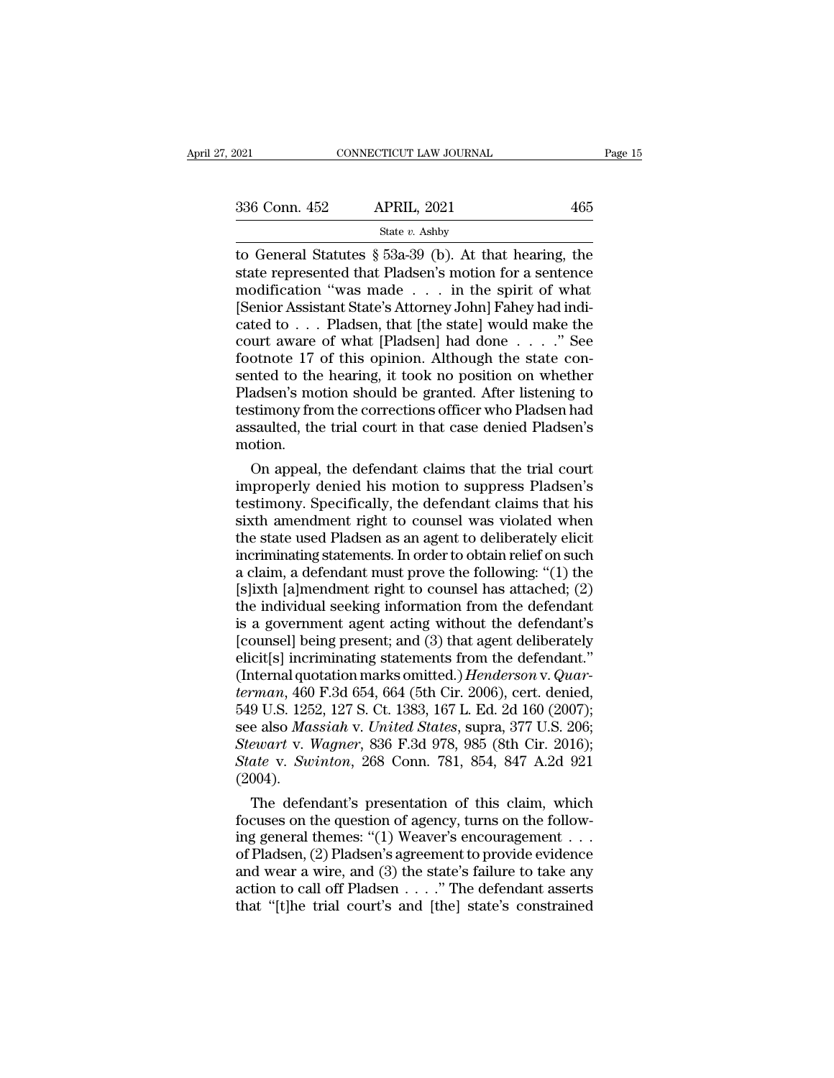| 2021          | CONNECTICUT LAW JOURNAL | Page 15 |  |
|---------------|-------------------------|---------|--|
| 336 Conn. 452 | <b>APRIL, 2021</b>      | 465     |  |
|               | State v. Ashby          |         |  |

to General Statutes § 53a-39 (b). At that hearing, the<br>state represented that Pladsen's motion for a sentence<br>modification "was made" in the spirit of what 336 Conn. 452 APRIL, 2021 465<br>
State *v.* Ashby<br>
to General Statutes § 53a-39 (b). At that hearing, the<br>
state represented that Pladsen's motion for a sentence<br>
modification "was made . . . in the spirit of what<br>
Senior A 336 Conn. 452 APRIL, 2021 465<br>
State v. Ashby<br>
to General Statutes § 53a-39 (b). At that hearing, the<br>
state represented that Pladsen's motion for a sentence<br>
modification "was made . . . in the spirit of what<br>
[Senior As 336 Conn. 452 APRIL, 2021 465<br>
State v. Ashby<br>
to General Statutes § 53a-39 (b). At that hearing, the<br>
state represented that Pladsen's motion for a sentence<br>
modification "was made . . . in the spirit of what<br>
[Senior As Solution 192 Throm, 2021<br>
State v. Ashby<br>
to General Statutes § 53a-39 (b). At that hearing, the<br>
state represented that Pladsen's motion for a sentence<br>
modification "was made . . . in the spirit of what<br>
[Senior Assista State *v*. Ashby<br>
to General Statutes § 53a-39 (b). At that hearing, the<br>
state represented that Pladsen's motion for a sentence<br>
modification "was made . . . in the spirit of what<br>
[Senior Assistant State's Attorney John to General Statutes § 53a-39 (b). At that hearing, the state represented that Pladsen's motion for a sentence modification "was made  $\ldots$  in the spirit of what [Senior Assistant State's Attorney John] Fahey had indicated state represented that Pladsen's motion for a sentence<br>modification "was made . . . in the spirit of what<br>[Senior Assistant State's Attorney John] Fahey had indi-<br>cated to . . . Pladsen, that [the state] would make the<br>cou modification "was made . . . in the spirit of what<br>[Senior Assistant State's Attorney John] Fahey had indicated to . . . Pladsen, that [the state] would make the<br>court aware of what [Pladsen] had done . . . ." See<br>footnote [Senior Assistant State's Attorney John] Fahey had indicated to . . . Pladsen, that [the state] would make the court aware of what [Pladsen] had done . . . ." See footnote 17 of this opinion. Although the state consented t cated to . . . Pladsen, that [the state] would make the court aware of what [Pladsen] had done . . . ." See footnote 17 of this opinion. Although the state consented to the hearing, it took no position on whether Pladsen' motion. othote 17 of this opinion. Although the state con-<br>nted to the hearing, it took no position on whether<br>adsen's motion should be granted. After listening to<br>stimony from the corrections officer who Pladsen had<br>saulted, the sented to the hearing, it took no position on whether<br>Pladsen's motion should be granted. After listening to<br>testimony from the corrections officer who Pladsen had<br>assaulted, the trial court in that case denied Pladsen's<br>m

Pladsen's motion should be granted. After listening to<br>testimony from the corrections officer who Pladsen had<br>assaulted, the trial court in that case denied Pladsen's<br>motion.<br>On appeal, the defendant claims that the trial testimony from the corrections officer who Pladsen had<br>assaulted, the trial court in that case denied Pladsen's<br>motion.<br>On appeal, the defendant claims that the trial court<br>improperly denied his motion to suppress Pladsen' assaulted, the trial court in that case denied Pladsen's<br>motion.<br>On appeal, the defendant claims that the trial court<br>improperly denied his motion to suppress Pladsen's<br>testimony. Specifically, the defendant claims that hi motion.<br>
On appeal, the defendant claims that the trial court<br>
improperly denied his motion to suppress Pladsen's<br>
testimony. Specifically, the defendant claims that his<br>
sixth amendment right to counsel was violated when<br> On appeal, the defendant claims that the trial court<br>improperly denied his motion to suppress Pladsen's<br>testimony. Specifically, the defendant claims that his<br>sixth amendment right to counsel was violated when<br>the state us improperly denied his motion to suppress Pladsen's<br>testimony. Specifically, the defendant claims that his<br>sixth amendment right to counsel was violated when<br>the state used Pladsen as an agent to deliberately elicit<br>incrimi testimony. Specifically, the defendant claims that his<br>sixth amendment right to counsel was violated when<br>the state used Pladsen as an agent to deliberately elicit<br>incriminating statements. In order to obtain relief on suc sixth amendment right to counsel was violated when<br>the state used Pladsen as an agent to deliberately elicit<br>incriminating statements. In order to obtain relief on such<br>a claim, a defendant must prove the following: "(1) t the state used Pladsen as an agent to deliberately elicit<br>incriminating statements. In order to obtain relief on such<br>a claim, a defendant must prove the following: "(1) the<br>[s]ixth [a]mendment right to counsel has attache incriminating statements. In order to obtain relief on such<br>a claim, a defendant must prove the following: "(1) the<br>[s]ixth [a]mendment right to counsel has attached; (2)<br>the individual seeking information from the defend a claim, a defendant must prove the following: "(1) the [s]ixth [a]mendment right to counsel has attached; (2) the individual seeking information from the defendant is a government agent acting without the defendant's [cou [s]ixth [a]mendment right to counsel has attached; (2)<br>the individual seeking information from the defendant<br>is a government agent acting without the defendant's<br>[counsel] being present; and (3) that agent deliberately<br>eli the individual seeking information from the defendant<br>is a government agent acting without the defendant's<br>[counsel] being present; and (3) that agent deliberately<br>elicit[s] incriminating statements from the defendant."<br>(I is a government agent acting without the defendant's<br>[counsel] being present; and (3) that agent deliberately<br>elicit[s] incriminating statements from the defendant."<br>(Internal quotation marks omitted.) *Henderson* v. *Quar* [counsel] being present; and (3) that agent deliberately<br>elicit[s] incriminating statements from the defendant."<br>(Internal quotation marks omitted.) *Henderson* v. *Quar-<br>terman*, 460 F.3d 654, 664 (5th Cir. 2006), cert. d elicit[s] incriminating statements from the defendant."<br>(Internal quotation marks omitted.) *Henderson v. Quarterman*, 460 F.3d 654, 664 (5th Cir. 2006), cert. denied,<br>549 U.S. 1252, 127 S. Ct. 1383, 167 L. Ed. 2d 160 (200 (2004). man, 460 F.3d 654, 664 (5th Cir. 2006), cert. denied,<br>
9 U.S. 1252, 127 S. Ct. 1383, 167 L. Ed. 2d 160 (2007);<br>
e also *Massiah v. United States*, supra, 377 U.S. 206;<br>
ewart v. Wagner, 836 F.3d 978, 985 (8th Cir. 2016);<br> 649 U.S. 1252, 127 S. Ct. 1383, 167 L. Ed. 2d 160 (2007);<br>see also *Massiah v. United States*, supra, 377 U.S. 206;<br>*Stewart v. Wagner*, 836 F.3d 978, 985 (8th Cir. 2016);<br>*State v. Swinton*, 268 Conn. 781, 854, 847 A.2d

see also *Massiah v. United States*, supra, 377 U.S. 206;<br> *Stewart v. Wagner*, 836 F.3d 978, 985 (8th Cir. 2016);<br> *State v. Swinton*, 268 Conn. 781, 854, 847 A.2d 921<br>
(2004).<br>
The defendant's presentation of this claim, Stewart v. Wagner, 836 F.3d 978, 985 (8th Cir. 2016);<br>
State v. Swinton, 268 Conn. 781, 854, 847 A.2d 921<br>
(2004).<br>
The defendant's presentation of this claim, which<br>
focuses on the question of agency, turns on the follow-State v. Swinton, 268 Conn. 781, 854, 847 A.2d 921<br>(2004).<br>The defendant's presentation of this claim, which<br>focuses on the question of agency, turns on the follow-<br>ing general themes: "(1) Weaver's encouragement . . .<br>of (2004).<br>
The defendant's presentation of this claim, which<br>
focuses on the question of agency, turns on the follow-<br>
ing general themes: "(1) Weaver's encouragement . . .<br>
of Pladsen, (2) Pladsen's agreement to provide ev The defendant's presentation of this claim, which<br>focuses on the question of agency, turns on the follow-<br>ing general themes: "(1) Weaver's encouragement . . .<br>of Pladsen, (2) Pladsen's agreement to provide evidence<br>and w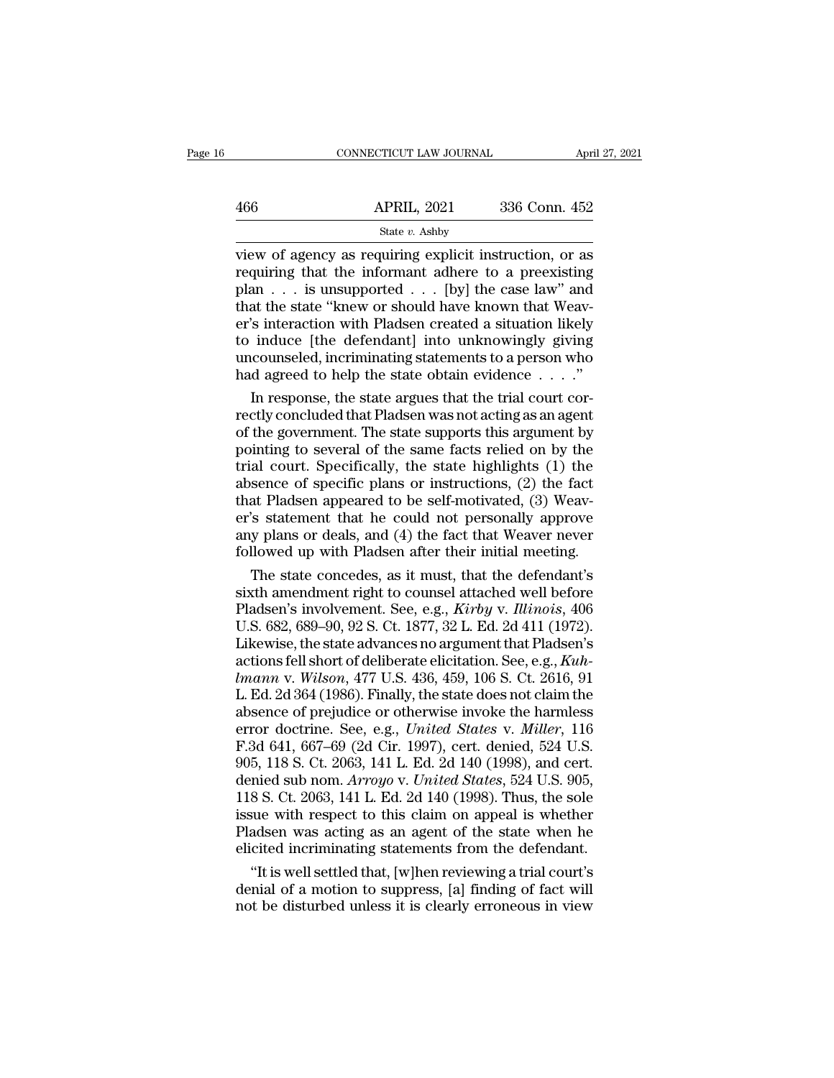|     | CONNECTICUT LAW JOURNAL | April 27, 2021 |  |
|-----|-------------------------|----------------|--|
|     |                         |                |  |
| 466 | <b>APRIL, 2021</b>      | 336 Conn. 452  |  |
|     | State v. Ashby          |                |  |

 $\begin{tabular}{ll} \multicolumn{1}{l}{{\small \textbf{CONRECTICUT LAW JOURNAL}}{\small \textbf{APRIL, 2021}} & \multicolumn{1}{l}{\small \textbf{April 27, 2021}}\\ \hline & \multicolumn{1}{l}{\textbf{State }v.\textbf{Ashby}}\\ \hline & \multicolumn{1}{l}{\textbf{State }v.\textbf{Ashby}}\\ \hline \end{tabular}$ 466 APRIL, 2021 336 Conn. 452<br>
State v. Ashby<br>
view of agency as requiring explicit instruction, or as<br>
requiring that the informant adhere to a preexisting<br>
plan . . . is unsupported . . . [by] the case law" and<br>
that th  $\begin{array}{ll}\n & \text{APRIL, 2021} & \text{336 Conn. 452} \\
 \hline\n & \text{State } v. \text{ Ashby} \\
 \hline\n \end{array}$ <br>
view of agency as requiring explicit instruction, or as<br>
requiring that the informant adhere to a preexisting<br>
plan . . . is unsupported . . . [by] the 466 APRIL, 2021 336 Conn. 452<br>
State v. Ashby<br>
view of agency as requiring explicit instruction, or as<br>
requiring that the informant adhere to a preexisting<br>
plan . . . is unsupported . . . [by] the case law" and<br>
that th Fig. 2021 600 Coldit. 402<br>
State v. Ashby<br>
view of agency as requiring explicit instruction, or as<br>
requiring that the informant adhere to a preexisting<br>
plan . . . is unsupported . . . [by] the case law" and<br>
that the st State *v*. Ashby<br>view of agency as requiring explicit instruction, or as<br>requiring that the informant adhere to a preexisting<br>plan  $\ldots$  is unsupported  $\ldots$  [by] the case law" and<br>that the state "knew or should have know view of agency as requiring explicit instruction, or as<br>requiring that the informant adhere to a preexisting<br>plan  $\dots$  is unsupported  $\dots$  [by] the case law" and<br>that the state "knew or should have known that Weav-<br>er's i requiring that the informant adhere to a preexisting<br>plan . . . is unsupported . . . [by] the case law" and<br>that the state "knew or should have known that Weav-<br>er's interaction with Pladsen created a situation likely<br>to an  $\ldots$  is unsupported  $\ldots$  [by] the case law" and<br>at the state "knew or should have known that Weav-<br>'s interaction with Pladsen created a situation likely<br>induce [the defendant] into unknowingly giving<br>counseled, incr that the state "knew or should have known that Weaver's interaction with Pladsen created a situation likely<br>to induce [the defendant] into unknowingly giving<br>uncounseled, incriminating statements to a person who<br>had agree

er's interaction with Pladsen created a situation likely<br>to induce [the defendant] into unknowingly giving<br>uncounseled, incriminating statements to a person who<br>had agreed to help the state obtain evidence . . . . ."<br>In re to induce [the defendant] into unknowingly giving<br>uncounseled, incriminating statements to a person who<br>had agreed to help the state obtain evidence  $\dots$ ."<br>In response, the state argues that the trial court cor-<br>rectly co uncounseled, incriminating statements to a person who<br>had agreed to help the state obtain evidence  $\dots$ ."<br>In response, the state argues that the trial court cor-<br>rectly concluded that Pladsen was not acting as an agent<br>of had agreed to help the state obtain evidence  $\ldots$ ."<br>In response, the state argues that the trial court correctly concluded that Pladsen was not acting as an agent<br>of the government. The state supports this argument by<br>po In response, the state argues that the trial court correctly concluded that Pladsen was not acting as an agent of the government. The state supports this argument by pointing to several of the same facts relied on by the rectly concluded that Pladsen was not acting as an agent<br>of the government. The state supports this argument by<br>pointing to several of the same facts relied on by the<br>trial court. Specifically, the state highlights (1) the of the government. The state supports this argument by<br>pointing to several of the same facts relied on by the<br>trial court. Specifically, the state highlights (1) the<br>absence of specific plans or instructions, (2) the fact<br> pointing to several of the same facts relied on by the<br>trial court. Specifically, the state highlights (1) the<br>absence of specific plans or instructions, (2) the fact<br>that Pladsen appeared to be self-motivated, (3) Weav-<br>e al court. Specifically, the state highlights (1) the<br>sence of specific plans or instructions, (2) the fact<br>at Pladsen appeared to be self-motivated, (3) Weav-<br>'s statement that he could not personally approve<br>y plans or d absence of specific plans or instructions, (2) the fact<br>that Pladsen appeared to be self-motivated, (3) Weav-<br>er's statement that he could not personally approve<br>any plans or deals, and (4) the fact that Weaver never<br>foll

that Pladsen appeared to be self-motivated, (3) Weav-<br>er's statement that he could not personally approve<br>any plans or deals, and (4) the fact that Weaver never<br>followed up with Pladsen after their initial meeting.<br>The sta er's statement that he could not personally approve<br>any plans or deals, and (4) the fact that Weaver never<br>followed up with Pladsen after their initial meeting.<br>The state concedes, as it must, that the defendant's<br>sixth am any plans or deals, and (4) the fact that Weaver never<br>followed up with Pladsen after their initial meeting.<br>The state concedes, as it must, that the defendant's<br>sixth amendment right to counsel attached well before<br>Pladse followed up with Pladsen after their initial meeting.<br>The state concedes, as it must, that the defendant's<br>sixth amendment right to counsel attached well before<br>Pladsen's involvement. See, e.g., *Kirby v. Illinois*, 406<br>U. The state concedes, as it must, that the defendant's<br>
sixth amendment right to counsel attached well before<br>
Pladsen's involvement. See, e.g., *Kirby* v. *Illinois*, 406<br>
U.S. 682, 689–90, 92 S. Ct. 1877, 32 L. Ed. 2d 411 sixth amendment right to counsel attached well before<br>Pladsen's involvement. See, e.g., *Kirby v. Illinois*, 406<br>U.S. 682, 689–90, 92 S. Ct. 1877, 32 L. Ed. 2d 411 (1972).<br>Likewise, the state advances no argument that Plad Pladsen's involvement. See, e.g., *Kirby v. Illinois*, 406<br>U.S. 682, 689–90, 92 S. Ct. 1877, 32 L. Ed. 2d 411 (1972).<br>Likewise, the state advances no argument that Pladsen's<br>actions fell short of deliberate elicitation. Se U.S. 682, 689–90, 92 S. Ct. 1877, 32 L. Ed. 2d 411 (1972).<br>Likewise, the state advances no argument that Pladsen's<br>actions fell short of deliberate elicitation. See, e.g., *Kuh-<br>Imann v. Wilson*, 477 U.S. 436, 459, 106 S. Likewise, the state advances no argument that Pladsen's<br>actions fell short of deliberate elicitation. See, e.g., *Kuh-<br>Imann v. Wilson*, 477 U.S. 436, 459, 106 S. Ct. 2616, 91<br>L. Ed. 2d 364 (1986). Finally, the state does actions fell short of deliberate elicitation. See, e.g., *Kuhlmann v. Wilson*, 477 U.S. 436, 459, 106 S. Ct. 2616, 91<br>L. Ed. 2d 364 (1986). Finally, the state does not claim the<br>absence of prejudice or otherwise invoke the *lmann v. Wilson,* 477 U.S. 436, 459, 106 S. Ct. 2616, 91<br>L. Ed. 2d 364 (1986). Finally, the state does not claim the<br>absence of prejudice or otherwise invoke the harmless<br>error doctrine. See, e.g., *United States* v. *Mil* L. Ed. 2d 364 (1986). Finally, the state does not claim the absence of prejudice or otherwise invoke the harmless error doctrine. See, e.g., *United States v. Miller*, 116 F.3d 641, 667–69 (2d Cir. 1997), cert. denied, 524 absence of prejudice or otherwise invoke the harmless<br>error doctrine. See, e.g., *United States v. Miller*, 116<br>F.3d 641, 667–69 (2d Cir. 1997), cert. denied, 524 U.S.<br>905, 118 S. Ct. 2063, 141 L. Ed. 2d 140 (1998), and ce error doctrine. See, e.g., *United States v. Miller*, 116<br>F.3d 641, 667–69 (2d Cir. 1997), cert. denied, 524 U.S.<br>905, 118 S. Ct. 2063, 141 L. Ed. 2d 140 (1998), and cert.<br>denied sub nom. Arroyo v. *United States*, 524 U.S F.3d 641, 667–69 (2d Cir. 1997), cert. denied, 524 U.S.<br>905, 118 S. Ct. 2063, 141 L. Ed. 2d 140 (1998), and cert.<br>denied sub nom. Arroyo v. United States, 524 U.S. 905,<br>118 S. Ct. 2063, 141 L. Ed. 2d 140 (1998). Thus, the 5, 118 S. Ct. 2063, 141 L. Ed. 2d 140 (1998), and cert.<br>
mied sub nom. Arroyo v. United States, 524 U.S. 905,<br>
8 S. Ct. 2063, 141 L. Ed. 2d 140 (1998). Thus, the sole<br>
sue with respect to this claim on appeal is whether<br>
a denied sub nom. *Arroyo* v. *United States*, 524 U.S. 905, 118 S. Ct. 2063, 141 L. Ed. 2d 140 (1998). Thus, the sole issue with respect to this claim on appeal is whether Pladsen was acting as an agent of the state when he 118 S. Ct. 2063, 141 L. Ed. 2d 140 (1998). Thus, the sole<br>issue with respect to this claim on appeal is whether<br>Pladsen was acting as an agent of the state when he<br>elicited incriminating statements from the defendant.<br>"It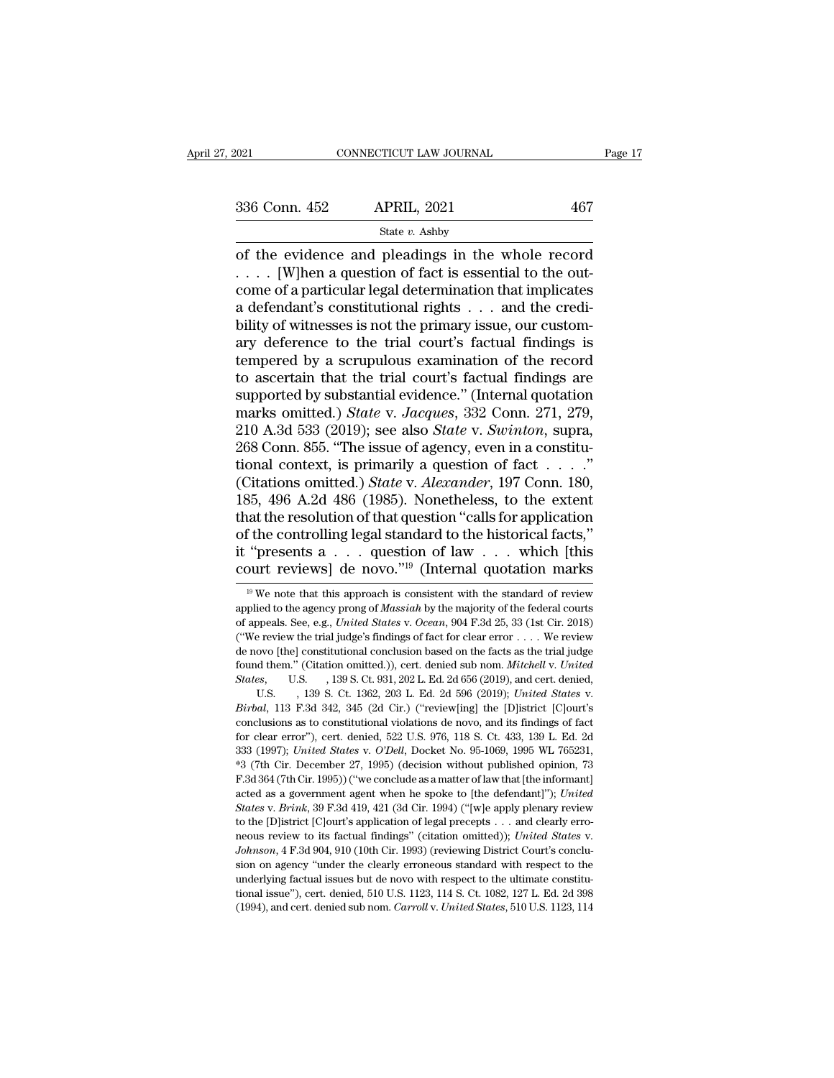Fage 17<br>
of the evidence and pleadings in the whole record<br>  $\frac{1}{2}$  ... [W]hen a question of fact is essential to the out-<br>
state v. Ashby<br>  $\frac{1}{2}$  ... [W]hen a question of fact is essential to the out-<br>
come of a par 336 Conn. 452 APRIL, 2021 467<br>
State v. Ashby<br>
of the evidence and pleadings in the whole record<br>
.... [W]hen a question of fact is essential to the out-<br>
come of a particular legal determination that implicates<br>
a defend 336 Conn. 452 APRIL, 2021 467<br>
State v. Ashby<br>
of the evidence and pleadings in the whole record<br>
.... [W]hen a question of fact is essential to the out-<br>
come of a particular legal determination that implicates<br>
a defend 336 Conn. 452 APRIL, 2021 467<br>
State v. Ashby<br>
of the evidence and pleadings in the whole record<br>
.... [W]hen a question of fact is essential to the out-<br>
come of a particular legal determination that implicates<br>
a defend Solution 1922 The Hangle State v. Ashby<br>
of the evidence and pleadings in the whole record<br>  $\ldots$  [W]hen a question of fact is essential to the out-<br>
come of a particular legal determination that implicates<br>
a defendant's State v. Ashby<br>
of the evidence and pleadings in the whole record<br>  $\ldots$ . [W]hen a question of fact is essential to the out-<br>
come of a particular legal determination that implicates<br>
a defendant's constitutional rights of the evidence and pleadings in the whole record<br>  $\ldots$  [W]hen a question of fact is essential to the out-<br>
come of a particular legal determination that implicates<br>
a defendant's constitutional rights  $\ldots$  and the cred .... [W]hen a question of fact is essential to the outcome of a particular legal determination that implicates<br>a defendant's constitutional rights ... and the credi-<br>bility of witnesses is not the primary issue, our custo come of a particular legal determination that implicates<br>a defendant's constitutional rights . . . and the credi-<br>bility of witnesses is not the primary issue, our custom-<br>ary deference to the trial court's factual findin a defendant's constitutional rights . . . . and the credibility of witnesses is not the primary issue, our custom-<br>ary deference to the trial court's factual findings is<br>tempered by a scrupulous examination of the record<br>t bility of witnesses is not the primary issue, our custom-<br>ary deference to the trial court's factual findings is<br>tempered by a scrupulous examination of the record<br>to ascertain that the trial court's factual findings are<br>s ary deference to the trial court's factual findings is<br>tempered by a scrupulous examination of the record<br>to ascertain that the trial court's factual findings are<br>supported by substantial evidence." (Internal quotation<br>ma tempered by a scrupulous examination of the record<br>to ascertain that the trial court's factual findings are<br>supported by substantial evidence." (Internal quotation<br>marks omitted.) *State* v. Jacques, 332 Conn. 271, 279,<br>2 to ascertain that the trial court's factual findings are<br>supported by substantial evidence." (Internal quotation<br>marks omitted.) *State* v. *Jacques*, 332 Conn. 271, 279,<br>210 A.3d 533 (2019); see also *State* v. *Swinton*, supported by substantial evidence." (Internal quotation<br>marks omitted.) *State* v. *Jacques*, 332 Conn. 271, 279,<br>210 A.3d 533 (2019); see also *State* v. *Swinton*, supra,<br>268 Conn. 855. "The issue of agency, even in a co marks omitted.) *State* v. *Jacques*, 332 Conn. 271, 279, 210 A.3d 533 (2019); see also *State* v. *Swinton*, supra, 268 Conn. 855. "The issue of agency, even in a constitutional context, is primarily a question of fact . 210 A.3d 533 (2019); see also *State* v. *Swinton*, supra, 268 Conn. 855. "The issue of agency, even in a constitutional context, is primarily a question of fact . . . . "<br>(Citations omitted.) *State* v. *Alexander*, 197 268 Conn. 855. "The issue of agency, even in a constitutional context, is primarily a question of fact . . . ."<br>
(Citations omitted.) *State v. Alexander*, 197 Conn. 180, 185, 496 A.2d 486 (1985). Nonetheless, to the exte tional context, is primarily a question of fact . . . . "<br>(Citations omitted.) *State* v. *Alexander*, 197 Conn. 180, 185, 496 A.2d 486 (1985). Nonetheless, to the extent that the resolution of that question "calls for ap iat the resolution of that question "calls for application<br>
f the controlling legal standard to the historical facts,"<br>
"presents  $a \tldots$  question of law  $\ldots$  which [this<br>
purt reviews] de novo."<sup>19</sup> (Internal quotation of the controlling legal standard to the historical facts,"<br>it "presents a . . . question of law . . . which [this<br>court reviews] de novo."<sup>19</sup> (Internal quotation marks<br> $\frac{19 \text{ We note that this approach is consistent with the standard of review applied to the agency prong of *Massiah* by the majority of the federal courts of appeals. See, e$ 

it "presents a . . . question of law . . . which [this court reviews] de novo."<sup>19</sup> (Internal quotation marks  $\psi$  we note that this approach is consistent with the standard of review applied to the agency prong of *Massi* COULT TEVIEWS (CONDITION 1999) (Internal quotation marks<br>
<sup>19</sup> We note that this approach is consistent with the standard of review<br>
applied to the agency prong of *Massiah* by the majority of the federal courts<br>
of appea COULT TEVIEWS] (IE HOVO. IIIIIEFIRIT QUOCALION THATKS<br>
<sup>19</sup> We note that this approach is consistent with the standard of review<br>
applied to the agency prong of *Massiah* by the majority of the federal courts<br>
of appeals. <sup>19</sup> We note that this approach is consistent with the standard of review applied to the agency prong of *Massiah* by the majority of the federal courts of appeals. See, e.g., *United States v. Ocean*, 904 F.3d 25, 33 (1s applied to the agency prong of *Massiah* by the majority of the federal courts<br>of appeals. See, e.g., *United States* v. *Ocean*, 904 F.3d 25, 33 (1st Cir. 2018)<br>("We review the trial judge's findings of fact for clear err of appeals. See, e.g., *United States* v. *Ocean*, 904 F.3d 25, 33 (1st Cir. 2018)<br>
("We review the trial judge's findings of fact for clear error . . . . We review<br>
de novo [the] constitutional conclusion based on the fac de novo [the] constitutional conclusion based on the facts as the trial judge found them." (Citation omitted.)), cert. denied sub nom. *Mitchell v. United States*, U.S. , 139 S. Ct. 931, 202 L. Ed. 2d 656 (2019), and cert found them." (Citation omitted.)), cert. denied sub nom. *Mitchell v. United*<br>States, U.S. , 139 S. Ct. 931, 202 L. Ed. 2d 656 (2019), and cert. denied,<br>U.S. , 139 S. Ct. 1362, 203 L. Ed. 2d 596 (2019); *United States v.*<br> 333 (1997); *United States* v. *O'Dell*, Docket No. 95-1069, 1995 WL 765231, 33 (1997); *United States* v. *Birbal*, 113 F.3d 342, 345 (2d Cir.) ("review[ing] the [D]istrict [C]ourt's conclusions as to constitutional viola U.S. (1998). Ct. 1362, 203 L. Ed. 2d 596 (2019); United States v.<br>Birbal, 113 F.3d 342, 345 (2d Cir.) ("review[ing] the [D]istrict [C]our's<br>conclusions as to constitutional violations de novo, and its findings of fact<br>for *Birbal*, 113 F.3d 342, 345 (2d Cir.) ("review[ing] the [D]istrict [C]ourt's conclusions as to constitutional violations de novo, and its findings of fact for clear error"), cert. denied, 522 U.S. 976, 118 S. Ct. 433, 139 conclusions as to constitutional violations de novo, and its findings of fact<br>for clear error"), cert. denied, 522 U.S. 976, 118 S. Ct. 433, 139 L. Ed. 2d<br>333 (1997); *United States v. O'Dell*, Docket No. 95-1069, 1995 WL for clear error"), cert. denied, 522 U.S. 976, 118 S. Ct. 433, 139 L. Ed. 2d<br>333 (1997); *United States* v. *O'Dell*, Docket No. 95-1069, 1995 WL 765231,<br>\*3 (7th Cir. December 27, 1995) (decision without published opinion, 333 (1997); *United States v. O'Dell*, Docket No. 95-1069, 1995 WL 765231, <sup>\*3</sup> (7th Cir. December 27, 1995) (decision without published opinion, 73 F.3d 364 (7th Cir. 1995)) ("we conclude as a matter of law that [the inf <sup>\*3</sup> (7th Cir. December 27, 1995) (decision without published opinion, 73<br>F.3d 364 (7th Cir. 1995)) ("we conclude as a matter of law that [the informant]<br>acted as a government agent when he spoke to [the defendant]"); *Uni* acted as a government agent when he spoke to [the defendant]"); United States v. Brink, 39 F.3d 419, 421 (3d Cir. 1994) ("[w]e apply plenary review to the [D]istrict [C]ourt's application of legal precepts . . . and clearl acted as a government agent when he spoke to [the defendant]"); United States v. Brink, 39 F.3d 419, 421 (3d Cir. 1994) ("[w]e apply plenary review to the [D]istrict [C]ourt's application of legal precepts . . . and clear to the [D]istrict [C]ourt's application of legal precepts  $\ldots$  and clearly erromeous review to its factual findings" (citation omitted)); *United States v.* Johnson, 4 F.3d 904, 910 (10th Cir. 1993) (reviewing District C neous review to its factual findings" (citation omitted)); United States v.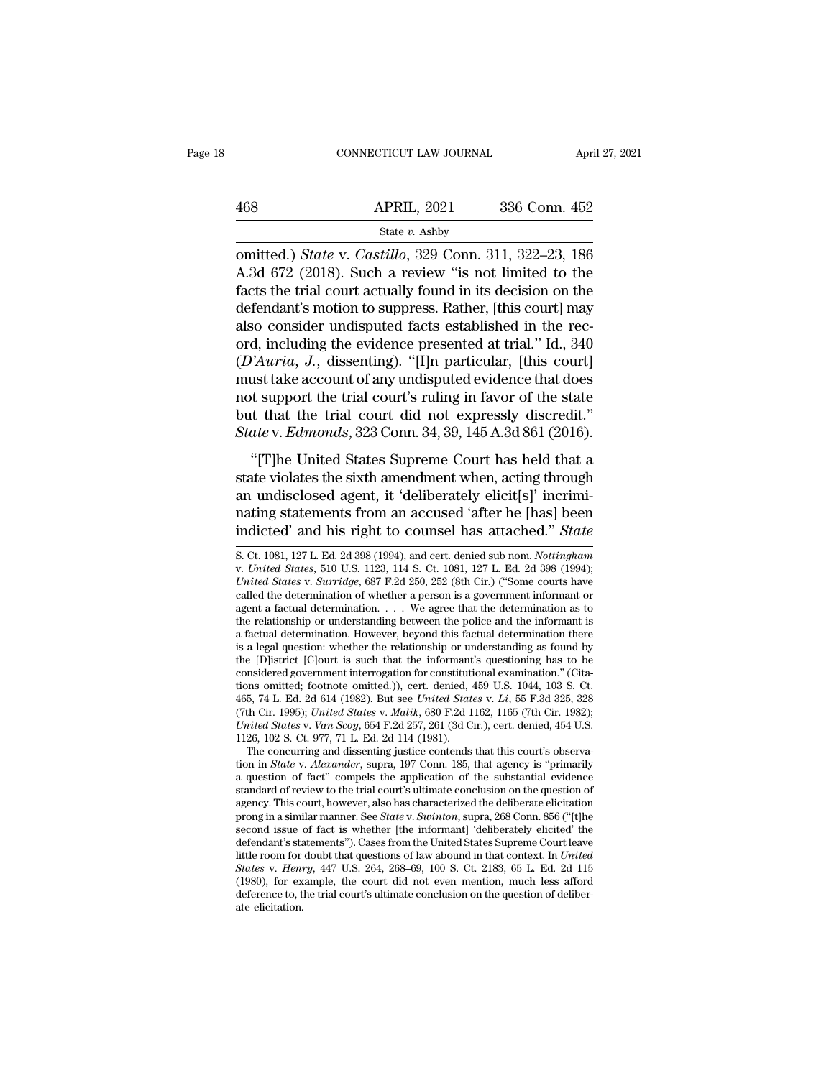|     | CONNECTICUT LAW JOURNAL | April 27, 2021 |  |
|-----|-------------------------|----------------|--|
|     |                         |                |  |
| 468 | <b>APRIL, 2021</b>      | 336 Conn. 452  |  |
|     | State v. Ashby          |                |  |

CONNECTICUT LAW JOURNAL April 27, 2021<br>
468 APRIL, 2021 336 Conn. 452<br>
<sup>State</sup> *v*. *Castillo*, 329 Conn. 311, 322–23, 186<br>
A.3d 672 (2018). Such a review "is not limited to the<br>
facts the trial court actually found in its  $\begin{array}{ll}\n & \text{APRIL, 2021} & \text{336 Conn. 452} \\
 \text{State } v. \text{ Ashby} \\
 \text{omitted.)} \text{State v. } \text{Castillo, 329 Conn. 311, 322–23, 186} \\
 \text{A.3d 672 (2018). Such a review "is not limited to the facts the trial court actually found in its decision on the deformation to suppress. Pathor. This court laws\n\n
$$
\begin{array}{ll}\n & \text{A.} \text{B.} & \text{B.} \\
 \text{B.} & \text{B.} \\
 \text{B.} & \text{B.} \\
 \text{B.} & \text{B.}
$$$ 468 APRIL, 2021 336 Conn. 452<br>
State v. Ashby<br>
omitted.) *State* v. *Castillo*, 329 Conn. 311, 322–23, 186<br>
A.3d 672 (2018). Such a review "is not limited to the<br>
facts the trial court actually found in its decision on th 468 APRIL, 2021 336 Conn. 452<br>
State v. Ashby<br>
comitted.) *State* v. *Castillo*, 329 Conn. 311, 322–23, 186<br>
A.3d 672 (2018). Such a review "is not limited to the<br>
facts the trial court actually found in its decision on t 468 APRIL, 2021 336 Conn. 452<br>
State v. Ashby<br>
omitted.) *State* v. *Castillo*, 329 Conn. 311, 322–23, 186<br>
A.3d 672 (2018). Such a review "is not limited to the<br>
facts the trial court actually found in its decision on th state v. Santy<br>
omitted.) *State* v. *Castillo*, 329 Conn. 311, 322–23, 186<br>
A.3d 672 (2018). Such a review "is not limited to the<br>
facts the trial court actually found in its decision on the<br>
defendant's motion to suppre omitted.) *State* v. *Castillo*, 329 Conn. 311, 322–23, 186<br>A.3d 672 (2018). Such a review "is not limited to the<br>facts the trial court actually found in its decision on the<br>defendant's motion to suppress. Rather, [this co A.3d 672 (2018). Such a review "is not limited to the facts the trial court actually found in its decision on the defendant's motion to suppress. Rather, [this court] may also consider undisputed facts established in the facts the trial court actually found in its decision on the<br>defendant's motion to suppress. Rather, [this court] may<br>also consider undisputed facts established in the rec-<br>ord, including the evidence presented at trial." defendant's motion to suppress. Rather, [this court] may<br>also consider undisputed facts established in the rec-<br>ord, including the evidence presented at trial." Id., 340<br> $(D'Auria, J.,$  dissenting). "[I]n particular, [this court also consider undisputed facts established in the rec-<br>ord, including the evidence presented at trial." Id., 340<br>(*D'Auria*, *J.*, dissenting). "[I]n particular, [this court]<br>must take account of any undisputed evidence th  $i$ <sup>2</sup> *Auria, J.*, dissenting). "[I]n particular, [this court]<br>ust take account of any undisputed evidence that does<br>to support the trial court's ruling in favor of the state<br>to that the trial court did not expressly dis ( $B$  Tratica, 9., disseming). [The particular, [this court]<br>must take account of any undisputed evidence that does<br>not support the trial court's ruling in favor of the state<br>but that the trial court did not expressly disc

and the trial court's ruling in favor of the state<br>but that the trial court did not expressly discredit."<br>State v. Edmonds, 323 Conn. 34, 39, 145 A.3d 861 (2016).<br>"[T]he United States Supreme Court has held that a<br>state vi not support the trial court's raing in favor of the state<br>but that the trial court did not expressly discredit."<br>State v. Edmonds, 323 Conn. 34, 39, 145 A.3d 861 (2016).<br>"[T]he United States Supreme Court has held that a<br>s *State* v. *Edmonds*, 323 Conn. 34, 39, 145 A.3d 861 (2016).<br>
"[T]he United States Supreme Court has held that a<br>
state violates the sixth amendment when, acting through<br>
an undisclosed agent, it 'deliberately elicit[s]' i state violates the sixth amendment when, acting through<br>an undisclosed agent, it 'deliberately elicit[s]' incrimi-<br>nating statements from an accused 'after he [has] been<br>indicted' and his right to counsel has attached." *S* an undisclosed agent, it 'deliberately elicit[s]' incrimi-<br>nating statements from an accused 'after he [has] been<br>indicted' and his right to counsel has attached." *State*<br>s. Ct. 1081, 127 L. Ed. 2d 398 (1994), and cert. d

and and and and alleged and alleged and and accused 'after he [has] been<br>
indicted' and his right to counsel has attached." *State*<br> **S.** Ct. 1081, 127 L. Ed. 2d 398 (1994), and cert. denied sub nom. *Nottingham*<br> *v. Unit* rating statements from an accused after he [flas] been<br>indicted' and his right to counsel has attached." *State*<br>s. Ct. 1081, 127 L. Ed. 2d 398 (1994), and cert. denied sub nom. *Nottingham*<br>v. United States, 510 U.S. 112 indicted' and his right to counsel has attached." *State*<br>
S. Ct. 1081, 127 L. Ed. 2d 398 (1994), and cert. denied sub nom. *Nottingham*<br>
v. *United States*, 510 U.S. 1123, 114 S. Ct. 1081, 127 L. Ed. 2d 398 (1994);<br> *Uni* S. Ct. 1081, 127 L. Ed. 2d 398 (1994), and cert. denied sub nom. *Nottingham* v. *United States*, 510 U.S. 1123, 114 S. Ct. 1081, 127 L. Ed. 2d 398 (1994); *United States* v. *Surridge*, 687 F.2d 250, 252 (8th Cir.) ("Som S. Ct. 1081, 127 L. Ed. 2d 398 (1994), and cert. denied sub nom. *Nottingham* v. *United States*, 510 U.S. 1123, 114 S. Ct. 1081, 127 L. Ed. 2d 398 (1994); *United States* v. *Surridge*, 687 F.2d 250, 252 (8th Cir.) ("Som v. United States, 510 U.S. 1123, 114 S. Ct. 1081, 127 L. Ed. 2d 398 (1994); United States v. Surridge, 687 F.2d 250, 252 (8th Cir.) ("Some courts have called the determination of whether a person is a government informant United States v. Surridge, 687 F.2d 250, 252 (8th Cir.) ("Some courts have called the determination of whether a person is a government informant or agent a factual determination. . . . We agree that the determination as called the determination of whether a person is a government informant or<br>agent a factual determination. . . . We agree that the determination as to<br>the relationship or understanding between the police and the informant i agent a factual determination. . . . . We agree that the determination as to<br>the relationship or understanding between the police and the informant is<br>a factual determination. However, beyond this factual determination th the relationship or understanding between the police and the informant is<br>a factual determination. However, beyond this factual determination there<br>is a legal question: whether the relationship or understanding as found by a factual determination. However, beyond this factual determination there<br>is a legal question: whether the relationship or understanding as found by<br>the [D]istrict [C]ourt is such that the informant's questioning has to be is a legal question: whether the relationship or understanding as found by<br>the [D]istrict [C]ourt is such that the informant's questioning has to be<br>considered government interrogation for constitutional examination." (Cit the [D]istrict [C]ourt is such that the informant<br>considered government interrogation for constituti<br>tions omitted; footnote omitted.)), cert. denied, 4<br>465, 74 L. Ed. 2d 614 (1982). But see *United State*<br>(7th Cir. 1995) tions omitted; footnote omitted.)), cert. denied,  $459$  U.S.  $1044$ ,  $103$  S. Ct.  $465$ ,  $74$  L. Ed.  $2d$  614 (1982). But see *United States v. Li*,  $55$  F.3d  $325$ ,  $328$  (7th Cir.  $1995$ ); *United States v. Malik*,  $680$ tions omitted; footnote omitted.)), cert. denied, 459 U.S. 1044, 103 S. Ct.<br>465, 74 L. Ed. 2d 614 (1982). But see *United States v. Li*, 55 F.3d 325, 328<br>(7th Cir. 1995); *United States v. Malik*, 680 F.2d 1162, 1165 (7th

<sup>465, 74</sup> L. Ed. 2d 614 (1982). But see *United States v. Li*, 55 F.3d 325, 328 (7th Cir. 1995); *United States v. Malik*, 680 F.2d 1162, 1165 (7th Cir. 1982); *United States v. Van Scoy*, 654 F.2d 257, 261 (3d Cir.), cert. a question of fact" compels the application of the substantial evidence standard of review to the trial court's ultimate conclusion on the question of agency. This court, however, also has characterized the deliberate eli United States v. Van Scoy, 654 F.2d 257, 261 (3d Cir.), cert. denied, 454 U.S.<br>1126, 102 S. Ct. 977, 71 L. Ed. 2d 114 (1981).<br>The concurring and dissenting justice contends that this court's observa-<br>tion in *State v. Ale* 1126, 102 S. Ct. 977, 71 L. Ed. 2d 114 (1981).<br>The concurring and dissenting justice contends that this court's observa-<br>tion in *State* v. *Alexander*, supra, 197 Conn. 185, that agency is "primarily<br>a question of fact" c The concurring and dissenting justice contends that this court's observa-<br>tion in *State v. Alexander*, supra, 197 Conn. 185, that agency is "primarily<br>a question of fact" compels the application of the substantial eviden tion in *State* v. *Alexander*, supra, 197 Conn. 185, that agency is "primarily a question of fact" compels the application of the substantial evidence standard of review to the trial court's ultimate conclusion on the qu a question of fact" compels the application of the substantial evidence standard of review to the trial court's ultimate conclusion on the question of agency. This court, however, also has characterized the deliberate elic standard of review to the trial court's ultimate conclusion on the question of agency. This court, however, also has characterized the deliberate elicitation prong in a similar manner. See *State* v. *Swinton*, supra, 268 agency. This court, however, also has characterized the deliberate elicitation<br>prong in a similar manner. See *State* v. *Swinton*, supra, 268 Conn. 856 ("[t]he<br>second issue of fact is whether [the informant] 'deliberatel prong in a similar manner. See *State* v. *Swinton*, supra, 268 Conn. 856 ("[t]he second issue of fact is whether [the informant] 'deliberately elicited' the defendant's statements"). Cases from the United States Supreme second issue<br>defendant's stait<br>little room for<br>*States v. Henn*<br>(1980), for ex<br>deference to, t<br>ate elicitation.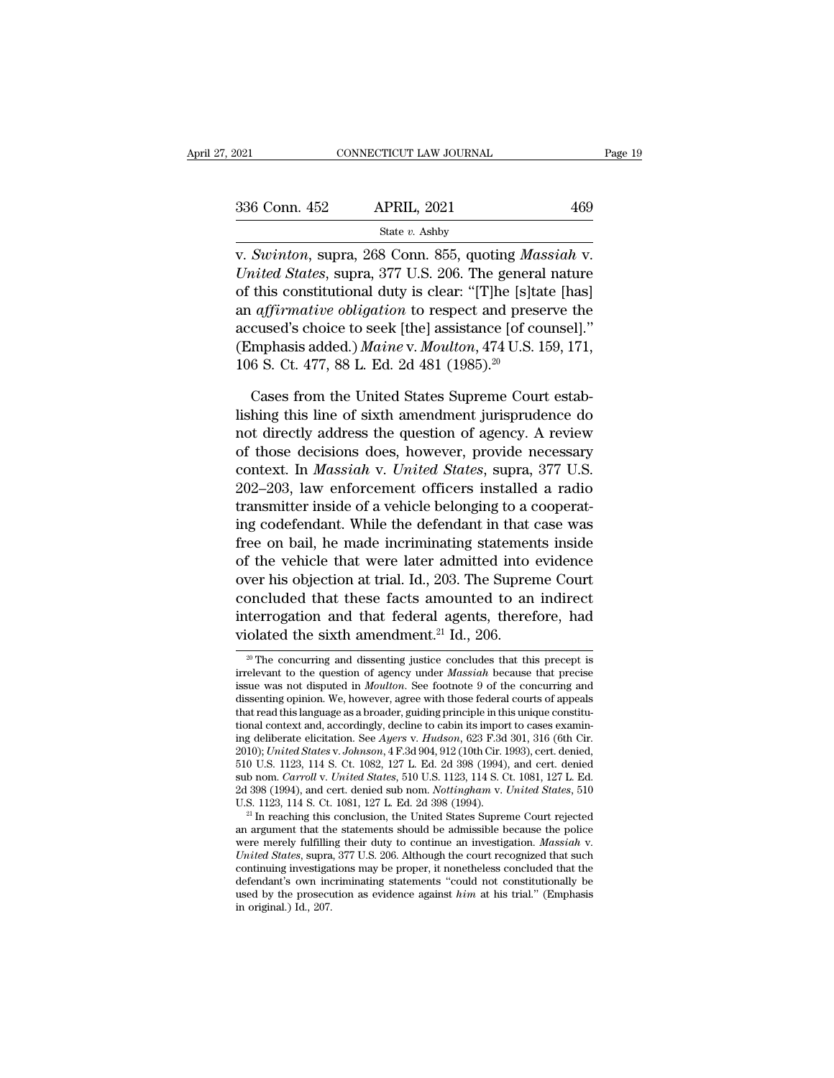| . 2021        | CONNECTICUT LAW JOURNAL                                       | Page 19 |
|---------------|---------------------------------------------------------------|---------|
|               |                                                               |         |
| 336 Conn. 452 | <b>APRIL, 2021</b>                                            | 469     |
|               | State $v$ . Ashby                                             |         |
|               | v. Swinton, supra, 268 Conn. 855, quoting <i>Massiah</i> v.   |         |
|               | <i>United States, supra, 377 U.S. 206. The general nature</i> |         |

<sup>336</sup> Conn. 452 APRIL, 2021 469<br>
<sup>State v. Ashby<br> *V. Swinton*, supra, 268 Conn. 855, quoting *Massiah V.*<br> *United States*, supra, 377 U.S. 206. The general nature<br>
of this constitutional duty is clear: "[T]he [s]tate [</sup> 336 Conn. 452 APRIL, 2021 469<br>
State v. Ashby<br>
v. Swinton, supra, 268 Conn. 855, quoting *Massiah* v.<br>
United States, supra, 377 U.S. 206. The general nature<br>
of this constitutional duty is clear: "[T]he [s]tate [has]<br>
an 336 Conn. 452 APRIL, 2021 469<br>
state v. Ashby<br>
v. Swinton, supra, 268 Conn. 855, quoting *Massiah* v.<br>
United States, supra, 377 U.S. 206. The general nature<br>
of this constitutional duty is clear: "[T]he [s]tate [has]<br>
an State v. Ashby<br>
v. Swinton, supra, 268 Conn. 855, quoting Massiah v.<br>
United States, supra, 377 U.S. 206. The general nature<br>
of this constitutional duty is clear: "[T]he [s]tate [has]<br>
an affirmative obligation to respec v. *Swinton*, supra, 268 Conn. 855, quoting *Massiah* v.<br>
United States, supra, 377 U.S. 206. The general nature<br>
of this constitutional duty is clear: "[T]he [s]tate [has]<br>
an *affirmative obligation* to respect and prese v. Swinton, supra, 268 Conn. 855, quoting Ma<br>
United States, supra, 377 U.S. 206. The genera<br>
of this constitutional duty is clear: "[T]he [s]ta<br>
an *affirmative obligation* to respect and pres<br>
accused's choice to seek [t this constitutional duty is clear: "[T]he [s]tate [has] *affirmative obligation* to respect and preserve the cused's choice to seek [the] assistance [of counsel]." mphasis added.) *Maine* v. *Moulton*, 474 U.S. 159, 171, an *affirmative obligation* to respect and preserve the<br>accused's choice to seek [the] assistance [of counsel]."<br>(Emphasis added.) *Maine* v. *Moulton*, 474 U.S. 159, 171,<br>106 S. Ct. 477, 88 L. Ed. 2d 481 (1985).<sup>20</sup><br>Cases

accused's choice to seek [the] assistance [of counsel]."<br>
(Emphasis added.) *Maine* v. *Moulton*, 474 U.S. 159, 171,<br>
106 S. Ct. 477, 88 L. Ed. 2d 481 (1985).<sup>20</sup><br>
Cases from the United States Supreme Court estab-<br>
lishing (Emphasis added.) *Maine* v. *Moulton*, 474 U.S. 159, 171, 106 S. Ct. 477, 88 L. Ed. 2d 481 (1985).<sup>20</sup><br>Cases from the United States Supreme Court establishing this line of sixth amendment jurisprudence do<br>not directly ad 106 S. Ct. 477, 88 L. Ed. 2d 481 (1985).<sup>20</sup><br>Cases from the United States Supreme Court establishing this line of sixth amendment jurisprudence do<br>not directly address the question of agency. A review<br>of those decisions do Cases from the United States Supreme Court establishing this line of sixth amendment jurisprudence do<br>not directly address the question of agency. A review<br>of those decisions does, however, provide necessary<br>context. In *M* Cases from the United States Supreme Court establishing this line of sixth amendment jurisprudence do not directly address the question of agency. A review of those decisions does, however, provide necessary context. In *M* lishing this line of sixth amendment jurisprudence do<br>not directly address the question of agency. A review<br>of those decisions does, however, provide necessary<br>context. In *Massiah* v. United States, supra, 377 U.S.<br>202–20 not directly address the question of agency. A review<br>of those decisions does, however, provide necessary<br>context. In *Massiah* v. *United States*, supra, 377 U.S.<br>202–203, law enforcement officers installed a radio<br>transm of those decisions does, however, provide necessary<br>context. In *Massiah* v. *United States*, supra, 377 U.S.<br>202–203, law enforcement officers installed a radio<br>transmitter inside of a vehicle belonging to a cooperat-<br>ing context. In *Massiah* v. *United States*, supra, 377 U.S.<br>202–203, law enforcement officers installed a radio<br>transmitter inside of a vehicle belonging to a cooperat-<br>ing codefendant. While the defendant in that case was<br>f 202–203, law enforcement officers installed a radio<br>transmitter inside of a vehicle belonging to a cooperat-<br>ing codefendant. While the defendant in that case was<br>free on bail, he made incriminating statements inside<br>of t transmitter inside of a vehicle belonging to a cooperating codefendant. While the defendant in that case was<br>free on bail, he made incriminating statements inside<br>of the vehicle that were later admitted into evidence<br>over ing codefendant. While the defendant in that free on bail, he made incriminating statement of the vehicle that were later admitted into over his objection at trial. Id., 203. The Suprer concluded that these facts amounted Expection at trial. Id., 203. The suppreme Court<br>
concluded that these facts amounted to an indirect<br>
terrogation and that federal agents, therefore, had<br>
olated the sixth amendment.<sup>21</sup> Id., 206.<br>
<sup>20</sup> The concurring and concluded that these facts amounted to an indirect<br>interrogation and that federal agents, therefore, had<br>violated the sixth amendment.<sup>21</sup> Id., 206.<br><sup>20</sup> The concurring and dissenting justice concludes that this precept is

interrogation and that federal agents, therefore, had<br>violated the sixth amendment.<sup>21</sup> Id., 206.<br><sup>20</sup> The concurring and dissenting justice concludes that this precept is<br>irrelevant to the question of agency under *Massia* interrogation and that rederal agents, therefore, had<br>violated the sixth amendment.<sup>21</sup> Id., 206.<br> $\bullet$  The concurring and dissenting justice concludes that this precept is<br>irrelevant to the question of agency under *Massi* violated the sixth amendment.<sup>21</sup> Id., 206.<br>
<sup>20</sup> The concurring and dissenting justice concludes that this precept is<br>
irrelevant to the question of agency under *Massiah* because that precise<br>
issue was not disputed in <sup>20</sup> The concurring and dissenting justice concludes that this precept is irrelevant to the question of agency under *Massiah* because that precise issue was not disputed in *Moulton*. See footnote 9 of the concurring and <sup>20</sup> The concurring and dissenting justice concludes that this precept is<br>irrelevant to the question of agency under *Massiah* because that precise<br>issue was not disputed in *Moulton*. See footnote 9 of the concurring and<br> irrelevant to the question of agency under *Massiah* because that precise<br>issue was not disputed in *Moulton*. See footnote 9 of the concurring and<br>dissenting opinion. We, however, agree with those federal courts of appeal issue was not disputed in *Moulton*. See footnote 9 of the concurring and<br>dissenting opinion. We, however, agree with those federal courts of appeals<br>that read this language as a broader, guiding principle in this unique c dissenting opinion. We, however, agree with those federal courts of appeals<br>that read this language as a broader, guiding principle in this unique constitu-<br>tional context and, accordingly, decline to cabin its import to c that read this language as a broader, guiding principle in this unique constitutional context and, accordingly, decline to cabin its import to cases examining deliberate elicitation. See Ayers v. *Hudson*, 623 F.3d 301, 31 tional context and, accordingly, decline to cabin its import to cases examining deliberate elicitation. See Ayers v. Hudson, 623 F.3d 301, 316 (6th Cir. 2010); *United States v. Johnson*, 4 F.3d 904, 912 (10th Cir. 1993), 2010); United States v. Johnson, 4 F.3d 904, 912 (10th Cir. 1993), cert. denied, 510 U.S. 1123, 114 S. Ct. 1082, 127 L. Ed. 2d 398 (1994), and cert. denied sub nom. *Carroll v. United States*, 510 U.S. 1123, 114 S. Ct. 10

<sup>510</sup> U.S. 1123, 114 S. Ct. 1082, 127 L. Ed. 2d 398 (1994), and cert. denied<br>sub nom. *Carroll v. United States*, 510 U.S. 1123, 114 S. Ct. 1081, 127 L. Ed.<br>2d 398 (1994), and cert. denied sub nom. *Nottingham v. United Stat* 2d 398 (1994), and cert. denied sub nom. *Nottingham v. United States*, 510 U.S. 1123, 114 S. Ct. 1081, 127 L. Ed. 2d 398 (1994).<br><sup>21</sup> In reaching this conclusion, the United States Supreme Court rejected an argument that U.S. 1123, 114 S. Ct. 1081, 127 L. Ed. 2d 398 (1994).<br><sup>21</sup> In reaching this conclusion, the United States Supreme Court rejected<br>an argument that the statements should be admissible because the police<br>were merely fulfilli <sup>21</sup> In reaching this conclusion, the United States Supreme Court rejected an argument that the statements should be admissible because the police were merely fulfilling their duty to continue an investigation. *Massiah* United States, supra, 377 U.S. 206. Although the court recognized that such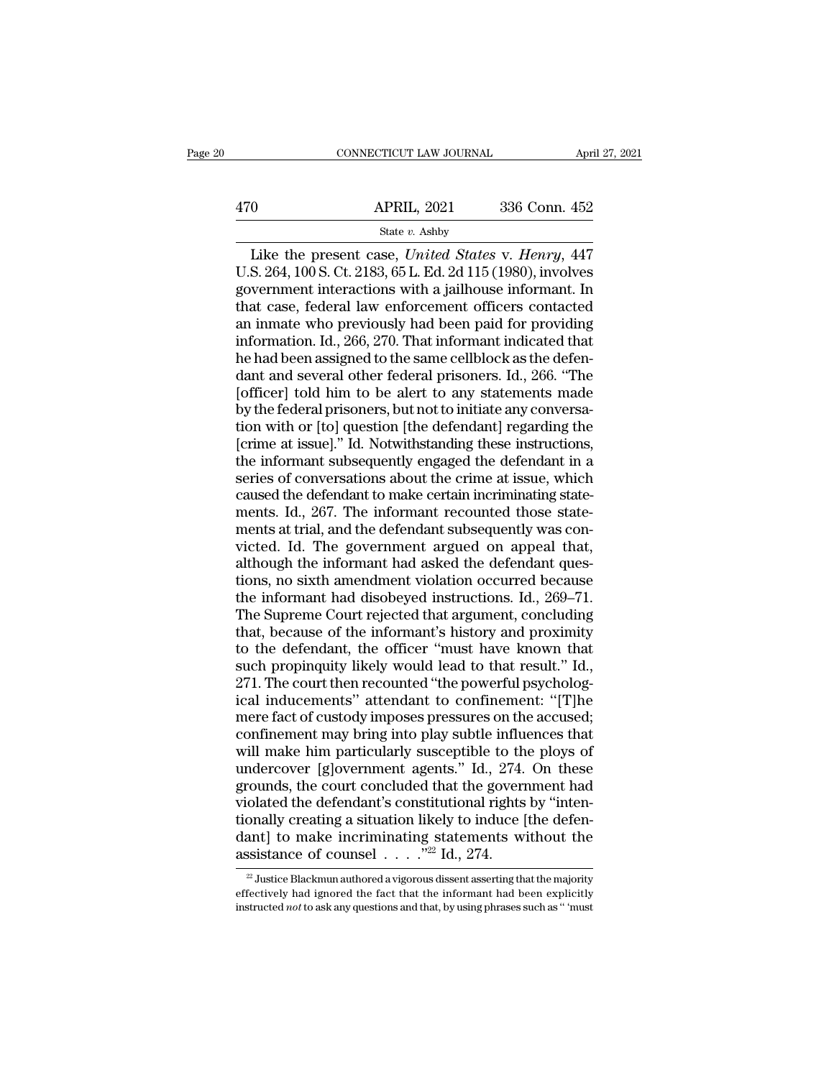CONNECTICUT LAW JOURNAL April 27, 2021<br>
0<br>
APRIL, 2021 336 Conn. 452<br>
State v. Ashby<br>
Like the present case, *United States* v. *Henry*, 447<br>
S. 264, 100 S. Ct. 2183, 65 L. Ed. 2d 115 (1980), involves 470 APRIL, 2021 336 Conn. 452<br>
State v. Ashby<br>
Like the present case, *United States v. Henry*, 447<br>
U.S. 264, 100 S. Ct. 2183, 65 L. Ed. 2d 115 (1980), involves<br>
government interactions with a jailhouse informant. In<br>
th 470 APRIL, 2021 336 Conn. 452<br>
State v. Ashby<br>
Like the present case, United States v. Henry, 447<br>
U.S. 264, 100 S. Ct. 2183, 65 L. Ed. 2d 115 (1980), involves<br>
government interactions with a jailhouse informant. In<br>
that  $\begin{array}{r} \text{APRIL, 2021} \qquad 336 \text{ Conn. } 452 \\ \hline \text{State } v. \text{ Ashby} \end{array}$ <br>
Like the present case, *United States v. Henry*, 447 U.S. 264, 100 S. Ct. 2183, 65 L. Ed. 2d 115 (1980), involves government interactions with a jailhouse inf Fig. 2621 650 Coldit. 162<br>
State v. Ashby<br>
Like the present case, United States v. Henry, 447<br>
U.S. 264, 100 S. Ct. 2183, 65 L. Ed. 2d 115 (1980), involves<br>
government interactions with a jailhouse informant. In<br>
that cas State v. Ashby<br>Like the present case, *United States v. Henry*, 447<br>U.S. 264, 100 S. Ct. 2183, 65 L. Ed. 2d 115 (1980), involves<br>government interactions with a jailhouse informant. In<br>that case, federal law enforcement of Like the present case, *United States v. Henry*, 447<br>U.S. 264, 100 S. Ct. 2183, 65 L. Ed. 2d 115 (1980), involves<br>government interactions with a jailhouse informant. In<br>that case, federal law enforcement officers contacted U.S. 264, 100 S. Ct. 2183, 65 L. Ed. 2d 115 (1980), involves<br>government interactions with a jailhouse informant. In<br>that case, federal law enforcement officers contacted<br>an inmate who previously had been paid for providing government interactions with a jailhouse informant. In<br>that case, federal law enforcement officers contacted<br>an inmate who previously had been paid for providing<br>information. Id., 266, 270. That informant indicated that<br>he that case, federal law enforcement officers contacted<br>an inmate who previously had been paid for providing<br>information. Id., 266, 270. That informant indicated that<br>he had been assigned to the same cellblock as the defen-<br> an inmate who previously had been paid for providing<br>information. Id., 266, 270. That informant indicated that<br>he had been assigned to the same cellblock as the defen-<br>dant and several other federal prisoners. Id., 266. "T information. Id., 266, 270. That informant indicated that<br>he had been assigned to the same cellblock as the defen-<br>dant and several other federal prisoners. Id., 266. "The<br>[officer] told him to be alert to any statements m he had been assigned to the same cellblock as the defendant and several other federal prisoners. Id., 266. "The [officer] told him to be alert to any statements made by the federal prisoners, but not to initiate any conver dant and several other federal prisoners. Id., 266. "The<br>[officer] told him to be alert to any statements made<br>by the federal prisoners, but not to initiate any conversa-<br>tion with or [to] question [the defendant] regardin [officer] told him to be alert to any statements made<br>by the federal prisoners, but not to initiate any conversa-<br>tion with or [to] question [the defendant] regarding the<br>[crime at issue]." Id. Notwithstanding these instru by the federal prisoners, but not to initiate any conversation with or [to] question [the defendant] regarding the [crime at issue]." Id. Notwithstanding these instructions, the informant subsequently engaged the defendant tion with or [to] question [the defendant] regarding the<br>[crime at issue]." Id. Notwithstanding these instructions,<br>the informant subsequently engaged the defendant in a<br>series of conversations about the crime at issue, wh [crime at issue]." Id. Notwithstanding these instructions,<br>the informant subsequently engaged the defendant in a<br>series of conversations about the crime at issue, which<br>caused the defendant to make certain incriminating st the informant subsequently engaged the defendant in a<br>series of conversations about the crime at issue, which<br>caused the defendant to make certain incriminating state-<br>ments. Id., 267. The informant recounted those stateseries of conversations about the crime at issue, which<br>caused the defendant to make certain incriminating state-<br>ments. Id., 267. The informant recounted those state-<br>ments at trial, and the defendant subsequently was con caused the defendant to make certain incriminating statements. Id., 267. The informant recounted those statements at trial, and the defendant subsequently was convicted. Id. The government argued on appeal that, although t ments. Id., 267. The informant recounted those statements at trial, and the defendant subsequently was convicted. Id. The government argued on appeal that, although the informant had asked the defendant questions, no sixth ments at trial, and the defendant subsequently was convicted. Id. The government argued on appeal that, although the informant had asked the defendant questions, no sixth amendment violation occurred because the informant victed. Id. The government argued on appeal that,<br>although the informant had asked the defendant ques-<br>tions, no sixth amendment violation occurred because<br>the informant had disobeyed instructions. Id., 269–71.<br>The Supreme although the informant had asked the defendant questions, no sixth amendment violation occurred because<br>the informant had disobeyed instructions. Id., 269–71.<br>The Supreme Court rejected that argument, concluding<br>that, beca tions, no sixth amendment violation occurred because<br>the informant had disobeyed instructions. Id., 269–71.<br>The Supreme Court rejected that argument, concluding<br>that, because of the informant's history and proximity<br>to the the informant had disobeyed instructions. Id., 269–71.<br>The Supreme Court rejected that argument, concluding<br>that, because of the informant's history and proximity<br>to the defendant, the officer "must have known that<br>such pr The Supreme Court rejected that argument, concluding<br>that, because of the informant's history and proximity<br>to the defendant, the officer "must have known that<br>such propinquity likely would lead to that result." Id.,<br>271. that, because of the informant's history and proximity<br>to the defendant, the officer "must have known that<br>such propinguity likely would lead to that result." Id.,<br>271. The court then recounted "the powerful psycholog-<br>ic to the defendant, the officer "must have known that<br>such propinquity likely would lead to that result." Id.,<br>271. The court then recounted "the powerful psycholog-<br>ical inducements" attendant to confinement: "[T]he<br>mere fa such propinquity likely would lead to that result." Id.,<br>271. The court then recounted "the powerful psycholog-<br>ical inducements" attendant to confinement: "[T]he<br>mere fact of custody imposes pressures on the accused;<br>conf 271. The court then recounted "the powerful psychological inducements" attendant to confinement: "[T]he<br>mere fact of custody imposes pressures on the accused;<br>confinement may bring into play subtle influences that<br>will mak ical inducements" attendant to confinement: "[T]he<br>mere fact of custody imposes pressures on the accused;<br>confinement may bring into play subtle influences that<br>will make him particularly susceptible to the ploys of<br>underc mere fact of custody imposes pressures on the accused;<br>confinement may bring into play subtle influences that<br>will make him particularly susceptible to the ploys of<br>undercover [g]overnment agents." Id., 274. On these<br>groun confinement may bring into play subtle influences that<br>will make him particularly susceptible to the ploys of<br>undercover [g]overnment agents." Id., 274. On these<br>grounds, the court concluded that the government had<br>violat will make him particularly susceptible to th<br>undercover [g]overnment agents." Id., 274.<br>grounds, the court concluded that the govern<br>violated the defendant's constitutional rights<br>tionally creating a situation likely to i <sup>22</sup> Justice Blackmun authored a vigorous dissent asserting that the majority effectively had ignored the fact that the informant had been explicitly instructed *not* to ask any questions and that, by using phrases such as '' 'must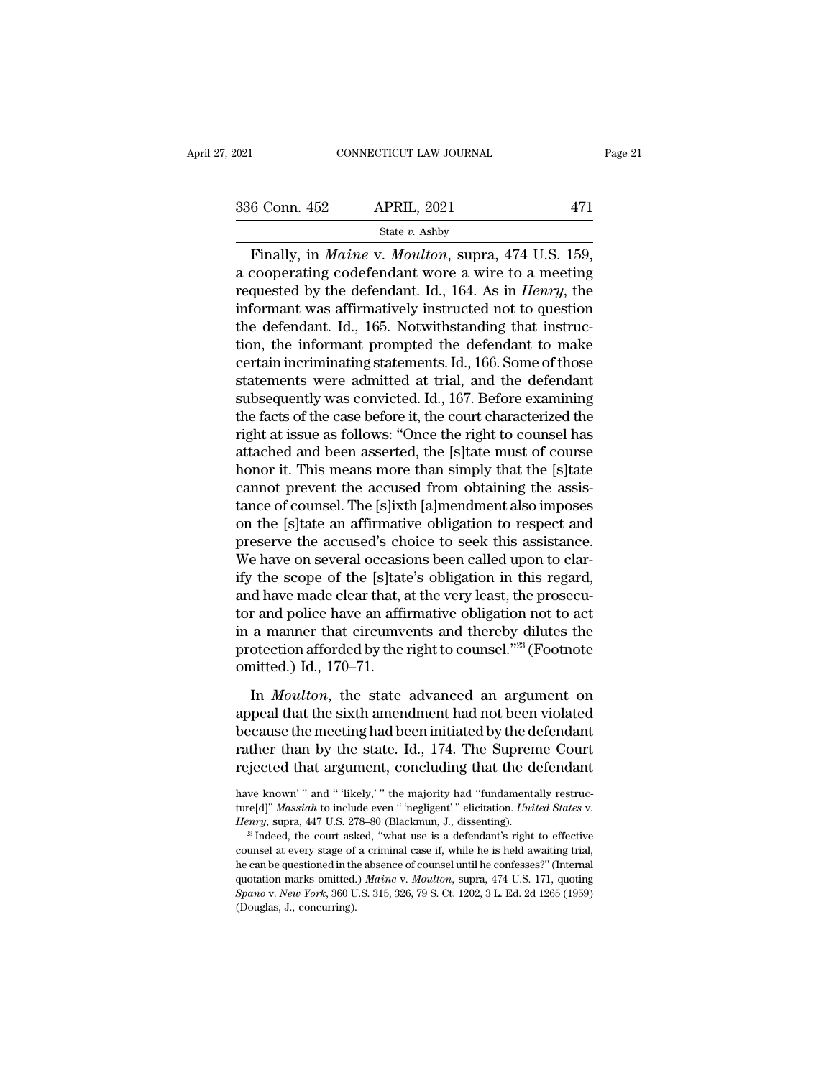| 2021          | CONNECTICUT LAW JOURNAL                                                                                                                                               | Page 21 |
|---------------|-----------------------------------------------------------------------------------------------------------------------------------------------------------------------|---------|
| 336 Conn. 452 | <b>APRIL, 2021</b>                                                                                                                                                    | 471     |
|               | State $v$ . Ashby                                                                                                                                                     |         |
|               | Finally, in <i>Maine v. Moulton</i> , supra, 474 U.S. 159,<br>a cooperating codefendant wore a wire to a meeting<br>requested by the defendant Id 164 Ag in Henry the |         |

336 Conn. 452 APRIL, 2021 471<br>
State v. Ashby<br>
Finally, in *Maine* v. *Moulton*, supra, 474 U.S. 159,<br>
a cooperating codefendant wore a wire to a meeting<br>
requested by the defendant. Id., 164. As in *Henry*, the 336 Conn. 452 APRIL, 2021 471<br>
State v. Ashby<br>
Finally, in *Maine* v. *Moulton*, supra, 474 U.S. 159,<br>
a cooperating codefendant wore a wire to a meeting<br>
requested by the defendant. Id., 164. As in *Henry*, the<br>
informan 336 Conn. 452 APRIL, 2021 471<br>
State v. Ashby<br>
Finally, in *Maine* v. *Moulton*, supra, 474 U.S. 159,<br>
a cooperating codefendant wore a wire to a meeting<br>
requested by the defendant. Id., 164. As in *Henry*, the<br>
informan State v. Ashby<br>
Finally, in *Maine* v. *Moulton*, supra, 474 U.S. 159,<br>
a cooperating codefendant wore a wire to a meeting<br>
requested by the defendant. Id., 164. As in *Henry*, the<br>
informant was affirmatively instructed Finally, in *Maine* v. *Moulton*, supra, 474 U.S. 159,<br>a cooperating codefendant wore a wire to a meeting<br>requested by the defendant. Id., 164. As in *Henry*, the<br>informant was affirmatively instructed not to question<br>the Finally, in *Maine* v. *Moulton*, supra, 474 U.S. 159,<br>a cooperating codefendant wore a wire to a meeting<br>requested by the defendant. Id., 164. As in *Henry*, the<br>informant was affirmatively instructed not to question<br>the a cooperating codefendant wore a wire to a meeting<br>requested by the defendant. Id., 164. As in *Henry*, the<br>informant was affirmatively instructed not to question<br>the defendant. Id., 165. Notwithstanding that instruc-<br>tion requested by the defendant. Id., 164. As in *Henry*, the<br>informant was affirmatively instructed not to question<br>the defendant. Id., 165. Notwithstanding that instruc-<br>tion, the informant prompted the defendant to make<br>cert informant was affirmatively instructed not to question<br>the defendant. Id., 165. Notwithstanding that instruc-<br>tion, the informant prompted the defendant to make<br>certain incriminating statements. Id., 166. Some of those<br>sta the defendant. Id., 165. Notwithstanding that instruction, the informant prompted the defendant to make<br>certain incriminating statements. Id., 166. Some of those<br>statements were admitted at trial, and the defendant<br>subsequ tion, the informant prompted the defendant to make<br>certain incriminating statements. Id., 166. Some of those<br>statements were admitted at trial, and the defendant<br>subsequently was convicted. Id., 167. Before examining<br>the f certain incriminating statements. Id., 166. Some of those<br>statements were admitted at trial, and the defendant<br>subsequently was convicted. Id., 167. Before examining<br>the facts of the case before it, the court characterized statements were admitted at trial, and the defendant<br>subsequently was convicted. Id., 167. Before examining<br>the facts of the case before it, the court characterized the<br>right at issue as follows: "Once the right to counsel subsequently was convicted. Id., 167. Before examining<br>the facts of the case before it, the court characterized the<br>right at issue as follows: "Once the right to counsel has<br>attached and been asserted, the [s]tate must of the facts of the case before it, the court characterized the<br>right at issue as follows: "Once the right to counsel has<br>attached and been asserted, the [s]tate must of course<br>honor it. This means more than simply that the [ right at issue as follows: "Once the right to counsel has<br>attached and been asserted, the [s]tate must of course<br>honor it. This means more than simply that the [s]tate<br>cannot prevent the accused from obtaining the assis-<br>t attached and been asserted, the [s]tate must of course<br>honor it. This means more than simply that the [s]tate<br>cannot prevent the accused from obtaining the assis-<br>tance of counsel. The [s]ixth [a]mendment also imposes<br>on t honor it. This means more than simply that the [s]tate<br>cannot prevent the accused from obtaining the assis-<br>tance of counsel. The [s]ixth [a]mendment also imposes<br>on the [s]tate an affirmative obligation to respect and<br>pre cannot prevent the accused from obtaining the assistance of counsel. The [s]ixth [a]mendment also imposes<br>on the [s]tate an affirmative obligation to respect and<br>preserve the accused's choice to seek this assistance.<br>We ha tance of counsel. The [s]ixth [a]mendment also imposes<br>on the [s]tate an affirmative obligation to respect and<br>preserve the accused's choice to seek this assistance.<br>We have on several occasions been called upon to clar-<br>i on the [s]tate an affirmative obligation to respect and<br>preserve the accused's choice to seek this assistance.<br>We have on several occasions been called upon to clar-<br>ify the scope of the [s]tate's obligation in this regar preserve the accused's choice to seek this assistance.<br>We have on several occasions been called upon to clar-<br>ify the scope of the [s]tate's obligation in this regard,<br>and have made clear that, at the very least, the prose We have on several occasion<br>ify the scope of the [s]tate<br>and have made clear that,  $\varepsilon$ <br>tor and police have an affin<br>in a manner that circumve<br>protection afforded by the i<br>omitted.) Id., 170–71.<br>In *Moulton*, the state In *Moulton*, the state advanced an argument on<br>peak the state and police have an affirmative obligation not to act<br>a manner that circumvents and thereby dilutes the<br>otection afforded by the right to counsel.<sup>723</sup> (Footnot and police have an affirmative obligation not to act<br>in a manner that circumvents and thereby dilutes the<br>protection afforded by the right to counsel."<sup>23</sup> (Footnote<br>omitted.) Id., 170–71.<br>In *Moulton*, the state advanced

because the meeting had been initiated by the right to counsel."<sup>23</sup> (Footnote omitted.) Id., 170–71.<br>In *Moulton*, the state advanced an argument on appeal that the sixth amendment had not been violated because the meetin rather and distribute that alleges and the state of protection afforded by the right to counsel."<sup>23</sup> (Footnote omitted.) Id., 170–71.<br>In *Moulton*, the state advanced an argument on appeal that the sixth amendment had not procedured.) Id., 170–71.<br>In *Moulton*, the state advanced an argument on<br>appeal that the sixth amendment had not been violated<br>because the meeting had been initiated by the defendant<br>rather than by the state. Id., 174. Th appeal that the sixth amendment had not been violated<br>because the meeting had been initiated by the defendant<br>rather than by the state. Id., 174. The Supreme Court<br>rejected that argument, concluding that the defendant<br>have because the meeting had been initiated by the defendant<br>rather than by the state. Id., 174. The Supreme Court<br>rejected that argument, concluding that the defendant<br>have known'" and "'likely,'" the majority had "fundamental

rejected triat argument, Concruding triat the deferminant<br>have known'" and "fikely," the majority had "fundamentally restruc-<br>ture[d]" *Massiah* to include even " 'negligent' " elicitation. *United States v.*<br>*Henry*, supr have known'" and "likely," the majority had "fundamentally restructure[d]" *Massiah* to include even " 'negligent' " elicitation. *United States v. Henry*, supra, 447 U.S. 278–80 (Blackmun, J., dissenting). <sup>23</sup> Indeed, ture[d]" *Massiah* to include even "inegligent" "elicitation. *United States v. Henry*, supra, 447 U.S. 278–80 (Blackmun, J., dissenting).<br><sup>23</sup> Indeed, the court asked, "what use is a defendant's right to effective couns *Spano* v. *New York*, 360 U.S. 315, 326, 79 S. Ct. 1202, 3 L. Ed. 2d 1265 (1959) (Douglas, J., concurring).<br> *Spanove v. <i>New Yorkay* Spannial case if, while he is held awaiting trial, the can be questioned in the absence Henry, supra, 447 U.S. 278–80 (Blackmun, J., dissenting).<br><sup>23</sup> Indeed, the court asked, "what use is a defendant's right to effective<br>counsel at every stage of a criminal case if, while he is held awaiting trial,<br>he can b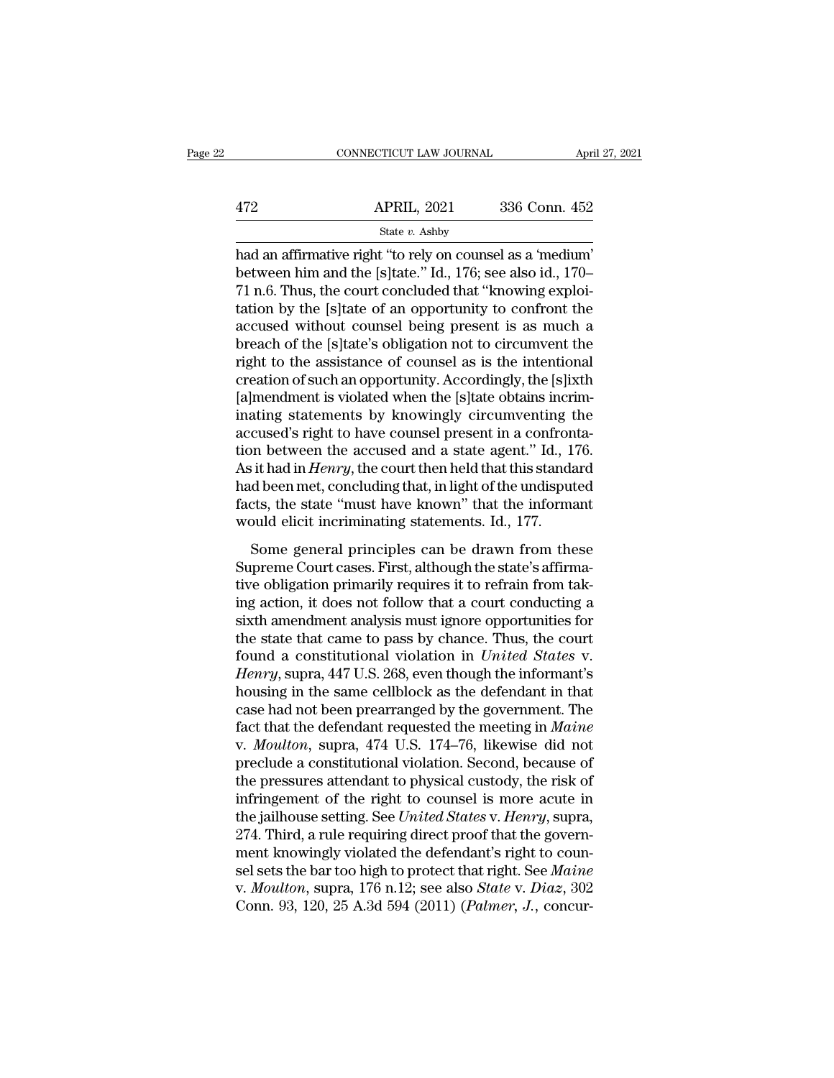|     | CONNECTICUT LAW JOURNAL                                                                                                                                                            | April 27, 2021 |
|-----|------------------------------------------------------------------------------------------------------------------------------------------------------------------------------------|----------------|
| 472 | <b>APRIL, 2021</b>                                                                                                                                                                 | 336 Conn. 452  |
|     | State $v$ . Ashby                                                                                                                                                                  |                |
|     | had an affirmative right "to rely on counsel as a 'medium'<br>between him and the [s]tate." Id., 176; see also id., 170–<br>71 n 6. Thus the court concluded that "Izpowing evolor |                |

 $\begin{array}{r} \text{APRIL, 2021} \qquad \text{336 Conn. 452} \ \text{State } v. \text{ Ashby} \ \text{had an affirmative right "to rely on coursel as a 'medium' between him and the [s]tate." Id., 176; see also id., 170–71 n.6. Thus, the court concluded that "knowing exploitation by the (s)thate of an opportunity to confront the object.} \end{array}$ 472 APRIL, 2021 336 Conn. 452<br>
State v. Ashby<br>
had an affirmative right "to rely on counsel as a 'medium'<br>
between him and the [s]tate." Id., 176; see also id., 170–<br>
71 n.6. Thus, the court concluded that "knowing exploi  $\begin{array}{r} \text{APRIL, 2021} \text{336 Conn. 452} \\ \text{State } v. \text{ Ashby} \\ \text{had an affirmative right "to rely on coursel as a 'medium'} \\ \text{between him and the [s]tate." Id., 176; see also id., 170–71 n.6. Thus, the court concluded that "knowing exploitation by the [s]tate of an opportunity to confront the accused without course leing present is as much a thread of the [s]tate's obligation not to circumvent the dataset.$ State v. Ashby<br>
and an affirmative right "to rely on counsel as a 'medium'<br>
between him and the [s]tate." Id., 176; see also id., 170–<br>
T1 n.6. Thus, the court concluded that "knowing exploi-<br>
tation by the [s]tate of an state v. Ashby<br>had an affirmative right "to rely on counsel as a 'medium'<br>between him and the [s]tate." Id., 176; see also id., 170–<br>71 n.6. Thus, the court concluded that "knowing exploi-<br>tation by the [s]tate of an oppo had an affirmative right "to rely on counsel as a 'medium'<br>between him and the [s]tate." Id., 176; see also id., 170–<br>71 n.6. Thus, the court concluded that "knowing exploi-<br>tation by the [s]tate of an opportunity to confr between him and the [s]tate." Id., 176; see also id., 170–<br>71 n.6. Thus, the court concluded that "knowing exploi-<br>tation by the [s]tate of an opportunity to confront the<br>accused without counsel being present is as much a<br> 71 n.6. Thus, the court concluded that "knowing exploitation by the [s]tate of an opportunity to confront the accused without counsel being present is as much a breach of the [s]tate's obligation not to circumvent the rig tation by the [s]tate of an opportunity to confront the<br>accused without counsel being present is as much a<br>breach of the [s]tate's obligation not to circumvent the<br>right to the assistance of counsel as is the intentional<br>c accused without counsel being present is as much a<br>breach of the [s]tate's obligation not to circumvent the<br>right to the assistance of counsel as is the intentional<br>creation of such an opportunity. Accordingly, the [s]ixth breach of the [s]tate's obligation not to circumvent the<br>right to the assistance of counsel as is the intentional<br>creation of such an opportunity. Accordingly, the [s]ixth<br>[a]mendment is violated when the [s]tate obtains i right to the assistance of counsel as is the intentional<br>creation of such an opportunity. Accordingly, the [s]ixth<br>[a]mendment is violated when the [s]tate obtains incrim-<br>inating statements by knowingly circumventing the<br> creation of such an opportunity. Accordingly, the [s]ixth<br>[a]mendment is violated when the [s]tate obtains incrim-<br>inating statements by knowingly circumventing the<br>accused's right to have counsel present in a confronta-<br>t [a]mendment is violated when the [s]tate obtains incriminating statements by knowingly circumventing the accused's right to have counsel present in a confrontation between the accused and a state agent." Id., 176. As it h inating statements by knowingly circumventing t<br>accused's right to have counsel present in a confron<br>tion between the accused and a state agent." Id., 1<br>As it had in *Henry*, the court then held that this standa<br>had been between the accused and a state agent." Id., 176.<br>it had in *Henry*, the court then held that this standard<br>d been met, concluding that, in light of the undisputed<br>cts, the state "must have known" that the informant<br>pull e As it had in *Henry*, the court then held that this standard<br>had been met, concluding that, in light of the undisputed<br>facts, the state "must have known" that the informant<br>would elicit incriminating statements. Id., 177.<br>

The relation primarily, are court interfered that this standard<br>had been met, concluding that, in light of the undisputed<br>facts, the state "must have known" that the informant<br>would elicit incriminating statements. Id., 1 rad bechines, concluding anas, in fight of the analysis decreases facts, the state "must have known" that the informant would elicit incriminating statements. Id., 177.<br>Some general principles can be drawn from these Supre sixtee the mass have moving that the morninum<br>would elicit incriminating statements. Id., 177.<br>Some general principles can be drawn from these<br>Supreme Court cases. First, although the state's affirma-<br>tive obligation prima some general principles can be drawn from these<br>Supreme Court cases. First, although the state's affirma-<br>tive obligation primarily requires it to refrain from tak-<br>ing action, it does not follow that a court conducting a Some general principles can be drawn from these<br>Supreme Court cases. First, although the state's affirma-<br>tive obligation primarily requires it to refrain from tak-<br>ing action, it does not follow that a court conducting a<br> Supreme Court cases. First, although the state's affirmative obligation primarily requires it to refrain from taking action, it does not follow that a court conducting a sixth amendment analysis must ignore opportunities f tive obligation primarily requires it to refrain from taking action, it does not follow that a court conducting a sixth amendment analysis must ignore opportunities for the state that came to pass by chance. Thus, the cour ing action, it does not follow that a court conducting a<br>sixth amendment analysis must ignore opportunities for<br>the state that came to pass by chance. Thus, the court<br>found a constitutional violation in *United States v.<br>* sixth amendment analysis must ignore opportunities for<br>the state that came to pass by chance. Thus, the court<br>found a constitutional violation in *United States v.*<br>*Henry*, supra, 447 U.S. 268, even though the informant's the state that came to pass by chance. Thus, the court<br>found a constitutional violation in *United States* v.<br>*Henry*, supra, 447 U.S. 268, even though the informant's<br>housing in the same cellblock as the defendant in that found a constitutional violation in *United States v.*<br>Henry, supra, 447 U.S. 268, even though the informant's<br>housing in the same cellblock as the defendant in that<br>case had not been prearranged by the government. The<br>fac Henry, supra, 447 U.S. 268, even though the informant's<br>housing in the same cellblock as the defendant in that<br>case had not been prearranged by the government. The<br>fact that the defendant requested the meeting in *Maine*<br>v housing in the same cellblock as the defendant in that<br>case had not been prearranged by the government. The<br>fact that the defendant requested the meeting in *Maine*<br>v. *Moulton*, supra, 474 U.S. 174–76, likewise did not<br>p case had not been prearranged by the government. The fact that the defendant requested the meeting in *Maine* v. *Moulton*, supra, 474 U.S. 174–76, likewise did not preclude a constitutional violation. Second, because of t fact that the defendant requested the meeting in *Maine*<br>v. *Moulton*, supra, 474 U.S. 174–76, likewise did not<br>preclude a constitutional violation. Second, because of<br>the pressures attendant to physical custody, the risk v. *Moulton*, supra, 474 U.S. 174–76, likewise did not preclude a constitutional violation. Second, because of the pressures attendant to physical custody, the risk of infringement of the right to counsel is more acute in preclude a constitutional violation. Second, because of<br>the pressures attendant to physical custody, the risk of<br>infringement of the right to counsel is more acute in<br>the jailhouse setting. See *United States v. Henry*, su the pressures attendant to physical custody, the risk of<br>infringement of the right to counsel is more acute in<br>the jailhouse setting. See *United States* v. *Henry*, supra,<br>274. Third, a rule requiring direct proof that th infringement of the right to counsel is more acute in<br>the jailhouse setting. See *United States* v. *Henry*, supra,<br>274. Third, a rule requiring direct proof that the govern-<br>ment knowingly violated the defendant's right t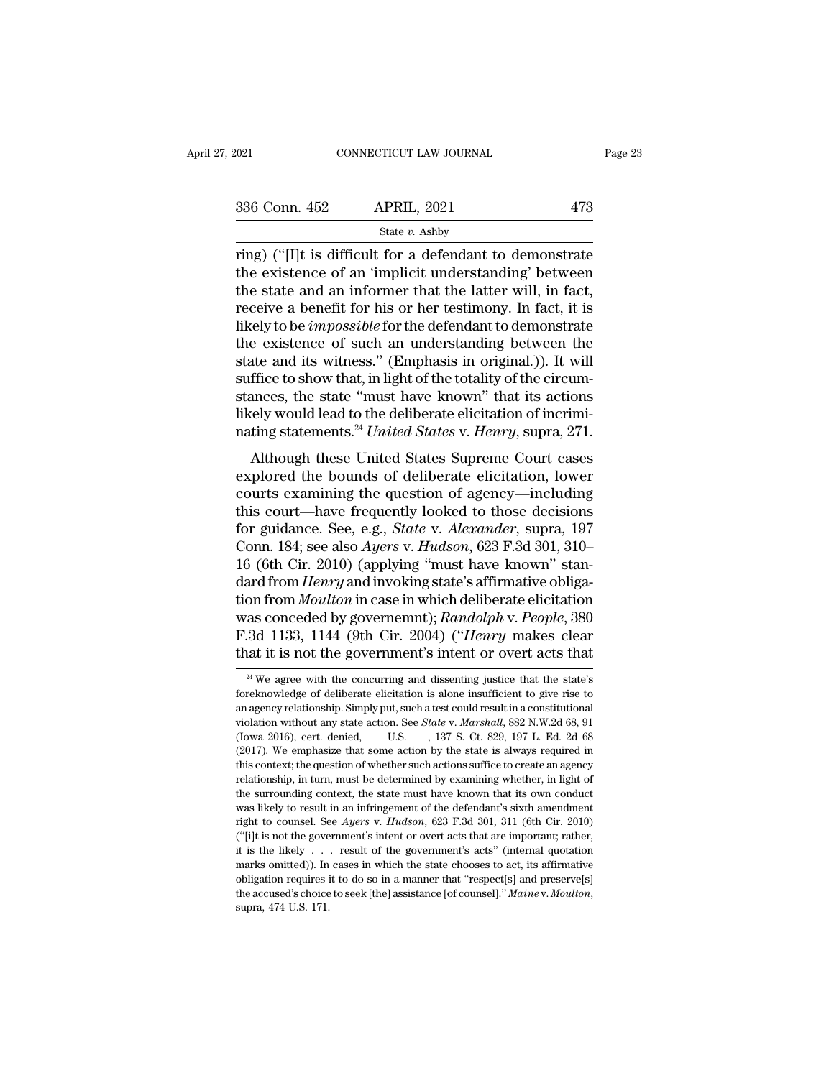| 2021          | CONNECTICUT LAW JOURNAL                                                                                                                                                   | Page 23 |
|---------------|---------------------------------------------------------------------------------------------------------------------------------------------------------------------------|---------|
| 336 Conn. 452 | <b>APRIL, 2021</b>                                                                                                                                                        | 473     |
|               | State $v$ . Ashby                                                                                                                                                         |         |
|               | ring) ("I]t is difficult for a defendant to demonstrate<br>the existence of an 'implicit understanding' between<br>the state and an informer that the latter will in fact |         |

336 Conn. 452 APRIL, 2021 473<br>
State v. Ashby<br>
Tring) ("[I]t is difficult for a defendant to demonstrate<br>
the existence of an 'implicit understanding' between<br>
the state and an informer that the latter will, in fact,<br>
roc 336 Conn. 452 APRIL, 2021 473<br>
State v. Ashby<br>
Tring) ("[I]t is difficult for a defendant to demonstrate<br>
the existence of an 'implicit understanding' between<br>
the state and an informer that the latter will, in fact,<br>
rec 336 Conn. 452 APRIL, 2021 473<br>
State v. Ashby<br>
ring) ("[I]t is difficult for a defendant to demonstrate<br>
the existence of an 'implicit understanding' between<br>
the state and an informer that the latter will, in fact,<br>
rece State *v*. Ashby<br>
ring) ("[I]t is difficult for a defendant to demonstrate<br>
the existence of an 'implicit understanding' between<br>
the state and an informer that the latter will, in fact,<br>
receive a benefit for his or her state *v*. Ashby<br>
ring) ("[I]t is difficult for a defendant to demonstrate<br>
the existence of an 'implicit understanding' between<br>
the state and an informer that the latter will, in fact,<br>
receive a benefit for his or her ring) ("[I]t is difficult for a defendant to demonstrate<br>the existence of an 'implicit understanding' between<br>the state and an informer that the latter will, in fact,<br>receive a benefit for his or her testimony. In fact, it the existence of an 'implicit understanding' between<br>the state and an informer that the latter will, in fact,<br>receive a benefit for his or her testimony. In fact, it is<br>likely to be *impossible* for the defendant to demons the state and an informer that the latter will, in fact,<br>receive a benefit for his or her testimony. In fact, it is<br>likely to be *impossible* for the defendant to demonstrate<br>the existence of such an understanding between receive a benefit for his or her testimony. In fact, it is likely to be *impossible* for the defendant to demonstrate the existence of such an understanding between the state and its witness." (Emphasis in original.)). It likely to be *impossible* for the defendant to demonstrate<br>the existence of such an understanding between the<br>state and its witness." (Emphasis in original.)). It will<br>suffice to show that, in light of the totality of the the and its witness." (Emphasis in original.)). It will<br>ffice to show that, in light of the totality of the circum-<br>ances, the state "must have known" that its actions<br>rely would lead to the deliberate elicitation of incri state and its whitess. (Emphasis in original.)). It winds<br>suffice to show that, in light of the totality of the circum-<br>stances, the state "must have known" that its actions<br>likely would lead to the deliberate elicitation

stance to show that, in fight of the totality of the cheant-<br>stances, the state "must have known" that its actions<br>likely would lead to the deliberate elicitation of incrimi-<br>nating statements.<sup>24</sup> United States v. Henry, stances, the state must have known that its actions<br>likely would lead to the deliberate elicitation of incrimi-<br>nating statements.<sup>24</sup> United States v. Henry, supra, 271.<br>Although these United States Supreme Court cases<br>e mating statements.<sup>24</sup> United States v. Henry, supra, 271.<br>Although these United States Supreme Court cases<br>explored the bounds of deliberate elicitation, lower<br>courts examining the question of agency—including<br>this court— Rading statements. *Chited States V. Henry,* supra, 271.<br>Although these United States Supreme Court cases<br>explored the bounds of deliberate elicitation, lower<br>courts examining the question of agency—including<br>this court—ha Although these United States Supreme Court cases<br>explored the bounds of deliberate elicitation, lower<br>courts examining the question of agency—including<br>this court—have frequently looked to those decisions<br>for guidance. See explored the bounds of deliberate elicitation, lower<br>courts examining the question of agency—including<br>this court—have frequently looked to those decisions<br>for guidance. See, e.g., *State* v. *Alexander*, supra, 197<br>Conn. courts examining the question of agency—including<br>this court—have frequently looked to those decisions<br>for guidance. See, e.g., *State* v. *Alexander*, supra, 197<br>Conn. 184; see also *Ayers* v. *Hudson*, 623 F.3d 301, 310– this court—have frequently looked to those decisions<br>for guidance. See, e.g., *State v. Alexander*, supra, 197<br>Conn. 184; see also *Ayers v. Hudson*, 623 F.3d 301, 310–<br>16 (6th Cir. 2010) (applying "must have known" stan-<br> for guidance. See, e.g., *State v. Alexander*, supra, 197<br>Conn. 184; see also *Ayers v. Hudson*, 623 F.3d 301, 310–<br>16 (6th Cir. 2010) (applying "must have known" stan-<br>dard from *Henry* and invoking state's affirmative ob Conn. 184; see also *Ayers* v. *Hudson*, 623 F.3d 301, 310–16 (6th Cir. 2010) (applying "must have known" standard from *Henry* and invoking state's affirmative obligation from *Moulton* in case in which deliberate elicit on from *Moutton* in case in which deliberate elicitation<br>as conceded by governemnt); *Randolph v. People*, 380<br>3d 1133, 1144 (9th Cir. 2004) ("*Henry* makes clear<br>at it is not the government's intent or overt acts that<br>was conceded by governemnt);  $Random$  v.  $People$  s.  $904$   $Henry$  makes clear that it is not the government's intent or overt acts that  $\frac{24}{10}$  We agree with the concurring and dissenting justice that the state's foreknowled

F.3d 1133, 1144 (9th Cir. 2004) ("*Henry* makes clear that it is not the government's intent or overt acts that  $\frac{24 \text{ We}}{4 \text{ We}}$  agree with the concurring and dissenting justice that the state's foreknowledge of deli violation without any state action. See *State* v. *Marshall*, 882 N.W.2d 68, 91 (lowa 2016), cert. denied, U.S. 137 S. Ct. 829, 197 L. Ed. 2d 68 <sup>24</sup> We agree with the concurring and dissenting justice that the state's foreknowledge of deliberate elicitation is alone insufficient to give rise to an agency relationship. Simply put, such a test could result in a con <sup>24</sup> We agree with the concurring and dissenting justice that the state's foreknowledge of deliberate elicitation is alone insufficient to give rise to an agency relationship. Simply put, such a test could result in a con foreknowledge of deliberate elicitation is alone insufficient to give rise to an agency relationship. Simply put, such a test could result in a constitutional violation without any state action. See *State* v. *Marshall*, an agency relationship. Simply put, such a test could result in a constitutional violation without any state action. See *State v. Marshall*, 882 N.W.2d 68, 91 (Iowa 2016), cert. denied, U.S. , 137 S. Ct. 829, 197 L. Ed. 2 winduction without any state action. See *State v. Marshall*, 882 N.W.2d 68, 91 (Iowa 2016), cert. denied, U.S. , 137 S. Ct. 829, 197 L. Ed. 2d 68 (2017). We emphasize that some action by the state is always required in t (Iowa 2016), cert. denied, U.S. , 137 S. Ct. 829, 197 L. Ed. 2d 68 (2017). We emphasize that some action by the state is always required in this context; the question of whether such actions suffice to create an agency re (2017). We emphasize that some action by the state is always required in this context; the question of whether such actions suffice to create an agency relationship, in turn, must be determined by examining whether, in lig (this context; the question of whether such actions suffice to create an agency relationship, in turn, must be determined by examining whether, in light of the surrounding context, the state must have known that its own c relationship, in turn, must be determined by examining whether, in light of the surrounding context, the state must have known that its own conduct was likely to result in an infringement of the defendant's sixth amendmen the surrounding context, the state must have known that its own conduct was likely to result in an infringement of the defendant's sixth amendment right to counsel. See Ayers v. Hudson, 623 F.3d 301, 311 (6th Cir. 2010) ( was likely to result in an infringement of the defendant's sixth anner<br>dment right to counsel. See Ayers v. Hudson, 623 F.3d 301, 311 (6th Cir. 2010) ("[i]t is not the government's intent or overt acts that are important; the accused's choice to seek [the] assistance [of counsel]. "*After actual to counsel. See Ayers v. Hudson*, 623 F.3d 301, 311 (6th Cir. 2010) ("[i]t is not the government's intent or overt acts that are important; rather,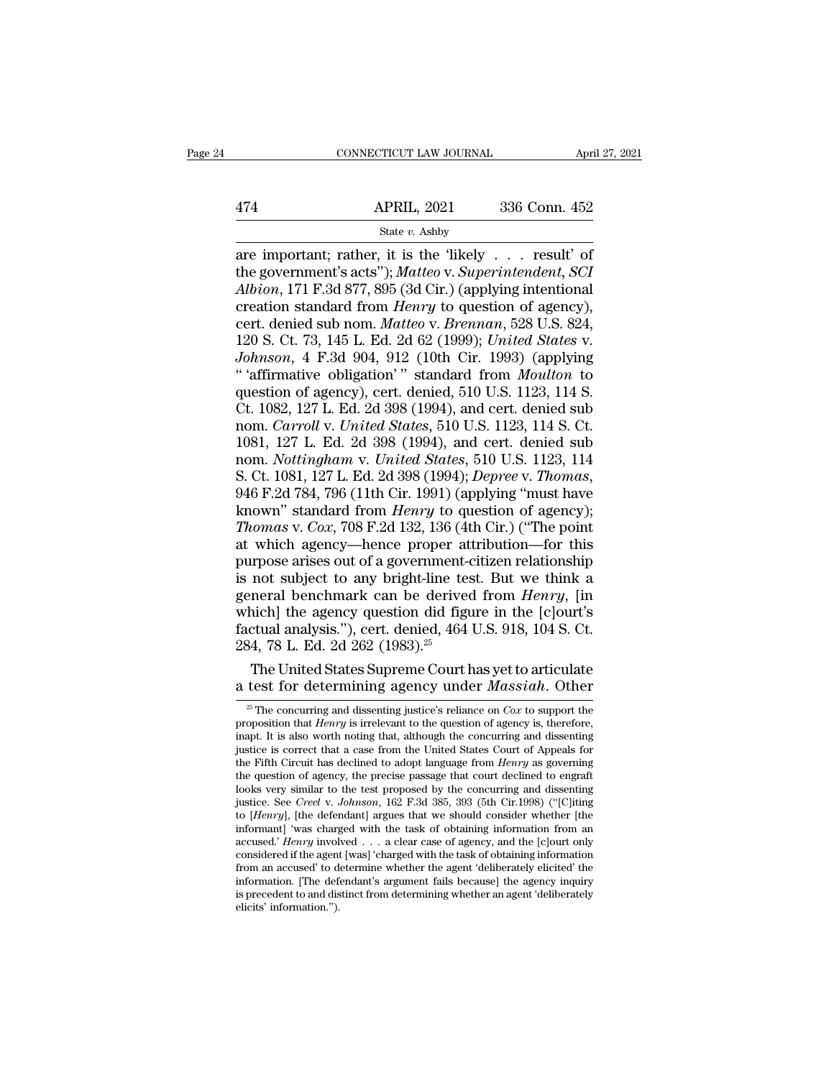cONNECTICUT LAW JOURNAL April 27, 202<br>
474 APRIL, 2021 336 Conn. 452<br>
5tate v. Ashby<br>
are important; rather, it is the 'likely . . . result' of<br>
the government's acts''); *Matteo* v. *Superintendent*, *SCI*<br>
4*lbion* 171 F 174 APRIL, 2021 336 Conn. 452<br>
State *v.* Ashby<br>
are important; rather, it is the 'likely . . . result' of<br>
the government's acts''); *Matteo* v. *Superintendent*, *SCI*<br> *Albion*, 171 F.3d 877, 895 (3d Cir.) (applying int *APRIL*, 2021 336 Conn. 452<br> *State v. Ashby*<br>
are important; rather, it is the 'likely . . . result' of<br>
the government's acts''); *Matteo v. Superintendent*, *SCI*<br> *Albion*, 171 F.3d 877, 895 (3d Cir.) (applying intenti 474 APRIL, 2021 336 Conn. 452<br>
State *v*. Ashby<br>
are important; rather, it is the 'likely . . . result' of<br>
the government's acts''); *Matteo* v. *Superintendent*, *SCI*<br> *Albion*, 171 F.3d 877, 895 (3d Cir.) (applying int State *v.* Ashby<br>
are important; rather, it is the 'likely . . . result' of<br>
the government's acts''); *Matteo* v. *Superintendent*, *SCI*<br> *Albion*, 171 F.3d 877, 895 (3d Cir.) (applying intentional<br>
creation standard fro State *v.* Ashby<br>are important; rather, it is the 'likely . . . result' of<br>the government's acts''); *Matteo* v. *Superintendent*, *SCI*<br>*Albion*, 171 F.3d 877, 895 (3d Cir.) (applying intentional<br>creation standard from *H* are important; rather, it is the 'likely . . . . result' of<br>the government's acts''); *Matteo* v. *Superintendent*, *SCI*<br>*Albion*, 171 F.3d 877, 895 (3d Cir.) (applying intentional<br>creation standard from *Henry* to questi the government's acts"); *Matteo* v. *Superintendent*, *SCI*<br> *Albion*, 171 F.3d 877, 895 (3d Cir.) (applying intentional<br>
creation standard from *Henry* to question of agency),<br>
cert. denied sub nom. *Matteo* v. *Brennan* Albion, 171 F.3d 877, 895 (3d Cir.) (applying intentional<br>creation standard from *Henry* to question of agency),<br>cert. denied sub nom. *Matteo* v. *Brennan*, 528 U.S. 824,<br>120 S. Ct. 73, 145 L. Ed. 2d 62 (1999); *United St* creation standard from *Henry* to question of agency),<br>cert. denied sub nom. *Matteo* v. *Brennan*, 528 U.S. 824,<br>120 S. Ct. 73, 145 L. Ed. 2d 62 (1999); *United States* v.<br>*Johnson*, 4 F.3d 904, 912 (10th Cir. 1993) (appl cert. denied sub nom. *Matteo* v. *Brennan*, 528 U.S. 824, 120 S. Ct. 73, 145 L. Ed. 2d 62 (1999); *United States* v. *Johnson*, 4 F.3d 904, 912 (10th Cir. 1993) (applying " 'affirmative obligation' " standard from *Moulto* 120 S. Ct. 73, 145 L. Ed. 2d 62 (1999); *United States v.*<br> *Johnson*, 4 F.3d 904, 912 (10th Cir. 1993) (applying<br>
" 'affirmative obligation' " standard from *Moulton* to<br>
question of agency), cert. denied, 510 U.S. 1123, Johnson, 4 F.3d 904, 912 (10th Cir. 1993) (applying<br>
"'affirmative obligation'" standard from *Moulton* to<br>
question of agency), cert. denied, 510 U.S. 1123, 114 S.<br>
Ct. 1082, 127 L. Ed. 2d 398 (1994), and cert. denied sub " 'affirmative obligation' " standard from *Moulton* to<br>question of agency), cert. denied, 510 U.S. 1123, 114 S.<br>Ct. 1082, 127 L. Ed. 2d 398 (1994), and cert. denied sub<br>nom. *Carroll v. United States*, 510 U.S. 1123, 114 Ct. 1082, 127 L. Ed. 2d 398 (1994), and cert. denied sub<br>nom. *Carroll v. United States*, 510 U.S. 1123, 114 S. Ct.<br>1081, 127 L. Ed. 2d 398 (1994), and cert. denied sub<br>nom. *Nottingham v. United States*, 510 U.S. 1123, 11 nom. *Carroll v. United States*, 510 U.S. 1123, 114 S. Ct.<br>1081, 127 L. Ed. 2d 398 (1994), and cert. denied sub<br>nom. *Nottingham v. United States*, 510 U.S. 1123, 114<br>S. Ct. 1081, 127 L. Ed. 2d 398 (1994); *Depree v. Thoma* 1081, 127 L. Ed. 2d 398 (1994), and cert. denied sub<br>nom. *Nottingham v. United States*, 510 U.S. 1123, 114<br>S. Ct. 1081, 127 L. Ed. 2d 398 (1994); *Depree v. Thomas*,<br>946 F.2d 784, 796 (11th Cir. 1991) (applying "must hav nom. *Nottingham* v. *United States*, 510 U.S. 1123, 114<br>S. Ct. 1081, 127 L. Ed. 2d 398 (1994); *Depree v. Thomas*,<br>946 F.2d 784, 796 (11th Cir. 1991) (applying "must have<br>known" standard from *Henry* to question of agency S. Ct. 1081, 127 L. Ed. 2d 398 (1994); *Depree v. Thomas*, 946 F.2d 784, 796 (11th Cir. 1991) (applying "must have known" standard from *Henry* to question of agency); *Thomas v. Cox*, 708 F.2d 132, 136 (4th Cir.) ("The po 946 F.2d 784, 796 (11th Cir. 1991) (applying "must have<br>known" standard from *Henry* to question of agency);<br>*Thomas* v. *Cox*, 708 F.2d 132, 136 (4th Cir.) ("The point<br>at which agency—hence proper attribution—for this<br>pur known" standard from *Henry* to question of agency);<br> *Thomas* v. Cox, 708 F.2d 132, 136 (4th Cir.) ("The point<br>
at which agency—hence proper attribution—for this<br>
purpose arises out of a government-citizen relationship<br> Thomas v. Cox, 708 F.2d 132, 136 (4th Cir.) ("The point<br>at which agency—hence proper attribution—for this<br>purpose arises out of a government-citizen relationship<br>is not subject to any bright-line test. But we think a<br>gene at which agency—hence proper att<br>purpose arises out of a government-c<br>is not subject to any bright-line tes<br>general benchmark can be derived<br>which] the agency question did figu<br>factual analysis."), cert. denied, 464<br>284, 7 prose arises out of a government-citizen relationship<br>not subject to any bright-line test. But we think a<br>neral benchmark can be derived from *Henry*, [in<br>ich] the agency question did figure in the [c]ourt's<br>ctual analysi is not subject to any bright-line test. But we think a<br>general benchmark can be derived from *Henry*, [in<br>which] the agency question did figure in the [c]ourt's<br>factual analysis."), cert. denied, 464 U.S. 918, 104 S. Ct.<br>

<sup>25</sup> The Concurring and dissenting public of a series of *Cox* to articulate<br>
24, 78 L. Ed. 2d 262 (1983).<sup>25</sup><br>
25 The United States Supreme Court has yet to articulate<br>
25 The concurring and dissenting justice's reliance o 284, 78 L. Ed. 2d 262 (1983).<sup>25</sup><br>The United States Supreme Court has yet to articulate<br>a test for determining agency under *Massiah*. Other<br> $\frac{1}{2}$  The concurring and dissenting justice's reliance on *Cox* to support t The United States Supreme Court has yet to articulate<br>a test for determining agency under *Massiah*. Other<br> $\frac{1}{2}$  The concurring and dissenting justice's reliance on *Cox* to support the<br>proposition that *Henry* is irr The United States Supreme Court has yet to articulate<br>a test for determining agency under *Massiah*. Other<br> $\frac{1}{2}$  The concurring and dissenting justice's reliance on *Cox* to support the<br>proposition that *Henry* is irr a test for determining agency under *Massiah*. Other<br>
<sup>25</sup> The concurring and dissenting justice's reliance on *Cox* to support the<br>
proposition that *Henry* is irrelevant to the question of agency is, therefore,<br>
inapt. I <sup>25</sup> The concurring and dissenting justice's reliance on *Cox* to support the proposition that *Henry* is irrelevant to the question of agency is, therefore, inapt. It is also worth noting that, although the concurring an <sup>26</sup> The concurring and dissenting justice's reliance on *Cox* to support the proposition that *Henry* is irrelevant to the question of agency is, therefore, inapt. It is also worth noting that, although the concurring an proposition that *Henry* is irrelevant to the question of agency is, therefore, inapt. It is also worth noting that, although the concurring and dissenting justice is correct that a case from the United States Court of App inapt. It is also worth noting that, although the concurring and dissenting<br>justice is correct that a case from the United States Court of Appeals for<br>the Fifth Circuit has declined to adopt language from *Henry* as govern justice is correct that a case from the United States Court of Appeals for<br>the Fifth Circuit has declined to adopt language from *Henry* as governing<br>the question of agency, the precise passage that court declined to engr the Fifth Circuit has declined to adopt language from *Henry* as governing<br>the question of agency, the precise passage that court declined to engraft<br>looks very similar to the test proposed by the concurring and dissenting the question of agency, the precise passage that court declined to engraft looks very similar to the test proposed by the concurring and dissenting justice. See *Creel* v. *Johnson*, 162 F.3d 385, 393 (5th Cir.1998) ("[C] looks very similar to the test proposed by the concurring and dissenting<br>justice. See *Creel* v. Johnson, 162 F.3d 385, 393 (5th Cir.1998) ("[C]iting<br>to [Henry], [the defendant] argues that we should consider whether [the justice. See *Creel v. Johnson*, 162 F.3d 385, 393 (5th Cir.1998) ("[C]iting to [*Henry*], [the defendant] argues that we should consider whether [the informant] 'was charged with the task of obtaining information from an to [*Henry*], [the defendant] argues that we should consider whether [the informant] 'was charged with the task of obtaining information from an accused.' *Henry* involved  $\ldots$  a clear case of agency, and the [c]ourt onl informant] 'was charged with the task of obtaining information from an accused.' *Henry* involved  $\ldots$  a clear case of agency, and the [c]ourt only considered if the agent [was] 'charged with the task of obtaining inform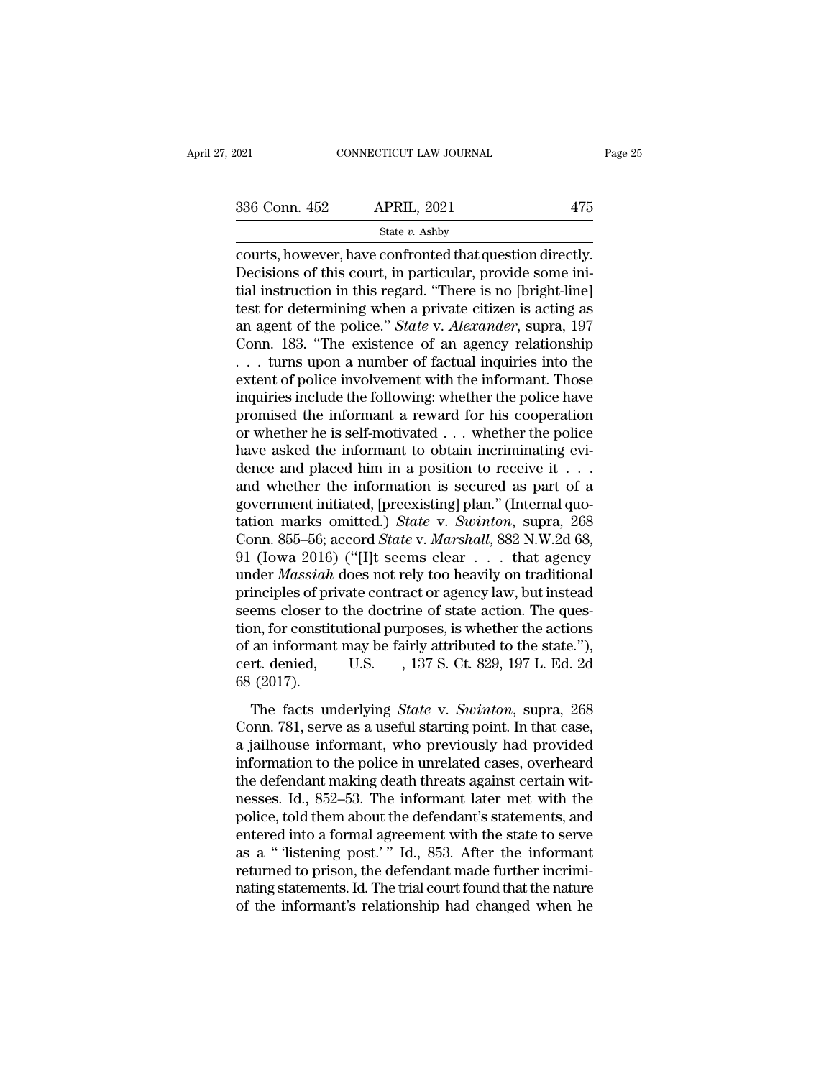connecticut LAW JOURNAL Page<br>  $\frac{336 \text{ Conn. } 452}{\text{State } v. } \frac{\text{APRIL, } 2021}{\text{State } v. } \frac{475}{\text{State } v. } \frac{2021}{\text{Web} v. }$ <br>
Courts, however, have confronted that question directly.<br>
Decisions of this court, in particular, provide s  $\begin{array}{ll}\n 336 \text{ Conn. } 452 \quad \text{APRIL, } 2021 \quad \text{475}\n \end{array}$ <br>
State v. Ashby<br>
courts, however, have confronted that question directly.<br>
Decisions of this court, in particular, provide some ini-<br>
tial instruction in this regard. 336 Conn. 452 APRIL, 2021 475<br>
State v. Ashby<br>
courts, however, have confronted that question directly.<br>
Decisions of this court, in particular, provide some ini-<br>
tial instruction in this regard. "There is no [bright-lin 336 Conn. 452 APRIL, 2021 475<br>
State v. Ashby<br>
courts, however, have confronted that question directly.<br>
Decisions of this court, in particular, provide some ini-<br>
tial instruction in this regard. "There is no [bright-lin State *v*. Ashby<br>
courts, however, have confronted that question directly.<br>
Decisions of this court, in particular, provide some ini-<br>
tial instruction in this regard. "There is no [bright-line]<br>
test for determining when state v. Ashby<br>
courts, however, have confronted that question directly.<br>
Decisions of this court, in particular, provide some ini-<br>
tial instruction in this regard. "There is no [bright-line]<br>
test for determining when a courts, however, have confronted that question directly.<br>Decisions of this court, in particular, provide some initial instruction in this regard. "There is no [bright-line]<br>test for determining when a private citizen is a Decisions of this court, in particular, provide some initial instruction in this regard. "There is no [bright-line]<br>test for determining when a private citizen is acting as<br>an agent of the police." *State* v. *Alexander*, tial instruction in this regard. "There is no [bright-line]<br>test for determining when a private citizen is acting as<br>an agent of the police." *State* v. Alexander, supra, 197<br>Conn. 183. "The existence of an agency relatio test for determining when a private citizen is acting as<br>an agent of the police." *State* v. *Alexander*, supra, 197<br>Conn. 183. "The existence of an agency relationship<br> $\dots$  turns upon a number of factual inquiries into t an agent of the police." *State* v. *Alexander*, supra, 197<br>Conn. 183. "The existence of an agency relationship<br>... turns upon a number of factual inquiries into the<br>extent of police involvement with the informant. Those<br> Conn. 183. "The existence of an agency relationship  $\ldots$  turns upon a number of factual inquiries into the extent of police involvement with the informant. Those inquiries include the following: whether the police have p ... turns upon a number of factual inquiries into the extent of police involvement with the informant. Those inquiries include the following: whether the police have promised the informant a reward for his cooperation or extent of police involvement with the informant. Those<br>inquiries include the following: whether the police have<br>promised the informant a reward for his cooperation<br>or whether he is self-motivated . . . whether the police<br> inquiries include the following: whether the police have<br>promised the informant a reward for his cooperation<br>or whether he is self-motivated . . . whether the police<br>have asked the informant to obtain incriminating evi-<br>d promised the informant a reward for his cooperation<br>or whether he is self-motivated . . . whether the police<br>have asked the informant to obtain incriminating evi-<br>dence and placed him in a position to receive it . . .<br>and or whether he is self-motivated . . . whether the police<br>have asked the informant to obtain incriminating evi-<br>dence and placed him in a position to receive it . . .<br>and whether the information is secured as part of a<br>gove have asked the informant to obtain incriminating evidence and placed him in a position to receive it . . .<br>and whether the information is secured as part of a<br>government initiated, [preexisting] plan." (Internal quo-<br>tati dence and placed him in a position to receive it . . .<br>and whether the information is secured as part of a<br>government initiated, [preexisting] plan." (Internal quo-<br>tation marks omitted.) *State* v. *Swinton*, supra, 268<br>C and whether the information is secured as part of a<br>government initiated, [preexisting] plan." (Internal quo-<br>tation marks omitted.) *State* v. *Swinton*, supra, 268<br>Conn. 855–56; accord *State* v. *Marshall*, 882 N.W.2d 6 government initiated, [preexisting] plan." (Internal quotation marks omitted.) *State* v. *Swinton*, supra, 268<br>Conn. 855–56; accord *State* v. *Marshall*, 882 N.W.2d 68,<br>91 (Iowa 2016) ("[I]t seems clear . . . that agency tation marks omitted.) *State v. Swinton*, supra, 268<br>Conn. 855–56; accord *State v. Marshall*, 882 N.W.2d 68,<br>91 (Iowa 2016) ("[I]t seems clear . . . that agency<br>under *Massiah* does not rely too heavily on traditional<br>p Conn. 855–56; accord *State* v. *Marshall*, 882 N.W.2d 68,<br>91 (Iowa 2016) ("[I]t seems clear . . . that agency<br>under *Massiah* does not rely too heavily on traditional<br>principles of private contract or agency law, but ins 91 (Iowa 2016) ("[I]t seems clear  $\ldots$  that agency<br>under *Massiah* does not rely too heavily on traditional<br>principles of private contract or agency law, but instead<br>seems closer to the doctrine of state action. The ques under *Massiah*<br>principles of pr<br>seems closer to<br>tion, for constit<br>of an informant<br>cert. denied,<br>68 (2017).<br>The facts ur ems closer to the doctrine of state action. The ques-<br>on, for constitutional purposes, is whether the actions<br>an informant may be fairly attributed to the state."),<br>rt. denied, U.S. , 137 S. Ct. 829, 197 L. Ed. 2d<br>(2017).<br> Exerns croser to are absented a state action. The question, for constitutional purposes, is whether the actions of an informant may be fairly attributed to the state."), cert. denied, U.S. , 137 S. Ct. 829, 197 L. Ed. 2d 6

a jailhouse informant may be fairly attributed to the state."),<br>cert. denied, U.S. , 137 S. Ct. 829, 197 L. Ed. 2d<br>68 (2017).<br>The facts underlying *State v. Swinton*, supra, 268<br>Conn. 781, serve as a useful starting point. or an information to type range in the police in the police in the police in the facts underlying *State* v. *Swinton*, supra, 268 Conn. 781, serve as a useful starting point. In that case, a jailhouse informant, who prev The facts underlying *State* v. *Swinton*, supra, 268<br>Conn. 781, serve as a useful starting point. In that case,<br>a jailhouse informant, who previously had provided<br>information to the police in unrelated cases, overheard<br>t The facts underlying *State* v. *Swinton*, supra, 268<br>Conn. 781, serve as a useful starting point. In that case,<br>a jailhouse informant, who previously had provided<br>information to the police in unrelated cases, overheard<br>th The facts underlying *State* v. *Swinton*, supra, 268<br>Conn. 781, serve as a useful starting point. In that case,<br>a jailhouse informant, who previously had provided<br>information to the police in unrelated cases, overheard<br>th Conn. 781, serve as a useful starting point. In that case,<br>a jailhouse informant, who previously had provided<br>information to the police in unrelated cases, overheard<br>the defendant making death threats against certain wit-<br> a jailhouse informant, who previously had provided<br>information to the police in unrelated cases, overheard<br>the defendant making death threats against certain wit-<br>nesses. Id., 852–53. The informant later met with the<br>polic information to the police in unrelated cases, overheard<br>the defendant making death threats against certain wit-<br>nesses. Id., 852–53. The informant later met with the<br>police, told them about the defendant's statements, and<br> the defendant making death threats against certain witnesses. Id., 852–53. The informant later met with the police, told them about the defendant's statements, and entered into a formal agreement with the state to serve as nesses. Id., 852–53. The informant later met with the police, told them about the defendant's statements, and entered into a formal agreement with the state to serve as a " 'listening post.' " Id., 853. After the informant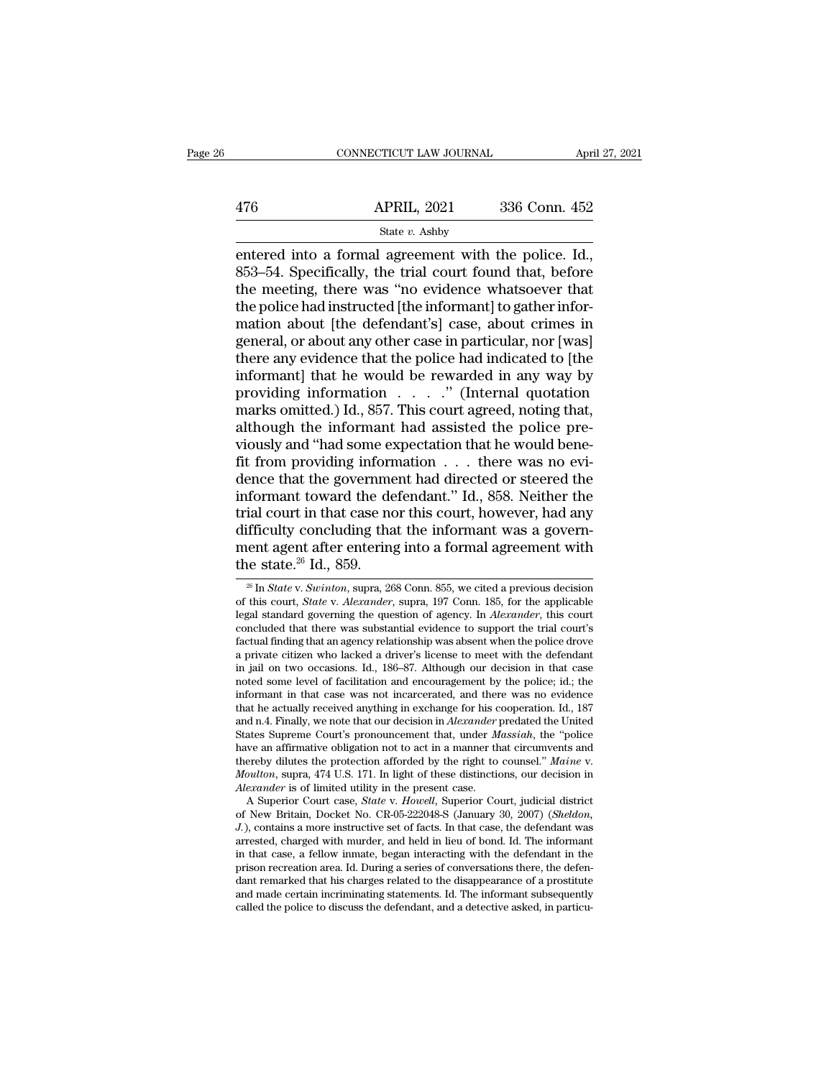|     | CONNECTICUT LAW JOURNAL | April 27, 2021 |  |
|-----|-------------------------|----------------|--|
|     |                         |                |  |
| 476 | <b>APRIL, 2021</b>      | 336 Conn. 452  |  |
|     | State v. Ashby          |                |  |

EN CONNECTICUT LAW JOURNAL April 27, 2<br>
APRIL, 2021 336 Conn. 452<br>
State v. Ashby<br>
entered into a formal agreement with the police. Id.,<br>
853–54. Specifically, the trial court found that, before<br>
the meeting there was "no 476 APRIL, 2021 336 Conn. 452<br>
State v. Ashby<br>
entered into a formal agreement with the police. Id.,<br>
853–54. Specifically, the trial court found that, before<br>
the meeting, there was "no evidence whatsoever that<br>
the poli  $\begin{array}{r|l} \hline \text{APRIL, 2021} & \text{336 Conn. 452} \ \hline \text{State } v. \text{ Ashby} \ \hline \text{entered into a formal agreement with the police. Id.,} \ \hline \text{853--54. Specifically, the trial court found that, before the meeting, there was "no evidence whatsoever that the police had instructed [the informat] to gather information about [the defendant's] case, about crimes in the image.} \hline \end{array}$  $\begin{array}{r} \text{APRIL, 2021} \text{336 Conn. 452} \\ \text{State } v. \text{ Ashby} \end{array}$ <br>
entered into a formal agreement with the police. Id., 853–54. Specifically, the trial court found that, before the meeting, there was "no evidence whatsoever that t  $\frac{\text{State } v. \text{ Ashby}}{\text{entered into a formal agreement with the police. Id.,}}$ <br>853–54. Specifically, the trial court found that, before the meeting, there was "no evidence whatsoever that the police had instructed [the informant] to gather information about [the de State v. Ashby<br>
entered into a formal agreement with the police. Id.,<br>
853–54. Specifically, the trial court found that, before<br>
the meeting, there was "no evidence whatsoever that<br>
the police had instructed [the informan entered into a formal agreement with the police. Id.,<br>853–54. Specifically, the trial court found that, before<br>the meeting, there was "no evidence whatsoever that<br>the police had instructed [the informant] to gather infor-<br> 853–54. Specifically, the trial court found that, before<br>the meeting, there was "no evidence whatsoever that<br>the police had instructed [the informant] to gather infor-<br>mation about [the defendant's] case, about crimes in<br> the meeting, there was "no evidence whatsoever that<br>the police had instructed [the informant] to gather infor-<br>mation about [the defendant's] case, about crimes in<br>general, or about any other case in particular, nor [was]<br> the police had instructed [the informant] to gather information about [the defendant's] case, about crimes in general, or about any other case in particular, nor [was] there any evidence that the police had indicated to [t mation about [the defendant's] case, about crimes in<br>general, or about any other case in particular, nor [was]<br>there any evidence that the police had indicated to [the<br>informant] that he would be rewarded in any way by<br>pro general, or about any other case in particular, nor [was]<br>there any evidence that the police had indicated to [the<br>informant] that he would be rewarded in any way by<br>providing information . . . . . " (Internal quotation<br>ma there any evidence that the police had indicated to [the informant] that he would be rewarded in any way by providing information  $\ldots$  ... ." (Internal quotation marks omitted.) Id., 857. This court agreed, noting that, informant] that he would be rewarded in any way by<br>providing information  $\ldots$  ..." (Internal quotation<br>marks omitted.) Id., 857. This court agreed, noting that,<br>although the informant had assisted the police pre-<br>viously providing information . . . . ." (Internal quotation<br>marks omitted.) Id., 857. This court agreed, noting that,<br>although the informant had assisted the police pre-<br>viously and "had some expectation that he would bene-<br>fit f marks omitted.) Id., 857. This court agreed, noting that,<br>although the informant had assisted the police pre-<br>viously and "had some expectation that he would bene-<br>fit from providing information  $\dots$  there was no evi-<br>den although the informant had assisted the police pre-<br>viously and "had some expectation that he would bene-<br>fit from providing information  $\dots$  there was no evi-<br>dence that the government had directed or steered the<br>informa viously and "had some expectation that he would bene-<br>fit from providing information  $\dots$  there was no evi-<br>dence that the government had directed or steered the<br>informant toward the defendant." Id., 858. Neither the<br>tria fit from providing inform<br>dence that the governme<br>informant toward the de<br>trial court in that case no<br>difficulty concluding tha<br>ment agent after entering<br>the state.<sup>26</sup> Id., 859. ial court in that case nor this court, however, had any<br>ifficulty concluding that the informant was a govern-<br>ent agent after entering into a formal agreement with<br>the state.<sup>26</sup> Id., 859.<br><sup>26</sup> In *State* v. *Swinton*, sup difficulty concluding that the informant was a government agent after entering into a formal agreement with the state.<sup>26</sup> Id., 859.<br>
<sup>26</sup> In *State* v. *Swinton*, supra, 268 Conn. 855, we cited a previous decision of this

have an affirmative obligation not to act in a manner that circumvents and thereby dilutes the protection afforded by the right to counsel." *Maine* v. *Moulton*, supra, 474 U.S. 171. In light of these distinctions, our de thereby dilutes the protection afforded by the right to counsel." Maine v.<br>Moulton, supra, 474 U.S. 171. In light of these distinctions, our decision in<br>*Alexander* is of limited utility in the present case.<br>A Superior Cou *Moutton*, supra, 474 U.S. 171. In light of these distinctions, our decision in *Alexander* is of limited utility in the present case.<br>
A Superior Court case, *State* v. *Howell*, Superior Court, judicial district of New B Alexander is of limited utility in the present case.<br>
A Superior Court case, *State* v. *Howell*, Superior Court, judicial district<br>
of New Britain, Docket No. CR-05-222048-S (January 30, 2007) (*Sheldon*,<br>
J.), contains a A Superior Court case, *State v. Howell*, Superior Court, judicial district of New Britain, Docket No. CR-05-222048-S (January 30, 2007) (*Sheldon*, *J.*), contains a more instructive set of facts. In that case, the defend of New Britain, Docket No. CR-05-222048-S (January 30, 2007) (Sheldon, J.), contains a more instructive set of facts. In that case, the defendant was arrested, charged with murder, and held in lieu of bond. Id. The informa  $J$ .), contains a more instructive set of facts. In that case, the defendant was arrested, charged with murder, and held in lieu of bond. Id. The informant in that case, a fellow inmate, began interacting with the defenda

ment agent after entering into a formal agreement with<br>the state.<sup>26</sup> Id., 859.<br><sup>26</sup> In *State v. Swinton*, supra, 268 Conn. 855, we cited a previous decision<br>of this court, *State v. Alexander*, supra, 197 Conn. 185, for ment agent after entering into a formal agreement with<br>the state.<sup>26</sup> Id., 859.<br> $\frac{1}{26}$  In *State v. Swinton*, supra, 268 Conn. 855, we cited a previous decision<br>of this court, *State v. Alexander*, supra, 197 Conn. 18 the state.<sup>26</sup> Id., 859.<br>
<sup>26</sup> In *State v. Swinton*, supra, 268 Conn. 855, we cited a previous decision<br>
of this court, *State v. Alexander*, supra, 197 Conn. 185, for the applicable<br>
legal standard governing the questio <sup>26</sup> In *State v. Swinton*, supra, 268 Conn. 855, we cited a previous decision of this court, *State v. Alexander*, supra, 197 Conn. 185, for the applicable legal standard governing the question of agency. In *Alexander*, <sup>20</sup> In *State v. Swinton*, supra, 268 Conn. 855, we cited a previous decision of this court, *State v. Alexander*, supra, 197 Conn. 185, for the applicable legal standard governing the question of agency. In *Alexander*, of this court, *State* v. *Alexander*, supra, 197 Conn. 185, for the applicable legal standard governing the question of agency. In *Alexander*, this court concluded that there was substantial evidence to support the trial legal standard governing the question of agency. In *Alexander*, this court concluded that there was substantial evidence to support the trial court's factual finding that an agency relationship was absent when the police concluded that there was substantial evidence to support the trial court's factual finding that an agency relationship was absent when the police drove a private citizen who lacked a driver's license to meet with the defen factual finding that an agency relationship was absent when the police drove<br>a private citizen who lacked a driver's license to meet with the defendant<br>in jail on two occasions. Id., 186–87. Although our decision in that c a private citizen who lacked a driver's license to meet with the defendant<br>in jail on two occasions. Id., 186–87. Although our decision in that case<br>noted some level of facilitation and encouragement by the police; id.; th in jail on two occasions. Id., 186–87. Although our decision in that case<br>noted some level of facilitation and encouragement by the police; id.; the<br>informant in that case was not incarcerated, and there was no evidence<br>t noted some level of facilitation and encouragement by the police; id.; the informant in that case was not incarcerated, and there was no evidence that he actually received anything in exchange for his cooperation. Id., 187 that he actually received anything in exchange for his c<br>and n.4. Finally, we note that our decision in *Alexander*<br>7 States Supreme Court's pronouncement that, under *M*<br>have an affirmative obligation not to act in a mann d n.4. Finally, we note that our decision in *Alexander* predated the United ates Supreme Court's pronouncement that, under *Massiah*, the "police we an affirmative obligation not to act in a manner that circumvents and er States Supreme Court's pronouncement that, under *Massiah*, the "police<br>have an affirmative obligation not to act in a manner that circumvents and<br>thereby dilutes the protection afforded by the right to counsel." *Maine v.*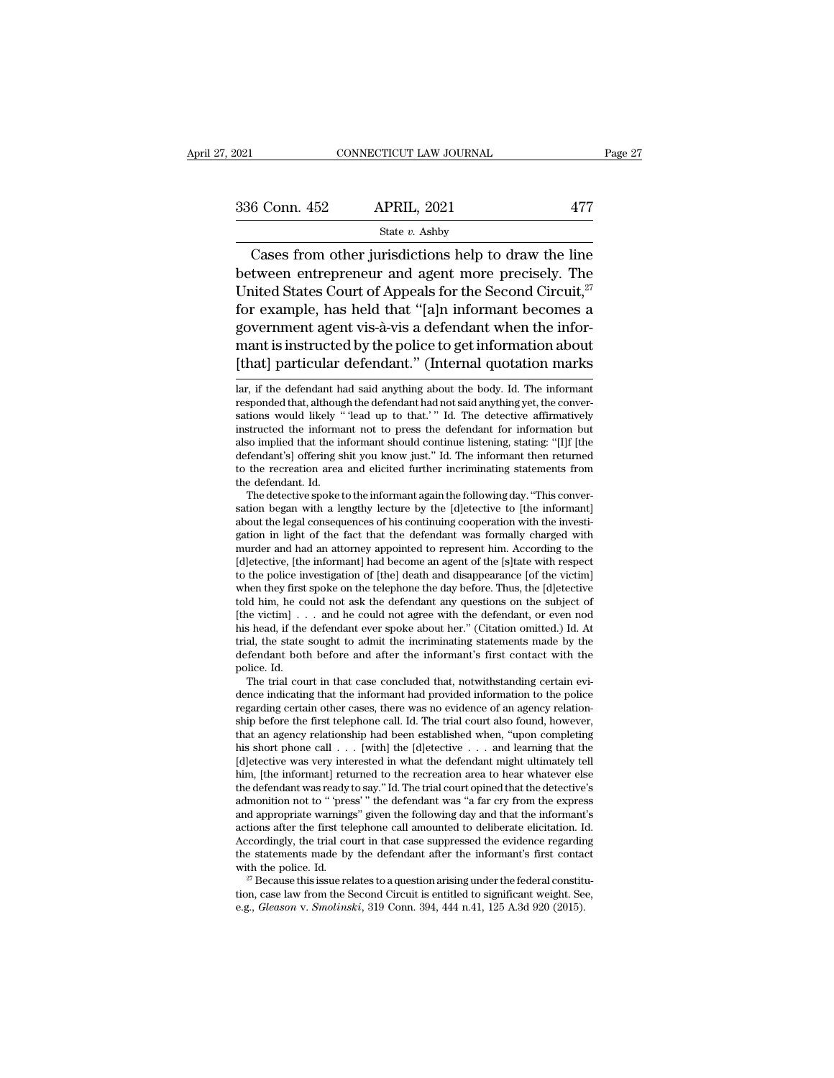| 2021          | CONNECTICUT LAW JOURNAL                                                                                                                                                  |     | Page 27 |
|---------------|--------------------------------------------------------------------------------------------------------------------------------------------------------------------------|-----|---------|
| 336 Conn. 452 | <b>APRIL, 2021</b>                                                                                                                                                       | 477 |         |
|               | State $v$ . Ashby                                                                                                                                                        |     |         |
|               | Cases from other jurisdictions help to draw the line<br>between entrepreneur and agent more precisely. The<br>I Inited States Court of Anneals for the Second Circuit 27 |     |         |

336 Conn. 452 APRIL, 2021 477<br>
State v. Ashby<br>
Cases from other jurisdictions help to draw the line<br>
between entrepreneur and agent more precisely. The<br>
United States Court of Appeals for the Second Circuit,<sup>27</sup><br>
for exam 336 Conn. 452 APRIL, 2021 477<br>
State v. Ashby<br>
Cases from other jurisdictions help to draw the line<br>
between entrepreneur and agent more precisely. The<br>
United States Court of Appeals for the Second Circuit,<sup>27</sup><br>
for exam 336 Conn. 452 APRIL, 2021 477<br>
State v. Ashby<br>
Cases from other jurisdictions help to draw the line<br>
between entrepreneur and agent more precisely. The<br>
United States Court of Appeals for the Second Circuit,<sup>27</sup><br>
for exam State v. Ashby<br>Cases from other jurisdictions help to draw the line<br>between entrepreneur and agent more precisely. The<br>United States Court of Appeals for the Second Circuit,<sup>27</sup><br>for example, has held that "[a]n informant Cases from other jurisdictions help to draw the line<br>between entrepreneur and agent more precisely. The<br>United States Court of Appeals for the Second Circuit,<sup>27</sup><br>for example, has held that "[a]n informant becomes a<br>gover Cases from other jurisdictions help to draw the line<br>between entrepreneur and agent more precisely. The<br>United States Court of Appeals for the Second Circuit,<sup>27</sup><br>for example, has held that "[a]n informant becomes a<br>gover for example, has held that "[a]n informant becomes a<br>government agent vis-à-vis a defendant when the infor-<br>mant is instructed by the police to get information about<br>[that] particular defendant." (Internal quotation marks<br> government agent vis-à-vis a defendant when the informant is instructed by the police to get information about [that] particular defendant." (Internal quotation marks lar, if the defendant had said anything about the body.

also implied that the informant should continue listening, stating: "[1]f [the defendant's] offering shit you know just." Id. The informant then returned to the recreation area and elicited further incriminating statements defendant's] offering shit you know just." Id. The informant then returned<br>to the recreation area and elicited further incriminating statements from<br>the defendant. Id.<br>The detective spoke to the informant again the followi to the recreation area and elicited further incriminating statements from<br>the defendant. Id.<br>The detective spoke to the informant again the following day. "This conver-<br>sation began with a lengthy lecture by the [d]etectiv the defendant. Id.<br>The detective spoke to the informant again the following day. "This conversation began with a lengthy lecture by the [d]etective to [the informant] about the legal consequences of his continuing cooperat The detective spoke to the informant again the following day. "This conversation began with a lengthy lecture by the [d]etective to [the informant] about the legal consequences of his continuing cooperation with the inves sation began with a lengthy lecture by the [d]etective to [the informant] about the legal consequences of his continuing cooperation with the investigation in light of the fact that the defendant was formally charged with about the legal consequences of his continuing cooperation with the investigation in light of the fact that the defendant was formally charged with murder and had an attorney appointed to represent him. According to the [ gation in light of the fact that the defendant was formally charged with murder and had an attorney appointed to represent him. According to the [d]etective, [the informant] had become an agent of the [s]tate with respect murder and had an attorney appointed to represent him. According to the [d]etective, [the informant] had become an agent of the [s]tate with respect to the police investigation of [the] death and disappearance [of the vict [d]etective, [the informant] had become an agent of the [s]tate with respect<br>to the police investigation of [the] death and disappearance [of the victim]<br>when they first spoke on the telephone the day before. Thus, the [d to the police investigation of [the] death and disappearance [of the victim]<br>when they first spoke on the telephone the day before. Thus, the [d]etective<br>told him, he could not ask the defendant any questions on the subje when they first<br>told him, he co<br>(the victim] . .<br>his head, if the<br>trial, the state<br>defendant bot!<br>police. Id.<br>The trial cou Id him, he could not ask the defendant any questions on the subject of<br>le victim]... and he could not agree with the defendant, or even nod<br>s head, if the defendant ever spoke about her." (Citation omitted.) Id. At<br>al, th [the victim] . . . and he could not agree with the defendant, or even nod<br>his head, if the defendant ever spoke about her." (Citation omitted.) Id. At<br>trial, the state sought to admit the incriminating statements made by

trial, the state sought to admit the incriminating statements made by the defendant both before and after the informant's first contact with the police. Id.<br>The trial court in that case concluded that, notwithstanding cert trial, the state sought to admit the incriminating statements made by the defendant both before and after the informant's first contact with the police. Id.<br>The trial court in that case concluded that, notwithstanding cert defendant both before and after the informant's first contact with the police. Id.<br>The trial court in that case concluded that, notwithstanding certain evi-<br>dence indicating that the informant had provided information to t police. Id.<br>
The trial court in that case concluded that, notwithstanding certain evi-<br>
dence indicating that the informant had provided information to the police<br>
regarding certain other cases, there was no evidence of an The trial court in that case concluded that, notwithstanding certain evidence indicating that the informant had provided information to the police regarding certain other cases, there was no evidence of an agency relation dence mdicating that the informant had provided information to the police regarding certain other cases, there was no evidence of an agency relationship before the first telephone call. Id. The trial court also found, how regarding certain other cases, there was no evidence of an agency relationship before the first telephone call. Id. The trial court also found, however, that an agency relationship had been established when, "upon completi ship before the first telephone call. Id. The trial court also found, however, that an agency relationship had been established when, "upon completing his short phone call  $\ldots$  [with] the [d]etective  $\ldots$  and learning t that an agency relationship had been established when, "upon completing<br>his short phone call  $\ldots$  [with] the [d]etective  $\ldots$  and learning that the<br>[d]etective was very interested in what the defendant might ultimately [d]etective was very interested in what the defendant might ultimately tell him, [the informant] returned to the recreation area to hear whatever else the defendant was ready to say." Id. The trial court opined that the de [d]etective was very interested in what the defendant might ultimately tell<br>him, [the informant] returned to the recreation area to hear whatever else<br>the defendant was ready to say." Id. The trial court opined that the d him, [the informant] returned to the recreation area to hear whatever else<br>the defendant was ready to say." Id. The trial court opined that the detective's<br>admonition not to " 'press' " the defendant was "a far cry from th the defendant was ready to say." Id. The trial court opined that the detective's admonition not to " 'press'" the defendant was "a far cry from the express and appropriate warnings" given the following day and that the in and appropriate warnings" given the following day and that the informant's actions after the first telephone call amounted to deliberate elicitation. Id. Accordingly, the trial court in that case suppressed the evidence r

the statements made by the defendant after the informant's first contact<br>with the police. Id.<br><sup>27</sup> Because this issue relates to a question arising under the federal constitu-<br>tion, case law from the Second Circuit is enti

sations in instructed by the police to get information about<br>
[that] particular defendant." (Internal quotation marks<br>
Iar, if the defendant had said anything about the body. Id. The informant<br>
responded that, although the It hat is instructed by the poince to get information about<br>
[that] particular defendant." (Internal quotation marks<br>
lar, if the defendant had said anything about the body. Id. The informant<br>
responded that, although the [that] particular defendant." (Internal quotation marks<br>lar, if the defendant had said anything about the body. Id. The informant<br>responded that, although the defendant had not said anything yet, the conver-<br>sations would lar, if the defendant had said anything about the body. Id. The informant responded that, although the defendant had not said anything yet, the conversations would likely "lead up to that.'" Id. The detective affirmatively lar, if the defendant had said anything about the body. Id. The informant<br>responded that, although the defendant had not said anything yet, the conver-<br>sations would likely "lead up to that.'" Id. The detective affirmative responded that, althoug<br>sations would likely "<br>instructed the informa<br>also implied that the in<br>defendant's] offering sl<br>to the recreation area<br>the defendant. Id.<br>The detective spoke t tions would likely " 'lead up to that.' " Id. The detective affirmatively<br>structed the informant not to press the defendant for information but<br>so implied that the informant should continue listening, stating: "[I]f [the<br>f instructed the informant not to press the defendant for information but<br>also implied that the informant should continue listening, stating: "[I]f [the<br>defendant's] offering shit you know just." Id. The informant then retur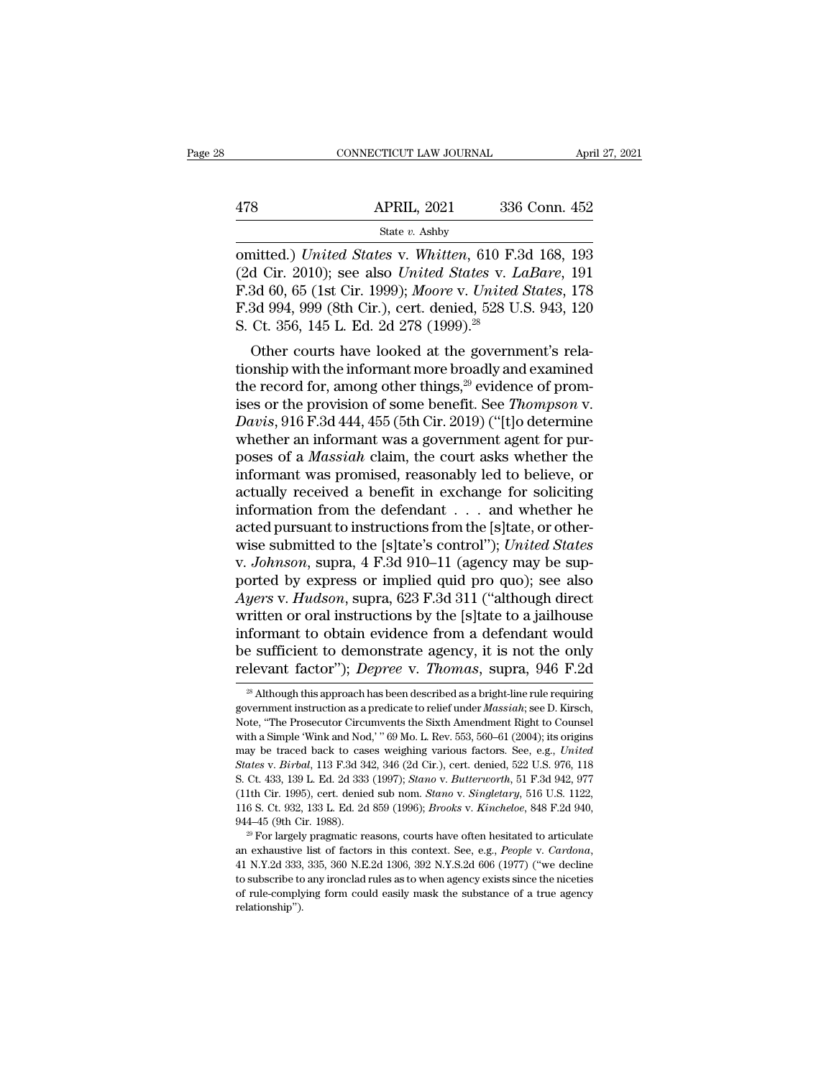|     | CONNECTICUT LAW JOURNAL | April 27, 2021 |  |
|-----|-------------------------|----------------|--|
|     |                         |                |  |
| 478 | <b>APRIL, 2021</b>      | 336 Conn. 452  |  |
|     | State v. Ashby          |                |  |

CONNECTICUT LAW JOURNAL April 27, 2021<br>
478 APRIL, 2021 336 Conn. 452<br>
5tate v. Ashby<br>
0mitted.) *United States* v. *Whitten*, 610 F.3d 168, 193<br>
(2d Cir. 2010); see also *United States* v. *LaBare*, 191<br>
52d 60, 65 (1st C (2021 1998)<br>
(2d Cir. 2010); see also *United States v. Whitten*, 610 F.3d 168, 193<br>
(2d Cir. 2010); see also *United States* v. *LaBare*, 191<br>
(2d Cir. 2010); see also *United States* v. *LaBare*, 191<br>
(2d 60, 65 (1st Cir APRIL, 2021 336 Conn. 452<br>
State v. Ashby<br>
omitted.) *United States* v. *Whitten*, 610 F.3d 168, 193<br>
(2d Cir. 2010); see also *United States* v. *LaBare*, 191<br>
F.3d 60, 65 (1st Cir. 1999); *Moore* v. *United States*, 178<br> APRIL, 2021 336 Conn. 452<br>
State v. Ashby<br>
comitted.) United States v. Whitten, 610 F.3d 168, 193<br>
(2d Cir. 2010); see also United States v. LaBare, 191<br>
F.3d 60, 65 (1st Cir. 1999); Moore v. United States, 178<br>
F.3d 994, State v. Ashby<br>
State v. Ashby<br>
comitted.) United States v. Whitten, 610 F. (2d Cir. 2010); see also United States v. L<br>
F. 3d 60, 65 (1st Cir. 1999); Moore v. United<br>
F. 3d 994, 999 (8th Cir.), cert. denied, 528 U.<br>
S. C mitted.) United States v. Whitten, 610 F.3d 168, 193<br>d Cir. 2010); see also United States v. LaBare, 191<br>3d 60, 65 (1st Cir. 1999); Moore v. United States, 178<br>3d 994, 999 (8th Cir.), cert. denied, 528 U.S. 943, 120<br>Ct. 3 ommed.) Ontied States v. Whitten, 010 F.3d 108, 193<br>(2d Cir. 2010); see also United States v. LaBare, 191<br>F.3d 60, 65 (1st Cir. 1999); Moore v. United States, 178<br>F.3d 994, 999 (8th Cir.), cert. denied, 528 U.S. 943, 120<br>

(2d Cn. 2010), see also *United States V. Labdre*, 191<br>F.3d 60, 65 (1st Cir. 1999); *Moore v. United States*, 178<br>F.3d 994, 999 (8th Cir.), cert. denied, 528 U.S. 943, 120<br>S. Ct. 356, 145 L. Ed. 2d 278 (1999).<sup>28</sup><br>Other c F.3d 994, 999 (Sth Cir.), cert. denied, 528 U.S. 943, 120<br>F.3d 994, 999 (Sth Cir.), cert. denied, 528 U.S. 943, 120<br>S. Ct. 356, 145 L. Ed. 2d 278 (1999).<sup>28</sup><br>Other courts have looked at the government's rela-<br>tionship with *P.*3d 994, 999 (olit Cir.), Cert. defiled, 328 0.3. 943, 120<br> *S.* Ct. 356, 145 L. Ed. 2d 278 (1999).<sup>28</sup><br>
Other courts have looked at the government's rela-<br>
tionship with the informant more broadly and examined<br>
the rec S. Ct. 350, 145 L. Ed. 2d 276 (1999).<br>
Other courts have looked at the government's rela-<br>
tionship with the informant more broadly and examined<br>
the record for, among other things,<sup>29</sup> evidence of prom-<br>
ises or the prov Other courts have looked at the government's rela-<br>tionship with the informant more broadly and examined<br>the record for, among other things,<sup>29</sup> evidence of prom-<br>ises or the provision of some benefit. See *Thompson v.*<br>Da tionship with the informant more broadly and examined<br>the record for, among other things,<sup>29</sup> evidence of prom-<br>ises or the provision of some benefit. See *Thompson v.*<br>Davis, 916 F.3d 444, 455 (5th Cir. 2019) ("[t]o dete the record for, among other things,<sup>29</sup> evidence of promises or the provision of some benefit. See *Thompson v.*<br> *Davis*, 916 F.3d 444, 455 (5th Cir. 2019) ("[t]o determine<br>
whether an informant was a government agent fo ises or the provision of some benefit. See *Thompson v.*<br> *Davis*, 916 F.3d 444, 455 (5th Cir. 2019) ("[t]o determine<br>
whether an informant was a government agent for pur-<br>
poses of a *Massiah* claim, the court asks wheth Davis, 916 F.3d 444, 455 (5th Cir. 2019) ("[t]o determine<br>whether an informant was a government agent for pur-<br>poses of a *Massiah* claim, the court asks whether the<br>informant was promised, reasonably led to believe, or<br>a whether an informant was a government agent for pur-<br>poses of a *Massiah* claim, the court asks whether the<br>informant was promised, reasonably led to believe, or<br>actually received a benefit in exchange for soliciting<br>infor poses of a *Massiah* claim, the court asks whether the<br>informant was promised, reasonably led to believe, or<br>actually received a benefit in exchange for soliciting<br>information from the defendant . . . and whether he<br>acted informant was promised, reasonably led to believe, or<br>actually received a benefit in exchange for soliciting<br>information from the defendant . . . and whether he<br>acted pursuant to instructions from the [s]tate, or other-<br>wi actually received a benefit in exchange for soliciting<br>information from the defendant . . . and whether he<br>acted pursuant to instructions from the [s]tate, or other-<br>wise submitted to the [s]tate's control"); *United State* information from the defendant . . . . and whether he<br>acted pursuant to instructions from the [s]tate, or other-<br>wise submitted to the [s]tate's control''); *United States*<br>v. *Johnson*, supra, 4 F.3d 910–11 (agency may be acted pursuant to instructions from the [s]tate, or other-<br>wise submitted to the [s]tate's control"); *United States*<br>v. *Johnson*, supra, 4 F.3d 910–11 (agency may be sup-<br>ported by express or implied quid pro quo); see a wise submitted to the [s]tate's control"); *United States* v. *Johnson*, supra, 4 F.3d 910–11 (agency may be supported by express or implied quid pro quo); see also Ayers v. *Hudson*, supra, 623 F.3d 311 ("although direct v. *Johnson*, supra, 4 F.3d 910–11 (agency may be supported by express or implied quid pro quo); see also Ayers v. *Hudson*, supra, 623 F.3d 311 ("although direct written or oral instructions by the [s]tate to a jailhouse ritten or oral instructions by the [s]tate to a jailhouse<br>formant to obtain evidence from a defendant would<br>e sufficient to demonstrate agency, it is not the only<br>levant factor"); *Depree* v. *Thomas*, supra, 946 F.2d<br><sup>28</sup> informant to obtain evidence from a defendant would<br>be sufficient to demonstrate agency, it is not the only<br>relevant factor"); *Depree* v. *Thomas*, supra, 946 F.2d<br><sup>28</sup> Although this approach has been described as a brigh

be sufficient to demonstrate agency, it is not the only relevant factor"); *Depree* v. *Thomas*, supra, 946 F.2d  $\frac{1}{2}$  Although this approach has been described as a bright-line rule requiring government instruction as relevant factor"); *Depree* v. *Thomas*, supra, 946 F.2d<br>
<sup>28</sup> Although this approach has been described as a bright-line rule requiring<br>
government instruction as a predicate to relief under *Massiah*; see D. Kirsch,<br>
No may be traced back to cases weighing various factors. See, e.g., *United* States v. *Birbal, 13 F.3d 342, 346 (2d Cir.)*, cert. denied, 522 U.S. 976, 118 States v. *Birbal,* 113 F.3d 342, 346 (2d Cir.), cert. denied, 522 U <sup>28</sup> Although this approach has been described as a bright-line rule requiring government instruction as a predicate to relief under *Massiah*; see D. Kirsch, Note, "The Prosecutor Circumvents the Sixth Amendment Right to government instruction as a predicate to relief under *Massiah*; see D. Kirsch, Note, "The Prosecutor Circumvents the Sixth Amendment Right to Counsel with a Simple 'Wink and Nod,' "69 Mo. L. Rev. 553, 560–61 (2004); its o Note, "The Prosecutor Circumvents the Sixth Amendment Right to Counsel<br>with a Simple 'Wink and Nod,' "69 Mo. L. Rev. 553, 560–61 (2004); its origins<br>may be traced back to cases weighing various factors. See, e.g., *United* with a Simple 'Wink and Nod,' "69 Mo. L. Rev. 553, 560–61 (2004); its origins<br>may be traced back to cases weighing various factors. See, e.g., *United*<br>States v. *Birbal*, 113 F.3d 342, 346 (2d Cir.), cert. denied, 522 U.S may be traced back to cases weighing various factors. See, e.g., United States v. Birbal, 113 F.3d 342, 346 (2d Cir.), cert. denied, 522 U.S. 976, 118 S. Ct. 433, 139 L. Ed. 2d 333 (1997); *Stano* v. *Butterworth*, 51 F.3

s. Ct. 433, 139 L. Ed. 2d 333 (1997); *Stano* v. *Butterworth*, 51 F.3d 942, 977 (11th Cir. 1995), cert. denied sub nom. *Stano* v. *Singletary*, 516 U.S. 1122, 116 S. Ct. 932, 133 L. Ed. 2d 859 (1996); *Brooks* v. *Kinche* (11th Cir. 1995), cert. denied sub nom. *Stano* v. *Singletary*, 516 U.S. 1122, 116 S. Ct. 932, 133 L. Ed. 2d 859 (1996); *Brooks* v. *Kincheloe*, 848 F.2d 940, 944–45 (9th Cir. 1988).<br><sup>29</sup> For largely pragmatic reasons, 944–45 (9th Cir. 1988).<br><sup>29</sup> For largely pragmatic reasons, courts have often hesitated to articulate<br>an exhaustive list of factors in this context. See, e.g., *People v. Cardona*,<br>41 N.Y.2d 333, 335, 360 N.E.2d 1306, 392 relationship'').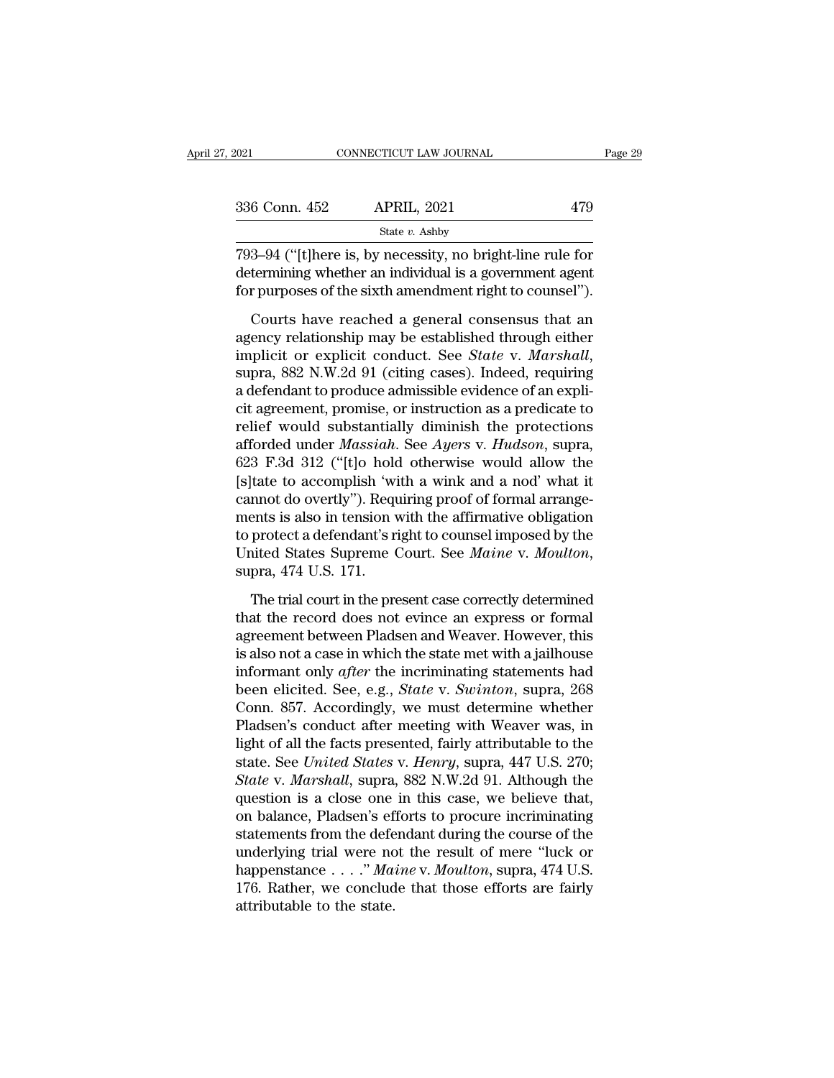| 2021          | CONNECTICUT LAW JOURNAL                                                                                                                                                           |     | Page 29 |
|---------------|-----------------------------------------------------------------------------------------------------------------------------------------------------------------------------------|-----|---------|
|               |                                                                                                                                                                                   |     |         |
| 336 Conn. 452 | <b>APRIL, 2021</b>                                                                                                                                                                | 479 |         |
|               | State $v$ . Ashby                                                                                                                                                                 |     |         |
|               | 793–94 ("[t] here is, by necessity, no bright-line rule for<br>determining whether an individual is a government agent<br>for purposes of the sixth amendment right to counsel"). |     |         |
|               | Courts have reached a general consensus that an                                                                                                                                   |     |         |

6 Conn. 452 APRIL, 2021 479<br>
State v. Ashby<br>
3–94 ("[t]here is, by necessity, no bright-line rule for<br>
termining whether an individual is a government agent<br>
r purposes of the sixth amendment right to counsel").<br>
Courts h

state *v*. Ashby<br>
793–94 ("[t]here is, by necessity, no bright-line rule for<br>
determining whether an individual is a government agent<br>
for purposes of the sixth amendment right to counsel").<br>
Courts have reached a general 793–94 ("[t]here is, by necessity, no bright-line rule for<br>determining whether an individual is a government agent<br>for purposes of the sixth amendment right to counsel").<br>Courts have reached a general consensus that an<br>age for purposes of the sixth amendment right to counsel").<br>Courts have reached a general consensus that an<br>agency relationship may be established through either<br>implicit or explicit conduct. See *State* v. *Marshall*,<br>supra, Courts have reached a general consensus that an agency relationship may be established through either implicit or explicit conduct. See *State v. Marshall*, supra, 882 N.W.2d 91 (citing cases). Indeed, requiring a defenda Courts have reached a general consensus that an<br>agency relationship may be established through either<br>implicit or explicit conduct. See *State* v. *Marshall*,<br>supra, 882 N.W.2d 91 (citing cases). Indeed, requiring<br>a defen agency relationship may be established through either<br>implicit or explicit conduct. See *State* v. *Marshall*,<br>supra, 882 N.W.2d 91 (citing cases). Indeed, requiring<br>a defendant to produce admissible evidence of an expli-<br> implicit or explicit conduct. See *State* v. *Marshall*,<br>supra, 882 N.W.2d 91 (citing cases). Indeed, requiring<br>a defendant to produce admissible evidence of an expli-<br>cit agreement, promise, or instruction as a predicate supra, 882 N.W.2d 91 (citing cases). Indeed, requiring<br>a defendant to produce admissible evidence of an expli-<br>cit agreement, promise, or instruction as a predicate to<br>relief would substantially diminish the protections<br>af a defendant to produce admissible evidence of an explicit agreement, promise, or instruction as a predicate to relief would substantially diminish the protections afforded under *Massiah*. See *Ayers* v. *Hudson*, supra, 6 cit agreement, promise, or instruction as a predicate to<br>relief would substantially diminish the protections<br>afforded under *Massiah*. See *Ayers* v. *Hudson*, supra,<br>623 F.3d 312 ("[t]o hold otherwise would allow the<br>[s]t relief would substantially diminish the protections<br>afforded under *Massiah*. See *Ayers* v. *Hudson*, supra,<br>623 F.3d 312 ("[t]o hold otherwise would allow the<br>[s]tate to accomplish 'with a wink and a nod' what it<br>cannot afforded under *Massiah*. See *Ayers* v. *Hudson*, supra, 623 F.3d 312 ("[t]o hold otherwise would allow the [s]tate to accomplish 'with a wink and a nod' what it cannot do overtly"). Requiring proof of formal arrangements mnot do overtly"). Requiring proof of formal arrange-<br>ents is also in tension with the affirmative obligation<br>protect a defendant's right to counsel imposed by the<br>nited States Supreme Court. See *Maine* v. *Moulton*,<br>pra, ments is also in tension with the affirmative obligation<br>to protect a defendant's right to counsel imposed by the<br>United States Supreme Court. See *Maine* v. *Moulton*,<br>supra, 474 U.S. 171.<br>The trial court in the present c

to protect a defendant's right to counsel imposed by the United States Supreme Court. See *Maine* v. *Moulton*, supra, 474 U.S. 171.<br>The trial court in the present case correctly determined that the record does not evince United States Supreme Court. See *Maine* v. *Moulton*,<br>supra, 474 U.S. 171.<br>The trial court in the present case correctly determined<br>that the record does not evince an express or formal<br>agreement between Pladsen and Weave supra, 474 U.S. 171.<br>The trial court in the present case correctly determined<br>that the record does not evince an express or formal<br>agreement between Pladsen and Weaver. However, this<br>is also not a case in which the state m The trial court in the present case correctly determined<br>that the record does not evince an express or formal<br>agreement between Pladsen and Weaver. However, this<br>is also not a case in which the state met with a jailhouse<br>i The trial court in the present case correctly determined<br>that the record does not evince an express or formal<br>agreement between Pladsen and Weaver. However, this<br>is also not a case in which the state met with a jailhouse<br>i that the record does not evince an express or formal<br>agreement between Pladsen and Weaver. However, this<br>is also not a case in which the state met with a jailhouse<br>informant only *after* the incriminating statements had<br>b agreement between Pladsen and Weaver. However, this<br>is also not a case in which the state met with a jailhouse<br>informant only *after* the incriminating statements had<br>been elicited. See, e.g., *State* v. *Swinton*, supra, is also not a case in which the state met with a jailhouse<br>informant only *after* the incriminating statements had<br>been elicited. See, e.g., *State* v. *Swinton*, supra, 268<br>Conn. 857. Accordingly, we must determine whethe informant only *after* the incriminating statements had<br>been elicited. See, e.g., *State* v. *Swinton*, supra, 268<br>Conn. 857. Accordingly, we must determine whether<br>Pladsen's conduct after meeting with Weaver was, in<br>light been elicited. See, e.g., *State v. Swinton*, supra, 268<br>Conn. 857. Accordingly, we must determine whether<br>Pladsen's conduct after meeting with Weaver was, in<br>light of all the facts presented, fairly attributable to the<br>st Conn. 857. Accordingly, we must determine whether<br>Pladsen's conduct after meeting with Weaver was, in<br>light of all the facts presented, fairly attributable to the<br>state. See *United States v. Henry*, supra, 447 U.S. 270;<br> Pladsen's conduct after meeting with Weaver was, in<br>light of all the facts presented, fairly attributable to the<br>state. See *United States v. Henry*, supra, 447 U.S. 270;<br>*State v. Marshall*, supra, 882 N.W.2d 91. Although light of all the facts presented, fairly attributable to the<br>state. See *United States v. Henry*, supra, 447 U.S. 270;<br>*State v. Marshall*, supra, 882 N.W.2d 91. Although the<br>question is a close one in this case, we believ state. See *United States v. Henry*, supra, 447 U.S. 270;<br>*State v. Marshall*, supra, 882 N.W.2d 91. Although the<br>question is a close one in this case, we believe that,<br>on balance, Pladsen's efforts to procure incriminatin State v. Marshall, supra, 882 N.W.2d 91. Although the question is a close one in this case, we believe that, on balance, Pladsen's efforts to procure incriminating statements from the defendant during the course of the un question is a close one<br>on balance, Pladsen's ef<br>statements from the defe<br>underlying trial were no<br>happenstance . . . ." Ma<br>176. Rather, we conclud<br>attributable to the state.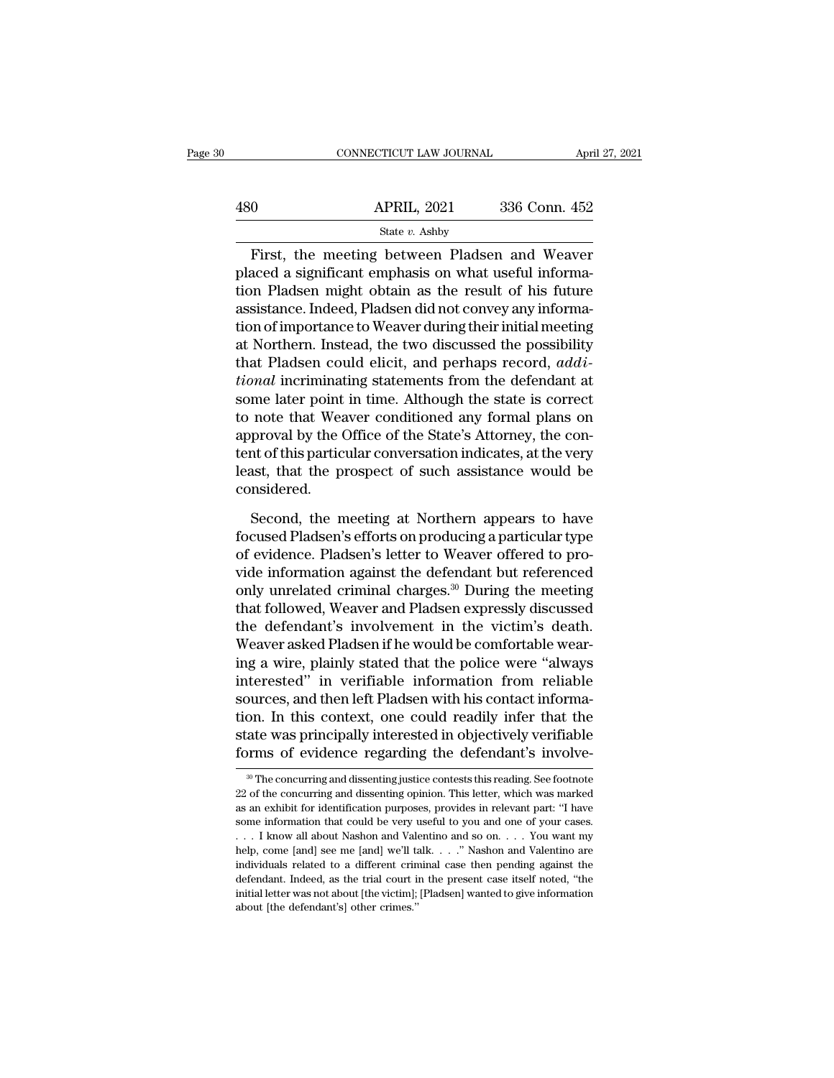|     | CONNECTICUT LAW JOURNAL | April 27, 2021 |  |
|-----|-------------------------|----------------|--|
|     |                         |                |  |
| 480 | <b>APRIL, 2021</b>      | 336 Conn. 452  |  |
|     | State v. Ashby          |                |  |

 $\frac{\text{COMNETICUT LAW JOURNAL}}{900}$  APRIL, 2021 336 Conn. 452<br>  $\frac{\text{State } v. \text{ Ashby}}{1000}$ <br>
First, the meeting between Pladsen and Weaver<br>
aced a significant emphasis on what useful information.  $\begin{array}{r} \text{480} \text{APRIL, } 2021 \text{ } 336 \text{ Conn. } 452 \text{ }^{\text{State }v. } \text{Ashby} \end{array}$ <br>
First, the meeting between Pladsen and Weaver<br>
placed a significant emphasis on what useful informa-<br>
tion Pladsen might obtain as the result of hi  $\begin{array}{r|l} \hline \text{480} & \text{APRIL, 2021} & \text{336 Conn. 452} \ \hline \text{First, the meeting between Pladsen and Weaver placed a significant emphasis on what useful information Pladsen might obtain as the result of his future assistance. Indeed, Pladsen did not convey any information of importance to Weaver during their initial motion.} \end{array}$  $\begin{array}{r} \text{APRIL, 2021} \text{336 Conn. 452} \\ \text{State } v. \text{ Ashby} \end{array}$ <br>First, the meeting between Pladsen and Weaver placed a significant emphasis on what useful information Pladsen might obtain as the result of his future assistance. In State  $v$ . Ashby<br>
First, the meeting between Pladsen and Weaver<br>
placed a significant emphasis on what useful informa-<br>
tion Pladsen might obtain as the result of his future<br>
assistance. Indeed, Pladsen did not convey any First, the meeting between Pladsen and Weaver<br>placed a significant emphasis on what useful informa-<br>tion Pladsen might obtain as the result of his future<br>assistance. Indeed, Pladsen did not convey any informa-<br>tion of imp First, the meeting between Pladsen and Weaver<br>placed a significant emphasis on what useful informa-<br>tion Pladsen might obtain as the result of his future<br>assistance. Indeed, Pladsen did not convey any informa-<br>tion of impo placed a significant emphasis on what useful information Pladsen might obtain as the result of his future assistance. Indeed, Pladsen did not convey any information of importance to Weaver during their initial meeting at N tion Pladsen might obtain as the result of his future<br>assistance. Indeed, Pladsen did not convey any informa-<br>tion of importance to Weaver during their initial meeting<br>at Northern. Instead, the two discussed the possibilit assistance. Indeed, Pladsen did not convey any information of importance to Weaver during their initial meeting<br>at Northern. Instead, the two discussed the possibility<br>that Pladsen could elicit, and perhaps record, *addi*tion of importance to Weaver during their initial meeting<br>at Northern. Instead, the two discussed the possibility<br>that Pladsen could elicit, and perhaps record, *addi-*<br>tional incriminating statements from the defendant at at Northern. Instead, the two discussed the possibility<br>that Pladsen could elicit, and perhaps record, *addi-*<br>*tional* incriminating statements from the defendant at<br>some later point in time. Although the state is correct that Pladsen could elicit, and perhaps record,  $addi$ -<br>*tional* incriminating statements from the defendant at<br>some later point in time. Although the state is correct<br>to note that Weaver conditioned any formal plans on<br>appr considered. note that Weaver conditioned any formal plans on<br>proval by the Office of the State's Attorney, the con-<br>nt of this particular conversation indicates, at the very<br>ast, that the prospect of such assistance would be<br>nsidered. approval by the Office of the State's Attorney, the content of this particular conversation indicates, at the very least, that the prospect of such assistance would be considered.<br>Second, the meeting at Northern appears to

tent of this particular conversation indicates, at the very<br>least, that the prospect of such assistance would be<br>considered.<br>Second, the meeting at Northern appears to have<br>focused Pladsen's efforts on producing a particul least, that the prospect of such assistance would be considered.<br>
Second, the meeting at Northern appears to have<br>
focused Pladsen's efforts on producing a particular type<br>
of evidence. Pladsen's letter to Weaver offered t considered.<br>
Second, the meeting at Northern appears to have<br>
focused Pladsen's efforts on producing a particular type<br>
of evidence. Pladsen's letter to Weaver offered to pro-<br>
vide information against the defendant but re Second, the meeting at Northern appears to have<br>focused Pladsen's efforts on producing a particular type<br>of evidence. Pladsen's letter to Weaver offered to pro-<br>vide information against the defendant but referenced<br>only un Second, the meeting at Northern appears to have<br>focused Pladsen's efforts on producing a particular type<br>of evidence. Pladsen's letter to Weaver offered to pro-<br>vide information against the defendant but referenced<br>only un focused Pladsen's efforts on producing a particular type<br>of evidence. Pladsen's letter to Weaver offered to pro-<br>vide information against the defendant but referenced<br>only unrelated criminal charges.<sup>30</sup> During the meetin of evidence. Pladsen's letter to Weaver offered to provide information against the defendant but referenced<br>only unrelated criminal charges.<sup>30</sup> During the meeting<br>that followed, Weaver and Pladsen expressly discussed<br>the vide information against the defendant but referenced<br>
only unrelated criminal charges.<sup>30</sup> During the meeting<br>
that followed, Weaver and Pladsen expressly discussed<br>
the defendant's involvement in the victim's death.<br>
Wea only unrelated criminal charges.<sup>30</sup> During the meeting<br>that followed, Weaver and Pladsen expressly discussed<br>the defendant's involvement in the victim's death.<br>Weaver asked Pladsen if he would be comfortable wear-<br>ing a w that followed, Weaver and Pladsen expressly discussed<br>the defendant's involvement in the victim's death.<br>Weaver asked Pladsen if he would be comfortable wear-<br>ing a wire, plainly stated that the police were "always<br>interes the defendant's involvement in the victim's death.<br>Weaver asked Pladsen if he would be comfortable wear-<br>ing a wire, plainly stated that the police were "always<br>interested" in verifiable information from reliable<br>sources, Weaver asked Pladsen if he would be comfortable wearing a wire, plainly stated that the police were "always interested" in verifiable information from reliable sources, and then left Pladsen with his contact information. sources, and then left Pladsen with his contact informa-<br>tion. In this context, one could readily infer that the<br>state was principally interested in objectively verifiable<br>forms of evidence regarding the defendant's invol tion. In this context, one could readily infer that the state was principally interested in objectively verifiable forms of evidence regarding the defendant's involve-<br><sup>30</sup> The concurring and dissenting justice contests th

state was principally interested in objectively verifiable<br>forms of evidence regarding the defendant's involve-<br><sup>30</sup>The concurring and dissenting justice contests this reading. See footnote<br>22 of the concurring and dissent forms of evidence regarding the defendant's involve-<br>
<sup>30</sup> The concurring and dissenting justice contests this reading. See footnote<br>
22 of the concurring and dissenting opinion. This letter, which was marked<br>
as an exhib The concurring and dissenting justice contests this reading. See footnote 22 of the concurring and dissenting opinion. This letter, which was marked as an exhibit for identification purposes, provides in relevant part: "I <sup>30</sup> The concurring and dissenting justice contests this reading. See footnote 22 of the concurring and dissenting opinion. This letter, which was marked as an exhibit for identification purposes, provides in relevant par 22 of the concurring and dissenting opinion. This letter, which was marked as an exhibit for identification purposes, provides in relevant part: "I have some information that could be very useful to you and one of your cas as an exhibit for identification purposes, provides in relevant part: "I have some information that could be very useful to you and one of your cases.<br>
. . . I know all about Nashon and Valentino and so on. . . . You want some information that could be very useful to you and one of your cases.<br>
... I know all about Nashon and Valentino and so on.... You want my<br>
help, come [and] see me [and] we'll talk...." Nashon and Valentino are<br>
indivi ... I know all about Nashon and Valentino and so on.... You want my help, come [and] see me [and] we'll talk. ..." Nashon and Valentino are individuals related to a different criminal case then pending against the defenda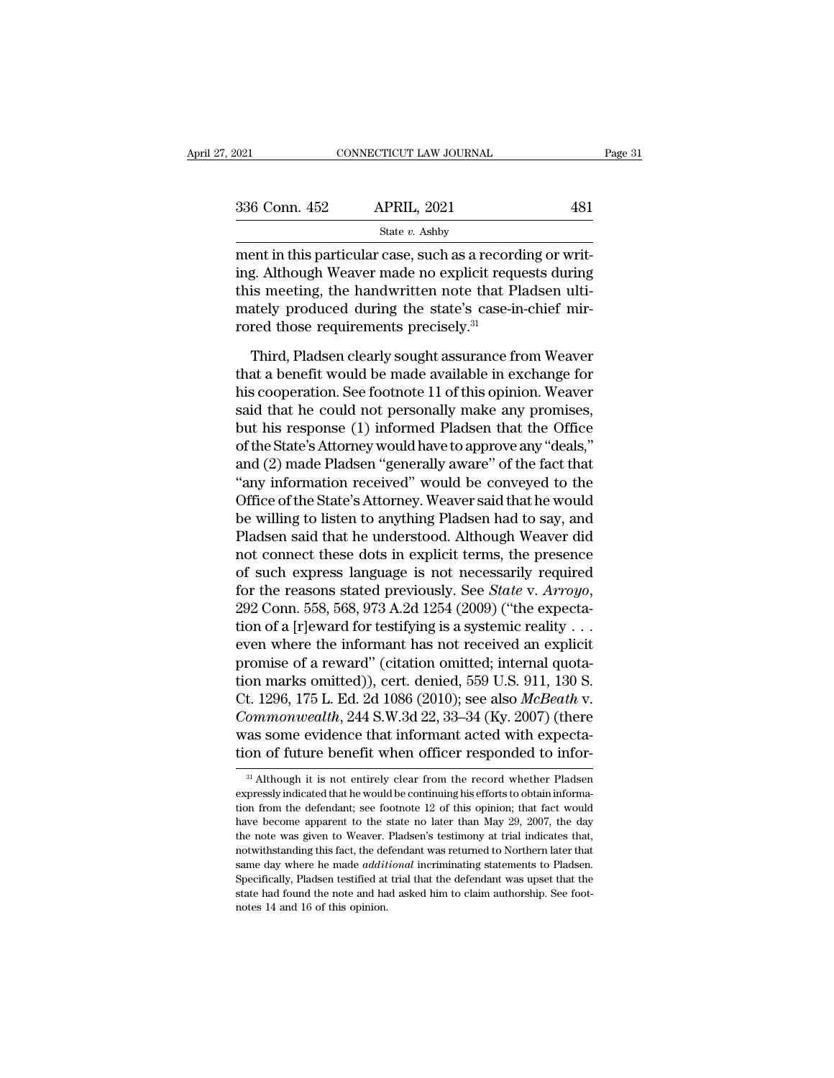| 2021          | CONNECTICUT LAW JOURNAL                                                                                                                                                     |     | Page 31 |
|---------------|-----------------------------------------------------------------------------------------------------------------------------------------------------------------------------|-----|---------|
|               |                                                                                                                                                                             |     |         |
| 336 Conn. 452 | <b>APRIL, 2021</b>                                                                                                                                                          | 481 |         |
|               | State $v$ . Ashby                                                                                                                                                           |     |         |
|               | ment in this particular case, such as a recording or writ-<br>ing. Although Weaver made no explicit requests during<br>this meeting the handwritten note that Dladson ulti- |     |         |

336 Conn. 452 APRIL, 2021 481<br>
state v. Ashby<br>
ment in this particular case, such as a recording or writ-<br>
ing. Although Weaver made no explicit requests during<br>
this meeting, the handwritten note that Pladsen ulti-<br>
mate 336 Conn. 452 APRIL, 2021 481<br>
State v. Ashby<br>
ment in this particular case, such as a recording or writ-<br>
ing. Although Weaver made no explicit requests during<br>
this meeting, the handwritten note that Pladsen ulti-<br>
mate 336 Conn. 452 APRIL, 2021 481<br>
State v. Ashby<br>
ment in this particular case, such as a recording or writ-<br>
ing. Although Weaver made no explicit requests during<br>
this meeting, the handwritten note that Pladsen ulti-<br>
mate  $\begin{array}{l} \hline \text{State $v$. Ashby} \\ \hline \text{ment in this particular case, such as a record} \\ \hline \text{ing. Although Weaver made no explicit requithis meeting, the handwritten note that Plmately produced during the state's case-irored those requirements precisely.} \\ \hline \end{array}$ ent in this particular case, such as a recording or writ-<br>g. Although Weaver made no explicit requests during<br>is meeting, the handwritten note that Pladsen ulti-<br>ately produced during the state's case-in-chief mir-<br>red tho ing. Although Weaver made no explicit requests during<br>this meeting, the handwritten note that Pladsen ulti-<br>mately produced during the state's case-in-chief mir-<br>rored those requirements precisely.<sup>31</sup><br>Third, Pladsen clear

this meeting, the handwritten note that Pladsen ulti-<br>mately produced during the state's case-in-chief mir-<br>rored those requirements precisely.<sup>31</sup><br>Third, Pladsen clearly sought assurance from Weaver<br>that a benefit would b mately produced during the state's case-in-chief mir-<br>rored those requirements precisely.<sup>31</sup><br>Third, Pladsen clearly sought assurance from Weaver<br>that a benefit would be made available in exchange for<br>his cooperation. See rored those requirements precisely.<sup>31</sup><br>Third, Pladsen clearly sought assurance from Weaver<br>that a benefit would be made available in exchange for<br>his cooperation. See footnote 11 of this opinion. Weaver<br>said that he could Third, Pladsen clearly sought assurance from Weaver<br>that a benefit would be made available in exchange for<br>his cooperation. See footnote 11 of this opinion. Weaver<br>said that he could not personally make any promises,<br>but h Third, Pladsen clearly sought assurance from Weaver<br>that a benefit would be made available in exchange for<br>his cooperation. See footnote 11 of this opinion. Weaver<br>said that he could not personally make any promises,<br>but h that a benefit would be made available in exchange for<br>his cooperation. See footnote 11 of this opinion. Weaver<br>said that he could not personally make any promises,<br>but his response (1) informed Pladsen that the Office<br>of his cooperation. See footnote 11 of this opinion. Weaver<br>said that he could not personally make any promises,<br>but his response (1) informed Pladsen that the Office<br>of the State's Attorney would have to approve any "deals," said that he could not personally make any promises,<br>but his response (1) informed Pladsen that the Office<br>of the State's Attorney would have to approve any "deals,"<br>and (2) made Pladsen "generally aware" of the fact that<br> but his response (1) informed Pladsen that the Office<br>of the State's Attorney would have to approve any "deals,"<br>and (2) made Pladsen "generally aware" of the fact that<br>"any information received" would be conveyed to the<br>O of the State's Attorney would have to approve any "deals,"<br>and (2) made Pladsen "generally aware" of the fact that<br>"any information received" would be conveyed to the<br>Office of the State's Attorney. Weaver said that he wou and (2) made Pladsen "generally aware" of the fact that<br>
"any information received" would be conveyed to the<br>
Office of the State's Attorney. Weaver said that he would<br>
be willing to listen to anything Pladsen had to say, "any information received" would be conveyed to the Office of the State's Attorney. Weaver said that he would<br>be willing to listen to anything Pladsen had to say, and<br>Pladsen said that he understood. Although Weaver did<br>no be willing to listen to anything Pladsen had to say, and<br>Pladsen said that he understood. Although Weaver did<br>not connect these dots in explicit terms, the presence<br>of such express language is not necessarily required<br>for Pladsen said that he understood. Although Weaver did<br>not connect these dots in explicit terms, the presence<br>of such express language is not necessarily required<br>for the reasons stated previously. See *State* v. Arroyo,<br>29 not connect these dots in explicit terms, the presence<br>of such express language is not necessarily required<br>for the reasons stated previously. See *State* v. Arroyo,<br>292 Conn. 558, 568, 973 A.2d 1254 (2009) ("the expectaof such express language is not necessarily required<br>for the reasons stated previously. See *State* v. Arroyo,<br>292 Conn. 558, 568, 973 A.2d 1254 (2009) ("the expecta-<br>tion of a [r]eward for testifying is a systemic realit for the reasons stated previously. See *State* v. *Arroyo*,<br>292 Conn. 558, 568, 973 A.2d 1254 (2009) ("the expecta-<br>tion of a [r]eward for testifying is a systemic reality . . .<br>even where the informant has not received an 292 Conn. 558, 568, 973 A.2d 1254 (2009) ("the expectation of a [r]eward for testifying is a systemic reality . . .<br>even where the informant has not received an explicit<br>promise of a reward" (citation omitted; internal quo tion of a [r]eward for testifying is a systemic reality . . .<br>even where the informant has not received an explicit<br>promise of a reward" (citation omitted; internal quota-<br>tion marks omitted)), cert. denied, 559 U.S. 911, even where the informant has not received an explicit<br>promise of a reward" (citation omitted; internal quota-<br>tion marks omitted)), cert. denied, 559 U.S. 911, 130 S.<br>Ct. 1296, 175 L. Ed. 2d 1086 (2010); see also *McBeath* Ct. 1296, 175 L. Ed. 2d 1086 (2010); see also *McBeath* v.<br>Commonwealth, 244 S.W.3d 22, 33–34 (Ky. 2007) (there<br>was some evidence that informant acted with expecta-<br>tion of future benefit when officer responded to infor-<br> *Commonwealth*, 244 S.W.3d 22, 33–34 (Ky. 2007) (there was some evidence that informant acted with expectation of future benefit when officer responded to infor-<br><sup>31</sup> Although it is not entirely clear from the record whet

was some evidence that informant acted with expectation of future benefit when officer responded to infor-<br><sup>31</sup> Although it is not entirely clear from the record whether Pladsen expressly indicated that he would be contin tion of future benefit when officer responded to infor-<br><sup>31</sup> Although it is not entirely clear from the record whether Pladsen<br>expressly indicated that he would be continuing his efforts to obtain informa-<br>tion from the d <sup>31</sup> Although it is not entirely clear from the record whether Pladsen expressly indicated that he would be continuing his efforts to obtain information from the defendant; see footnote 12 of this opinion; that fact would <sup>31</sup> Although it is not entirely clear from the record whether Pladsen expressly indicated that he would be continuing his efforts to obtain information from the defendant; see footnote 12 of this opinion; that fact would expressly indicated that he would be continuing his efforts to obtain information from the defendant; see footnote 12 of this opinion; that fact would have become apparent to the state no later than May 29, 2007, the day t Enferomed the defendant; see footnote 12 of this opinion; that fact would have become apparent to the state no later than May 29, 2007, the day the note was given to Weaver. Pladsen's testimony at trial indicates that, not have become apparent to the state no later than May 29, 2007, the day the note was given to Weaver. Pladsen's testimony at trial indicates that, notwithstanding this fact, the defendant was returned to Northern later that the note was given to Weaver. Pladsen's testimony at trial indicates that,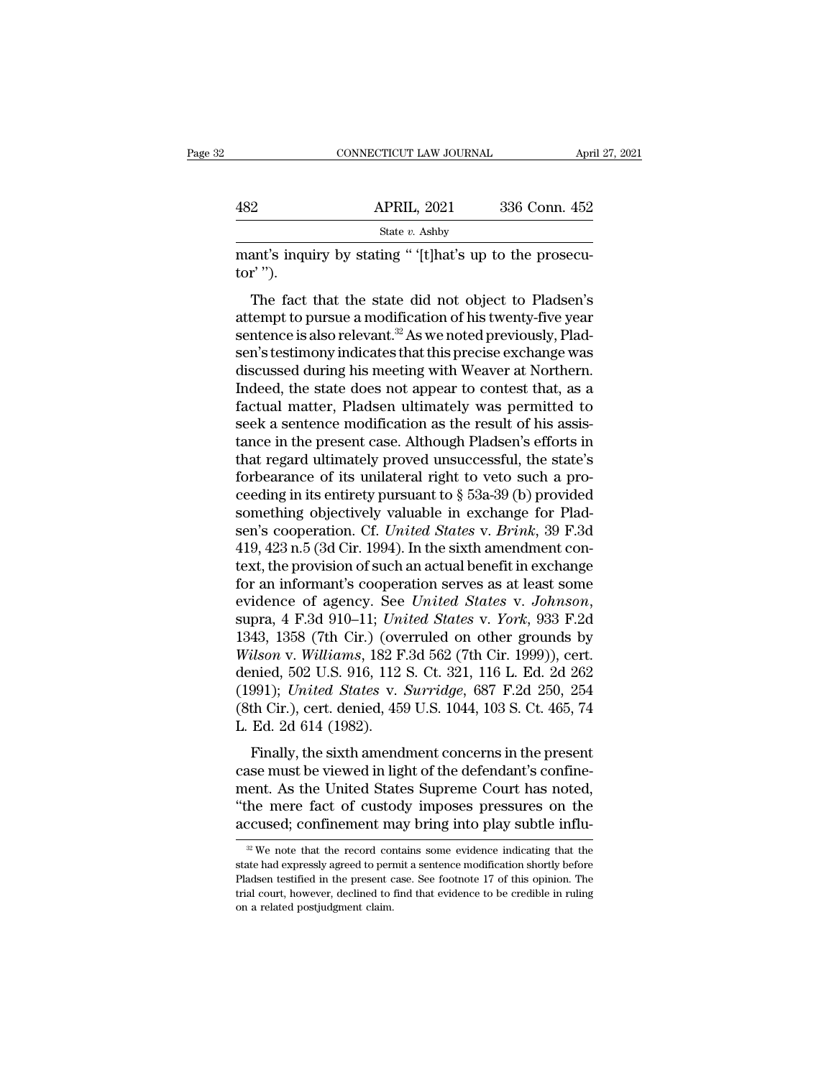|            | CONNECTICUT LAW JOURNAL                                                                                                                                                                 | April 27, 2021 |
|------------|-----------------------------------------------------------------------------------------------------------------------------------------------------------------------------------------|----------------|
| 482        | <b>APRIL, 2021</b>                                                                                                                                                                      | 336 Conn. 452  |
|            | State $v$ . Ashby                                                                                                                                                                       |                |
| $tor'$ "). | mant's inquiry by stating "'(t) hat's up to the prosecu-                                                                                                                                |                |
|            | The fact that the state did not object to Pladsen's<br>attempt to pursue a modification of his twenty-five year<br>contongo is also relayant <sup>32</sup> As we noted previously. Plad |                |

APRIL, 2021 336 Conn. 452<br>
State v. Ashby<br>
mant's inquiry by stating " '[t]hat's up to the prosecu-<br>
tor' ").<br>
The fact that the state did not object to Pladsen's<br>
attempt to pursue a modification of his twenty-five year<br> state v. Ashby<br>
mant's inquiry by stating " '[t]hat's up to the prosecutor' ").<br>
The fact that the state did not object to Pladsen's<br>
attempt to pursue a modification of his twenty-five year<br>
sentence is also relevant.<sup>32</sup> mant's inquiry by stating " '[t]hat's up to the prosecutor' ").<br>
The fact that the state did not object to Pladsen's<br>
attempt to pursue a modification of his twenty-five year<br>
sentence is also relevant.<sup>32</sup> As we noted pre mant's inquity by stating and the prosecutor'").<br>
The fact that the state did not object to Pladsen's<br>
attempt to pursue a modification of his twenty-five year<br>
sentence is also relevant.<sup>32</sup> As we noted previously, Plad-<br> The fact that the state did not object to Pladsen's<br>attempt to pursue a modification of his twenty-five year<br>sentence is also relevant.<sup>32</sup> As we noted previously, Plad-<br>sen's testimony indicates that this precise exchang The fact that the state did not object to Pladsen's<br>attempt to pursue a modification of his twenty-five year<br>sentence is also relevant.<sup>32</sup> As we noted previously, Plad-<br>sen's testimony indicates that this precise exchange attempt to pursue a modification of his twenty-five year<br>sentence is also relevant.<sup>32</sup> As we noted previously, Plad-<br>sen's testimony indicates that this precise exchange was<br>discussed during his meeting with Weaver at Nor sentence is also relevant.<sup>32</sup> As we noted previously, Pladsen's testimony indicates that this precise exchange was<br>discussed during his meeting with Weaver at Northern.<br>Indeed, the state does not appear to contest that, a sen's testimony indicates that this precise exchange was<br>discussed during his meeting with Weaver at Northern.<br>Indeed, the state does not appear to contest that, as a<br>factual matter, Pladsen ultimately was permitted to<br>see discussed during his meeting with Weaver at Northern.<br>Indeed, the state does not appear to contest that, as a<br>factual matter, Pladsen ultimately was permitted to<br>seek a sentence modification as the result of his assis-<br>tan Indeed, the state does not appear to contest that, as a factual matter, Pladsen ultimately was permitted to seek a sentence modification as the result of his assistance in the present case. Although Pladsen's efforts in t factual matter, Pladsen ultimately was permitted to<br>seek a sentence modification as the result of his assis-<br>tance in the present case. Although Pladsen's efforts in<br>that regard ultimately proved unsuccessful, the state's seek a sentence modification as the result of his assistance in the present case. Although Pladsen's efforts in that regard ultimately proved unsuccessful, the state's forbearance of its unilateral right to veto such a pro tance in the present case. Although Pladsen's efforts in that regard ultimately proved unsuccessful, the state's forbearance of its unilateral right to veto such a proceeding in its entirety pursuant to  $\S$  53a-39 (b) pro that regard ultimately proved unsuccessful, the state's<br>forbearance of its unilateral right to veto such a pro-<br>ceeding in its entirety pursuant to  $\S$  53a-39 (b) provided<br>something objectively valuable in exchange for Pl forbearance of its unilateral right to veto such a proceeding in its entirety pursuant to § 53a-39 (b) provided<br>something objectively valuable in exchange for Pladsen's cooperation. Cf. United States v. Brink, 39 F.3d<br>419 ceeding in its entirety pursuant to § 53a-39 (b) provided<br>something objectively valuable in exchange for Plad-<br>sen's cooperation. Cf. *United States* v. *Brink*, 39 F.3d<br>419, 423 n.5 (3d Cir. 1994). In the sixth amendment sen's cooperation. Cf. *United States v. Brink*, 39 F.3d<br>419, 423 n.5 (3d Cir. 1994). In the sixth amendment con-<br>text, the provision of such an actual benefit in exchange<br>for an informant's cooperation serves as at least 419, 423 n.5 (3d Cir. 1994). In the sixth amendment context, the provision of such an actual benefit in exchange<br>for an informant's cooperation serves as at least some<br>evidence of agency. See *United States v. Johnson*,<br>su text, the provision of such an actual benefit in exchange<br>for an informant's cooperation serves as at least some<br>evidence of agency. See *United States v. Johnson*,<br>supra, 4 F.3d 910–11; *United States v. York*, 933 F.2d<br>1 for an informant's cooperation serves as at least some<br>evidence of agency. See *United States* v. *Johnson*,<br>supra, 4 F.3d 910–11; *United States* v. *York*, 933 F.2d<br>1343, 1358 (7th Cir.) (overruled on other grounds by<br>Wi evidence of agency. See *United States v. Johnson*,<br>supra, 4 F.3d 910–11; *United States v. York*, 933 F.2d<br>1343, 1358 (7th Cir.) (overruled on other grounds by<br>*Wilson v. Williams*, 182 F.3d 562 (7th Cir. 1999)), cert.<br>de supra, 4 F.3d 910–11; Uni<br>1343, 1358 (7th Cir.) (ove<br>Wilson v. Williams, 182 F<br>denied, 502 U.S. 916, 112<br>(1991); United States v. .<br>(8th Cir.), cert. denied, 459<br>L. Ed. 2d 614 (1982).<br>Finally, the sixth amend Fig. 1999 (Tar en.) (overtured on other groands by<br>ilson v. Williams, 182 F.3d 562 (7th Cir. 1999)), cert.<br>mied, 502 U.S. 916, 112 S. Ct. 321, 116 L. Ed. 2d 262<br>991); United States v. Surridge, 687 F.2d 250, 254<br>th Cir.), case must be viewed in light of the defendant's confine-<br>case must be viewed in light of the defendant of the defendant<br>(8th Cir.), cert. denied, 459 U.S. 1044, 103 S. Ct. 465, 74<br>L. Ed. 2d 614 (1982).<br>Finally, the sixth

(1991); *United States v. Surridge*, 687 F.2d 250, 254<br>(301); *United States v. Surridge*, 687 F.2d 250, 254<br>(8th Cir.), cert. denied, 459 U.S. 1044, 103 S. Ct. 465, 74<br>L. Ed. 2d 614 (1982).<br>Finally, the sixth amendment c (1661), Child Black V. Barriage, 6011.2d 250, 251<br>(8th Cir.), cert. denied, 459 U.S. 1044, 103 S. Ct. 465, 74<br>L. Ed. 2d 614 (1982).<br>Finally, the sixth amendment concerns in the present<br>case must be viewed in light of the d L. Ed. 2d 614 (1982).<br>
Finally, the sixth amendment concerns in the present case must be viewed in light of the defendant's confine-<br>
ment. As the United States Supreme Court has noted,<br>
"the mere fact of custody imposes ase must be viewed in light of the detendant's contine-<br>sent. As the United States Supreme Court has noted,<br>the mere fact of custody imposes pressures on the<br>ccused; confinement may bring into play subtle influ-<br> $\frac{1}{2}$  ment. As the United States Supreme Court has noted,<br>
"the mere fact of custody imposes pressures on the<br>
accused; confinement may bring into play subtle influ-<br>  $\frac{w}{w}$  we note that the record contains some evidence ind

<sup>&</sup>quot;The mere fact of custody imposes pressures on the accused; confinement may bring into play subtle influ-<br> $\frac{1}{2}$  We note that the record contains some evidence indicating that the state had expressly agreed to permit a accused; confinement may bring into play subtle influ-<br>
<sup>22</sup> We note that the record contains some evidence indicating that the state had expressly agreed to permit a sentence modification shortly before Pladsen testified  $\approx$  We note that the record contains some evidence indicating that the state had expressly agreed to permit a sentence modification shortly before Pladsen testified in the present case. See footnote 17 of this opinion. T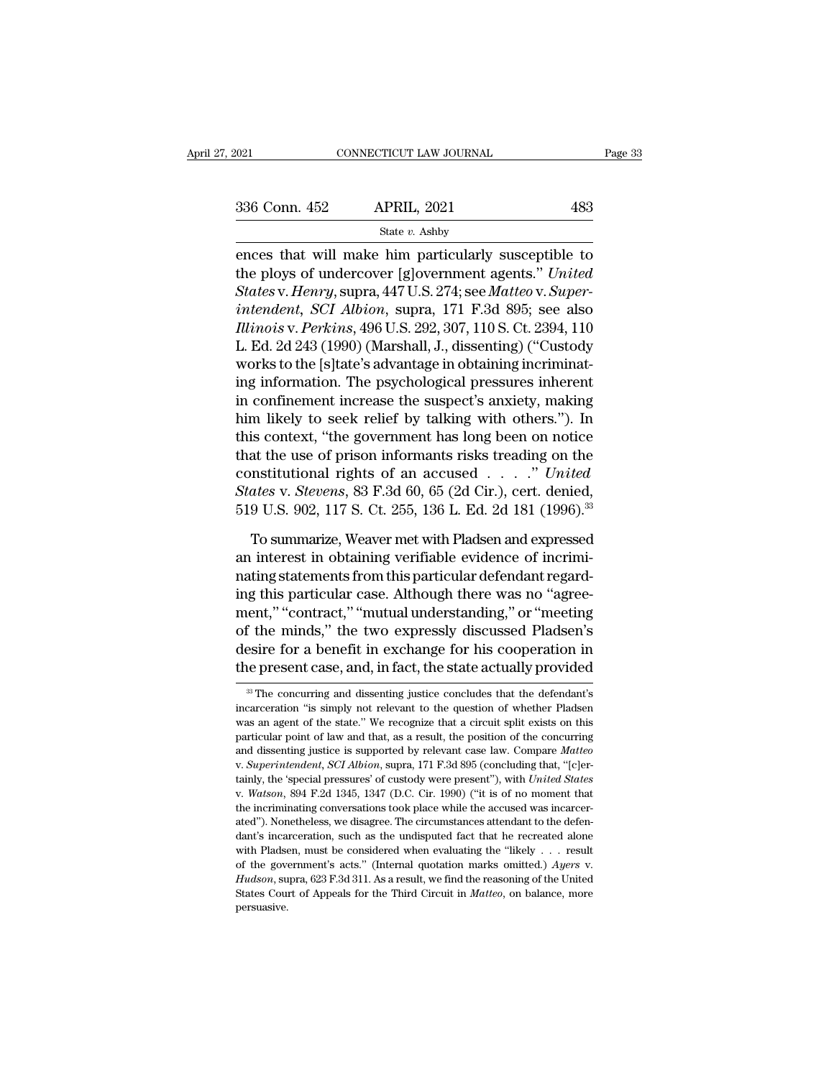EN CONNECTICUT LAW JOURNAL Page 33<br>  $\begin{array}{r}\n 336 \text{ Conn. } 452 \quad \text{APRIL, } 2021 \quad \text{483} \\
 \text{State } v. \text{ Ashby} \\
 \text{ences that will make him particularly susceptible to the ploys of undercover [g]overnment agents." *United States of the program* runs  $44711 \text{ S. } 374 \text{ G08} \text{ Matrix: } \text{Syser} \n\end{array}$$ 336 Conn. 452 APRIL, 2021 483<br>
State *v*. Ashby<br>
ences that will make him particularly susceptible to<br>
the ploys of undercover [g]overnment agents.'' *United*<br>
States v. Henry, supra, 447 U.S. 274; see *Matteo* v. Super-<br> *State v. Ashby*<br> *State v. Ashby*<br> **Example 18 ADDED**<br> **States** that will make him particularly susceptible to<br>
the ploys of undercover [g]overnment agents." United<br> *States* v. *Henry*, supra, 447 U.S. 274; see *Matteo* <sup>336</sup> Conn. 452 APRIL, 2021 483<br>
<sup>State v. Ashby<br>
ences that will make him particularly susceptible to<br>
the ploys of undercover [g]overnment agents." *United*<br> *States* v. *Henry*, supra, 447 U.S. 274; see *Matteo* v. *Sup</sup> State v. Ashby*<br>
ences that will make him particularly susceptible to<br>
the ploys of undercover [g]overnment agents." United<br> *States v. Henry,* supra, 447 U.S. 274; see *Matteo v. Super-<br>
intendent, SCI Albion*, supra, 17 State *v.* Ashby<br>
ences that will make him particularly susceptible to<br>
the ploys of undercover [g]overnment agents." *United*<br> *States* v. *Henry*, supra, 447 U.S. 274; see *Matteo* v. *Super-*<br> *intendent, SCI Albion*, ences that will make him particularly susceptible to<br>the ploys of undercover [g]overnment agents." *United*<br>States v. Henry, supra, 447 U.S. 274; see Matteo v. Super-<br>intendent, SCI Albion, supra, 171 F.3d 895; see also<br>Il the ploys of undercover [g]overnment agents." United<br>States v. Henry, supra, 447 U.S. 274; see Matteo v. Super-<br>intendent, SCI Albion, supra, 171 F.3d 895; see also<br>Illinois v. Perkins, 496 U.S. 292, 307, 110 S. Ct. 2394, States v. Henry, supra, 447 U.S. 274; see Matteo v. Super-<br>intendent, SCI Albion, supra, 171 F.3d 895; see also<br>Illinois v. Perkins, 496 U.S. 292, 307, 110 S. Ct. 2394, 110<br>L. Ed. 2d 243 (1990) (Marshall, J., dissenting) ( intendent, SCI Albion, supra, 171 F.3d 895; see also<br>Illinois v. Perkins, 496 U.S. 292, 307, 110 S. Ct. 2394, 110<br>L. Ed. 2d 243 (1990) (Marshall, J., dissenting) ("Custody<br>works to the [s]tate's advantage in obtaining incr Illinois v. Perkins, 496 U.S. 292, 307, 110 S. Ct. 2394, 110<br>L. Ed. 2d 243 (1990) (Marshall, J., dissenting) ("Custody<br>works to the [s]tate's advantage in obtaining incriminat-<br>ing information. The psychological pressures L. Ed. 2d 243 (1990) (Marshall, J., dissenting) ("Custody<br>works to the [s]tate's advantage in obtaining incriminat-<br>ing information. The psychological pressures inherent<br>in confinement increase the suspect's anxiety, maki works to the [s]tate's advantage in obtaining incriminat-<br>ing information. The psychological pressures inherent<br>in confinement increase the suspect's anxiety, making<br>him likely to seek relief by talking with others."). In<br> ing information. The psychological pressures inherent<br>in confinement increase the suspect's anxiety, making<br>him likely to seek relief by talking with others."). In<br>this context, "the government has long been on notice<br>that in confinement increase the suspect's anxiety, making<br>him likely to seek relief by talking with others."). In<br>this context, "the government has long been on notice<br>that the use of prison informants risks treading on the<br>c is context, "the government has long been on notice<br>at the use of prison informants risks treading on the<br>nstitutional rights of an accused  $\ldots$ ." United<br>ates v. Stevens, 83 F.3d 60, 65 (2d Cir.), cert. denied,<br>9 U.S. 90 that the use of prison informants risks treading on the constitutional rights of an accused  $\ldots$  " United States v. Stevens, 83 F.3d 60, 65 (2d Cir.), cert. denied, 519 U.S. 902, 117 S. Ct. 255, 136 L. Ed. 2d 181 (1996).

constitutional rights of an accused  $\ldots$  " United<br>States v. Stevens, 83 F.3d 60, 65 (2d Cir.), cert. denied,<br>519 U.S. 902, 117 S. Ct. 255, 136 L. Ed. 2d 181 (1996).<sup>33</sup><br>To summarize, Weaver met with Pladsen and expressed States v. Stevens, 83 F.3d 60, 65 (2d Cir.), cert. denied,<br>519 U.S. 902, 117 S. Ct. 255, 136 L. Ed. 2d 181 (1996).<sup>33</sup><br>To summarize, Weaver met with Pladsen and expressed<br>an interest in obtaining verifiable evidence of inc 519 U.S. 902, 117 S. Ct. 255, 136 L. Ed. 2d 181 (1996).<sup>33</sup><br>To summarize, Weaver met with Pladsen and expressed<br>an interest in obtaining verifiable evidence of incrimi-<br>nating statements from this particular defendant rega To summarize, Weaver met with Pladsen and expressed<br>an interest in obtaining verifiable evidence of incrimi-<br>nating statements from this particular defendant regard-<br>ing this particular case. Although there was no "agree-<br> To summarize, Weaver met with Pladsen and expressed<br>an interest in obtaining verifiable evidence of incrimi-<br>nating statements from this particular defendant regard-<br>ing this particular case. Although there was no "agree-<br> an interest in obtaining verifiable evidence of incrimi-<br>nating statements from this particular defendant regard-<br>ing this particular case. Although there was no "agree-<br>ment," "contract," "mutual understanding," or "meeti ment," "contract," "mutual understanding," or "meeting<br>of the minds," the two expressly discussed Pladsen's<br>desire for a benefit in exchange for his cooperation in<br>the present case, and, in fact, the state actually provide of the minds," the two expressly discussed Pladsen's<br>desire for a benefit in exchange for his cooperation in<br>the present case, and, in fact, the state actually provided<br><sup>38</sup> The concurring and dissenting justice concludes

desire for a benefit in exchange for his cooperation in<br>the present case, and, in fact, the state actually provided<br><sup>38</sup>The concurring and dissenting justice concludes that the defendant's<br>incarceration "is simply not rele The present case, and, in fact, the state actually provided<br>
<sup>33</sup> The concurring and dissenting justice concludes that the defendant's<br>
incarceration "is simply not relevant to the question of whether Pladsen<br>
was an agent and dissenting and dissenting justice concludes that the defendant's<br>incarceration "is simply not relevant to the question of whether Pladsen<br>was an agent of the state." We recognize that a circuit split exists on this<br>par <sup>33</sup> The concurring and dissenting justice concludes that the defendant's incarceration "is simply not relevant to the question of whether Pladsen was an agent of the state." We recognize that a circuit split exists on thi the custody were present of the state of whether Pladsent was an agent of the state." We recognize that a circuit split exists on this particular point of law and that, as a result, the position of the concurring and disse particular point of law and that, as a result, the position of the concurring<br>and dissenting justice is supported by relevant case law. Compare *Matteo*<br>v. *Superintendent*, *SCI Albion*, supra, 171 F.3d 895 (concluding th and dissenting justice is supported by relevant case law. Compare *Matteo*.<br>V. Superintendent, SCI Albion, supra, 171 F.3d 895 (concluding that, "[c]ertainly, the 'special pressures' of custody were present"), with *United* w. Superintendent, SCI Albion, supra, 171 F.3d 895 (concluding that, "[c]ertainly, the 'special pressures' of custody were present"), with *United States* v. *Watson*, 894 F.2d 1345, 1347 (D.C. Cir. 1990) ("it is of no mo tainly, the 'special pressures' of custody were present"), with *United States* v. *Watson*, 894 F.2d 1345, 1347 (D.C. Cir. 1990) ("it is of no moment that the incriminating conversations took place while the accused was of the incriminating conversations took place while the accused was incarcer-<br>the incriminating conversations took place while the accused was incarcer-<br>ated"). Nonetheless, we disagree. The circumstances attendant to the ated"). Nonetheless, we disagree. The circumstances attendant to the defendant's incarceration, such as the undisputed fact that he recreated alone with Pladsen, must be considered when evaluating the "likely . . . result persuasive.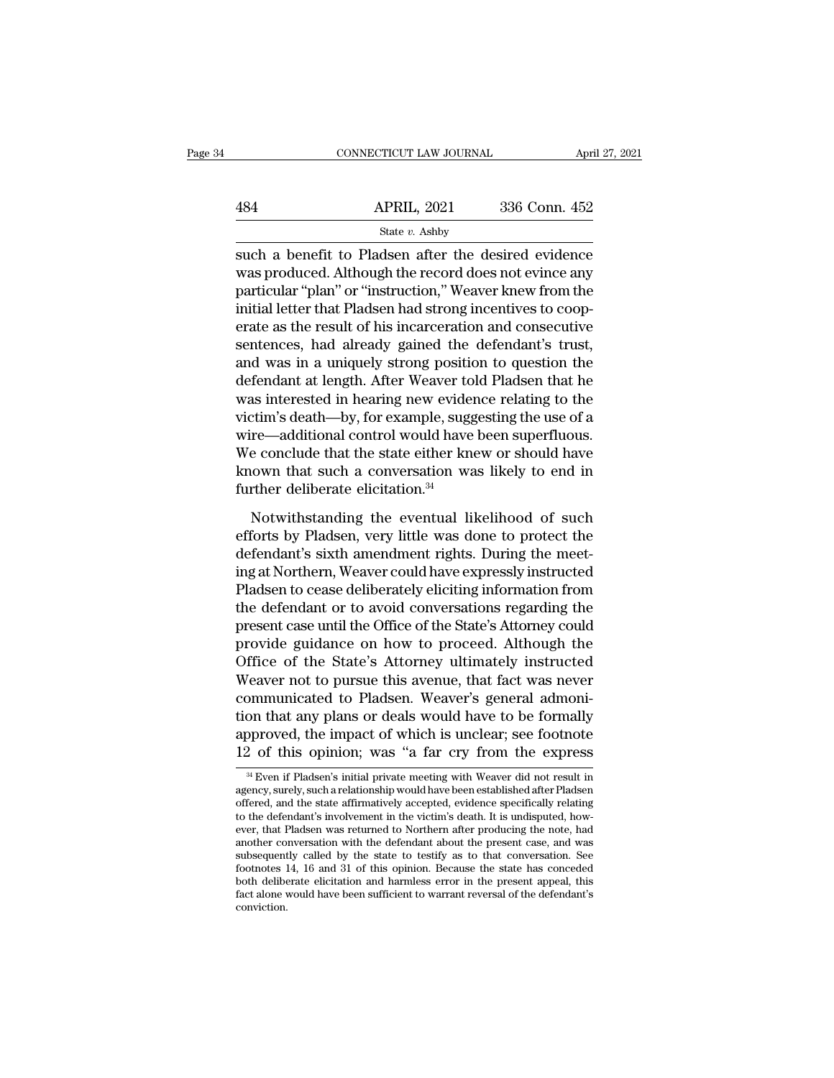|     | CONNECTICUT LAW JOURNAL | April 27, 2021 |
|-----|-------------------------|----------------|
|     |                         |                |
| 484 | <b>APRIL, 2021</b>      | 336 Conn. 452  |
|     | State v. Ashby          |                |

 $\begin{tabular}{ll} \multicolumn{1}{l}{{\small \begin{tabular}{l}p{27,2021}}\hline & \multicolumn{1}{l}{\text{GNNECTCUT LAW JOURNAL}}\\ \hline & \multicolumn{1}{l}{\text{April 27, 2021}}\\ & \multicolumn{1}{l}{\text{State $v$}}.\text{Ashby} \end{tabular} }\\ \hline & \multicolumn{1}{l}{\text{State $v$}}.\text{Ashby} \end{tabular} }\\ \hline & \multicolumn{1}{l}{\text{State $v$}}.\text{Ashby} \end{tabular} }\\ \hline \text{such a benefit to Pladsen after the desired evidence} \text{was produced$ APRIL, 2021 336 Conn. 452<br>
State v. Ashby<br>
Such a benefit to Pladsen after the desired evidence<br>
was produced. Although the record does not evince any<br>
particular "plan" or "instruction," Weaver knew from the<br>
initial lett  $\begin{array}{r} \text{APRIL, 2021} \text{336 Conn. 452} \ \text{State } v. \text{ Ashby} \ \text{such a benefit to Pladsen after the desired evidence} \ \text{was produced. Although the record does not evince any particular "plan" or "instruction," Weaver knew from the initial letter that Pladsen had strong incentives to cooperate the result of his inconservative and conservation.} \end{array}$  $\frac{\text{APRIL, 2021}}{\text{State } v. \text{ Ashby}}$ <br>
such a benefit to Pladsen after the desired evidence<br>
was produced. Although the record does not evince any<br>
particular "plan" or "instruction," Weaver knew from the<br>
initial letter that Pl State *v*. Ashby<br>
such a benefit to Pladsen after the desired evidence<br>
was produced. Although the record does not evince any<br>
particular "plan" or "instruction," Weaver knew from the<br>
initial letter that Pladsen had stro state v. Ashby<br>such a benefit to Pladsen after the desired evidence<br>was produced. Although the record does not evince any<br>particular "plan" or "instruction," Weaver knew from the<br>initial letter that Pladsen had strong inc such a benefit to Pladsen after the desired evidence<br>was produced. Although the record does not evince any<br>particular "plan" or "instruction," Weaver knew from the<br>initial letter that Pladsen had strong incentives to coopwas produced. Although the record does not evince any<br>particular "plan" or "instruction," Weaver knew from the<br>initial letter that Pladsen had strong incentives to coop-<br>erate as the result of his incarceration and consecu particular "plan" or "instruction," Weaver knew from the<br>initial letter that Pladsen had strong incentives to coop-<br>erate as the result of his incarceration and consecutive<br>sentences, had already gained the defendant's tru initial letter that Pladsen had strong incentives to cooperate as the result of his incarceration and consecutive<br>sentences, had already gained the defendant's trust,<br>and was in a uniquely strong position to question the<br>d erate as the result of his incarceration and consecutive<br>sentences, had already gained the defendant's trust,<br>and was in a uniquely strong position to question the<br>defendant at length. After Weaver told Pladsen that he<br>was sentences, had already gained the defendant's trust,<br>and was in a uniquely strong position to question the<br>defendant at length. After Weaver told Pladsen that he<br>was interested in hearing new evidence relating to the<br>victi and was in a uniquely strong position to question the<br>defendant at length. After Weaver told Pladsen that he<br>was interested in hearing new evidence relating to the<br>victim's death—by, for example, suggesting the use of a<br>wi defendant at length. After Weaver to<br>was interested in hearing new evider<br>victim's death—by, for example, sugg<br>wire—additional control would have<br>We conclude that the state either kn<br>known that such a conversation wa<br>furth tim's death—by, for example, suggesting the use of a<br>re—additional control would have been superfluous.<br>e conclude that the state either knew or should have<br>nown that such a conversation was likely to end in<br>ther deliberat wire—additional control would have been superfluous.<br>We conclude that the state either knew or should have<br>known that such a conversation was likely to end in<br>further deliberate elicitation.<sup>34</sup><br>Notwithstanding the eventu

We conclude that the state either knew or should have<br>known that such a conversation was likely to end in<br>further deliberate elicitation.<sup>34</sup><br>Notwithstanding the eventual likelihood of such<br>efforts by Pladsen, very little known that such a conversation was likely to end in<br>further deliberate elicitation.<sup>34</sup><br>Notwithstanding the eventual likelihood of such<br>efforts by Pladsen, very little was done to protect the<br>defendant's sixth amendment r further deliberate elicitation.<sup>34</sup><br>Notwithstanding the eventual likelihood of such<br>efforts by Pladsen, very little was done to protect the<br>defendant's sixth amendment rights. During the meet-<br>ing at Northern, Weaver could Notwithstanding the eventual likelihood of such<br>efforts by Pladsen, very little was done to protect the<br>defendant's sixth amendment rights. During the meet-<br>ing at Northern, Weaver could have expressly instructed<br>Pladsen t Notwithstanding the eventual likelihood of such<br>efforts by Pladsen, very little was done to protect the<br>defendant's sixth amendment rights. During the meet-<br>ing at Northern, Weaver could have expressly instructed<br>Pladsen t efforts by Pladsen, very little was done to protect the<br>defendant's sixth amendment rights. During the meet-<br>ing at Northern, Weaver could have expressly instructed<br>Pladsen to cease deliberately eliciting information from<br> defendant's sixth amendment rights. During the meet-<br>ing at Northern, Weaver could have expressly instructed<br>Pladsen to cease deliberately eliciting information from<br>the defendant or to avoid conversations regarding the<br>pr ing at Northern, Weaver could have expressly instructed<br>Pladsen to cease deliberately eliciting information from<br>the defendant or to avoid conversations regarding the<br>present case until the Office of the State's Attorney c Pladsen to cease deliberately eliciting information from<br>the defendant or to avoid conversations regarding the<br>present case until the Office of the State's Attorney could<br>provide guidance on how to proceed. Although the<br>Of the defendant or to avoid conversations regarding the<br>present case until the Office of the State's Attorney could<br>provide guidance on how to proceed. Although the<br>Office of the State's Attorney ultimately instructed<br>Weaver present case until the Office of the State's Attorney could<br>provide guidance on how to proceed. Although the<br>Office of the State's Attorney ultimately instructed<br>Weaver not to pursue this avenue, that fact was never<br>commun provide guidance on how to proceed. Although the<br>Office of the State's Attorney ultimately instructed<br>Weaver not to pursue this avenue, that fact was never<br>communicated to Pladsen. Weaver's general admoni-<br>tion that any pl om that any plans or deals would have to be formally<br>oproved, the impact of which is unclear; see footnote<br>2 of this opinion; was "a far cry from the express<br><sup>34 Even</sup> if Pladsen's initial private meeting with Weaver did n tion that any plans or deals would have to be formally<br>approved, the impact of which is unclear; see footnote<br>12 of this opinion; was "a far cry from the express<br><sup>34</sup> Even if Pladsen's initial private meeting with Weaver d

approved, the impact of which is unclear; see footnote 12 of this opinion; was "a far cry from the express  $\frac{3}{4}$  Even if Pladsen's initial private meeting with Weaver did not result in agency, surely, such a relationsh approved, the impact of which is unclear; see footnote<br>12 of this opinion; was "a far cry from the express<br><sup>34</sup> Even if Pladsen's initial private meeting with Weaver did not result in<br>agency, surely, such a relationship wo 12 of this opinion; was "a far cry from the express<br>  $\frac{34}{4}$  Even if Pladsen's initial private meeting with Weaver did not result in<br>
agency, surely, such a relationship would have been established after Pladsen<br>
offer <sup>34</sup> Even if Pladsen's initial private meeting with Weaver did not result in agency, surely, such a relationship would have been established after Pladsen offered, and the state affirmatively accepted, evidence specifical <sup>34</sup> Even if Pladsen's initial private meeting with Weaver did not result in agency, surely, such a relationship would have been established after Pladsen offered, and the state affirmatively accepted, evidence specifical agency, surely, such a relationship would have been established after Pladsen<br>offered, and the state affirmatively accepted, evidence specifically relating<br>to the defendant's involvement in the victim's death. It is undisp offered, and the state affirmatively accepted, evidence specifically relating to the defendant's involvement in the victim's death. It is undisputed, however, that Pladsen was returned to Northern after producing the note, to the defendant's involvement in the victim's death. It is undisputed, however, that Pladsen was returned to Northern after producing the note, had another conversation with the defendant about the present case, and was s conviction.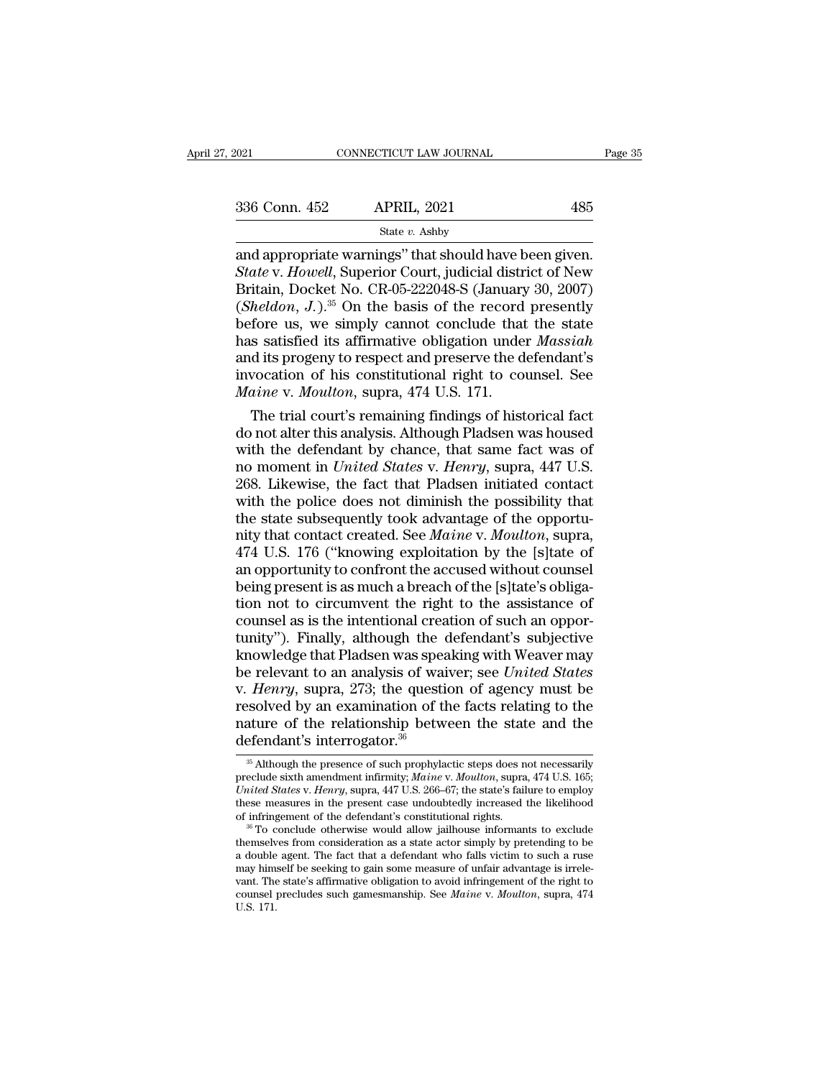$\begin{array}{lll} \text{COMRECTICUT LAW JOURNAL} & \text{Page} \ \text{336 Conn. } 452 & \text{APRIL, } 2021 & 485 \ \hline & \text{State } v. \text{ Ashby} \ \text{and appropriate warnings'' that should have been given.} \ \text{State V.} \text{ However, judicial district of New Britain, Docket No. CR-05-222048-S (January 30–2007).} \end{array}$ <sup>336</sup> Conn. 452 APRIL, 2021 485<br>
<sup>State v. Ashby<br>
and appropriate warnings" that should have been given.<br> *State* v. *Howell*, Superior Court, judicial district of New<br>
Britain, Docket No. CR-05-222048-S (January 30, 2007)</sup> 336 Conn. 452 APRIL, 2021 485<br>
State v. Ashby<br>
and appropriate warnings" that should have been given.<br>
State v. Howell, Superior Court, judicial district of New<br>
Britain, Docket No. CR-05-222048-S (January 30, 2007)<br>
(She (*Sheldon, J.*).<sup>35</sup> On the basis of the record present present and appropriate warnings" that should have been given.<br> *State v. Howell*, Superior Court, judicial district of New<br> *State v. Howell*, Superior Court, judici  $\frac{\text{State } v. \text{ Ashby}}{\text{State } v. \text{ H. H. H. 2021}}$ <br>
State v. Ashby<br>
and appropriate warnings" that should have been given.<br>
State v. Howell, Superior Court, judicial district of New<br>
Britain, Docket No. CR-05-222048-S (January 30, 2 State v. Ashby<br>
and appropriate warnings" that should have been given.<br> *State* v. Howell, Superior Court, judicial district of New<br>
Britain, Docket No. CR-05-222048-S (January 30, 2007)<br>
(*Sheldon, J.*).<sup>35</sup> On the basis and appropriate warnings" that should have been given.<br> *State* v. *Howell*, Superior Court, judicial district of New<br>
Britain, Docket No. CR-05-222048-S (January 30, 2007)<br>
(*Sheldon, J.*).<sup>35</sup> On the basis of the record State v. Howell, Superior Court, judicial district of New<br>Britain, Docket No. CR-05-222048-S (January 30, 2007)<br>(Sheldon, J.).<sup>35</sup> On the basis of the record presently<br>before us, we simply cannot conclude that the state<br>ha Britain, Docket No. CR-05-222048-S (January 30, 2007)<br>(*Sheldon, J.*).<sup>35</sup> On the basis of the record presently<br>before us, we simply cannot conclude that the state<br>has satisfied its affirmative obligation under *Massiah*<br>a heldon, J.).<sup>35</sup> On the basis of the record presently<br>fore us, we simply cannot conclude that the state<br>s satisfied its affirmative obligation under *Massiah*<br>d its progeny to respect and preserve the defendant's<br>vocation before us, we simply cannot conclude that the state<br>has satisfied its affirmative obligation under *Massiah*<br>and its progeny to respect and preserve the defendant's<br>invocation of his constitutional right to counsel. See<br>

has satisfied its affirmative obligation under *Massiah*<br>and its progeny to respect and preserve the defendant's<br>invocation of his constitutional right to counsel. See<br>*Maine* v. *Moulton*, supra, 474 U.S. 171.<br>The trial c and its progeny to respect and preserve the defendant's<br>invocation of his constitutional right to counsel. See<br>*Maine* v. *Moulton*, supra, 474 U.S. 171.<br>The trial court's remaining findings of historical fact<br>do not alter invocation of his constitutional right to counsel. See<br> *Maine* v. *Moulton*, supra, 474 U.S. 171.<br>
The trial court's remaining findings of historical fact<br>
do not alter this analysis. Although Pladsen was housed<br>
with the *Maine v. Moulton*, supra, 474 U.S. 171.<br>
The trial court's remaining findings of historical fact<br>
do not alter this analysis. Although Pladsen was housed<br>
with the defendant by chance, that same fact was of<br>
no moment in The trial court's remaining findings of historical fact<br>do not alter this analysis. Although Pladsen was housed<br>with the defendant by chance, that same fact was of<br>no moment in *United States v. Henry*, supra, 447 U.S.<br>268 do not alter this analysis. Although Pladsen was housed<br>with the defendant by chance, that same fact was of<br>no moment in *United States* v. *Henry*, supra, 447 U.S.<br>268. Likewise, the fact that Pladsen initiated contact<br>wi with the defendant by chance, that same fact was of<br>no moment in *United States v. Henry*, supra, 447 U.S.<br>268. Likewise, the fact that Pladsen initiated contact<br>with the police does not diminish the possibility that<br>the s no moment in *United States v. Henry*, supra, 447 U.S.<br>268. Likewise, the fact that Pladsen initiated contact<br>with the police does not diminish the possibility that<br>the state subsequently took advantage of the opportu-<br>nit 268. Likewise, the fact that Pladsen initiated contact<br>with the police does not diminish the possibility that<br>the state subsequently took advantage of the opportu-<br>nity that contact created. See *Maine* v. *Moulton*, supr with the police does not diminish the possibility that<br>the state subsequently took advantage of the opportu-<br>nity that contact created. See *Maine* v. *Moulton*, supra,<br>474 U.S. 176 ("knowing exploitation by the [s]tate of the state subsequently took advantage of the opportunity that contact created. See *Maine* v. *Moulton*, supra, 474 U.S. 176 ("knowing exploitation by the [s]tate of an opportunity to confront the accused without counsel b nity that contact created. See *Maine* v. *Moulton*, supra, 474 U.S. 176 ("knowing exploitation by the [s]tate of an opportunity to confront the accused without counsel being present is as much a breach of the [s]tate's ob 474 U.S. 176 ("knowing exploitation by the [s]tate of<br>an opportunity to confront the accused without counsel<br>being present is as much a breach of the [s]tate's obliga-<br>tion not to circumvent the right to the assistance of an opportunity to confront the accused without counsel<br>being present is as much a breach of the [s]tate's obliga-<br>tion not to circumvent the right to the assistance of<br>counsel as is the intentional creation of such an oppo being present is as much a breach of the [s]tate's obligation not to circumvent the right to the assistance of counsel as is the intentional creation of such an opportunity"). Finally, although the defendant's subjective k tion not to circumvent the right to the assistance of<br>counsel as is the intentional creation of such an oppor-<br>tunity"). Finally, although the defendant's subjective<br>knowledge that Pladsen was speaking with Weaver may<br>be counsel as is the intentional creation of such an opportunity"). Finally, although the defendant's subjective knowledge that Pladsen was speaking with Weaver may be relevant to an analysis of waiver; see *United States* v. tunity"). Finally, although the comparison was spead to an analysis of waiv. Henry, supra, 273; the questi resolved by an examination of the relationship betword effendant's interrogator.<sup>36</sup> *Henry*, supra, 273; the question of agency must be ssolved by an examination of the facts relating to the ature of the relationship between the state and the efendant's interrogator.<sup>36</sup><br><sup>35</sup> Although the presence of suc presolved by an examination of the facts relating to the nature of the relationship between the state and the defendant's interrogator.<sup>36</sup><br>
<sup>36</sup> Although the presence of such prophylactic steps does not necessarily preclu

nature of the relationship between the state and the defendant's interrogator.<sup>36</sup><br>
<sup>36</sup> Although the presence of such prophylactic steps does not necessarily preclude sixth amendment infirmity; *Maine v. Moulton*, supra, nature of the relationship between the state and the defendant's interrogator.<sup>36</sup><br> $\frac{1}{3}$  Michough the presence of such prophylactic steps does not necessarily preclude sixth amendment infirmity; *Maine v. Moulton*, su defendant's interrogator.<sup>36</sup><br>
<sup>36</sup> Although the presence of such prophylactic steps does not necessarily<br>
preclude sixth amendment infirmity; *Maine v. Moulton*, supra, 474 U.S. 165;<br> *United States v. Henry*, supra, 447 <sup>36</sup> Although the presence of such prophylactic steps does not necessarily preclude sixth amendment infirmity; *Maine* v. *Moulton*, supra, 474 U.S. 165; *United States* v. *Henry*, supra, 447 U.S. 266–67; the state's fai

preclude sixth amendment infirmity; *Maine* v. *Moulton*, supra, 474 U.S. 165;<br>
United States v. Henry, supra, 447 U.S. 266–67; the state's failure to employ<br>
these measures in the present case undoubtedly increased the li United States v. Henry, supra, 447 U.S. 266–67; the state's failure to employ these measures in the present case undoubtedly increased the likelihood of infringement of the defendant's constitutional rights.<br><sup>36</sup> To concl these measures in the present case undoubtedly increased the likelihood<br>of infringement of the defendant's constitutional rights.<br><sup>36</sup> To conclude otherwise would allow jailhouse informants to exclude<br>themselves from cons of infringement of the defendant's constitutional rights.<br><sup>36</sup> To conclude otherwise would allow jailhouse informants to exclude<br>themselves from consideration as a state actor simply by pretending to be<br>a double agent. The <sup>36</sup> To c<br>themselv<br>a double<br>may him<br>vant. The<br>counsel <sub>1</sub><br>U.S. 171.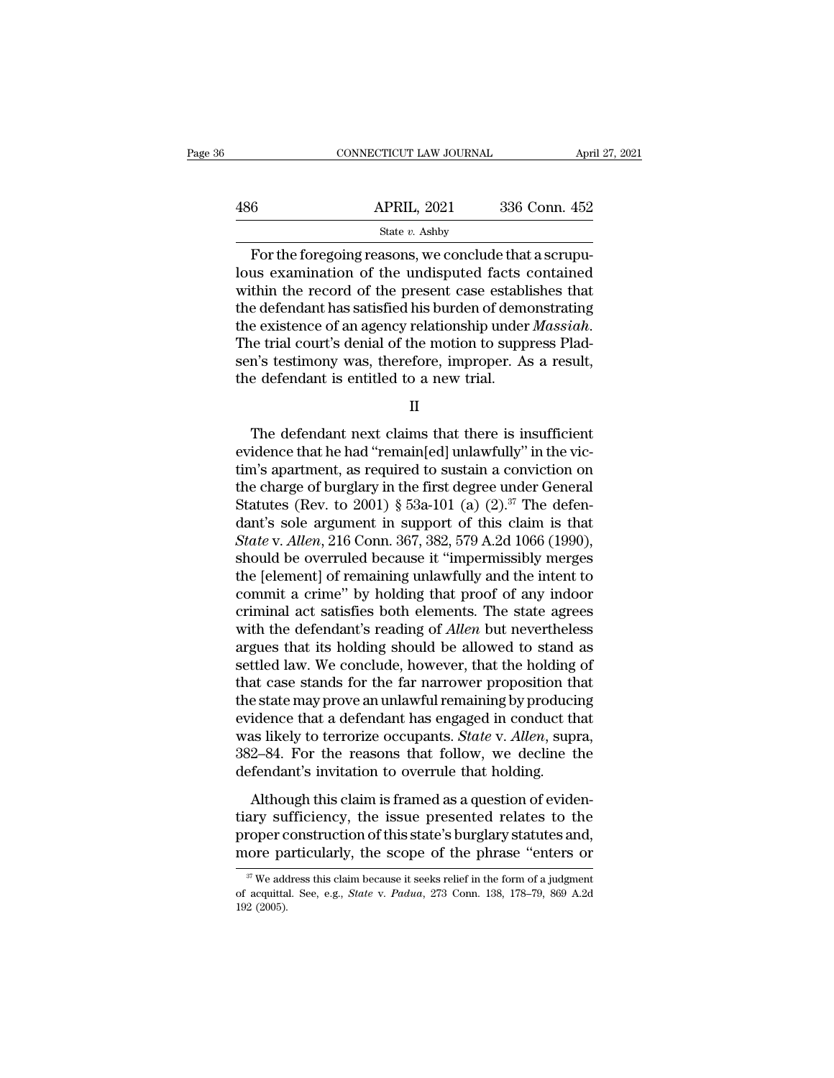|     | CONNECTICUT LAW JOURNAL | April 27, 2021 |  |
|-----|-------------------------|----------------|--|
|     |                         |                |  |
| 486 | <b>APRIL, 2021</b>      | 336 Conn. 452  |  |
|     | State v. Ashby          |                |  |

CONNECTICUT LAW JOURNAL APP<br>
6 APRIL, 2021 336 Conn. 452<br>
5 State v. Ashby<br>
For the foregoing reasons, we conclude that a scrupu-<br>
as examination of the undisputed facts contained<br>
thin the record of the present assess att  $\begin{tabular}{ll} \bf 486 & APRIL, 2021 & 336 Conn. 452 \\ & \text{State $v$. Ashby} \end{tabular}$  For the foregoing reasons, we conclude that a scrupulous examination of the undisputed facts contained within the record of the present case establishes that the def  $\begin{array}{r|l} \hline \text{486} & \text{APRIL, 2021} & \text{336 Conn. 452} \ \hline \text{For the foregoing reasons, we conclude that a scrupulous examination of the undisputed facts contained within the record of the present case establishes that the defendant has satisfied his burden of demonstrating the existence of an agency relationship under Maseish.} \hline \end{array}$  $\frac{\text{APRIL, 2021}}{\text{State } v. \text{ Ashy}}$ <br>For the foregoing reasons, we conclude that a scrupulous examination of the undisputed facts contained within the record of the present case establishes that the defendant has satisfied his For the foregoing reasons, we conclude that a scrupulous examination of the undisputed facts contained within the record of the present case establishes that the defendant has satisfied his burden of demonstrating the exi For the foregoing reasons, we conclude that a scrupu-<br>lous examination of the undisputed facts contained<br>within the record of the present case establishes that<br>the defendant has satisfied his burden of demonstrating<br>the ex lous examination of the undisputed facts within the record of the present case estable the defendant has satisfied his burden of demothe existence of an agency relationship under The trial court's denial of the motion to s e existence of an agency relationship under *Massiah*.<br>
he trial court's denial of the motion to suppress Plad-<br>
n's testimony was, therefore, improper. As a result,<br>
e defendant is entitled to a new trial.<br>
II<br>
The defend

II

The trial court's denial of the motion to suppress Pladsen's testimony was, therefore, improper. As a result,<br>the defendant is entitled to a new trial.<br>II<br>The defendant next claims that there is insufficient<br>evidence that sen's testimony was, therefore, improper. As a result,<br>the defendant is entitled to a new trial.<br>II<br>The defendant next claims that there is insufficient<br>evidence that he had "remain[ed] unlawfully" in the vic-<br>tim's apart the defendant is entitled to a new trial.<br>
II<br>
The defendant next claims that there is insufficient<br>
evidence that he had "remain[ed] unlawfully" in the vic-<br>
tim's apartment, as required to sustain a conviction on<br>
the c II<br>The defendant next claims that there is insufficient<br>evidence that he had "remain[ed] unlawfully" in the vic-<br>tim's apartment, as required to sustain a conviction on<br>the charge of burglary in the first degree under Gen The defendant next claims that there is insufficient<br>evidence that he had "remain[ed] unlawfully" in the vic-<br>tim's apartment, as required to sustain a conviction on<br>the charge of burglary in the first degree under Genera The defendant next claims that there is insufficient<br>evidence that he had "remain[ed] unlawfully" in the vic-<br>tim's apartment, as required to sustain a conviction on<br>the charge of burglary in the first degree under General evidence that he had "remain[ed] unlawfully" in the victim's apartment, as required to sustain a conviction on<br>the charge of burglary in the first degree under General<br>Statutes (Rev. to 2001) § 53a-101 (a) (2).<sup>37</sup> The de tim's apartment, as required to sustain a conviction on<br>the charge of burglary in the first degree under General<br>Statutes (Rev. to 2001) § 53a-101 (a) (2).<sup>37</sup> The defen-<br>dant's sole argument in support of this claim is t the charge of burglary in the first degree under General<br>Statutes (Rev. to 2001) § 53a-101 (a) (2).<sup>37</sup> The defen-<br>dant's sole argument in support of this claim is that<br>*State* v. *Allen*, 216 Conn. 367, 382, 579 A.2d 106 Statutes (Rev. to 2001) § 53a-101 (a)  $(2).^{37}$  The defendant's sole argument in support of this claim is that *State v. Allen*, 216 Conn. 367, 382, 579 A.2d 1066 (1990), should be overruled because it "impermissibly merg dant's sole argument in support of this claim is that *State* v. *Allen*, 216 Conn. 367, 382, 579 A.2d 1066 (1990), should be overruled because it "impermissibly merges the [element] of remaining unlawfully and the intent State v. Allen, 216 Conn. 367, 382, 579 A.2d 1066 (1990),<br>should be overruled because it "impermissibly merges<br>the [element] of remaining unlawfully and the intent to<br>commit a crime" by holding that proof of any indoor<br>cri should be overruled because it "impermissibly merges<br>the [element] of remaining unlawfully and the intent to<br>commit a crime" by holding that proof of any indoor<br>criminal act satisfies both elements. The state agrees<br>with t the [element] of remaining unlawfully and the intent to commit a crime" by holding that proof of any indoor criminal act satisfies both elements. The state agrees with the defendant's reading of *Allen* but nevertheless ar commit a crime" by holding that proof of any indoor<br>criminal act satisfies both elements. The state agrees<br>with the defendant's reading of *Allen* but nevertheless<br>argues that its holding should be allowed to stand as<br>set criminal act satisfies both elements. The state agrees<br>with the defendant's reading of *Allen* but nevertheless<br>argues that its holding should be allowed to stand as<br>settled law. We conclude, however, that the holding of<br>t with the defendant's reading of *Allen* but nevertheless<br>argues that its holding should be allowed to stand as<br>settled law. We conclude, however, that the holding of<br>that case stands for the far narrower proposition that<br>t argues that its holding should be allowed to stand as<br>settled law. We conclude, however, that the holding of<br>that case stands for the far narrower proposition that<br>the state may prove an unlawful remaining by producing<br>evi settled law. We conclude, however, that the holding<br>that case stands for the far narrower proposition th<br>the state may prove an unlawful remaining by produci<br>evidence that a defendant has engaged in conduct th<br>was likely t although this claim is framework proposition that<br>e state may prove an unlawful remaining by producing<br>idence that a defendant has engaged in conduct that<br>as likely to terrorize occupants. *State* v. Allen, supra,<br>2–84. Fo the state has prove an analyzinkal<br>and sevidence that a defendant has engaged in conduct that<br>was likely to terrorize occupants. *State v. Allen*, supra,<br>382–84. For the reasons that follow, we decline the<br>defendant's invi

was likely to terrorize occupants. *State* v. *Allen*, supra, 382–84. For the reasons that follow, we decline the defendant's invitation to overrule that holding.<br>Although this claim is framed as a question of evidentiary mas intery to terrorine occupants. State V. Traton, sapira, 382–84. For the reasons that follow, we decline the defendant's invitation to overrule that holding.<br>Although this claim is framed as a question of evidentiary s Although this claim is framed as a question of eviden-<br>ary sufficiency, the issue presented relates to the<br>roper construction of this state's burglary statutes and,<br>ore particularly, the scope of the phrase "enters or<br> $\frac$ tiary sufficiency, the issue presented relates to the proper construction of this state's burglary statutes and, more particularly, the scope of the phrase "enters or  $\frac{\pi}{\sqrt{n}}$  We address this claim because it seeks reli proper c<br>
more pa<br>
<sup>37</sup> We add<br>
of acquitta<br>
192 (2005).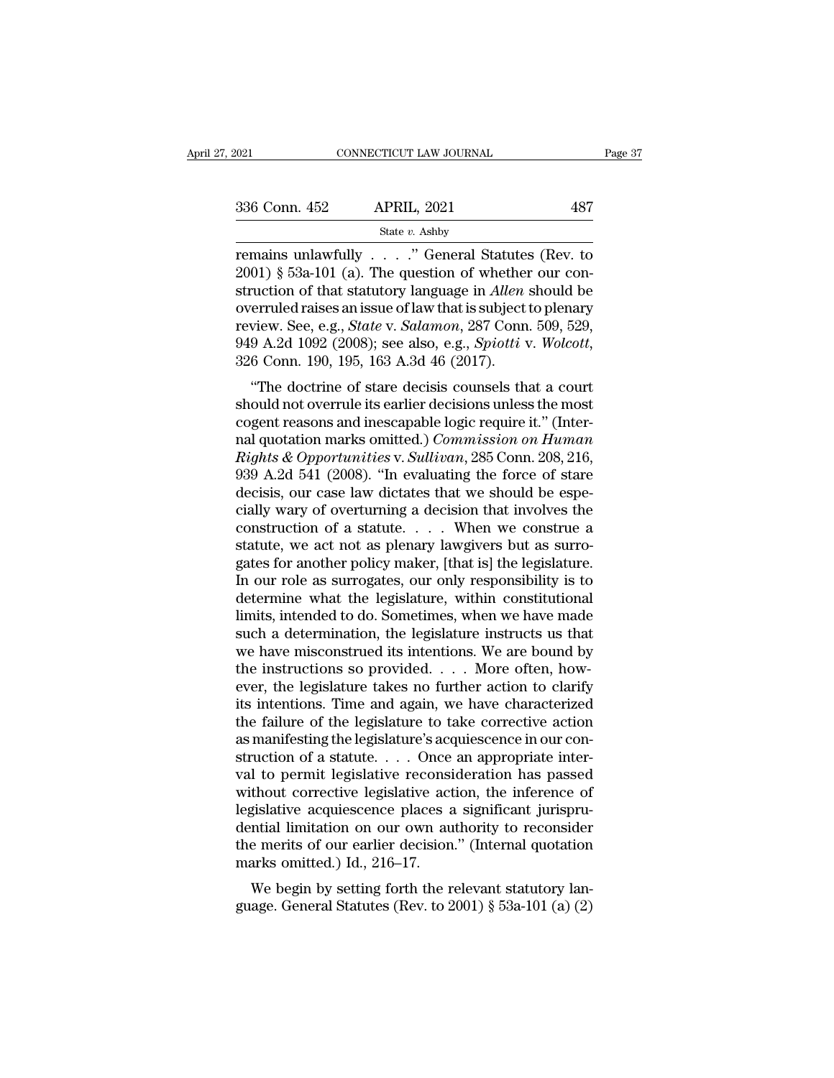remains unlawfully ... . ... "<br>
The question of that statutes (Rev. to  $2001$ ) § 53a-101 (a). The question of whether our construction of that statutes (Rev. to  $2001$ ) § 53a-101 (a). The question of whether our construct 336 Conn. 452 APRIL, 2021 487<br>
State v. Ashby<br>
Termains unlawfully . . . . ." General Statutes (Rev. to<br>
2001) § 53a-101 (a). The question of whether our con-<br>
struction of that statutory language in *Allen* should be<br>
ex 336 Conn. 452 APRIL, 2021 487<br>
State v. Ashby<br>
remains unlawfully . . . . . " General Statutes (Rev. to<br>
2001) § 53a-101 (a). The question of whether our construction of that statutory language in *Allen* should be<br>
overr 336 Conn. 452 APRIL, 2021 487<br>
State *v*. Ashby<br>
remains unlawfully . . . . . " General Statutes (Rev. to<br>
2001) § 53a-101 (a). The question of whether our construction of that statutory language in *Allen* should be<br>
ove State *v.* Ashby<br>
remains unlawfully . . . . " General Statutes (Rev. to<br>
2001) § 53a-101 (a). The question of whether our construction of that statutory language in *Allen* should be<br>
overruled raises an issue of law that State *v*. Ashby<br>
remains unlawfully . . . . " General Statutes (Rev. to<br>
2001) § 53a-101 (a). The question of whether our con-<br>
struction of that statutory language in *Allen* should be<br>
overruled raises an issue of law t (a). The question of whether our con-<br>
action of that statutory language in *Allen* should be<br>
erruled raises an issue of law that is subject to plenary<br>
view. See, e.g., *State* v. *Salamon*, 287 Conn. 509, 529,<br>
9 A.2d struction of that statutory language in *Atten* should be<br>overruled raises an issue of law that is subject to plenary<br>review. See, e.g., *State* v. *Salamon*, 287 Conn. 509, 529,<br>949 A.2d 1092 (2008); see also, e.g., *Spio* 

overfued raises an issue of law that is subject to plenary<br>review. See, e.g., *State v. Salamon*, 287 Conn. 509, 529,<br>949 A.2d 1092 (2008); see also, e.g., *Spiotti v. Wolcott*,<br>326 Conn. 190, 195, 163 A.3d 46 (2017).<br>"The review. see, e.g., *state v. satumon*, *281* Coliii. 309, 329, 949 A.2d 1092 (2008); see also, e.g., *Spiotti v. Wolcott*, 326 Conn. 190, 195, 163 A.3d 46 (2017).<br>
"The doctrine of stare decisis counsels that a court shoul *Rights A.2d 1092 (2006)*, see also, e.g., *Spiout v. wolcout*, 326 Conn. 190, 195, 163 A.3d 46 (2017).<br>
"The doctrine of stare decisis counsels that a court should not overrule its earlier decisions unless the most cogent 920 Coluit. 190, 199, 109 A.5d 40 (2017).<br>
"The doctrine of stare decisis counsels that a court<br>
should not overrule its earlier decisions unless the most<br>
cogent reasons and inescapable logic require it." (Inter-<br>
nal qu "The doctrine of stare decisis counsels that a court<br>should not overrule its earlier decisions unless the most<br>cogent reasons and inescapable logic require it." (Inter-<br>nal quotation marks omitted.) *Commission on Human<br>R* should not overrule its earlier decisions unless the most<br>cogent reasons and inescapable logic require it." (Inter-<br>nal quotation marks omitted.) *Commission on Human*<br>Rights & Opportunities v. Sullivan, 285 Conn. 208, 21 cogent reasons and inescapable logic require it." (Inter-<br>nal quotation marks omitted.) *Commission on Human*<br>*Rights & Opportunities* v. *Sullivan*, 285 Conn. 208, 216,<br>939 A.2d 541 (2008). "In evaluating the force of st nal quotation marks omitted.) *Commission on Human*<br>*Rights & Opportunities v. Sullivan*, 285 Conn. 208, 216,<br>939 A.2d 541 (2008). "In evaluating the force of stare<br>decisis, our case law dictates that we should be espe-<br>c Rights & Opportunities v. Sullivan, 285 Conn. 208, 216, 939 A.2d 541 (2008). "In evaluating the force of stare decisis, our case law dictates that we should be especially wary of overturning a decision that involves the co 939 A.2d 541 (2008). "In evaluating the force of stare decisis, our case law dictates that we should be especially wary of overturning a decision that involves the construction of a statute.  $\ldots$  When we construe a statu decisis, our case law dictates that we should be especially wary of overturning a decision that involves the construction of a statute.  $\dots$  When we construe a statute, we act not as plenary lawgivers but as surrogates fo cially wary of overturning a decision that involves the construction of a statute.  $\ldots$  When we construe a statute, we act not as plenary lawgivers but as surrogates for another policy maker, [that is] the legislature. I construction of a statute. . . . When we construe a<br>statute, we act not as plenary lawgivers but as surro-<br>gates for another policy maker, [that is] the legislature.<br>In our role as surrogates, our only responsibility is t statute, we act not as plenary lawgivers but as surrogates for another policy maker, [that is] the legislature.<br>In our role as surrogates, our only responsibility is to<br>determine what the legislature, within constitutional gates for another policy maker, [that is] the legislature.<br>In our role as surrogates, our only responsibility is to<br>determine what the legislature, within constitutional<br>limits, intended to do. Sometimes, when we have made In our role as surrogates, our only responsibility is to<br>determine what the legislature, within constitutional<br>limits, intended to do. Sometimes, when we have made<br>such a determination, the legislature instructs us that<br>w determine what the legislature, within constitutional<br>limits, intended to do. Sometimes, when we have made<br>such a determination, the legislature instructs us that<br>we have misconstrued its intentions. We are bound by<br>the in limits, intended to do. Sometimes, when we have made<br>such a determination, the legislature instructs us that<br>we have misconstrued its intentions. We are bound by<br>the instructions so provided. . . . More often, how-<br>ever, such a determination, the legislature instructs us that<br>we have misconstrued its intentions. We are bound by<br>the instructions so provided. . . . More often, how-<br>ever, the legislature takes no further action to clarify<br>it we have misconstrued its intentions. We are bound by<br>the instructions so provided. . . . More often, how-<br>ever, the legislature takes no further action to clarify<br>its intentions. Time and again, we have characterized<br>the the instructions so provided. . . . More often, how-<br>ever, the legislature takes no further action to clarify<br>its intentions. Time and again, we have characterized<br>the failure of the legislature to take corrective action<br> ever, the legislature takes no further action to clarify<br>its intentions. Time and again, we have characterized<br>the failure of the legislature to take corrective action<br>as manifesting the legislature's acquiescence in our c its intentions. Time and again, we have characterized<br>the failure of the legislature to take corrective action<br>as manifesting the legislature's acquiescence in our con-<br>struction of a statute.... Once an appropriate interthe failure of the legislature to take corrective action<br>as manifesting the legislature's acquiescence in our con-<br>struction of a statute.... Once an appropriate inter-<br>val to permit legislative reconsideration has passed as manifesting the legislature's acquiescence in our construction of a statute.... Once an appropriate interval to permit legislative reconsideration has passed without corrective legislative action, the inference of legi struction of a statute. . . . Once<br>val to permit legislative reconsi<br>without corrective legislative act<br>legislative acquiescence places a<br>dential limitation on our own au<br>the merits of our earlier decision<br>marks omitted.) The permit regislative reconsideration has passed<br>thout corrective legislative action, the inference of<br>gislative acquiescence places a significant jurispru-<br>ntial limitation on our own authority to reconsider<br>e merits of whilout corrective regislative action, the interested legislative acquiescence places a significant jurispru-<br>dential limitation on our own authority to reconsider<br>the merits of our earlier decision." (Internal quotation<br>m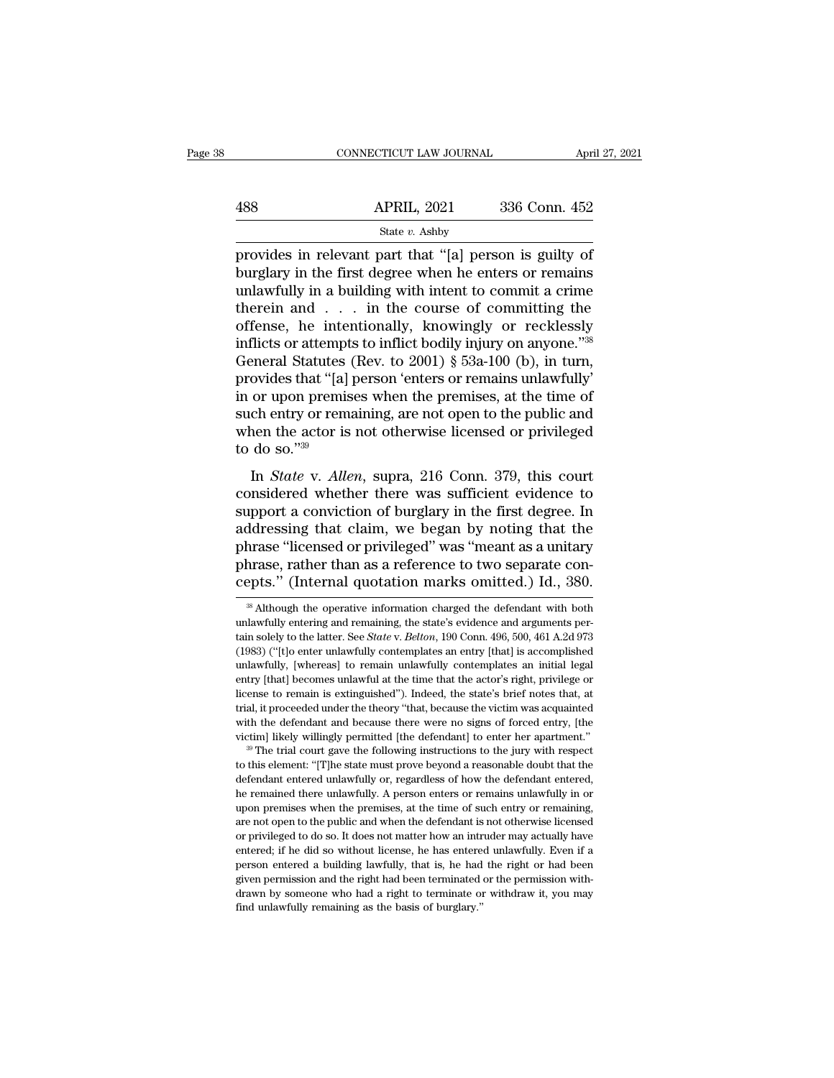|     | CONNECTICUT LAW JOURNAL                                                                                                                                                      | April 27, 2021 |
|-----|------------------------------------------------------------------------------------------------------------------------------------------------------------------------------|----------------|
|     |                                                                                                                                                                              |                |
| 488 | <b>APRIL, 2021</b>                                                                                                                                                           | 336 Conn. 452  |
|     | State $v$ . Ashby                                                                                                                                                            |                |
|     | provides in relevant part that "[a] person is guilty of<br>burglary in the first degree when he enters or remains<br>uployefully in a building with intont to commit a crime |                |

 $\begin{array}{r} \hline \text{488} \text{ } \text{ } \text{ } \text{APRIL, 2021} \text{ } \text{ } \text{336 Conn. 452} \text{ } \text{State } v. \text{ Ashby} \text{ \text{provides in relevant part that "[a] person is guilty of} \text{burglary in the first degree when he enters or remains unlawfully in a building with intent to commit a crime} \text{theorem and} \text{ in the course of communities the} \end{array}$  $\begin{array}{ll}\n & \text{APRIL, 2021} & \text{336 Conn. 452} \\
 \hline\n & \text{State } v. \text{ Ashby} \\
 \hline\n \end{array}$ provides in relevant part that "[a] person is guilty of burglary in the first degree when he enters or remains<br>
unlawfully in a building with intent to c  $\frac{\text{APRIL, 2021}}{\text{State } v. \text{ Ashby}}$ <br>
provides in relevant part that "[a] person is guilty of<br>
burglary in the first degree when he enters or remains<br>
unlawfully in a building with intent to commit a crime<br>
therein and . . . in State v. Ashby<br>
provides in relevant part that "[a] person is guilty of<br>
burglary in the first degree when he enters or remains<br>
unlawfully in a building with intent to commit a crime<br>
therein and . . . in the course of c state *v*. Ashby<br>provides in relevant part that "[a] person is guilty of<br>burglary in the first degree when he enters or remains<br>unlawfully in a building with intent to committing the<br>therein and . . . in the course of com provides in relevant part that "[a] person is guilty of<br>burglary in the first degree when he enters or remains<br>unlawfully in a building with intent to commit a crime<br>therein and . . . in the course of committing the<br>offen burglary in the first degree when he enters or remains<br>
unlawfully in a building with intent to commit a crime<br>
therein and . . . in the course of committing the<br>
offense, he intentionally, knowingly or recklessly<br>
inflic unlawfully in a building with intent to commit a crime<br>therein and . . . in the course of committing the<br>offense, he intentionally, knowingly or recklessly<br>inflicts or attempts to inflict bodily injury on anyone."<sup>38</sup><br>Gen therein and . . . in the course of committing the<br>offense, he intentionally, knowingly or recklessly<br>inflicts or attempts to inflict bodily injury on anyone."<sup>38</sup><br>General Statutes (Rev. to 2001) § 53a-100 (b), in turn,<br>pr offense, he intentionally, knowingly or recklessly<br>inflicts or attempts to inflict bodily injury on anyone."<sup>38</sup><br>General Statutes (Rev. to 2001) § 53a-100 (b), in turn,<br>provides that "[a] person 'enters or remains unlawfu inflicts or attempt<br>General Statutes<br>provides that "[a]<br>in or upon premis<br>such entry or rem<br>when the actor is<br>to do so."<sup>39</sup><br>In *State* v. Alle Incrain Statutes (Rev. *to 2001) § 55a-100* (*b)*, in turn,<br>ovides that "[a] person 'enters or remains unlawfully'<br>or upon premises when the premises, at the time of<br>ch entry or remaining, are not open to the public and<br> provides that [a] person enters of remains amayouthy<br>in or upon premises when the premises, at the time of<br>such entry or remaining, are not open to the public and<br>when the actor is not otherwise licensed or privileged<br>to

in or upon premises when the premises, at the time of<br>such entry or remaining, are not open to the public and<br>when the actor is not otherwise licensed or privileged<br>to do so."<sup>39</sup><br>In *State* v. *Allen*, supra, 216 Conn. 37 such entry of remaining, are not open to the public and<br>when the actor is not otherwise licensed or privileged<br>to do so."<sup>39</sup><br>In *State* v. *Allen*, supra, 216 Conn. 379, this court<br>considered whether there was sufficient In *State v. Allen*, supra, 216 Conn. 379, this court<br>considered whether there was sufficient evidence to<br>support a conviction of burglary in the first degree. In<br>addressing that claim, we began by noting that the<br>phrase In *State* v. *Allen*, supra, 216 Conn. 379, this court considered whether there was sufficient evidence to support a conviction of burglary in the first degree. In addressing that claim, we began by noting that the phrase In *State* v. *Allen*, supra, 216 Conn. 379, this court considered whether there was sufficient evidence to support a conviction of burglary in the first degree. In addressing that claim, we began by noting that the phrase addressing that claim, we began by noting that the phrase "licensed or privileged" was "meant as a unitary phrase, rather than as a reference to two separate concepts." (Internal quotation marks omitted.) Id., 380.<br>  $\frac{1$ phrase "licensed or privileged" was "meant as a unitary<br>phrase, rather than as a reference to two separate con-<br>cepts." (Internal quotation marks omitted.) Id., 380.<br><sup>38</sup> Although the operative information charged the defe

definal, it proceeded under the theory "that, because the victim was acquainted with the defendant and because there were no signs of forced entry, [the victim] likely willingly permitted [the defendant] to enter her apar with the defendant and because there were no signs of forced entry, [the victim] likely willingly permitted [the defendant] to enter her apartment." <sup>39</sup> The trial court gave the following instructions to the jury with res with likely willingly permitted [the defendant] to enter her apartment."<br><sup>39</sup> The trial court gave the following instructions to the jury with respect<br>to this element: "[T]he state must prove beyond a reasonable doubt that <sup>39</sup> The trial court gave the following instructions to the jury with respect to this element: "[T]he state must prove beyond a reasonable doubt that the defendant entered unlawfully or, regardless of how the defendant en to this element: "[T]he state must prove beyond a reasonable doubt that the defendant entered unlawfully or, regardless of how the defendant entered, he remained there unlawfully. A person enters or remains unlawfully in o defendant entered unlawfully or, regardless of how the defendant entered, the remained there unlawfully. A person enters or remains unlawfully in or upon premises when the premises, at the time of such entry or remaining, be remained there unlawfully. A person enters or remains unlawfully in or upon premises when the premises, at the time of such entry or remaining, are not open to the public and when the defendant is not otherwise licensed he remained there unlawfully. A person enters or remains unlawfully in or upon premises when the premises, at the time of such entry or remaining, are not open to the public and when the defendant is not otherwise license are not open to the public and when the defendant is not otherwise licensed<br>or privileged to do so. It does not matter how an intruder may actually have<br>entered; if he did so without license, he has entered unlawfully. Eve entered; if he did so without license, he has entered unlawfully. Even if a

phrase, rather than as a reference to two separate concepts." (Internal quotation marks omitted.) Id., 380.<br><sup>38</sup> Although the operative information charged the defendant with both unlawfully entering and remaining, the sta **Cepts."** (Internal quotation marks omitted.) Id., 380.<br>
<sup>38</sup> Although the operative information charged the defendant with both unlawfully entering and remaining, the state's evidence and arguments pertain solely to the under the operative information charged the defendant with both<br>
unlawfully entering and remaining, the state's evidence and arguments per-<br>
tain solely to the latter. See *State v. Belton*, 190 Conn. 496, 500, 461 A.2d 97 <sup>38</sup> Although the operative information charged the defendant with both unlawfully entering and remaining, the state's evidence and arguments pertain solely to the latter. See *State* v. *Belton*, 190 Conn. 496, 500, 461 unlawfully entering and remaining, the state's evidence and arguments per-<br>tain solely to the latter. See *State* v. *Belton*, 190 Conn. 496, 500, 461 A.2d 973<br>(1983) ("[t]o enter unlawfully contemplates an entry [that] i train solely to the latter. See *State* v. *Belton*, 190 Conn. 496, 500, 461 A.2d 973 (1983) ("[t]o enter unlawfully contemplates an entry [that] is accomplished unlawfully, [whereas] to remain unlawfully contemplates an (1983) ("[t]o enter unlawfully contemplates an entry [that] is accomplished unlawfully, [whereas] to remain unlawfully contemplates an initial legal entry [that] becomes unlawful at the time that the actor's right, privile victimary (Fig. ) is the defendant in the defendant individual contemplates an initial legal entry [that] becomes unlawfull at the time that the actor's right, privilege or license to remain is extinguished"). Indeed, the the this element: ''[T]he state must prove beyond a reasonable doubt that the state's this according it is extinguished"). Indeed, the state's brief notes that, at trial, it proceeded under the theory "that, because the vi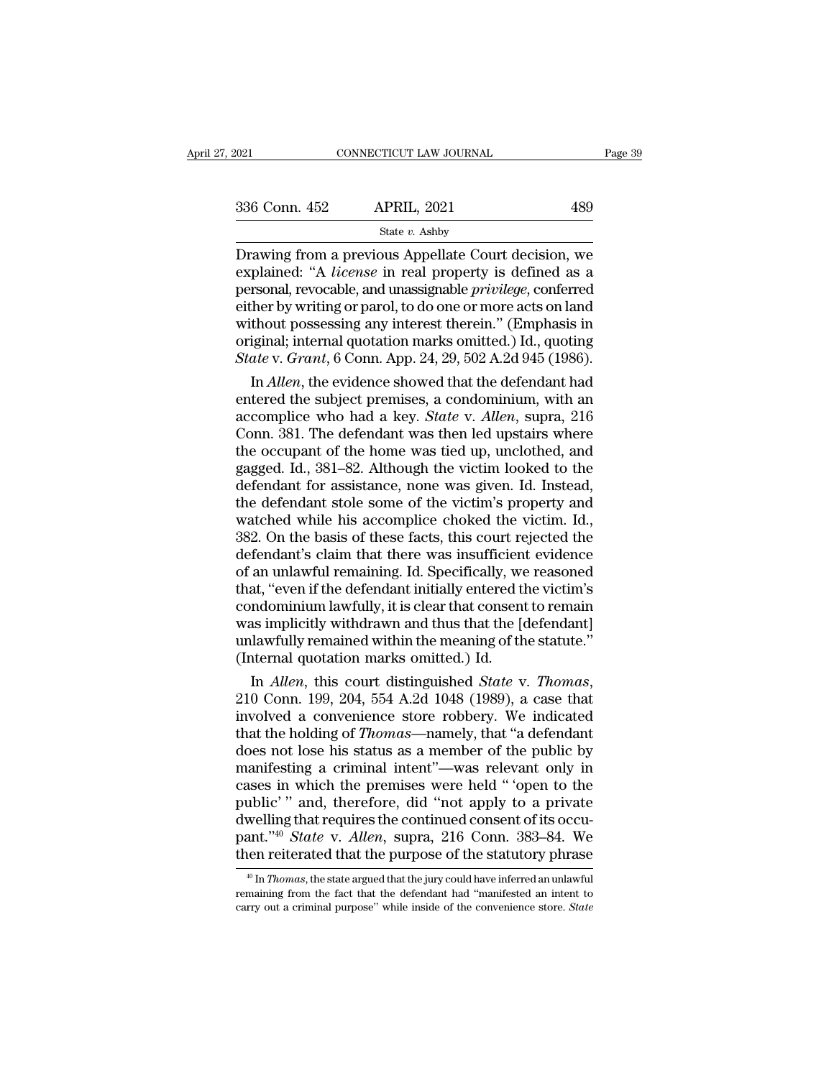| .2021         | CONNECTICUT LAW JOURNAL                                                                                                                                                               | Page 39 |
|---------------|---------------------------------------------------------------------------------------------------------------------------------------------------------------------------------------|---------|
|               |                                                                                                                                                                                       |         |
| 336 Conn. 452 | <b>APRIL, 2021</b>                                                                                                                                                                    | 489     |
|               | State $v$ . Ashby                                                                                                                                                                     |         |
|               | Drawing from a previous Appellate Court decision, we<br>explained: "A <i>license</i> in real property is defined as a<br>parsonal revocable and unassimable <i>mivilege</i> conferred |         |

336 Conn. 452 APRIL, 2021 489<br>
<sup>State v. Ashby<br>
Drawing from a previous Appellate Court decision, we<br>
explained: "A *license* in real property is defined as a<br>
personal, revocable, and unassignable *privilege*, conferred<br>
</sup> 336 Conn. 452 APRIL, 2021 489<br>
State *v*. Ashby<br>
Drawing from a previous Appellate Court decision, we<br>
explained: "A *license* in real property is defined as a<br>
personal, revocable, and unassignable *privilege*, conferred 336 Conn. 452 APRIL, 2021 489<br>
State v. Ashby<br>
Drawing from a previous Appellate Court decision, we<br>
explained: "A *license* in real property is defined as a<br>
personal, revocable, and unassignable *privilege*, conferred<br> Solution 1922 The King Collection of State v. Ashby<br>
Drawing from a previous Appellate Court decision, we<br>
explained: "A *license* in real property is defined as a<br>
personal, revocable, and unassignable *privilege*, confe State *v*. Ashby<br>Drawing from a previous Appellate Court decision, we<br>explained: "A *license* in real property is defined as a<br>personal, revocable, and unassignable *privilege*, conferred<br>either by writing or parol, to do Drawing from a previous Appellate Court decision, we explained: "A *license* in real property is defined as a personal, revocable, and unassignable *privilege*, conferred either by writing or parol, to do one or more acts plained: "A *license* in real property is defined as a<br>rsonal, revocable, and unassignable *privilege*, conferred<br>ther by writing or parol, to do one or more acts on land<br>thout possessing any interest therein." (Emphasis i personal, revocable, and unassignable *privilege*, conferred<br>either by writing or parol, to do one or more acts on land<br>without possessing any interest therein." (Emphasis in<br>original; internal quotation marks omitted.) Id

either by writing or parol, to do one or more acts on land<br>without possessing any interest therein." (Emphasis in<br>original; internal quotation marks omitted.) Id., quoting<br>*State* v. *Grant*, 6 Conn. App. 24, 29, 502 A.2d without possessing any interest therein." (Emphasis in<br>original; internal quotation marks omitted.) Id., quoting<br>*State* v. *Grant*, 6 Conn. App. 24, 29, 502 A.2d 945 (1986).<br>In *Allen*, the evidence showed that the defen original; internal quotation marks omitted.) Id., quoting<br> *State* v. *Grant*, 6 Conn. App. 24, 29, 502 A.2d 945 (1986).<br>
In *Allen*, the evidence showed that the defendant had<br>
entered the subject premises, a condominium, State v. Grant, 6 Conn. App. 24, 29, 502 A.2d 945 (1986).<br>
In *Allen*, the evidence showed that the defendant had<br>
entered the subject premises, a condominium, with an<br>
accomplice who had a key. *State* v. *Allen*, supra, In *Allen*, the evidence showed that the defendant had<br>entered the subject premises, a condominium, with an<br>accomplice who had a key. *State* v. *Allen*, supra, 216<br>Conn. 381. The defendant was then led upstairs where<br>the entered the subject premises, a condominium, with an accomplice who had a key. *State* v. *Allen*, supra, 216 Conn. 381. The defendant was then led upstairs where the occupant of the home was tied up, unclothed, and gagged accomplice who had a key. *State* v. *Allen*, supra, 216<br>Conn. 381. The defendant was then led upstairs where<br>the occupant of the home was tied up, unclothed, and<br>gagged. Id., 381–82. Although the victim looked to the<br>defe Conn. 381. The defendant was then led upstairs where<br>the occupant of the home was tied up, unclothed, and<br>gagged. Id., 381–82. Although the victim looked to the<br>defendant for assistance, none was given. Id. Instead,<br>the de the occupant of the home was tied up, unclothed, and<br>gagged. Id., 381–82. Although the victim looked to the<br>defendant for assistance, none was given. Id. Instead,<br>the defendant stole some of the victim's property and<br>watch gagged. Id., 381–82. Although the victim looked to the<br>defendant for assistance, none was given. Id. Instead,<br>the defendant stole some of the victim's property and<br>watched while his accomplice choked the victim. Id.,<br>382. defendant for assistance, none was given. Id. Instead,<br>the defendant stole some of the victim's property and<br>watched while his accomplice choked the victim. Id.,<br>382. On the basis of these facts, this court rejected the<br>de the defendant stole some of the victim's property and<br>watched while his accomplice choked the victim. Id.,<br>382. On the basis of these facts, this court rejected the<br>defendant's claim that there was insufficient evidence<br>of watched while his accomplice choked the victim. Id.,<br>382. On the basis of these facts, this court rejected the<br>defendant's claim that there was insufficient evidence<br>of an unlawful remaining. Id. Specifically, we reasoned<br> 382. On the basis of these facts, this court rejected the defendant's claim that there was insufficient evidence of an unlawful remaining. Id. Specifically, we reasoned that, "even if the defendant initially entered the vi defendant's claim that there was insufficien<br>of an unlawful remaining. Id. Specifically, we<br>that, "even if the defendant initially entered the<br>condominium lawfully, it is clear that consent<br>was implicitly withdrawn and thu of an unlawful remaining. Id. Specifically, we reasoned<br>that, "even if the defendant initially entered the victim's<br>condominium lawfully, it is clear that consent to remain<br>was implicitly withdrawn and thus that the [defen

condominium lawfully, it is clear that consent to remain<br>was implicitly withdrawn and thus that the [defendant]<br>unlawfully remained within the meaning of the statute."<br>(Internal quotation marks omitted.) Id.<br>In *Allen*, t was implicitly withdrawn and thus that the [defendant]<br>unlawfully remained within the meaning of the statute."<br>(Internal quotation marks omitted.) Id.<br>In *Allen*, this court distinguished *State* v. *Thomas*,<br>210 Conn. 199 unlawfully remained within the meaning of the statute."<br>
(Internal quotation marks omitted.) Id.<br>
In *Allen*, this court distinguished *State* v. *Thomas*,<br>
210 Conn. 199, 204, 554 A.2d 1048 (1989), a case that<br>
involved (Internal quotation marks omitted.) Id.<br>
In *Allen*, this court distinguished *State v. Thomas*,<br>
210 Conn. 199, 204, 554 A.2d 1048 (1989), a case that<br>
involved a convenience store robbery. We indicated<br>
that the holding In *Allen*, this court distinguished *State* v. *Thomas*,<br>210 Conn. 199, 204, 554 A.2d 1048 (1989), a case that<br>involved a convenience store robbery. We indicated<br>that the holding of *Thomas*—namely, that "a defendant<br>does 210 Conn. 199, 204, 554 A.2d 1048 (1989), a case that<br>involved a convenience store robbery. We indicated<br>that the holding of *Thomas*—namely, that "a defendant<br>does not lose his status as a member of the public by<br>manifes involved a convenience store robbery. We indicated<br>that the holding of *Thomas*—namely, that "a defendant<br>does not lose his status as a member of the public by<br>manifesting a criminal intent"—was relevant only in<br>cases in that the holding of *Thomas*—namely, that "a defendant does not lose his status as a member of the public by manifesting a criminal intent"—was relevant only in cases in which the premises were held "'open to the public'" does not lose his status as a member of the public by<br>manifesting a criminal intent"—was relevant only in<br>cases in which the premises were held "open to the<br>public" and, therefore, did "not apply to a private<br>dwelling tha ublic'" and, therefore, did "not apply to a private<br>welling that requires the continued consent of its occu-<br>ant."<sup>40</sup> *State* v. *Allen*, supra, 216 Conn. 383–84. We<br>een reiterated that the purpose of the statutory phrase dwelling that requires the continued consent of its occupant."<sup>40</sup> State v. Allen, supra, 216 Conn. 383–84. We then reiterated that the purpose of the statutory phrase  $\frac{40 \text{ In } Thomas}$ , the state argued that the jury could

pant."<sup>40</sup> *State* v. *Allen*, supra, 216 Conn. 383–84. We then reiterated that the purpose of the statutory phrase  $\frac{40 \text{ In } \pi n \text{ mod } s}{\ln \pi n \text{ mod } s}$ , the state argued that the jury could have inferred an unlawful remain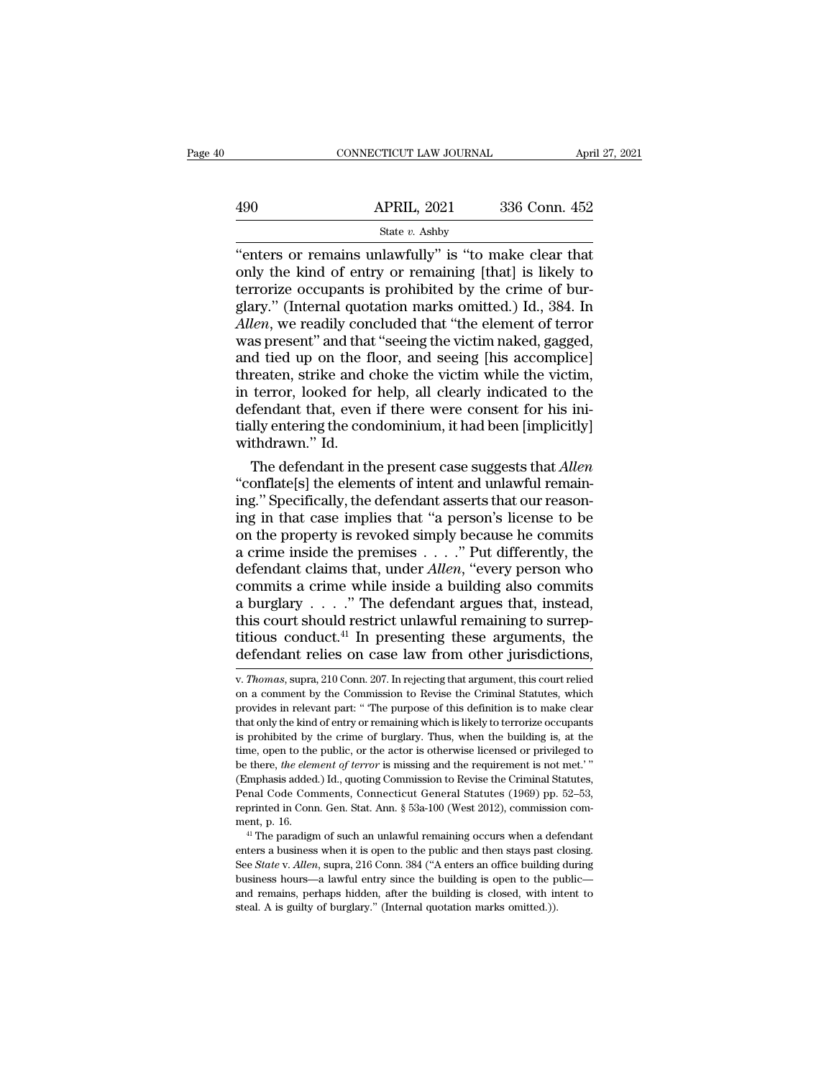|     | CONNECTICUT LAW JOURNAL | April 27, 2021 |  |
|-----|-------------------------|----------------|--|
|     |                         |                |  |
| 490 | <b>APRIL, 2021</b>      | 336 Conn. 452  |  |
|     | State v. Ashby          |                |  |

 $\begin{array}{r|l}\n\text{CONRECTICUT LAW JOURNAL} & \text{April 27, 202} \\
\hline\n& \text{APRIL, 2021} & \text{336 Conn. 452} \\
\hline\n& \text{State } v. \text{ Ashby} \\
\text{"enters or remains unlawfully" is "to make clear that only the kind of entry or remaining [that] is likely to\n\nferrorize occurrences is prohibited by the crime of bur-} \n$  $\begin{array}{ll}\n & \text{APRIL, 2021} & \text{336 Conn. 452} \\
 \text{State } v. \text{ Ashby} \\
 \text{"enters or remains unlawfully" is "to make clear that only the kind of entry or remaining [that] is likely to  
terrorize occupies its prohibited by the crime of bur-  
glary" (Internal question marks omitted) Id. 384. In\n\end{array}$  $\begin{array}{ll}\n & \text{APRIL, 2021} & \text{336 Conn. 452}\n \hline\n \end{array}$ <br>
"enters or remains unlawfully" is "to make clear that<br>
only the kind of entry or remaining [that] is likely to<br>
terrorize occupants is prohibited by the crime of bur-<br>
gla  $\frac{\text{APRIL, 2021}}{\text{State } v. \text{ Ashby}}$ <br>
"enters or remains unlawfully" is "to make clear that<br>
only the kind of entry or remaining [that] is likely to<br>
terrorize occupants is prohibited by the crime of bur-<br>
glary." (Internal quo *Allen*, 2021 **2000** Coldit. 402<br> *Allen*, 2021 **2000** Coldit. 402<br> **Allence** is that 'the element of terrorize occupants is prohibited by the crime of burglary." (Internal quotation marks omitted.) Id., 384. In *Allen*, w State v. Ashby<br>
"enters or remains unlawfully" is "to make clear that<br>
only the kind of entry or remaining [that] is likely to<br>
terrorize occupants is prohibited by the crime of bur-<br>
glary." (Internal quotation marks omi "enters or remains unlawfully" is "to make clear that<br>only the kind of entry or remaining [that] is likely to<br>terrorize occupants is prohibited by the crime of bur-<br>glary." (Internal quotation marks omitted.) Id., 384. In<br> only the kind of entry or remaining [that] is likely to<br>terrorize occupants is prohibited by the crime of bur-<br>glary." (Internal quotation marks omitted.) Id., 384. In<br>*Allen*, we readily concluded that "the element of ter terrorize occupants is prohibited by the crime of burglary." (Internal quotation marks omitted.) Id., 384. In *Allen*, we readily concluded that "the element of terror was present" and that "seeing the victim naked, gagged glary." (Internal quotation marks omitted.) Id., 384. In<br>Allen, we readily concluded that "the element of terror<br>was present" and that "seeing the victim naked, gagged,<br>and tied up on the floor, and seeing [his accomplice] Allen, we readily concluded that "the element of terror was present" and that "seeing the victim naked, gagged, and tied up on the floor, and seeing [his accomplice] threaten, strike and choke the victim while the victim, was present" and tha<br>and tied up on the f<br>threaten, strike and o<br>in terror, looked for<br>defendant that, even<br>tially entering the cor<br>withdrawn." Id.<br>The defendant in th d tied up on the floor, and seeing [his accomplice]<br>reaten, strike and choke the victim while the victim,<br>terror, looked for help, all clearly indicated to the<br>fendant that, even if there were consent for his ini-<br>lly ente threaten, strike and choke the victim while the victim,<br>
in terror, looked for help, all clearly indicated to the<br>
defendant that, even if there were consent for his initially<br>
entering the condominium, it had been [implic

in terror, looked for help, all clearly indicated to the defendant that, even if there were consent for his initially entering the condominium, it had been [implicitly] withdrawn." Id.<br>The defendant in the present case su defendant that, even if there were consent for his initially entering the condominium, it had been [implicitly]<br>withdrawn." Id.<br>The defendant in the present case suggests that *Allen*<br>"conflate[s] the elements of intent an tially entering the condominium, it had been [implicitly]<br>withdrawn." Id.<br>The defendant in the present case suggests that *Allen*<br>"conflate[s] the elements of intent and unlawful remain-<br>ing." Specifically, the defendant withdrawn." Id.<br>
The defendant in the present case suggests that *Allen*<br>
"conflate[s] the elements of intent and unlawful remaining." Specifically, the defendant asserts that our reason-<br>
ing in that case implies that "a The defendant in the present case suggests that *Allen*<br>
"conflate[s] the elements of intent and unlawful remaining." Specifically, the defendant asserts that our reason-<br>
ing in that case implies that "a person's license "conflate[s] the elements of intent and unlawful remaining." Specifically, the defendant asserts that our reasoning in that case implies that "a person's license to be on the property is revoked simply because he commits ing." Specifically, the defendant asserts that our reason-<br>ing in that case implies that "a person's license to be<br>on the property is revoked simply because he commits<br>a crime inside the premises . . . . ." Put differentl ing." Specifically, the defendant asserts that our reasoning in that case implies that "a person's license to be on the property is revoked simply because he commits a crime inside the premises  $\ldots$ ." Put differently, th on the property is revoked simply because he commits<br>a crime inside the premises . . . ." Put differently, the<br>defendant claims that, under *Allen*, "every person who<br>commits a crime while inside a building also commits<br>a a crime inside the premises . . . . . " Put differently, the defendant claims that, under *Allen*, "every person who commits a crime while inside a building also commits a burglary . . . . " The defendant argues that, inst

this court should restrict unlawful remaining to surreptitious conduct.<sup>41</sup> In presenting these arguments, the defendant relies on case law from other jurisdictions,  $\overline{v}$ . *Thomas*, supra, 210 Conn. 207. In rejecting titious conduct.<sup>41</sup> In presenting these arguments, the defendant relies on case law from other jurisdictions,  $\overline{v}$ . *Thomas*, supra, 210 Conn. 207. In rejecting that argument, this court relied on a comment by the Co defendant relies on case law from other jurisdictions,<br>v. *Thomas*, supra, 210 Conn. 207. In rejecting that argument, this court relied<br>on a comment by the Commission to Revise the Criminal Statutes, which<br>provides in rele is profiled by the crime of burglary. Thus, when the building is, at the comment by the Commission to Revise the Criminal Statutes, which provides in relevant part: "The purpose of this definition is to make clear that onl v. *Thomas*, supra, 210 Conn. 207. In rejecting that argument, this court relied on a comment by the Commission to Revise the Criminal Statutes, which provides in relevant part: "The purpose of this definition is to make c be the comment by the Commission to Revise the Criminal Statutes, which<br>provides in relevant part: "The purpose of this definition is to make clear<br>that only the kind of entry or remaining which is likely to terrorize occu provides in relevant part: "The purpose of this definition is to make clear that only the kind of entry or remaining which is likely to terrorize occupants is prohibited by the crime of burglary. Thus, when the building is Fractional Ends of entry or remaining which is likely to terrorize occupants<br>is prohibited by the crime of burglary. Thus, when the building is, at the<br>time, open to the public, or the actor is otherwise licensed or privi is prohibited by the crime of burglary. Thus, when the building is, at the time, open to the public, or the actor is otherwise licensed or privileged to be there, *the element of terror* is missing and the requirement is time, open to the public, or the actor is otherwise licensed or privileged to be there, *the element of terror* is missing and the requirement is not met.'" (Emphasis added.) Id., quoting Commission to Revise the Criminal Emphasis added.) Id., quoting Commission to Revise the Criminal Statutes, Penal Code Comments, Connecticut General Statutes (1969) pp. 52–53, reprinted in Conn. Gen. Stat. Ann. § 53a-100 (West 2012), commission comment, p

Fenal Code Comments, Connecticut General Statutes (1969) pp. 52–53, reprinted in Conn. Gen. Stat. Ann. § 53a-100 (West 2012), commission comment, p. 16.<br><sup>41</sup> The paradigm of such an unlawful remaining occurs when a defenda reprinted in Conn. Gen. Stat. Ann. § 53a-100 (West 2012), commission comment, p. 16.<br>
"I The paradigm of such an unlawful remaining occurs when a defendant<br>
enters a business when it is open to the public and then stays p and remains and remains, sold to (*Neel 2012)*, commission exhibited, <sup>41</sup> The paradigm of such an unlawful remaining occurs when a defendant enters a business when it is open to the public and then stays past closing. See ment, p. 16.<br>
<sup>41</sup> The paradigm of such an unlawful remaining occurs when a defendant<br>
enters a business when it is open to the public and then stays past closing.<br>
See *State* v. *Allen*, supra, 216 Conn. 384 ("A enters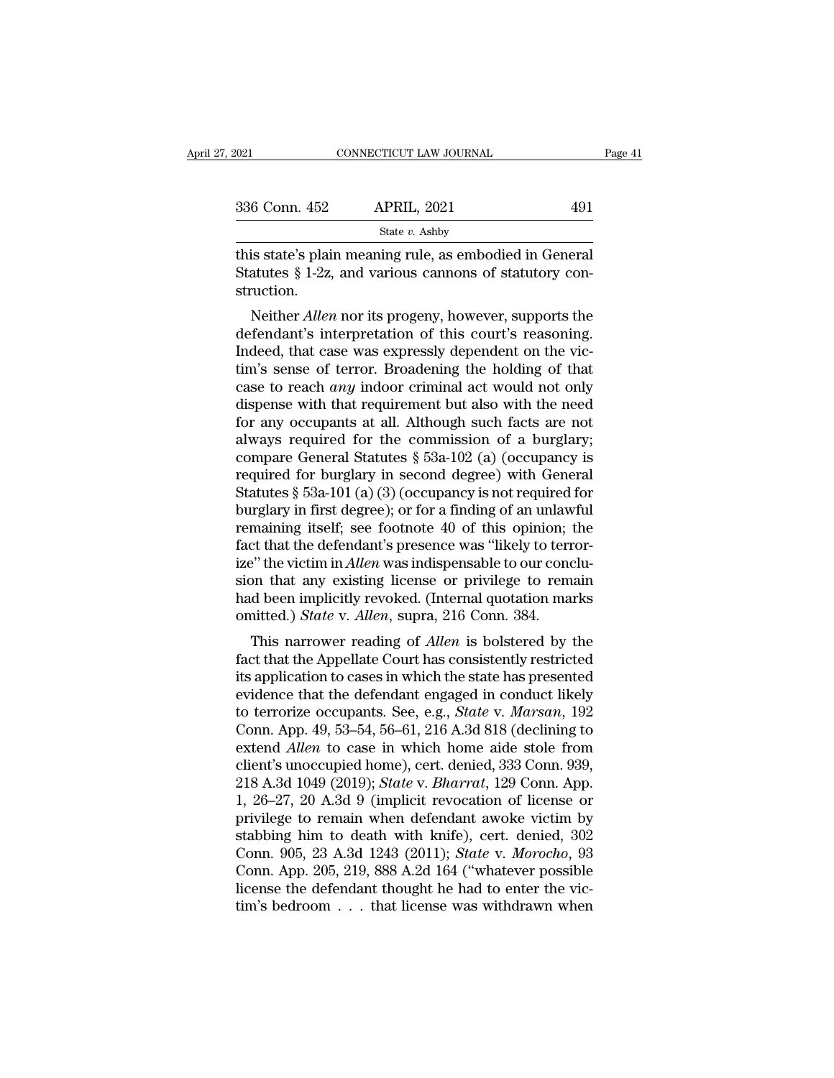| 2021          | CONNECTICUT LAW JOURNAL                                                                                               | Page 41 |
|---------------|-----------------------------------------------------------------------------------------------------------------------|---------|
| 336 Conn. 452 | <b>APRIL, 2021</b>                                                                                                    | 491     |
|               | State $v$ . Ashby                                                                                                     |         |
| struction.    | this state's plain meaning rule, as embodied in General<br>Statutes $\S 1-2z$ , and various cannons of statutory con- |         |

struction.  $\frac{6 \text{ Conn. } 452}{\text{State } v. } \frac{\text{APRIL, } 2021}{\text{State } v. } \frac{491}{\text{Ashby}}$ <br>
is state's plain meaning rule, as embodied in General<br>
atutes § 1-2z, and various cannons of statutory con-<br>
uction.<br>
Neither *Allen* nor its progeny, howeve

State v. Ashby<br>
this state's plain meaning rule, as embodied in General<br>
Statutes § 1-2z, and various cannons of statutory con-<br>
struction.<br>
Neither *Allen* nor its progeny, however, supports the<br>
defendant's interpretati this state's plain meaning rule, as embodied in General<br>Statutes § 1-2z, and various cannons of statutory construction.<br>Neither *Allen* nor its progeny, however, supports the<br>defendant's interpretation of this court's reas thus state's plain meaning rule, as embodied in defieral<br>Statutes § 1-2z, and various cannons of statutory con-<br>struction.<br>Neither *Allen* nor its progeny, however, supports the<br>defendant's interpretation of this court's statues y 1-22, and various cannot of statutory construction.<br>
Neither *Allen* nor its progeny, however, supports the<br>
defendant's interpretation of this court's reasoning.<br>
Indeed, that case was expressly dependent on the Substruction.<br>
Neither *Allen* nor its progeny, however, supports the<br>
defendant's interpretation of this court's reasoning.<br>
Indeed, that case was expressly dependent on the vic-<br>
tim's sense of terror. Broadening the hol Neither *Allen* nor its progeny, however, supports the<br>defendant's interpretation of this court's reasoning.<br>Indeed, that case was expressly dependent on the vic-<br>tim's sense of terror. Broadening the holding of that<br>case defendant's interpretation of this court's reasoning.<br>Indeed, that case was expressly dependent on the victim's sense of terror. Broadening the holding of that<br>case to reach *any* indoor criminal act would not only<br>dispen Indeed, that case was expressly dependent on the victim's sense of terror. Broadening the holding of that case to reach *any* indoor criminal act would not only dispense with that requirement but also with the need for an tim's sense of terror. Broadening the holding of that<br>case to reach *any* indoor criminal act would not only<br>dispense with that requirement but also with the need<br>for any occupants at all. Although such facts are not<br>alwa case to reach *any* indoor criminal act would not only dispense with that requirement but also with the need for any occupants at all. Although such facts are not always required for the commission of a burglary; compare dispense with that requirement but also with the need<br>for any occupants at all. Although such facts are not<br>always required for the commission of a burglary;<br>compare General Statutes  $\S$  53a-102 (a) (occupancy is<br>required for any occupants at all. Although such facts are not<br>always required for the commission of a burglary;<br>compare General Statutes  $\S$  53a-102 (a) (occupancy is<br>required for burglary in second degree) with General<br>Statutes always required for the commission of a burglary;<br>compare General Statutes § 53a-102 (a) (occupancy is<br>required for burglary in second degree) with General<br>Statutes § 53a-101 (a) (3) (occupancy is not required for<br>burglar compare General Statutes § 53a-102 (a) (occupancy is<br>required for burglary in second degree) with General<br>Statutes § 53a-101 (a) (3) (occupancy is not required for<br>burglary in first degree); or for a finding of an unlawful required for burglary in second degree) with General<br>Statutes § 53a-101 (a) (3) (occupancy is not required for<br>burglary in first degree); or for a finding of an unlawful<br>remaining itself; see footnote 40 of this opinion; Statutes § 53a-101 (a) (3) (occupancy is not required for<br>burglary in first degree); or for a finding of an unlawful<br>remaining itself; see footnote 40 of this opinion; the<br>fact that the defendant's presence was "likely to burglary in first degree); or for a finding of an unlaw<br>remaining itself; see footnote 40 of this opinion;<br>fact that the defendant's presence was "likely to terr<br>ize" the victim in *Allen* was indispensable to our conc<br>sio reading itsen, see footnote 40 of this opinion, the<br>et that the defendant's presence was "likely to terror-<br><sup>9</sup>" the victim in *Allen* was indispensable to our conclu-<br>on that any existing license or privilege to remain<br>at ract that the defendant s presence was intery to terror-<br>ize" the victim in *Allen* was indispensable to our conclu-<br>sion that any existing license or privilege to remain<br>had been implicitly revoked. (Internal quotation ma

Example in the state of the state of the state in that any existing license or privilege to remain<br>had been implicitly revoked. (Internal quotation marks<br>omitted.) *State* v. Allen, supra, 216 Conn. 384.<br>This narrower read sion that any existing ncense or privilege to rentant<br>had been implicitly revoked. (Internal quotation marks<br>omitted.) *State* v. *Allen*, supra, 216 Conn. 384.<br>This narrower reading of *Allen* is bolstered by the<br>fact th that been implicitly revoked. (Internal quotation marks<br>omitted.) *State* v. *Allen*, supra, 216 Conn. 384.<br>This narrower reading of *Allen* is bolstered by the<br>fact that the Appellate Court has consistently restricted<br>its This narrower reading of *Allen* is bolstered by the<br>fact that the Appellate Court has consistently restricted<br>its application to cases in which the state has presented<br>evidence that the defendant engaged in conduct likely This narrower reading of *Allen* is bolstered by the<br>fact that the Appellate Court has consistently restricted<br>its application to cases in which the state has presented<br>evidence that the defendant engaged in conduct likely fact that the Appellate Court has consistently restricted<br>its application to cases in which the state has presented<br>evidence that the defendant engaged in conduct likely<br>to terrorize occupants. See, e.g., *State v. Marsan* its application to cases in which the state has presented<br>evidence that the defendant engaged in conduct likely<br>to terrorize occupants. See, e.g., *State* v. *Marsan*, 192<br>Conn. App. 49, 53–54, 56–61, 216 A.3d 818 (declini evidence that the defendant engaged in conduct likely<br>to terrorize occupants. See, e.g., *State v. Marsan*, 192<br>Conn. App. 49, 53–54, 56–61, 216 A.3d 818 (declining to<br>extend *Allen* to case in which home aide stole from<br>c to terrorize occupants. See, e.g., *State v. Marsan*, 192<br>Conn. App. 49, 53–54, 56–61, 216 A.3d 818 (declining to<br>extend *Allen* to case in which home aide stole from<br>client's unoccupied home), cert. denied, 333 Conn. 939 Conn. App. 49, 53–54, 56–61, 216 A.3d 818 (declining to extend *Allen* to case in which home aide stole from client's unoccupied home), cert. denied, 333 Conn. 939, 218 A.3d 1049 (2019); *State* v. *Bharrat*, 129 Conn. Ap extend *Allen* to case in which home aide stole from<br>client's unoccupied home), cert. denied, 333 Conn. 939,<br>218 A.3d 1049 (2019); *State* v. *Bharrat*, 129 Conn. App.<br>1, 26–27, 20 A.3d 9 (implicit revocation of license or client's unoccupied home), cert. denied, 333 Conn. 939,<br>218 A.3d 1049 (2019); *State* v. *Bharrat*, 129 Conn. App.<br>1, 26–27, 20 A.3d 9 (implicit revocation of license or<br>privilege to remain when defendant awoke victim by<br>s 218 A.3d 1049 (2019); *State* v. *Bharrat*, 129 Conn. App.<br>1, 26–27, 20 A.3d 9 (implicit revocation of license or<br>privilege to remain when defendant awoke victim by<br>stabbing him to death with knife), cert. denied, 302<br>Con 1, 26–27, 20 A.3d 9 (implicit revocation of license or privilege to remain when defendant awoke victim by stabbing him to death with knife), cert. denied, 302 Conn. 905, 23 A.3d 1243 (2011); *State v. Morocho*, 93 Conn. A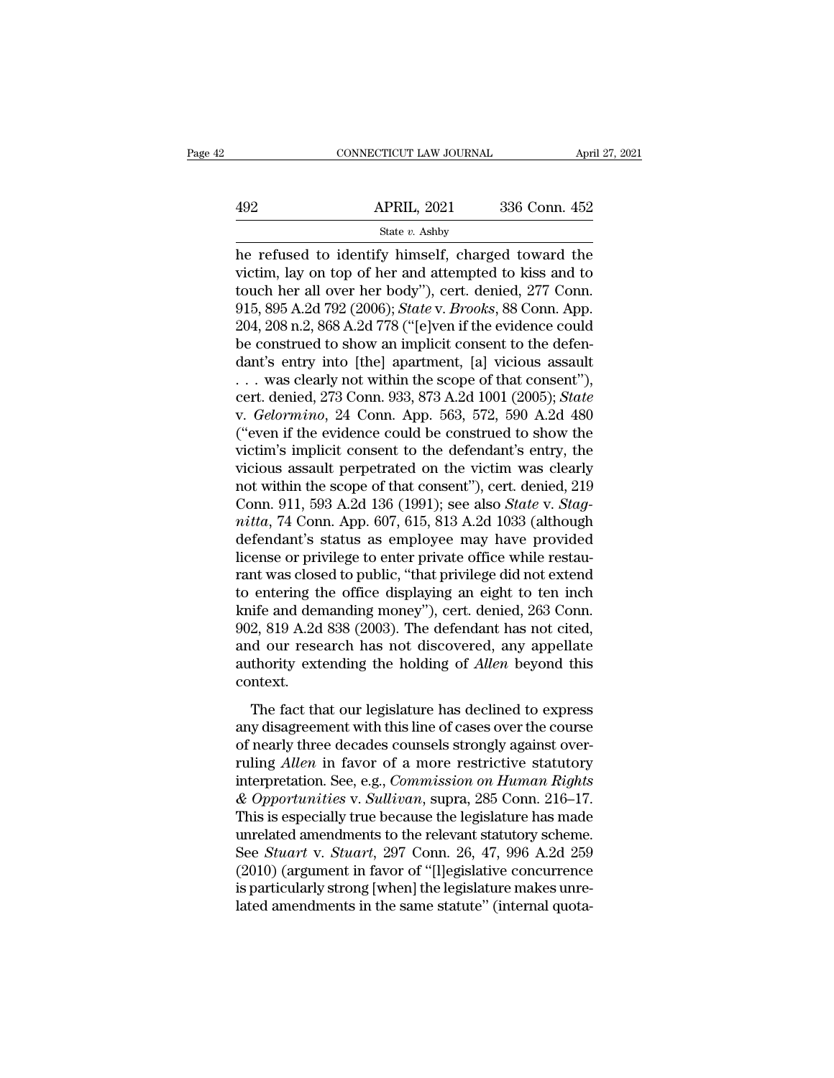|     | CONNECTICUT LAW JOURNAL | April 27, 2021 |  |
|-----|-------------------------|----------------|--|
|     |                         |                |  |
| 492 | <b>APRIL, 2021</b>      | 336 Conn. 452  |  |
|     | State v. Ashby          |                |  |

CONNECTICUT LAW JOURNAL April 27, 2021<br>
APRIL, 2021 336 Conn. 452<br>
State v. Ashby<br>
he refused to identify himself, charged toward the<br>
victim, lay on top of her and attempted to kiss and to<br>
touch her all over her hody") c 492 APRIL, 2021 336 Conn. 452<br>
State v. Ashby<br>
he refused to identify himself, charged toward the<br>
victim, lay on top of her and attempted to kiss and to<br>
touch her all over her body"), cert. denied, 277 Conn.<br>
015, 805,  $\begin{array}{ll}\n & \text{APRIL, 2021} & \text{336 Conn. 452} \\
 \hline\n & \text{State } v. \text{ Ashby} \\
 \hline\n \end{array}$ herefused to identify himself, charged toward the victim, lay on top of her and attempted to kiss and to touch her all over her body"), cert. denied, 27 APRIL, 2021 336 Conn. 452<br>
State *v*. Ashby<br>
he refused to identify himself, charged toward the<br>
victim, lay on top of her and attempted to kiss and to<br>
touch her all over her body"), cert. denied, 277 Conn.<br>
915, 895 A.2d State v. Ashby<br>
The refused to identify himself, charged toward the<br>
victim, lay on top of her and attempted to kiss and to<br>
touch her all over her body"), cert. denied, 277 Conn.<br>
915, 895 A.2d 792 (2006); *State v. Broo* state v. Ashby<br>he refused to identify himself, charged toward the<br>victim, lay on top of her and attempted to kiss and to<br>touch her all over her body"), cert. denied, 277 Conn.<br>915, 895 A.2d 792 (2006); *State* v. *Brooks* he refused to identify himself, charged toward the<br>victim, lay on top of her and attempted to kiss and to<br>touch her all over her body"), cert. denied, 277 Conn.<br>915, 895 A.2d 792 (2006); *State v. Brooks*, 88 Conn. App.<br>2 victim, lay on top of her and attempted to kiss and to<br>touch her all over her body"), cert. denied, 277 Conn.<br>915, 895 A.2d 792 (2006); *State* v. *Brooks*, 88 Conn. App.<br>204, 208 n.2, 868 A.2d 778 ("[e]ven if the evidenc touch her all over her body"), cert. denied, 277 Conn.<br>915, 895 A.2d 792 (2006); *State* v. *Brooks*, 88 Conn. App.<br>204, 208 n.2, 868 A.2d 778 ("[e]ven if the evidence could<br>be construed to show an implicit consent to the 915, 895 A.2d 792 (2006); *State* v. *Brooks*, 88 Conn. App.<br>204, 208 n.2, 868 A.2d 778 ("[e]ven if the evidence could<br>be construed to show an implicit consent to the defen-<br>dant's entry into [the] apartment, [a] vicious a 204, 208 n.2, 868 A.2d 778 ("[e]ven if the evidence could<br>be construed to show an implicit consent to the defen-<br>dant's entry into [the] apartment, [a] vicious assault<br> $\dots$  was clearly not within the scope of that consent be construed to show an implicit consent to the defendant's entry into [the] apartment, [a] vicious assault . . . was clearly not within the scope of that consent"), cert. denied, 273 Conn. 933, 873 A.2d 1001 (2005); *Sta* dant's entry into [the] apartment, [a] vicious assault<br>  $\ldots$  was clearly not within the scope of that consent"),<br>
cert. denied, 273 Conn. 933, 873 A.2d 1001 (2005); *State*<br>
v. *Gelormino*, 24 Conn. App. 563, 572, 590 A. ... was clearly not within the scope of that consent"),<br>cert. denied, 273 Conn. 933, 873 A.2d 1001 (2005); *State*<br>v. *Gelormino*, 24 Conn. App. 563, 572, 590 A.2d 480<br>("even if the evidence could be construed to show the cert. denied, 273 Conn. 933, 873 A.2d 1001 (2005); *State* v. *Gelormino*, 24 Conn. App. 563, 572, 590 A.2d 480 ("even if the evidence could be construed to show the victim's implicit consent to the defendant's entry, the *v. Gelormino, 24 Conn. App. 563, 572, 590 A.2d 480*<br>("even if the evidence could be construed to show the victim's implicit consent to the defendant's entry, the vicious assault perpetrated on the victim was clearly not w ("even if the evidence could be construed to show the victim's implicit consent to the defendant's entry, the vicious assault perpetrated on the victim was clearly not within the scope of that consent"), cert. denied, 219 victim's implicit consent to the defendant's entry, the victious assault perpetrated on the victim was clearly not within the scope of that consent"), cert. denied, 219 Conn. 911, 593 A.2d 136 (1991); see also *State v. S* vicious assault perpetrated on the victim was clearly<br>not within the scope of that consent"), cert. denied, 219<br>Conn. 911, 593 A.2d 136 (1991); see also *State* v. *Stag-<br>nitta*, 74 Conn. App. 607, 615, 813 A.2d 1033 (alth not within the scope of that consent"), cert. denied, 219<br>Conn. 911, 593 A.2d 136 (1991); see also *State v. Stag-*<br>*nitta*, 74 Conn. App. 607, 615, 813 A.2d 1033 (although<br>defendant's status as employee may have provided Conn. 911, 593 A.2d 136 (1991); see also *State* v. *Stagnitta*, 74 Conn. App. 607, 615, 813 A.2d 1033 (although defendant's status as employee may have provided license or privilege to enter private office while restauran mitta, 74 Conn. App. 607, 615, 813 A.2d 1033 (although<br>defendant's status as employee may have provided<br>license or privilege to enter private office while restau-<br>rant was closed to public, "that privilege did not extend<br> defendant's status as employee may have provided<br>license or privilege to enter private office while restau-<br>rant was closed to public, "that privilege did not extend<br>to entering the office displaying an eight to ten inch<br>k license or privilege to enter private office while restaurant was closed to public, "that privilege did not extend<br>to entering the office displaying an eight to ten inch<br>knife and demanding money"), cert. denied, 263 Conn. context. Lettering the office displaying the eight to ten first<br>tife and demanding money"), cert. denied, 263 Conn.<br>2, 819 A.2d 838 (2003). The defendant has not cited,<br>d our research has not discovered, any appellate<br>thority exten any disagreement with this line of cases over the course of nearly statement with this line of *Allen* beyond this context.<br>The fact that our legislature has declined to express any disagreement with this line of cases ov

and our research has not discovered, any appellate<br>authority extending the holding of *Allen* beyond this<br>context.<br>The fact that our legislature has declined to express<br>any disagreement with this line of cases over the co authority extending the holding of *Allen* beyond this context.<br>The fact that our legislature has declined to express<br>any disagreement with this line of cases over the course<br>of nearly three decades counsels strongly again context.<br>
The fact that our legislature has declined to express<br>
any disagreement with this line of cases over the course<br>
of nearly three decades counsels strongly against over-<br>
ruling *Allen* in favor of a more restrict The fact that our legislature has declined to express<br>any disagreement with this line of cases over the course<br>of nearly three decades counsels strongly against over-<br>ruling *Allen* in favor of a more restrictive statutory The fact that our legislature has declined to express<br>any disagreement with this line of cases over the course<br>of nearly three decades counsels strongly against over-<br>ruling *Allen* in favor of a more restrictive statutory any disagreement with this line of cases over the course<br>of nearly three decades counsels strongly against over-<br>ruling *Allen* in favor of a more restrictive statutory<br>interpretation. See, e.g., *Commission on Human Right* of nearly three decades counsels strongly against over-<br>ruling *Allen* in favor of a more restrictive statutory<br>interpretation. See, e.g., *Commission on Human Rights*<br>& *Opportunities* v. *Sullivan*, supra, 285 Conn. 216– ruling Allen in favor of a more restrictive statutory<br>interpretation. See, e.g., *Commission on Human Rights*<br>& *Opportunities* v. *Sullivan*, supra, 285 Conn. 216–17.<br>This is especially true because the legislature has ma interpretation. See, e.g., *Commission on Human Rights* & *Opportunities v. Sullivan*, supra, 285 Conn. 216–17. This is especially true because the legislature has made unrelated amendments to the relevant statutory scheme & Opportunities v. Sullivan, supra, 285 Conn. 216–17.<br>This is especially true because the legislature has made<br>unrelated amendments to the relevant statutory scheme.<br>See *Stuart* v. *Stuart*, 297 Conn. 26, 47, 996 A.2d 25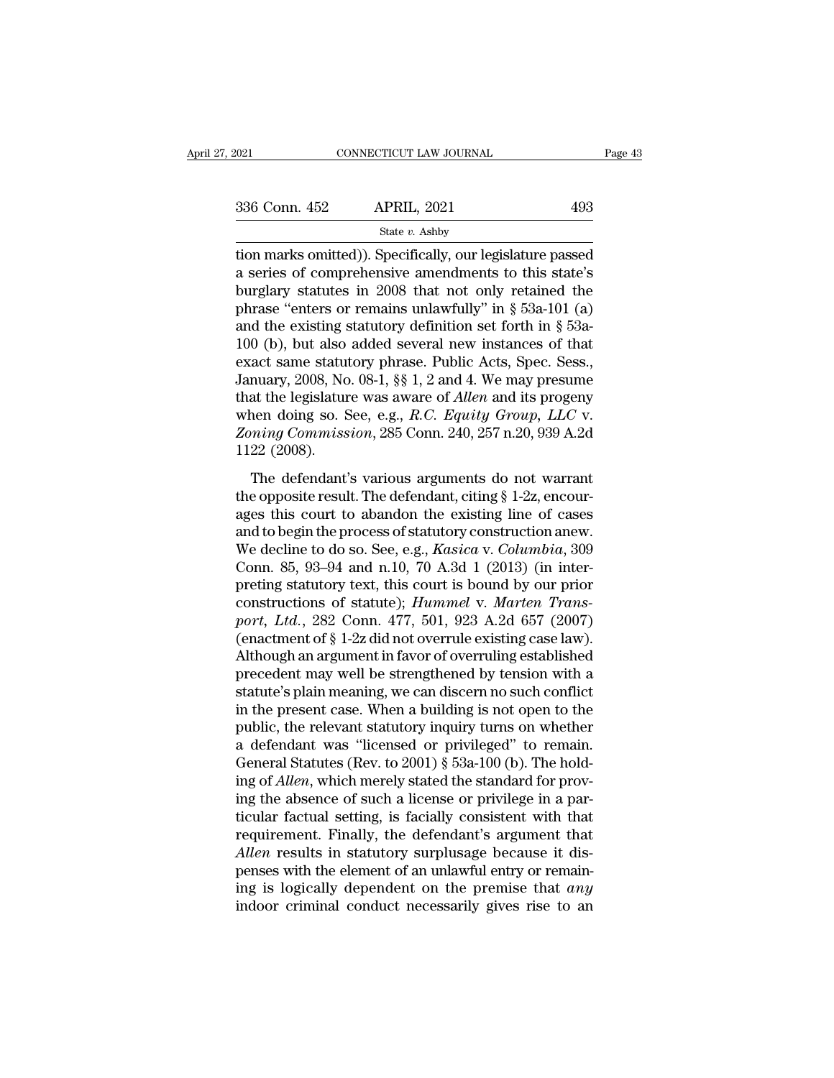| :021          | CONNECTICUT LAW JOURNAL | Page 43 |  |
|---------------|-------------------------|---------|--|
| 336 Conn. 452 | <b>APRIL, 2021</b>      | 493     |  |
|               | State v. Ashby          |         |  |

tion marks omitted)). Specifically, our legislature passed<br>a series of comprehensive amendments to this state's<br>burdeny statutes in 2008, that not only retained the 336 Conn. 452 APRIL, 2021 493<br>
State v. Ashby<br>
tion marks omitted)). Specifically, our legislature passed<br>
a series of comprehensive amendments to this state's<br>
burglary statutes in 2008 that not only retained the<br>
phrase 336 Conn. 452 APRIL, 2021 493<br>
State v. Ashby<br>
tion marks omitted)). Specifically, our legislature passed<br>
a series of comprehensive amendments to this state's<br>
burglary statutes in 2008 that not only retained the<br>
phrase 336 Conn. 452 APRIL, 2021 493<br>
State v. Ashby<br>
tion marks omitted)). Specifically, our legislature passed<br>
a series of comprehensive amendments to this state's<br>
burglary statutes in 2008 that not only retained the<br>
phrase State v. Ashby<br>
and the existing statute of the existing statutes in 2008 that not only retained the<br>
phrase "enters or remains unlawfully" in § 53a-101 (a)<br>
and the existing statutory definition set forth in § 53a-100 (b state v. Ashby<br>
tion marks omitted)). Specifically, our legislature passed<br>
a series of comprehensive amendments to this state's<br>
burglary statutes in 2008 that not only retained the<br>
phrase "enters or remains unlawfully" tion marks omitted)). Specifically, our legislature passed<br>a series of comprehensive amendments to this state's<br>burglary statutes in 2008 that not only retained the<br>phrase "enters or remains unlawfully" in § 53a-101 (a)<br>a a series of comprehensive amendments to this state's<br>burglary statutes in 2008 that not only retained the<br>phrase "enters or remains unlawfully" in § 53a-101 (a)<br>and the existing statutory definition set forth in § 53a-<br>10 burglary statutes in 2008 that not only retained the phrase "enters or remains unlawfully" in § 53a-101 (a) and the existing statutory definition set forth in § 53a-100 (b), but also added several new instances of that exa phrase "enters or remains unlawfully" in § 53a-101 (a)<br>and the existing statutory definition set forth in § 53a-<br>100 (b), but also added several new instances of that<br>exact same statutory phrase. Public Acts, Spec. Sess.,<br> and the existing statutory definition set forth in § 53a-100 (b), but also added several new instances of that exact same statutory phrase. Public Acts, Spec. Sess., January, 2008, No. 08-1, §§ 1, 2 and 4. We may presume t 100 (b), but also<br>exact same stature<br>January, 2008, No<br>that the legislature<br>when doing so. S<br>Zoning Commiss<br>1122 (2008).<br>The defendant' muary, 2008, No. 08-1, §§ 1, 2 and 4. We may presume<br>at the legislature was aware of *Allen* and its progeny<br>nen doing so. See, e.g., *R.C. Equity Group*, *LLC* v.<br>ming Commission, 285 Conn. 240, 257 n.20, 939 A.2d<br>22 (200 that the legislature was aware of *Allen* and its progeny<br>that the legislature was aware of *Allen* and its progeny<br>when doing so. See, e.g., *R.C. Equity Group*, *LLC* v.<br>*Zoning Commission*, 285 Conn. 240, 257 n.20, 939

when doing so. See, e.g., *R.C. Equity Group*, *LLC* v.<br> *Zoning Commission*, 285 Conn. 240, 257 n.20, 939 A.2d<br>
1122 (2008).<br>
The defendant's various arguments do not warrant<br>
the opposite result. The defendant, citing § Figure 2008).<br> *Loning Commission*, 285 Conn. 240, 257 n.20, 939 A.2d<br>
1122 (2008).<br>
The defendant's various arguments do not warrant<br>
the opposite result. The defendant, citing § 1-2z, encour-<br>
ages this court to abandon Ething Commession, 259 Contr. 210, 251 h.23, 659 11.24<br>1122 (2008).<br>The defendant's various arguments do not warrant<br>the opposite result. The defendant, citing § 1-2z, encour-<br>ages this court to abandon the existing line o The defendant's various arguments do not warrant<br>the opposite result. The defendant, citing § 1-2z, encour-<br>ages this court to abandon the existing line of cases<br>and to begin the process of statutory construction anew.<br>We The defendant's various arguments do not warrant<br>the opposite result. The defendant, citing § 1-2z, encour-<br>ages this court to abandon the existing line of cases<br>and to begin the process of statutory construction anew.<br>We the opposite result. The defendant, citing § 1-2z, encourages this court to abandon the existing line of cases and to begin the process of statutory construction anew. We decline to do so. See, e.g., *Kasica* v. *Columbia* ages this court to abandon the existing line of cases<br>and to begin the process of statutory construction anew.<br>We decline to do so. See, e.g., *Kasica* v. *Columbia*, 309<br>Conn. 85, 93–94 and n.10, 70 A.3d 1 (2013) (in inte and to begin the process of statutory construction anew.<br>We decline to do so. See, e.g., *Kasica* v. *Columbia*, 309<br>Conn. 85, 93–94 and n.10, 70 A.3d 1 (2013) (in inter-<br>preting statutory text, this court is bound by our We decline to do so. See, e.g., *Kasica* v. *Columbia*, 309<br>Conn. 85, 93–94 and n.10, 70 A.3d 1 (2013) (in inter-<br>preting statutory text, this court is bound by our prior<br>constructions of statute); *Hummel* v. *Marten Tran* Conn. 85, 93–94 and n.10, 70 A.3d 1 (2013) (in inter-<br>preting statutory text, this court is bound by our prior<br>constructions of statute); *Hummel* v. *Marten Trans-*<br>port, *Ltd.*, 282 Conn. 477, 501, 923 A.2d 657 (2007)<br>( preting statutory text, this court is bound by our prior<br>constructions of statute); *Hummel v. Marten Trans-<br>port, Ltd.*, 282 Conn. 477, 501, 923 A.2d 657 (2007)<br>(enactment of § 1-2z did not overrule existing case law).<br>Al constructions of statute); *Hummel v. Marten Trans-*<br>port, *Ltd.*, 282 Conn. 477, 501, 923 A.2d 657 (2007)<br>(enactment of § 1-2z did not overrule existing case law).<br>Although an argument in favor of overruling established<br>p port, Ltd., 282 Conn. 477, 501, 923 A.2d 657 (2007)<br>(enactment of § 1-2z did not overrule existing case law).<br>Although an argument in favor of overruling established<br>precedent may well be strengthened by tension with a<br>st (enactment of § 1-2z did not overrule existing case law).<br>Although an argument in favor of overruling established<br>precedent may well be strengthened by tension with a<br>statute's plain meaning, we can discern no such confli Although an argument in favor of overruling established<br>precedent may well be strengthened by tension with a<br>statute's plain meaning, we can discern no such conflict<br>in the present case. When a building is not open to the<br> precedent may well be strengthened by tension with a<br>statute's plain meaning, we can discern no such conflict<br>in the present case. When a building is not open to the<br>public, the relevant statutory inquiry turns on whether<br> statute's plain meaning, we can discern no such conflict<br>in the present case. When a building is not open to the<br>public, the relevant statutory inquiry turns on whether<br>a defendant was "licensed or privileged" to remain.<br>G in the present case. When a building is not open to the public, the relevant statutory inquiry turns on whether a defendant was "licensed or privileged" to remain. General Statutes (Rev. to 2001)  $\S$  53a-100 (b). The hold public, the relevant statutory inquiry turns on whether<br>a defendant was "licensed or privileged" to remain.<br>General Statutes (Rev. to 2001) § 53a-100 (b). The hold-<br>ing of *Allen*, which merely stated the standard for prov a defendant was "licensed or privileged" to remain.<br>*General Statutes* (Rev. to 2001) § 53a-100 (b). The holding of *Allen*, which merely stated the standard for proving the absence of such a license or privilege in a part General Statutes (Rev. to 2001) § 53a-100 (b). The holding of *Allen*, which merely stated the standard for proving the absence of such a license or privilege in a particular factual setting, is facially consistent with t ing of *Allen*, which merely stated the standard for proving the absence of such a license or privilege in a particular factual setting, is facially consistent with that requirement. Finally, the defendant's argument that ing the absence of such a license or privilege in a particular factual setting, is facially consistent with that requirement. Finally, the defendant's argument that *Allen* results in statutory surplusage because it dispe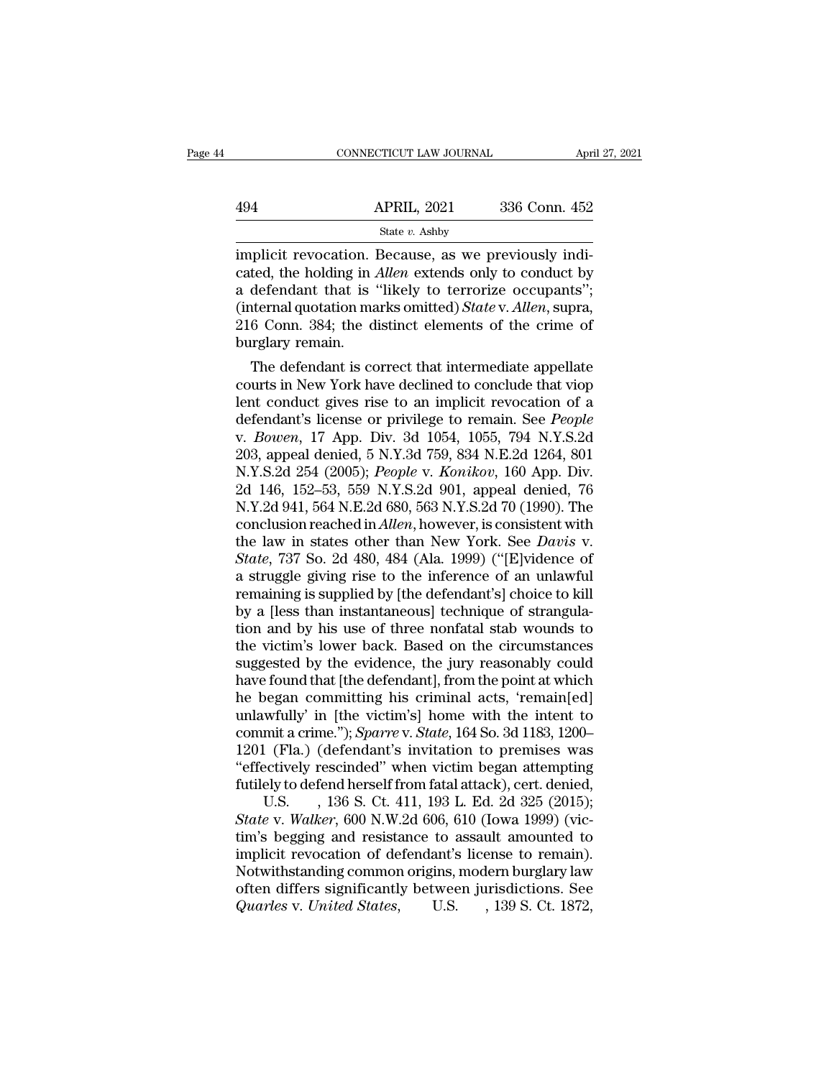|     | CONNECTICUT LAW JOURNAL | April 27, 2021 |  |
|-----|-------------------------|----------------|--|
|     |                         |                |  |
| 494 | <b>APRIL, 2021</b>      | 336 Conn. 452  |  |
|     | State v. Ashby          |                |  |

 $\begin{array}{ll}\n & \text{COMNETICUT LAW JOURNAL} \ \hline\n\end{array}$  APRIL, 2021 336 Conn. 452<br>  $\begin{array}{ll}\n & \text{State } v. \text{ Ashy} \\
 \text{implicit revocation. Because, as we previously indicated, the holding in *Allen* extends only to conduct by a *defondant* that is "likelyely to exercise.$ APRIL, 2021 336 Conn. 452<br>
State *v*. Ashby<br>
implicit revocation. Because, as we previously indicated, the holding in *Allen* extends only to conduct by<br>
a defendant that is "likely to terrorize occupants";<br>
(internal quot  $\begin{array}{c|c} \text{APRIL, 2021} & \text{336 Conn. 452} \ \hline \text{State } v. \text{ Ashby} \ \hline \text{implicit revocation. Because, as we previously indicated, the holding in *Allen* extends only to conduct by a defendant that is "likely to terrorize occurs," (internal quotation marks omitted) *State v. Allen*, supra, 216 Conn. 384: the distinct elements of the crime of the image.$ (494 APRIL, 2021 336 Conn. 452<br>
State *v*. Ashby<br>
implicit revocation. Because, as we previously indicated, the holding in *Allen* extends only to conduct by<br>
a defendant that is "likely to terrorize occupants";<br>
(internal Examples of the distinct elements of the crime of burglary remain.<br>
2216 Conn. 384; the distinct elements only to conduct by<br>
216 Conn. 384; the distinct elements of the crime of burglary remain. mplicit revocation. I<br>cated, the holding in .<br>a defendant that is '<br>(internal quotation ma<br>216 Conn. 384; the d<br>burglary remain.<br>The defendant is cc plicit revocation. Because, as we previously indi-<br>ted, the holding in *Allen* extends only to conduct by<br>defendant that is "likely to terrorize occupants";<br>termal quotation marks omitted) *State* v. *Allen*, supra,<br>6 Conn cated, the notding in *Atten* extends only to conduct by<br>a defendant that is "likely to terrorize occupants";<br>(internal quotation marks omitted) *State* v. *Allen*, supra,<br>216 Conn. 384; the distinct elements of the crime

a defendant that is likely to terrorize occupants ;<br>(internal quotation marks omitted) *State* v. *Allen*, supra,<br>216 Conn. 384; the distinct elements of the crime of<br>burglary remain.<br>The defendant is correct that interme (internal quotation marks omitted) *State v. Atten*, supra,<br>216 Conn. 384; the distinct elements of the crime of<br>burglary remain.<br>The defendant is correct that intermediate appellate<br>courts in New York have declined to con 216 Conn. 384; the distinct elements of the crime of<br>burglary remain.<br>The defendant is correct that intermediate appellate<br>courts in New York have declined to conclude that viop<br>lent conduct gives rise to an implicit revoc burgiary remain.<br>
The defendant is correct that intermediate appellate<br>
courts in New York have declined to conclude that viop<br>
lent conduct gives rise to an implicit revocation of a<br>
defendant's license or privilege to re The defendant is correct that intermediate appellate<br>courts in New York have declined to conclude that viop<br>lent conduct gives rise to an implicit revocation of a<br>defendant's license or privilege to remain. See *People*<br>v. courts in New York have declined to conclude that viop<br>lent conduct gives rise to an implicit revocation of a<br>defendant's license or privilege to remain. See *People*<br>v. *Bowen*, 17 App. Div. 3d 1054, 1055, 794 N.Y.S.2d<br>20 lent conduct gives rise to an implicit revocation of a<br>defendant's license or privilege to remain. See *People*<br>v. *Bowen*, 17 App. Div. 3d 1054, 1055, 794 N.Y.S.2d<br>203, appeal denied, 5 N.Y.3d 759, 834 N.E.2d 1264, 801<br>N. defendant's license or privilege to remain. See *People*<br>v. *Bowen*, 17 App. Div. 3d 1054, 1055, 794 N.Y.S.2d<br>203, appeal denied, 5 N.Y.3d 759, 834 N.E.2d 1264, 801<br>N.Y.S.2d 254 (2005); *People* v. *Konikov*, 160 App. Div. v. *Bowen*, 17 App. Div. 3d 1054, 1055, 794 N.Y.S.2d<br>203, appeal denied, 5 N.Y.3d 759, 834 N.E.2d 1264, 801<br>N.Y.S.2d 254 (2005); *People v. Konikov*, 160 App. Div.<br>2d 146, 152–53, 559 N.Y.S.2d 901, appeal denied, 76<br>N.Y.2d 203, appeal denied, 5 N.Y.3d 759, 834 N.E.2d 1264, 801<br>*N.Y.S.2d 254 (2005); People v. Konikov*, 160 App. Div.<br>2d 146, 152–53, 559 N.Y.S.2d 901, appeal denied, 76<br>*N.Y.2d* 941, 564 N.E.2d 680, 563 N.Y.S.2d 70 (1990). The<br>c N.Y.S.2d 254 (2005); *People v. Konikov*, 160 App. Div.<br>2d 146, 152–53, 559 N.Y.S.2d 901, appeal denied, 76<br>N.Y.2d 941, 564 N.E.2d 680, 563 N.Y.S.2d 70 (1990). The<br>conclusion reached in *Allen*, however, is consistent with 2d 146, 152–53, 559 N.Y.S.2d 901, appeal denied, 76<br>N.Y.2d 941, 564 N.E.2d 680, 563 N.Y.S.2d 70 (1990). The<br>conclusion reached in *Allen*, however, is consistent with<br>the law in states other than New York. See *Davis* v.<br> N.Y.2d 941, 564 N.E.2d 680, 563 N.Y.S.2d 70 (1990). The conclusion reached in *Allen*, however, is consistent with the law in states other than New York. See *Davis v.*<br>State, 737 So. 2d 480, 484 (Ala. 1999) ("[E]vidence o conclusion reached in *Allen*, however, is consistent with<br>the law in states other than New York. See *Davis* v.<br>*State*, 737 So. 2d 480, 484 (Ala. 1999) ("[E]vidence of<br>a struggle giving rise to the inference of an unlawf the law in states other than New York. See *Davis* v.<br>State, 737 So. 2d 480, 484 (Ala. 1999) ("[E]vidence of<br>a struggle giving rise to the inference of an unlawful<br>remaining is supplied by [the defendant's] choice to kill<br> State, 737 So. 2d 480, 484 (Ala. 1999) ("[E]vidence of<br>a struggle giving rise to the inference of an unlawful<br>remaining is supplied by [the defendant's] choice to kill<br>by a [less than instantaneous] technique of strangula a struggle giving rise to the inference of an unlawful<br>remaining is supplied by [the defendant's] choice to kill<br>by a [less than instantaneous] technique of strangula-<br>tion and by his use of three nonfatal stab wounds to<br>t remaining is supplied by [the defendant's] choice to kill<br>by a [less than instantaneous] technique of strangula-<br>tion and by his use of three nonfatal stab wounds to<br>the victim's lower back. Based on the circumstances<br>sugg by a [less than instantaneous] technique of strangulation and by his use of three nonfatal stab wounds to the victim's lower back. Based on the circumstances suggested by the evidence, the jury reasonably could have found tion and by his use of three nonfatal stab wounds to<br>the victim's lower back. Based on the circumstances<br>suggested by the evidence, the jury reasonably could<br>have found that [the defendant], from the point at which<br>he bega the victim's lower back. Based on the circumstances<br>suggested by the evidence, the jury reasonably could<br>have found that [the defendant], from the point at which<br>he began committing his criminal acts, 'remain[ed]<br>unlawfull suggested by the evidence, the jury reasonably could<br>have found that [the defendant], from the point at which<br>he began committing his criminal acts, 'remain[ed]<br>unlawfully' in [the victim's] home with the intent to<br>commit have found that [the defendant], from the point at which<br>he began committing his criminal acts, 'remain[ed]<br>unlawfully' in [the victim's] home with the intent to<br>commit a crime."); *Sparre* v. *State*, 164 So. 3d 1183, 12 began committing his criminal acts, 'remain[ed]<br>wfully' in [the victim's] home with the intent to<br>mit a crime."); *Sparre* v. *State*, 164 So. 3d 1183, 1200-<br>l (Fla.) (defendant's invitation to premises was<br>ectively rescin unlawfully' in [the victim's] home with the intent to<br>commit a crime."); *Sparre* v. *State*, 164 So. 3d 1183, 1200–<br>1201 (Fla.) (defendant's invitation to premises was<br>"effectively rescinded" when victim began attempting<br>

commit a crime."); *Sparre* v. *State*, 164 So. 3d 1183, 1200–1201 (Fla.) (defendant's invitation to premises was<br>"effectively rescinded" when victim began attempting<br>futilely to defend herself from fatal attack), cert. de 1201 (Fla.) (defendant's invitation to premises was<br>
"effectively rescinded" when victim began attempting<br>
futilely to defend herself from fatal attack), cert. denied,<br>
U.S. , 136 S. Ct. 411, 193 L. Ed. 2d 325 (2015);<br> *St* "effectively rescinded" when victim began attempting<br>futilely to defend herself from fatal attack), cert. denied,<br>U.S. , 136 S. Ct. 411, 193 L. Ed. 2d 325 (2015);<br>*State* v. *Walker*, 600 N.W.2d 606, 610 (Iowa 1999) (vic-<br> futilely to defend herself from fatal attack), cert. denied,<br>U.S. , 136 S. Ct. 411, 193 L. Ed. 2d 325 (2015);<br>State v. Walker, 600 N.W.2d 606, 610 (Iowa 1999) (vic-<br>tim's begging and resistance to assault amounted to<br>impli U.S. , 136 S. Ct. 411, 193 L. Ed. 2d 325 (2015);<br> *State* v. *Walker*, 600 N.W.2d 606, 610 (Iowa 1999) (victim's begging and resistance to assault amounted to<br>
implicit revocation of defendant's license to remain).<br>
Notwit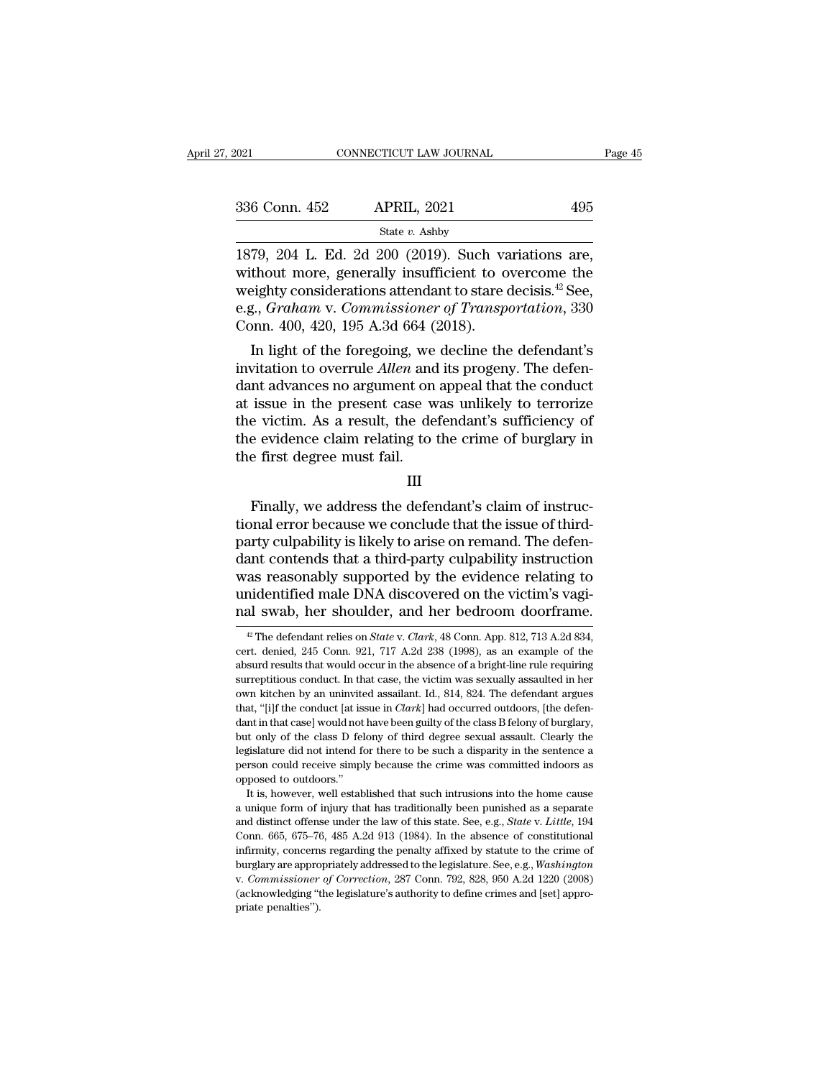| 2021          | CONNECTICUT LAW JOURNAL                                                                                                                                                     | Page 45 |
|---------------|-----------------------------------------------------------------------------------------------------------------------------------------------------------------------------|---------|
| 336 Conn. 452 | <b>APRIL, 2021</b>                                                                                                                                                          | 495     |
|               | State $v$ . Ashby                                                                                                                                                           |         |
|               | 1879, 204 L. Ed. 2d 200 (2019). Such variations are,<br>without more, generally insufficient to overcome the<br>woighty considerations attendent to stare decising $42$ See |         |

336 Conn. 452 APRIL, 2021 495<br>
state v. Ashby<br>
1879, 204 L. Ed. 2d 200 (2019). Such variations are,<br>
without more, generally insufficient to overcome the<br>
weighty considerations attendant to stare decisis.<sup>42</sup> See,<br>
0.4. 336 Conn. 452 APRIL, 2021 495<br>
State v. Ashby<br>
1879, 204 L. Ed. 2d 200 (2019). Such variations are,<br>
without more, generally insufficient to overcome the<br>
weighty considerations attendant to stare decisis.<sup>42</sup> See,<br>
e.g., e.g., *Graham v. Commissioner of Transportation*, 330<br>
Commissioner, *Graham v. Commissioner of Transportations*, 330<br>
Commissioner of *Transportation*, 330<br>
Commissioner of *Transportation*, 330<br>
Commissioner of *Commissi* State v. Ashby<br>
State v. Ashby<br>
1879, 204 L. Ed. 2d 200 (2019). Such va<br>
without more, generally insufficient to o<br>
weighty considerations attendant to stare  $\alpha$ <br>
e.g., *Graham v. Commissioner of Transp*<br>
Conn. 400, 420, 79, 204 L. Ed. 2d 200 (2019). Such variations are,<br>thout more, generally insufficient to overcome the<br>eighty considerations attendant to stare decisis.<sup>42</sup> See,<br>g., *Graham v. Commissioner of Transportation*, 330<br>pnn. 400 1879, 204 L. Ed. 2d 200 (2019). Such variations are,<br>without more, generally insufficient to overcome the<br>weighty considerations attendant to stare decisis.<sup>42</sup> See,<br>e.g., *Graham v. Commissioner of Transportation*, 330<br>Co

without more, generally insulficent to overcome the<br>weighty considerations attendant to stare decisis.<sup>42</sup> See,<br>e.g., *Graham v. Commissioner of Transportation*, 330<br>Conn. 400, 420, 195 A.3d 664 (2018).<br>In light of the fo weighty considerations attendant to stare decisis. See,<br>e.g., *Graham v. Commissioner of Transportation*, 330<br>Conn. 400, 420, 195 A.3d 664 (2018).<br>In light of the foregoing, we decline the defendant's<br>invitation to overrul e.g., Graham v. Commissioner of Transportation, 550<br>Conn. 400, 420, 195 A.3d 664 (2018).<br>In light of the foregoing, we decline the defendant's<br>invitation to overrule *Allen* and its progeny. The defen-<br>dant advances no arg Lonin. 400, 420, 195 A.5d 004 (2018).<br>In light of the foregoing, we decline the defendant's<br>invitation to overrule *Allen* and its progeny. The defen-<br>dant advances no argument on appeal that the conduct<br>at issue in the pr In light of the foregoing, we<br>invitation to overrule *Allen* and<br>dant advances no argument on<br>at issue in the present case w<br>the victim. As a result, the de<br>the evidence claim relating to<br>the first degree must fail. Finally to terrorize<br>
e victim. As a result, the defendant's sufficiency of<br>
e evidence claim relating to the crime of burglary in<br>
e first degree must fail.<br>
III<br>
Finally, we address the defendant's claim of instruc-<br>
pri

### III

the victim. As a result, the defendant's sufficiency of<br>the evidence claim relating to the crime of burglary in<br>the first degree must fail.<br>III<br>Finally, we address the defendant's claim of instruc-<br>tional error because we the evidence claim relating to the crime of burglary in<br>the first degree must fail.<br>III<br>Finally, we address the defendant's claim of instruc-<br>tional error because we conclude that the issue of third-<br>party culpability is l the first degree must fail.<br>
III<br>
Finally, we address the defendant's claim of instructional error because we conclude that the issue of third-<br>
party culpability is likely to arise on remand. The defen-<br>
dant contends tha III<br>Finally, we address the defendant's claim of instruc-<br>tional error because we conclude that the issue of third-<br>party culpability is likely to arise on remand. The defen-<br>dant contends that a third-party culpability in mally, we address the defendant's claim of instructional error because we conclude that the issue of third-<br>party culpability is likely to arise on remand. The defendant contends that a third-party culpability instruction<br> Finally, we address the defendant's claim of instructional error because we conclude that the issue of third-<br>party culpability is likely to arise on remand. The defendant contends that a third-party culpability instructi ant contends that a third-party culpability instruction<br>as reasonably supported by the evidence relating to<br>nidentified male DNA discovered on the victim's vagi-<br>al swab, her shoulder, and her bedroom doorframe.<br><sup>#</sup> The de was reasonably supported by the evidence relating to<br>unidentified male DNA discovered on the victim's vagi-<br>nal swab, her shoulder, and her bedroom doorframe.<br> $\frac{w}{t}$  The defendant relies on *State* v. *Clark*, 48 Conn.

unidentified male DNA discovered on the victim's vagi-<br>nal swab, her shoulder, and her bedroom doorframe.<br> $*$  The defendant relies on *State v. Clark*, 48 Conn. App. 812, 713 A.2d 834,<br>cert. denied, 245 Conn. 921, 717 A.2 and swab, her shoulder, and her bedroom doorframe.<br>
<sup>*a*</sup> The defendant relies on *State v. Clark*, 48 Conn. App. 812, 713 A.2d 834, cert. denied, 245 Conn. 921, 717 A.2d 238 (1998), as an example of the absurd results th That SWaD, Tier Shoulder, and Tier Deuroonn doormante.<br>
<sup>42</sup> The defendant relies on *State* v. *Clark*, 48 Conn. App. 812, 713 A.2d 834, cert. denied, 245 Conn. 921, 717 A.2d 238 (1998), as an example of the absurd resul <sup>42</sup> The defendant relies on *State* v. *Clark*, 48 Conn. App. 812, 713 A.2d 834, cert. denied, 245 Conn. 921, 717 A.2d 238 (1998), as an example of the absurd results that would occur in the absence of a bright-line rule cert. denied, 245 Conn. 921, 717 A.2d 238 (1998), as an example of the absurd results that would occur in the absence of a bright-line rule requiring surreptitious conduct. In that case, the victim was sexually assaulted absurd results that would occur in the absence of a bright-line rule requiring surreptitious conduct. In that case, the victim was sexually assaulted in her own kitchen by an uninvited assailant. Id., 814, 824. The defend surreptitious conduct. In that case, the victim was sexually assaulted in her own kitchen by an uninvited assailant. Id., 814, 824. The defendant argues that, "[i]f the conduct [at issue in *Clark*] had occurred outdoors, bown kitchen by an uninvited assailant. Id., 814, 824. The defendant are committed that, "[i]f the conduct [at issue in *Clark*] had occurred outdoors, [the defendant in that case] would not have been guilty of the class opposed to conduct at is<br>that, "[i]f the conduct [at is<br>but only of the class D fel<br>legislature did not intend for<br>person could receive simpl<br>opposed to outdoors."<br>It is, however, well estable It is, however, well established that such intrusions into the home cause in that case would not have been guilty of the class B felony of burglary, it only of the class D felony of third degree sexual assault. Clearly the but only of the class D felony of third degree sexual assault. Clearly the legislature did not intend for there to be such a disparity in the sentence a person could receive simply because the crime was committed indoors a

legislature did not intend for there to be such a disparity in the sentence a<br>person could receive simply because the crime was committed indoors as<br>opposed to outdoors."<br>It is, however, well established that such intrusio Expersion could receive simply because the crime was committed indoors as<br>opposed to outdoors."<br>It is, however, well established that such intrusions into the home cause<br>a unique form of injury that has traditionally been infirmity, concerns regarding the penalty affixed by statute to the region of burstless.<br>It is, however, well established that such intrusions into the home cause<br>a unique form of injury that has traditionally been punishe It is, however, well established that such intrusions into the home cause<br>a unique form of injury that has traditionally been punished as a separate<br>and distinct offense under the law of this state. See, e.g., *State* v. is, rowere, were established and stern intractors into the former cause at a unique form of injury that has traditionally been punished as a separate and distinct offense under the law of this state. See, e.g., *State* v. and distinct offense under the law of this state. See, e.g., *State v. Little*, 194 Conn. 665, 675–76, 485 A.2d 913 (1984). In the absence of constitutional infirmity, concerns regarding the penalty affixed by statute to Conn. 665, 675-76, 485 A.2d 913 (1984). In the absence of constitutional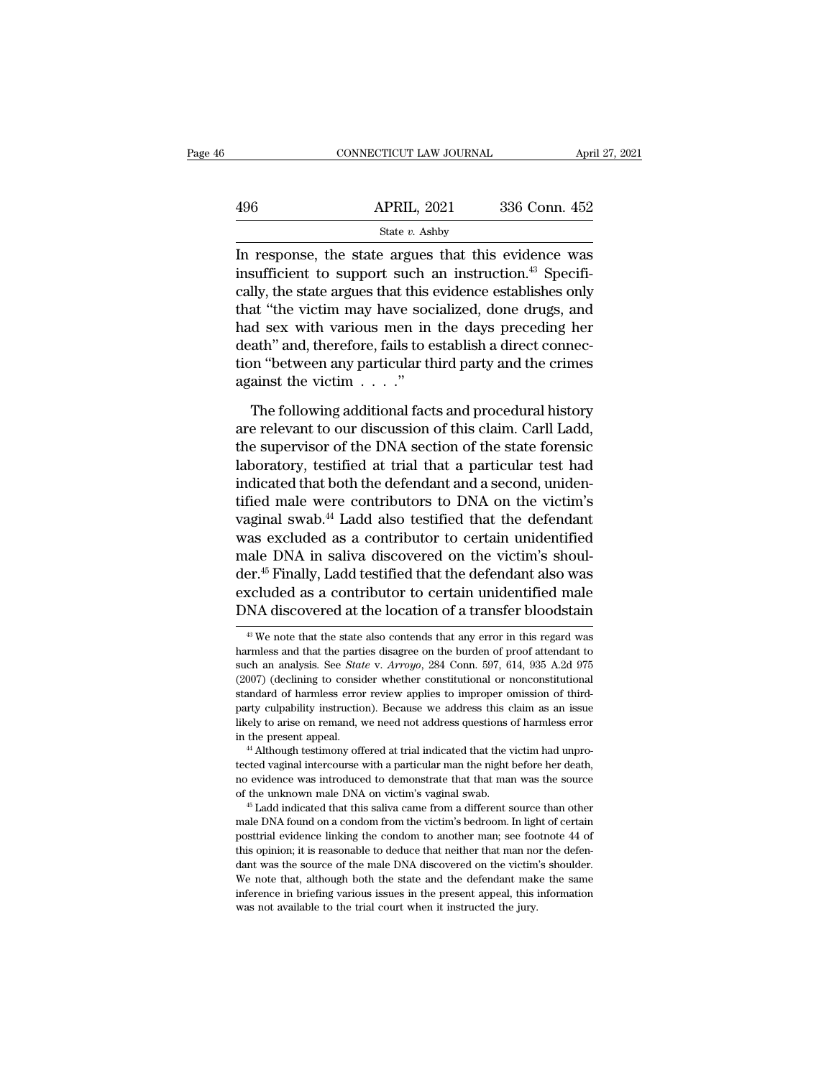|     | CONNECTICUT LAW JOURNAL                                                                                                                                                                   | April 27, 2021 |
|-----|-------------------------------------------------------------------------------------------------------------------------------------------------------------------------------------------|----------------|
| 496 | <b>APRIL, 2021</b>                                                                                                                                                                        | 336 Conn. 452  |
|     | State $v$ . Ashby                                                                                                                                                                         |                |
|     | In response, the state argues that this evidence was<br>insufficient to support such an instruction. <sup>43</sup> Specifi-<br>cally the state argues that this avidance establishes only |                |

496 APRIL, 2021 336 Conn. 452<br>
State v. Ashby<br>
In response, the state argues that this evidence was<br>
insufficient to support such an instruction.<sup>43</sup> Specifi-<br>
cally, the state argues that this evidence establishes only<br> 496 APRIL, 2021 336 Conn. 452<br>
State v. Ashby<br>
In response, the state argues that this evidence was<br>
insufficient to support such an instruction.<sup>43</sup> Specifi-<br>
cally, the state argues that this evidence establishes only<br>  $\frac{\text{APRIL, 2021}}{\text{State } v. \text{ Ashby}}$ <br>
In response, the state argues that this evidence was<br>
insufficient to support such an instruction.<sup>43</sup> Specifi-<br>
cally, the state argues that this evidence establishes only<br>
that "the vict State  $v$ . Ashby<br>In response, the state argues that this evidence was<br>insufficient to support such an instruction.<sup>43</sup> Specifi-<br>cally, the state argues that this evidence establishes only<br>that "the victim may have sociali  $\frac{\text{state } v. \text{ Asioy}}{\text{the}}$ <br>In response, the state argues that this evidence was<br>insufficient to support such an instruction.<sup>43</sup> Specifi-<br>cally, the state argues that this evidence establishes only<br>that "the victim may have In response, the state argues that this evidence was<br>insufficient to support such an instruction.<sup>43</sup> Specifi-<br>cally, the state argues that this evidence establishes only<br>that "the victim may have socialized, done drugs, insufficient to support such a<br>cally, the state argues that this  $\alpha$ <br>that "the victim may have soc<br>had sex with various men in<br>death" and, therefore, fails to e<br>tion "between any particular th<br>against the victim  $\ldots$ ."<br> at "the victim may have socialized, done drugs, and<br>d sex with various men in the days preceding her<br>ath" and, therefore, fails to establish a direct connec-<br>on "between any particular third party and the crimes<br>ainst the had sex with various men in the days preceding her<br>death" and, therefore, fails to establish a direct connec-<br>tion "between any particular third party and the crimes<br>against the victim  $\ldots$ ."<br>The following additional fac

death" and, therefore, fails to establish a direct connection "between any particular third party and the crimes<br>against the victim . . . . ."<br>The following additional facts and procedural history<br>are relevant to our discu tion "between any particular third party and the crimes<br>against the victim  $\dots$ ."<br>The following additional facts and procedural history<br>are relevant to our discussion of this claim. Carll Ladd,<br>the supervisor of the DNA s against the victim  $\ldots$ ."<br>The following additional facts and procedural history<br>are relevant to our discussion of this claim. Carll Ladd,<br>the supervisor of the DNA section of the state forensic<br>laboratory, testified at t The following additional facts and procedural history<br>are relevant to our discussion of this claim. Carll Ladd,<br>the supervisor of the DNA section of the state forensic<br>laboratory, testified at trial that a particular test The following additional facts and procedural history<br>are relevant to our discussion of this claim. Carll Ladd,<br>the supervisor of the DNA section of the state forensic<br>laboratory, testified at trial that a particular test are relevant to our discussion of this claim. Carll Ladd,<br>the supervisor of the DNA section of the state forensic<br>laboratory, testified at trial that a particular test had<br>indicated that both the defendant and a second, un the supervisor of the DNA section of the state forensic<br>laboratory, testified at trial that a particular test had<br>indicated that both the defendant and a second, uniden-<br>tified male were contributors to DNA on the victim's laboratory, testified at trial that a particular test had<br>indicated that both the defendant and a second, uniden-<br>tified male were contributors to DNA on the victim's<br>vaginal swab.<sup>44</sup> Ladd also testified that the defendan indicated that both the defendant and a second, unidentified male were contributors to DNA on the victim's vaginal swab.<sup>44</sup> Ladd also testified that the defendant was excluded as a contributor to certain unidentified male tified male were contributors to DNA on the victim's<br>vaginal swab.<sup>44</sup> Ladd also testified that the defendant<br>was excluded as a contributor to certain unidentified<br>male DNA in saliva discovered on the victim's shoul-<br>der. male DNA in saliva discovered on the victim's shoulder.<sup>45</sup> Finally, Ladd testified that the defendant also was excluded as a contributor to certain unidentified male DNA discovered at the location of a transfer bloodstai der.<sup>45</sup> Finally, Ladd testified that the defendant also was excluded as a contributor to certain unidentified male DNA discovered at the location of a transfer bloodstain  $\frac{48}{10}$  We note that the state also contends

excluded as a contributor to certain unidentified male<br>DNA discovered at the location of a transfer bloodstain<br><sup>49</sup> We note that the state also contends that any error in this regard was<br>harmless and that the parties disag DNA discovered at the location of a transfer bloodstain  $\frac{1}{4}$  We note that the state also contends that any error in this regard was harmless and that the parties disagree on the burden of proof attendant to such an a <sup>43</sup> We note that the state also contends that any error in this regard was harmless and that the parties disagree on the burden of proof attendant to such an analysis. See *State* v.  $Arrow$ , 284 Conn. 597, 614, 935 A.2d 975 <sup>43</sup> We note that the state also contends that any error in this regard was harmless and that the parties disagree on the burden of proof attendant to such an analysis. See *State* v. Arroyo, 284 Conn. 597, 614, 935 A.2d harmless and that the parties disagree on the burden of proof attendant to such an analysis. See *State* v. Arroyo, 284 Conn. 597, 614, 935 A.2d 975 (2007) (declining to consider whether constitutional or nonconstitutional such an analysis. See *State* v. Arroyo, 284 Conn. 597, 614, 935 A.2d 975 (2007) (declining to consider whether constitutional or nonconstitutional standard of harmless error review applies to improper omission of third-<br> tected vaginal intercourse with a particular man the night before her deaths and and of harmless error review applies to improper omission of third-<br>party culpability instruction). Because we address this claim as an issue

party culpability instruction). Because we address this claim as an issue likely to arise on remand, we need not address questions of harmless error in the present appeal.<br>
"Although testimony offered at trial indicated th be unknown male of the unknown male DNA on victim's vaginal swab. 45 Ladd indicated that the victim had unprotected vaginal intercourse with a particular man the night before her death, no evidence was introduced to demons <sup>44</sup> Although testimony offered at trial indicated that the victim had unprotected vaginal intercourse with a particular man the night before her death, no evidence was introduced to demonstrate that that man was the sour

eted vaginal intercourse with a particular man the night before her death, no evidence was introduced to demonstrate that that man was the source of the unknown male DNA on victim's vaginal swab.<br>
<sup>45</sup> Ladd indicated that no evidence was introduced to demonstrate that that man was the source of the unknown male DNA on victim's vaginal swab.<br>  $\,^{45}$  Ladd indicated that this saliva came from a different source than other male DNA found on for the unknown male DNA on victim's vaginal swab.<br>
<sup>45</sup> Ladd indicated that this saliva came from a different source than other<br>
male DNA found on a condom from the victim's bedroom. In light of certain<br>
posttrial evidenc <sup>46</sup> Ladd indicated that this saliva came from a different source than other male DNA found on a condom from the victim's bedroom. In light of certain posttrial evidence linking the condom to another man; see footnote 44 male DNA found on a condom from the victim's bedroom. In light of certain posttrial evidence linking the condom to another man; see footnote 44 of this opinion; it is reasonable to deduce that neither that man nor the defe posttrial evidence linking the condom to another man; see footnote 44 of this opinion; it is reasonable to deduce that neither that man nor the defendant was the source of the male DNA discovered on the victim's shoulder.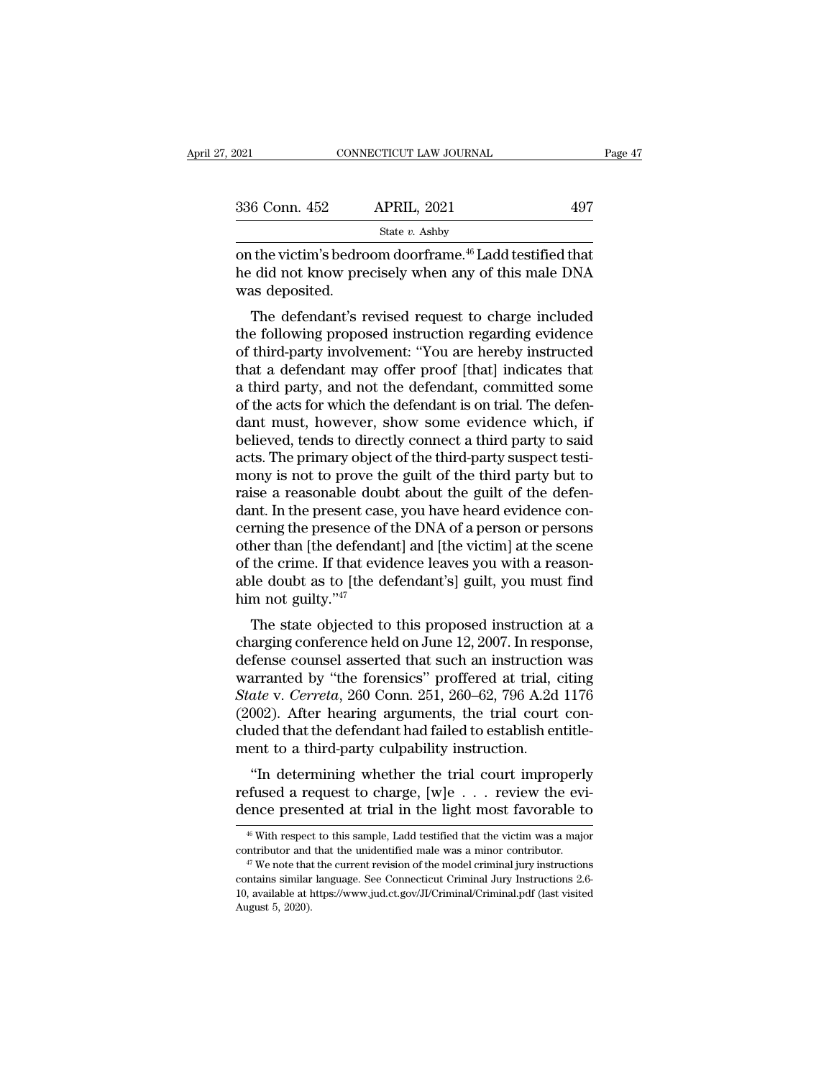| 2021           | CONNECTICUT LAW JOURNAL                                                                                                     | Page 47 |
|----------------|-----------------------------------------------------------------------------------------------------------------------------|---------|
| 336 Conn. 452  | <b>APRIL, 2021</b>                                                                                                          | 497     |
|                | State $v$ . Ashby                                                                                                           |         |
| was deposited. | on the victim's bedroom doorframe. <sup>46</sup> Ladd testified that<br>he did not know precisely when any of this male DNA |         |
|                | The defendant's revised request to charge included                                                                          |         |

 $\frac{6 \text{ Conn. } 452}{\text{State } v. } \frac{\text{APRIL, } 2021}{\text{State } v. } \frac{497}{\text{Table 1}}$ <br>
The victim's bedroom doorframe.<sup>46</sup> Ladd testified that<br>
did not know precisely when any of this male DNA<br>
as deposited.<br>
The defendant's revised request to

State  $v$ . Ashby<br>
on the victim's bedroom doorframe.<sup>46</sup> Ladd testified that<br>
he did not know precisely when any of this male DNA<br>
was deposited.<br>
The defendant's revised request to charge included<br>
the following proposed on the victim's bedroom doorframe.<sup>46</sup> Ladd testified that<br>he did not know precisely when any of this male DNA<br>was deposited.<br>The defendant's revised request to charge included<br>the following proposed instruction regarding on the victin's bedroom doorname. Eadd testined that<br>he did not know precisely when any of this male DNA<br>was deposited.<br>The defendant's revised request to charge included<br>the following proposed instruction regarding eviden The defendant's revised request to charge included<br>the following proposed instruction regarding evidence<br>of third-party involvement: "You are hereby instructed<br>that a defendant may offer proof [that] indicates that<br>a third Was deposited.<br>The defendant's revised request to charge included<br>the following proposed instruction regarding evidence<br>of third-party involvement: "You are hereby instructed<br>that a defendant may offer proof [that] indicat The defendant's revised request to charge included<br>the following proposed instruction regarding evidence<br>of third-party involvement: "You are hereby instructed<br>that a defendant may offer proof [that] indicates that<br>a third the following proposed instruction regarding evidence<br>of third-party involvement: "You are hereby instructed<br>that a defendant may offer proof [that] indicates that<br>a third party, and not the defendant, committed some<br>of th of third-party involvement: "You are hereby instructed<br>that a defendant may offer proof [that] indicates that<br>a third party, and not the defendant, committed some<br>of the acts for which the defendant is on trial. The defenthat a defendant may offer proof [that] indicates that<br>a third party, and not the defendant, committed some<br>of the acts for which the defendant is on trial. The defen-<br>dant must, however, show some evidence which, if<br>belie a third party, and not the defendant, committed some<br>of the acts for which the defendant is on trial. The defen-<br>dant must, however, show some evidence which, if<br>believed, tends to directly connect a third party to said<br>ac of the acts for which the defendant is on trial. The defendant must, however, show some evidence which, if believed, tends to directly connect a third party to said acts. The primary object of the third-party suspect testi dant must, however, show some evidence which, if<br>believed, tends to directly connect a third party to said<br>acts. The primary object of the third-party suspect testi-<br>mony is not to prove the guilt of the third party but to believed, tends to directly connect a third party to said<br>acts. The primary object of the third-party suspect testi-<br>mony is not to prove the guilt of the third party but to<br>raise a reasonable doubt about the guilt of the acts. The primary object of the third-party suspect testi-<br>mony is not to prove the guilt of the third party but to<br>raise a reasonable doubt about the guilt of the defen-<br>dant. In the present case, you have heard evidence mony is not to prove the guilt of the third party but to<br>raise a reasonable doubt about the guilt of the defen-<br>dant. In the present case, you have heard evidence con-<br>cerning the presence of the DNA of a person or person raise a reasonable dou<br>dant. In the present case<br>cerning the presence of<br>other than [the defenda<br>of the crime. If that evia<br>able doubt as to [the d<br>him not guilty."<sup>47</sup><br>The state objected to The state objected to this proposed instruction was<br>for state of the state of the DNA of a person or persons<br>her than [the defendant] and [the victim] at the scene<br>the crime. If that evidence leaves you with a reason-<br>le certing the presence of the DNA of a person of persons<br>other than [the defendant] and [the victim] at the scene<br>of the crime. If that evidence leaves you with a reason-<br>able doubt as to [the defendant's] guilt, you must fi

buter than [the defendant] and [the victing] at the scene<br>of the crime. If that evidence leaves you with a reason-<br>able doubt as to [the defendant's] guilt, you must find<br>him not guilty."<sup>47</sup><br>The state objected to this pr of the crifte. If that evidence leaves you with a reason-<br>able doubt as to [the defendant's] guilt, you must find<br>him not guilty."<sup>47</sup><br>The state objected to this proposed instruction at a<br>charging conference held on June *State* v. *Cerreta*, 260 Conn. 251, 260–62, 796 A.2d 1176 (2002). After hearing arguments, the trial court connected that such an instruction was warranted by "the forensics" proffered at trial, citing *State* v. *Cerreta* The state objected to this proposed instruction at a charging conference held on June 12, 2007. In response, defense counsel asserted that such an instruction was warranted by "the forensics" proffered at trial, citing *S* The state objected to this proposed instruction at a charging conference held on June 12, 2007. In response, defense counsel asserted that such an instruction was warranted by "the forensics" proffered at trial, citing  $State$ charging conference held on June 12, 2007. In respectense counsel asserted that such an instruction warranted by "the forensics" proffered at trial, of State v. Cerreta, 260 Conn. 251, 260–62, 796 A.2d (2002). After hearin Then the trial counser asserted that such an instruction was<br>
arranted by "the forensics" proffered at trial, citing<br>
ate v. Cerreta, 260 Conn. 251, 260–62, 796 A.2d 1176<br>
002). After hearing arguments, the trial court co warranted by the forensics profilered at trial, ching State v. Cerreta, 260 Conn. 251, 260–62, 796 A.2d 1176 (2002). After hearing arguments, the trial court concluded that the defendant had failed to establish entitlemen dence v. Cerreta, 200 Collin, 251, 200–02, 130 A.2d 1170 (2002). After hearing arguments, the trial court concluded that the defendant had failed to establish entitlement to a third-party culpability instruction.<br>
"In det

"In determining whether the trial court improperly<br>fused a request to charge,  $[w]e ...$  review the evi-<br>ence presented at trial in the light most favorable to<br><sup>46</sup> With respect to this sample, Ladd testified that the victim "In determining whether the trial court improperly<br>refused a request to charge, [w]e  $\ldots$  review the evi-<br>dence presented at trial in the light most favorable to<br> $\frac{46}{10}$  With respect to this sample, Ladd testified th

dence presented at trial in the light most favorable to  $\frac{46}{46}$  With respect to this sample, Ladd testified that the victim was a major contributor and that the unidentified male was a minor contributor.<br>
<sup>47</sup> We note <sup>46</sup> With respect to this sample, Ladd testified that the victim was a major contributor and that the unidentified male was a minor contributor.<br><sup>47</sup> We note that the current revision of the model criminal jury instructio <sup>46</sup> With respection and <sup>47</sup> We note that contains similar 10, available at lAugust 5, 2020).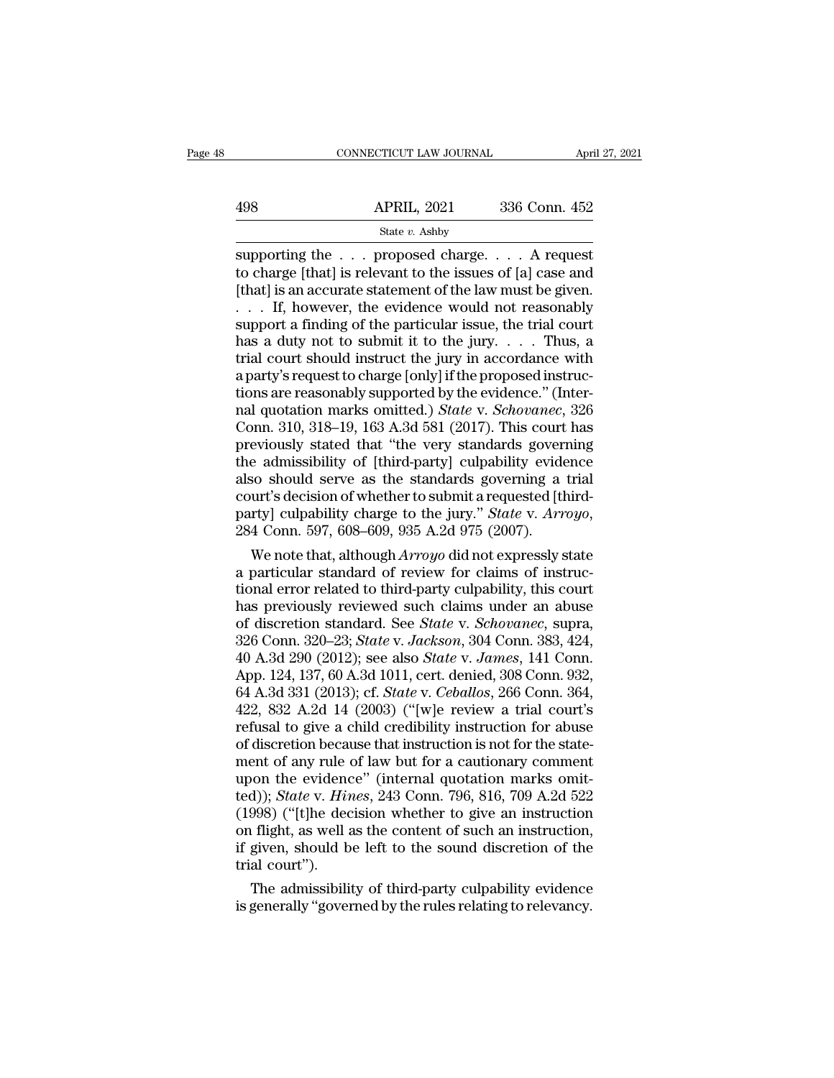|     | CONNECTICUT LAW JOURNAL | April 27, 2021 |  |
|-----|-------------------------|----------------|--|
|     |                         |                |  |
| 498 | <b>APRIL, 2021</b>      | 336 Conn. 452  |  |
|     | State v. Ashby          |                |  |

CONNECTICUT LAW JOURNAL April 27, 202<br>
APRIL, 2021 336 Conn. 452<br>
State v. Ashby<br>
Supporting the . . . proposed charge. . . . A request<br>
to charge [that] is relevant to the issues of [a] case and<br>
Ithat] is an accurate sta 498 APRIL, 2021 336 Conn. 452<br>
State v. Ashby<br>
supporting the . . . proposed charge. . . . A request<br>
to charge [that] is relevant to the issues of [a] case and<br>
[that] is an accurate statement of the law must be given.<br> 498 APRIL, 2021 336 Conn. 452<br>
State v. Ashby<br>
Supporting the . . . proposed charge. . . . A request<br>
to charge [that] is relevant to the issues of [a] case and<br>
[that] is an accurate statement of the law must be given.<br> 498 APRIL, 2021 336 Conn. 452<br>
State v. Ashby<br>
Supporting the . . . proposed charge. . . . A request<br>
to charge [that] is relevant to the issues of [a] case and<br>
[that] is an accurate statement of the law must be given.<br> State *v*. Ashby<br>
Supporting the . . . proposed charge. . . . A request<br>
to charge [that] is relevant to the issues of [a] case and<br>
[that] is an accurate statement of the law must be given.<br>
. . . If, however, the eviden State *v*. Ashby<br>supporting the . . . proposed charge. . . . A request<br>to charge [that] is relevant to the issues of [a] case and<br>[that] is an accurate statement of the law must be given.<br>. . . If, however, the evidence w supporting the  $\ldots$  proposed charge.  $\ldots$  A request<br>to charge [that] is relevant to the issues of [a] case and<br>[that] is an accurate statement of the law must be given.<br> $\ldots$  If, however, the evidence would not reasonab to charge [that] is relevant to the issues of [a] case and [that] is an accurate statement of the law must be given.<br>  $\dots$  If, however, the evidence would not reasonably support a finding of the particular issue, the tria [that] is an accurate statement of the law must be given.<br>  $\ldots$  If, however, the evidence would not reasonably<br>
support a finding of the particular issue, the trial court<br>
has a duty not to submit it to the jury.  $\ldots$  T nal gradient marks omitted.<br>
In the state of the particular issue, the trial court<br>
has a duty not to submit it to the jury. . . . . Thus, a<br>
trial court should instruct the jury in accordance with<br>
a party's request to ch support a finding of the particular issue, the trial court<br>has a duty not to submit it to the jury. . . . Thus, a<br>trial court should instruct the jury in accordance with<br>a party's request to charge [only] if the proposed has a duty not to submit it to the jury. . . . Thus, a<br>trial court should instruct the jury in accordance with<br>a party's request to charge [only] if the proposed instruc-<br>tions are reasonably supported by the evidence." ( trial court should instruct the jury in accordance with<br>a party's request to charge [only] if the proposed instruc-<br>tions are reasonably supported by the evidence." (Inter-<br>nal quotation marks omitted.) *State* v. *Schovan* a party's request to charge [only] if the proposed instructions are reasonably supported by the evidence." (Internal quotation marks omitted.) *State* v. *Schovanec*, 326 Conn. 310, 318–19, 163 A.3d 581 (2017). This court tions are reasonably supported by the evidence." (Internal quotation marks omitted.) *State v. Schovanec*, 326 Conn. 310, 318–19, 163 A.3d 581 (2017). This court has previously stated that "the very standards governing th nal quotation marks omitted.) *State* v. *Schovanec*, 326<br>Conn. 310, 318–19, 163 A.3d 581 (2017). This court has<br>previously stated that "the very standards governing<br>the admissibility of [third-party] culpability evidence<br> eviously stated that "the very standards governing<br>e admissibility of [third-party] culpability evidence<br>so should serve as the standards governing a trial<br>urt's decision of whether to submit a requested [third-<br>rty] culpa the admissibility of [third-party] culpability evidence<br>also should serve as the standards governing a trial<br>court's decision of whether to submit a requested [third-<br>party] culpability charge to the jury." *State* v. Arr

also should serve as the standards governing a trial<br>court's decision of whether to submit a requested [third-<br>party] culpability charge to the jury." *State* v. Arroyo,<br>284 Conn. 597, 608–609, 935 A.2d 975 (2007).<br>We note court's decision of whether to submit a requested [third-<br>party] culpability charge to the jury." *State v. Arroyo*,<br>284 Conn. 597, 608–609, 935 A.2d 975 (2007).<br>We note that, although *Arroyo* did not expressly state<br>a pa party] culpability charge to the jury." *State* v. *Arroyo*,<br>284 Conn. 597, 608–609, 935 A.2d 975 (2007).<br>We note that, although *Arroyo* did not expressly state<br>a particular standard of review for claims of instruc-<br>tiona 284 Conn. 597, 608–609, 935 A.2d 975 (2007).<br>We note that, although *Arroyo* did not expressly state<br>a particular standard of review for claims of instruc-<br>tional error related to third-party culpability, this court<br>has pr We note that, although *Arroyo* did not expressly state<br>a particular standard of review for claims of instruc-<br>tional error related to third-party culpability, this court<br>has previously reviewed such claims under an abuse<br> a particular standard of review for claims of instructional error related to third-party culpability, this court<br>has previously reviewed such claims under an abuse<br>of discretion standard. See *State* v. *Schovanec*, supra, tional error related to third-party culpability, this court<br>has previously reviewed such claims under an abuse<br>of discretion standard. See *State* v. *Schovanec*, supra,<br>326 Conn. 320–23; *State* v. *Jackson*, 304 Conn. 38 has previously reviewed such claims under an abuse<br>of discretion standard. See *State* v. *Schovanec*, supra,<br>326 Conn. 320–23; *State* v. *Jackson*, 304 Conn. 383, 424,<br>40 A.3d 290 (2012); see also *State* v. *James*, 141 of discretion standard. See *State v. Schovanec*, supra,<br>326 Conn. 320–23; *State v. Jackson*, 304 Conn. 383, 424,<br>40 A.3d 290 (2012); see also *State v. James*, 141 Conn.<br>App. 124, 137, 60 A.3d 1011, cert. denied, 308 Con 326 Conn. 320–23; *State v. Jackson*, 304 Conn. 383, 424, 40 A.3d 290 (2012); see also *State v. James*, 141 Conn. App. 124, 137, 60 A.3d 1011, cert. denied, 308 Conn. 932, 64 A.3d 331 (2013); cf. *State v. Ceballos*, 266 40 A.3d 290 (2012); see also *State v. James*, 141 Conn.<br>App. 124, 137, 60 A.3d 1011, cert. denied, 308 Conn. 932,<br>64 A.3d 331 (2013); cf. *State v. Ceballos*, 266 Conn. 364,<br>422, 832 A.2d 14 (2003) ("[w]e review a trial App. 124, 137, 60 A.3d 1011, cert. denied, 308 Conn. 932, 64 A.3d 331 (2013); cf. *State* v. *Ceballos*, 266 Conn. 364, 422, 832 A.2d 14 (2003) ("[w]e review a trial court's refusal to give a child credibility instruction 64 A.3d 331 (2013); *cf. State* v. *Ceballos*, 266 Conn. 364, 422, 832 A.2d 14 (2003) ("[w]e review a trial court's refusal to give a child credibility instruction for abuse of discretion because that instruction is not fo 422, 832 A.2d 14 (2003) ("[w]e review a trial court's<br>refusal to give a child credibility instruction for abuse<br>of discretion because that instruction is not for the state-<br>ment of any rule of law but for a cautionary com refusal to give a child credibility instruction for abuse<br>of discretion because that instruction is not for the state-<br>ment of any rule of law but for a cautionary comment<br>upon the evidence" (internal quotation marks omitof discretion because that instruction is not for the statement of any rule of law but for a cautionary comment upon the evidence" (internal quotation marks omitted)); *State v. Hines*, 243 Conn. 796, 816, 709 A.2d 522 (19 ment of any rule (upon the evidence)); State v. Hiver (1998) ("[t]he decon flight, as well and fight and real time in the trial court").<br>The about the state of the state of the state of the trial court").<br>The admissibility From the evidence" (internal quotation marks omital)); *State v. Hines*, 243 Conn. 796, 816, 709 A.2d 522 998) ("[t]he decision whether to give an instruction flight, as well as the content of such an instruction, given, ted)); *State v. Himes*, 243 Conn. 796, 816, 709 A.2d 522<br>(1998) ("[t]he decision whether to give an instruction<br>on flight, as well as the content of such an instruction,<br>if given, should be left to the sound discretion of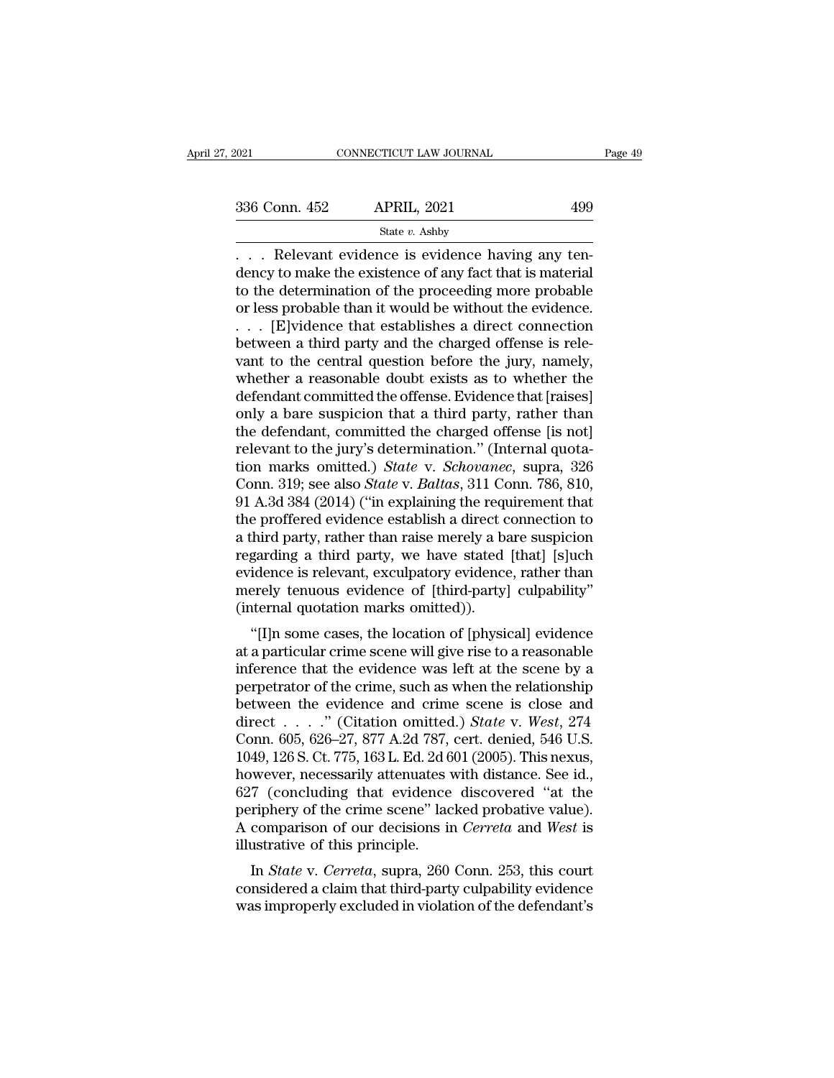State *v.* Ashby

 $\begin{tabular}{ll} \multicolumn{2}{l}{{\footnotesize \textbf{COMPECTICUT LAW JOURNAL}}} \hline & \multicolumn{2}{l}{\footnotesize \textbf{CONNETICUT LAW JOURNAL}} } \hline \multicolumn{2}{l}{\footnotesize \textbf{336 Conn. 452}} & \multicolumn{2}{l}{\footnotesize \textbf{APRIL, 2021}} & \multicolumn{2}{l}{\footnotesize \textbf{499}} \\ & \multicolumn{2}{l}{\footnotesize \textbf{State $v$. Ashby}} } \hline \multicolumn{2}{l}{\footnotesize \textbf{Relevant evidence is evidence having any tendency to make the existence of any fact that is material to the determination of the$  $\begin{array}{ll}\n 336 \text{ Conn. } 452 \quad \text{APRIL, } 2021 \quad \text{499}\n \hline\n & \text{State } v. \text{ Ashby}\n \hline\n \ldots \quad \text{Relevant evidence is evidence having any tendency to make the existence of any fact that is material to the determination of the proceeding more probable or loss probable than it would be without the evidence.\n\end{array}$ 336 Conn. 452 APRIL, 2021 499<br>
State v. Ashby<br>
... Relevant evidence is evidence having any tendency to make the existence of any fact that is material<br>
to the determination of the proceeding more probable<br>
or less probab 336 Conn. 452 APRIL, 2021 499<br>
State v. Ashby<br>
... Relevant evidence is evidence having any tendency to make the existence of any fact that is material<br>
to the determination of the proceeding more probable<br>
or less probab State v. Ashby<br>
State v. Ashby<br>
.... Relevant evidence is evidence having any ten-<br>
dency to make the existence of any fact that is material<br>
to the determination of the proceeding more probable<br>
or less probable than it state v. Ashby<br>
. . . . Relevant evidence is evidence having any ten-<br>
dency to make the existence of any fact that is material<br>
to the determination of the proceeding more probable<br>
or less probable than it would be with values are is evidence having any tendency to make the existence of any fact that is material<br>to the determination of the proceeding more probable<br>or less probable than it would be without the evidence.<br> $\ldots$  [E]vidence t dency to make the existence of any fact that is material<br>to the determination of the proceeding more probable<br>or less probable than it would be without the evidence.<br> $\dots$  [E]vidence that establishes a direct connection<br>be to the determination of the proceeding more probable<br>or less probable than it would be without the evidence.<br> $\ldots$  [E]vidence that establishes a direct connection<br>between a third party and the charged offense is rele-<br>van or less probable than it would be without the evidence.<br>
. . . [E]vidence that establishes a direct connection<br>
between a third party and the charged offense is rele-<br>
vant to the central question before the jury, namely,<br> ... [E]vidence that establishes a direct connection<br>between a third party and the charged offense is rele-<br>vant to the central question before the jury, namely,<br>whether a reasonable doubt exists as to whether the<br>defendan between a third party and the charged offense is relevant to the central question before the jury, namely, whether a reasonable doubt exists as to whether the defendant committed the offense. Evidence that [raises] only a vant to the central question before the jury, namely,<br>whether a reasonable doubt exists as to whether the<br>defendant committed the offense. Evidence that [raises]<br>only a bare suspicion that a third party, rather than<br>the de whether a reasonable doubt exists as to whether the<br>defendant committed the offense. Evidence that [raises]<br>only a bare suspicion that a third party, rather than<br>the defendant, committed the charged offense [is not]<br>releva defendant committed the offense. Evidence that [raises]<br>only a bare suspicion that a third party, rather than<br>the defendant, committed the charged offense [is not]<br>relevant to the jury's determination." (Internal quota-<br>ti only a bare suspicion that a third party, rather than<br>the defendant, committed the charged offense [is not]<br>relevant to the jury's determination." (Internal quota-<br>tion marks omitted.) *State* v. *Schovanec*, supra, 326<br>Co the defendant, committed the charged offense [is not]<br>relevant to the jury's determination." (Internal quota-<br>tion marks omitted.) *State* v. *Schovanec*, supra, 326<br>Conn. 319; see also *State* v. *Baltas*, 311 Conn. 786, relevant to the jury's determination." (Internal quotation marks omitted.) *State* v. *Schovanec*, supra, 326<br>Conn. 319; see also *State* v. *Baltas*, 311 Conn. 786, 810,<br>91 A.3d 384 (2014) ("in explaining the requirement tion marks omitted.) *State* v. *Schovanec*, supra, 326<br>Conn. 319; see also *State* v. *Baltas*, 311 Conn. 786, 810,<br>91 A.3d 384 (2014) ("in explaining the requirement that<br>the proffered evidence establish a direct connect Conn. 319; see also *State* v. *Baltas*, 311 Conn. 786, 810, 91 A.3d 384 (2014) ("in explaining the requirement that the proffered evidence establish a direct connection to a third party, rather than raise merely a bare su 91 A.3d 384 (2014) ("in explaining the required the proffered evidence establish a direct c<br>a third party, rather than raise merely a ba<br>regarding a third party, we have stated<br>evidence is relevant, exculpatory evidence<br>me E profiered evidence establish a direct connection to<br>
third party, rather than raise merely a bare suspicion<br>
garding a third party, we have stated [that] [s]uch<br>
idence is relevant, exculpatory evidence, rather than<br>
ere a time party, rather than raise inerery a bare suspiction<br>regarding a third party, we have stated [that] [s]uch<br>evidence is relevant, exculpatory evidence, rather than<br>merely tenuous evidence of [third-party] culpability"<br>

regarding a time party, we have stated [that] [sjuch]<br>evidence is relevant, exculpatory evidence, rather than<br>merely tenuous evidence of [third-party] culpability"<br>(internal quotation marks omitted)).<br>"[I]n some cases, the perference is relevant, excupatory evidence, rather than<br>merely tenuous evidence of [third-party] culpability"<br>(internal quotation marks omitted)).<br>"[I]n some cases, the location of [physical] evidence<br>at a particular cri (internal quotation marks omitted)).<br>
"[I]n some cases, the location of [physical] evidence<br>
at a particular crime scene will give rise to a reasonable<br>
inference that the evidence was left at the scene by a<br>
perpetrator "[I]n some cases, the location of [physical] evidence<br>at a particular crime scene will give rise to a reasonable<br>inference that the evidence was left at the scene by a<br>perpetrator of the crime, such as when the relationshi "[I]n some cases, the location of [physical] evidence<br>at a particular crime scene will give rise to a reasonable<br>inference that the evidence was left at the scene by a<br>perpetrator of the crime, such as when the relationsh at a particular crime scene will give rise to a reasonable<br>inference that the evidence was left at the scene by a<br>perpetrator of the crime, such as when the relationship<br>between the evidence and crime scene is close and<br>d inference that the evidence was left at the scene by a<br>perpetrator of the crime, such as when the relationship<br>between the evidence and crime scene is close and<br>direct . . . . . " (Citation omitted.) *State* v. *West*, 27 perpetrator of the crime, such as when the relationship<br>between the evidence and crime scene is close and<br>direct . . . . " (Citation omitted.) *State* v. *West*, 274<br>Conn. 605, 626–27, 877 A.2d 787, cert. denied, 546 U.S. between the evidence and crime scene is close and<br>direct . . . . ." (Citation omitted.) *State* v. *West*, 274<br>Conn. 605, 626–27, 877 A.2d 787, cert. denied, 546 U.S.<br>1049, 126 S. Ct. 775, 163 L. Ed. 2d 601 (2005). This n direct . . . . . " (Citation omitted.) *State* v. *West*, 274<br>Conn. 605, 626–27, 877 A.2d 787, cert. denied, 546 U.S.<br>1049, 126 S. Ct. 775, 163 L. Ed. 2d 601 (2005). This nexus,<br>however, necessarily attenuates with distanc Conn. 605, 626–27, 877 A.2d 787,<br>1049, 126 S. Ct. 775, 163 L. Ed. 2d 6<br>however, necessarily attenuates v<br>627 (concluding that evidence<br>periphery of the crime scene" lac<br>A comparison of our decisions in<br>illustrative of this For 120 S. Ct. 775, 105 E. Ed. 2d 001 (2005). This hexas,<br>wever, necessarily attenuates with distance. See id.,<br>7 (concluding that evidence discovered "at the<br>riphery of the crime scene" lacked probative value).<br>comparison nowever, necessarily attenuates with ustance. See id.,<br>627 (concluding that evidence discovered "at the<br>periphery of the crime scene" lacked probative value).<br>A comparison of our decisions in *Cerreta* and *West* is<br>illust between the crime scene" lacked probative value).<br>A comparison of our decisions in *Cerreta* and *West* is<br>illustrative of this principle.<br>In *State* v. *Cerreta*, supra, 260 Conn. 253, this court<br>considered a claim that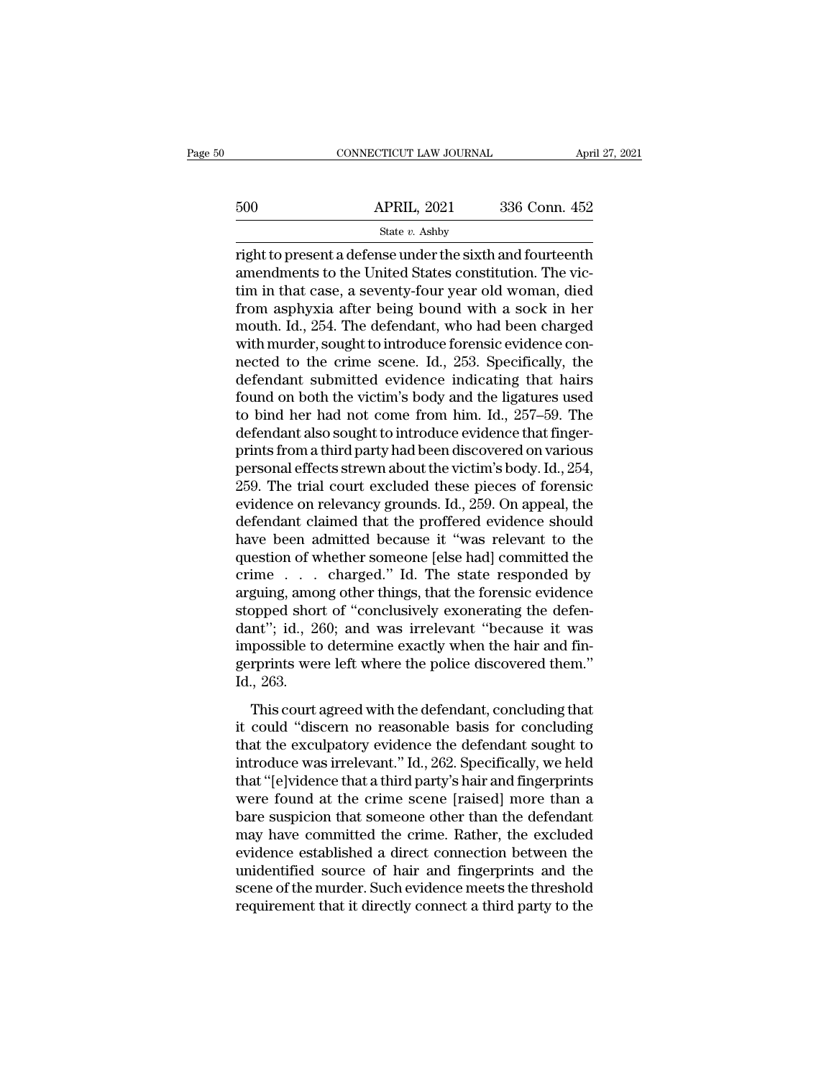|     | CONNECTICUT LAW JOURNAL                                                                                                                                                    | April 27, 2021 |
|-----|----------------------------------------------------------------------------------------------------------------------------------------------------------------------------|----------------|
| 500 | <b>APRIL, 2021</b>                                                                                                                                                         | 336 Conn. 452  |
|     | State $v$ . Ashby                                                                                                                                                          |                |
|     | right to present a defense under the sixth and fourteenth<br>amendments to the United States constitution. The vic-<br>tim in that case a soventy four year old weman died |                |

 $\begin{array}{ll}\n 500 & \text{APRIL, } 2021 & 336 \text{ Conn. } 452 \\
 \hline\n \text{State } v. \text{ Ashby}\n \end{array}$ <br>
right to present a defense under the sixth and fourteenth<br>
amendments to the United States constitution. The vic-<br>
tim in that case, a seventy-four yea 500 APRIL, 2021 336 Conn. 452<br>
State v. Ashby<br>
Tright to present a defense under the sixth and fourteenth<br>
amendments to the United States constitution. The vic-<br>
tim in that case, a seventy-four year old woman, died<br>
fro  $\frac{\text{APRIL, 2021}}{\text{State } v. \text{ Ashby}}$ <br>
Fight to present a defense under the sixth and fourteenth<br>
amendments to the United States constitution. The vic-<br>
tim in that case, a seventy-four year old woman, died<br>
from asphyxia afte State v. Ashby<br>
Fight to present a defense under the sixth and fourteenth<br>
amendments to the United States constitution. The vic-<br>
tim in that case, a seventy-four year old woman, died<br>
from asphyxia after being bound wit state v. Ashby<br>
right to present a defense under the sixth and fourteenth<br>
amendments to the United States constitution. The vic-<br>
tim in that case, a seventy-four year old woman, died<br>
from asphyxia after being bound wit right to present a defense under the sixth and fourteenth<br>amendments to the United States constitution. The vic-<br>tim in that case, a seventy-four year old woman, died<br>from asphyxia after being bound with a sock in her<br>mout amendments to the United States constitution. The vic-<br>tim in that case, a seventy-four year old woman, died<br>from asphyxia after being bound with a sock in her<br>mouth. Id., 254. The defendant, who had been charged<br>with murd tim in that case, a seventy-four year old woman, died<br>from asphyxia after being bound with a sock in her<br>mouth. Id., 254. The defendant, who had been charged<br>with murder, sought to introduce forensic evidence con-<br>nected t from asphyxia after being bound with a sock in her<br>mouth. Id., 254. The defendant, who had been charged<br>with murder, sought to introduce forensic evidence con-<br>nected to the crime scene. Id., 253. Specifically, the<br>defenda mouth. Id., 254. The defendant, who had been charged<br>with murder, sought to introduce forensic evidence con-<br>nected to the crime scene. Id., 253. Specifically, the<br>defendant submitted evidence indicating that hairs<br>found o with murder, sought to introduce forensic evidence con-<br>nected to the crime scene. Id., 253. Specifically, the<br>defendant submitted evidence indicating that hairs<br>found on both the victim's body and the ligatures used<br>to bi nected to the crime scene. Id., 253. Specifically, the<br>defendant submitted evidence indicating that hairs<br>found on both the victim's body and the ligatures used<br>to bind her had not come from him. Id., 257–59. The<br>defendant defendant submitted evidence indicating that hairs<br>found on both the victim's body and the ligatures used<br>to bind her had not come from him. Id., 257–59. The<br>defendant also sought to introduce evidence that finger-<br>prints found on both the victim's body and the ligatures used<br>to bind her had not come from him. Id., 257–59. The<br>defendant also sought to introduce evidence that finger-<br>prints from a third party had been discovered on various<br>p to bind her had not come from him. Id., 257–59. The<br>defendant also sought to introduce evidence that finger-<br>prints from a third party had been discovered on various<br>personal effects strewn about the victim's body. Id., 25 defendant also sought to introduce evidence that finger-<br>prints from a third party had been discovered on various<br>personal effects strewn about the victim's body. Id., 254,<br>259. The trial court excluded these pieces of for prints from a third party had been discovered on various<br>personal effects strewn about the victim's body. Id., 254,<br>259. The trial court excluded these pieces of forensic<br>evidence on relevancy grounds. Id., 259. On appeal, personal effects strewn about the victim's body. Id., 254,<br>259. The trial court excluded these pieces of forensic<br>evidence on relevancy grounds. Id., 259. On appeal, the<br>defendant claimed that the proffered evidence should 259. The trial court excluded these pieces of forensic<br>evidence on relevancy grounds. Id., 259. On appeal, the<br>defendant claimed that the proffered evidence should<br>have been admitted because it "was relevant to the<br>questio evidence on relevancy grounds. Id., 259. On appeal, the<br>defendant claimed that the proffered evidence should<br>have been admitted because it "was relevant to the<br>question of whether someone [else had] committed the<br>crime . . defendant claimed that the proffered evidence should<br>have been admitted because it "was relevant to the<br>question of whether someone [else had] committed the<br>crime . . . charged." Id. The state responded by<br>arguing, among o have been admitted because it "was relevant to the<br>question of whether someone [else had] committed the<br>crime  $\ldots$  charged." Id. The state responded by<br>arguing, among other things, that the forensic evidence<br>stopped shor question of whether someone [else had] committed the crime . . . charged." Id. The state responded by arguing, among other things, that the forensic evidence stopped short of "conclusively exonerating the defendant"; id., crime<br>arguing, amo:<br>stopped shor<br>dant''; id., 26<br>impossible to<br>gerprints wer<br>Id., 263.<br>This court : poped short of "conclusively exonerating the defen-<br>this id., 260; and was irrelevant "because it was<br>possible to determine exactly when the hair and fin-<br>rprints were left where the police discovered them."<br>., 263.<br>This c biology<br>dant"; id., 260; and was irrelevant "because it was<br>impossible to determine exactly when the hair and fin-<br>gerprints were left where the police discovered them."<br>Id., 263.<br>This court agreed with the defendant, conc

that the exculpator is the effective the defendant sound fin-<br>gerprints were left where the police discovered them."<br>Id., 263.<br>This court agreed with the defendant, concluding that<br>it could "discern no reasonable basis for Interestigate was the police discovered them."<br>Id., 263.<br>This court agreed with the defendant, concluding that<br>it could "discern no reasonable basis for concluding<br>that the exculpatory evidence the defendant sought to<br>intr Id., 263.<br>
This court agreed with the defendant, concluding that<br>
it could "discern no reasonable basis for concluding<br>
that the exculpatory evidence the defendant sought to<br>
introduce was irrelevant." Id., 262. Specifical This court agreed with the defendant, concluding that<br>it could "discern no reasonable basis for concluding<br>that the exculpatory evidence the defendant sought to<br>introduce was irrelevant." Id., 262. Specifically, we held<br>th This court agreed with the defendant, concluding that<br>it could "discern no reasonable basis for concluding<br>that the exculpatory evidence the defendant sought to<br>introduce was irrelevant." Id., 262. Specifically, we held<br>th it could "discern no reasonable basis for concluding<br>that the exculpatory evidence the defendant sought to<br>introduce was irrelevant." Id., 262. Specifically, we held<br>that "[e]vidence that a third party's hair and fingerpri that the exculpatory evidence the defendant sought to<br>introduce was irrelevant." Id., 262. Specifically, we held<br>that "[e]vidence that a third party's hair and fingerprints<br>were found at the crime scene [raised] more than introduce was irrelevant." Id., 262. Specifically, we held<br>that "[e]vidence that a third party's hair and fingerprints<br>were found at the crime scene [raised] more than a<br>bare suspicion that someone other than the defendant that "[e]vidence that a third party's hair and fingerprints<br>were found at the crime scene [raised] more than a<br>bare suspicion that someone other than the defendant<br>may have committed the crime. Rather, the excluded<br>evidenc were found at the crime scene [raised] more than a<br>bare suspicion that someone other than the defendant<br>may have committed the crime. Rather, the excluded<br>evidence established a direct connection between the<br>unidentified s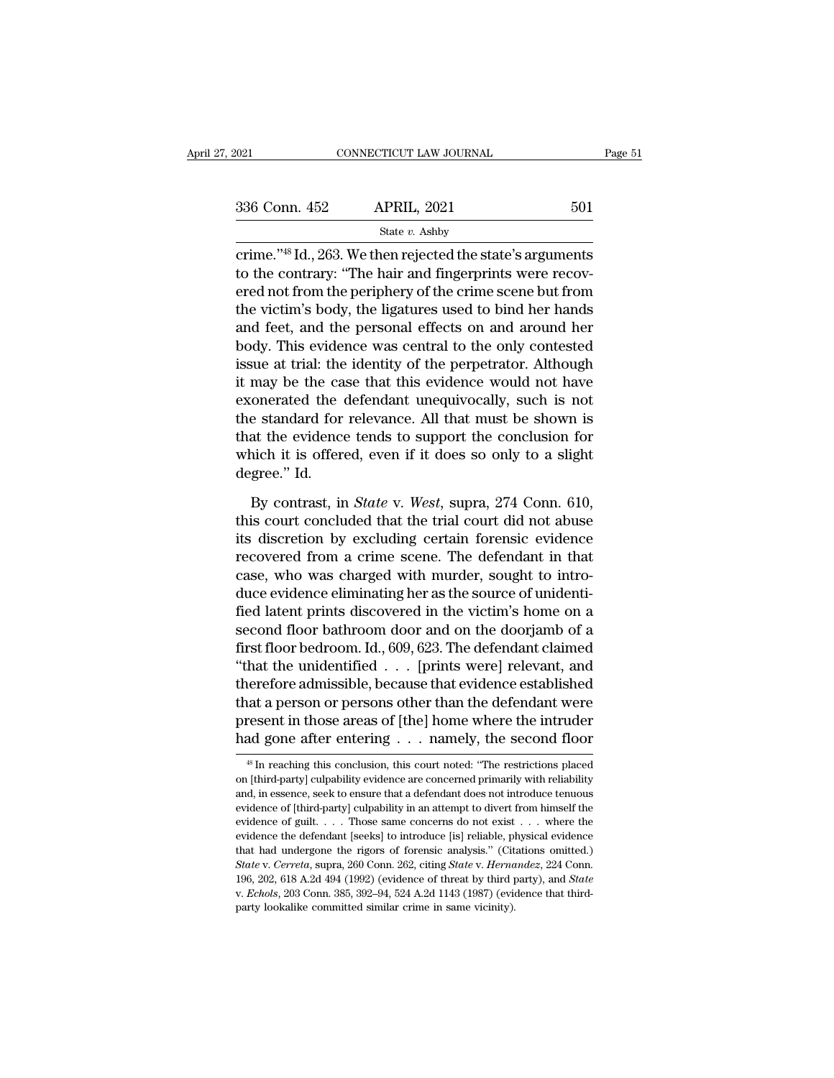| 2021          | CONNECTICUT LAW JOURNAL                                                                                                                                                                      | Page 51 |
|---------------|----------------------------------------------------------------------------------------------------------------------------------------------------------------------------------------------|---------|
| 336 Conn. 452 | <b>APRIL, 2021</b>                                                                                                                                                                           | 501     |
|               | State $v$ . Ashby                                                                                                                                                                            |         |
|               | crime." <sup>48</sup> Id., 263. We then rejected the state's arguments<br>to the contrary: "The hair and fingerprints were recov-<br>and not from the periphermal f the erims geens but from |         |

336 Conn. 452 APRIL, 2021 501<br>  $\frac{\text{State } v. \text{ Ashb}}{\text{crime.}^{\text{''48}} \text{Id.}, 263. \text{ We then rejected the state's arguments}}$ <br>
to the contrary: "The hair and fingerprints were recov-<br>
ered not from the periphery of the crime scene but from<br>
the victim's body, 336 Conn. 452 APRIL, 2021 501<br>
State v. Ashby<br>
crime."<sup>48</sup> Id., 263. We then rejected the state's arguments<br>
to the contrary: "The hair and fingerprints were recovered not from the periphery of the crime scene but from<br>
t 336 Conn. 452 APRIL, 2021 501<br>
State v. Ashby<br>
crime."<sup>48</sup> Id., 263. We then rejected the state's arguments<br>
to the contrary: "The hair and fingerprints were recov-<br>
ered not from the periphery of the crime scene but from State v. Ashby<br>
crime."<sup>48</sup> Id., 263. We then rejected the state's arguments<br>
to the contrary: "The hair and fingerprints were recov-<br>
ered not from the periphery of the crime scene but from<br>
the victim's body, the ligatu  $\frac{1}{100}$  state v. Ashby<br>
crime."<sup>48</sup> Id., 263. We then rejected the state's arguments<br>
to the contrary: "The hair and fingerprints were recov-<br>
ered not from the periphery of the crime scene but from<br>
the victim's body crime."<sup>48</sup> Id., 263. We then rejected the state's arguments<br>to the contrary: "The hair and fingerprints were recov-<br>ered not from the periphery of the crime scene but from<br>the victim's body, the ligatures used to bind her to the contrary: "The hair and fingerprints were recovered not from the periphery of the crime scene but from<br>the victim's body, the ligatures used to bind her hands<br>and feet, and the personal effects on and around her<br>bod ered not from the periphery of the crime scene but from<br>the victim's body, the ligatures used to bind her hands<br>and feet, and the personal effects on and around her<br>body. This evidence was central to the only contested<br>iss the victim's body, the ligatures used to bind her hands<br>and feet, and the personal effects on and around her<br>body. This evidence was central to the only contested<br>issue at trial: the identity of the perpetrator. Although<br>i and feet, and the personal effects on and around her<br>body. This evidence was central to the only contested<br>issue at trial: the identity of the perpetrator. Although<br>it may be the case that this evidence would not have<br>exon body. This evidence was central to the only contested<br>issue at trial: the identity of the perpetrator. Although<br>it may be the case that this evidence would not have<br>exonerated the defendant unequivocally, such is not<br>the s issue at trial: the<br>it may be the ca<br>exonerated the<br>the standard for<br>that the evidence<br>which it is offer<br>degree.'' Id.<br>By contrast, ir onerated the defendant unequivocally, such is not<br>e standard for relevance. All that must be shown is<br>at the evidence tends to support the conclusion for<br>nich it is offered, even if it does so only to a slight<br>gree." Id.<br>B the standard for relevance. All that must be shown is<br>that the evidence tends to support the conclusion for<br>which it is offered, even if it does so only to a slight<br>degree." Id.<br>By contrast, in *State* v. *West*, supra, 27

that the evidence tends to support the conclusion for<br>which it is offered, even if it does so only to a slight<br>degree." Id.<br>By contrast, in *State* v. West, supra, 274 Conn. 610,<br>this court concluded that the trial court d which it is offered, even if it does so only to a slight<br>degree." Id.<br>By contrast, in *State* v. *West*, supra, 274 Conn. 610,<br>this court concluded that the trial court did not abuse<br>its discretion by excluding certain for degree." Id.<br>By contrast, in *State* v. *West*, supra, 274 Conn. 610,<br>this court concluded that the trial court did not abuse<br>its discretion by excluding certain forensic evidence<br>recovered from a crime scene. The defendan By contrast, in *State* v. *West*, supra, 274 Conn. 610, this court concluded that the trial court did not abuse its discretion by excluding certain forensic evidence recovered from a crime scene. The defendant in that cas By contrast, in *State* v. *West*, supra, 274 Conn. 610,<br>this court concluded that the trial court did not abuse<br>its discretion by excluding certain forensic evidence<br>recovered from a crime scene. The defendant in that<br>ca this court concluded that the trial court did not abuse<br>its discretion by excluding certain forensic evidence<br>recovered from a crime scene. The defendant in that<br>case, who was charged with murder, sought to intro-<br>duce evi its discretion by excluding certain forensic evidence<br>recovered from a crime scene. The defendant in that<br>case, who was charged with murder, sought to intro-<br>duce evidence eliminating her as the source of unidenti-<br>fied la recovered from a crime scene. The defendant in that<br>case, who was charged with murder, sought to intro-<br>duce evidence eliminating her as the source of unidenti-<br>fied latent prints discovered in the victim's home on a<br>secon case, who was charged with murder, sought to intro-<br>duce evidence eliminating her as the source of unidenti-<br>fied latent prints discovered in the victim's home on a<br>second floor bathroom door and on the doorjamb of a<br>first duce evidence eliminating her as the source of unidenti-<br>fied latent prints discovered in the victim's home on a<br>second floor bathroom door and on the doorjamb of a<br>first floor bedroom. Id., 609, 623. The defendant claimed fied latent prints discovered in the victim's home on a<br>second floor bathroom door and on the doorjamb of a<br>first floor bedroom. Id., 609, 623. The defendant claimed<br>"that the unidentified . . . [prints were] relevant, and second floor bathroom door and on the doorjamb of a<br>first floor bedroom. Id., 609, 623. The defendant claimed<br>"that the unidentified . . . [prints were] relevant, and<br>therefore admissible, because that evidence establishe therefore admissible, because that evidence established<br>that a person or persons other than the defendant were<br>present in those areas of [the] home where the intruder<br>had gone after entering  $\dots$  namely, the second floor<br> that a person or persons other than the defendant were<br>present in those areas of [the] home where the intruder<br>had gone after entering  $\dots$  namely, the second floor<br> $\frac{48 \text{ In reaching this conclusion, this court noted: "The restrictions placed  
on [third-party] cubability evidence are concerned primarily with reliability  
and, in essence, seek to ensure that a defendant does not introduce tenuous$ 

present in those areas of [the] home where the intruder<br>had gone after entering  $\ldots$  namely, the second floor<br> $*$  In reaching this conclusion, this court noted: "The restrictions placed<br>on [third-party] culpability evide had gone after entering  $\ldots$  namely, the second floor  $\overline{\phantom{a}}$  in reaching this conclusion, this court noted: "The restrictions placed on [third-party] culpability evidence are concerned primarily with reliability and Final proper and the second in the second in the second in the second in the second of third-party] culpability evidence are concerned primarily with reliability and, in essence, seek to ensure that a defendant does not in <sup>48</sup> In reaching this conclusion, this court noted: "The restrictions placed on [third-party] culpability evidence are concerned primarily with reliability and, in essence, seek to ensure that a defendant does not introdu on [third-party] culpability evidence are concerned primarily with reliability and, in essence, seek to ensure that a defendant does not introduce tenuous evidence of [third-party] culpability in an attempt to divert from and, in essence, seek to ensure that a defendant does not introduce tenuous<br>evidence of [third-party] culpability in an attempt to divert from himself the<br>evidence of guilt. . . . Those same concerns do not exist . . . whe evidence of [third-party] culpability in an attempt to divert from himself the evidence of guilt. . . . Those same concerns do not exist . . . where the evidence the defendant [seeks] to introduce [is] reliable, physical e evidence the defendant [seeks] to introduce [is] reliable, physical evidence that had undergone the rigors of forensic analysis." (Citations omitted.)  $State$  v.  $Correcta$ , supra, 260 Conn. 262, citing  $State$  v.  $Hernandez$ , 224 Conn. 196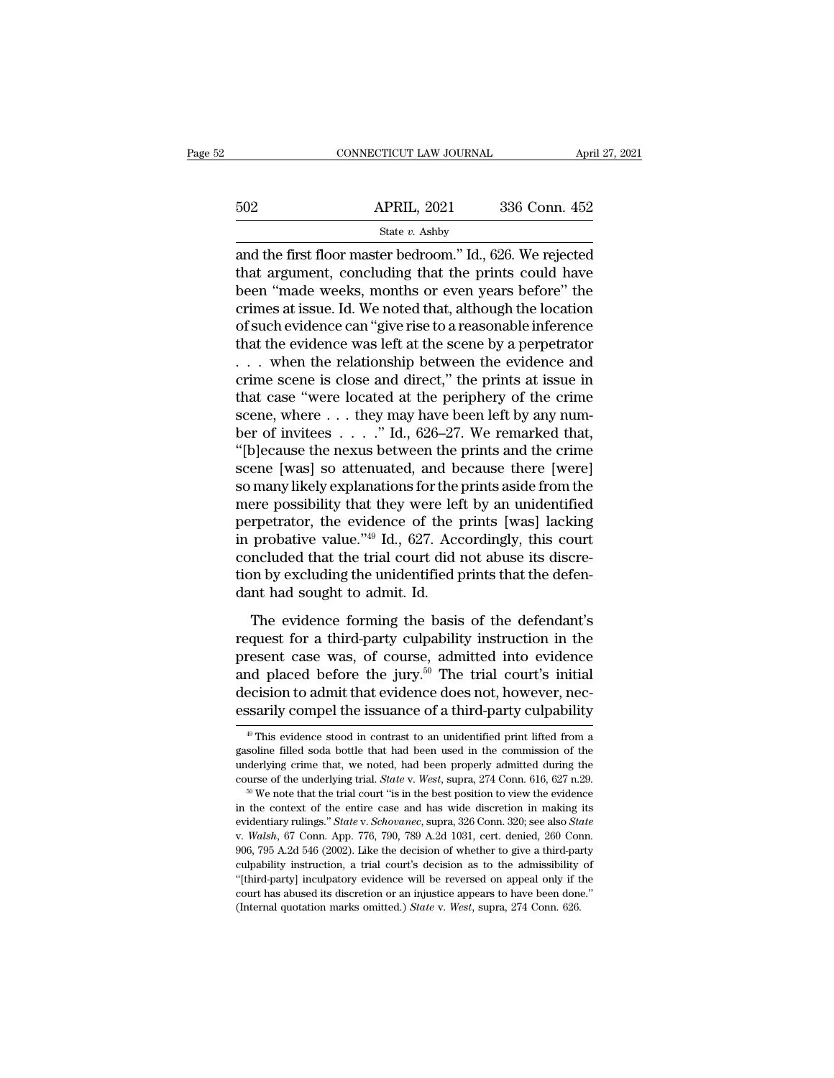|     | CONNECTICUT LAW JOURNAL                                                                                                                                                 | April 27, 2021 |
|-----|-------------------------------------------------------------------------------------------------------------------------------------------------------------------------|----------------|
| 502 | <b>APRIL, 2021</b>                                                                                                                                                      | 336 Conn. 452  |
|     | State $v$ . Ashby                                                                                                                                                       |                |
|     | and the first floor master bedroom." Id., 626. We rejected<br>that argument, concluding that the prints could have<br>boon "made weeks months or even years before" the |                |

502 APRIL, 2021 336 Conn. 452<br>
state v. Ashby<br>
and the first floor master bedroom." Id., 626. We rejected<br>
that argument, concluding that the prints could have<br>
been "made weeks, months or even years before" the<br>
crimes a  $\begin{array}{ll}\n 502 & \text{APRIL, } 2021 & 336 \text{ Conn. } 452 \\
 \hline\n \text{State } v. \text{ Ashby} \\
 \end{array}$ <br>
and the first floor master bedroom." Id., 626. We rejected<br>
that argument, concluding that the prints could have<br>
been "made weeks, months or even year 502 APRIL, 2021 336 Conn. 452<br>
State v. Ashby<br>
and the first floor master bedroom." Id., 626. We rejected<br>
that argument, concluding that the prints could have<br>
been "made weeks, months or even years before" the<br>
crimes a State v. Ashby<br>
and the first floor master bedroom." Id., 626. We rejected<br>
that argument, concluding that the prints could have<br>
been "made weeks, months or even years before" the<br>
crimes at issue. Id. We noted that, alt state v. Ashby<br>and the first floor master bedroom." Id., 626. We rejected<br>that argument, concluding that the prints could have<br>been "made weeks, months or even years before" the<br>crimes at issue. Id. We noted that, althoug and the first floor master bedroom." Id., 626. We rejected<br>that argument, concluding that the prints could have<br>been "made weeks, months or even years before" the<br>crimes at issue. Id. We noted that, although the location<br> that argument, concluding that the prints could have<br>been "made weeks, months or even years before" the<br>crimes at issue. Id. We noted that, although the location<br>of such evidence can "give rise to a reasonable inference<br>th been "made weeks, months or even years before" the<br>crimes at issue. Id. We noted that, although the location<br>of such evidence can "give rise to a reasonable inference<br>that the evidence was left at the scene by a perpetrat crimes at issue. Id. We noted that, although the location<br>of such evidence can "give rise to a reasonable inference<br>that the evidence was left at the scene by a perpetrator<br> $\dots$  when the relationship between the evidence of such evidence can "give rise to a reasonable inference<br>that the evidence was left at the scene by a perpetrator<br>... when the relationship between the evidence and<br>crime scene is close and direct," the prints at issue i that the evidence was left at the scene by a perpetrator ... when the relationship between the evidence and crime scene is close and direct," the prints at issue in that case "were located at the periphery of the crime sc ... when the relationship between the evidence and<br>crime scene is close and direct," the prints at issue in<br>that case "were located at the periphery of the crime<br>scene, where ... they may have been left by any num-<br>ber of crime scene is close and direct," the prints at issue in<br>that case "were located at the periphery of the crime<br>scene, where . . . they may have been left by any num-<br>ber of invitees . . . . ." Id., 626–27. We remarked tha that case "were located at the periphery of the crime<br>scene, where . . . they may have been left by any num-<br>ber of invitees . . . . ." Id., 626–27. We remarked that,<br>"[b]ecause the nexus between the prints and the crime<br> scene, where  $\ldots$  they may have been left by any num-<br>ber of invitees  $\ldots$ ." Id., 626–27. We remarked that,<br>"[b]ecause the nexus between the prints and the crime<br>scene [was] so attenuated, and because there [were]<br>so ma ber of invitees . . . . ." Id., 626–27. We remarked that,<br>"[b]ecause the nexus between the prints and the crime<br>scene [was] so attenuated, and because there [were]<br>so many likely explanations for the prints aside from the "[b]ecause the nexus between the prints and the crime<br>scene [was] so attenuated, and because there [were]<br>so many likely explanations for the prints aside from the<br>mere possibility that they were left by an unidentified<br>p scene [was] so attenuated, and because there [were]<br>so many likely explanations for the prints aside from the<br>mere possibility that they were left by an unidentified<br>perpetrator, the evidence of the prints [was] lacking<br>in so many likely explanations for the mere possibility that they were lef<br>perpetrator, the evidence of the  $\mu$ <br>in probative value." $^{49}$  Id., 627. Acc<br>concluded that the trial court did  $\mu$ <br>tion by excluding the unidenti refer possibility that they were fert by an anticchmentary<br>repetrator, the evidence of the prints [was] lacking<br>probative value."<sup>49</sup> Id., 627. Accordingly, this court<br>neluded that the trial court did not abuse its discre in probative value."<sup>49</sup> Id., 627. Accordingly, this court<br>concluded that the trial court did not abuse its discre-<br>tion by excluding the unidentified prints that the defen-<br>dant had sought to admit. Id.<br>The evidence form

m probably value. These concluded that the trial court did not abuse its discretion by excluding the unidentified prints that the defendant had sought to admit. Id.<br>The evidence forming the basis of the defendant's reques before that we did not an idea in the same of a line of the defendant had sought to admit. Id.<br>The evidence forming the basis of the defendant's request for a third-party culpability instruction in the present case was, o dant had sought to admit. Id.<br>The evidence forming the basis of the defendant's<br>request for a third-party culpability instruction in the<br>present case was, of course, admitted into evidence<br>and placed before the jury.<sup>50</sup> T The evidence forming the basis of the defendant's<br>request for a third-party culpability instruction in the<br>present case was, of course, admitted into evidence<br>and placed before the jury.<sup>50</sup> The trial court's initial<br>deci resent case was, of course, admitted into evidence<br>nd placed before the jury.<sup>50</sup> The trial court's initial<br>ecision to admit that evidence does not, however, nec-<br>ssarily compel the issuance of a third-party culpability<br><sup></sup> and placed before the jury.<sup>50</sup> The trial court's initial decision to admit that evidence does not, however, necessarily compel the issuance of a third-party culpability  $\overline{\phi}$  This evidence stood in contrast to an unid

decision to admit that evidence does not, however, necessarily compel the issuance of a third-party culpability  $\frac{1}{2}$ . This evidence stood in contrast to an unidentified print lifted from a gasoline filled soda bottle **examply compel the issuance of a third-party culpability**<br>
<sup>49</sup> This evidence stood in contrast to an unidentified print lifted from a gasoline filled soda bottle that had been used in the commission of the underlying cri course of the underlying trial. State v. West, supra, 274 Conn. 616, 627 n.29.

gasoline filled soda bottle that had been used in the commission of the underlying crime that, we noted, had been properly admitted during the course of the underlying trial. *State* v. *West*, supra, 274 Conn. 616, 627 n. course of the underlying trial. *State* v. *West*, supra, 274 Conn. 616, 627 n.29.<br><sup>50</sup> We note that the trial court "is in the best position to view the evidence<br>in the context of the entire case and has wide discretion in the context of the entire case and has wide discretion in making its evidentiary rulings." State v. Schovanec, supra, 326 Conn. 320; see also State v. Walsh, 67 Conn. App. 776, 790, 789 A.2d 1031, cert. denied, 260 Con in the context of the entire case and has wide discretion in making its<br>evidentiary rulings." *State* v. *Schovanec*, supra, 326 Conn. 320; see also *State*<br>v. *Walsh*, 67 Conn. App. 776, 790, 789 A.2d 1031, cert. denied, evidentiary rulings." *State* v. *Schovanec*, supra, 326 Conn. 320; see also *State* v. *Walsh*, 67 Conn. App. 776, 790, 789 A.2d 1031, cert. denied, 260 Conn. 906, 795 A.2d 546 (2002). Like the decision of whether to giv v. Walsh, 67 Conn. App. 776, 790, 789 A.2d 1031, cert. denied, 260 Conn.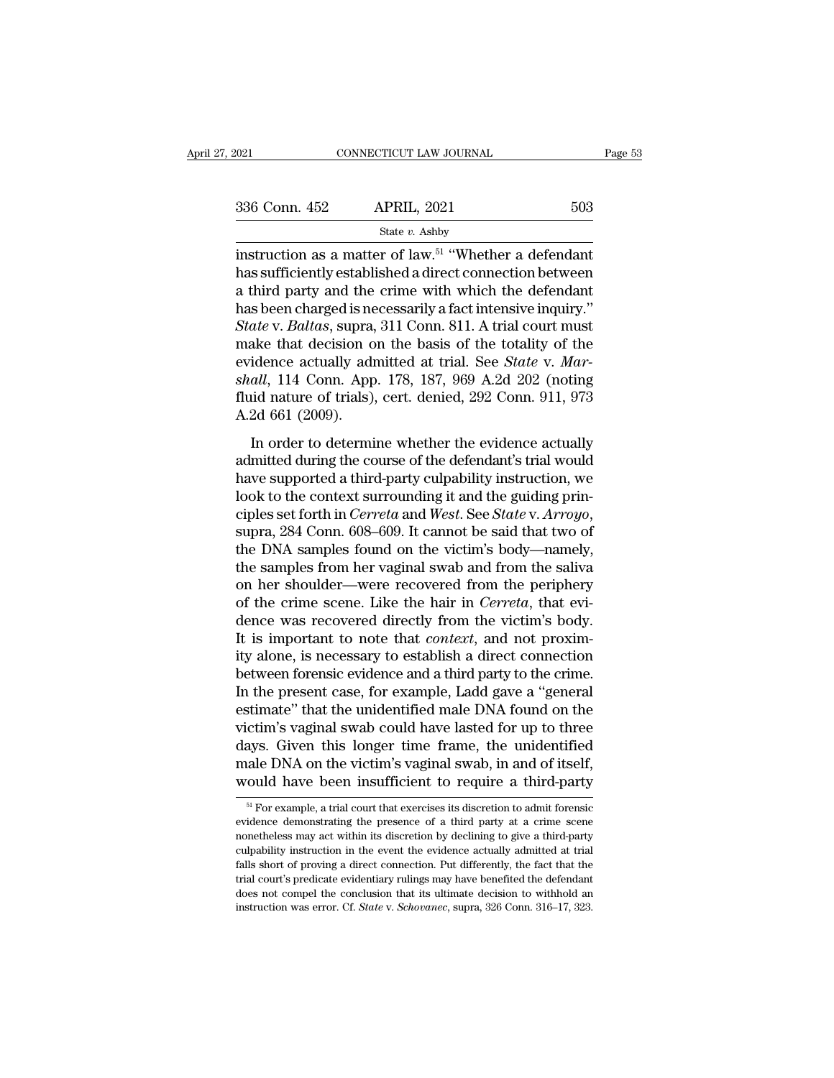| 2021          | CONNECTICUT LAW JOURNAL                                                                                                                                                                | Page 53 |
|---------------|----------------------------------------------------------------------------------------------------------------------------------------------------------------------------------------|---------|
| 336 Conn. 452 | <b>APRIL, 2021</b>                                                                                                                                                                     | 503     |
|               | State $v$ . Ashby                                                                                                                                                                      |         |
|               | instruction as a matter of law. <sup>51</sup> "Whether a defendant<br>has sufficiently established a direct connection between<br>a third party and the crime with which the defendant |         |

336 Conn. 452 APRIL, 2021 503<br>
State v. Ashby<br>
instruction as a matter of law.<sup>51</sup> "Whether a defendant<br>
has sufficiently established a direct connection between<br>
a third party and the crime with which the defendant<br>
has 336 Conn. 452 APRIL, 2021 503<br>
State v. Ashby<br>
instruction as a matter of law.<sup>51</sup> "Whether a defendant<br>
has sufficiently established a direct connection between<br>
a third party and the crime with which the defendant<br>
has  $\begin{array}{ll} \text{336 Conn. 452} & \text{APRIL, 2021} & \text{503} \\ \text{State } v. \text{ Ashby} \end{array}$ <br>instruction as a matter of law.<sup>51</sup> "Whether a defendant has sufficiently established a direct connection between a third party and the crime with which the *State v. Ashby*<br>*State v. Ashby*<br>*Instruction as a matter of law.<sup>51</sup> "Whether a defendant*<br>has sufficiently established a direct connection between<br>a third party and the crime with which the defendant<br>has been charged is state v. Ashby<br>
instruction as a matter of law.<sup>51</sup> "Whether a defendant<br>
has sufficiently established a direct connection between<br>
a third party and the crime with which the defendant<br>
has been charged is necessarily a f instruction as a matter of law.<sup>51</sup> "Whether a defendant<br>has sufficiently established a direct connection between<br>a third party and the crime with which the defendant<br>has been charged is necessarily a fact intensive inquir has sufficiently established a direct connection between<br>a third party and the crime with which the defendant<br>has been charged is necessarily a fact intensive inquiry."<br>*State* v. *Baltas*, supra, 311 Conn. 811. A trial co a third party and the crime with which the defendant<br>has been charged is necessarily a fact intensive inquiry."<br>State v. Baltas, supra, 311 Conn. 811. A trial court must<br>make that decision on the basis of the totality of t has been charged is ne<br> *State* v. *Baltas*, supra,<br>
make that decision o<br>
evidence actually adı<br> *shall*, 114 Conn. App<br>
fluid nature of trials),<br>
A.2d 661 (2009).<br>
In order to determi ake that decision on the basis of the totality of the<br>idence actually admitted at trial. See *State* v. *Mar-*<br>*all*, 114 Conn. App. 178, 187, 969 A.2d 202 (noting<br>id nature of trials), cert. denied, 292 Conn. 911, 973<br>2d make and decision on the stasts of the totality of the<br>evidence actually admitted at trial. See *State* v. *Mar-*<br>shall, 114 Conn. App. 178, 187, 969 A.2d 202 (noting<br>fluid nature of trials), cert. denied, 292 Conn. 911, 9

shall, 114 Conn. App. 178, 187, 969 A.2d 202 (noting<br>fluid nature of trials), cert. denied, 292 Conn. 911, 973<br>A.2d 661 (2009).<br>In order to determine whether the evidence actually<br>admitted during the course of the defenda fluid nature of trials), cert. denied, 292 Conn. 911, 973<br>A.2d 661 (2009).<br>In order to determine whether the evidence actually<br>admitted during the course of the defendant's trial would<br>have supported a third-party culpabi contrasting of analytical and *Cerreta* and *Cerreta* and *Cerreta* and *Cerreta* and *West* and *West* connections we look to the context surrounding it and the guiding principles set forth in *Cerreta* and *West*. See *S* In order to determine whether the evidence actually<br>admitted during the course of the defendant's trial would<br>have supported a third-party culpability instruction, we<br>look to the context surrounding it and the guiding prin admitted during the course of the defendant's trial would<br>have supported a third-party culpability instruction, we<br>look to the context surrounding it and the guiding prin-<br>ciples set forth in *Cerreta* and *West*. See *Sta* have supported a third-party culpability instruction, we<br>look to the context surrounding it and the guiding prin-<br>ciples set forth in *Cerreta* and *West*. See *State* v. *Arroyo*,<br>supra, 284 Conn. 608–609. It cannot be sa look to the context surrounding it and the guiding principles set forth in *Cerreta* and *West*. See *State* v. *Arroyo*, supra, 284 Conn. 608–609. It cannot be said that two of the DNA samples found on the victim's body—n ciples set forth in *Cerreta* and *West*. See *State* v. *Arroyo*, supra, 284 Conn. 608–609. It cannot be said that two of the DNA samples found on the victim's body—namely, the samples from her vaginal swab and from the s supra, 284 Conn. 608–609. It cannot be said that two of<br>the DNA samples found on the victim's body—namely,<br>the samples from her vaginal swab and from the saliva<br>on her shoulder—were recovered from the periphery<br>of the crim the DNA samples found on the victim's body—namely,<br>the samples from her vaginal swab and from the saliva<br>on her shoulder—were recovered from the periphery<br>of the crime scene. Like the hair in *Cerreta*, that evi-<br>dence was the samples from her vaginal swab and from the saliva<br>on her shoulder—were recovered from the periphery<br>of the crime scene. Like the hair in *Cerreta*, that evi-<br>dence was recovered directly from the victim's body.<br>It is i on her shoulder—were recovered from the periphery<br>of the crime scene. Like the hair in *Cerreta*, that evi-<br>dence was recovered directly from the victim's body.<br>It is important to note that *context*, and not proxim-<br>ity a of the crime scene. Like the hair in *Cerreta*, that evidence was recovered directly from the victim's body.<br>It is important to note that *context*, and not proximity alone, is necessary to establish a direct connection<br>be dence was recovered directly from the victim's body.<br>It is important to note that *context*, and not proxim-<br>ity alone, is necessary to establish a direct connection<br>between forensic evidence and a third party to the crime It is important to note that *context*, and not proximity alone, is necessary to establish a direct connection<br>between forensic evidence and a third party to the crime.<br>In the present case, for example, Ladd gave a "genera ity alone, is necessary to establish a direct connection<br>between forensic evidence and a third party to the crime.<br>In the present case, for example, Ladd gave a "general<br>estimate" that the unidentified male DNA found on th between forensic evidence and a third party to the crime.<br>In the present case, for example, Ladd gave a "general estimate" that the unidentified male DNA found on the victim's vaginal swab could have lasted for up to three ctim s vaginal swab could nave lasted for up to three<br>ays. Given this longer time frame, the unidentified<br>ale DNA on the victim's vaginal swab, in and of itself,<br>ould have been insufficient to require a third-party<br><sup>51</sup> Fo days. Given this longer time frame, the unidentified male DNA on the victim's vaginal swab, in and of itself, would have been insufficient to require a third-party  $\frac{51}{12}$  For example, a trial court that exercises its

male DNA on the victim's vaginal swab, in and of itself,<br>would have been insufficient to require a third-party<br> $\frac{51}{10}$  For example, a trial court that exercises its discretion to admit forensic<br>evidence demonstrating would have been insufficient to require a third-party<br>would have been insufficient to require a third-party<br> $\frac{1}{s}$  for example, a trial court that exercises its discretion to admit forensic<br>evidence demonstrating the p Fall For example, a trial court that exercises its discretion to admit forensic<br>evidence demonstrating the presence of a third party at a crime scene<br>nonetheless may act within its discretion by declining to give a third-<sup>51</sup> For example, a trial court that exercises its discretion to admit forensic evidence demonstrating the presence of a third party at a crime scene nonetheless may act within its discretion by declining to give a thirdevidence demonstrating the presence of a third party at a crime scene<br>nonetheless may act within its discretion by declining to give a third-party<br>culpability instruction in the event the evidence actually admitted at tri evidence demonstrating the presence of a third party at a crime scene<br>nonetheless may act within its discretion by declining to give a third-party<br>culpability instruction in the event the evidence actually admitted at tria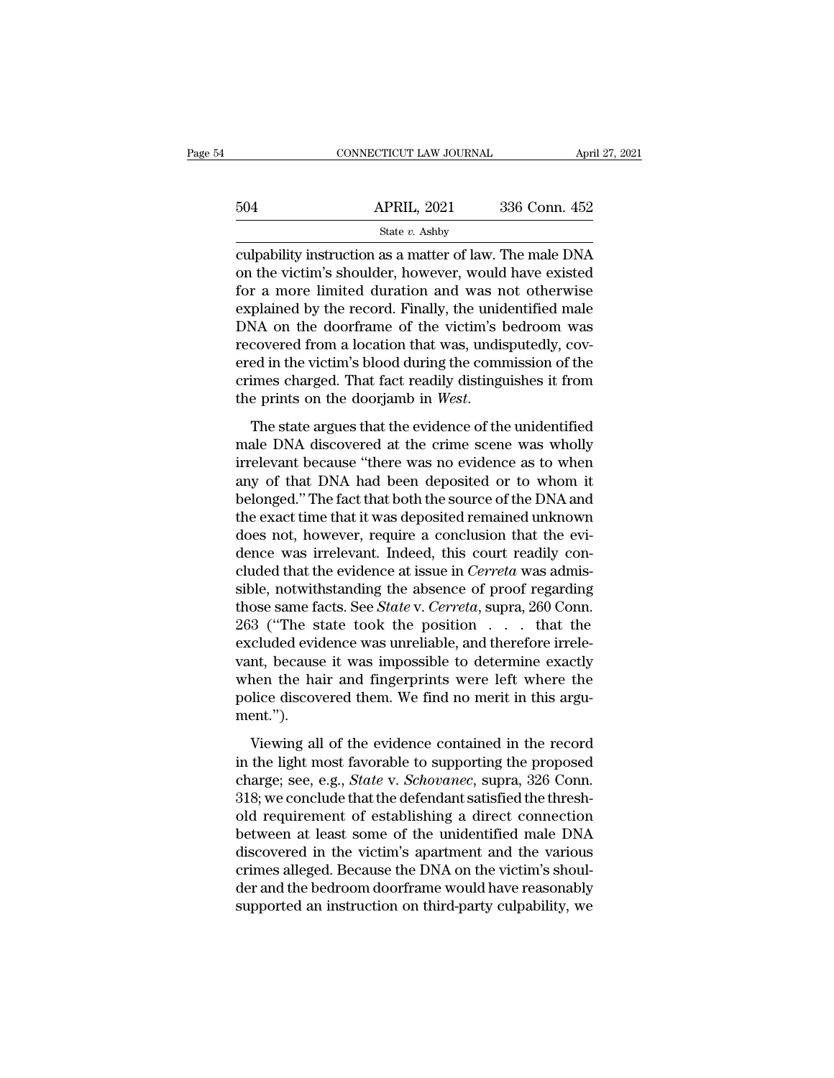|     | CONNECTICUT LAW JOURNAL | April 27, 2021 |
|-----|-------------------------|----------------|
| 504 | <b>APRIL, 2021</b>      | 336 Conn. 452  |
|     | State v. Ashby          |                |

CONNECTICUT LAW JOURNAL April 27, 2021<br>  $\begin{array}{r}\n 336 \text{ Conn. } 452 \\
 \underline{\hspace{1cm}} \\
 \underline{\hspace{1cm}} \\
 \underline{\hspace{1cm}} \\
 \underline{\hspace{1cm}} \\
 \underline{\hspace{1cm}} \\
 \underline{\hspace{1cm}} \\
 \underline{\hspace{1cm}} \\
 \underline{\hspace{1cm}} \\
 \underline{\hspace{1cm}} \\
 \underline{\hspace{1cm}} \\
 \underline{\hspace{1cm}} \\
 \underline{\hspace{1cm}} \\
 \underline{\hspace{1cm}} \\
 \underline{\hspace{1cm}} \\
 \underline{\hspace{1cm}} \\
 \underline{\hspace{1$ 504 APRIL, 2021 336 Conn. 452<br>
State v. Ashby<br>
culpability instruction as a matter of law. The male DNA<br>
on the victim's shoulder, however, would have existed<br>
for a more limited duration and was not otherwise<br>
explained  $\frac{\text{APRIL, 2021}}{\text{State } v. \text{ Ashby}}$ <br>
culpability instruction as a matter of law. The male DNA<br>
on the victim's shoulder, however, would have existed<br>
for a more limited duration and was not otherwise<br>
explained by the record. 504 APRIL, 2021 336 Conn. 452<br>
State v. Ashby<br>
culpability instruction as a matter of law. The male DNA<br>
on the victim's shoulder, however, would have existed<br>
for a more limited duration and was not otherwise<br>
explained State  $v$ . Ashby<br>
culpability instruction as a matter of law. The male DNA<br>
on the victim's shoulder, however, would have existed<br>
for a more limited duration and was not otherwise<br>
explained by the record. Finally, the u since  $v$ . Ashby<br>culpability instruction as a matter of law. The male DNA<br>on the victim's shoulder, however, would have existed<br>for a more limited duration and was not otherwise<br>explained by the record. Finally, the unide culpability instruction as a matter of law. The male DNA<br>on the victim's shoulder, however, would have existed<br>for a more limited duration and was not otherwise<br>explained by the record. Finally, the unidentified male<br>DNA o on the victim's shoulder, however, would have existed<br>for a more limited duration and was not otherwise<br>explained by the record. Finally, the unidentified male<br>DNA on the doorframe of the victim's bedroom was<br>recovered fr for a more limited duration and was not otherwise<br>explained by the record. Finally, the unidentified male<br>DNA on the doorframe of the victim's bedroom was<br>recovered from a location that was, undisputedly, cov-<br>ered in the male DNA discovered at the crimes charged. That fact readily distinguishes it from<br>the prints on the doorjamb in *West*.<br>The state argues that the evidence of the unidentified<br>male DNA discovered at the crime scene was who

ered in the victim's blood during the commission of the<br>crimes charged. That fact readily distinguishes it from<br>the prints on the doorjamb in *West*.<br>The state argues that the evidence of the unidentified<br>male DNA discover Frame the technology of the manning and continuated to the crimes charged. That fact readily distinguishes it from the prints on the doorjamb in *West*.<br>The state argues that the evidence of the unidentified male DNA disco the prints on the doorjamb in *West*.<br>The state argues that the evidence of the unidentified<br>male DNA discovered at the crime scene was wholly<br>irrelevant because "there was no evidence as to when<br>any of that DNA had been d The state argues that the evidence of the unidentified<br>male DNA discovered at the crime scene was wholly<br>irrelevant because "there was no evidence as to when<br>any of that DNA had been deposited or to whom it<br>belonged." The The state argues that the evidence of the unidentified<br>male DNA discovered at the crime scene was wholly<br>irrelevant because "there was no evidence as to when<br>any of that DNA had been deposited or to whom it<br>belonged." The male DNA discovered at the crime scene was wholly<br>irrelevant because "there was no evidence as to when<br>any of that DNA had been deposited or to whom it<br>belonged." The fact that both the source of the DNA and<br>the exact time irrelevant because "there was no evidence as to when<br>any of that DNA had been deposited or to whom it<br>belonged." The fact that both the source of the DNA and<br>the exact time that it was deposited remained unknown<br>does not, any of that DNA had been deposited or to whom it<br>belonged." The fact that both the source of the DNA and<br>the exact time that it was deposited remained unknown<br>does not, however, require a conclusion that the evi-<br>dence was belonged." The fact that both the source of the DNA and<br>the exact time that it was deposited remained unknown<br>does not, however, require a conclusion that the evi-<br>dence was irrelevant. Indeed, this court readily con-<br>clud the exact time that it was deposited remained unknown<br>does not, however, require a conclusion that the evi-<br>dence was irrelevant. Indeed, this court readily con-<br>cluded that the evidence at issue in *Cerreta* was admis-<br>s does not, however, require a conclusion that the evidence was irrelevant. Indeed, this court readily concluded that the evidence at issue in *Cerreta* was admissible, notwithstanding the absence of proof regarding those sa dence was irrelevant. Indeed, this court readily concluded that the evidence at issue in *Cerreta* was admissible, notwithstanding the absence of proof regarding those same facts. See *State* v. *Cerreta*, supra, 260 Conn cluded that the evidence at issue in *Cerreta* was admissible, notwithstanding the absence of proof regarding those same facts. See *State* v. *Cerreta*, supra, 260 Conn. 263 ("The state took the position . . . that the ex sible, notwithstanding the absence of proof regarding<br>those same facts. See *State* v. *Cerreta*, supra, 260 Conn.<br>263 ("The state took the position  $\dots$  that the<br>excluded evidence was unreliable, and therefore irrele-<br>va ment.''). cluded evidence was unreliable, and therefore irrele-<br>nt, because it was impossible to determine exactly<br>hen the hair and fingerprints were left where the<br>blice discovered them. We find no merit in this argu-<br>ent.").<br>Viewi vant, because it was impossible to determine exactly<br>when the hair and fingerprints were left where the<br>police discovered them. We find no merit in this argu-<br>ment.").<br>Viewing all of the evidence contained in the record<br>in

when the hair and fingerprints were left where the<br>police discovered them. We find no merit in this argu-<br>ment.").<br>Viewing all of the evidence contained in the record<br>in the light most favorable to supporting the proposed<br> police discovered them. We find no merit in this argument.").<br>Viewing all of the evidence contained in the record<br>in the light most favorable to supporting the proposed<br>charge; see, e.g., *State* v. *Schovanec*, supra, 32 ment.").<br>
Viewing all of the evidence contained in the record<br>
in the light most favorable to supporting the proposed<br>
charge; see, e.g., *State* v. *Schovanec*, supra, 326 Conn.<br>
318; we conclude that the defendant satisf Viewing all of the evidence contained in the record<br>in the light most favorable to supporting the proposed<br>charge; see, e.g., *State* v. *Schovanec*, supra, 326 Conn.<br>318; we conclude that the defendant satisfied the thre Viewing all of the evidence contained in the record<br>in the light most favorable to supporting the proposed<br>charge; see, e.g., *State* v. *Schovanec*, supra, 326 Conn.<br>318; we conclude that the defendant satisfied the thres in the light most favorable to supporting the proposed<br>charge; see, e.g., *State* v. *Schovanec*, supra, 326 Conn.<br>318; we conclude that the defendant satisfied the thresh-<br>old requirement of establishing a direct connecti charge; see, e.g., *State* v. *Schovanec*, supra, 326 Conn.<br>318; we conclude that the defendant satisfied the thresh-<br>old requirement of establishing a direct connection<br>between at least some of the unidentified male DNA<br>d 318; we conclude that the defendant satisfied the thresh-<br>old requirement of establishing a direct connection<br>between at least some of the unidentified male DNA<br>discovered in the victim's apartment and the various<br>crimes a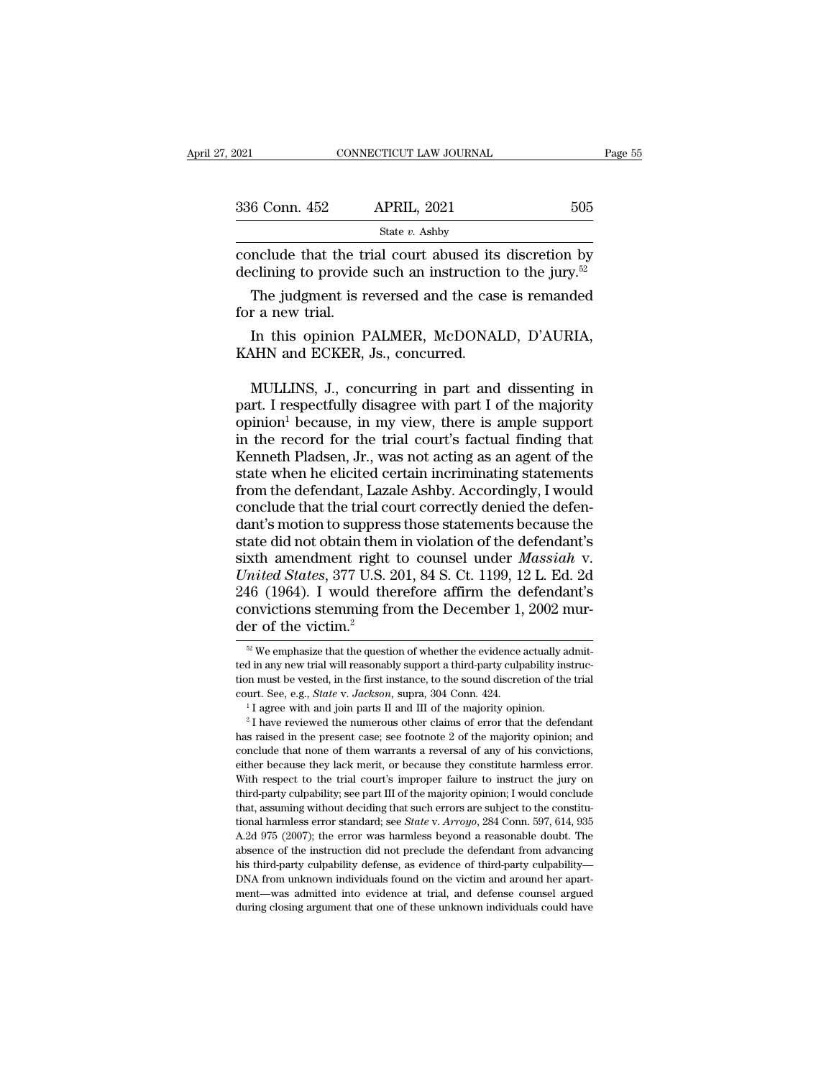| . 2021           | CONNECTICUT LAW JOURNAL                                                                                                       | Page 55 |
|------------------|-------------------------------------------------------------------------------------------------------------------------------|---------|
|                  |                                                                                                                               |         |
| 336 Conn. 452    | <b>APRIL, 2021</b>                                                                                                            | 505     |
|                  | State $v$ . Ashby                                                                                                             |         |
|                  | conclude that the trial court abused its discretion by<br>declining to provide such an instruction to the jury. <sup>52</sup> |         |
| for a new trial. | The judgment is reversed and the case is remanded                                                                             |         |
| .                | In this opinion PALMER, McDONALD, D'AURIA,                                                                                    |         |

State *v*. Ashby<br>
Include that the trial court abused its discretion by<br>
clining to provide such an instruction to the jury.<sup>52</sup><br>
The judgment is reversed and the case is remanded<br>
r a new trial.<br>
In this opinion PALMER, conclude that the trial court abused its<br>declining to provide such an instruction<br>The judgment is reversed and the cas<br>for a new trial.<br>In this opinion PALMER, McDONAl<br>KAHN and ECKER, Js., concurred.

The judgment is reversed and the case is remanded<br>
r a new trial.<br>
In this opinion PALMER, McDONALD, D'AURIA,<br>
MHN and ECKER, Js., concurred.<br>
MULLINS, J., concurring in part and dissenting in<br>
rt. I respectfully disagree The judgment is reversed and the case is remanded<br>for a new trial.<br>In this opinion PALMER, McDONALD, D'AURIA,<br>KAHN and ECKER, Js., concurred.<br>MULLINS, J., concurring in part and dissenting in<br>part. I respectfully disagree for a new trial.<br>
In this opinion PALMER, McDONALD, D'AURIA,<br>
KAHN and ECKER, Js., concurred.<br>
MULLINS, J., concurring in part and dissenting in<br>
part. I respectfully disagree with part I of the majority<br>
opinion<sup>1</sup> becaus In this opinion PALMER, McDONALD, D'AURIA,<br>KAHN and ECKER, Js., concurred.<br>MULLINS, J., concurring in part and dissenting in<br>part. I respectfully disagree with part I of the majority<br>opinion<sup>1</sup> because, in my view, there i KAHN and ECKER, Js., concurred.<br>
MULLINS, J., concurring in part and dissenting in<br>
part. I respectfully disagree with part I of the majority<br>
opinion<sup>1</sup> because, in my view, there is ample support<br>
in the record for the t MULLINS, J., concurring in part and dissenting in<br>part. I respectfully disagree with part I of the majority<br>opinion<sup>1</sup> because, in my view, there is ample support<br>in the record for the trial court's factual finding that<br>Ke MULLINS, J., concurring in part and dissenting in<br>part. I respectfully disagree with part I of the majority<br>opinion<sup>1</sup> because, in my view, there is ample support<br>in the record for the trial court's factual finding that<br>Ke part. I respectfully disagree with part I of the majority<br>opinion<sup>1</sup> because, in my view, there is ample support<br>in the record for the trial court's factual finding that<br>Kenneth Pladsen, Jr., was not acting as an agent of opinion<sup>1</sup> because, in my view, there is ample support<br>in the record for the trial court's factual finding that<br>Kenneth Pladsen, Jr., was not acting as an agent of the<br>state when he elicited certain incriminating statemen in the record for the trial court's factual finding that<br>Kenneth Pladsen, Jr., was not acting as an agent of the<br>state when he elicited certain incriminating statements<br>from the defendant, Lazale Ashby. Accordingly, I wou Kenneth Pladsen, Jr., was not acting as an agent of the<br>state when he elicited certain incriminating statements<br>from the defendant, Lazale Ashby. Accordingly, I would<br>conclude that the trial court correctly denied the defe **Example 12** State when he elicited certain incriminating statements<br>from the defendant, Lazale Ashby. Accordingly, I would<br>conclude that the trial court correctly denied the defen-<br>dant's motion to suppress those statemen from the defendant, Lazale Ashby. Accordingly, I would<br>conclude that the trial court correctly denied the defen-<br>dant's motion to suppress those statements because the<br>state did not obtain them in violation of the defendan conclude that the trial court correctly denied the defendant's motion to suppress those statements because the state did not obtain them in violation of the defendant's sixth amendment right to counsel under *Massiah* v. dant's motion to suppress<br>state did not obtain them<br>sixth amendment right<br>*United States*, 377 U.S. 2<br>246 (1964). I would the<br>convictions stemming free of the victim.<sup>2</sup> mited States, 377 U.S. 201, 84 S. Ct. 1199, 12 L. Ed. 2d<br>46 (1964). I would therefore affirm the defendant's<br>pnvictions stemming from the December 1, 2002 mur-<br>er of the victim.<sup>2</sup><br><sup>32</sup> We emphasize that the question of w 246 (1964). I would therefore affirm the defendant's convictions stemming from the December 1, 2002 murder of the victim.<sup>2</sup><br><sup><sup>22</sup> We emphasize that the question of whether the evidence actually admitted in any new trial </sup>

convictions stemming from the December 1, 2002 murder of the victim.<sup>2</sup><br>
<sup>22</sup> We emphasize that the question of whether the evidence actually admitted in any new trial will reasonably support a third-party culpability ins convictions steriantly from the December 1, 2002 mar-<br>der of the victim.<sup>2</sup><br> $\infty$  We emphasize that the question of whether the evidence actually admit-<br>ted in any new trial will reasonably support a third-party culpabilit

ted in any new trial will reasonably support a third-party culpability instruction must be vested, in the first instance, to the sound discretion of the trial court. See, e.g., *State* v. *Jackson*, supra, 304 Conn. 424.<br> ted in any new trial will reasonably support a third-party culpability instruction must be vested, in the first instance, to the sound discretion of the trial court. See, e.g., *State v. Jackson*, supra, 304 Conn. 424.<br><sup>1</sup> court. See, e.g., *State v. Jackson*, supra, 304 Conn. 424.<br>
<sup>1</sup> I agree with and join parts II and III of the majority opinion.<br>
<sup>2</sup> I have reviewed the numerous other claims of error that the defendant<br>
has raised in th <sup>1</sup> I agree with and join parts II and III of the majority opinion.<br><sup>2</sup> I have reviewed the numerous other claims of error that the defendant<br>has raised in the present case; see footnote 2 of the majority opinion; and<br>con <sup>2</sup> I have reviewed the numerous other claims of error that the defendant has raised in the present case; see footnote 2 of the majority opinion; and conclude that none of them warrants a reversal of any of his convictions has raised in the present case; see footnote 2 of the majority opinion; and conclude that none of them warrants a reversal of any of his convictions, either because they lack merit, or because they constitute harmless err conclude that none of them warrants a reversal of any of his convictions, either because they lack merit, or because they constitute harmless error. With respect to the trial court's improper failure to instruct the jury o either because they lack merit, or because they constitute harmless error.<br>With respect to the trial court's improper failure to instruct the jury on<br>third-party culpability; see part III of the majority opinion; I would c With respect to the trial court's improper failure to instruct the jury on third-party culpability; see part III of the majority opinion; I would conclude that, assuming without deciding that such errors are subject to th third-party culpability; see part III of the majority opinion; I would conclude that, assuming without deciding that such errors are subject to the constitutional harmless error standard; see *State v. Arroyo*, 284 Conn. third-party culpability; see part III of the majority opinion; I would conclude that, assuming without deciding that such errors are subject to the constitutional harmless error standard; see *State* v.  $Arrow$ , 284 Conn. 597 mental harmless error standard; see *State* v. Arroyo, 284 Conn. 597, 614, 935 A.2d 975 (2007); the error was harmless beyond a reasonable doubt. The absence of the instruction did not preclude the defendant from advancin A.2d 975 (2007); the error was harmless beyond a reasonable doubt. The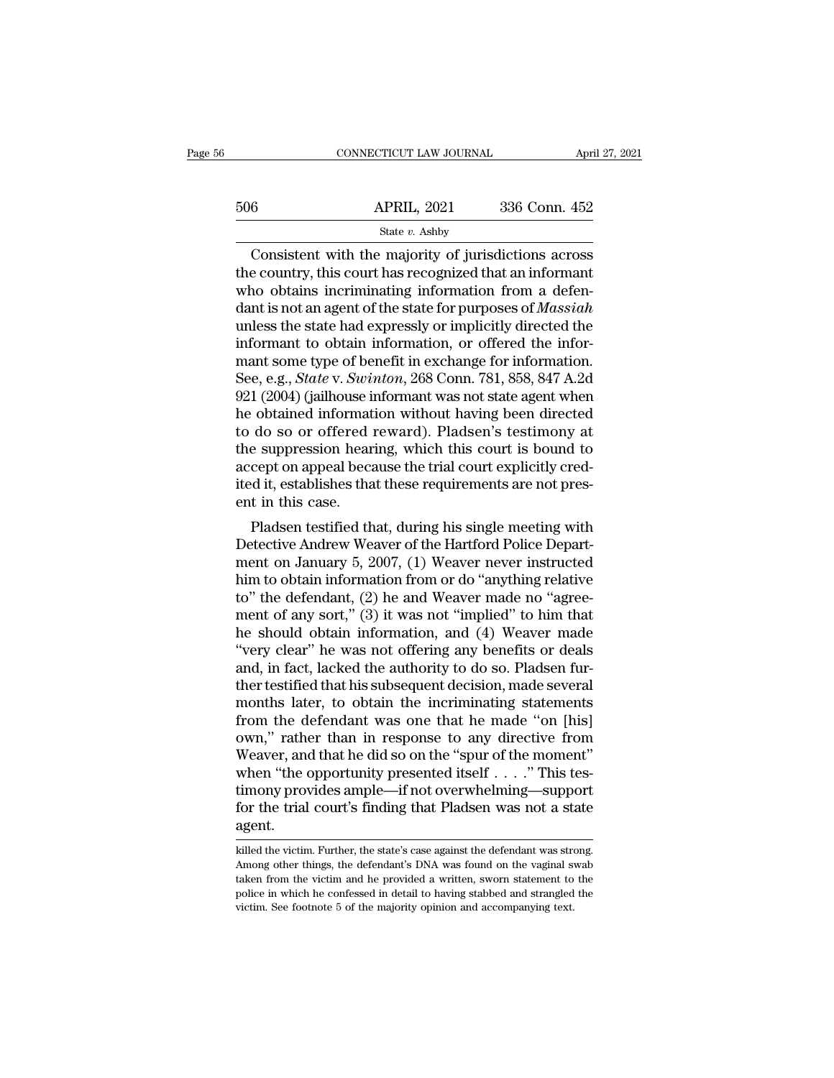### State *v.* Ashby

CONNECTICUT LAW JOURNAL April 27, 2021<br>
6 APRIL, 2021 336 Conn. 452<br>
State v. Ashby<br>
Consistent with the majority of jurisdictions across<br>
e country, this court has recognized that an informant<br>
and obtains incriminating  $\begin{array}{r} \text{506} \text{APRIL, } 2021 \text{ } 336 \text{ Conn. } 452 \text{ } \\ \text{State } v. \text{ Ashby} \end{array}$ <br>Consistent with the majority of jurisdictions across the country, this court has recognized that an informant who obtains incriminating information f  $\frac{\text{APRIL, 2021}}{\text{State } v. \text{ Ashby}}$ <br>Consistent with the majority of jurisdictions across<br>the country, this court has recognized that an informant<br>who obtains incriminating information from a defen-<br>dant is not an agent of the  $\frac{\text{APRIL, 2021}}{\text{State } v. \text{ Ashby}}$ <br>
Consistent with the majority of jurisdictions across<br>
the country, this court has recognized that an informant<br>
who obtains incriminating information from a defen-<br>
dant is not an agent of State v. Ashby<br>
State v. Ashby<br>
Consistent with the majority of jurisdictions across<br>
the country, this court has recognized that an informant<br>
who obtains incriminating information from a defen-<br>
dant is not an agent of State *v.* Ashby<br>Consistent with the majority of jurisdictions across<br>the country, this court has recognized that an informant<br>who obtains incriminating information from a defen-<br>dant is not an agent of the state for purp Consistent with the majority of jurisdictions across<br>the country, this court has recognized that an informant<br>who obtains incriminating information from a defen-<br>dant is not an agent of the state for purposes of *Massiah*<br> the country, this court has recognized that an informant<br>who obtains incriminating information from a defen-<br>dant is not an agent of the state for purposes of *Massiah*<br>unless the state had expressly or implicitly directed who obtains incriminating information from a defen-<br>dant is not an agent of the state for purposes of *Massiah*<br>unless the state had expressly or implicitly directed the<br>informant to obtain information, or offered the info dant is not an agent of the state for purposes of *Massiah*<br>unless the state had expressly or implicitly directed the<br>informant to obtain information, or offered the infor-<br>mant some type of benefit in exchange for informa unless the state had expressly or implicitly directed the<br>informant to obtain information, or offered the infor-<br>mant some type of benefit in exchange for information.<br>See, e.g., *State* v. *Swinton*, 268 Conn. 781, 858, 8 informant to obtain information, or offered the informant some type of benefit in exchange for information.<br>See, e.g., *State* v. *Swinton*, 268 Conn. 781, 858, 847 A.2d<br>921 (2004) (jailhouse informant was not state agent mant some type of benefit in exchange for information.<br>See, e.g., *State* v. *Swinton*, 268 Conn. 781, 858, 847 A.2d<br>921 (2004) (jailhouse informant was not state agent when<br>he obtained information without having been dire See, e.g., *State* v. *Swinton*, 268 Conn. 781, 858, 847 A.2d 921 (2004) (jailhouse informant was not state agent when he obtained information without having been directed to do so or offered reward). Pladsen's testimony a 921 (2004) (jailhouse i<br>he obtained informat<br>to do so or offered :<br>the suppression hear<br>accept on appeal bec;<br>ited it, establishes tha<br>ent in this case.<br>Pladsen testified th Following been directed<br>do so or offered reward). Pladsen's testimony at<br>e suppression hearing, which this court is bound to<br>cept on appeal because the trial court explicitly cred-<br>d it, establishes that these requirement to do so or offered reward). Fradsen's testimony at<br>the suppression hearing, which this court is bound to<br>accept on appeal because the trial court explicitly cred-<br>ited it, establishes that these requirements are not pres-

the suppression hearing, which this court is bound to<br>accept on appeal because the trial court explicitly cred-<br>ited it, establishes that these requirements are not pres-<br>ent in this case.<br>Pladsen testified that, during hi accept on appear because the trial court explicitly credited it, establishes that these requirements are not present in this case.<br>
Pladsen testified that, during his single meeting with<br>
Detective Andrew Weaver of the Har the divergent in this case.<br>
Pladsen testified that, during his single meeting with<br>
Detective Andrew Weaver of the Hartford Police Depart-<br>
ment on January 5, 2007, (1) Weaver never instructed<br>
him to obtain information f Pladsen testified that, during his single meeting with<br>Detective Andrew Weaver of the Hartford Police Depart-<br>ment on January 5, 2007, (1) Weaver never instructed<br>him to obtain information from or do "anything relative<br>to" Pladsen testified that, during his single meeting with<br>Detective Andrew Weaver of the Hartford Police Depart-<br>ment on January 5, 2007, (1) Weaver never instructed<br>him to obtain information from or do "anything relative<br>to" Detective Andrew Weaver of the Hartford Police Department on January 5, 2007, (1) Weaver never instructed<br>him to obtain information from or do "anything relative<br>to" the defendant, (2) he and Weaver made no "agree-<br>ment of ment on January 5, 2007, (1) Weaver never instructed<br>him to obtain information from or do "anything relative<br>to" the defendant, (2) he and Weaver made no "agree-<br>ment of any sort," (3) it was not "implied" to him that<br>he s him to obtain information from or do "anything relative<br>to" the defendant, (2) he and Weaver made no "agree-<br>ment of any sort," (3) it was not "implied" to him that<br>he should obtain information, and (4) Weaver made<br>"very c to" the defendant, (2) he and Weaver made no "agree-<br>ment of any sort," (3) it was not "implied" to him that<br>he should obtain information, and (4) Weaver made<br>"very clear" he was not offering any benefits or deals<br>and, in ment of any sort," (3) it was not "implied" to him that<br>he should obtain information, and (4) Weaver made<br>"very clear" he was not offering any benefits or deals<br>and, in fact, lacked the authority to do so. Pladsen fur-<br>the he should obtain information, and (4) Weaver made<br>"very clear" he was not offering any benefits or deals<br>and, in fact, lacked the authority to do so. Pladsen fur-<br>ther testified that his subsequent decision, made several<br>m "very clear" he was not offering any benefits or deals<br>and, in fact, lacked the authority to do so. Pladsen fur-<br>ther testified that his subsequent decision, made several<br>months later, to obtain the incriminating statement and, in fact, lacked the authority to do so. Pladsen further testified that his subsequent decision, made several<br>months later, to obtain the incriminating statements<br>from the defendant was one that he made "on [his]<br>own," ther testified that his subsequent decision, made several<br>months later, to obtain the incriminating statements<br>from the defendant was one that he made "on [his]<br>own," rather than in response to any directive from<br>Weaver, a months later, to obtain the incriminating statements<br>from the defendant was one that he made "on [his]<br>own," rather than in response to any directive from<br>Weaver, and that he did so on the "spur of the moment"<br>when "the op agent. when "the opportunity presented itself . . . ." This testimony provides ample—if not overwhelming—support<br>for the trial court's finding that Pladsen was not a state<br>agent.<br>killed the victim. Further, the state's case again timony provides ample—if not overwhelming—support<br>for the trial court's finding that Pladsen was not a state<br>agent.<br>killed the victim. Further, the state's case against the defendant was strong.<br>Among other things, the def

for the trial court's finding that Pladsen was not a state<br>agent.<br>killed the victim. Further, the state's case against the defendant was strong.<br>Among other things, the defendant's DNA was found on the vaginal swab<br>taken f police in the confession include a masser was from a state.<br>
killed the victim. Further, the state's case against the defendant was strong.<br>
Among other things, the defendant's DNA was found on the vaginal swab<br>
taken from killed the victim. Further, the state's case against the defendant was strong.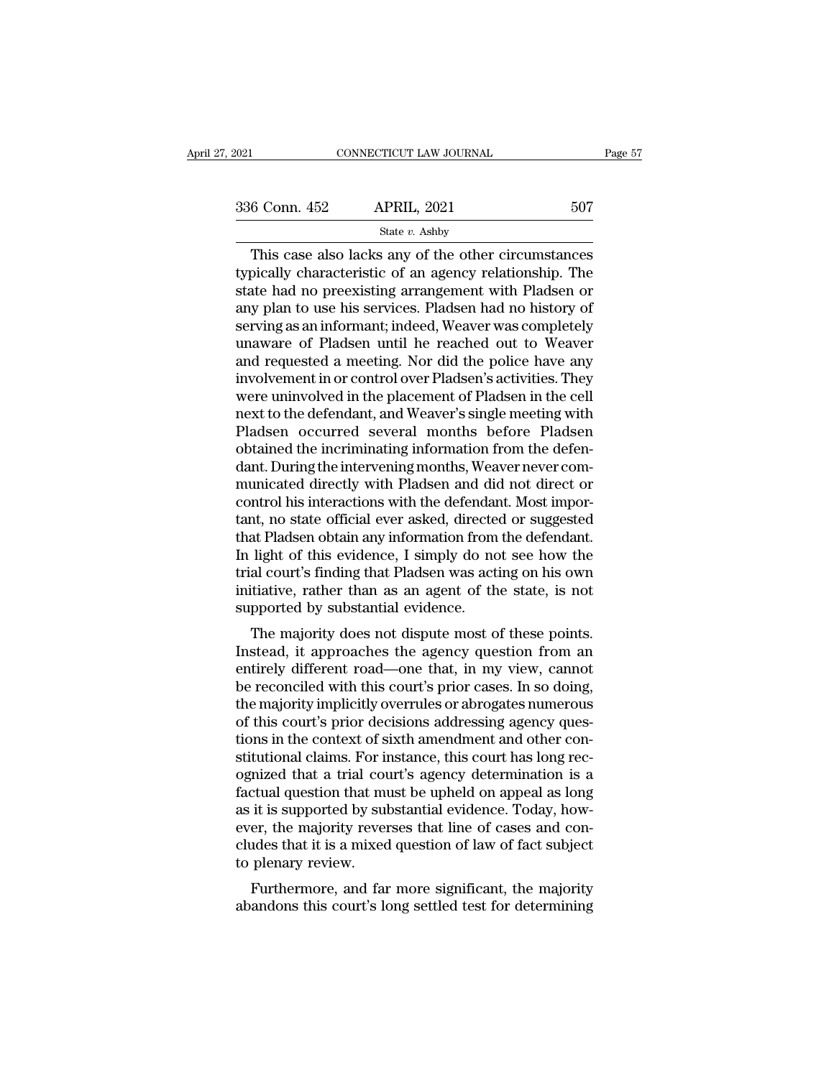| 2021          | CONNECTICUT LAW JOURNAL                                                                                                                                                |     | Page 57 |
|---------------|------------------------------------------------------------------------------------------------------------------------------------------------------------------------|-----|---------|
|               |                                                                                                                                                                        |     |         |
| 336 Conn. 452 | <b>APRIL, 2021</b>                                                                                                                                                     | 507 |         |
|               | State $v$ . Ashby                                                                                                                                                      |     |         |
|               | This case also lacks any of the other circumstances<br>typically characteristic of an agency relationship. The<br>state had no preexisting arrangement with Pladson or |     |         |

 $\begin{array}{r} \text{336 Conn. } \text{452} \qquad \text{APRIL, } \text{2021} \qquad \text{507} \ \text{State } v. \text{ Ashby} \ \hline \end{array}$ <br>
This case also lacks any of the other circumstances typically characteristic of an agency relationship. The state had no preexisting arrangem  $\begin{array}{r} \text{336 Conn. 452} \quad \text{APRIL, 2021} \quad \text{507} \ \text{State } v. \text{ Ashby} \ \hline \end{array}$ <br>
This case also lacks any of the other circumstances typically characteristic of an agency relationship. The state had no preexisting arrangement with 336 Conn. 452 APRIL, 2021 507<br>
State v. Ashby<br>
This case also lacks any of the other circumstances<br>
typically characteristic of an agency relationship. The<br>
state had no preexisting arrangement with Pladsen or<br>
any plan t Services and State v. Ashby<br>
This case also lacks any of the other circumstances<br>
typically characteristic of an agency relationship. The<br>
state had no preexisting arrangement with Pladsen or<br>
any plan to use his services State  $v$ . Ashby<br>
This case also lacks any of the other circumstances<br>
typically characteristic of an agency relationship. The<br>
state had no preexisting arrangement with Pladsen or<br>
any plan to use his services. Pladsen h This case also lacks any of the other circumstances<br>typically characteristic of an agency relationship. The<br>state had no preexisting arrangement with Pladsen or<br>any plan to use his services. Pladsen had no history of<br>servi typically characteristic of an agency relationship. The<br>state had no preexisting arrangement with Pladsen or<br>any plan to use his services. Pladsen had no history of<br>serving as an informant; indeed, Weaver was completely<br>un state had no preexisting arrangement with Pladsen or<br>any plan to use his services. Pladsen had no history of<br>serving as an informant; indeed, Weaver was completely<br>unaware of Pladsen until he reached out to Weaver<br>and requ any plan to use his services. Pladsen had no history of<br>serving as an informant; indeed, Weaver was completely<br>unaware of Pladsen until he reached out to Weaver<br>and requested a meeting. Nor did the police have any<br>involvem serving as an informant; indeed, Weaver was completely<br>unaware of Pladsen until he reached out to Weaver<br>and requested a meeting. Nor did the police have any<br>involvement in or control over Pladsen's activities. They<br>were u unaware of Pladsen until he reached out to Weaver<br>and requested a meeting. Nor did the police have any<br>involvement in or control over Pladsen's activities. They<br>were uninvolved in the placement of Pladsen in the cell<br>next and requested a meeting. Nor did the police have any<br>involvement in or control over Pladsen's activities. They<br>were uninvolved in the placement of Pladsen in the cell<br>next to the defendant, and Weaver's single meeting with involvement in or control over Pladsen's activities. They<br>were uninvolved in the placement of Pladsen in the cell<br>next to the defendant, and Weaver's single meeting with<br>Pladsen occurred several months before Pladsen<br>obtai were uninvolved in the placement of Pladsen in the cell<br>next to the defendant, and Weaver's single meeting with<br>Pladsen occurred several months before Pladsen<br>obtained the incriminating information from the defen-<br>dant. Du next to the defendant, and Weaver's single meeting with<br>Pladsen occurred several months before Pladsen<br>obtained the incriminating information from the defen-<br>dant. During the intervening months, Weaver never com-<br>municated Pladsen occurred several months before Pladsen<br>obtained the incriminating information from the defen-<br>dant. During the intervening months, Weaver never com-<br>municated directly with Pladsen and did not direct or<br>control his obtained the incriminating information from the defendant. During the intervening months, Weaver never communicated directly with Pladsen and did not direct or control his interactions with the defendant. Most important, n dant. During the intervening months, Weaver never com-<br>municated directly with Pladsen and did not direct or<br>control his interactions with the defendant. Most impor-<br>tant, no state official ever asked, directed or suggeste municated directly with Pladsen and did not direct or<br>control his interactions with the defendant. Most impor-<br>tant, no state official ever asked, directed or suggested<br>that Pladsen obtain any information from the defendan control his interactions with the defendat<br>tant, no state official ever asked, directe<br>that Pladsen obtain any information from<br>In light of this evidence, I simply do no<br>trial court's finding that Pladsen was act<br>initiativ It, no state official ever asked, directed of suggested<br>at Pladsen obtain any information from the defendant.<br>light of this evidence, I simply do not see how the<br>al court's finding that Pladsen was acting on his own<br>titati In light of this evidence, I simply do not see how the<br>trial court's finding that Pladsen was acting on his own<br>initiative, rather than as an agent of the state, is not<br>supported by substantial evidence.<br>The majority does

In light of this evidence, 1 simply do not see now the<br>trial court's finding that Pladsen was acting on his own<br>initiative, rather than as an agent of the state, is not<br>supported by substantial evidence.<br>The majority does that court's intuing that I fatsent was acting on his own<br>initiative, rather than as an agent of the state, is not<br>supported by substantial evidence.<br>The majority does not dispute most of these points.<br>Instead, it approach mitiative, rather than as an agent of the state, is not<br>supported by substantial evidence.<br>The majority does not dispute most of these points.<br>Instead, it approaches the agency question from an<br>entirely different road—one supported by substantial evidence.<br>The majority does not dispute most of these points.<br>Instead, it approaches the agency question from an<br>entirely different road—one that, in my view, cannot<br>be reconciled with this court's The majority does not dispute most of these points.<br>Instead, it approaches the agency question from an<br>entirely different road—one that, in my view, cannot<br>be reconciled with this court's prior cases. In so doing,<br>the majo Instead, it approaches the agency question from an<br>entirely different road—one that, in my view, cannot<br>be reconciled with this court's prior cases. In so doing,<br>the majority implicitly overrules or abrogates numerous<br>of t entirely different road—one that, in my view, cannot<br>be reconciled with this court's prior cases. In so doing,<br>the majority implicitly overrules or abrogates numerous<br>of this court's prior decisions addressing agency quesbe reconciled with this court's prior cases. In so doing,<br>the majority implicitly overrules or abrogates numerous<br>of this court's prior decisions addressing agency ques-<br>tions in the context of sixth amendment and other co the majority implicitly overrules or abrogates numerous<br>of this court's prior decisions addressing agency ques-<br>tions in the context of sixth amendment and other con-<br>stitutional claims. For instance, this court has long r of this court's prior decisions addressing agency questions in the context of sixth amendment and other constitutional claims. For instance, this court has long recognized that a trial court's agency determination is a fac tions in the context of sixth amendment and other constitutional claims. For instance, this court has long recognized that a trial court's agency determination is a factual question that must be upheld on appeal as long as stitutional claims. For in<br>ognized that a trial cou<br>factual question that m<br>as it is supported by sul<br>ever, the majority rever<br>cludes that it is a mixed<br>to plenary review.<br>Furthermore, and far Furthermore, and far more significant, the majority and this court's apply it is supported by substantial evidence. Today, hower, the majority reverses that line of cases and condes that it is a mixed question of law of fa ractual question that must be upheld on appear as long<br>as it is supported by substantial evidence. Today, how-<br>ever, the majority reverses that line of cases and con-<br>cludes that it is a mixed question of law of fact subje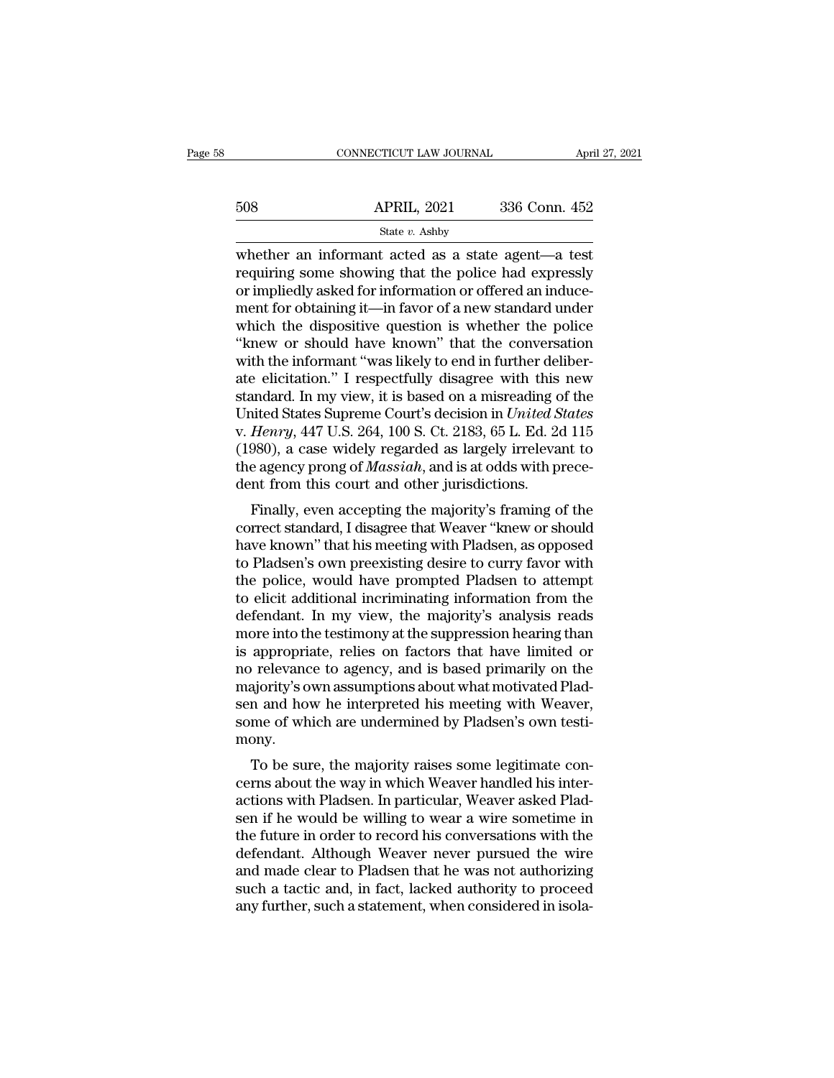|     | CONNECTICUT LAW JOURNAL | April 27, 2021 |  |
|-----|-------------------------|----------------|--|
|     |                         |                |  |
| 508 | <b>APRIL, 2021</b>      | 336 Conn. 452  |  |
|     | State v. Ashby          |                |  |

CONNECTICUT LAW JOURNAL April 27, 202<br>
State v. Ashby<br>
Whether an informant acted as a state agent—a test<br>
requiring some showing that the police had expressly<br>
or impliedly asked for information or offored an induce  $\begin{array}{r} \text{508} \qquad \qquad \text{APRIL, 2021} \qquad \qquad 336 \text{ Conn. } 452 \qquad \qquad \text{State } v. \text{ Ashby} \ \text{whether an informal acted as a state agent—a test requiring some showing that the police had expressly or impliedly asked for information or offered an induce-ment for obtaining it, in favor of a now standard under.} \end{array}$ 508 APRIL, 2021 336 Conn. 452<br>
State v. Ashby<br>
whether an informant acted as a state agent—a test<br>
requiring some showing that the police had expressly<br>
or impliedly asked for information or offered an induce-<br>
ment for o  $\frac{\text{APRIL, 2021}}{\text{State } v. \text{ Ashby}}$ <br>
whether an informant acted as a state agent—a test<br>
requiring some showing that the police had expressly<br>
or impliedly asked for information or offered an induce-<br>
ment for obtaining it—in State v. Ashby<br>
whether an informant acted as a state agent—a test<br>
requiring some showing that the police had expressly<br>
or impliedly asked for information or offered an induce-<br>
ment for obtaining it—in favor of a new s State v. Ashby<br>
whether an informant acted as a state agent—a test<br>
requiring some showing that the police had expressly<br>
or impliedly asked for information or offered an induce-<br>
ment for obtaining it—in favor of a new s whether an informant acted as a state agent—a test<br>requiring some showing that the police had expressly<br>or impliedly asked for information or offered an induce-<br>ment for obtaining it—in favor of a new standard under<br>which requiring some showing that the police had expressly<br>or impliedly asked for information or offered an induce-<br>ment for obtaining it—in favor of a new standard under<br>which the dispositive question is whether the police<br>"kne or impliedly asked for information or offered an induce-<br>ment for obtaining it—in favor of a new standard under<br>which the dispositive question is whether the police<br>"knew or should have known" that the conversation<br>with th ment for obtaining it—in favor of a new standard under<br>which the dispositive question is whether the police<br>"knew or should have known" that the conversation<br>with the informant "was likely to end in further deliber-<br>ate el which the dispositive question is whether the police<br>
"knew or should have known" that the conversation<br>
with the informant "was likely to end in further deliber-<br>
ate elicitation." I respectfully disagree with this new<br>
s "knew or should have known" that the conversation<br>with the informant "was likely to end in further deliber-<br>ate elicitation." I respectfully disagree with this new<br>standard. In my view, it is based on a misreading of the<br> with the informant "was likely to end in further deliberate elicitation." I respectfully disagree with this new<br>standard. In my view, it is based on a misreading of the<br>United States Supreme Court's decision in *United Sta* ate elicitation." I respectfully disagree with this standard. In my view, it is based on a misreading of United States Supreme Court's decision in *United S* v. *Henry*, 447 U.S. 264, 100 S. Ct. 2183, 65 L. Ed. 20 (1980), indatu: in hiy view, it is based on a histerating of the<br>inted States Supreme Court's decision in *United States<br>Henry*, 447 U.S. 264, 100 S. Ct. 2183, 65 L. Ed. 2d 115<br>980), a case widely regarded as largely irrelevant to correct standard, I disagree that Weaver "knew or should have known" that Bladson's own procession in the agency prong of Massiah, and is at odds with precedent from this court and other jurisdictions.<br>Finally, even accept

w. Henry, 447 0.3. 204, 100 3. 01. 2163, 05 L. Ed. 2d 115<br>(1980), a case widely regarded as largely irrelevant to<br>the agency prong of *Massiah*, and is at odds with prece-<br>dent from this court and other jurisdictions.<br>Fin (1980), a case whely regarded as largely irrelevant to<br>the agency prong of *Massiah*, and is at odds with prece-<br>dent from this court and other jurisdictions.<br>Finally, even accepting the majority's framing of the<br>correct s the agency prong of *massum*, and is at odds with precedent from this court and other jurisdictions.<br>Finally, even accepting the majority's framing of the correct standard, I disagree that Weaver "knew or should have known dent from this court and other jurisdictions.<br>
Finally, even accepting the majority's framing of the<br>
correct standard, I disagree that Weaver "knew or should<br>
have known" that his meeting with Pladsen, as opposed<br>
to Plad Finally, even accepting the majority's framing of the<br>correct standard, I disagree that Weaver "knew or should<br>have known" that his meeting with Pladsen, as opposed<br>to Pladsen's own preexisting desire to curry favor with<br>t correct standard, I disagree that Weaver "knew or should<br>have known" that his meeting with Pladsen, as opposed<br>to Pladsen's own preexisting desire to curry favor with<br>the police, would have prompted Pladsen to attempt<br>to e have known" that his meeting with Pladsen, as opposed<br>to Pladsen's own preexisting desire to curry favor with<br>the police, would have prompted Pladsen to attempt<br>to elicit additional incriminating information from the<br>defen to Pladsen's own preexisting desire to curry favor with<br>the police, would have prompted Pladsen to attempt<br>to elicit additional incriminating information from the<br>defendant. In my view, the majority's analysis reads<br>more i the police, would have prompted Pladsen to attempt<br>to elicit additional incriminating information from the<br>defendant. In my view, the majority's analysis reads<br>more into the testimony at the suppression hearing than<br>is app to elicit additional incriminating information from the defendant. In my view, the majority's analysis reads more into the testimony at the suppression hearing than is appropriate, relies on factors that have limited or no defendant. In my view, the majority's analysis reads<br>more into the testimony at the suppression hearing than<br>is appropriate, relies on factors that have limited or<br>no relevance to agency, and is based primarily on the<br>majo mony. appropriate, renes on factors that have inhited or<br>
relevance to agency, and is based primarily on the<br>
ajority's own assumptions about what motivated Plad-<br>
in and how he interpreted his meeting with Weaver,<br>
me of which no relevance to agency, and is based primally on the<br>majority's own assumptions about what motivated Plad-<br>sen and how he interpreted his meeting with Weaver,<br>some of which are undermined by Pladsen's own testi-<br>mony.<br>To b

majorhy sown assumptions about what motivated Fradsen and how he interpreted his meeting with Weaver, some of which are undermined by Pladsen's own testimony.<br>To be sure, the majority raises some legitimate concerns about sen and now he interpreted its ineeting with weaver,<br>some of which are undermined by Pladsen's own testi-<br>mony.<br>To be sure, the majority raises some legitimate con-<br>cerns about the way in which Weaver handled his inter-<br>ac some of which are underhined by Fladsen's own tesumony.<br>To be sure, the majority raises some legitimate concerns about the way in which Weaver handled his inter-<br>actions with Pladsen. In particular, Weaver asked Plad-<br>sen To be sure, the majority raises some legitimate concerns about the way in which Weaver handled his inter-<br>actions with Pladsen. In particular, Weaver asked Pladsen if he would be willing to wear a wire sometime in<br>the futu To be sure, the majority raises some legitimate concerns about the way in which Weaver handled his inter-<br>actions with Pladsen. In particular, Weaver asked Pladsen if he would be willing to wear a wire sometime in<br>the futu cerns about the way in which Weaver handled his inter-<br>actions with Pladsen. In particular, Weaver asked Plad-<br>sen if he would be willing to wear a wire sometime in<br>the future in order to record his conversations with the<br> actions with Pladsen. In particular, Weaver asked Pladsen if he would be willing to wear a wire sometime in the future in order to record his conversations with the defendant. Although Weaver never pursued the wire and mad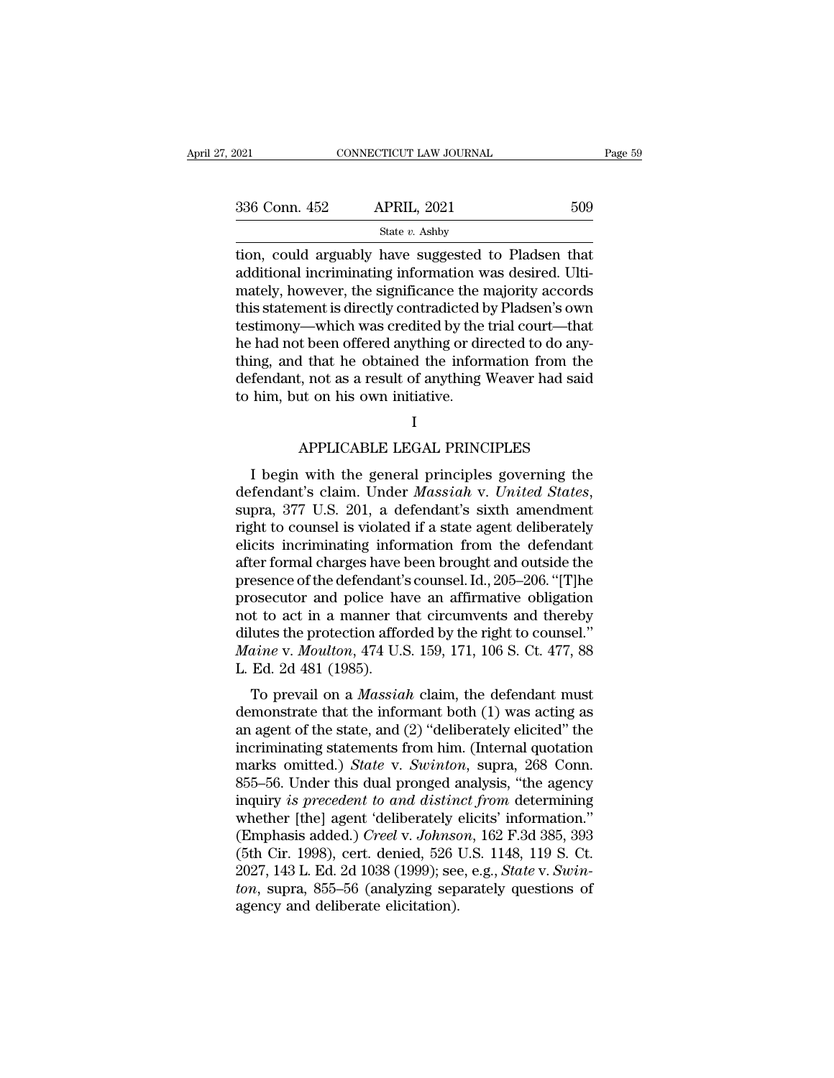| 2021          | CONNECTICUT LAW JOURNAL                                                                                                                                                | Page 59 |
|---------------|------------------------------------------------------------------------------------------------------------------------------------------------------------------------|---------|
| 336 Conn. 452 | <b>APRIL, 2021</b>                                                                                                                                                     | 509     |
|               | State $v$ . Ashby                                                                                                                                                      |         |
|               | tion, could arguably have suggested to Pladsen that<br>additional incriminating information was desired. Ulti-<br>mately however the significance the majority accords |         |

336 Conn. 452 APRIL, 2021 509<br>  $\frac{\text{State } v. \text{ Ashby}}{\text{State } v. \text{ Ashby}}$ <br>
tion, could arguably have suggested to Pladsen that<br>
additional incriminating information was desired. Ulti-<br>
mately, however, the significance the majority 336 Conn. 452 APRIL, 2021 509<br>
State v. Ashby<br>
tion, could arguably have suggested to Pladsen that<br>
additional incriminating information was desired. Ulti-<br>
mately, however, the significance the majority accords<br>
this sta 336 Conn. 452 APRIL, 2021 509<br>
State v. Ashby<br>
tion, could arguably have suggested to Pladsen that<br>
additional incriminating information was desired. Ulti-<br>
mately, however, the significance the majority accords<br>
this sta State v. Ashby<br>
tion, could arguably have suggested to Pladsen that<br>
additional incriminating information was desired. Ulti-<br>
mately, however, the significance the majority accords<br>
this statement is directly contradicted state *v*. Ashby<br>tion, could arguably have suggested to Pladsen that<br>additional incriminating information was desired. Ulti-<br>mately, however, the significance the majority accords<br>this statement is directly contradicted by tion, could arguably have suggested to Pladsen that<br>additional incriminating information was desired. Ulti-<br>mately, however, the significance the majority accords<br>this statement is directly contradicted by Pladsen's own<br>te additional incriminating information was desired. Ulti-<br>mately, however, the significance the majority accords<br>this statement is directly contradicted by Pladsen's own<br>testimony—which was credited by the trial court—that<br>h mately, however, the significance the r<br>this statement is directly contradicted b<br>testimony—which was credited by the<br>he had not been offered anything or dir<br>thing, and that he obtained the inform<br>defendant, not as a resul t been offered anything or directed to do any-<br>
i that he obtained the information from the<br>
i, not as a result of anything Weaver had said<br>
ut on his own initiative.<br>
I<br>
APPLICABLE LEGAL PRINCIPLES<br>
with the general princ I begin with the general principles governing the<br>
fendant, not as a result of anything Weaver had said<br>
him, but on his own initiative.<br>
I<br>
APPLICABLE LEGAL PRINCIPLES<br>
I begin with the general principles governing the<br>
f

I

defendant, not as a result of anything weaver had said<br>to him, but on his own initiative.<br>I<br>APPLICABLE LEGAL PRINCIPLES<br>I begin with the general principles governing the<br>defendant's claim. Under *Massiah* v. *United States* I<br>
APPLICABLE LEGAL PRINCIPLES<br>
I begin with the general principles governing the<br>
defendant's claim. Under *Massiah* v. *United States*,<br>
supra, 377 U.S. 201, a defendant's sixth amendment<br>
right to counsel is violated if APPLICABLE LEGAL PRINCIPLES<br>I begin with the general principles governing the<br>defendant's claim. Under *Massiah* v. *United States*,<br>supra, 377 U.S. 201, a defendant's sixth amendment<br>right to counsel is violated if a stat Af I LICADLE LEGAL I RIVEN LES<br>
defendant's claim. Under *Massiah* v. United States,<br>
supra, 377 U.S. 201, a defendant's sixth amendment<br>
right to counsel is violated if a state agent deliberately<br>
elicits incriminating in I begin with the general principles governing the<br>defendant's claim. Under *Massiah* v. *United States*,<br>supra, 377 U.S. 201, a defendant's sixth amendment<br>right to counsel is violated if a state agent deliberately<br>elicits defendant's claim. Under *Massiah* v. United States,<br>supra, 377 U.S. 201, a defendant's sixth amendment<br>right to counsel is violated if a state agent deliberately<br>elicits incriminating information from the defendant<br>after supra, 377 U.S. 201, a defendant's sixth amendment<br>right to counsel is violated if a state agent deliberately<br>elicits incriminating information from the defendant<br>after formal charges have been brought and outside the<br>pre right to counsel is violated if a state agent deliberately<br>elicits incriminating information from the defendant<br>after formal charges have been brought and outside the<br>presence of the defendant's counsel. Id., 205–206. "[T] elicits incriminating information from the defendant<br>after formal charges have been brought and outside the<br>presence of the defendant's counsel. Id., 205–206. "[T]he<br>prosecutor and police have an affirmative obligation<br>not after formal charges have l<br>presence of the defendant's<br>prosecutor and police ha<br>not to act in a manner th<br>dilutes the protection affor<br>*Maine* v. *Moulton*, 474 U.S<br>L. Ed. 2d 481 (1985).<br>To prevail on a *Massia*. Exerce of the defendant scouliser. Id., 200–200. [1] the<br>osecutor and police have an affirmative obligation<br>t to act in a manner that circumvents and thereby<br>lutes the protection afforded by the right to counsel."<br>*inne* v prosecutor and poince have an annihidative obigation<br>not to act in a manner that circumvents and thereby<br>dilutes the protection afforded by the right to counsel."<br> $Main$  was v. Moulton, 474 U.S. 159, 171, 106 S. Ct. 477, 88<br>

Front to act in a manner that circumvents and thereby<br>dilutes the protection afforded by the right to counsel."<br>*Maine v. Moulton*, 474 U.S. 159, 171, 106 S. Ct. 477, 88<br>L. Ed. 2d 481 (1985).<br>To prevail on a *Massiah* clai *Maine v. Moulton,* 474 U.S. 159, 171, 106 S. Ct. 477, 88<br>L. Ed. 2d 481 (1985).<br>To prevail on a *Massiah* claim, the defendant must<br>demonstrate that the informant both (1) was acting as<br>an agent of the state, and (2) "del marke v. *moluton*, 474 C.S. 159, 171, 100 S. Ct. 477, 66<br>L. Ed. 2d 481 (1985).<br>To prevail on a *Massiah* claim, the defendant must<br>demonstrate that the informant both (1) was acting as<br>an agent of the state, and (2) "deli 1. Ed. 2d 461 (1969).<br>
To prevail on a *Massiah* claim, the defendant must<br>
demonstrate that the informant both (1) was acting as<br>
an agent of the state, and (2) "deliberately elicited" the<br>
incriminating statements from To prevail on a *Massiah* claim, the defendant must<br>demonstrate that the informant both (1) was acting as<br>an agent of the state, and (2) "deliberately elicited" the<br>incriminating statements from him. (Internal quotation<br>ma demonstrate that the informant both (1) was acting as<br>an agent of the state, and (2) "deliberately elicited" the<br>incriminating statements from him. (Internal quotation<br>marks omitted.) *State* v. *Swinton*, supra, 268 Conn an agent of the state, and (2) "deliberately elicited" the<br>incriminating statements from him. (Internal quotation<br>marks omitted.) *State* v. *Swinton*, supra, 268 Conn.<br>855–56. Under this dual pronged analysis, "the agency incriminating statements from him. (Internal quotation<br>marks omitted.) *State* v. *Swinton*, supra, 268 Conn.<br>855–56. Under this dual pronged analysis, "the agency<br>inquiry *is precedent to and distinct from* determining<br>wh marks omitted.) *State* v. *Swinton*, supra, 268 Conn.<br>855–56. Under this dual pronged analysis, "the agency<br>inquiry is precedent to and distinct from determining<br>whether [the] agent 'deliberately elicits' information."<br>(E 855–56. Under this dual pronged analysis, "the agency<br>inquiry *is precedent to and distinct from* determining<br>whether [the] agent 'deliberately elicits' information."<br>(Emphasis added.) *Creel* v. Johnson, 162 F.3d 385, 393 inquiry *is precedent to and distin*<br>whether [the] agent 'deliberately (<br>(Emphasis added.) *Creel v. Johnse*<br>(5th Cir. 1998), cert. denied, 526 l<br>2027, 143 L. Ed. 2d 1038 (1999); see<br>*ton*, supra, 855–56 (analyzing sep<br>age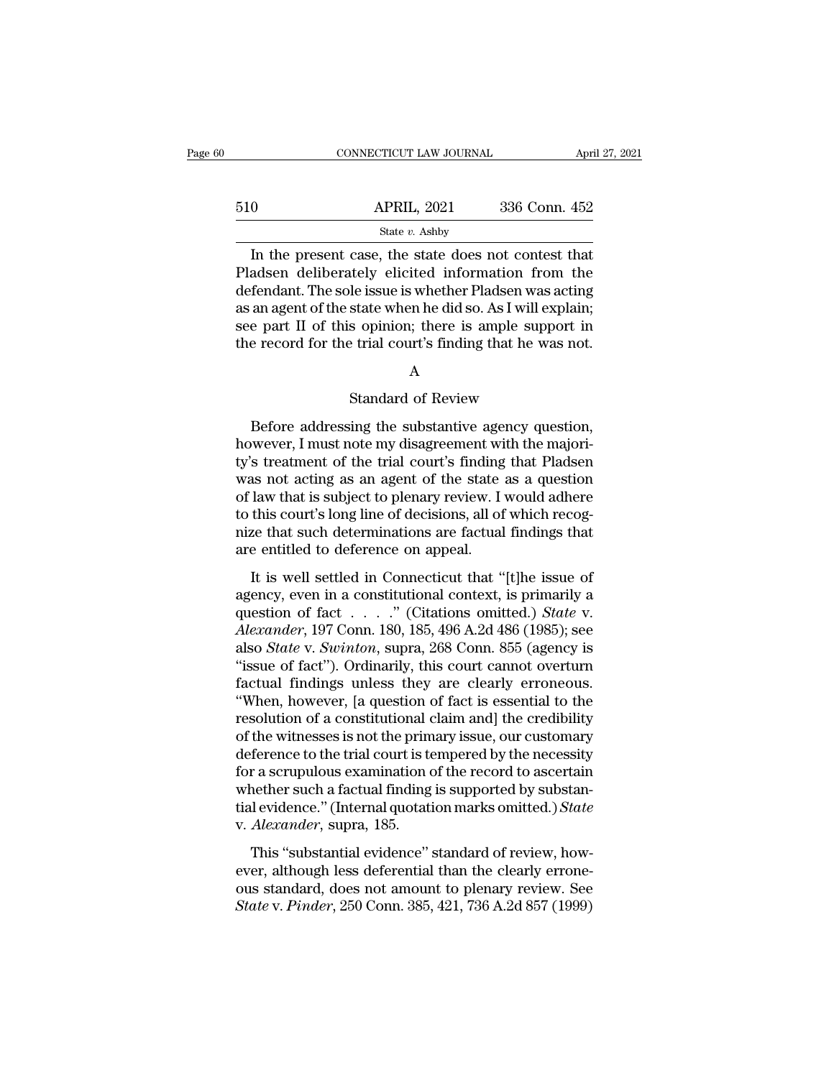|     | CONNECTICUT LAW JOURNAL                                                                                                                                               | April 27, 2021 |
|-----|-----------------------------------------------------------------------------------------------------------------------------------------------------------------------|----------------|
|     |                                                                                                                                                                       |                |
| 510 | <b>APRIL, 2021</b>                                                                                                                                                    | 336 Conn. 452  |
|     | State $v$ . Ashby                                                                                                                                                     |                |
|     | In the present case, the state does not contest that<br>Pladsen deliberately elicited information from the<br>defendent. The sole issue is whother Pladson was acting |                |

 $\frac{\text{APRIL, 2021}}{\text{State } v. \text{ Ashby}}$ <br>
In the present case, the state does not contest that<br>
Pladsen deliberately elicited information from the<br>
defendant. The sole issue is whether Pladsen was acting<br>
as an agont of the state w 510 APRIL, 2021 336 Conn. 452<br>
State v. Ashby<br>
In the present case, the state does not contest that<br>
Pladsen deliberately elicited information from the<br>
defendant. The sole issue is whether Pladsen was acting<br>
as an agent 510 APRIL, 2021 336 Conn. 452<br>
State v. Ashby<br>
In the present case, the state does not contest that<br>
Pladsen deliberately elicited information from the<br>
defendant. The sole issue is whether Pladsen was acting<br>
as an agent State *v*. Ashby<br>
In the present case, the state does not contest that<br>
Pladsen deliberately elicited information from the<br>
defendant. The sole issue is whether Pladsen was acting<br>
as an agent of the state when he did so. State *v*. Ashby<br>In the present case, the state does not contest that<br>Pladsen deliberately elicited information from the<br>defendant. The sole issue is whether Pladsen was acting<br>as an agent of the state when he did so. As le issue is whether Pladsen was actin<br>state when he did so. As I will explain<br>s opinion; there is ample support i<br>e trial court's finding that he was no<br>A<br>Standard of Review<br>ing the substantive agency question

# A

Example support in<br>
Before addressing the substantive agency question,<br>
Before addressing the substantive agency question,<br>
wever, I must note my disagreement with the majori-<br>
Streatment of the trial court's finding that Figure 2.1 The cord for the trial court's finding that he was not.<br>
A<br>
Standard of Review<br>
Before addressing the substantive agency question,<br>
however, I must note my disagreement with the majori-<br>
ty's treatment of the tr A<br>
Standard of Review<br>
Before addressing the substantive agency question,<br>
however, I must note my disagreement with the majori-<br>
ty's treatment of the trial court's finding that Pladsen<br>
was not acting as an agent of the A<br>Standard of Review<br>Before addressing the substantive agency question,<br>however, I must note my disagreement with the majori-<br>ty's treatment of the trial court's finding that Pladsen<br>was not acting as an agent of the state Standard of Review<br>Before addressing the substantive agency question,<br>however, I must note my disagreement with the majori-<br>ty's treatment of the trial court's finding that Pladsen<br>was not acting as an agent of the state a Before addressing the substantive agency question,<br>however, I must note my disagreement with the majori-<br>ty's treatment of the trial court's finding that Pladsen<br>was not acting as an agent of the state as a question<br>of law Before addressing the substantive agency question,<br>however, I must note my disagreement with the majori-<br>ty's treatment of the trial court's finding that Pladsen<br>was not acting as an agent of the state as a question<br>of law however, I must note my disagreement wity's treatment of the trial court's finding<br>was not acting as an agent of the state<br>of law that is subject to plenary review. I<br>to this court's long line of decisions, all of<br>nize tha It is well settled in Connecticut that "[t]he issue of ency, even in a constitutional context. I would adhere<br>this court's long line of decisions, all of which recog-<br>ze that such determinations are factual findings that<br>e was not acting as an agent of the state as a question<br>of law that is subject to plenary review. I would adhere<br>to this court's long line of decisions, all of which recog-<br>nize that such determinations are factual findings

to this court's long line of decisions, all of which recognize that such determinations are factual findings that<br>are entitled to deference on appeal.<br>It is well settled in Connecticut that "[t]he issue of<br>agency, even in *Alexander, 197 Conn. 180, 185, 496 A.2d 486 (1985); see also State v. Swinton, supra, 268 Conn. 855 (agency is* "issue of the size of algorithment" (197 Conn. 180, 185, 496 A.2d 486 (1985); see also *State v. Swinton*, su are entitled to deference on appeal.<br>It is well settled in Connecticut that "[t]he issue of<br>agency, even in a constitutional context, is primarily a<br>question of fact . . . . ." (Citations omitted.) *State* v.<br>*Alexander*, It is well settled in Connecticut that "[t]he issue of agency, even in a constitutional context, is primarily a question of fact  $\ldots$  " (Citations omitted.) *State* v. *Alexander*, 197 Conn. 180, 185, 496 A.2d 486 (1985) It is well settled in Connecticut that "[t]he issue of agency, even in a constitutional context, is primarily a question of fact  $\ldots$  ..." (Citations omitted.) *State* v. *Alexander*, 197 Conn. 180, 185, 496 A.2d 486 (19 agency, even in a constitutional context, is primarily a<br>question of fact  $\dots$ ." (Citations omitted.) *State* v.<br>*Alexander*, 197 Conn. 180, 185, 496 A.2d 486 (1985); see<br>also *State* v. *Swinton*, supra, 268 Conn. 855 (a question of fact  $\ldots$  ." (Citations omitted.) *State* v.<br>Alexander, 197 Conn. 180, 185, 496 A.2d 486 (1985); see<br>also *State* v. *Swinton*, supra, 268 Conn. 855 (agency is<br>"issue of fact"). Ordinarily, this court cannot Alexander, 197 Conn. 180, 185, 496 A.2d 486 (1985); see<br>also *State* v. *Swinton*, supra, 268 Conn. 855 (agency is<br>"issue of fact"). Ordinarily, this court cannot overturn<br>factual findings unless they are clearly erroneous also *State* v. *Swinton*, supra, 268 Conn. 855 (agency is<br>"issue of fact"). Ordinarily, this court cannot overturn<br>factual findings unless they are clearly erroneous.<br>"When, however, [a question of fact is essential to th "issue of fact"). Ordinarily, this court cannot overturn<br>factual findings unless they are clearly erroneous.<br>"When, however, [a question of fact is essential to the<br>resolution of a constitutional claim and] the credibility factual findings unless they are clearly erroneous.<br>
"When, however, [a question of fact is essential to the<br>
resolution of a constitutional claim and] the credibility<br>
of the witnesses is not the primary issue, our custo "When, however, [a question of fact is essential to the resolution of a constitutional claim and] the credibility of the witnesses is not the primary issue, our customary deference to the trial court is tempered by the nec resolution of a constitutional of<br>of the witnesses is not the prim<br>deference to the trial court is te<br>for a scrupulous examination of<br>whether such a factual finding<br>tial evidence." (Internal quotati<br>v. *Alexander*, supra, The windspaces is not the printary issue, our elastomicry<br>ference to the trial court is tempered by the necessity<br>r a scrupulous examination of the record to ascertain<br>nether such a factual finding is supported by substanfor a scrupulous examination of the record to ascertain<br>whether such a factual finding is supported by substan-<br>tial evidence." (Internal quotation marks omitted.) State<br>v. Alexander, supra, 185.<br>This "substantial evidenc

ous a scrapaceas charmination of the record to assertant<br>whether such a factual finding is supported by substan-<br>tial evidence." (Internal quotation marks omitted.) State<br>v. Alexander, supra, 185.<br>This "substantial evidenc *State v. Alexander*, supra, 185.<br> *State* v. *Alexander*, supra, 185.<br> *This "substantial evidence" standard of review, how-<br>
ever, although less deferential than the clearly errone-<br>
ous standard, does not amount to plen*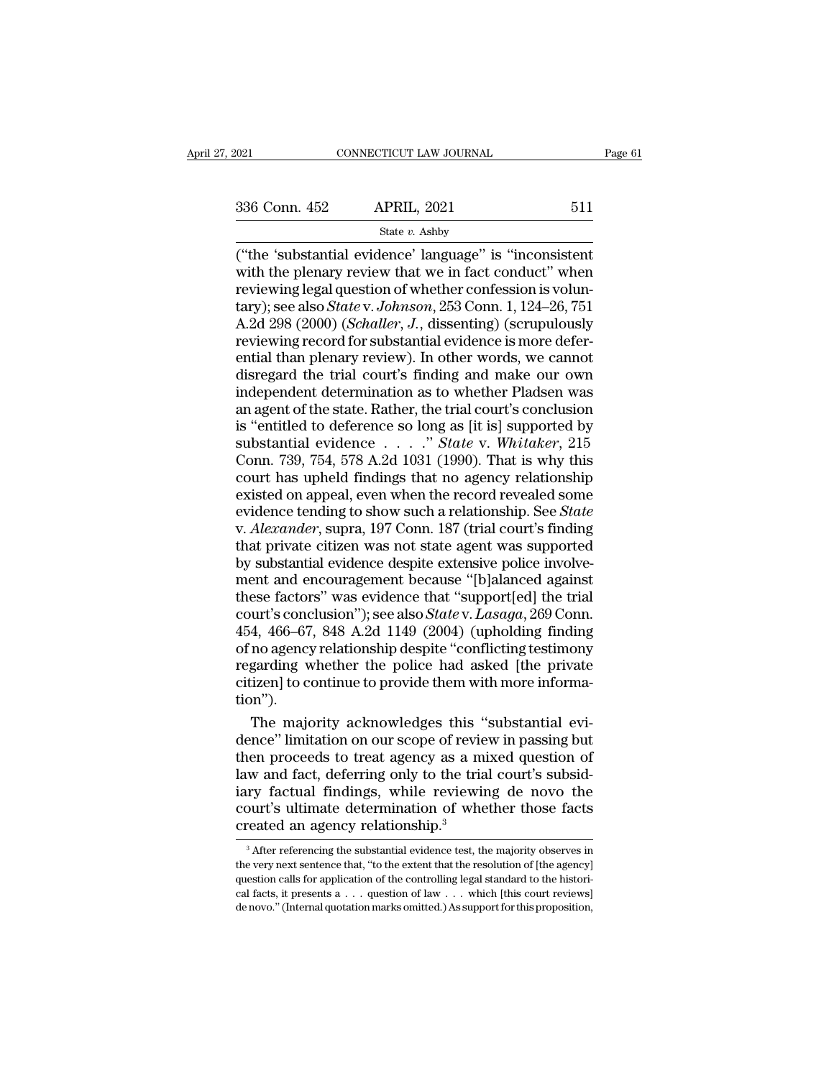# State *v.* Ashby

(021 CONNECTICUT LAW JOURNAL Page 6<br>  $\frac{336 \text{ Conn. } 452}{\text{State } v. \text{ Ashby}}$ <br>
("the 'substantial evidence' language" is "inconsistent<br>
with the plenary review that we in fact conduct" when<br>
reviewing logal question of whether co 336 Conn. 452 APRIL, 2021 511<br>
State v. Ashby<br>
("the 'substantial evidence' language" is "inconsistent<br>
with the plenary review that we in fact conduct" when<br>
reviewing legal question of whether confession is volun-<br>
tary 336 Conn. 452 APRIL, 2021 511<br>
State v. Ashby<br>
("the 'substantial evidence' language" is "inconsistent<br>
with the plenary review that we in fact conduct" when<br>
reviewing legal question of whether confession is volun-<br>
tary 336 Conn. 452 APRIL, 2021 511<br>
State *v*. Ashby<br>
("the 'substantial evidence' language" is "inconsistent<br>
with the plenary review that we in fact conduct" when<br>
reviewing legal question of whether confession is volun-<br>
tar State v. Ashby<br>
("the 'substantial evidence' language" is "inconsistent<br>
with the plenary review that we in fact conduct" when<br>
reviewing legal question of whether confession is volun-<br>
tary); see also *State* v. *Johnson* State v. Ashby<br>
("the 'substantial evidence' language" is "inconsistent<br>
with the plenary review that we in fact conduct" when<br>
reviewing legal question of whether confession is volun-<br>
tary); see also *State* v. *Johnson* ("the 'substantial evidence' language" is "inconsistent<br>with the plenary review that we in fact conduct" when<br>reviewing legal question of whether confession is volun-<br>tary); see also *State* v. Johnson, 253 Conn. 1, 124–2 with the plenary review that we in fact conduct" when<br>reviewing legal question of whether confession is volun-<br>tary); see also *State* v. Johnson, 253 Conn. 1, 124–26, 751<br>A.2d 298 (2000) (*Schaller*, J., dissenting) (scr reviewing legal question of whether confession is volun-<br>tary); see also *State* v. Johnson, 253 Conn. 1, 124–26, 751<br>A.2d 298 (2000) (*Schaller*, J., dissenting) (scrupulously<br>reviewing record for substantial evidence is tary); see also *State* v. Johnson, 253 Conn. 1, 124–26, 751<br>A.2d 298 (2000) (*Schaller*, J., dissenting) (scrupulously<br>reviewing record for substantial evidence is more defer-<br>ential than plenary review). In other words, A.2d 298 (2000) (*Schaller*, *J*., dissenting) (scrupulously<br>reviewing record for substantial evidence is more defer-<br>ential than plenary review). In other words, we cannot<br>disregard the trial court's finding and make our reviewing record for substantial evidence is more defer-<br>ential than plenary review). In other words, we cannot<br>disregard the trial court's finding and make our own<br>independent determination as to whether Pladsen was<br>an ag ential than plenary review). In other words, we cannot<br>disregard the trial court's finding and make our own<br>independent determination as to whether Pladsen was<br>an agent of the state. Rather, the trial court's conclusion<br>is disregard the trial court's finding and make our own<br>independent determination as to whether Pladsen was<br>an agent of the state. Rather, the trial court's conclusion<br>is "entitled to deference so long as [it is] supported b independent determination as to whether Pladsen was<br>an agent of the state. Rather, the trial court's conclusion<br>is "entitled to deference so long as [it is] supported by<br>substantial evidence  $\ldots$ " State v. Whitaker, 215<br> an agent of the state. Rather, the trial court's conclusion<br>is "entitled to deference so long as [it is] supported by<br>substantial evidence . . . . . *" State* v. Whitaker, 215<br>Conn. 739, 754, 578 A.2d 1031 (1990). That is is "entitled to deference so long as [it is] supported by<br>substantial evidence . . . . " *State* v. *Whitaker*, 215<br>Conn. 739, 754, 578 A.2d 1031 (1990). That is why this<br>court has upheld findings that no agency relationsh substantial evidence  $\ldots$  " State v. Whitaker, 215<br>Conn. 739, 754, 578 A.2d 1031 (1990). That is why this<br>court has upheld findings that no agency relationship<br>existed on appeal, even when the record revealed some<br>eviden Conn. 739, 754, 578 A.2d 1031 (1990). That is why this court has upheld findings that no agency relationship existed on appeal, even when the record revealed some evidence tending to show such a relationship. See *State* v court has upheld findings that no agency relationship<br>existed on appeal, even when the record revealed some<br>evidence tending to show such a relationship. See *State*<br>v. Alexander, supra, 197 Conn. 187 (trial court's findin existed on appeal, even when the record revealed some<br>evidence tending to show such a relationship. See *State*<br>v. *Alexander*, supra, 197 Conn. 187 (trial court's finding<br>that private citizen was not state agent was suppo evidence tending to show such a relationship. See *State* v. *Alexander*, supra, 197 Conn. 187 (trial court's finding that private citizen was not state agent was supported by substantial evidence despite extensive police v. *Alexander*, supra, 197 Conn. 187 (trial court's finding<br>that private citizen was not state agent was supported<br>by substantial evidence despite extensive police involve-<br>ment and encouragement because "[b]alanced agains that private citizen was not state agent was supported<br>by substantial evidence despite extensive police involve-<br>ment and encouragement because "[b]alanced against<br>these factors" was evidence that "support[ed] the trial<br>co by substantial evidence despite extensive police involve-<br>ment and encouragement because "[b]alanced against<br>these factors" was evidence that "support[ed] the trial<br>court's conclusion"); see also *State* v. *Lasaga*, 269 C ment and encouragement because "[b]alanced against<br>these factors" was evidence that "support[ed] the trial<br>court's conclusion"); see also *State* v. *Lasaga*, 269 Conn.<br>454, 466–67, 848 A.2d 1149 (2004) (upholding finding<br> tion''). urt's conclusion"); see also *State* v. *Lasaga*, 269 Conn.<br>4, 466–67, 848 A.2d 1149 (2004) (upholding finding<br>no agency relationship despite "conflicting testimony<br>garding whether the police had asked [the private<br>izen] t 454, 466–67, 848 A.2d 1149 (2004) (upholding finding<br>of no agency relationship despite "conflicting testimony<br>regarding whether the police had asked [the private<br>citizen] to continue to provide them with more informa-<br>tion

of no agency relationship despite "conflicting testimony<br>regarding whether the police had asked [the private<br>citizen] to continue to provide them with more informa-<br>tion").<br>The majority acknowledges this "substantial evi-<br> regarding whether the police had asked [the private<br>citizen] to continue to provide them with more informa-<br>tion").<br>The majority acknowledges this "substantial evi-<br>dence" limitation on our scope of review in passing but<br>t citizen] to continue to provide them with more informa-<br>tion").<br>The majority acknowledges this "substantial evi-<br>dence" limitation on our scope of review in passing but<br>then proceeds to treat agency as a mixed question of<br> tion").<br>The majority acknowledges this "substantial evi-<br>dence" limitation on our scope of review in passing but<br>then proceeds to treat agency as a mixed question of<br>law and fact, deferring only to the trial court's subsid The majority acknowledges this "<br>dence" limitation on our scope of revie<br>then proceeds to treat agency as a mi<br>law and fact, deferring only to the tria<br>iary factual findings, while reviewir<br>court's ultimate determination o w and fact, deferring only to the trial court's subsid-<br>ry factual findings, while reviewing de novo the<br>burt's ultimate determination of whether those facts<br>reated an agency relationship.<sup>3</sup><br> ${}^{3}$  After referencing the the court's ultimate determination of whether those facts created an agency relationship.<sup>3</sup><br>
<sup>3</sup> After referencing the substantial evidence test, the majority observes in the very next sentence that, "to the extent that

court's ultimate determination of whether those facts<br>created an agency relationship.<sup>3</sup><br><sup>3</sup> After referencing the substantial evidence test, the majority observes in<br>the very next sentence that, "to the extent that the r created an agency relationship.<sup>3</sup><br>
<sup>3</sup> After referencing the substantial evidence test, the majority observes in<br>
the very next sentence that, "to the extent that the resolution of [the agency]<br>
question calls for applic Treated all agency relationship.<br>
<sup>3</sup> After referencing the substantial evidence test, the majority observes in<br>
the very next sentence that, "to the extent that the resolution of [the agency]<br>
question calls for applicat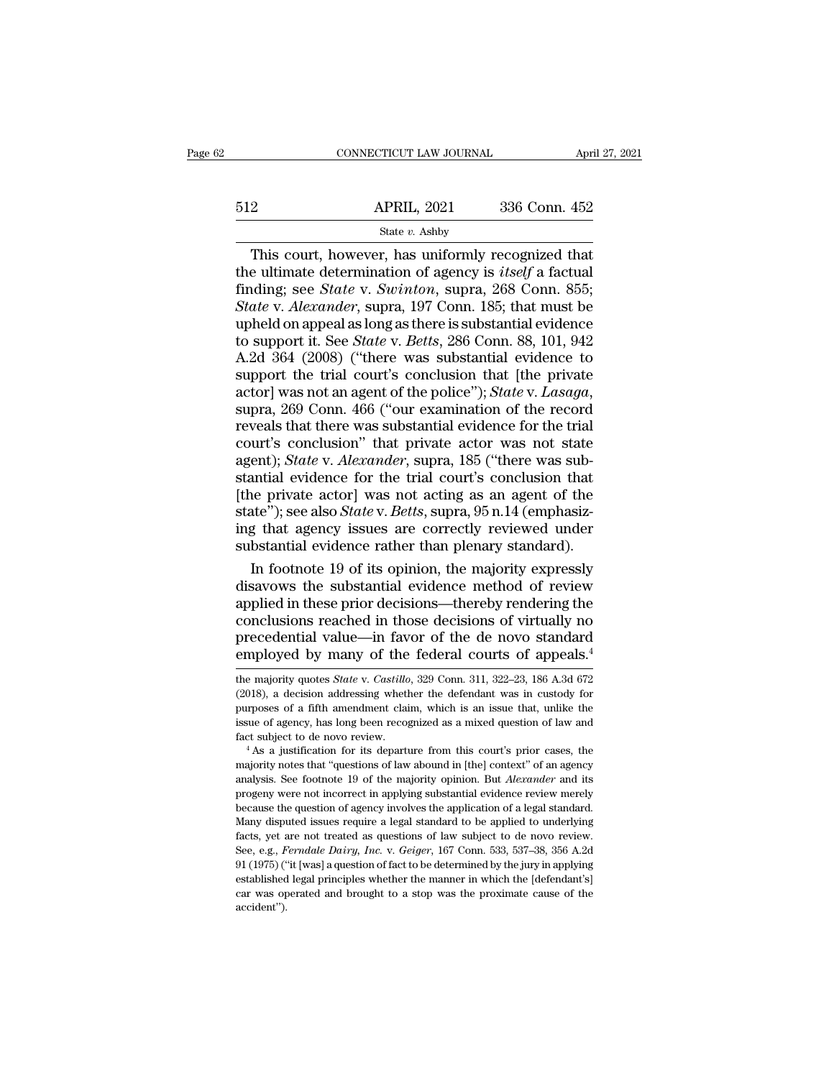# EXECUTE CONNECTICUT LAW JOURNAL April 27, 2021<br>512 APRIL, 2021 336 Conn. 452<br>512 State v. Ashby State *v.* Ashby

 $\begin{array}{r|l}\n\text{CONRECTICUT LAW JOURNAL} & \text{April 27, 202} \\
\hline\n2 & \text{APRIL, 2021} & 336 \text{ Conn. } 452 \\
\hline\n\text{State } v. \text{ Ashby} \\
\hline\n\text{This court, however, has uniformly recognized that} \\
\text{e ultimate determination of agency is itself a factual} \\
\text{adding: see State } v. \text{ Surគ to run 2, 268 Conn. } 855\n\end{array}$ 512 APRIL, 2021 336 Conn. 452<br>
<sup>State v</sup>. Ashby<br>
This court, however, has uniformly recognized that<br>
the ultimate determination of agency is *itself* a factual<br>
finding; see *State v. Swinton*, supra, 268 Conn. 855;<br> *Stat* Finding; State v. Ashby<br>
State v. Ashby<br>
This court, however, has uniformly recognized that<br>
the ultimate determination of agency is *itself* a factual<br>
finding; see *State* v. *Swinton*, supra, 268 Conn. 855;<br> *State* v. *S12* APRIL, 2021 336 Conn. 452<br> *State v. Ashby*<br> *State v. Ashby*<br> *This court, however, has uniformly recognized that*<br> *the ultimate determination of agency is <i>itself a factual*<br> *finding; see <i>State v. Swinton*, supr The contract of the contract of the altimate of the ultimate determination of agency is *itself* a factual finding; see *State v. Swinton*, supra, 268 Conn. 855; *State v. Alexander*, supra, 197 Conn. 185; that must be up State *v*. Ashby<br>
This court, however, has uniformly recognized that<br>
the ultimate determination of agency is *itself* a factual<br>
finding; see *State* v. *Swinton*, supra, 268 Conn. 855;<br> *State* v. *Alexander*, supra, 197 This court, however, has uniformly recognized that<br>the ultimate determination of agency is *itself* a factual<br>finding; see *State* v. *Swinton*, supra, 268 Conn. 855;<br>*State* v. *Alexander*, supra, 197 Conn. 185; that must the ultimate determination of agency is *itself* a factual<br>finding; see *State* v. *Swinton*, supra, 268 Conn. 855;<br>*State* v. *Alexander*, supra, 197 Conn. 185; that must be<br>upheld on appeal as long as there is substantia finding; see *State* v. *Swinton*, supra, 268 Conn. 855;<br> *State* v. *Alexander*, supra, 197 Conn. 185; that must be<br>
upheld on appeal as long as there is substantial evidence<br>
to support it. See *State* v. *Betts*, 286 Co upheld on appeal as long as there is substantial evidence<br>to support it. See *State* v. *Betts*, 286 Conn. 88, 101, 942<br>A.2d 364 (2008) ("there was substantial evidence to<br>support the trial court's conclusion that [the pri to support it. See *State* v. *Betts*, 286 Conn. 88, 101, 942<br>A.2d 364 (2008) ("there was substantial evidence to<br>support the trial court's conclusion that [the private<br>actor] was not an agent of the police"); *State* v. A.2d 364 (2008) ("there was substantial evidence to<br>support the trial court's conclusion that [the private<br>actor] was not an agent of the police"); *State* v. *Lasaga*,<br>supra, 269 Conn. 466 ("our examination of the record<br> support the trial court's conclusion that [the private actor] was not an agent of the police"); *State* v. *Lasaga*, supra, 269 Conn. 466 ("our examination of the record reveals that there was substantial evidence for the actor] was not an agent of the police"); *State* v. *Lasaga*, supra, 269 Conn. 466 ("our examination of the record reveals that there was substantial evidence for the trial court's conclusion" that private actor was not s supra, 269 Conn. 466 ("our examination of the record<br>reveals that there was substantial evidence for the trial<br>court's conclusion" that private actor was not state<br>agent); *State* v. *Alexander*, supra, 185 ("there was sub reveals that there was substantial evidence for the trial<br>court's conclusion" that private actor was not state<br>agent); *State* v. *Alexander*, supra, 185 ("there was sub-<br>stantial evidence for the trial court's conclusion court's conclusion" that private actor was not state<br>agent); *State* v. *Alexander*, supra, 185 ("there was sub-<br>stantial evidence for the trial court's conclusion that<br>[the private actor] was not acting as an agent of the ent); *State* v. *Alexander*, supra, 185 ("there was sub-<br>antial evidence for the trial court's conclusion that<br>ne private actor] was not acting as an agent of the<br>te"); see also *State* v. *Betts*, supra, 95 n.14 (emphasi stantial evidence for the trial court's conclusion that<br>[the private actor] was not acting as an agent of the<br>state"); see also *State* v. *Betts*, supra, 95 n.14 (emphasiz-<br>ing that agency issues are correctly reviewed un

[the private actor] was not acting as an agent of the<br>state"); see also *State* v. *Betts*, supra, 95 n.14 (emphasiz-<br>ing that agency issues are correctly reviewed under<br>substantial evidence rather than plenary standard).<br> state"); see also *State* v. *Betts*, supra, 95 n.14 (emphasiz-<br>ing that agency issues are correctly reviewed under<br>substantial evidence rather than plenary standard).<br>In footnote 19 of its opinion, the majority expressly<br> ing that agency issues are correctly reviewed under<br>substantial evidence rather than plenary standard).<br>In footnote 19 of its opinion, the majority expressly<br>disavows the substantial evidence method of review<br>applied in th substantial evidence rather than plenary standard).<br>In footnote 19 of its opinion, the majority expressly<br>disavows the substantial evidence method of review<br>applied in these prior decisions—thereby rendering the<br>conclusio applied in these prior decisions—thereby rendering the<br>conclusions reached in those decisions of virtually no<br>precedential value—in favor of the de novo standard<br>employed by many of the federal courts of appeals.<sup>4</sup><br>the ma conclusions reached in those decisions of virtually no<br>precedential value—in favor of the de novo standard<br>employed by many of the federal courts of appeals.<sup>4</sup><br>the majority quotes *State* v. *Castillo*, 329 Conn. 311, 32

precedential value—in favor of the de novo standard<br>employed by many of the federal courts of appeals.<sup>4</sup><br>the majority quotes *State* v. *Castillo*, 329 Com. 311, 322-23, 186 A.3d 672<br>(2018), a decision addressing whether employed by many of the federal courts of appeals.<sup>4</sup><br>employed by many of the federal courts of appeals.<sup>4</sup><br>the majority quotes *State* v. *Castillo*, 329 Conn. 311, 322-23, 186 A.3d 672<br>(2018), a decision addressing wheth employed by many of the federal courts of appears.<br>the majority quotes *State* v. *Castillo*, 329 Conn. 311, 322–23, 186 A.3d 672<br>(2018), a decision addressing whether the defendant was in custody for<br>purposes of a fifth a (2018), a decision addressing whether the defendant was in custody for purposes of a fifth amendment claim, which is an issue that, unlike the issue of agency, has long been recognized as a mixed question of law and fact

purposes of a fifth amendment claim, which is an issue that, unlike the pissue of agency, has long been recognized as a mixed question of law and fact subject to de novo review.<br>
<sup>4</sup> As a justification for its departure fr progens of agency, has long been recognized as a mixed question of law and fact subject to de novo review.<br>
<sup>4</sup> As a justification for its departure from this court's prior cases, the majority notes that "questions of law fact subject to de novo review.<br>
<sup>4</sup> As a justification for its departure from this court's prior cases, the majority notes that "questions of law abound in [the] context" of an agency analysis. See footnote 19 of the majo <sup>4</sup> As a justification for its departure from this court's prior cases, the majority notes that "questions of law abound in [the] context" of an agency analysis. See footnote 19 of the majority opinion. But *Alexander* an majority notes that "questions of law abound in [the] context" of an agency analysis. See footnote 19 of the majority opinion. But *Alexander* and its progeny were not incorrect in applying substantial evidence review mer maylysis. See footnote 19 of the majority opinion. But *Alexander* and its progeny were not incorrect in applying substantial evidence review merely because the question of agency involves the application of a legal standa progeny were not incorrect in applying substantial evidence review merely<br>because the question of agency involves the application of a legal standard.<br>Many disputed issues require a legal standard to be applied to underlyi progeny were not incorrect in applying substantial evidence review merely because the question of agency involves the application of a legal standard. Many disputed issues require a legal standard to be applied to underly Many disputed issues require a legal standard to be applied to underlying facts, yet are not treated as questions of law subject to de novo review.<br>See, e.g., *Ferndale Dairy*, *Inc.* v. *Geiger*, 167 Conn. 533, 537–38, 3 accident'').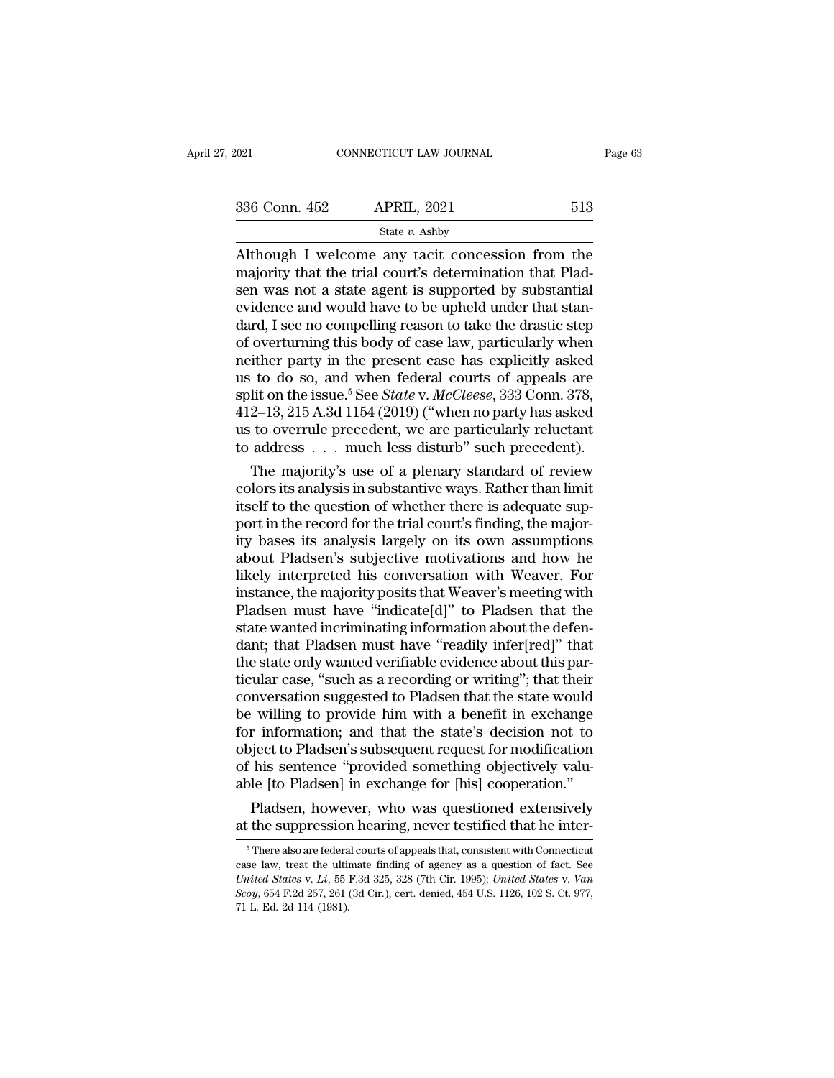| 2021          | CONNECTICUT LAW JOURNAL                                                                                                                                               | Page 63 |
|---------------|-----------------------------------------------------------------------------------------------------------------------------------------------------------------------|---------|
| 336 Conn. 452 | <b>APRIL, 2021</b>                                                                                                                                                    | 513     |
|               | State $v$ . Ashby                                                                                                                                                     |         |
|               | Although I welcome any tacit concession from the<br>majority that the trial court's determination that Plad-<br>can was not a state agant is supported by substantial |         |

336 Conn. 452 APRIL, 2021 513<br>
State v. Ashby<br>
Although I welcome any tacit concession from the<br>
majority that the trial court's determination that Plad-<br>
sen was not a state agent is supported by substantial<br>
evidence an 336 Conn. 452 APRIL, 2021 513<br>
State v. Ashby<br>
Although I welcome any tacit concession from the<br>
majority that the trial court's determination that Plad-<br>
sen was not a state agent is supported by substantial<br>
evidence an 336 Conn. 452 APRIL, 2021 513<br>
State v. Ashby<br>
Although I welcome any tacit concession from the<br>
majority that the trial court's determination that Plad-<br>
sen was not a state agent is supported by substantial<br>
evidence an Solution 1922 Throm, 2021<br>State v. Ashby<br>Although I welcome any tacit concession from the<br>majority that the trial court's determination that Plad-<br>sen was not a state agent is supported by substantial<br>evidence and would h State v. Ashby<br>Although I welcome any tacit concession from the<br>majority that the trial court's determination that Plad-<br>sen was not a state agent is supported by substantial<br>evidence and would have to be upheld under tha Although I welcome any tacit concession from the<br>majority that the trial court's determination that Plad-<br>sen was not a state agent is supported by substantial<br>evidence and would have to be upheld under that stan-<br>dard, I majority that the trial court's determination that Pladsen was not a state agent is supported by substantial<br>evidence and would have to be upheld under that stan-<br>dard, I see no compelling reason to take the drastic step<br> sen was not a state agent is supported by substantial<br>evidence and would have to be upheld under that stan-<br>dard, I see no compelling reason to take the drastic step<br>of overturning this body of case law, particularly when<br> evidence and would have to be upheld under that stan-<br>dard, I see no compelling reason to take the drastic step<br>of overturning this body of case law, particularly when<br>neither party in the present case has explicitly asked dard, I see no compelling reason to take the drastic step<br>of overturning this body of case law, particularly when<br>neither party in the present case has explicitly asked<br>us to do so, and when federal courts of appeals are<br>s of overturning this body of case law, particularly when<br>neither party in the present case has explicitly asked<br>us to do so, and when federal courts of appeals are<br>split on the issue.<sup>5</sup> See *State* v. *McCleese*, 333 Conn The majority in the present case has explicitly asked<br>to do so, and when federal courts of appeals are<br>lit on the issue.<sup>5</sup> See *State* v. *McCleese*, 333 Conn. 378,<br>2–13, 215 A.3d 1154 (2019) ("when no party has asked<br>to us to do so, and when federal courts of appeals are<br>split on the issue.<sup>5</sup> See *State* v. *McCleese*, 333 Conn. 378,<br>412–13, 215 A.3d 1154 (2019) ("when no party has asked<br>us to overrule precedent, we are particularly rel

split on the issue." See *State* v. *McCleese*, 333 Conn. 378, 412–13, 215 A.3d 1154 (2019) ("when no party has asked us to overrule precedent, we are particularly reluctant to address . . . much less disturb" such preced  $412-13$ ,  $215$  A.3d  $1154$  ( $2019$ ) ("when no party has asked<br>us to overrule precedent, we are particularly reluctant<br>to address . . . much less disturb" such precedent).<br>The majority's use of a plenary standard of revie us to overrule precedent, we are particularly reluctant<br>to address . . . much less disturb" such precedent).<br>The majority's use of a plenary standard of review<br>colors its analysis in substantive ways. Rather than limit<br>its to address . . . much less disturb" such precedent).<br>The majority's use of a plenary standard of review<br>colors its analysis in substantive ways. Rather than limit<br>itself to the question of whether there is adequate sup-<br>po The majority's use of a plenary standard of review<br>colors its analysis in substantive ways. Rather than limit<br>itself to the question of whether there is adequate sup-<br>port in the record for the trial court's finding, the m colors its analysis in substantive ways. Rather than limit<br>itself to the question of whether there is adequate sup-<br>port in the record for the trial court's finding, the major-<br>ity bases its analysis largely on its own ass itself to the question of whether there is adequate support in the record for the trial court's finding, the majority bases its analysis largely on its own assumptions about Pladsen's subjective motivations and how he like port in the record for the trial court's finding, the majority bases its analysis largely on its own assumptions<br>about Pladsen's subjective motivations and how he<br>likely interpreted his conversation with Weaver. For<br>instan ity bases its analysis largely on its own assumptions<br>about Pladsen's subjective motivations and how he<br>likely interpreted his conversation with Weaver. For<br>instance, the majority posits that Weaver's meeting with<br>Pladsen about Pladsen's subjective motivations and how he<br>likely interpreted his conversation with Weaver. For<br>instance, the majority posits that Weaver's meeting with<br>Pladsen must have "indicate[d]" to Pladsen that the<br>state want likely interpreted his conversation with Weaver. For<br>instance, the majority posits that Weaver's meeting with<br>Pladsen must have "indicate[d]" to Pladsen that the<br>state wanted incriminating information about the defen-<br>dant instance, the majority posits that Weaver's meeting with<br>Pladsen must have "indicate[d]" to Pladsen that the<br>state wanted incriminating information about the defen-<br>dant; that Pladsen must have "readily infer[red]" that<br>th Pladsen must have "indicate[d]" to Pladsen that the<br>state wanted incriminating information about the defen-<br>dant; that Pladsen must have "readily infer[red]" that<br>the state only wanted verifiable evidence about this par-<br>t state wanted incriminating information about the defendant; that Pladsen must have "readily infer[red]" that<br>the state only wanted verifiable evidence about this par-<br>ticular case, "such as a recording or writing"; that th dant; that Pladsen must have "readily infer[red]" that<br>the state only wanted verifiable evidence about this par-<br>ticular case, "such as a recording or writing"; that their<br>conversation suggested to Pladsen that the state w the state only wanted verifiable evidence about this particular case, "such as a recording or writing"; that their conversation suggested to Pladsen that the state would be willing to provide him with a benefit in exchange ticular case, "such as a recording or writing"; that their<br>conversation suggested to Pladsen that the state would<br>be willing to provide him with a benefit in exchange<br>for information; and that the state's decision not to<br>o nversation suggested to Pladsen that the state would<br>
i willing to provide him with a benefit in exchange<br>
r information; and that the state's decision not to<br>
bject to Pladsen's subsequent request for modification<br>
his se be willing to provide nim with a benefit in exchange<br>for information; and that the state's decision not to<br>object to Pladsen's subsequent request for modification<br>of his sentence "provided something objectively valu-<br>able

The sentence provided solitering objectively vadu-<br>Del (to Pladsen) in exchange for [his] cooperation."<br>Pladsen, however, who was questioned extensively<br>the suppression hearing, never testified that he inter-<br><sup>5</sup> There als

able [to Pladsen] In exchange for [nis] cooperation.<br>Pladsen, however, who was questioned extensively<br>at the suppression hearing, never testified that he inter-<br> $\frac{1}{5}$ There also are federal courts of appeals that, cons Pladsen, however, who was questioned extensively<br>at the suppression hearing, never testified that he inter-<br><sup>5</sup> There also are federal courts of appeals that, consistent with Connecticut<br>case law, treat the ultimate findin at the suppression hearing, never testified that he inter-<br><sup>5</sup> There also are federal courts of appeals that, consistent with Connecticut<br>case law, treat the ultimate finding of agency as a question of fact. See<br>*United St* <sup>5</sup> There also are federal courts of appeals that, consistent with Connecticut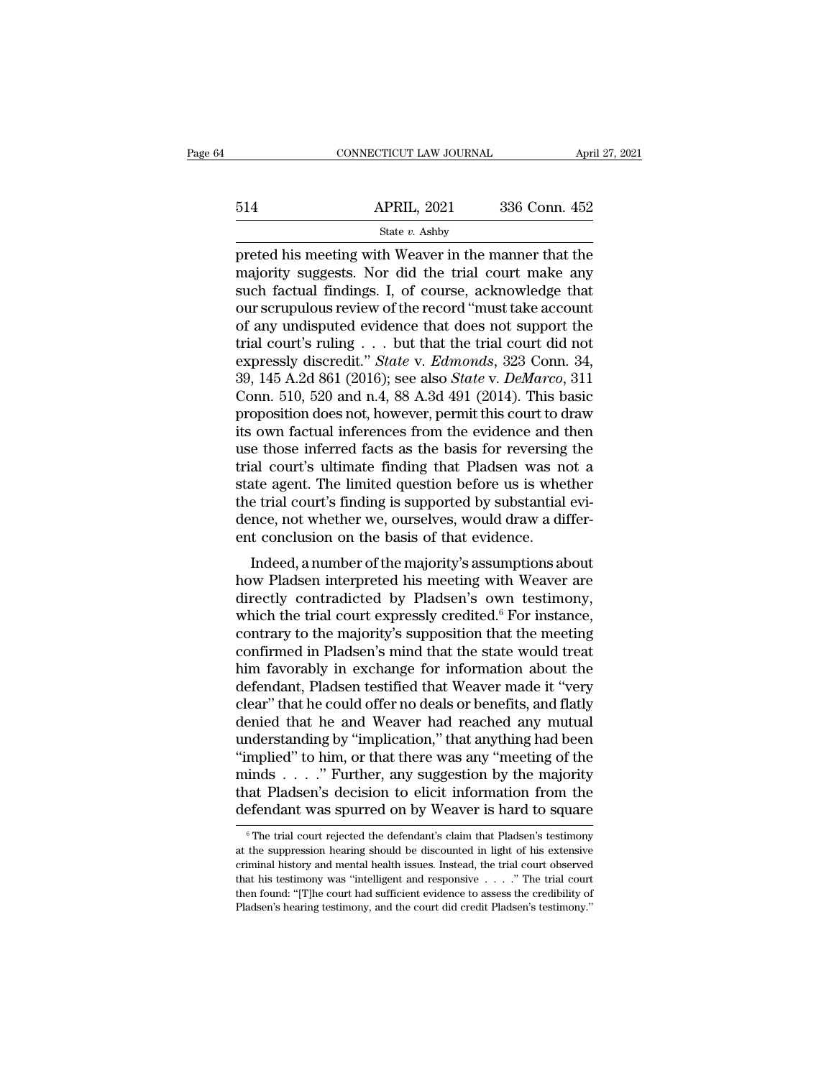|     | CONNECTICUT LAW JOURNAL | April 27, 2021 |  |
|-----|-------------------------|----------------|--|
|     |                         |                |  |
| 514 | <b>APRIL, 2021</b>      | 336 Conn. 452  |  |
|     | State v. Ashby          |                |  |

 $\begin{tabular}{llllll} \multicolumn{1}{l}{{\small \textbf{CONNECTICUT LAW JOURNAL}}{\small \textbf{APRIL, 2021}} & \multicolumn{1}{l}{336}\text{ Conn. }452 \multicolumn{1}{l}{\small \textbf{State $v$. Ashy}} \end{tabular} \vspace{0.05in} \begin{tabular}{lllllllll} {\small \textbf{State $v$. Ashy} \end{tabular} \vspace{0.05in} \begin{tabular}{lllllllllllll} {\small \textbf{State $v$. Ashy} \end{tabular} \end{tabular} \vspace{0.05in} \begin{tabular}{lllllllllllllllllllll$  $\begin{array}{ll}\n & \text{APRIL, 2021} & \text{336 Conn. 452} \\
 \text{State } v. \text{ Ashby} \\
 \text{preted his meeting with Weaver in the manner that the majority suggests. Nor did the trial court make any such factual findings. I, of course, acknowledge that our scrunulus review of the record "must take account.\n$  $\begin{array}{r|l} \hline \text{SPRIL, 2021} & \text{336 Conn. 452} \ \hline \text{State } v. \text{ Ashby} \ \hline \text{preted his meeting with Weaver in the manner that the majority suggests. Nor did the trial court make any such factual findings. I, of course, acknowledge that our scrupulous review of the record "must take account of any undisputed evidence that does not support the.} \end{array}$  $\frac{\text{APRIL, 2021}}{\text{State } v. \text{ Ashby}}$ <br>  $\frac{\text{State } v. \text{ Ashby}}{\text{preted his meeting with Weaver in the manner that the majority suggests. Nor did the trial court make any such factual findings. I, of course, acknowledge that our scrupulous review of the record "must take account of any undisputed evidence that does not support the trial court's ruling, but that the trial court did not.$ State v. Ashby<br>
State v. Ashby<br>
preted his meeting with Weaver in the manner that the<br>
majority suggests. Nor did the trial court make any<br>
such factual findings. I, of course, acknowledge that<br>
our scrupulous review of t State v. Ashby<br>
preted his meeting with Weaver in the manner that the<br>
majority suggests. Nor did the trial court make any<br>
such factual findings. I, of course, acknowledge that<br>
our scrupulous review of the record "must preted his meeting with Weaver in the manner that the<br>majority suggests. Nor did the trial court make any<br>such factual findings. I, of course, acknowledge that<br>our scrupulous review of the record "must take account<br>of any majority suggests. Nor did the trial court make any<br>such factual findings. I, of course, acknowledge that<br>our scrupulous review of the record "must take account<br>of any undisputed evidence that does not support the<br>trial co such factual findings. I, of course, acknowledge that<br>our scrupulous review of the record "must take account<br>of any undisputed evidence that does not support the<br>trial court's ruling . . . but that the trial court did not<br> our scrupulous review of the record "must take account<br>of any undisputed evidence that does not support the<br>trial court's ruling . . . but that the trial court did not<br>expressly discredit." *State* v. *Edmonds*, 323 Conn. of any undisputed evidence that does not support the<br>trial court's ruling . . . but that the trial court did not<br>expressly discredit." *State* v. *Edmonds*, 323 Conn. 34,<br>39, 145 A.2d 861 (2016); see also *State* v. *DeMa* trial court's ruling . . . but that the trial court did not<br>expressly discredit." *State* v. *Edmonds*, 323 Conn. 34,<br>39, 145 A.2d 861 (2016); see also *State* v. *DeMarco*, 311<br>Conn. 510, 520 and n.4, 88 A.3d 491 (2014). expressly discredit." *State* v. *Edmonds*, 323 Conn. 34, 39, 145 A.2d 861 (2016); see also *State* v. *DeMarco*, 311 Conn. 510, 520 and n.4, 88 A.3d 491 (2014). This basic proposition does not, however, permit this court 39, 145 A.2d 861 (2016); see also *State* v. *DeMarco*, 311 Conn. 510, 520 and n.4, 88 A.3d 491 (2014). This basic proposition does not, however, permit this court to draw its own factual inferences from the evidence and Conn. 510, 520 and n.4, 88 A.3d 491 (2014). This basic<br>proposition does not, however, permit this court to draw<br>its own factual inferences from the evidence and then<br>use those inferred facts as the basis for reversing the<br> proposition does not, however, permit this court to draw<br>its own factual inferences from the evidence and then<br>use those inferred facts as the basis for reversing the<br>trial court's ultimate finding that Pladsen was not a<br>s its own factual inferences from the evidence and t<br>use those inferred facts as the basis for reversing<br>trial court's ultimate finding that Pladsen was ne<br>state agent. The limited question before us is whe<br>the trial court's e those interfed facts as the basis for reversing the<br>al court's ultimate finding that Pladsen was not a<br>te agent. The limited question before us is whether<br>e trial court's finding is supported by substantial evi-<br>nce, not that court's unifiate intuity that I fausent was not a<br>state agent. The limited question before us is whether<br>the trial court's finding is supported by substantial evi-<br>dence, not whether we, ourselves, would draw a diffe

state agent. The inhited question before us is whether<br>the trial court's finding is supported by substantial evi-<br>dence, not whether we, ourselves, would draw a differ-<br>ent conclusion on the basis of that evidence.<br>Indeed, the trial court's intuing is supported by substantial evidence, not whether we, ourselves, would draw a different conclusion on the basis of that evidence.<br>
Indeed, a number of the majority's assumptions about<br>
how Pladsen dence, not whether we, ourserves, would draw a different conclusion on the basis of that evidence.<br>
Indeed, a number of the majority's assumptions about<br>
how Pladsen interpreted his meeting with Weaver are<br>
directly contra ent conclusion on the basis of that evidence.<br>
Indeed, a number of the majority's assumptions about<br>
how Pladsen interpreted his meeting with Weaver are<br>
directly contradicted by Pladsen's own testimony,<br>
which the trial c Indeed, a number of the majority's assumptions about<br>how Pladsen interpreted his meeting with Weaver are<br>directly contradicted by Pladsen's own testimony,<br>which the trial court expressly credited.<sup>6</sup> For instance,<br>contrary how Pladsen interpreted his meeting with Weaver are<br>directly contradicted by Pladsen's own testimony,<br>which the trial court expressly credited.<sup>6</sup> For instance,<br>contrary to the majority's supposition that the meeting<br>confi directly contradicted by Pladsen's own testimony,<br>which the trial court expressly credited.<sup>6</sup> For instance,<br>contrary to the majority's supposition that the meeting<br>confirmed in Pladsen's mind that the state would treat<br>hi which the trial court expressly credited.<sup>6</sup> For instance, contrary to the majority's supposition that the meeting confirmed in Pladsen's mind that the state would treat him favorably in exchange for information about the contrary to the majority's supposition that the meeting<br>confirmed in Pladsen's mind that the state would treat<br>him favorably in exchange for information about the<br>defendant, Pladsen testified that Weaver made it "very<br>clea confirmed in Pladsen's mind that the state would treat<br>him favorably in exchange for information about the<br>defendant, Pladsen testified that Weaver made it "very<br>clear" that he could offer no deals or benefits, and flatly<br> him favorably in exchange for information about the<br>defendant, Pladsen testified that Weaver made it "very<br>clear" that he could offer no deals or benefits, and flatly<br>denied that he and Weaver had reached any mutual<br>unders defendant, Pladsen testified that Weaver made it "very<br>clear" that he could offer no deals or benefits, and flatly<br>denied that he and Weaver had reached any mutual<br>understanding by "implication," that anything had been<br>"im clear" that he could offer no deals or benefits, and flatly<br>denied that he and Weaver had reached any mutual<br>understanding by "implication," that anything had been<br>"implied" to him, or that there was any "meeting of the<br>m "implied" to him, or that there was any "meeting of the minds  $\ldots$ " Further, any suggestion by the majority that Pladsen's decision to elicit information from the defendant was spurred on by Weaver is hard to square  $\overline$ minds . . . ." Further, any suggestion by the majority<br>that Pladsen's decision to elicit information from the<br>defendant was spurred on by Weaver is hard to square<br> $\frac{1}{\pi}$  The trial court rejected the defendant's claim

that Pladsen's decision to elicit information from the defendant was spurred on by Weaver is hard to square  $\frac{1}{\pi}$  The trial court rejected the defendant's claim that Pladsen's testimony at the suppression hearing sho defendant was spurred on by Weaver is hard to square<br>
<sup>6</sup> The trial court rejected the defendant's claim that Pladsen's testimony<br>
at the suppression hearing should be discounted in light of his extensive<br>
criminal history The trial court rejected the defendant's claim that Pladsen's testimony<br>at the suppression hearing should be discounted in light of his extensive<br>criminal history and mental health issues. Instead, the trial court observe <sup>6</sup> The trial court rejected the defendant's claim that Pladsen's testimony at the suppression hearing should be discounted in light of his extensive criminal history and mental health issues. Instead, the trial court obs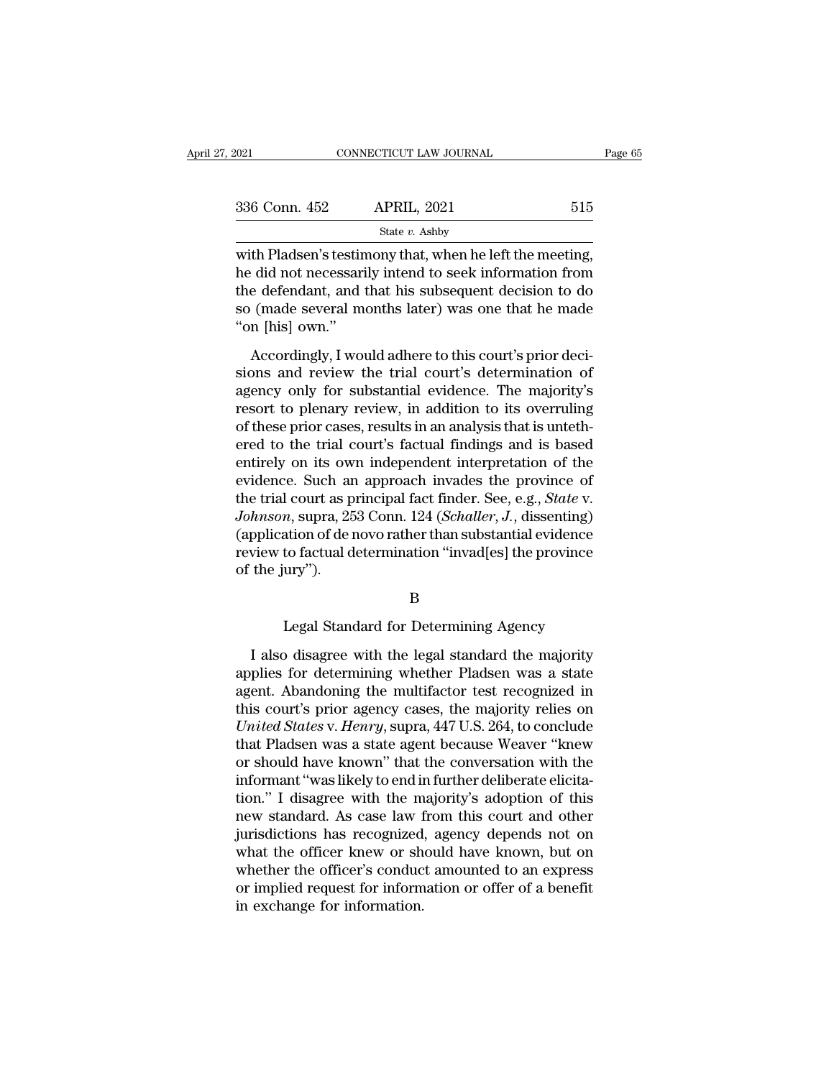| 2021          | CONNECTICUT LAW JOURNAL                                                                                                                                                    |     | Page 65 |
|---------------|----------------------------------------------------------------------------------------------------------------------------------------------------------------------------|-----|---------|
| 336 Conn. 452 | <b>APRIL, 2021</b>                                                                                                                                                         | 515 |         |
|               | State $v$ . Ashby                                                                                                                                                          |     |         |
|               | with Pladsen's testimony that, when he left the meeting,<br>he did not necessarily intend to seek information from<br>the defendent and that his subsequent degision to do |     |         |

336 Conn. 452 APRIL, 2021 515<br>
state v. Ashby<br>
with Pladsen's testimony that, when he left the meeting,<br>
he did not necessarily intend to seek information from<br>
the defendant, and that his subsequent decision to do<br>
so (m 336 Conn. 452 APRIL, 2021 515<br>
State v. Ashby<br>
with Pladsen's testimony that, when he left the meeting,<br>
he did not necessarily intend to seek information from<br>
the defendant, and that his subsequent decision to do<br>
so (m 336 Conn. 452 APRIL, 2021 515<br>
state v. Ashby<br>
with Pladsen's testimony that, when he left the meeting,<br>
he did not necessarily intend to seek information from<br>
the defendant, and that his subsequent decision to do<br>
so (m with Pladsen's testin<br>he did not necessari<br>the defendant, and<br>so (made several m<br>''on [his] own.''<br>Accordingly, I won th Pladsen's testimony that, when he left the meeting,<br>
did not necessarily intend to seek information from<br>
e defendant, and that his subsequent decision to do<br>
(made several months later) was one that he made<br>
n [his] ow sions and not necessarily intend to seek information from<br>the defendant, and that his subsequent decision to do<br>so (made several months later) was one that he made<br>"on [his] own."<br>Accordingly, I would adhere to this court'

and not necessarily include to seen internation from<br>the defendant, and that his subsequent decision to do<br>so (made several months later) was one that he made<br>"on [his] own."<br>Accordingly, I would adhere to this court's pri resortance, and that the subsequent desisted to do<br>so (made several months later) was one that he made<br>"on [his] own."<br>Accordingly, I would adhere to this court's prior deci-<br>sions and review the trial court's determinatio of these priority is also that is not that is not the theorem (his) own."<br>Accordingly, I would adhere to this court's prior decisions and review the trial court's determination of<br>agency only for substantial evidence. The Accordingly, I would adhere to this court's prior decisions and review the trial court's determination of agency only for substantial evidence. The majority's resort to plenary review, in addition to its overruling of thes Accordingly, I would adhere to this court's prior decisions and review the trial court's determination of agency only for substantial evidence. The majority's resort to plenary review, in addition to its overruling of thes sions and review the trial court's determination of<br>agency only for substantial evidence. The majority's<br>resort to plenary review, in addition to its overruling<br>of these prior cases, results in an analysis that is untethagency only for substantial evidence. The majority's<br>resort to plenary review, in addition to its overruling<br>of these prior cases, results in an analysis that is unteth-<br>ered to the trial court's factual findings and is ba resort to plenary review, in addition to its overruling<br>of these prior cases, results in an analysis that is unteth-<br>ered to the trial court's factual findings and is based<br>entirely on its own independent interpretation of of these prior cases, results in an analysis that is untethered to the trial court's factual findings and is based<br>entirely on its own independent interpretation of the<br>evidence. Such an approach invades the province of<br>th ered to the trial court's factual findings and is based<br>entirely on its own independent interpretation of the<br>evidence. Such an approach invades the province of<br>the trial court as principal fact finder. See, e.g., *State* entirely on its ow<br>evidence. Such ar<br>the trial court as p<br>Johnson, supra, 25<br>(application of de n<br>review to factual d<br>of the jury''). m, supra, 253 Conn. 124 (*Schaller*, J., dissenting)<br>ation of de novo rather than substantial evidence<br>to factual determination "invad[es] the province<br>ury").<br>B<br>Legal Standard for Determining Agency<br>o disagree with the leg

# B

View to factual determination "invad[es] the province<br>the jury").<br>B<br>Legal Standard for Determining Agency<br>I also disagree with the legal standard the majority<br>plies for determining whether Pladsen was a state<br>ont. Abandoni applies for determining agency<br>applies for determining whether Pladsen was a state<br>agent. Abandoning the multifactor test recognized in<br>this court's prior agency cases, the majority relies on B<br>
Legal Standard for Determining Agency<br>
I also disagree with the legal standard the majority<br>
applies for determining whether Pladsen was a state<br>
agent. Abandoning the multifactor test recognized in<br>
this court's prior Examples 18 <br>
B<br>
Legal Standard for Determining Agency<br>
I also disagree with the legal standard the majority<br>
applies for determining whether Pladsen was a state<br>
agent. Abandoning the multifactor test recognized in<br>
this Legal Standard for Determining Agency<br> *I* also disagree with the legal standard the majority<br>
applies for determining whether Pladsen was a state<br>
agent. Abandoning the multifactor test recognized in<br>
this court's prior a I also disagree with the legal standard the majority<br>applies for determining whether Pladsen was a state<br>agent. Abandoning the multifactor test recognized in<br>this court's prior agency cases, the majority relies on<br> $United States$  v. I also disagree with the legal standard the majority<br>applies for determining whether Pladsen was a state<br>agent. Abandoning the multifactor test recognized in<br>this court's prior agency cases, the majority relies on<br>*United* applies for determining whether Pladsen was a state agent. Abandoning the multifactor test recognized in this court's prior agency cases, the majority relies on *United States v. Henry,* supra,  $447$  U.S. 264, to conclude agent. Abandoning the multifactor test recognized in<br>this court's prior agency cases, the majority relies on<br>*United States* v. *Henry*, supra, 447 U.S. 264, to conclude<br>that Pladsen was a state agent because Weaver "knew<br> this court's prior agency cases, the majority relies on *United States v. Henry*, supra, 447 U.S. 264, to conclude that Pladsen was a state agent because Weaver "knew or should have known" that the conversation with the in United States v. Henry, supra, 447 U.S. 264, to conclude<br>that Pladsen was a state agent because Weaver "knew<br>or should have known" that the conversation with the<br>informant "was likely to end in further deliberate elicita-<br> that Pladsen was a state agent because Weaver "knew<br>or should have known" that the conversation with the<br>informant "was likely to end in further deliberate elicita-<br>tion." I disagree with the majority's adoption of this<br>ne or should have known" that the conversation with the<br>informant "was likely to end in further deliberate elicita-<br>tion." I disagree with the majority's adoption of this<br>new standard. As case law from this court and other<br>ju informant "was likely to end in further deliberate elicitation." I disagree with the majority's adoption of this new standard. As case law from this court and other jurisdictions has recognized, agency depends not on what tion." I disagree with the m<br>new standard. As case law f<br>jurisdictions has recognized<br>what the officer knew or sh<br>whether the officer's conduc<br>or implied request for inform<br>in exchange for information.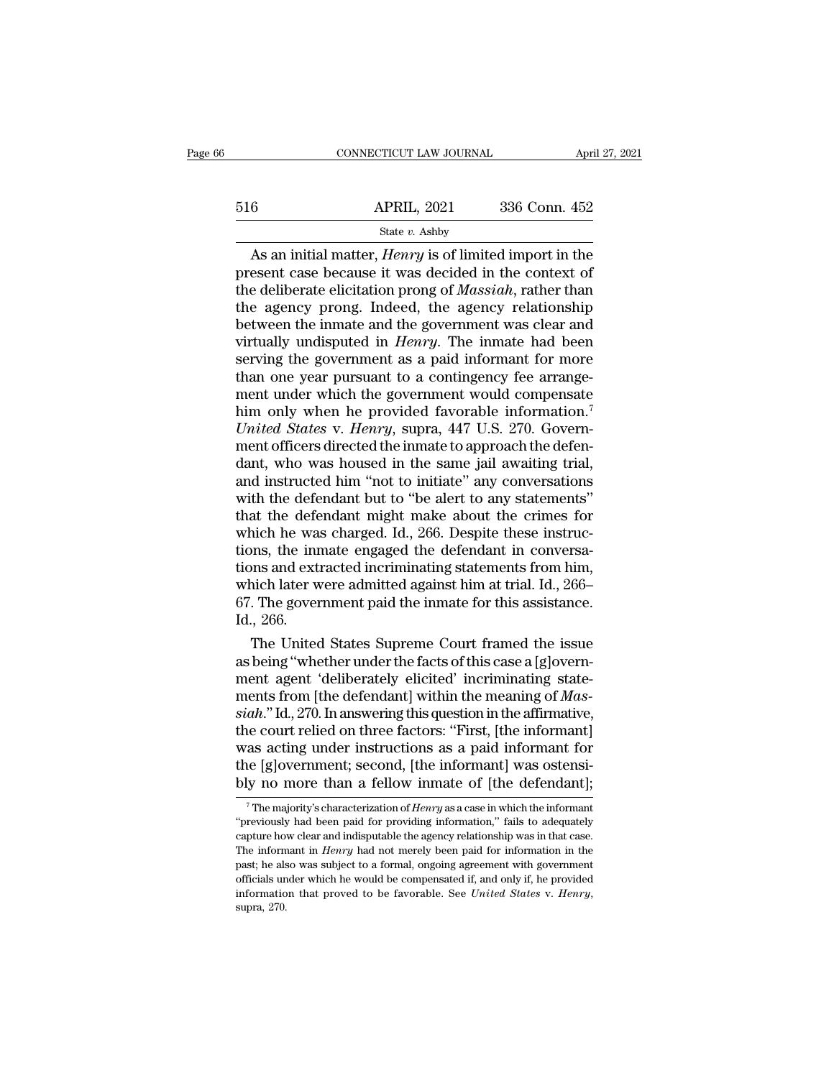|     | CONNECTICUT LAW JOURNAL                                                                                                                                                                   | April 27, 2021 |
|-----|-------------------------------------------------------------------------------------------------------------------------------------------------------------------------------------------|----------------|
| 516 | <b>APRIL, 2021</b>                                                                                                                                                                        | 336 Conn. 452  |
|     | State $v$ . Ashby                                                                                                                                                                         |                |
|     | As an initial matter, <i>Henry</i> is of limited import in the<br>present case because it was decided in the context of<br>the deliberate elicitation prope of <i>Massiah</i> rather than |                |

 $\begin{array}{r} \text{516} \\ \text{516} \\ \text{518} \\ \text{519} \\ \text{510} \\ \text{510} \\ \text{520} \\ \text{531} \\ \text{541} \\ \text{55} \\ \text{56} \\ \text{56} \\ \text{57} \\ \text{58} \\ \text{58} \\ \text{59} \\ \text{50} \\ \text{50} \\ \text{50} \\ \text{51} \\ \text{51} \\ \text{52} \\ \text{53} \\ \text{53} \\ \text{54} \\ \text{55} \\ \text{56} \\ \text{57} \\ \text{58} \\ \$ 516 **APRIL**, 2021 336 Conn. 452<br>
State v. Ashby<br>
As an initial matter, *Henry* is of limited import in the<br>
present case because it was decided in the context of<br>
the deliberate elicitation prong of *Massiah*, rather than 516 APRIL, 2021 336 Conn. 452<br>
State v. Ashby<br>
As an initial matter, *Henry* is of limited import in the<br>
present case because it was decided in the context of<br>
the deliberate elicitation prong of *Massiah*, rather than<br> Between the inmater,  $\frac{1}{B}$  and  $\frac{1}{B}$  and initial matter,  $\frac{1}{B}$  and increase the secause it was decided in the context of the deliberate elicitation prong of *Massiah*, rather than the agency prong. Indeed, the State *v*. Ashby<br>As an initial matter, *Henry* is of limited import in the<br>present case because it was decided in the context of<br>the deliberate elicitation prong of *Massiah*, rather than<br>the agency prong. Indeed, the age As an initial matter, *Henry* is of limited import in the present case because it was decided in the context of the deliberate elicitation prong of *Massiah*, rather than the agency prong. Indeed, the agency relationship present case because it was decided in the context of<br>the deliberate elicitation prong of *Massiah*, rather than<br>the agency prong. Indeed, the agency relationship<br>between the inmate and the government was clear and<br>virtual the deliberate elicitation prong of *Massiah*, rather than<br>the agency prong. Indeed, the agency relationship<br>between the inmate and the government was clear and<br>virtually undisputed in *Henry*. The inmate had been<br>serving the agency prong. Indeed, the agency relationship<br>between the inmate and the government was clear and<br>virtually undisputed in *Henry*. The inmate had been<br>serving the government as a paid informant for more<br>than one year p between the inmate and the government was clear and<br>virtually undisputed in *Henry*. The inmate had been<br>serving the government as a paid informant for more<br>than one year pursuant to a contingency fee arrange-<br>ment under w virtually undisputed in *Henry*. The inmate had been<br>serving the government as a paid informant for more<br>than one year pursuant to a contingency fee arrange-<br>ment under which the government would compensate<br>him only when h serving the government as a paid informant for more<br>than one year pursuant to a contingency fee arrange-<br>ment under which the government would compensate<br>him only when he provided favorable information.<sup>7</sup><br>*United States v* than one year pursuant to a contingency fee arrangement under which the government would compensate<br>him only when he provided favorable information.<sup>7</sup><br>*United States* v. *Henry*, supra, 447 U.S. 270. Government officers d ment under which the government would compensate<br>him only when he provided favorable information.<sup>7</sup><br>*United States* v. *Henry*, supra, 447 U.S. 270. Government officers directed the inmate to approach the defendant, who him only when he provided favorable information.<sup>7</sup><br>United States v. Henry, supra, 447 U.S. 270. Govern-<br>ment officers directed the inmate to approach the defen-<br>dant, who was housed in the same jail awaiting trial,<br>and in United States v. Henry, supra, 447 U.S. 270. Government officers directed the inmate to approach the defendant, who was housed in the same jail awaiting trial, and instructed him "not to initiate" any conversations with th ment officers directed the inmate to approach the defendant, who was housed in the same jail awaiting trial, and instructed him "not to initiate" any conversations with the defendant but to "be alert to any statements" tha dant, who was housed in the same jail awaiting trial,<br>and instructed him "not to initiate" any conversations<br>with the defendant but to "be alert to any statements"<br>that the defendant might make about the crimes for<br>which h and instructed him "not to initiate" any conversations<br>with the defendant but to "be alert to any statements"<br>that the defendant might make about the crimes for<br>which he was charged. Id., 266. Despite these instruc-<br>tions, with the defendant but to "be alert to any statements"<br>that the defendant might make about the crimes for<br>which he was charged. Id., 266. Despite these instruc-<br>tions, the inmate engaged the defendant in conversa-<br>tions an that the defe<br>which he was<br>tions, the inr<br>tions and ext<br>which later w<br>67. The gover<br>Id., 266.<br>The United inch he was charged. Id., 200. Despite these instructions, the inmate engaged the defendant in conversa-<br>ons and extracted incriminating statements from him,<br>idch later were admitted against him at trial. Id., 266–<br>. The g tions, the inmate engaged the detendant in conversa-<br>tions and extracted incriminating statements from him,<br>which later were admitted against him at trial. Id., 266–<br>67. The government paid the inmate for this assistance.

tions and extracted incriminating statements from him,<br>which later were admitted against him at trial. Id., 266–<br>67. The government paid the inmate for this assistance.<br>Id., 266.<br>The United States Supreme Court framed the which later were admitted against him at trial. Id., 200–<br>67. The government paid the inmate for this assistance.<br>Id., 266.<br>The United States Supreme Court framed the issue<br>as being "whether under the facts of this case a <sup>67</sup>. The government paid the inmate for this assistance.<br>
Id., 266.<br>
The United States Supreme Court framed the issue<br>
as being "whether under the facts of this case a [g]overn-<br>
ment agent 'deliberately elicited' incrimi 1d., 200.<br>The United States Supreme Court framed the issue<br>as being "whether under the facts of this case a [g]overn-<br>ment agent 'deliberately elicited' incriminating state-<br>ments from [the defendant] within the meaning o The United States Supreme Court framed the issue<br>as being "whether under the facts of this case a [g]overn-<br>ment agent 'deliberately elicited' incriminating state-<br>ments from [the defendant] within the meaning of *Mas-*<br>si as being "whether under the facts of this case a [g]overnment agent 'deliberately elicited' incriminating statements from [the defendant] within the meaning of *Massiah*." Id., 270. In answering this question in the affirm ment agent 'deliberately elicited' incriminating statements from [the defendant] within the meaning of *Massiah.*" Id., 270. In answering this question in the affirmative, the court relied on three factors: "First, [the i ie court relied on three factors: "First, [the informant]<br>as acting under instructions as a paid informant for<br>le [g]overnment; second, [the informant] was ostensi-<br>ly no more than a fellow inmate of [the defendant];<br><sup>7</sup>Th was acting under instructions as a paid informant for<br>the [g]overnment; second, [the informant] was ostensi-<br>bly no more than a fellow inmate of [the defendant];<br> $^7$ The majority's characterization of *Henry* as a case in

the [g]overnment; second, [the informant] was ostensi-<br>bly no more than a fellow inmate of [the defendant];<br> $\frac{1}{\pi}$  The majority's characterization of *Henry* as a case in which the informant<br>"previously had been paid bly no more than a fellow inmate of [the defendant];<br>The majority's characterization of *Henry* as a case in which the informant<br>"previously had been paid for providing information," fails to adequately<br>capture how clear a "previously had been paid for providing information," fails to adequately capture how clear and indisputable the agency relationship was in that case. The information in *Henry* had not merely been paid for information in The majority's characterization of *Henry* as a case in which the informant "previously had been paid for providing information," fails to adequately capture how clear and indisputable the agency relationship was in that "previously had been paid for providing information," fails to adequately capture how clear and indisputable the agency relationship was in that case. The informant in *Henry* had not merely been paid for information in th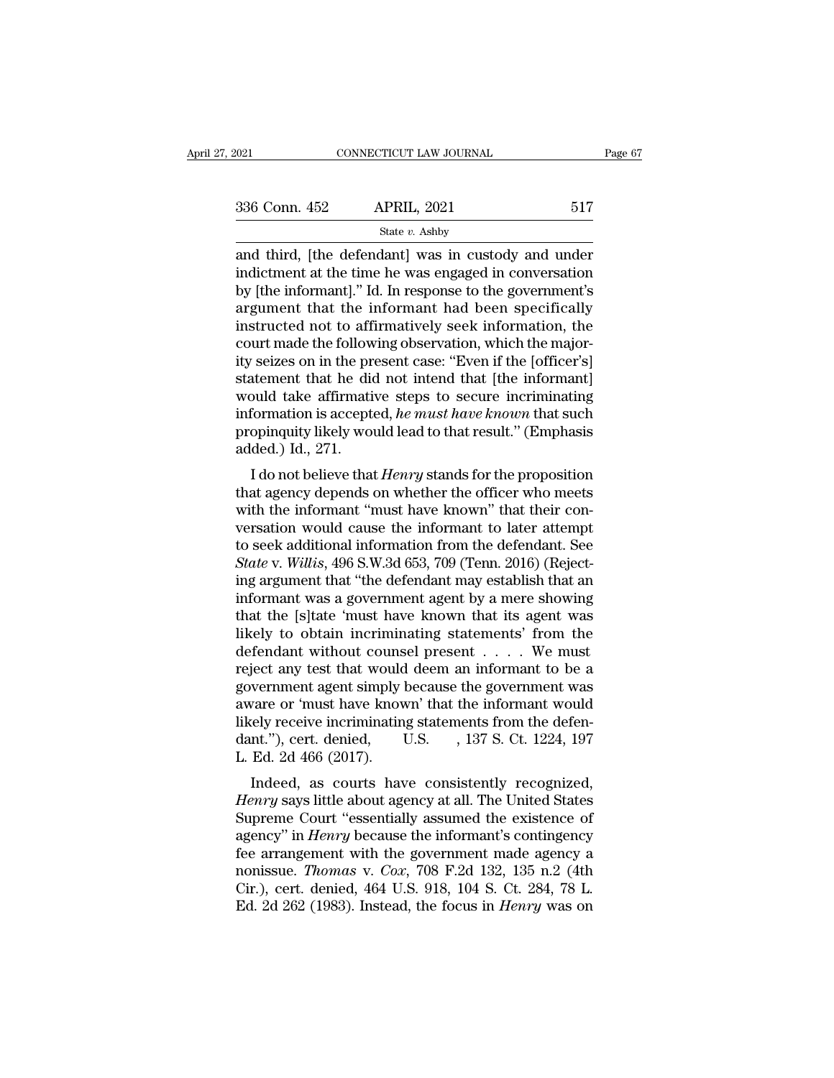| 2021          | CONNECTICUT LAW JOURNAL                                                                                                                                                | Page 67 |
|---------------|------------------------------------------------------------------------------------------------------------------------------------------------------------------------|---------|
| 336 Conn. 452 | <b>APRIL, 2021</b>                                                                                                                                                     | 517     |
|               | State $v$ . Ashby                                                                                                                                                      |         |
|               | and third, [the defendant] was in custody and under<br>indictment at the time he was engaged in conversation<br>by [the informant] "Id In response to the covernment's |         |

336 Conn. 452 APRIL, 2021 517<br>
State  $v$ . Ashby<br>
and third, [the defendant] was in custody and under<br>
indictment at the time he was engaged in conversation<br>
by [the informant]." Id. In response to the government's<br>
argume  $\begin{array}{ccc}\n 336 \text{ Conn. } 452 & \text{APRIL, } 2021 & 517 \\
 \hline\n \text{State } v. \text{ Ashby}\n \end{array}$ <br>
and third, [the defendant] was in custody and under<br>
indictment at the time he was engaged in conversation<br>
by [the informant]." Id. In response to the 336 Conn. 452 APRIL, 2021 517<br>
state  $v$ . Ashby<br>
and third, [the defendant] was in custody and under<br>
indictment at the time he was engaged in conversation<br>
by [the informant]." Id. In response to the government's<br>
argume State v. Ashby<br>
and third, [the defendant] was in custody and under<br>
indictment at the time he was engaged in conversation<br>
by [the informant]." Id. In response to the government's<br>
argument that the informant had been sp state *v*. Ashby<br>and third, [the defendant] was in custody and under<br>indictment at the time he was engaged in conversation<br>by [the informant]." Id. In response to the government's<br>argument that the informant had been speci and third, [the defendant] was in custody and under<br>indictment at the time he was engaged in conversation<br>by [the informant]." Id. In response to the government's<br>argument that the informant had been specifically<br>instructe indictment at the time he was engaged in conversation<br>by [the informant]." Id. In response to the government's<br>argument that the informant had been specifically<br>instructed not to affirmatively seek information, the<br>court m by [the informant]." Id. In response to the government's<br>argument that the informant had been specifically<br>instructed not to affirmatively seek information, the<br>court made the following observation, which the major-<br>ity se argument that the informant had been specifically<br>instructed not to affirmatively seek information, the<br>court made the following observation, which the major-<br>ity seizes on in the present case: "Even if the [officer's]<br>sta instructed not to affirmatively seek information, the<br>court made the following observation, which the major-<br>ity seizes on in the present case: "Even if the [officer's]<br>statement that he did not intend that [the informant] court made the follow<br>ity seizes on in the prestatement that he did<br>would take affirmati<br>information is accepte<br>propinquity likely wou<br>added.) Id., 271.<br>I do not believe that Seizes on in the present case. Even in the formant]<br>
attement that he did not intend that [the informant]<br>
buld take affirmative steps to secure incriminating<br>
formation is accepted, *he must have known* that such<br>
opinqui statement that he tid not intend that [the informatii]<br>would take affirmative steps to secure incriminating<br>information is accepted, he must have known that such<br>propinquity likely would lead to that result." (Emphasis<br>ad

would take animative steps to secure incriminating<br>information is accepted, *he must have known* that such<br>propinquity likely would lead to that result." (Emphasis<br>added.) Id., 271.<br>I do not believe that *Henry* stands fo miorination is accepted, *he must nave known* that such<br>propinquity likely would lead to that result." (Emphasis<br>added.) Id., 271.<br>I do not believe that *Henry* stands for the proposition<br>that agency depends on whether th propinguity intery would lead to that result. (Emphasis added.) Id., 271.<br>I do not believe that *Henry* stands for the proposition<br>that agency depends on whether the officer who meets<br>with the informant "must have known" t *Stated.)* 1d., 271.<br>
I do not believe that *Henry* stands for the proposition<br>
that agency depends on whether the officer who meets<br>
with the informant "must have known" that their con-<br>
versation would cause the informan I do not believe that *Henry* stands for the proposition<br>that agency depends on whether the officer who meets<br>with the informant "must have known" that their con-<br>versation would cause the informant to later attempt<br>to see that agency depends on whether the officer who meets<br>with the informant "must have known" that their con-<br>versation would cause the informant to later attempt<br>to seek additional information from the defendant. See<br>*State* with the informant "must have known" that their conversation would cause the informant to later attempt<br>to seek additional information from the defendant. See<br>State v. Willis, 496 S.W.3d 653, 709 (Tenn. 2016) (Reject-<br>ing versation would cause the informant to later attempt<br>to seek additional information from the defendant. See<br>State v. Willis, 496 S.W.3d 653, 709 (Tenn. 2016) (Reject-<br>ing argument that "the defendant may establish that an<br> to seek additional information from the defendant. See<br> *State* v. *Willis*, 496 S.W.3d 653, 709 (Tenn. 2016) (Reject-<br>
ing argument that "the defendant may establish that an<br>
informant was a government agent by a mere sh State v. Willis, 496 S.W.3d 653, 709 (Tenn. 2016) (Rejecting argument that "the defendant may establish that an informant was a government agent by a mere showing that the [s]tate 'must have known that its agent was likel ing argument that "the defendant may establish that an informant was a government agent by a mere showing<br>that the [s]tate 'must have known that its agent was<br>likely to obtain incriminating statements' from the<br>defendant w informant was a government agent by a mere showing<br>that the [s]tate 'must have known that its agent was<br>likely to obtain incriminating statements' from the<br>defendant without counsel present  $\dots$ . We must<br>reject any test t that the [s]tate 'must have known that its agent was<br>likely to obtain incriminating statements' from the<br>defendant without counsel present  $\dots$ . We must<br>reject any test that would deem an informant to be a<br>government agen likely to obtain incriminating statements' from the<br>defendant without counsel present  $\dots$ . We must<br>reject any test that would deem an informant to be a<br>government agent simply because the government was<br>aware or 'must ha defendant without couns<br>reject any test that would<br>government agent simply l<br>aware or 'must have know<br>likely receive incriminatin<br>dant.''), cert. denied, l<br>L. Ed. 2d 466 (2017).<br>Indeed, as courts hav Example of a set that would deem an informant to be a<br>vernment agent simply because the government was<br>vare or 'must have known' that the informant would<br>rely receive incriminating statements from the defen-<br>nt."), cert. d government agent simply because the government was<br>aware or 'must have known' that the informant would<br>likely receive incriminating statements from the defen-<br>dant."), cert. denied, U.S. , 137 S. Ct. 1224, 197<br>L. Ed. 2d 46

aware of must have known that the mormant would<br>likely receive incriminating statements from the defen-<br>dant."), cert. denied, U.S. , 137 S. Ct. 1224, 197<br>L. Ed. 2d 466 (2017).<br>Indeed, as courts have consistently recognize mery receive incriminating statements from the defendant."), cert. denied, U.S. , 137 S. Ct. 1224, 197 L. Ed. 2d 466 (2017).<br>
Indeed, as courts have consistently recognized, *Henry* says little about agency at all. The Uni L. Ed. 2d 466 (2017).<br>
Indeed, as courts have consistently recognized,<br> *Henry* says little about agency at all. The United States<br>
Supreme Court "essentially assumed the existence of<br>
agency" in *Henry* because the infor L. Ed. 2d 400 (2017).<br>
Indeed, as courts have consistently recognized,<br> *Henry* says little about agency at all. The United States<br>
Supreme Court "essentially assumed the existence of<br>
agency" in *Henry* because the inform Indeed, as courts have consistently recognized,<br>Henry says little about agency at all. The United States<br>Supreme Court "essentially assumed the existence of<br>agency" in Henry because the informant's contingency<br>fee arrangem Henry says little about agency at all. The United States<br>Supreme Court "essentially assumed the existence of<br>agency" in *Henry* because the informant's contingency<br>fee arrangement with the government made agency a<br>nonissue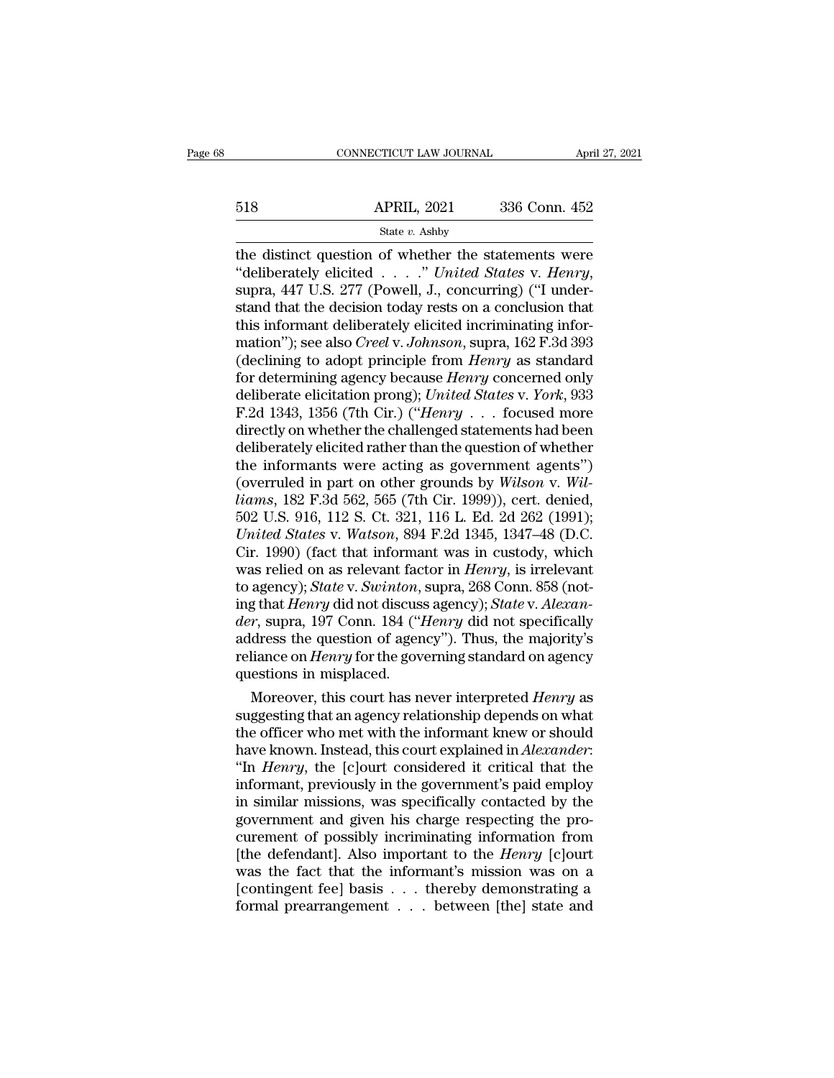# EXECUTE CONNECTICUT LAW JOURNAL April 27, 2021<br>518 APRIL, 2021 336 Conn. 452<br>518 State v. Ashby

# State *v.* Ashby

the distinct question of whether the statements were<br>  $t^2$  and  $t^2$  and  $t^2$  and  $t^2$  and  $t^2$ <br>  $t^2$  and  $t^2$  and  $t^2$  and  $t^2$  and  $t^2$ <br>  $t^2$  and  $t^2$  and  $t^2$  and  $t^2$  and  $t^2$  and  $t^2$ <br>  $t^2$  and  $t^2$  <sup>518</sup><br>
<sup>State v. Ashby<br>
<sup>State v. Ashby<br> **the distinct question of whether the statements were**<br>
"deliberately elicited . . . ." *United States* v. *Henry*,<br>
supra, 447 U.S. 277 (Powell, J., concurring) ("I under-<br>
stand t</sup></sup> S18 APRIL, 2021 336 Conn. 452<br>
State v. Ashby<br>
the distinct question of whether the statements were<br>
"deliberately elicited . . . ." United States v. Henry,<br>
supra, 447 U.S. 277 (Powell, J., concurring) ("I under-<br>
stand 518 **APRIL**, 2021 336 Conn. 452<br>
State v. Ashby<br>
the distinct question of whether the statements were<br>
"deliberately elicited . . . ." United States v. Henry,<br>
supra, 447 U.S. 277 (Powell, J., concurring) ("I under-<br>
stan state *v*. Ashby<br>
the distinct question of whether the statements were<br>
"deliberately elicited . . . . ." United States v. Henry,<br>
supra, 447 U.S. 277 (Powell, J., concurring) ("I under-<br>
stand that the decision today rest the distinct question of whether the statements were<br>
"deliberately elicited . . . ." United States v. Henry,<br>
supra, 447 U.S. 277 (Powell, J., concurring) ("I under-<br>
stand that the decision today rests on a conclusion th "deliberately elicited . . . ." United States v. Henry,<br>supra, 447 U.S. 277 (Powell, J., concurring) ("I under-<br>stand that the decision today rests on a conclusion that<br>this informant deliberately elicited incriminating in supra, 447 U.S. 277 (Powell, J., concurring) ("I understand that the decision today rests on a conclusion that<br>this informant deliberately elicited incriminating infor-<br>mation"); see also *Creel* v. *Johnson*, supra, 162 F stand that the decision today rests on a conclusion that<br>this informant deliberately elicited incriminating infor-<br>mation"); see also *Creel* v. Johnson, supra, 162 F.3d 393<br>(declining to adopt principle from *Henry* as st this informant deliberately elicited incriminating information"); see also *Creel v. Johnson*, supra, 162 F.3d 393<br>(declining to adopt principle from *Henry* as standard<br>for determining agency because *Henry* concerned onl mation"); see also *Creel* v. Johnson, supra, 162 F.3d 393<br>(declining to adopt principle from *Henry* as standard<br>for determining agency because *Henry* concerned only<br>deliberate elicitation prong); *United States* v. *Yo* (declining to adopt principle from *Henry* as standard<br>for determining agency because *Henry* concerned only<br>deliberate elicitation prong); *United States* v. *York*, 933<br>F.2d 1343, 1356 (7th Cir.) ("*Henry* . . . focused for determining agency because *Henry* concerned only<br>deliberate elicitation prong); *United States v. York*, 933<br>F.2d 1343, 1356 (7th Cir.) ("*Henry* . . . focused more<br>directly on whether the challenged statements had be deliberate elicitation prong); *United States v. York*, 933<br>*F.*2d 1343, 1356 (7th Cir.) ("*Henry* . . . focused more<br>directly on whether the challenged statements had been<br>deliberately elicited rather than the question of F.2d 1343, 1356 (7th Cir.) ("*Henry* . . . focused more directly on whether the challenged statements had been deliberately elicited rather than the question of whether the informants were acting as government agents") (o directly on whether the challenged statements had been<br>deliberately elicited rather than the question of whether<br>the informants were acting as government agents")<br>(overruled in part on other grounds by *Wilson* v. *Wil-<br>li* deliberately elicited rather than the question of whether<br>the informants were acting as government agents")<br>(overruled in part on other grounds by *Wilson v. Wil-<br>liams*, 182 F.3d 562, 565 (7th Cir. 1999)), cert. denied,<br>5 the informants were acting as government agents")<br>(overruled in part on other grounds by *Wilson v. Wil-<br>liams*, 182 F.3d 562, 565 (7th Cir. 1999)), cert. denied,<br>502 U.S. 916, 112 S. Ct. 321, 116 L. Ed. 2d 262 (1991);<br>*Un* (overruled in part on other grounds by *Wilson v. Willams*, 182 F.3d 562, 565 (7th Cir. 1999)), cert. denied, 502 U.S. 916, 112 S. Ct. 321, 116 L. Ed. 2d 262 (1991); *United States v. Watson*, 894 F.2d 1345, 1347–48 (D.C. *liams*, 182 F.3d 562, 565 (7th Cir. 1999)), cert. denied, 502 U.S. 916, 112 S. Ct. 321, 116 L. Ed. 2d 262 (1991); *United States v. Watson*, 894 F.2d 1345, 1347–48 (D.C. Cir. 1990) (fact that informant was in custody, whi 502 U.S. 916, 112 S. Ct. 321, 116 L. Ed. 2d 262 (1991);<br>*United States v. Watson*, 894 F.2d 1345, 1347–48 (D.C.<br>Cir. 1990) (fact that informant was in custody, which<br>was relied on as relevant factor in *Henry*, is irreleva United States v. Watson, 894 F.2d 1345, 1347–48 (D.C.<br>Cir. 1990) (fact that informant was in custody, which<br>was relied on as relevant factor in *Henry*, is irrelevant<br>to agency); State v. Swinton, supra, 268 Conn. 858 (not Cir. 1990) (fact that informant was in custody, which<br>was relied on as relevant factor in *Henry*, is irrelevant<br>to agency); *State* v. *Swinton*, supra, 268 Conn. 858 (not-<br>ing that *Henry* did not discuss agency); *State* was relied on as relevant factor agency); State v. Swinton, ing that Henry did not discuss der, supra, 197 Conn. 184 ("I address the question of agen reliance on Henry for the gov questions in misplaced. Moreover, this cou agency); *State* v. *Swinton*, supra, 268 Conn. 858 (not-<br>g that *Henry* did not discuss agency); *State* v. *Alexan-*<br>r, supra, 197 Conn. 184 ("*Henry* did not specifically<br>dress the question of agency"). Thus, the majori ing that *Henry* did not discuss agency); *State* v. *Alexander*, supra, 197 Conn. 184 ("*Henry* did not specifically address the question of agency"). Thus, the majority's reliance on *Henry* for the governing standard on

*der*, supra, 197 Conn. 184 (*"Henry* did not specifically<br>address the question of agency"). Thus, the majority's<br>reliance on *Henry* for the governing standard on agency<br>questions in misplaced.<br>Moreover, this court has ne address the question of agency"). Thus, the majority's<br>reliance on *Henry* for the governing standard on agency<br>questions in misplaced.<br>Moreover, this court has never interpreted *Henry* as<br>suggesting that an agency relati reliance on *Henry* for the governing standard on agency<br>questions in misplaced.<br>Moreover, this court has never interpreted *Henry* as<br>suggesting that an agency relationship depends on what<br>the officer who met with the inf questions in misplaced.<br>
Moreover, this court has never interpreted *Henry* as<br>
suggesting that an agency relationship depends on what<br>
the officer who met with the informant knew or should<br>
have known. Instead, this court Moreover, this court has never interpreted *Henry* as suggesting that an agency relationship depends on what the officer who met with the informant knew or should have known. Instead, this court explained in *Alexander*: " suggesting that an agency relationship depends on what<br>the officer who met with the informant knew or should<br>have known. Instead, this court explained in *Alexander*:<br>"In *Henry*, the [c]ourt considered it critical that th the officer who met with the informant knew or should<br>have known. Instead, this court explained in *Alexander*:<br>"In *Henry*, the [c]ourt considered it critical that the<br>informant, previously in the government's paid employ have known. Instead, this court explained in *Alexander*:<br>"In *Henry*, the [c]ourt considered it critical that the<br>informant, previously in the government's paid employ<br>in similar missions, was specifically contacted by th "In *Henry*, the [c]ourt considered it critical that the<br>informant, previously in the government's paid employ<br>in similar missions, was specifically contacted by the<br>government and given his charge respecting the pro-<br>cur informant, previously in the government's paid employ<br>in similar missions, was specifically contacted by the<br>government and given his charge respecting the pro-<br>curement of possibly incriminating information from<br>[the def in similar missions, was specifically contacted by the government and given his charge respecting the procurement of possibly incriminating information from [the defendant]. Also important to the *Henry* [c]ourt was the f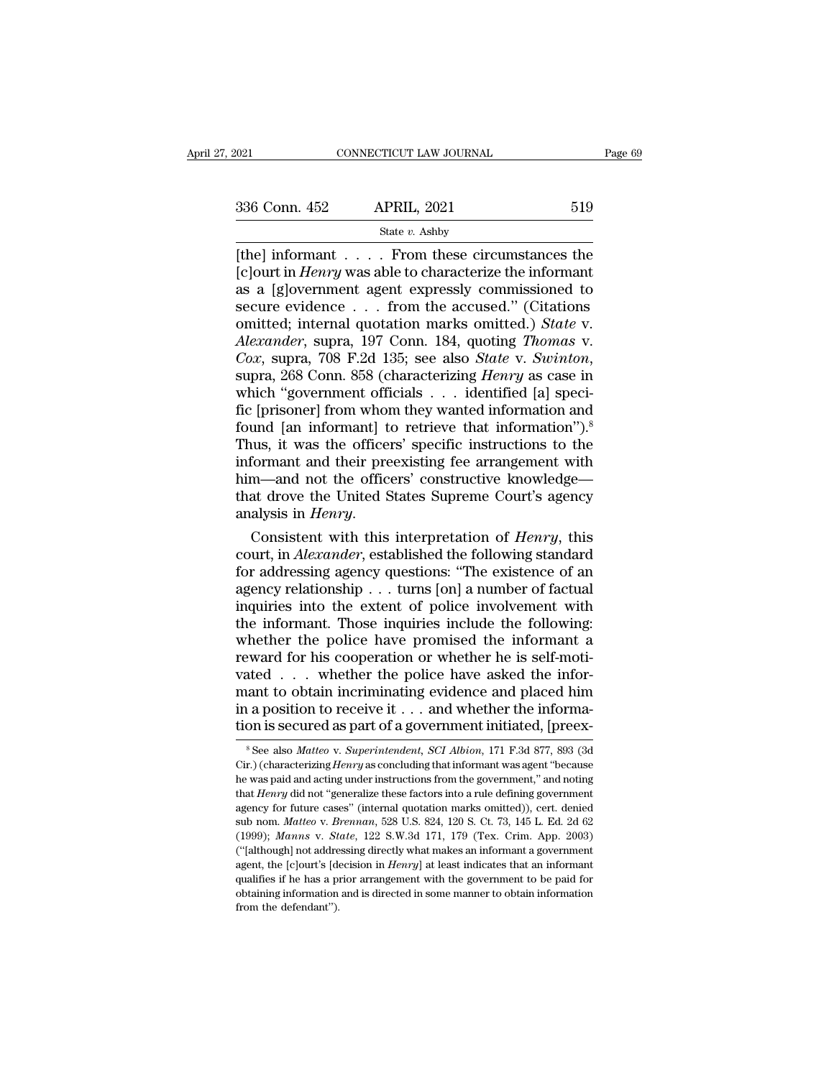State *v.* Ashby

 $\begin{array}{|l|l|} \hline \text{COMNETICUT LAW JOURNAL} \qquad \qquad \text{Page 69} \ \hline \text{336 Conn. 452} & \text{APRIL, 2021} & \text{519} \ \hline \text{State } v. \text{ Ashby} \ \hline \text{[the] informat . . . . . From these circumstances the [c]ourt in *Henry* was able to characterize the informat as a following way.$  $\begin{array}{lll}\n 336 \text{ Conn. } 452 & \text{APRIL, } 2021 & \text{519} \\
 \hline\n & \text{State } v. \text{ Ashby} \\
 \hline\n \text{[the] information . . . . From these circumstances the [c]ourt in *Henry* was able to characterize the informat as a [g]overnment agent expressly commissioned to secure evidence of from the accused "Citations] \n$ 336 Conn. 452 APRIL, 2021 519<br>
State v. Ashby<br>  $[the] \text{ informat } \dots$  From these circumstances the<br>  $[c] \text{ourt in } Henry \text{ was able to characterize the informat}$ <br>
as a [g]overnment agent expressly commissioned to<br>
secure evidence . . . from the accused." (Citations<br>
comi 336 Conn. 452 APRIL, 2021 519<br>
State v. Ashby<br>  $[the] \text{ informat } \dots$  From these circumstances the<br>  $[c] \text{ourt in } Henry \text{ was able to characterize the informat}$ <br>
as a [g]overnment agent expressly commissioned to<br>
secure evidence . . . from the accused.'' (Citations<br>
omi State v. Ashby<br> **Example 2018**<br>
State v. Ashby<br>
[c] informant . . . . . From these circumstances the<br>
[c] informant . . . . . From these circumstances the<br>
as a [g] overnment agent expressly commissioned to<br>
secure eviden *Alexander, State v. Ashby*<br> *Alexander, 1970 was able to characterize the informant*<br> *Alexander, supra, 197 Conn. 184, quoting <i>Thomas v.*<br> *Cox, supra, 708 F.2d 135; see also <i>State v. Swinton,* supra, 268 Conn. 858 (ch *Cox*, suprameterize *Cox*, *Cox*, suprameterize *Cox*, suprameterize *Cox*, supra, 197 Conn. 184, quoting *Thomas v. Cox*, supra, 708 F.2d 135; see also *State v. Swinton*, supra, 268 Conn. 858 (characterizing *Henry* a as a [g]overnment agent expressly commissioned to<br>secure evidence . . . from the accused." (Citations<br>omitted; internal quotation marks omitted.) *State* v.<br>*Alexander*, supra, 197 Conn. 184, quoting *Thomas* v.<br>*Cox*, su secure evidence . . . from the accused." (Citations<br>omitted; internal quotation marks omitted.) *State* v.<br>*Alexander*, supra, 197 Conn. 184, quoting *Thomas* v.<br>*Cox*, supra, 708 F.2d 135; see also *State* v. *Swinton*,<br> omitted; internal quotation marks omitted.) *State v.*<br>Alexander, supra, 197 Conn. 184, quoting *Thomas v.*<br>Cox, supra, 708 F.2d 135; see also *State v. Swinton*,<br>supra, 268 Conn. 858 (characterizing *Henry* as case in<br>whi Alexander, supra, 197 Conn. 184, quoting *Thomas v.*<br>Cox, supra, 708 F.2d 135; see also *State v. Swinton*, supra, 268 Conn. 858 (characterizing *Henry* as case in which "government officials . . . identified [a] specific Cox, supra, 708 F.2d 135; see also *State v. Swinton*,<br>supra, 268 Conn. 858 (characterizing *Henry* as case in<br>which "government officials . . . identified [a] speci-<br>fic [prisoner] from whom they wanted information and<br>f supra, 268 Conn. 858 (characterizing *Henry* as case in<br>which "government officials  $\ldots$  identified [a] speci-<br>fic [prisoner] from whom they wanted information and<br>found [an informant] to retrieve that information").<sup>8</sup><br> which "government officials . . . identified [a] specific [prisoner] from whom they wanted information and found [an informant] to retrieve that information").<sup>8</sup><br>Thus, it was the officers' specific instructions to the in fic [prisoner] from whom they wanted information and<br>found [an informant] to retrieve that information").<sup>8</sup><br>Thus, it was the officers' specific instructions to the<br>informant and their preexisting fee arrangement with<br>him— Thus, it was the officers' specific instructions to the<br>informant and their preexisting fee arrangement with<br>him—and not the officers' constructive knowledge—<br>that drove the United States Supreme Court's agency<br>analysis in

informant and their preexisting fee arrangement with<br>him—and not the officers' constructive knowledge—<br>that drove the United States Supreme Court's agency<br>analysis in *Henry*.<br>Consistent with this interpretation of *Henry* him—and not the officers' constructive knowledge—<br>that drove the United States Supreme Court's agency<br>analysis in *Henry*.<br>Consistent with this interpretation of *Henry*, this<br>court, in *Alexander*, established the follow that drove the United States Supreme Court's agency<br>analysis in *Henry*.<br>Consistent with this interpretation of *Henry*, this<br>court, in *Alexander*, established the following standard<br>for addressing agency questions: "The analysis in *Henry*.<br>
Consistent with this interpretation of *Henry*, this<br>
court, in *Alexander*, established the following standard<br>
for addressing agency questions: "The existence of an<br>
agency relationship . . . turns Consistent with this interpretation of *Henry*, this court, in *Alexander*, established the following standard for addressing agency questions: "The existence of an agency relationship  $\dots$  turns [on] a number of factual court, in Alexander, established the following standard<br>for addressing agency questions: "The existence of an<br>agency relationship . . . turns [on] a number of factual<br>inquiries into the extent of police involvement with<br>t for addressing agency questions: "The existence of an agency relationship . . . turns [on] a number of factual inquiries into the extent of police involvement with the informant. Those inquiries include the following: whe agency relationship . . . turns [on] a number of factual<br>inquiries into the extent of police involvement with<br>the informant. Those inquiries include the following:<br>whether the police have promised the informant a<br>reward f in<br>quiries into the extent of police involvement with the informant. Those inquiries include the following:<br>whether the police have promised the informant a<br>reward for his cooperation or whether he is self-moti-<br>vated . . the informant. Those inquiries include the following:<br>whether the police have promised the informant a<br>reward for his cooperation or whether he is self-moti-<br>vated . . . whether the police have asked the infor-<br>mant to ob ated . . . . whether the police have asked the information to obtain incriminating evidence and placed him a position to receive it . . . and whether the information is secured as part of a government initiated, [preex-<br><sup>8</sup> mant to obtain incriminating evidence and placed him<br>in a position to receive it . . . and whether the informa-<br>tion is secured as part of a government initiated, [preex-<br><sup>8</sup> See also *Matteo* v. *Superintendent*, *SCI Al* 

in a position to receive it . . . and whether the information is secured as part of a government initiated, [preex-<br><sup>8</sup> See also *Matteo v. Superintendent, SCI Albion*, 171 F.3d 877, 893 (3d<br>Cir.) (characterizing *Henry* tion is secured as part of a government initiated, [preex-<br><sup>8</sup> See also *Matteo* v. *Superintendent*, *SCI Albion*, 171 F.3d 877, 893 (3d<br>Cir.) (characterizing *Henry* as concluding that informant was agent "because<br>he was agency for future cases'' (internal quotation marks omitted), [preex-<br>
<sup>8</sup> See also *Matteo* v. *Superintendent*, *SCI Albion*, 171 F.3d 877, 893 (3d<br>
Cir.) (characterizing *Henry* as concluding that informant was agent "b <sup>8</sup> See also *Matteo* v. *Superintendent*, *SCI Albion*, 171 F.3d 877, 893 (3d Cir.) (characterizing *Henry* as concluding that informant was agent "because he was paid and acting under instructions from the government," a <sup>8</sup> See also *Matteo* v. *Superintendent*, *SCI Albion*, 171 F.3d 877, 893 (3d Cir.) (characterizing *Henry* as concluding that informant was agent "because he was paid and acting under instructions from the government," a he was paid and acting under instructions from the government," and noting that *Henry* did not "generalize these factors into a rule defining government agency for future cases" (internal quotation marks omitted)), cert. that *Henry* did not "generalize these factors into a rule defining government agency for future cases" (internal quotation marks omitted)), cert. denied sub nom. *Matteo* v. *Brennan*, 528 U.S. 824, 120 S. Ct. 73, 145 L. agency for future cases" (internal quotation marks omitted)), cert. denied sub nom. *Matteo* v. *Brennan*, 528 U.S. 824, 120 S. Ct. 73, 145 L. Ed. 2d 62 (1999); *Manns* v. *State*, 122 S.W.3d 171, 179 (Tex. Crim. App. 200 sub nom. *Matteo* v. *Brennan*, 528 U.S. 824, 120 S. Ct. 73, 145 L. Ed. 2d 62 (1999); *Manns* v. *State*, 122 S.W.3d 171, 179 (Tex. Crim. App. 2003) ("[although] not addressing directly what makes an informant a governmen (1999); Manns v. State, 122 S.W.3d 171, 179 (Tex. Crim. App. 2003)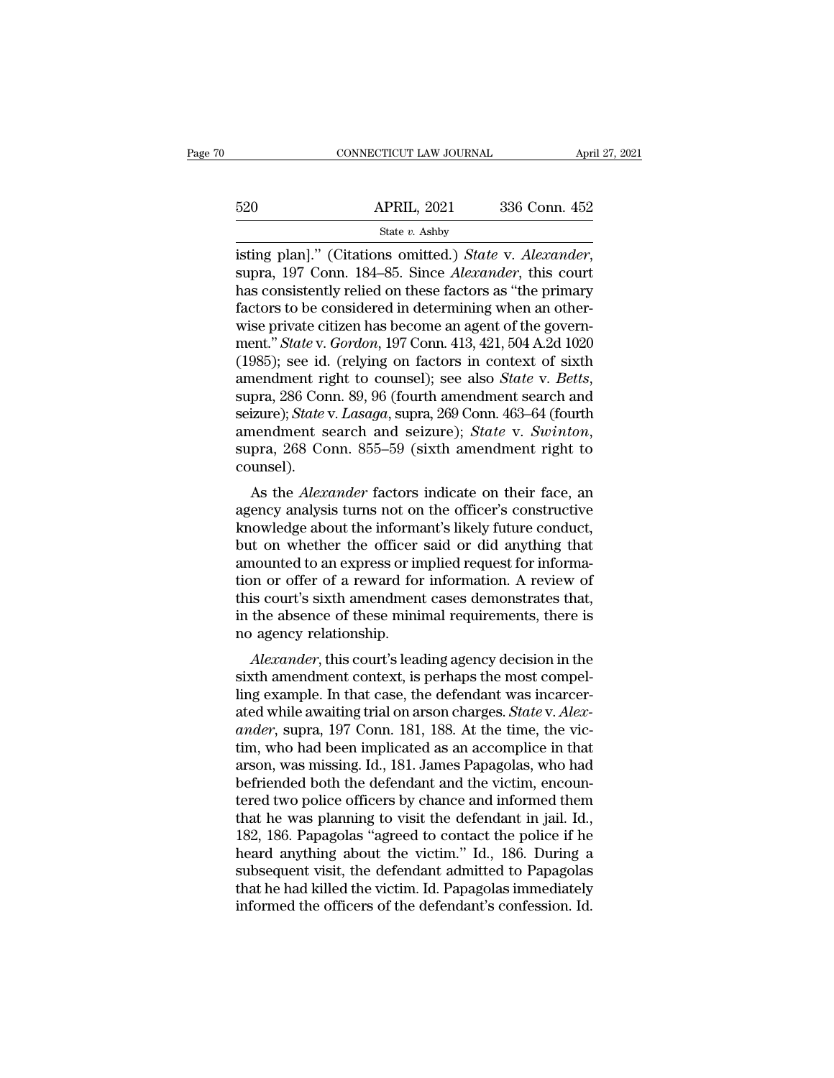|     | CONNECTICUT LAW JOURNAL | April 27, 2021 |  |
|-----|-------------------------|----------------|--|
|     |                         |                |  |
| 520 | <b>APRIL, 2021</b>      | 336 Conn. 452  |  |
|     | State v. Ashby          |                |  |

connecticut LAW JOURNAL April 27, 202<br>
520 APRIL, 2021 336 Conn. 452<br>
<sup>51</sup> State v. Ashby<br>
isting plan].'' (Citations omitted.) *State* v. *Alexander*, supra, 197 Conn. 184–85. Since *Alexander*, this court<br>
has consistent  $\begin{array}{ll}\n 520 & \text{APRIL, } 2021 & 336 \text{ Conn. } 452 \\
 \hline\n \text{State } v. \text{ Ashby} \\
 \hline\n \text{isting plan}]. \end{array}$ <br>  $\begin{array}{ll}\n \text{State } v. \text{ Ashby} \\
 \text{using plan}. \end{array}$ <br>  $\begin{array}{ll}\n \text{State } v. \text{ Alexander,} \\
 \text{Supra, } 197 \text{ Conn. } 184–85. \text{ Since } Alexander, \text{ this court} \\
 \text{has consistently relied on these factors as "the primary factors to be considered in determining when an other-wise private citizen has become an agent of the govern.\n\end{array}$  $\frac{\text{F320}}{\text{State } v. \text{ Ashby}}$ <br>  $\frac{\text{State } v. \text{ Ashby}}{\text{13333}}$ <br>  $\frac{\text{State } v. \text{ Ashby}}{\text{14333}}$ <br>  $\frac{\text{State } v. \text{ Ashby}}{\text{15333}}$ <br>  $\frac{\text{State } v. \text{ Alexander}}{\text{15333}}$ <br>  $\frac{\text{State } v. \text{ Alexander}}{\text{15333}}$ <br>  $\frac{\text{State } v. \text{Alexander}}{\text{15333}}$ <br>  $\frac{\text{State } v. \text{S333}}{\text{15$ State v. Ashby<br>
isting plan]." (Citations omitted.) State v. Alexander,<br>
supra, 197 Conn. 184–85. Since Alexander, this court<br>
has consistently relied on these factors as "the primary<br>
factors to be considered in determin state *v.* Ashby<br>
isting plan]." (Citations omitted.) *State* v. *Alexander*,<br>
supra, 197 Conn. 184–85. Since *Alexander*, this court<br>
has consistently relied on these factors as "the primary<br>
factors to be considered in d isting plan]." (Citations omitted.) *State v. Alexander*, supra, 197 Conn. 184–85. Since *Alexander*, this court has consistently relied on these factors as "the primary factors to be considered in determining when an othe supra, 197 Conn. 184–85. Since *Alexander*, this court<br>has consistently relied on these factors as "the primary<br>factors to be considered in determining when an other-<br>wise private citizen has become an agent of the governfactors to be considered in determining when an other-<br>wise private citizen has become an agent of the govern-<br>ment." *State* v. *Gordon*, 197 Conn. 413, 421, 504 A.2d 1020<br>(1985); see id. (relying on factors in context of wise private citizen has become an agent of the government." *State* v. *Gordon*, 197 Conn. 413, 421, 504 A.2d 1020 (1985); see id. (relying on factors in context of sixth amendment right to counsel); see also *State* v. counsel). rendment right to courser), see also *state* v. *Betts*,<br>pra, 286 Conn. 89, 96 (fourth amendment search and<br>izure); *State* v. *Lasaga*, supra, 269 Conn. 463–64 (fourth<br>nendment search and seizure); *State* v. *Swinton*,<br>p supra, 250 Conn. 59, 90 (fourth amendment search and<br>seizure); *State v. Lasaga*, supra, 269 Conn. 463–64 (fourth<br>amendment search and seizure); *State v. Swinton*,<br>supra, 268 Conn. 855–59 (sixth amendment right to<br>counsel

seizure), state v. Lasaga, supra, 209 Collit. 405–04 (fourth<br>amendment search and seizure); *State v. Swinton*,<br>supra, 268 Conn. 855–59 (sixth amendment right to<br>counsel).<br>As the *Alexander* factors indicate on their face, antendment search and seizure), *State V. Suthion*,<br>supra, 268 Conn. 855–59 (sixth amendment right to<br>counsel).<br>As the *Alexander* factors indicate on their face, an<br>agency analysis turns not on the officer's constructive supra, 208 Comit. 855–59 (sixtif amendment right to counsel).<br>
As the *Alexander* factors indicate on their face, an agency analysis turns not on the officer's constructive<br>
knowledge about the informant's likely future co to a real of these minimal requirements and the absence of the absence of the absence of the absence of the absence of the absence of the absence of the absence of the absence of the absence of the absence of the absence o As the *Alexander* factors indicate on their face, an agency analysis turns not on the officer's constructive knowledge about the informant's likely future conduct, but on whether the officer said or did anything that amou agency analysis turns not on the officer's constructive<br>knowledge about the informant's likely future conduct,<br>but on whether the officer said or did anything that<br>amounted to an express or implied request for informa-<br>tio knowledge about the informa<br>but on whether the officer<br>amounted to an express or in<br>tion or offer of a reward for<br>this court's sixth amendmen<br>in the absence of these mini<br>no agency relationship.<br>Alexander, this court's lea *Alexander*, this court's leading agency decision in the standard area of these minimal requirements, there is<br>agency relationship.<br>Alexander, this court's leading agency decision in the<br>comparator of these minimal require amounted to all express of implied request for information<br>tion or offer of a reward for information. A review of<br>this court's sixth amendment cases demonstrates that,<br>in the absence of these minimal requirements, there is

ling to the different cases demonstrates that,<br>this court's sixth amendment cases demonstrates that,<br>in the absence of these minimal requirements, there is<br>no agency relationship.<br>Alexander, this court's leading agency dec in the absence of these minimal requirements, there is<br>no agency relationship.<br>*Alexander*, this court's leading agency decision in the<br>sixth amendment context, is perhaps the most compel-<br>ling example. In that case, the d *ander*, this court's leading agency decision in the sixth amendment context, is perhaps the most compelling example. In that case, the defendant was incarcerated while awaiting trial on arson charges. *State v. Alexander* Alexander, this court's leading agency decision in the<br>sixth amendment context, is perhaps the most compel-<br>ling example. In that case, the defendant was incarcer-<br>ated while awaiting trial on arson charges. State v. Alex-Alexander, this court's leading agency decision in the<br>sixth amendment context, is perhaps the most compel-<br>ling example. In that case, the defendant was incarcer-<br>ated while awaiting trial on arson charges. *State v. Alex* sixth amendment context, is perhaps the most compelling example. In that case, the defendant was incarcerated while awaiting trial on arson charges. *State* v. Alexander, supra, 197 Conn. 181, 188. At the time, the victim, ling example. In that case, the defendant was incarcer-<br>ated while awaiting trial on arson charges. *State* v. *Alex-*<br>ander, supra, 197 Conn. 181, 188. At the time, the vic-<br>tim, who had been implicated as an accomplice i ated while awaiting trial on arson charges. *State* v. *Alexander*, supra, 197 Conn. 181, 188. At the time, the victim, who had been implicated as an accomplice in that arson, was missing. Id., 181. James Papagolas, who ha ander, supra, 197 Conn. 181, 188. At the time, the victim, who had been implicated as an accomplice in that arson, was missing. Id., 181. James Papagolas, who had befriended both the defendant and the victim, encountered t tim, who had been implicated as an accomplice in that<br>arson, was missing. Id., 181. James Papagolas, who had<br>befriended both the defendant and the victim, encoun-<br>tered two police officers by chance and informed them<br>that arson, was missing. Id., 181. James Papagolas, who had<br>befriended both the defendant and the victim, encoun-<br>tered two police officers by chance and informed them<br>that he was planning to visit the defendant in jail. Id.,<br>1 befriended both the defendant and the victim, encountered two police officers by chance and informed them<br>that he was planning to visit the defendant in jail. Id.,<br>182, 186. Papagolas "agreed to contact the police if he<br>he tered two police officers by chance and informed them<br>that he was planning to visit the defendant in jail. Id.,<br>182, 186. Papagolas "agreed to contact the police if he<br>heard anything about the victim." Id., 186. During a<br>s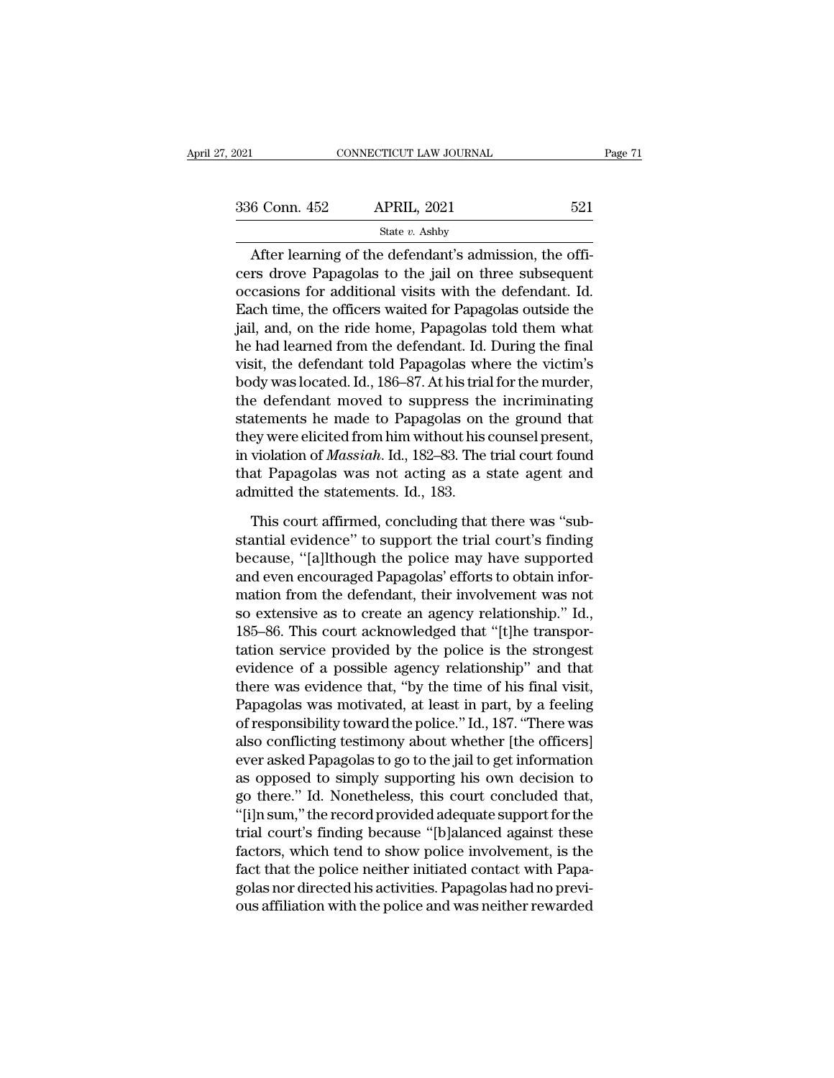| 2021          | CONNECTICUT LAW JOURNAL                                                                                                                                                  |     | Page 71 |
|---------------|--------------------------------------------------------------------------------------------------------------------------------------------------------------------------|-----|---------|
|               |                                                                                                                                                                          |     |         |
| 336 Conn. 452 | <b>APRIL, 2021</b>                                                                                                                                                       | 521 |         |
|               | State $v$ . Ashby                                                                                                                                                        |     |         |
|               | After learning of the defendant's admission, the offi-<br>cers drove Papagolas to the jail on three subsequent<br>essessions for additional visits with the defendant Id |     |         |

336 Conn. 452 APRIL, 2021 521<br>
State  $v$ . Ashby<br>
After learning of the defendant's admission, the officers drove Papagolas to the jail on three subsequent<br>
occasions for additional visits with the defendant. Id.<br>
Fock tim 336 Conn. 452 APRIL, 2021 521<br>
State v. Ashby<br>
After learning of the defendant's admission, the officers drove Papagolas to the jail on three subsequent<br>
occasions for additional visits with the defendant. Id.<br>
Each time, 336 Conn. 452 APRIL, 2021 521<br>
State v. Ashby<br>
After learning of the defendant's admission, the officers drove Papagolas to the jail on three subsequent<br>
occasions for additional visits with the defendant. Id.<br>
Each time, State  $v$ . Ashby<br>
After learning of the defendant's admission, the officers drove Papagolas to the jail on three subsequent<br>
occasions for additional visits with the defendant. Id.<br>
Each time, the officers waited for Papa After learning of the defendant's admission, the officers drove Papagolas to the jail on three subsequent occasions for additional visits with the defendant. Id. Each time, the officers waited for Papagolas outside the ja After learning of the defendant's admission, the officers drove Papagolas to the jail on three subsequent<br>occasions for additional visits with the defendant. Id.<br>Each time, the officers waited for Papagolas outside the<br>jai cers drove Papagolas to the jail on three subsequent<br>occasions for additional visits with the defendant. Id.<br>Each time, the officers waited for Papagolas outside the<br>jail, and, on the ride home, Papagolas told them what<br>he occasions for additional visits with the defendant. Id.<br>Each time, the officers waited for Papagolas outside the<br>jail, and, on the ride home, Papagolas told them what<br>he had learned from the defendant. Id. During the final Each time, the officers waited for Papagolas outside the<br>jail, and, on the ride home, Papagolas told them what<br>he had learned from the defendant. Id. During the final<br>visit, the defendant told Papagolas where the victim's jail, and, on the ride home, Papagolas told them what<br>he had learned from the defendant. Id. During the final<br>visit, the defendant told Papagolas where the victim's<br>body was located. Id., 186–87. At his trial for the murde he had learned from the defendant. Id. During the final<br>visit, the defendant told Papagolas where the victim's<br>body was located. Id., 186–87. At his trial for the murder,<br>the defendant moved to suppress the incriminating<br>s visit, the defendant told Papagolas where the victim's<br>body was located. Id., 186–87. At his trial for the murder,<br>the defendant moved to suppress the incriminating<br>statements he made to Papagolas on the ground that<br>they w body was located. Id., 186–87. At his tria<br>the defendant moved to suppress th<br>statements he made to Papagolas on<br>they were elicited from him without his<br>in violation of *Massiah*. Id., 182–83. The<br>that Papagolas was not ac atements he made to Papagolas on the ground that<br>ey were elicited from him without his counsel present,<br>violation of *Massiah*. Id., 182–83. The trial court found<br>at Papagolas was not acting as a state agent and<br>mitted the they were elicited from him without his counsel present,<br>in violation of *Massiah*. Id., 182–83. The trial court found<br>that Papagolas was not acting as a state agent and<br>admitted the statements. Id., 183.<br>This court affirm

in violation of *Massiah*. Id., 182–83. The trial court found<br>that Papagolas was not acting as a state agent and<br>admitted the statements. Id., 183.<br>This court affirmed, concluding that there was "sub-<br>stantial evidence" to that Papagolas was not acting as a state agent and<br>admitted the statements. Id., 183.<br>This court affirmed, concluding that there was "sub-<br>stantial evidence" to support the trial court's finding<br>because, "[a]lthough the po admitted the statements. Id., 183.<br>This court affirmed, concluding that there was "substantial evidence" to support the trial court's finding<br>because, "[a]lthough the police may have supported<br>and even encouraged Papagolas This court affirmed, concluding that there was "substantial evidence" to support the trial court's finding because, "[a]lthough the police may have supported and even encouraged Papagolas' efforts to obtain information fro This court affirmed, concluding that there was "substantial evidence" to support the trial court's finding<br>because, "[a]lthough the police may have supported<br>and even encouraged Papagolas' efforts to obtain infor-<br>mation f stantial evidence" to support the trial court's finding<br>because, "[a]lthough the police may have supported<br>and even encouraged Papagolas' efforts to obtain infor-<br>mation from the defendant, their involvement was not<br>so ext because, "[a]lthough the police may have supported<br>and even encouraged Papagolas' efforts to obtain infor-<br>mation from the defendant, their involvement was not<br>so extensive as to create an agency relationship." Id.,<br>185–86 and even encouraged Papagolas' efforts to obtain information from the defendant, their involvement was not<br>so extensive as to create an agency relationship." Id.,<br>185–86. This court acknowledged that "[t]he transpor-<br>tatio mation from the defendant, their involvement was not<br>so extensive as to create an agency relationship." Id.,<br>185–86. This court acknowledged that "[t]he transpor-<br>tation service provided by the police is the strongest<br>evid so extensive as to create an agency relationship." Id.,<br>185–86. This court acknowledged that "[t]he transpor-<br>tation service provided by the police is the strongest<br>evidence of a possible agency relationship" and that<br>ther 185–86. This court acknowledged that "[t]he transportation service provided by the police is the strongest evidence of a possible agency relationship" and that there was evidence that, "by the time of his final visit, Pap tation service provided by the police is the strongest<br>evidence of a possible agency relationship" and that<br>there was evidence that, "by the time of his final visit,<br>Papagolas was motivated, at least in part, by a feeling<br> evidence of a possible agency relationship" and that<br>there was evidence that, "by the time of his final visit,<br>Papagolas was motivated, at least in part, by a feeling<br>of responsibility toward the police." Id., 187. "There there was evidence that, "by the time of his final visit,<br>Papagolas was motivated, at least in part, by a feeling<br>of responsibility toward the police." Id., 187. "There was<br>also conflicting testimony about whether [the off Papagolas was motivated, at least in part, by a feeling<br>of responsibility toward the police." Id., 187. "There was<br>also conflicting testimony about whether [the officers]<br>ever asked Papagolas to go to the jail to get infor of responsibility toward the police." Id., 187. "There was<br>also conflicting testimony about whether [the officers]<br>ever asked Papagolas to go to the jail to get information<br>as opposed to simply supporting his own decision also conflicting testimony about whether [the officers]<br>ever asked Papagolas to go to the jail to get information<br>as opposed to simply supporting his own decision to<br>go there." Id. Nonetheless, this court concluded that,<br>" ever asked Papagolas to go to the jail to get information<br>as opposed to simply supporting his own decision to<br>go there." Id. Nonetheless, this court concluded that,<br>"[i]n sum," the record provided adequate support for the<br> as opposed to simply supporting his own decision to<br>go there." Id. Nonetheless, this court concluded that,<br>"[i]n sum," the record provided adequate support for the<br>trial court's finding because "[b]alanced against these<br>fa go there." Id. Nonetheless, this court concluded that,<br>"[i]n sum," the record provided adequate support for the<br>trial court's finding because "[b]alanced against these<br>factors, which tend to show police involvement, is the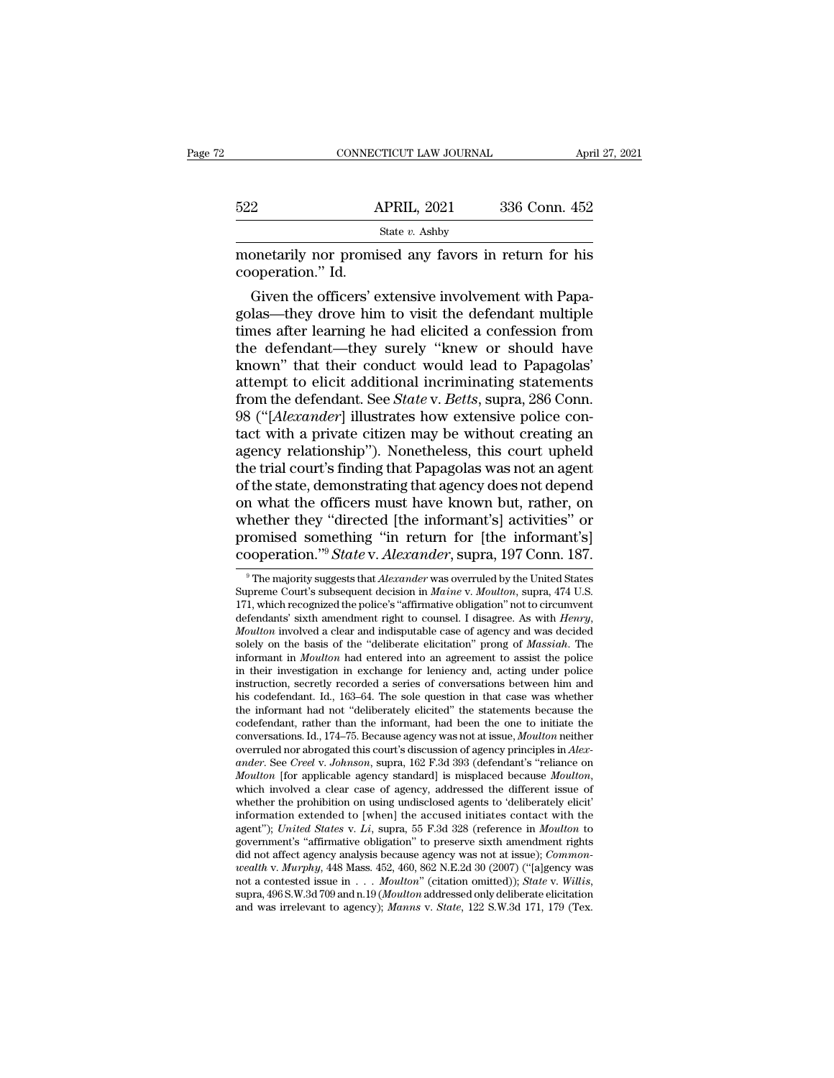|                   | CONNECTICUT LAW JOURNAL                                                                                                                                                | April 27, 2021 |
|-------------------|------------------------------------------------------------------------------------------------------------------------------------------------------------------------|----------------|
|                   |                                                                                                                                                                        |                |
| 522               | <b>APRIL, 2021</b>                                                                                                                                                     | 336 Conn. 452  |
|                   | State $v$ . Ashby                                                                                                                                                      |                |
| cooperation." Id. | monetarily nor promised any favors in return for his                                                                                                                   |                |
|                   | Given the officers' extensive involvement with Papa-<br>golas—they drove him to visit the defendant multiple<br>times after learning he had elicited a confession from |                |

 $\begin{array}{r} \text{522} & \text{APRIL, 2021} & \text{336 Conn. 452} \\ \text{State } v. \text{ Ashby} \\ \text{monetarily nor promised any favors in return for his cooperation." Id. \\ \text{Given the officers' extensive involvement with Papagolas—they drove him to visit the defendant multiple times after learning he had elicited acofession from the defendant—they surely, "knew or should have$ </mark> State v. Ashby<br>
monetarily nor promised any favors in return for his<br>
cooperation." Id.<br>
Given the officers' extensive involvement with Papa-<br>
golas—they drove him to visit the defendant multiple<br>
times after learning he monetarily nor promised any favors in return for his<br>cooperation." Id.<br>Given the officers' extensive involvement with Papa-<br>golas—they drove him to visit the defendant multiple<br>times after learning he had elicited a confes monetarily nor promised any favors in return for his<br>cooperation." Id.<br>Given the officers' extensive involvement with Papa-<br>golas—they drove him to visit the defendant multiple<br>times after learning he had elicited a confes cooperation." Id.<br>
Given the officers' extensive involvement with Papagolas—they drove him to visit the defendant multiple<br>
times after learning he had elicited a confession from<br>
the defendant—they surely "knew or should Given the officers' extensive involvement with Papagolas—they drove him to visit the defendant multiple<br>times after learning he had elicited a confession from<br>the defendant—they surely "knew or should have<br>known" that thei golas—they drove him to visit the defendant multiple<br>times after learning he had elicited a confession from<br>the defendant—they surely "knew or should have<br>known" that their conduct would lead to Papagolas'<br>attempt to elici times after learning he had elicited a confession from<br>the defendant—they surely "knew or should have<br>known" that their conduct would lead to Papagolas'<br>attempt to elicit additional incriminating statements<br>from the defend the defendant—they surely "knew or should have<br>known" that their conduct would lead to Papagolas'<br>attempt to elicit additional incriminating statements<br>from the defendant. See *State* v. *Betts*, supra, 286 Conn.<br>98 ("[*Al* known" that their conduct would lead to Papagolas'<br>attempt to elicit additional incriminating statements<br>from the defendant. See *State* v. *Betts*, supra, 286 Conn.<br>98 ("[*Alexander*] illustrates how extensive police conattempt to elicit additional incriminating statements<br>from the defendant. See *State* v. *Betts*, supra, 286 Conn.<br>98 ("[*Alexander*] illustrates how extensive police con-<br>tact with a private citizen may be without creatin from the defendant. See *State* v. *Betts*, supra, 286 Conn.<br>98 ("[*Alexander*] illustrates how extensive police con-<br>tact with a private citizen may be without creating an<br>agency relationship"). Nonetheless, this court up 98 ("[*Alexander*] illustrates how extensive police contact with a private citizen may be without creating an agency relationship"). Nonetheless, this court upheld the trial court's finding that Papagolas was not an agent tact with a private citizen may be without creating an agency relationship"). Nonetheless, this court upheld the trial court's finding that Papagolas was not an agent of the state, demonstrating that agency does not depend agency relationship"). Nonetheless, this court upheld<br>the trial court's finding that Papagolas was not an agent<br>of the state, demonstrating that agency does not depend<br>on what the officers must have known but, rather, on<br>w many what the officers must have known but, rather, on<br>hether they "directed [the informant's] activities" or<br>romised something "in return for [the informant's]<br>poperation."<sup>9</sup> *State* v. *Alexander*, supra, 197 Conn. 187. Whether they "directed [the informant's] activities" or<br>promised something "in return for [the informant's]<br>cooperation."<sup>9</sup> *State* v. *Alexander*, supra, 197 Conn. 187.<br><sup>9</sup> The majority suggests that *Alexander* was over

promised something "in return for [the informant's]<br>cooperation."<sup>9</sup> *State* v. *Alexander*, supra, 197 Conn. 187.<br><sup>•</sup> The majority suggests that *Alexander* was overruled by the United States<br>Supreme Court's subsequent de cooperation."<sup>9</sup> State v. Alexander, supra, 197 Conn. 187.<br>
<sup>9</sup> The majority suggests that *Alexander* was overruled by the United States<br>
Supreme Court's subsequent decision in *Maine* v. *Moulton*, supra, 474 U.S.<br>
171, <sup>9</sup> The majority suggests that *Alexander* was overruled by the United States Supreme Court's subsequent decision in *Maine* v. *Moulton*, supra, 474 U.S. 171, which recognized the police's "affirmative obligation" not to <sup>9</sup> The majority suggests that *Alexander* was overruled by the United States Supreme Court's subsequent decision in *Maine* v. *Moulton*, supra, 474 U.S. 171, which recognized the police's "affirmative obligation" not to Supreme Court's subsequent decision in *Maine* v. *Moulton*, supra, 474 U.S. 171, which recognized the police's "affirmative obligation" not to circumvent defendants' sixth amendment right to counsel. I disagree. As with 171, which recognized the police's "affirmative obligation" not to circumvent<br>defendants' sixth amendment right to counsel. I disagree. As with *Henry*,<br>*Moulton* involved a clear and indisputable case of agency and was de defendants' sixth amendment right to counsel. I disagree. As with *Henry,* Moulton involved a clear and indisputable case of agency and was decided solely on the basis of the "deliberate elicitation" prong of Massiah. The *Moulton* involved a clear and indisputable case of agency and was decided solely on the basis of the "deliberate elicitation" prong of *Massiah*. The informant in *Moulton* had entered into an agreement to assist the poli solely on the basis of the "deliberate elicitation" prong of *Massiah*. The<br>informant in *Moulton* had entered into an agreement to assist the police<br>in their investigation in exchange for leniency and, acting under police informant in *Moulton* had entered into an agreement to assist the police<br>in their investigation in exchange for leniency and, acting under police<br>instruction, secretly recorded a series of conversations between him and<br>hi in their investigation in exchange for leniency and, acting under police<br>instruction, secretly recorded a series of conversations between him and<br>his codefendant. Id., 163–64. The sole question in that case was whether<br>the instruction, secretly recorded a series of conversations between him and<br>his codefendant. Id., 163–64. The sole question in that case was whether<br>the informant had not "deliberately elicited" the statements because the<br>cod *Moulton* **Example agency Example agency Example agency Moulton Example and Monderately** elicited" the statements because the codefendant, rather than the informant, had been the one to initiate the conversations codefendant, rather than the informant, had been the one to initiate the conversations. Id., 174–75. Because agency was not at issue, *Moulton* neither overruled nor abrogated this court's discussion of agency principles conversations. Id., 174–75. Because agency was not at issue, *Moulton* neither overruled nor abrogated this court's discussion of agency principles in *Alexander*. See *Creel v. Johnson*, supra, 162 F.3d 393 (defendant's overruled nor abrogated this court's discussion of agency principles in *Alexander*. See *Creel v. Johnson*, supra, 162 F.3d 393 (defendant's "reliance on *Moulton* [for applicable agency standard] is misplaced because *Mo* ander. See Creel v. Johnson, supra, 162 F.3d 393 (defendant's "reliance on *Moulton* [for applicable agency standard] is misplaced because *Moulton*, which involved a clear case of agency, addressed the different issue of Moulton [for applicable agency standard] is misplaced because Moulton, which involved a clear case of agency, addressed the different issue of whether the prohibition on using undisclosed agents to 'deliberately elicit' in *which involved a clear case of agency, addressed the different issue of whether the prohibition on using undisclosed agents to 'deliberately elicit' information extended to [when] the accused initiates contact with the ag* whether the prohibition on using undisclosed agents to 'deliberately elicit'<br>information extended to [when] the accused initiates contact with the<br>agent"); *United States* v. *Li*, supra, 55 F.3d 328 (reference in *Moulton* government's "affirmative obligation" to preserve sixth amendment rights<br>did not affect agency analysis because agency was not at issue); *Common-*<br>*wealth* v. *Murphy*, 448 Mass. 452, 460, 862 N.E.2d 30 (2007) ("[a]gency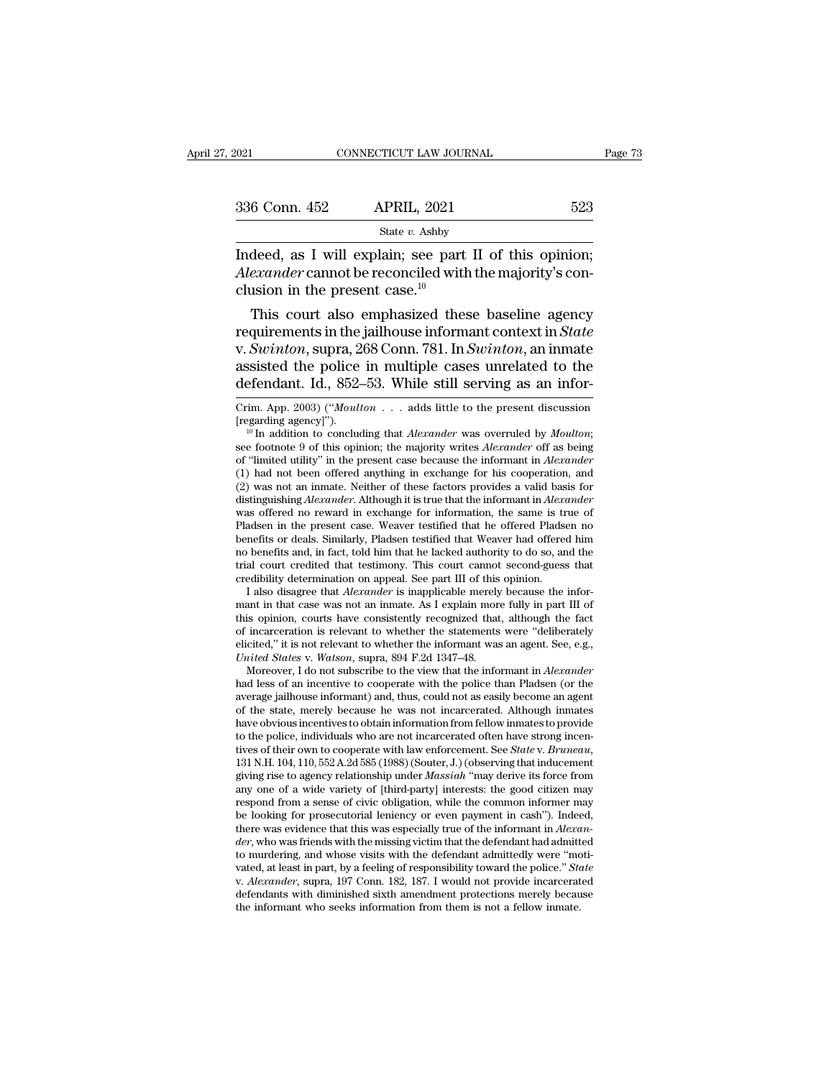| 2021          | CONNECTICUT LAW JOURNAL | Page 73 |  |
|---------------|-------------------------|---------|--|
| 336 Conn. 452 | <b>APRIL, 2021</b>      | 523     |  |
|               | State $v$ . Ashby       |         |  |

Fage<br>
1021 CONNECTICUT LAW JOURNAL Page<br>
236 Conn. 452 APRIL, 2021 523<br>
523<br>
528 State v. Ashby<br>
Indeed, as I will explain; see part II of this opinion;<br> *Alexander* cannot be reconciled with the majority's conclusion in <sup>336</sup> Conn. 452 **APRIL**, 2021 523<br>
<sup>State v. Ashby<br>
Indeed, as I will explain; see part II of this opinion;<br> *Alexander* cannot be reconciled with the majority's conclusion in the present case.<sup>10</sup></sup> 336 Conn. 452 APRIL, 2021<br>
State v. Ashby<br>
Indeed, as I will explain; see part<br>
Alexander cannot be reconciled with<br>
clusion in the present case.<sup>10</sup><br>
This court also emphasized the 6 Conn. 452 APRIL, 2021 523<br>
State v. Ashby<br>
deed, as I will explain; see part II of this opinion;<br>
exander cannot be reconciled with the majority's con-<br>
usion in the present case.<sup>10</sup><br>
This court also emphasized these b

State v. Ashby<br>Indeed, as I will explain; see part II of this opinion;<br>Alexander cannot be reconciled with the majority's con-<br>clusion in the present case.<sup>10</sup><br>This court also emphasized these baseline agency<br>requirements Indeed, as I will explain; see part II of this opinion;<br>*Alexander* cannot be reconciled with the majority's conclusion in the present case.<sup>10</sup><br>This court also emphasized these baseline agency<br>requirements in the jailhous mate as 1 will explain; see part II of this opinion;<br>Alexander cannot be reconciled with the majority's conclusion in the present case.<sup>10</sup><br>This court also emphasized these baseline agency<br>requirements in the jailhouse in Alexander cannot be reconciled with the majority's conclusion in the present case.<sup>10</sup><br>
This court also emphasized these baseline agency<br>
requirements in the jailhouse informant context in *State*<br>
v. *Swinton*, supra, 26 requirements in the jailhouse informant context in *State*<br>v. *Swinton*, supra, 268 Conn. 781. In *Swinton*, an inmate<br>assisted the police in multiple cases unrelated to the<br>defendant. Id., 852–53. While still serving as a v. Swinton, supra, 268 Conn. 781. In Swinton, an inmate<br>assisted the police in multiple cases unrelated to the<br>defendant. Id., 852–53. While still serving as an infor-<br>Crim. App. 2003) ("*Moulton* . . . adds little to the

benefits or deals. Similarly, Pladsen testified that Weaver had offered him<br>no benefits and, in fact, told him that he lacked authority to do so, and the<br>trial court credited that testimony. This court cannot second-guess no benefits and, in fact, told him that he lacked authority to do so, and the trial court credited that testimony. This court cannot second-guess that credibility determination on appeal. See part III of this opinion. I a trial court credited that testimony. This court cannot second-guess that credibility determination on appeal. See part III of this opinion. I also disagree that *Alexander* is inapplicable merely because the informant in t credibility determination on appeal. See part III of this opinion.<br> *I* also disagree that *Alexander* is inapplicable merely because the informant in that case was not an inmate. As I explain more fully in part III of thi I also disagree that *Alexander* is inapplicable merely because the informant in that case was not an inmate. As I explain more fully in part III of is opinion, courts have consistently recognized that, although the fact i mant in that case was not an inmate. As I explain more fully in part III of this opinion, courts have consistently recognized that, although the fact of incarceration is relevant to whether the statements were "deliberate

this opinion, courts have consistently recognized that, although the fact of incarceration is relevant to whether the statements were "deliberately elicited," it is not relevant to whether the informant was an agent. See, of incarceration is relevant to whether the statements were "deliberately<br>elicited," it is not relevant to whether the informant was an agent. See, e.g.,<br>*United States* v. *Watson*, supra, 894 F.2d 1347–48.<br>Moreover, I d elicited," it is not relevant to whether the informant was an agent. See, e.g., *United States* v. *Watson*, supra, 894 F.2d 1347–48. Moreover, I do not subscribe to the view that the informant in *Alexander* had less of a average jailhouse informant) and, thus, could not as easily become an agent<br>of the state, merely because he was not incarcerated. Although inmates<br>have obvious incentives to obtain information from fellow inmates to provid Moreover, I do not subscribe to the view that the informant in *Alexander* had less of an incentive to cooperate with the police than Pladsen (or the average jailhouse informant) and, thus, could not as easily become an ag average jailhouse informant) and, thus, could not as easily become an agent<br>of the state, merely because he was not incarcerated. Although inmates<br>have obvious incentives to obtain information from fellow inmates to provid of the state, merely because he was not incarcerated. Although inmates<br>have obvious incentives to obtain information from fellow inmates to provide<br>to the police, individuals who are not incarcerated often have strong inc have obvious incentives to obtain information from fellow inmates to provide<br>to the police, individuals who are not incarcerated often have strong incen-<br>tives of their own to cooperate with law enforcement. See *State* v. to the police, individuals who are not incarcerated often have strong incentives of their own to cooperate with law enforcement. See *State* v. *Bruneau*, 131 N.H. 104, 110, 552 A.2d 585 (1988) (Souter, J.) (observing tha tives of their own to cooperate with law enforcement. See *State* v. *Bruneau*, 131 N.H. 104, 110, 552 A.2d 585 (1988) (Souter, J.) (observing that inducement giving rise to agency relationship under *Massiah* "may derive 131 N.H. 104, 110, 552 A.2d 585 (1988) (Souter, J.) (observing that inducement<br>giving rise to agency relationship under *Massiah* "may derive its force from<br>any one of a wide variety of [third-party] interests: the good ci giving rise to agency relationship under *Massiah* "may derive its force from<br>any one of a wide variety of [third-party] interests: the good citizen may<br>respond from a sense of civic obligation, while the common informer at a feeling of a wide variety of [third-party] interests: the good citizen may<br>respond from a sense of civic obligation, while the common informer may<br>be looking for prosecutorial leniency or even payment in cash"). Indee be looking for prosecutorial leniency or even payment in cash"). Indeed, there was evidence that this was especially true of the informant in *Alexander*, who was friends with the missing victim that the defendant had adm to murdering, and whose visits with the defendant admittedly were "motivated, at least in part, by a feeling of responsibility toward the police." State v. Alexander, supra, 197 Conn. 182, 187. I would not provide incarcer

assisted the police in multiple cases unrelated to the<br>defendant. Id., 852–53. While still serving as an infor-<br>Crim. App. 2003) ("*Moulton* . . . adds little to the present discussion<br>[regarding agency]").<br><sup>10</sup> In additio defendant. Id., 852–53. While still serving as an infor-<br>
Crim. App. 2003) ("*Moulton* . . . adds little to the present discussion<br>
[regarding agency]").<br>
<sup>10</sup> In addition to concluding that *Alexander* was overruled by Crim. App. 2003) ("*Moulton* . . . adds little to the present discussion [regarding agency]").<br>
<sup>10</sup> In addition to concluding that *Alexander* was overruled by *Moulton*;<br>
see footnote 9 of this opinion; the majority wri Crim. App. 2003) ("*Moulton* . . . adds little to the present discussion [regarding agency]").<br>
<sup>10</sup> In addition to concluding that *Alexander* was overruled by *Moulton*;<br>
see footnote 9 of this opinion; the majority wri [regarding agency]").<br><sup>10</sup> In addition to concluding that *Alexander* was overruled by *Moulton*;<br>see footnote 9 of this opinion; the majority writes *Alexander* off as being<br>of "limited utility" in the present case becaus <sup>10</sup> In addition to concluding that *Alexander* was overruled by *Moulton*;<br>see footnote 9 of this opinion; the majority writes *Alexander* off as being<br>of "limited utility" in the present case because the informant in *A* see footnote 9 of this opinion; the majority writes *Alexander* off as being<br>of "limited utility" in the present case because the informant in *Alexander*<br>(1) had not been offered anything in exchange for his cooperation, of "limited utility" in the present case because the informant in *Alexander* (1) had not been offered anything in exchange for his cooperation, and (2) was not an inmate. Neither of these factors provides a valid basis f (1) had not been offered anything in exchange for his cooperation, and (2) was not an inmate. Neither of these factors provides a valid basis for distinguishing *Alexander*. Although it is true that the informant in *Alex* (2) was not an inmate. Neither of these factors provides a valid basis for distinguishing *Alexander*. Although it is true that the informant in *Alexander* was offered no reward in exchange for information, the same is t distinguishing *Alexander*. Although it is true that the informant in *Alexander* was offered no reward in exchange for information, the same is treads benefits or deals. Similarly, Pladsen testified that Weaver had offere as offered no reward in exchange for information, the same is true of adsen in the present case. Weaver testified that he offered Pladsen no mefits or deals. Similarly, Pladsen testified that Weaver had offered him benefit Pladsen in the present case. Weaver testified that he offered Pladsen no<br>benefits or deals. Similarly, Pladsen testified that Weaver had offered him<br>no benefits and, in fact, told him that he lacked authority to do so, and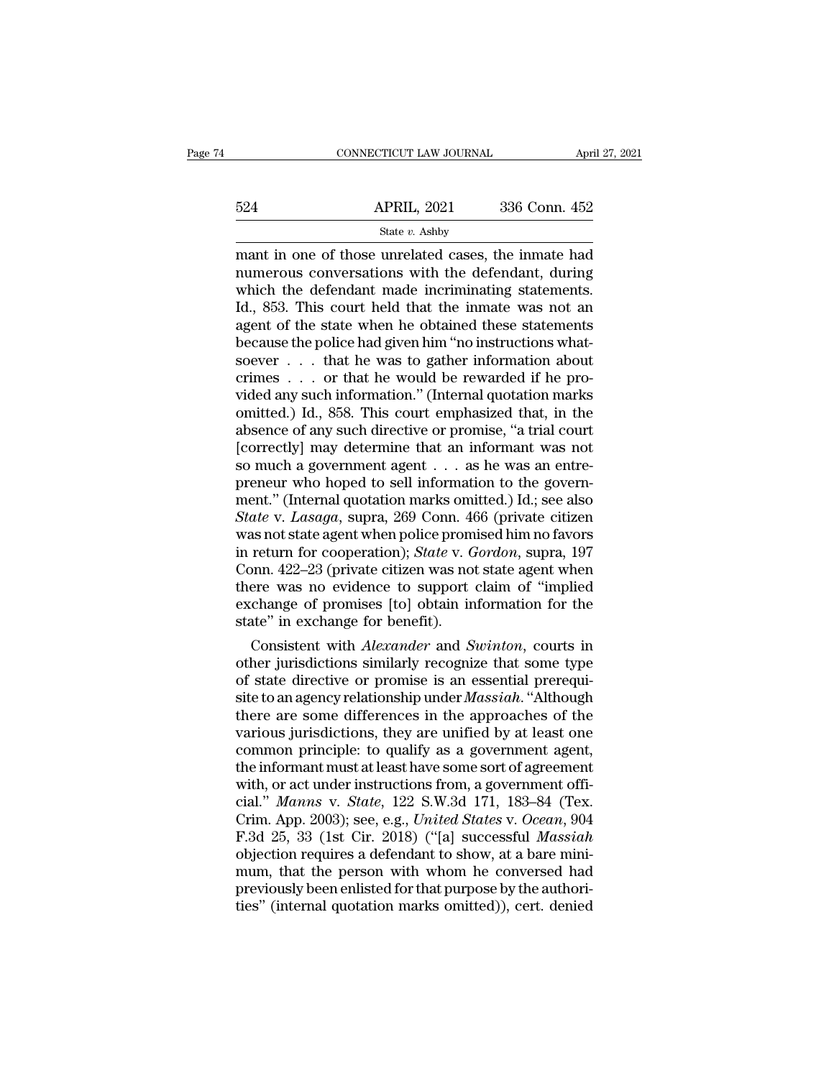|     | CONNECTICUT LAW JOURNAL | April 27, 2021 |  |
|-----|-------------------------|----------------|--|
|     |                         |                |  |
| 524 | <b>APRIL, 2021</b>      | 336 Conn. 452  |  |
|     | State v. Ashby          |                |  |

 $\begin{tabular}{ll} \multicolumn{1}{l}{{\small \textbf{COMRECTICUT LAW JOURNAL}}{\small \textbf{APRIL, 2021}} & \multicolumn{1}{l}{\small \textbf{April 27, 2021}}\\ \hline & \multicolumn{1}{l}{\small \textbf{State $v$}}.\textbf{Ashby} \\ \hline & \multicolumn{1}{l}{\small \textbf{State $v$}}.\textbf{Ashby} \\ \hline & \multicolumn{1}{l}{\small \textbf{mat in one of those unrelated cases, the innate had} \\ \hline \textbf{numerous conversations with the defendant, during} \\ \hline \textbf{which the defendant, during} \\ \hline \end{tabular}$  $\begin{array}{r} \n 524 \quad \text{APRIL, } 2021 \quad \text{336 Conn. } 452 \n \end{array}$ <br>  $\begin{array}{r} \n \text{State } v. \text{ Ashby} \n \text{mant in one of those unrelated cases, the innate had}\n \text{numerous conversations with the defendant, during}\n \text{which the defendant made incriminating statements.} \n \text{Id. } 853. \n \text{This court held that the impact was not an}\n \end{array}$  $\frac{\text{524}}{\text{State } v. \text{ Ashby}}$   $\frac{\text{State } v. \text{ Ashby}}{\text{mant in one of those unrelated cases, the innate had numerous conversations with the defendant, during which the defendant made incriminating statements.}$ <br>Id., 853. This court held that the inmate was not an agent of the state when he obtained these statements.  $524$  APRIL, 2021 336 Conn. 452<br>
State v. Ashby<br>
mant in one of those unrelated cases, the inmate had<br>
numerous conversations with the defendant, during<br>
which the defendant made incriminating statements.<br>
Id., 853. This State *v*. Ashby<br>
mant in one of those unrelated cases, the inmate had<br>
numerous conversations with the defendant, during<br>
which the defendant made incriminating statements.<br>
Id., 853. This court held that the inmate was state *v*. Ashby<br>
mant in one of those unrelated cases, the inmate had<br>
numerous conversations with the defendant, during<br>
which the defendant made incriminating statements.<br>
Id., 853. This court held that the inmate was mant in one of those unrelated cases, the inmate had<br>numerous conversations with the defendant, during<br>which the defendant made incriminating statements.<br>Id., 853. This court held that the inmate was not an<br>agent of the st numerous conversations with the defendant, during<br>which the defendant made incriminating statements.<br>Id., 853. This court held that the inmate was not an<br>agent of the state when he obtained these statements<br>because the po which the defendant made incriminating statements.<br>Id., 853. This court held that the inmate was not an<br>agent of the state when he obtained these statements<br>because the police had given him "no instructions what-<br>soever . Id., 853. This court held that the inmate was not an agent of the state when he obtained these statements because the police had given him "no instructions whatsoever  $\ldots$  that he was to gather information about crimes agent of the state when he obtained these statements<br>because the police had given him "no instructions what-<br>soever . . . that he was to gather information about<br>crimes . . . or that he would be rewarded if he pro-<br>vided a because the police had given him "no instructions whatsoever . . . that he was to gather information about<br>crimes . . . or that he would be rewarded if he pro-<br>vided any such information." (Internal quotation marks<br>omitte soever . . . . that he was to gather information about<br>crimes . . . or that he would be rewarded if he pro-<br>vided any such information." (Internal quotation marks<br>omitted.) Id., 858. This court emphasized that, in the<br>abs crimes . . . or that he would be rewarded if he provided any such information." (Internal quotation marks omitted.) Id., 858. This court emphasized that, in the absence of any such directive or promise, "a trial court [co vided any such information." (Internal quotation marks<br>omitted.) Id., 858. This court emphasized that, in the<br>absence of any such directive or promise, "a trial court<br>[correctly] may determine that an informant was not<br>so omitted.) Id., 858. This court emphasized that, in the absence of any such directive or promise, "a trial court [correctly] may determine that an informant was not so much a government agent . . . as he was an entre-<br>prene absence of any such directive or promise, "a trial court<br>[correctly] may determine that an informant was not<br>so much a government agent  $\dots$  as he was an entre-<br>preneur who hoped to sell information to the govern-<br>ment." [correctly] may determine that an informant was not<br>so much a government agent . . . as he was an entre-<br>preneur who hoped to sell information to the govern-<br>ment." (Internal quotation marks omitted.) Id.; see also<br>*State* so much a government agent . . . . as he was an entre-<br>preneur who hoped to sell information to the govern-<br>ment." (Internal quotation marks omitted.) Id.; see also<br>*State* v. *Lasaga*, supra, 269 Conn. 466 (private citize preneur who hoped to sell information to the government." (Internal quotation marks omitted.) Id.; see also<br>*State* v. *Lasaga*, supra, 269 Conn. 466 (private citizen<br>was not state agent when police promised him no favors<br> ment." (Internal quotation marks omitted.) Id.; see also<br>State v. Lasaga, supra, 269 Conn. 466 (private citizen<br>was not state agent when police promised him no favors<br>in return for cooperation); State v. Gordon, supra, 197 State v. Lasaga, supra, 269 Conn. 4<br>was not state agent when police prom<br>in return for cooperation); State v. G<br>Conn. 422–23 (private citizen was no<br>there was no evidence to support<br>exchange of promises [to] obtain in<br>stat as not state agent when police promised him no favors<br>return for cooperation); *State* v. *Gordon*, supra, 197<br>pnn. 422–23 (private citizen was not state agent when<br>ere was no evidence to support claim of "implied<br>change o In return for cooperation); *State v. Gordon*, supra, 197<br>
Conn. 422–23 (private citizen was not state agent when<br>
there was no evidence to support claim of "implied<br>
exchange of promises [to] obtain information for the<br>

Conn. 422–23 (private citizen was not state agent when<br>there was no evidence to support claim of "implied<br>exchange of promises [to] obtain information for the<br>state" in exchange for benefit).<br>Consistent with *Alexander* a there was no evidence to support claim of "implied<br>exchange of promises [to] obtain information for the<br>state" in exchange for benefit).<br>Consistent with *Alexander* and *Swinton*, courts in<br>other jurisdictions similarly re exchange of promises [to] obtain information for the<br>state" in exchange for benefit).<br>Consistent with *Alexander* and *Swinton*, courts in<br>other jurisdictions similarly recognize that some type<br>of state directive or promi state The exchange for benefit).<br>
Consistent with *Alexander* and *Swinton*, courts in<br>
other jurisdictions similarly recognize that some type<br>
of state directive or promise is an essential prerequi-<br>
site to an agency rel Consistent with *Alexander* and *Swinton*, courts in<br>other jurisdictions similarly recognize that some type<br>of state directive or promise is an essential prerequi-<br>site to an agency relationship under *Massiah*. "Although<br> other jurisdictions similarly recognize that some type<br>of state directive or promise is an essential prerequi-<br>site to an agency relationship under *Massiah*. "Although<br>there are some differences in the approaches of the<br> of state directive or promise is an essential prerequisite to an agency relationship under *Massiah*. "Although there are some differences in the approaches of the various jurisdictions, they are unified by at least one c site to an agency relationship under *Massiah*. "Although<br>there are some differences in the approaches of the<br>various jurisdictions, they are unified by at least one<br>common principle: to qualify as a government agent,<br>the there are some differences in the approaches of the<br>various jurisdictions, they are unified by at least one<br>common principle: to qualify as a government agent,<br>the informant must at least have some sort of agreement<br>with, various jurisdictions, they are unified by at least one<br>common principle: to qualify as a government agent,<br>the informant must at least have some sort of agreement<br>with, or act under instructions from, a government offi-<br>c common principle: to qualify as a government agent,<br>the informant must at least have some sort of agreement<br>with, or act under instructions from, a government offi-<br>cial." *Manns v. State*, 122 S.W.3d 171, 183–84 (Tex.<br>Cri the informant must at least have some sort of agreement<br>with, or act under instructions from, a government offi-<br>cial." *Manns v. State*, 122 S.W.3d 171, 183–84 (Tex.<br>Crim. App. 2003); see, e.g., *United States v. Ocean*, with, or act under instructions from, a government official." *Manns* v. *State*, 122 S.W.3d 171, 183–84 (Tex. Crim. App. 2003); see, e.g., *United States* v. *Ocean*, 904 F.3d 25, 33 (1st Cir. 2018) ("[a] successful *Mass* cial." *Manns v. State*, 122 S.W.3d 171, 183–84 (Tex.<br>Crim. App. 2003); see, e.g., *United States v. Ocean*, 904<br>F.3d 25, 33 (1st Cir. 2018) ("[a] successful *Massiah*<br>objection requires a defendant to show, at a bare mini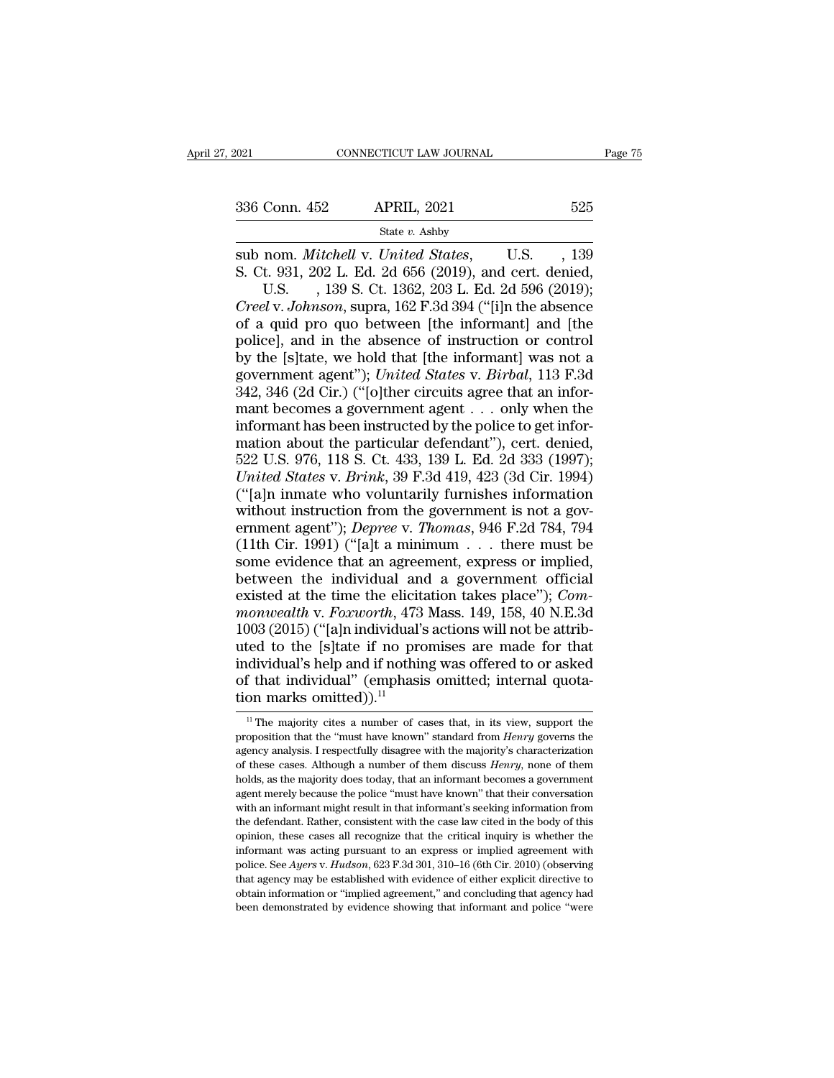State *v.* Ashby

Sub nom. *Mitchell* v. *United States*, U.S. , 139<br>
Sub nom. *Mitchell* v. *United States*, U.S. , 139<br>
Sub 1000. *Mitchell* v. *United States*, U.S. , 139<br>
S. Ct. 931, 202 L. Ed. 2d 656 (2019), and cert. denied, U.S. 139 336 Conn. 452 APRIL, 2021 525<br>
State v. Ashby<br>
Sub nom. *Mitchell v. United States*, U.S. , 139<br>
S. Ct. 931, 202 L. Ed. 2d 656 (2019), and cert. denied,<br>
U.S. , 139 S. Ct. 1362, 203 L. Ed. 2d 596 (2019);<br>
Creel v. Johnson Conn. 452 APRIL, 2021 525<br>
State v. Ashby<br>
nom. *Mitchell* v. *United States*, U.S., 139<br>
t. 931, 202 L. Ed. 2d 656 (2019), and cert. denied,<br>
U.S., 139 S. Ct. 1362, 203 L. Ed. 2d 596 (2019);<br>
dv. *Johnson*, supra, 162 F. **Creel v. 336 Conn. 452 APRIL, 2021** 525<br>
State v. Ashby<br>
Sub nom. *Mitchell* v. *United States*, U.S., 139<br>
S. Ct. 931, 202 L. Ed. 2d 656 (2019), and cert. denied,<br>
U.S., 139 S. Ct. 1362, 203 L. Ed. 2d 596 (2019);<br>
Cree

Soo Coluit. 462 Tim indiged and the informant and produced by the island pro quo between [the informant] and [the police], and in the absence of instruction or control by the Isltate we hold that Ithe informant] was not a State v. Ashby<br>
sub nom. *Mitchell v. United States*, U.S. , 139<br>
S. Ct. 931, 202 L. Ed. 2d 656 (2019), and cert. denied,<br>
U.S. , 139 S. Ct. 1362, 203 L. Ed. 2d 596 (2019);<br>
Creel v. Johnson, supra, 162 F.3d 394 ("[i]n th sub nom. *Mitchell* v. *United States*, U.S., 139<br>
S. Ct. 931, 202 L. Ed. 2d 656 (2019), and cert. denied,<br>
U.S., 139 S. Ct. 1362, 203 L. Ed. 2d 596 (2019);<br>
Creel v. Johnson, supra, 162 F.3d 394 ("[i]n the absence<br>
of a q S. Ct. 931, 202 L. Ed. 2d 656 (2019), and cert. denied,<br>U.S. , 139 S. Ct. 1362, 203 L. Ed. 2d 596 (2019);<br>*Creel v. Johnson*, supra, 162 F.3d 394 ("[i]n the absence<br>of a quid pro quo between [the informant] and [the<br>police U.S. , 139 S. Ct. 1362, 203 L. Ed. 2d 596 (2019);<br>Creel v. Johnson, supra, 162 F.3d 394 ("[i]n the absence<br>of a quid pro quo between [the informant] and [the<br>police], and in the absence of instruction or control<br>by the [s Creel v. Johnson, supra, 162 F.3d 394 ("[i]n the absence<br>of a quid pro quo between [the informant] and [the<br>police], and in the absence of instruction or control<br>by the [s]tate, we hold that [the informant] was not a<br>gover of a quid pro quo between [the informant] and [the police], and in the absence of instruction or control<br>by the [s]tate, we hold that [the informant] was not a<br>government agent"); *United States v. Birbal*, 113 F.3d<br>342, police], and in the absence of instruction or control<br>by the [s]tate, we hold that [the informant] was not a<br>government agent''); *United States v. Birbal*, 113 F.3d<br>342, 346 (2d Cir.) ("[o]ther circuits agree that an inf by the [s]tate, we hold that [the informant] was not a government agent"); *United States v. Birbal*, 113 F.3d 342, 346 (2d Cir.) ("[o]ther circuits agree that an informant becomes a government agent  $\dots$  only when the in government agent"); *United States* v. *Birbal*, 113 F.3d 342, 346 (2d Cir.) ("[o]ther circuits agree that an informant becomes a government agent . . . only when the informant has been instructed by the police to get info 342, 346 (2d Cir.) ("[o]ther circuits agree that an informant becomes a government agent . . . only when the information about the particular defendant"), cert. denied, 522 U.S. 976, 118 S. Ct. 433, 139 L. Ed. 2d 333 (199 mant becomes a government agent  $\ldots$  only when the informant has been instructed by the police to get information about the particular defendant"), cert. denied, 522 U.S. 976, 118 S. Ct. 433, 139 L. Ed. 2d 333 (1997); *U* informant has been instructed by the police to get information about the particular defendant"), cert. denied,<br>522 U.S. 976, 118 S. Ct. 433, 139 L. Ed. 2d 333 (1997);<br>*United States v. Brink*, 39 F.3d 419, 423 (3d Cir. 199 mation about the particular defendant"), cert. denied,<br>522 U.S. 976, 118 S. Ct. 433, 139 L. Ed. 2d 333 (1997);<br>*United States v. Brink*, 39 F.3d 419, 423 (3d Cir. 1994)<br>("[a]n inmate who voluntarily furnishes information<br> 522 U.S. 976, 118 S. Ct. 433, 139 L. Ed. 2d 333 (1997);<br>
United States v. Brink, 39 F.3d 419, 423 (3d Cir. 1994)<br>
("[a]n inmate who voluntarily furnishes information<br>
without instruction from the government is not a gover United States v. Brink, 39 F.3d 419, 423 (3d Cir. 1994)<br>("[a]n inmate who voluntarily furnishes information<br>without instruction from the government is not a government agent"); Depree v. Thomas, 946 F.2d 784, 794<br>(11th Ci ("[a]n inmate who voluntarily furnishes information<br>without instruction from the government is not a government agent"); *Depree* v. *Thomas*, 946 F.2d 784, 794<br>(11th Cir. 1991) ("[a]t a minimum . . . there must be<br>some e without instruction from the government is not a government agent"); *Depree v. Thomas*, 946 F.2d 784, 794 (11th Cir. 1991) ("[a]t a minimum . . . there must be some evidence that an agreement, express or implied, between ernment agent"); *Depree* v. *Thomas*, 946 F.2d 784, 794 (11th Cir. 1991) ("[a]t a minimum . . . there must be some evidence that an agreement, express or implied, between the individual and a government official existed (11th Cir. 1991) ("[a]t a minimum . . . there must be<br>some evidence that an agreement, express or implied,<br>between the individual and a government official<br>existed at the time the elicitation takes place"); *Com-<br>monwealt* some evidence that an agreement, express or implied,<br>between the individual and a government official<br>existed at the time the elicitation takes place"); *Com-<br>monwealth* v. *Foxworth*, 473 Mass. 149, 158, 40 N.E.3d<br>1003 ( between the individual and a government official<br>existed at the time the elicitation takes place"); *Com-*<br>monwealth v. Foxworth, 473 Mass. 149, 158, 40 N.E.3d<br>1003 (2015) ("[a]n individual's actions will not be attrib-<br>u existed at the time the elicita<br>monwealth v. Foxworth, 473<br>1003 (2015) ("[a]n individual's<br>uted to the [s]tate if no pro<br>individual's help and if nothin<br>of that individual" (emphasis<br>tion marks omitted)).<sup>11</sup> ted to the [s]tate if no promises are made for that<br>ddividual's help and if nothing was offered to or asked<br>f that individual" (emphasis omitted; internal quota-<br>on marks omitted)).<sup>11</sup><br><sup>11</sup> The majority cites a number of individual's help and if nothing was offered to or asked<br>of that individual" (emphasis omitted; internal quota-<br>tion marks omitted)).<sup>11</sup><br><sup>11</sup> The majority cites a number of cases that, in its view, support the<br>proposition

of that individual" (emphasis omitted; internal quotation marks omitted)).<sup>11</sup><br> $\frac{1}{1}$  The majority cites a number of cases that, in its view, support the proposition that the "must have known" standard from *Henry* gov of the main marks omitted)).<sup>11</sup><br>
<sup>11</sup> The majority cites a number of cases that, in its view, support the<br>
proposition that the "must have known" standard from *Henry* governs the<br>
agency analysis. I respectfully disagree The majority cites a number of cases that, in its view, support the proposition that the "must have known" standard from *Henry* governs the agency analysis. I respectfully disagree with the majority's characterization of <sup>11</sup> The majority cites a number of cases that, in its view, support the proposition that the "must have known" standard from *Henry* governs the agency analysis. I respectfully disagree with the majority's characterizati proposition that the "must have known" standard from *Henry* governs the agency analysis. I respectfully disagree with the majority's characterization of these cases. Although a number of them discuss *Henry*, none of them agency analysis. I respectfully disagree with the majority's characterization<br>of these cases. Although a number of them discuss *Henry*, none of them<br>holds, as the majority does today, that an informant becomes a governme of these cases. Although a number of them discuss *Henry*, none of them<br>holds, as the majority does today, that an informant becomes a government<br>agent merely because the police "must have known" that their conversation<br>wi informant magnetic to an informant becomes a government agent merely because the police "must have known" that their conversation with an informant might result in that informant's seeking information from the defendant. R potential merely because the police "must have known" that their conversation<br>agent merely because the police "must have known" that their conversation<br>with an informant might result in that informant's seeking information with an informant might result in that informant's seeking information from<br>the defendant. Rather, consistent with the case law cited in the body of this<br>opinion, these cases all recognize that the critical inquiry is whet obtain information in the case law cited in the body of this opinion, these cases all recognize that the critical inquiry is whether the informant was acting pursuant to an express or implied agreement with police. See Ay the defendant. Rather, consistent with the case law cited in the body of this opinion, these cases all recognize that the critical inquiry is whether the informant was acting pursuant to an express or implied agreement wi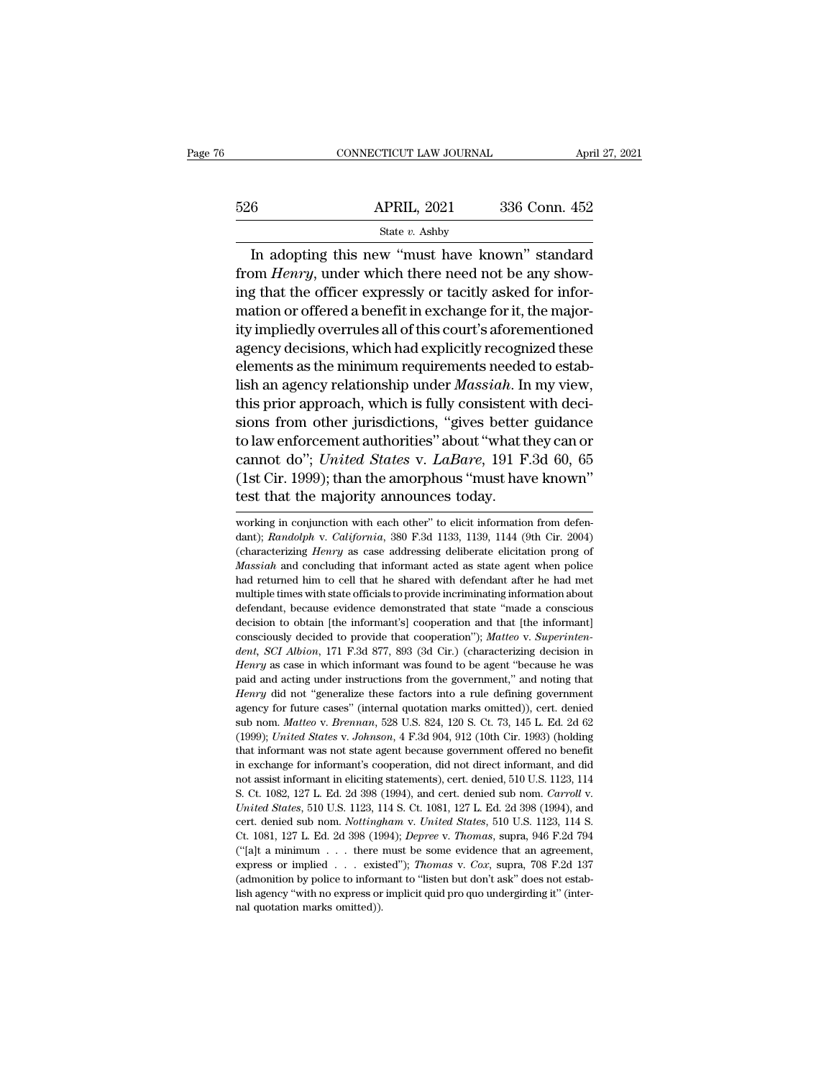|     | CONNECTICUT LAW JOURNAL                                                                                                                                                       | April 27, 2021 |
|-----|-------------------------------------------------------------------------------------------------------------------------------------------------------------------------------|----------------|
| 526 | <b>APRIL, 2021</b>                                                                                                                                                            | 336 Conn. 452  |
|     | State $v$ . Ashby                                                                                                                                                             |                |
|     | In adopting this new "must have known" standard<br>from <i>Henry</i> , under which there need not be any show-<br>ing that the officer expressly on to sitly asked for infor- |                |

from *Henry*, under which there need not be any show-<br>from *Henry*, under which there need not be any show-<br>ing that the officer expressly or tacitly asked for infor- $\frac{\text{526}}{\text{State } v. \text{ Ashy}}$   $\frac{\text{State } v. \text{ Ashy}}{\text{In adopting this new "must have known" standard from *Henry*, under which there need not be any showing that the officer expressly or tacitly asked for information or offered a benefit in exchange for it, the major-  
itriemlially comparable all of this count's of exponential$ 526 **APRIL, 2021** 336 Conn. 452<br>
State *v*. Ashby<br>
In adopting this new "must have known" standard<br>
from *Henry*, under which there need not be any show-<br>
ing that the officer expressly or tacitly asked for infor-<br>
mation State v. Ashby<br>
In adopting this new "must have known" standard<br>
from *Henry*, under which there need not be any show-<br>
ing that the officer expressly or tacitly asked for infor-<br>
mation or offered a benefit in exchange f In adopting this new "must have known" standard<br>from *Henry*, under which there need not be any show-<br>ing that the officer expressly or tacitly asked for infor-<br>mation or offered a benefit in exchange for it, the major-<br>i In adopting this new "must have known" standard<br>from *Henry*, under which there need not be any show-<br>ing that the officer expressly or tacitly asked for infor-<br>mation or offered a benefit in exchange for it, the major-<br>i lish an agency which interesting that the officer expressly or tacitly asked for information or offered a benefit in exchange for it, the majority impliedly overrules all of this court's aforementioned agency decisions, wh Ing that the officer expressly or tacitly asked for information or offered a benefit in exchange for it, the majority impliedly overrules all of this court's aforementioned agency decisions, which had explicitly recognized mation or offered a benefit in exchange for it, the majority impliedly overrules all of this court's aforementioned<br>agency decisions, which had explicitly recognized these<br>elements as the minimum requirements needed to es try impliedly overrules all of this court's aforementioned<br>agency decisions, which had explicitly recognized these<br>elements as the minimum requirements needed to estab-<br>lish an agency relationship under *Massiah*. In my v agency decisions, which had explicitly recognized these<br>elements as the minimum requirements needed to estab-<br>lish an agency relationship under *Massiah*. In my view,<br>this prior approach, which is fully consistent with dec elements as the minimum requirements needed to establish an agency relationship under *Massiah*. In my view, this prior approach, which is fully consistent with decisions from other jurisdictions, "gives better guidance to film an agency relationship under *Massian*. In<br>this prior approach, which is fully consistent<br>sions from other jurisdictions, "gives better<br>to law enforcement authorities" about "what the<br>cannot do"; *United States v. La* to law enforcement authorities about what they can or<br>cannot do"; *United States v. LaBare*, 191 F.3d 60, 65<br>(1st Cir. 1999); than the amorphous "must have known"<br>test that the majority announces today.<br>working in conjunct cannot do"; *United States* v. *LaBare*, 191 F.3d 60, 65<br>(1st Cir. 1999); than the amorphous "must have known"<br>test that the majority announces today.<br>working in conjunction with each other" to elicit information from defe

<sup>(1</sup>st Cir. 1999); than the amorphous "must have known"<br>test that the majority announces today.<br>working in conjunction with each other" to elicit information from defen-<br>dant); *Randolph v. California*, 380 F.3d 1133, 1139, **Lest that the majority announces today.**<br> *Marking* in conjunction with each other" to elicit information from defendant); *Randolph v. California*, 380 F.3d 1133, 1139, 1144 (9th Cir. 2004) (characterizing *Henry* as cas had returned him to cell that officials to provide increase to characterizing the shared with each other" to elicit information from defendant); *Randolph v. California*, 380 F.3d 1133, 1139, 1144 (9th Cir. 2004) (characte working in conjunction with each other" to elicit information from defendant); *Randolph v. California*, 380 F.3d 1133, 1139, 1144 (9th Cir. 2004) (characterizing *Henry* as case addressing deliberate elicitation prong of dent); *Randolph v. California*, 380 F.3d 1133, 1139, 1144 (9th Cir. 2004) (characterizing *Henry* as case addressing deliberate elicitation prong of *Massiah* and concluding that informant acted as state agent when police decharacterizing *Henry* as case addressing deliberate elicitation prong of *Massiah* and concluding that informant acted as state agent when police had returned him to cell that he shared with defendant after he had met m *Massiah* and concluding that informant acted as state agent when police Massiah and concluding that informant acted as state agent when police had met multiple times with state officials to provide incriminating informati *dent* and certurned him to cell that he shared with defendant after he had met<br>multiple times with state officials to provide incriminating information about<br>defendant, because evidence demonstrated that state "made a con *Henry* as with state officials to provide incriminating information about defendant, because evidence demonstrated that state "made a conscious decision to obtain [the informant's] cooperation and that [the informant] con defendant, because evidence demonstrated that state "made a conscious decision to obtain [the informant's] cooperation and that [the informant] consciously decided to provide that cooperation"); *Matteo* v. *Superintendent* decision to obtain [the informant's] cooperation and that [the informant]<br>consciously decided to provide that cooperation"); *Matteo* v. *Superinten-*<br>*dent, SCI Albion*, 171 F.3d 877, 893 (3d Cir.) (characterizing decisio consciously decided to provide that cooperation"); *Matteo* v. *Superinten-*<br>dent, *SCI Albion*, 171 F.3d 877, 893 (3d Cir.) (characterizing decision in<br>*Henry* as case in which informant was found to be agent "because he dent, *SCI Albion*, 171 F.3d 877, 893 (3d Cir.) (characterizing decision in *Henry* as case in which informant was found to be agent "because he was paid and acting under instructions from the government," and noting that Henry as case in which informant was found to be agent "because he was paid and acting under instructions from the government," and noting that *Henry* did not "generalize these factors into a rule defining government agen paid and acting under instructions from the government," and noting that *Henry* did not "generalize these factors into a rule defining government agency for future cases" (internal quotation marks omitted)), cert. denied Henry did not "generalize these factors into a rule defining government agency for future cases" (internal quotation marks omitted)), cert. denied sub nom. *Matteo* v. *Bremnan*, 528 U.S. 824, 120 S. Ct. 73, 145 L. Ed. 2d national assist informant assist informant in eliciting statements), eert. denied, 1999); United States v. Johnson, 4 F.3d 904, 912 (10th Cir. 1993) (holding (1999); United States v. Johnson, 4 F.3d 904, 912 (10th Cir. 199 sub nom. *Matteo* v. *Brennan*, 528 U.S. 824, 120 S. Ct. 73, 145 L. Ed. 2d 62 (1999); *United States* v. *Johnson*, 4 F.3d 904, 912 (10th Cir. 1993) (holding that informant was not state agent because government offered no chat informant was not state agent because government offered no benefit<br>in exchange for informant's cooperation, did not direct informant, and did<br>not assist informant in eliciting statements), cert. denied, 510 U.S. 1123 in exchange for informant's cooperation, did not direct informant, and did<br>not assist informant in eliciting statements), cert. denied, 510 U.S. 1123, 114<br>S. Ct. 1082, 127 L. Ed. 2d 398 (1994), and cert. denied sub nom. *C* mot assist informant in eliciting statements), cert. denied, 510 U.S. 1123, 114<br>S. Ct. 1082, 127 L. Ed. 2d 398 (1994), and cert. denied sub nom. *Carroll v.*<br>United States, 510 U.S. 1123, 114 S. Ct. 1081, 127 L. Ed. 2d 39 express or implied . . . existed''); *Thomas* v. *Cox*, supra, 708 F.2d 137 Calconomic Labian Carroll v. *United States*, 510 U.S. 1123, 114 S. Ct. 1081, 127 L. Ed. 2d 398 (1994), and cert. denied sub nom. *Nottingham* v. United States, 510 U.S. 1123, 114 S. Ct. 1081, 127 L. Ed. 2d 398 (1994), and cert. denied sub nom. *Nottingham v. United States*, 510 U.S. 1123, 114 S. Ct. 1081, 127 L. Ed. 2d 398 (1994); *Depree v. Thomas*, supra, 946 F. cert. denied sub nom. Nottingham v. United States, 510 U.S. 1123, 114 S. Ct. 1081, 127 L. Ed. 2d 398 (1994); Depree v. Thomas, supra, 946 F.2d 794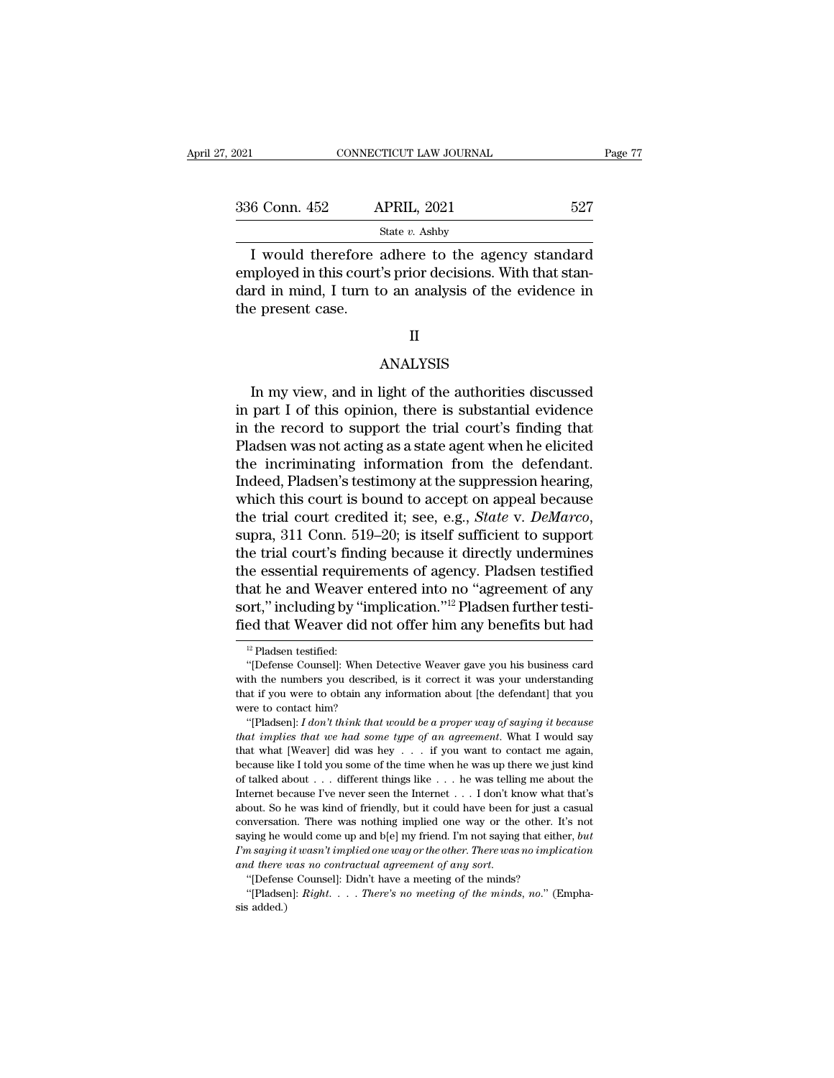| 2021          | CONNECTICUT LAW JOURNAL                                                                                                                                                |     | Page 77 |
|---------------|------------------------------------------------------------------------------------------------------------------------------------------------------------------------|-----|---------|
| 336 Conn. 452 | <b>APRIL, 2021</b>                                                                                                                                                     | 527 |         |
|               | State $v$ . Ashby                                                                                                                                                      |     |         |
|               | I would therefore adhere to the agency standard<br>employed in this court's prior decisions. With that stan-<br>dard in mind. I turn to an analygic of the ovidance in |     |         |

336 Conn. 452 APRIL, 2021 527<br>
State v. Ashby<br>
I would therefore adhere to the agency standard<br>
employed in this court's prior decisions. With that stan-<br>
dard in mind, I turn to an analysis of the evidence in<br>
the present 336 Conn. 452 APRIL, 2021 527<br>
State v. Ashby<br>
I would therefore adhere to the agency standard<br>
employed in this court's prior decisions. With that standard in mind, I turn to an analysis of the evidence in<br>
the present c 336 Conn. 452<br>
I would therefore<br>
I would therefore<br>
employed in this court<br>
dard in mind, I turn to<br>
the present case.

## II

# ANALYSIS

In mind, I turn to an analysis of the evidence in<br>
Expresent case.<br>
II<br>
ANALYSIS<br>
In my view, and in light of the authorities discussed<br>
part I of this opinion, there is substantial evidence<br>
the record to support the tria in part I of this opinion, there is substantial evidence<br>in part I of this opinion, there is substantial evidence<br>in the record to support the trial court's finding that<br>Pladson was not acting as a state agont when he elig II<br>ANALYSIS<br>In my view, and in light of the authorities discussed<br>in part I of this opinion, there is substantial evidence<br>in the record to support the trial court's finding that<br>Pladsen was not acting as a state agent whe Fig. 2.1 and the authorities discussed<br>in part I of this opinion, there is substantial evidence<br>in the record to support the trial court's finding that<br>Pladsen was not acting as a state agent when he elicited<br>the incrimina ANALYSIS<br>In my view, and in light of the authorities discussed<br>in part I of this opinion, there is substantial evidence<br>in the record to support the trial court's finding that<br>Pladsen was not acting as a state agent when h In my view, and in light of the authorities discussed<br>in part I of this opinion, there is substantial evidence<br>in the record to support the trial court's finding that<br>Pladsen was not acting as a state agent when he elicit In my view, and in light of the authorities discussed<br>in part I of this opinion, there is substantial evidence<br>in the record to support the trial court's finding that<br>Pladsen was not acting as a state agent when he elicit in part I of this opinion, there is substantial evidence<br>in the record to support the trial court's finding that<br>Pladsen was not acting as a state agent when he elicited<br>the incriminating information from the defendant.<br>In Pladsen was not acting as a state agent when he elicited<br>the incriminating information from the defendant.<br>Indeed, Pladsen's testimony at the suppression hearing,<br>which this court is bound to accept on appeal because<br>the t the incriminating information from the defendant.<br>Indeed, Pladsen's testimony at the suppression hearing,<br>which this court is bound to accept on appeal because<br>the trial court credited it; see, e.g., *State* v. *DeMarco*, Indeed, Pladsen's testimony at the suppression hearing,<br>which this court is bound to accept on appeal because<br>the trial court credited it; see, e.g., *State v. DeMarco*,<br>supra, 311 Conn. 519–20; is itself sufficient to sup which this court is bound to accept on appeal because<br>the trial court credited it; see, e.g., *State* v. *DeMarco*,<br>supra, 311 Conn. 519–20; is itself sufficient to support<br>the trial court's finding because it directly und the trial court credited it; see, e.g., *State* v. *DeMarco*, supra, 311 Conn. 519–20; is itself sufficient to support the trial court's finding because it directly undermines the essential requirements of agency. Pladsen ie essential require<br>12 part ("including by"<br>12 Pladsen testified:<br><sup>12</sup> Pladsen testified:<br>"(Defense Counsel): Wh iat he and Weaver entered into no "agreement of any<br>
port," including by "implication."<sup>12</sup> Pladsen further testi-<br>
ed that Weaver did not offer him any benefits but had<br>
<sup>12</sup> Pladsen testified:<br>
"(Defense Counsel): When D

sort," including by "implication."<sup>12</sup> Pladsen further testi-<br>fied that Weaver did not offer him any benefits but had<br> $\frac{12 \text{ Pladsen testified:}}{\text{[Defense Counsel]: When Detective Weaver gave you his business card}$ <br>with the numbers you described, is it correct it was your unders **fied that Weaver did not offer him any benefits but had**<br>
<sup>12</sup> Pladsen testified:<br>
"[Defense Counsel]: When Detective Weaver gave you his business card<br>
with the numbers you described, is it correct it was your understan with the numbers you described, is it correct it was your understanding<br>that if you were to obtain any information about [the defendant] that you<br>were to contact him?<br>"[Pladsen]:  $I \, don't \, think \, that \, would \, be \, a \, proper \, way \, of \, saying \, it \, because \, that$ <sup>12</sup> Pladsen testified:<br>
"[Defense Counsel]: When Detective Weaver gave you his business card<br>
th the numbers you described, is it correct it was your understanding<br>
at if you were to obtain any information about [the def <sup>t</sup> [Defense Counsel]: When Detective Weaver gave you his business card with the numbers you described, is it correct it was your understanding that if you were to contact him?<br> **that if you were to contact him?**<br>
"[Pladse

with the numbers you described, is it correct it was your understanding<br>that if you were to obtain any information about [the defendant] that you<br>were to contact him?<br>"[Pladsen]: *I don't think that would be a proper way* that if you were to obtain any information about [the defendant] that you were to contact him?<br>
"[Pladsen]: *I don't think that would be a proper way of saying it because*<br> *that implies that we had some type of an agreem* were to contact him?<br>
"(Pladsen]: *I don't think that would be a proper way of saying it because*<br> *that implies that we had some type of an agreement*. What I would say<br>
that what [Weaver] did was hey . . . if you want t "[Pladsen]: *I don't think that would be a proper way of saying it because* that *implies that we had some type of an agreement*. What I would say that what [Weaver] did was hey . . . if you want to contact me again, beca *hat implies that we had some type of an agreement*. What I would say that *implies that we had some type of an agreement*. What I would say that what [Weaver] did was hey  $\ldots$  if you want to contact me again, because li that what [Weaver] did was hey  $\ldots$  if you want to contact me again, because like I told you some of the time when he was up there we just kind of talked about  $\ldots$  different things like  $\ldots$  he was telling me about th because like I told you some of the time when he was up there we just kind<br>of talked about . . . different things like . . . he was telling me about the<br>Internet because I've never seen the Internet . . . I don't know wha of talked about . . . different things like . . . he was telling me about the Internet because I've never seen the Internet . . . I don't know what that's about. So he was kind of friendly, but it could have been for just of talked about  $\ldots$  different things like  $\ldots$  he was telling me about the Internet because I've never seen the Internet  $\ldots$  I don't know what that's about. So he was kind of friendly, but it could have been for just about. So he was kind of friendly, but it could have been for just a casual conversation. There was nothing implied one way or the other. It's not saying he would come up and  $b[e]$  my friend. I'm not saying that either, conversation. There was nothing implied one way or the other. It's not saying he would come up and  $b[e]$  my friend. I'm not saying that either,  $but$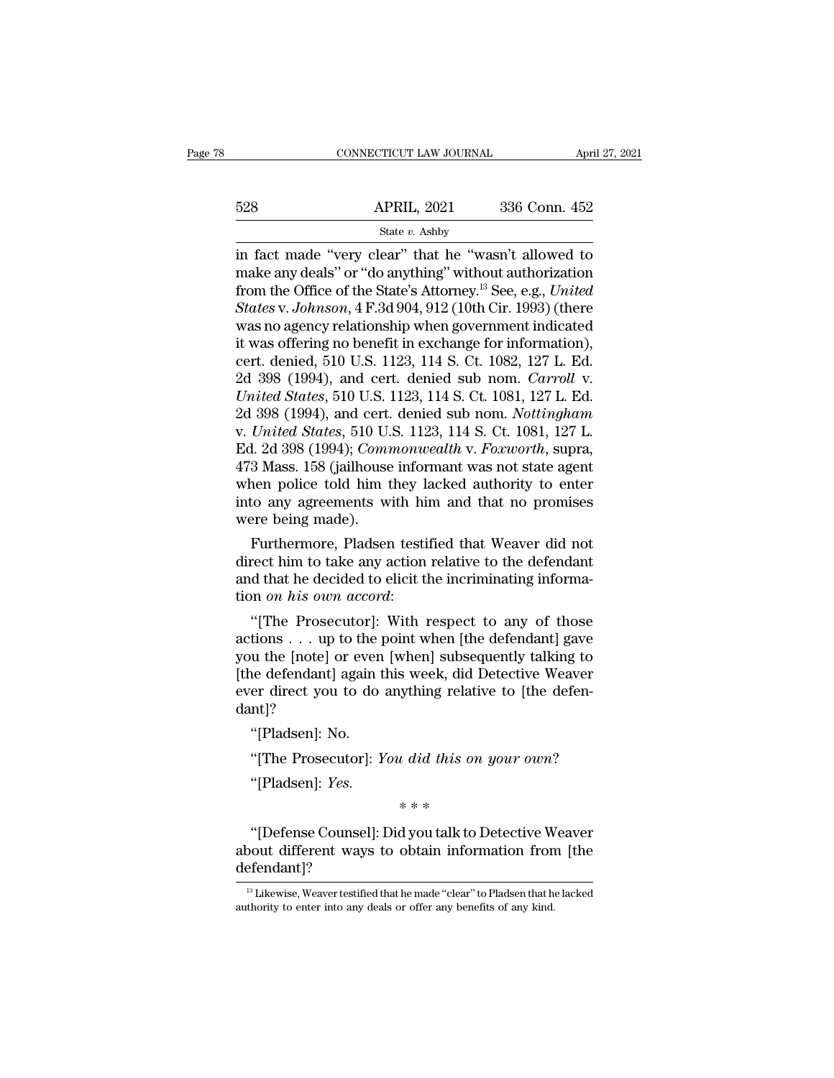|     | CONNECTICUT LAW JOURNAL | April 27, 2021 |  |
|-----|-------------------------|----------------|--|
|     |                         |                |  |
| 528 | <b>APRIL, 2021</b>      | 336 Conn. 452  |  |
|     | State v. Ashby          |                |  |

CONNECTICUT LAW JOURNAL April 27, 2021<br>
528 APRIL, 2021 336 Conn. 452<br>
<sup>State v.</sup> Ashby<br>
in fact made "very clear" that he "wasn't allowed to<br>
make any deals" or "do anything" without authorization<br>
from the Office of the 528 APRIL, 2021 336 Conn. 452<br>
State v. Ashby<br>
in fact made "very clear" that he "wasn't allowed to<br>
make any deals" or "do anything" without authorization<br>
from the Office of the State's Attorney.<sup>13</sup> See, e.g., *United* From the Office of the State's Attorney.<sup>13</sup> See, e.g., *United*<br>
State v. Ashby<br>
in fact made "very clear" that he "wasn't allowed to<br>
make any deals" or "do anything" without authorization<br>
from the Office of the State' *S28* **APRIL, 2021** 336 Conn. 452<br> *State v. Ashby*<br>
in fact made "very clear" that he "wasn't allowed to<br>
make any deals" or "do anything" without authorization<br>
from the Office of the State's Attorney.<sup>13</sup> See, e.g., *Un* State v. Ashby<br>
in fact made "very clear" that he "wasn't allowed to<br>
make any deals" or "do anything" without authorization<br>
from the Office of the State's Attorney.<sup>13</sup> See, e.g., *United*<br> *States v. Johnson*, 4 F.3d 9 state v. Ashby<br>
in fact made "very clear" that he "wasn't allowed to<br>
make any deals" or "do anything" without authorization<br>
from the Office of the State's Attorney.<sup>13</sup> See, e.g., *United*<br> *States v. Johnson*, 4 F.3d 9 in fact made "very clear" that he "wasn't allowed to<br>make any deals" or "do anything" without authorization<br>from the Office of the State's Attorney.<sup>13</sup> See, e.g., *United*<br>*States v. Johnson*, 4 F.3d 904, 912 (10th Cir. make any deals" or "do anything" without authorization<br>from the Office of the State's Attorney.<sup>13</sup> See, e.g., *United*<br>*States v. Johnson*, 4 F.3d 904, 912 (10th Cir. 1993) (there<br>was no agency relationship when governmen from the Office of the State's Attorney.<sup>13</sup> See, e.g., *United*<br>*States* v. *Johnson*, 4 F.3d 904, 912 (10th Cir. 1993) (there<br>was no agency relationship when government indicated<br>it was offering no benefit in exchange fo States v. Johnson, 4 F.3d 904, 912 (10th Cir. 1993) (there<br>was no agency relationship when government indicated<br>it was offering no benefit in exchange for information),<br>cert. denied, 510 U.S. 1123, 114 S. Ct. 1082, 127 L. was no agency relationship when government indicated<br>it was offering no benefit in exchange for information),<br>cert. denied, 510 U.S. 1123, 114 S. Ct. 1082, 127 L. Ed.<br>2d 398 (1994), and cert. denied sub nom. *Carroll v.<br>Un* it was offering no benefit in exchange for information),<br>cert. denied, 510 U.S. 1123, 114 S. Ct. 1082, 127 L. Ed.<br>2d 398 (1994), and cert. denied sub nom. *Carroll v.*<br>*United States*, 510 U.S. 1123, 114 S. Ct. 1081, 127 L cert. denied, 510 U.S. 1123, 114 S. Ct. 1082, 127 L. Ed.<br>2d 398 (1994), and cert. denied sub nom. *Carroll v.*<br>*United States*, 510 U.S. 1123, 114 S. Ct. 1081, 127 L. Ed.<br>2d 398 (1994), and cert. denied sub nom. *Nottingha* 2d 398 (1994), and cert. denied sub nom. *Carroll v.*<br>
United States, 510 U.S. 1123, 114 S. Ct. 1081, 127 L. Ed.<br>
2d 398 (1994), and cert. denied sub nom. *Nottingham*<br>
v. United States, 510 U.S. 1123, 114 S. Ct. 1081, 127 United States, 510 U.S. 1123, 114 S. Ct. 1081, 127 L. Ed.<br>2d 398 (1994), and cert. denied sub nom. *Nottingham*<br>v. United States, 510 U.S. 1123, 114 S. Ct. 1081, 127 L.<br>Ed. 2d 398 (1994); *Commonwealth* v. *Foxworth*, supr 2d 398 (1994), and cert.<br>v. *United States*, 510 U.<br>Ed. 2d 398 (1994); *Comn*<br>473 Mass. 158 (jailhouse<br>when police told him t<br>into any agreements w<br>were being made).<br>Furthermore, Pladser *Chiled States, 510 U.S. 1123, 114 S. Ut. 1061, 127 L.*<br>1. 2d 398 (1994); *Commonwealth v. Foxworth,* supra,<br>3 Mass. 158 (jailhouse informant was not state agent<br>nen police told him they lacked authority to enter<br>to any ag Ed. 2d 398 (1994); Commonweatin v. Foxwortn, supra,<br>473 Mass. 158 (jailhouse informant was not state agent<br>when police told him they lacked authority to enter<br>into any agreements with him and that no promises<br>were being ma

 $473$  mass. 158 (Jainfouse informant was not state agent<br>when police told him they lacked authority to enter<br>into any agreements with him and that no promises<br>were being made).<br>Furthermore, Pladsen testified that Weaver d when police told film they I<br>into any agreements with hi<br>were being made).<br>Furthermore, Pladsen testi<br>direct him to take any action<br>and that he decided to elicit t<br>tion *on his own accord*:<br>"[The Prosecutor]: With 1 Furthermore, Pladsen testified that Weaver did not<br>
rect him to take any action relative to the defendant<br>
d that he decided to elicit the incriminating informa-<br>
on *n his own accord*:<br>
"[The Prosecutor]: With respect to Furthermore, Pladsen testified that Weaver did not<br>direct him to take any action relative to the defendant<br>and that he decided to elicit the incriminating informa-<br>tion *on his own accord*:<br>"[The Prosecutor]: With respect

Furthermore, Plaasen testined that weaver did not<br>direct him to take any action relative to the defendant<br>and that he decided to elicit the incriminating informa-<br>tion *on his own accord*:<br>"[The Prosecutor]: With respect direct nim to take any action relative to the defendant<br>and that he decided to elicit the incriminating informa-<br>tion *on his own accord*:<br>"[The Prosecutor]: With respect to any of those<br>actions . . . up to the point when and that he decided to encit the incriminating information *on his own accord*:<br>
"[The Prosecutor]: With respect to any of those actions . . . up to the point when [the defendant] gave you the [note] or even [when] subsequ dant]? | The Prosecutor]:<br>tions . . . up to the ]<br>u the [note] or even<br>ne defendant] again t<br>er direct you to do<br>nt]?<br>"[Pladsen]: No.<br>"[The Prosecutor]: } u the [note] or even [when] subsequently talking to<br>ne defendant] again this week, did Detective Weaver<br>er direct you to do anything relative to [the defen-<br>nt]?<br>"[Pladsen]: No.<br>"[The Prosecutor]: *You did this on your own*  $u$  did this on  $\frac{u}{t}$ <br>\* \* \*<br>d you talk to D

''[Pladsen]: *Yes.*

''[Defense Counsel]: Did you talk to Detective Weaver "[The Prosecutor]: *You did this on your own*?"<br>"[Pladsen]: *Yes.*<br>"\*\*\*<br>"[Defense Counsel]: Did you talk to Detective Weaver<br>about different ways to obtain information from [the<br>defendant]? defendant]? "[Defense Counsel]: Did you talk to Detective Weaver<br>pout different ways to obtain information from [the<br>efendant]?<br><sup>13</sup> Likewise, Weaver testified that he made "clear" to Pladsen that he lacked<br>thority to enter into any d "[Defense Counsel]: Did you talk to Detective W<br>about different ways to obtain information fron<br>defendant]?<br> $\frac{13 \text{ Likewise, Weaver testified that he made "clear" to Pladsen that he  
authority to enter into any deals or offer any benefits of any kind.}$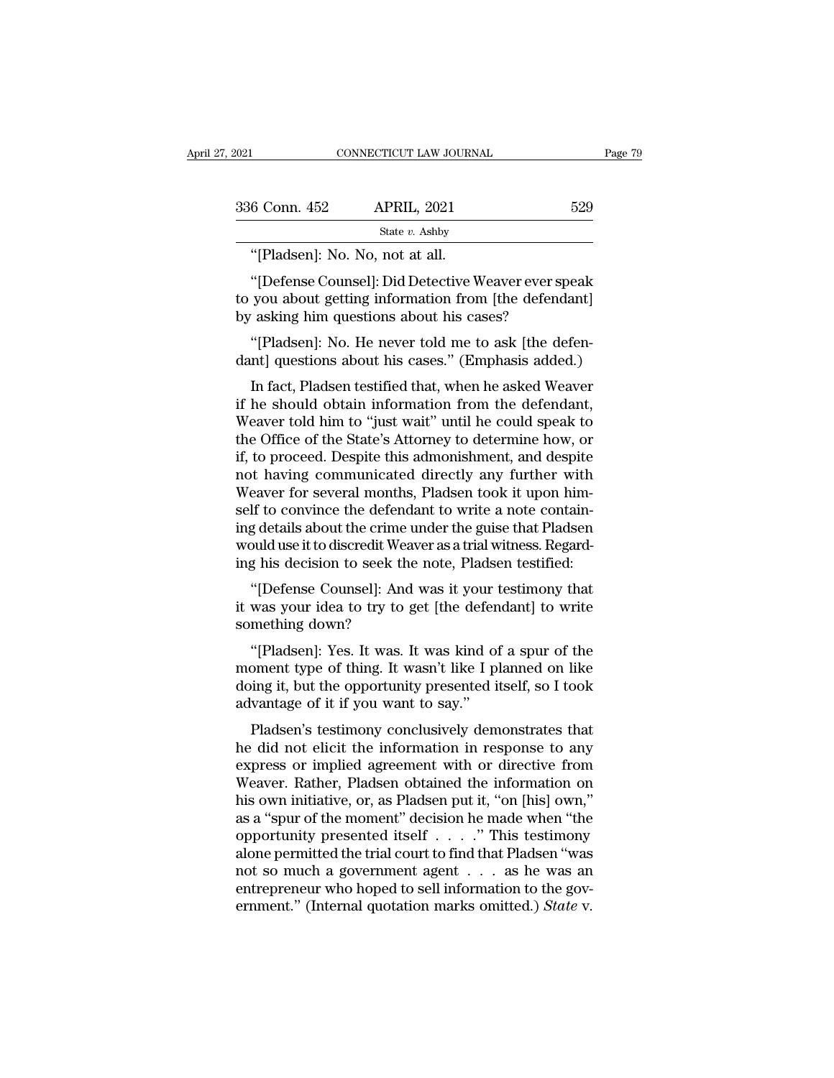| 2021          | CONNECTICUT LAW JOURNAL                                                                                                                                  |     | Page 79 |
|---------------|----------------------------------------------------------------------------------------------------------------------------------------------------------|-----|---------|
|               |                                                                                                                                                          |     |         |
| 336 Conn. 452 | <b>APRIL, 2021</b>                                                                                                                                       | 529 |         |
|               | State $v$ . Ashby                                                                                                                                        |     |         |
|               | "[Pladsen]: No. No, not at all.                                                                                                                          |     |         |
|               | "[Defense Counsel]: Did Detective Weaver ever speak<br>to you about getting information from [the defendant]<br>by asking him questions about his cases? |     |         |

336 Conn. 452 APRIL, 2021 529<br>
State v. Ashby<br>
"[Pladsen]: No. No, not at all.<br>
"[Defense Counsel]: Did Detective Weaver ever speak<br>
to you about getting information from [the defendant]<br>
by asking him questions about his  $\begin{array}{ll} \text{336 Conn. 452} & \text{APRIL, 2021} \ \text{State } v. \text{ Ashby} \ \text{``[Pladsen]: No. No, not at all.} \ \text{``[Defense Counsel]: Did Detective Weaver ever sp to you about getting information from [the defends by asking him questions about his cases? \ \text{``[Pladsen]: No. He never told me to ask [the de.} \end{array}$ State v. Ashby<br>
"[Pladsen]: No. No, not at all.<br>
"[Defense Counsel]: Did Detective Weaver ever speak<br>
you about getting information from [the defendant]<br>
'asking him questions about his cases?<br>"[Pladsen]: No. He never told "[Pladsen]: No. No, not at all.<br>"[Defense Counsel]: Did Detective Weaver ever speak<br>to you about getting information from [the defendant]<br>by asking him questions about his cases?<br>"[Pladsen]: No. He never told me to ask [th "[Defense Counsel]: Did Detective Weaver ever speak<br>you about getting information from [the defendant]<br>asking him questions about his cases?<br>"[Pladsen]: No. He never told me to ask [the defen-<br>nt] questions about his cases

to you about getting information from [the defendant]<br>by asking him questions about his cases?<br>"[Pladsen]: No. He never told me to ask [the defen-<br>dant] questions about his cases." (Emphasis added.)<br>In fact, Pladsen testif by asking him questions about his cases?<br>
"[Pladsen]: No. He never told me to ask [the defen-<br>
dant] questions about his cases." (Emphasis added.)<br>
In fact, Pladsen testified that, when he asked Weaver<br>
if he should obtain "[Pladsen]: No. He never told me to ask [the defen-<br>dant] questions about his cases." (Emphasis added.)<br>In fact, Pladsen testified that, when he asked Weaver<br>if he should obtain information from the defendant,<br>Weaver told [I lausen]. No. He hever told life to ask [the defendant] questions about his cases." (Emphasis added.)<br>In fact, Pladsen testified that, when he asked Weaver<br>if he should obtain information from the defendant,<br>Weaver told dant) questions about his cases. (Emphasis added.)<br>In fact, Pladsen testified that, when he asked Weaver<br>if he should obtain information from the defendant,<br>Weaver told him to "just wait" until he could speak to<br>the Office In fact, Pladsen testified that, when he asked Weaver<br>if he should obtain information from the defendant,<br>Weaver told him to "just wait" until he could speak to<br>the Office of the State's Attorney to determine how, or<br>if, t if he should obtain information from the defendant,<br>Weaver told him to "just wait" until he could speak to<br>the Office of the State's Attorney to determine how, or<br>if, to proceed. Despite this admonishment, and despite<br>not Weaver told him to "just wait" until he could speak to<br>the Office of the State's Attorney to determine how, or<br>if, to proceed. Despite this admonishment, and despite<br>not having communicated directly any further with<br>Weaver the Office of the State's Attorney to determine how, or<br>if, to proceed. Despite this admonishment, and despite<br>not having communicated directly any further with<br>Weaver for several months, Pladsen took it upon him-<br>self to if, to proceed. Despite this admonishment, and despite<br>not having communicated directly any further with<br>Weaver for several months, Pladsen took it upon him-<br>self to convince the defendant to write a note contain-<br>ing deta It having communicated differtly any further with<br>eaver for several months, Pladsen took it upon him-<br>If to convince the defendant to write a note contain-<br>g details about the crime under the guise that Pladsen<br>puld use it weaver for several momins, I fadsent took it upon finite-<br>self to convince the defendant to write a note contain-<br>ing details about the crime under the guise that Pladsen<br>would use it to discredit Weaver as a trial witness sen to convince the defenting details about the crime<br>would use it to discredit Wea<br>ing his decision to seek the<br>"[Defense Counsel]: And<br>it was your idea to try to ;<br>something down?<br>"[Pladsen]: Yes. It was. ]

build use it to discredit Weaver as a trial witness. Regard-<br>g his decision to seek the note, Pladsen testified:<br>"[Defense Counsel]: And was it your testimony that<br>was your idea to try to get [the defendant] to write<br>methi

ing his decision to seek the note, Pladsen testified:<br>
"[Defense Counsel]: And was it your testimony that<br>
it was your idea to try to get [the defendant] to write<br>
something down?<br>
"[Pladsen]: Yes. It was. It was kind of a "[Defense Counsel]: And was it your testimony that<br>it was your idea to try to get [the defendant] to write<br>something down?<br>"[Pladsen]: Yes. It was. It was kind of a spur of the<br>moment type of thing. It wasn't like I planne perense Counser]. And was it you<br>it was your idea to try to get [the defen<br>something down?<br>"[Pladsen]: Yes. It was. It was kind of<br>moment type of thing. It wasn't like I p<br>doing it, but the opportunity presented if<br>advanta mething down?<br>
"[Pladsen]: Yes. It was. It was kind of a spur of the<br>
pment type of thing. It wasn't like I planned on like<br>
ing it, but the opportunity presented itself, so I took<br>
vantage of it if you want to say."<br>
Plad "[Pladsen]: Yes. It was. It was kind of a spur of the<br>moment type of thing. It wasn't like I planned on like<br>doing it, but the opportunity presented itself, so I took<br>advantage of it if you want to say."<br>Pladsen's testimon

primarily ress. It was kind of a sput of the<br>moment type of thing. It wasn't like I planned on like<br>doing it, but the opportunity presented itself, so I took<br>advantage of it if you want to say."<br>Pladsen's testimony conclu moment type of timg. It wasn't like I planned on like<br>doing it, but the opportunity presented itself, so I took<br>advantage of it if you want to say."<br>Pladsen's testimony conclusively demonstrates that<br>he did not elicit the doing it, but the opportunity presented itself, so I took<br>advantage of it if you want to say."<br>Pladsen's testimony conclusively demonstrates that<br>he did not elicit the information in response to any<br>express or implied agre advantage of it if you want to say.<br>
Pladsen's testimony conclusively demonstrates that<br>
he did not elicit the information in response to any<br>
express or implied agreement with or directive from<br>
Weaver. Rather, Pladsen ob Pladsen's testimony conclusively demonstrates that<br>he did not elicit the information in response to any<br>express or implied agreement with or directive from<br>Weaver. Rather, Pladsen obtained the information on<br>his own initia he did not elicit the information in response to any<br>express or implied agreement with or directive from<br>Weaver. Rather, Pladsen obtained the information on<br>his own initiative, or, as Pladsen put it, "on [his] own,"<br>as a " express or implied agreement with or directive from<br>Weaver. Rather, Pladsen obtained the information on<br>his own initiative, or, as Pladsen put it, "on [his] own,"<br>as a "spur of the moment" decision he made when "the<br>oppor Weaver. Rather, Pladsen obtained the information on<br>his own initiative, or, as Pladsen put it, "on [his] own,"<br>as a "spur of the moment" decision he made when "the<br>opportunity presented itself . . . . " This testimony<br>alo his own initiative, or, as Pladsen put it, "on [his] own,"<br>as a "spur of the moment" decision he made when "the<br>opportunity presented itself . . . . " This testimony<br>alone permitted the trial court to find that Pladsen "wa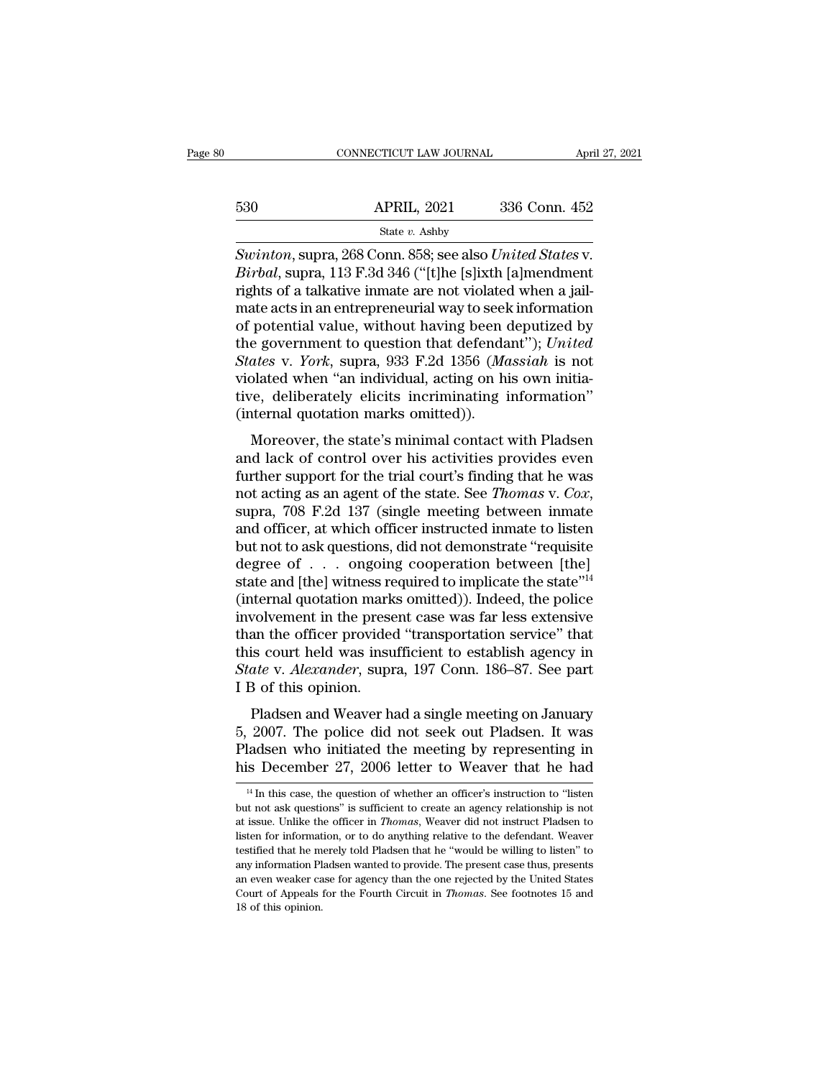|     | CONNECTICUT LAW JOURNAL                                                                                                                                                                  | April 27, 2021 |
|-----|------------------------------------------------------------------------------------------------------------------------------------------------------------------------------------------|----------------|
| 530 | <b>APRIL, 2021</b>                                                                                                                                                                       | 336 Conn. 452  |
|     | State $v$ . Ashby                                                                                                                                                                        |                |
|     | Swinton, supra, 268 Conn. 858; see also United States v.<br><i>Birbal</i> , supra, 113 F.3d 346 ("[t]he [s]ixth [a]mendment<br>rights of a talletive inmate are not violated when a jail |                |

*Biga Biga Biga Biga Biga Biga Biga Bigabal, supra, 268 Conn. 858; see also <i>United States v.*<br>*Birbal, supra, 113 F.3d 346 ("[t]he [s]ixth [a]mendment* rights of a talkative inmate are not violated when a ja For a talk state v. Ashby<br>
Fig. 2021 336 Conn. 452<br>
Swinton, supra, 268 Conn. 858; see also United States v.<br>
Birbal, supra, 113 F.3d 346 ("[t]he [s]ixth [a]mendment<br>
rights of a talkative inmate are not violated when a j 530 **APRIL, 2021** 336 Conn. 452<br>
State v. Ashby<br>
Swinton, supra, 268 Conn. 858; see also *United States v.*<br> *Birbal*, supra, 113 F.3d 346 ("[t]he [s]ixth [a]mendment<br>
rights of a talkative inmate are not violated when a State v. Ashby<br>Swinton, supra, 268 Conn. 858; see also United States v.<br>Birbal, supra, 113 F.3d 346 ("[t]he [s]ixth [a]mendment<br>rights of a talkative inmate are not violated when a jail-<br>mate acts in an entrepreneurial wa Suvinton, supra, 268 Conn. 858; see also *United States v.*<br> *Birbal*, supra, 113 F.3d 346 ("[t]he [s]ixth [a]mendment<br>
rights of a talkative inmate are not violated when a jail-<br>
mate acts in an entrepreneurial way to se *Swinton*, supra, 268 Conn. 858; see also *United States* v.<br>*Birbal*, supra, 113 F.3d 346 ("[t]he [s]ixth [a]mendment<br>rights of a talkative inmate are not violated when a jail-<br>mate acts in an entrepreneurial way to seek *Birbal*, supra, 113 F.3d 346 ("[t]he [s]ixth [a]mendment<br>rights of a talkative inmate are not violated when a jail-<br>mate acts in an entrepreneurial way to seek information<br>of potential value, without having been deputized rights of a talkative inmate are not violated when a jail-<br>mate acts in an entrepreneurial way to seek information<br>of potential value, without having been deputized by<br>the government to question that defendant''); *United* mate acts in an entrepreneurial way to seel<br>of potential value, without having been of<br>the government to question that defenda<br>*States* v. *York*, supra, 933 F.2d 1356 (*Mc*<br>violated when "an individual, acting on hi<br>tive, potential value, whilout having been deputized by<br>e government to question that defendant"); United<br>ates v. York, supra, 933 F.2d 1356 (Massiah is not<br>plated when "an individual, acting on his own initia-<br>re, deliberately Fraction Control and activities of control and the States v. York, supra, 933 F.2d 1356 (*Massiah* is not violated when "an individual, acting on his own initiative, deliberately elicits incriminating information" (interna

blacks v. 10th, supra, 355 F.2d 1550 (massiant is not<br>violated when "an individual, acting on his own initia-<br>tive, deliberately elicits incriminating information"<br>(internal quotation marks omitted)).<br>Moreover, the state' violated with an individual, acting on his own indiative, deliberately elicits incriminating information"<br>(internal quotation marks omitted)).<br>Moreover, the state's minimal contact with Pladsen<br>and lack of control over his Moreover, the state's minimal contact with Pladsen<br>and lack of control over his activities provides even<br>further support for the trial court's finding that he was<br>not acting as an agent of the state. See *Thomas v. Cox*,<br> Moreover, the state's minimal contact with Pladsen<br>and lack of control over his activities provides even<br>further support for the trial court's finding that he was<br>not acting as an agent of the state. See *Thomas* v. *Cox* and lack of control over his activities provides even<br>further support for the trial court's finding that he was<br>not acting as an agent of the state. See *Thomas* v. *Cox*,<br>supra, 708 F.2d 137 (single meeting between inmat further support for the trial court's finding that he was<br>not acting as an agent of the state. See *Thomas v. Cox*,<br>supra, 708 F.2d 137 (single meeting between inmate<br>and officer, at which officer instructed inmate to lis not acting as an agent of the state. See *Thomas v. Cox*,<br>supra, 708 F.2d 137 (single meeting between inmate<br>and officer, at which officer instructed inmate to listen<br>but not to ask questions, did not demonstrate "requisi supra, 708 F.2d 137 (single meeting between inmate<br>and officer, at which officer instructed inmate to listen<br>but not to ask questions, did not demonstrate "requisite<br>degree of  $\ldots$  ongoing cooperation between [the]<br>state and officer, at which officer instructed inmate to listen<br>but not to ask questions, did not demonstrate "requisite<br>degree of  $\ldots$  ongoing cooperation between [the]<br>state and [the] witness required to implicate the state" but not to ask questions, did not demonstrate "requisite<br>degree of . . . ongoing cooperation between [the]<br>state and [the] witness required to implicate the state"<sup>14</sup><br>(internal quotation marks omitted)). Indeed, the polic degree of . . . ongoing cooperation between [the]<br>state and [the] witness required to implicate the state"<sup>14</sup><br>(internal quotation marks omitted)). Indeed, the police<br>involvement in the present case was far less extensive<br> state and [the] witness required to implicate the state"<sup>14</sup><br>(internal quotation marks omitted)). Indeed, the police<br>involvement in the present case was far less extensive<br>than the officer provided "transportation service" metrial quotation marks omnited)). Indeed, the police<br>volvement in the present case was far less extensive<br>an the officer provided "transportation service" that<br>is court held was insufficient to establish agency in<br>ate v. mvolvement in the present case was far less extensive<br>than the officer provided "transportation service" that<br>this court held was insufficient to establish agency in<br>State v. Alexander, supra, 197 Conn. 186–87. See part<br>I

First this court held was insufficient to establish agency in<br> *State* v. *Alexander*, supra, 197 Conn. 186–87. See part<br>
I B of this opinion.<br>
Pladsen and Weaver had a single meeting on January<br>
5, 2007. The police did no *State* v. *Alexander*, supra, 197 Conn. 186–87. See part I B of this opinion.<br>
Pladsen and Weaver had a single meeting on January<br>
5, 2007. The police did not seek out Pladsen. It was<br>
Pladsen who initiated the meeting b 5, 2007. The police did not seek out Pladsen. It was Pladsen who initiated the meeting by representing in his December 27, 2006 letter to Weaver that he had  $\frac{14 \text{ In this case, the question of whether an officer's instruction to "listen but not ask questions" is sufficient to create an agency relationship is not at issue. Unlike the officer in Thomas, Weaver did not instruct Pladsen to$ 5, 2007. The police did not seek out Pladsen. It was Pladsen who initiated the meeting by representing in his December 27, 2006 letter to Weaver that he had  $\frac{14 \text{ In this case, the question of whether an officer's instruction to "listen but not ask questions" is sufficient to create an agency relationship is not at issue. Unlike the officer in *Thomas*, Weaver did not instruct Pladen to$ 

Pladsen who initiated the meeting by representing in<br>his December 27, 2006 letter to Weaver that he had<br> $\frac{14 \text{ In this case, the question of whether an officer's instruction to "listen}$ <br>but not ask questions" is sufficient to create an agency relationship is not<br>at issue. Unli This December 27, 2006 letter to Weaver that he had<br>
<sup>14</sup> In this case, the question of whether an officer's instruction to "listen<br>
but not ask questions" is sufficient to create an agency relationship is not<br>
at issue. This December 27, 2000 fetter to weaver that he had<br>
<sup>14</sup> In this case, the question of whether an officer's instruction to "listen<br>
but not ask questions" is sufficient to create an agency relationship is not<br>
at issue. <sup>14</sup> In this case, the question of whether an officer's instruction to "listen but not ask questions" is sufficient to create an agency relationship is not at issue. Unlike the officer in *Thomas*, Weaver did not instruct but not ask questions" is sufficient to create an agency relationship is not at issue. Unlike the officer in *Thomas*, Weaver did not instruct Pladsen to listen for information, or to do anything relative to the defendant Fourth Court of Appeals for the Fourth Circuit in *Thomas*. We also instruct Pladsen to listen for information, or to do anything relative to the defendant. Weaver testified that he merely told Pladsen that he "would be wi listen for information, or to do anything relative to the defendant. Weaver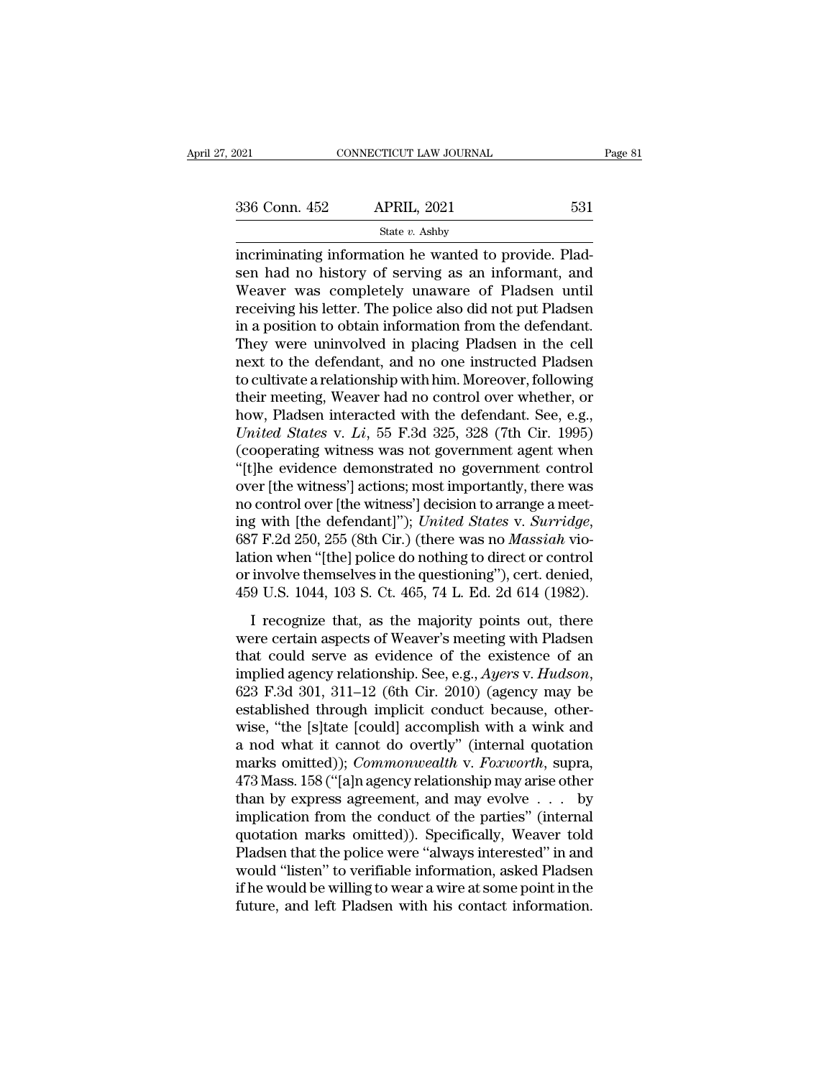# State *v.* Ashby

FORT CONNECTICUT LAW JOURNAL<br>
S36 Conn. 452 APRIL, 2021 531<br>
State v. Ashby<br>
incriminating information he wanted to provide. Plad-<br>
sen had no history of serving as an informant, and<br>
Weaver was completely unaware of Plads  $\begin{array}{r} \text{336 Conn. } \text{452} \qquad \text{APRIL, } \text{2021} \qquad \text{531} \\ \text{State } v. \text{ Ashby} \\ \text{incriminating information he wanted to provide. Plad-  
sen had no history of serving as an information, and \\ \text{Weaver was completely unaware of Pladsen until  
receiving his letter. The police also did not put Pladson.} \end{array}$  $\frac{336 \text{ Conn. } 452}{\text{State } v. \text{ Ashby}}$ <br>
incriminating information he wanted to provide. Pladsen had no history of serving as an informant, and<br>
Weaver was completely unaware of Pladsen until<br>
receiving his letter. The police a 336 Conn. 452 APRIL, 2021 531<br>  $\frac{\text{State } v. \text{ Ashby}}{\text{the variation of the wanted to provide. Plad-}}$ <br>
incriminating information he wanted to provide. Pladsen had no history of serving as an informant, and<br>
Weaver was completely unaware of Pladsen until<br>
rece State v. Ashby<br>
incriminating information he wanted to provide. Plad-<br>
sen had no history of serving as an informant, and<br>
Weaver was completely unaware of Pladsen until<br>
receiving his letter. The police also did not put state  $v$ . Ashby<br>
incriminating information he wanted to provide. Plad-<br>
sen had no history of serving as an informant, and<br>
Weaver was completely unaware of Pladsen until<br>
receiving his letter. The police also did not pu incriminating information he wanted to provide. Pladsen had no history of serving as an informant, and Weaver was completely unaware of Pladsen until receiving his letter. The police also did not put Pladsen in a position sen had no history of serving as an informant, and<br>Weaver was completely unaware of Pladsen until<br>receiving his letter. The police also did not put Pladsen<br>in a position to obtain information from the defendant.<br>They were Weaver was completely unaware of Pladsen until<br>receiving his letter. The police also did not put Pladsen<br>in a position to obtain information from the defendant.<br>They were uninvolved in placing Pladsen in the cell<br>next to receiving his letter. The police also did not put Pladsen<br>in a position to obtain information from the defendant.<br>They were uninvolved in placing Pladsen in the cell<br>next to the defendant, and no one instructed Pladsen<br>to in a position to obtain information from the defendant.<br>They were uninvolved in placing Pladsen in the cell<br>next to the defendant, and no one instructed Pladsen<br>to cultivate a relationship with him. Moreover, following<br>the They were uninvolved in placing Pladsen in the cell<br>next to the defendant, and no one instructed Pladsen<br>to cultivate a relationship with him. Moreover, following<br>their meeting, Weaver had no control over whether, or<br>how, next to the defendant, and no one instructed Pladsen<br>to cultivate a relationship with him. Moreover, following<br>their meeting, Weaver had no control over whether, or<br>how, Pladsen interacted with the defendant. See, e.g.,<br>*U* to cultivate a relationship with him. Moreover, following<br>their meeting, Weaver had no control over whether, or<br>how, Pladsen interacted with the defendant. See, e.g.,<br>*United States* v. *Li*, 55 F.3d 325, 328 (7th Cir. 199 their meeting, Weaver had no control over whether, or<br>how, Pladsen interacted with the defendant. See, e.g.,<br>*United States* v. *Li*, 55 F.3d 325, 328 (7th Cir. 1995)<br>(cooperating witness was not government agent when<br>"[t how, Pladsen interacted with the defendant. See, e.g.,<br>
United States v. *Li*, 55 F.3d 325, 328 (7th Cir. 1995)<br>
(cooperating witness was not government agent when<br>
"[t]he evidence demonstrated no government control<br>
over (cooperating witness was not government agent when "[t]he evidence demonstrated no government control<br>over [the witness'] actions; most importantly, there was<br>no control over [the witness'] decision to arrange a meet-<br>ing "[t]he evidence demonstrated no government control<br>over [the witness'] actions; most importantly, there was<br>no control over [the witness'] decision to arrange a meet-<br>ing with [the defendant]''); *United States v. Surridg* over [the witness'] actions; most importantly, there was<br>no control over [the witness'] decision to arrange a meet-<br>ing with [the defendant]''); *United States v. Surridge*,<br>687 F.2d 250, 255 (8th Cir.) (there was no *Mass* I recognize that, as the majority points out and the mass of with [the defendant]"); *United States v. Surridge*,  $7$  F.2d 250, 255 (8th Cir.) (there was no *Massiah viotion* when "[the] police do nothing to direct or con what face determined by the Sames Western Controllers (687 F.2d 250, 255 (8th Cir.) (there was no *Massiah* violation when "[the] police do nothing to direct or control or involve themselves in the questioning"), cert. de

Lation when "[the] police do nothing to direct or control<br>or involve themselves in the questioning"), cert. denied,<br>459 U.S. 1044, 103 S. Ct. 465, 74 L. Ed. 2d 614 (1982).<br>I recognize that, as the majority points out, the implying a generation and the questioning"), cert. denied, 459 U.S. 1044, 103 S. Ct. 465, 74 L. Ed. 2d 614 (1982).<br>
I recognize that, as the majority points out, there were certain aspects of Weaver's meeting with Pladsen I recognize that, as the majority points out, there were certain aspects of Weaver's meeting with Pladsen that could serve as evidence of the existence of an implied agency relationship. See, e.g., Ayers v. Hudson, 623 F. I recognize that, as the majority points out, there<br>were certain aspects of Weaver's meeting with Pladsen<br>that could serve as evidence of the existence of an<br>implied agency relationship. See, e.g., Ayers v. Hudson,<br>623 F. were certain aspects of Weaver's meeting with Pladsen<br>that could serve as evidence of the existence of an<br>implied agency relationship. See, e.g., Ayers v. Hudson,<br>623 F.3d 301, 311–12 (6th Cir. 2010) (agency may be<br>establi that could serve as evidence of the existence of an<br>implied agency relationship. See, e.g., *Ayers v. Hudson*,<br>623 F.3d 301, 311–12 (6th Cir. 2010) (agency may be<br>established through implicit conduct because, other-<br>wise, implied agency relationship. See, e.g., *Ayers* v. *Hudson*,<br>623 F.3d 301, 311–12 (6th Cir. 2010) (agency may be<br>established through implicit conduct because, other-<br>wise, "the [s]tate [could] accomplish with a wink and<br>a 623 F.3d 301, 311–12 (6th Cir. 2010) (agency may be established through implicit conduct because, otherwise, "the [s]tate [could] accomplish with a wink and a nod what it cannot do overtly" (internal quotation marks omitt established through implicit conduct because, otherwise, "the [s]tate [could] accomplish with a wink and<br>a nod what it cannot do overtly" (internal quotation<br>marks omitted)); *Commonwealth* v. *Foxworth*, supra,<br>473 Mass. wise, "the [s]tate [could] accomplish with a wink and<br>a nod what it cannot do overtly" (internal quotation<br>marks omitted)); *Commonwealth* v. *Foxworth*, supra,<br>473 Mass. 158 ("[a]n agency relationship may arise other<br>than a nod what it cannot do overtly" (internal quotation<br>marks omitted)); *Commonwealth* v. *Foxworth*, supra,<br>473 Mass. 158 ("[a]n agency relationship may arise other<br>than by express agreement, and may evolve . . . by<br>implica marks omitted)); *Commonwealth* v. *Foxworth*, supra,<br>473 Mass. 158 ("[a]n agency relationship may arise other<br>than by express agreement, and may evolve  $\ldots$  by<br>implication from the conduct of the parties" (internal<br>quot 473 Mass. 158 ("[a]n agency relationship may arise other<br>than by express agreement, and may evolve  $\ldots$  by<br>implication from the conduct of the parties" (internal<br>quotation marks omitted)). Specifically, Weaver told<br>Plads than by express agreement, and may evolve . . . by<br>implication from the conduct of the parties" (internal<br>quotation marks omitted)). Specifically, Weaver told<br>Pladsen that the police were "always interested" in and<br>would "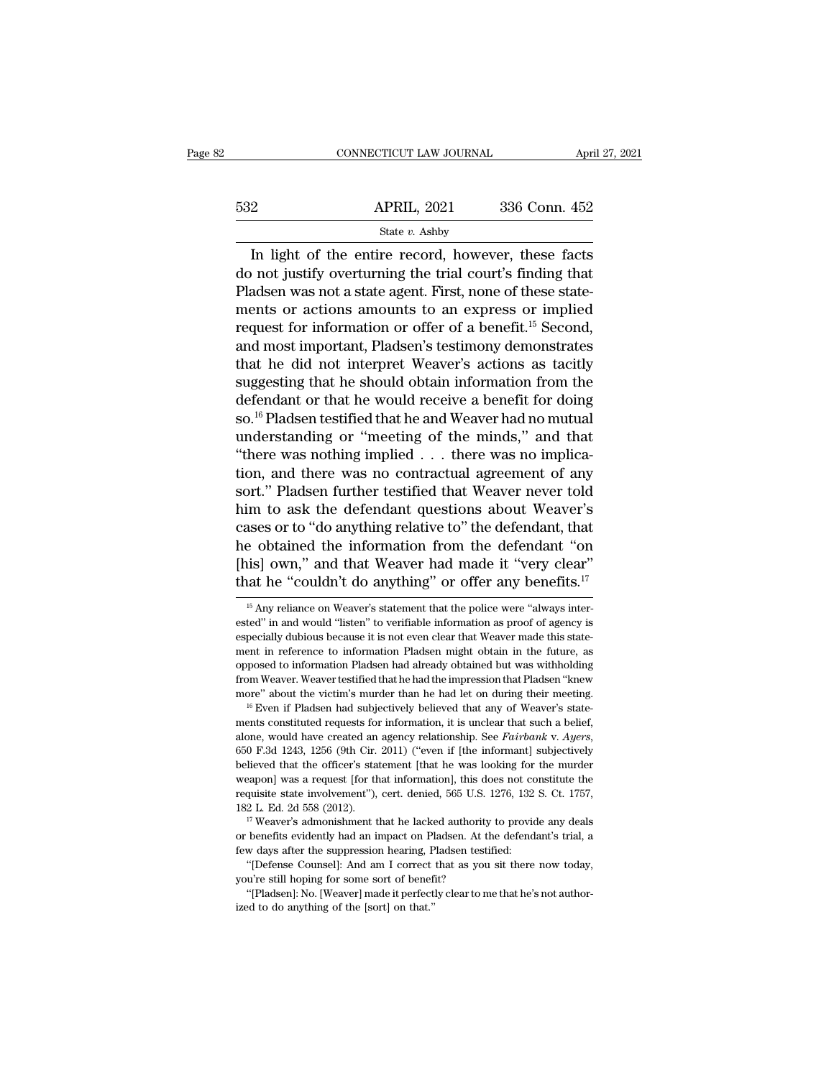|     | CONNECTICUT LAW JOURNAL                                                                                                                                                      | April 27, 2021 |
|-----|------------------------------------------------------------------------------------------------------------------------------------------------------------------------------|----------------|
| 532 | <b>APRIL, 2021</b>                                                                                                                                                           | 336 Conn. 452  |
|     | State $v$ . Ashby                                                                                                                                                            |                |
|     | In light of the entire record, however, these facts<br>do not justify overturning the trial court's finding that<br>Dodgen was not a state agent. First, none of these state |                |

 $\begin{array}{r}\n 532 \text{ APRIL, } 2021 \text{ } 336 \text{ Conn. } 452 \\
 \hline\n \text{State } v. \text{ Ashby} \\
 \hline\n \text{In light of the entire record, however, these facts} \\
 \text{do not justify overturning the trial court's finding that} \\
 \text{Pladsen was not a state agent. First, none of these statements or actions amount to an curves or implied} \n\end{array}$ For a state v. Ashby<br>
State v. Ashby<br>
The light of the entire record, however, these facts<br>
do not justify overturning the trial court's finding that<br>
Pladsen was not a state agent. First, none of these state-<br>
menuscat f 532 **APRIL, 2021** 336 Conn. 452<br>
State *v*. Ashby<br>
In light of the entire record, however, these facts<br>
do not justify overturning the trial court's finding that<br>
Pladsen was not a state agent. First, none of these state-State *v*. Ashby<br>
In light of the entire record, however, these facts<br>
do not justify overturning the trial court's finding that<br>
Pladsen was not a state agent. First, none of these state-<br>
ments or actions amounts to an In light of the entire record, however, these facts<br>do not justify overturning the trial court's finding that<br>Pladsen was not a state agent. First, none of these state-<br>ments or actions amounts to an express or implied<br>re In light of the entire record, however, these facts<br>do not justify overturning the trial court's finding that<br>Pladsen was not a state agent. First, none of these state-<br>ments or actions amounts to an express or implied<br>req do not justify overturning the trial court's finding that<br>Pladsen was not a state agent. First, none of these state-<br>ments or actions amounts to an express or implied<br>request for information or offer of a benefit.<sup>15</sup> Seco Pladsen was not a state agent. First, none of these statements or actions amounts to an express or implied<br>request for information or offer of a benefit.<sup>15</sup> Second,<br>and most important, Pladsen's testimony demonstrates<br>tha ments or actions amounts to an express or implied<br>request for information or offer of a benefit.<sup>15</sup> Second,<br>and most important, Pladsen's testimony demonstrates<br>that he did not interpret Weaver's actions as tacitly<br>sugges request for information or offer of a benefit.<sup>15</sup> Second,<br>and most important, Pladsen's testimony demonstrates<br>that he did not interpret Weaver's actions as tacitly<br>suggesting that he should obtain information from the<br>d and most important, Pladsen's testimony demonstrates<br>that he did not interpret Weaver's actions as tacitly<br>suggesting that he should obtain information from the<br>defendant or that he would receive a benefit for doing<br>so.<sup>16</sup> that he did not interpret Weaver's actions as tacitly<br>suggesting that he should obtain information from the<br>defendant or that he would receive a benefit for doing<br>so.<sup>16</sup> Pladsen testified that he and Weaver had no mutual suggesting that he should obtain information from the<br>defendant or that he would receive a benefit for doing<br>so.<sup>16</sup> Pladsen testified that he and Weaver had no mutual<br>understanding or "meeting of the minds," and that<br>"the defendant or that he would receive a benefit for doing<br>so.<sup>16</sup> Pladsen testified that he and Weaver had no mutual<br>understanding or "meeting of the minds," and that<br>"there was nothing implied . . . there was no implica-<br>tio so." Pladsen testified that he and Weaver had no mutual<br>understanding or "meeting of the minds," and that<br>"there was nothing implied . . . there was no implica-<br>tion, and there was no contractual agreement of any<br>sort." Pl understanding or "meeting of the minds," and that<br>
"there was nothing implied  $\ldots$  there was no implica-<br>
tion, and there was no contractual agreement of any<br>
sort." Pladsen further testified that Weaver never told<br>
him "there was nothing implied . . . there was no implication, and there was no contractual agreement of any sort." Pladsen further testified that Weaver never told him to ask the defendant questions about Weaver's cases or t tion, and there was no contractual agreement of any<br>sort." Pladsen further testified that Weaver never told<br>him to ask the defendant questions about Weaver's<br>cases or to "do anything relative to" the defendant, that<br>he ob is alses or to to anything relative to the defendant, that<br>
is obtained the information from the defendant "on<br>
is own," and that Weaver had made it "very clear"<br>
at he "couldn't do anything" or offer any benefits.<sup>17</sup><br>
<sup>1</sup> he obtained the information from the defendant "on<br>
[his] own," and that Weaver had made it "very clear"<br>
that he "couldn't do anything" or offer any benefits.<sup>17</sup><br>
<sup>15</sup> Any reliance on Weaver's statement that the police

<sup>[</sup>his] own," and that Weaver had made it "very clear"<br>that he "couldn't do anything" or offer any benefits.<sup>17</sup><br> $\frac{15}{15}$  Any reliance on Weaver's statement that the police were "always inter-<br>ested" in and would "listen that he "couldn't do anything" or offer any benefits.<sup>17</sup><br>
<sup>15</sup> Any reliance on Weaver's statement that the police were "always interested" in and would "listen" to verifiable information as proof of agency is especially The countriestic of the countries of the countries.<br>
In any velocities of the plane on Weaver's statement that the police were "always interested" in and would "listen" to verifiable information as proof of agency is espe  $^{15}$  Any reliance on Weaver's statement that the police were "always interested" in and would "listen" to verifiable information as proof of agency is especially dubious because it is not even clear that Weaver made thi ested" in and would "listen" to verifiable information as proof of agency is especially dubious because it is not even clear that Weaver made this statement in reference to information Pladsen might obtain in the future, enteriantly in reference to information Pladsen might obtain in the future, as opposed to information Pladsen had already obtained but was withholding from Weaver. Weaver testified that he had the impression that Pladsen

alone, would have created an agency relationship. See *Fairbank* v. *Ayers*, would have created that he had let on during their meeting. <sup>16</sup> Even if Pladsen had subjectively believed that any of Weaver's statements consti more" about the victim's murder than he had let on during their meeting.<br>
<sup>16</sup> Even if Pladsen had subjectively believed that any of Weaver's statements constituted requests for information, it is unclear that such a beli <sup>16</sup> Even if Pladsen had subjectively believed that any of Weaver's statements constituted requests for information, it is unclear that such a belief, alone, would have created an agency relationship. See *Fairbank* v. Ay rents constituted requests for information, it is unclear that such a belief, alone, would have created an agency relationship. See *Fairbank* v. Ayers, 650 F.3d 1243, 1256 (9th Cir. 2011) ("even if [the informant] subject 2012 alone, would have created an agency relationship. See *Fairbank* v. Ayers, 650 F.3d 1243, 1256 (9th Cir. 2011) ("even if [the informant] subjectively believed that the officer's statement [that he was looking for the believed that the officer's statement [that he was looking for the murder weapon] was a request [for that information], this does not constitute the requisite state involvement"), cert. denied, 565 U.S. 1276, 132 S. Ct. 17

weapon] was a request [for that information], this does not constitute the requisite state involvement"), cert. denied, 565 U.S. 1276, 132 S. Ct. 1757, 182 L. Ed. 2d 558 (2012).<br>
<sup>17</sup> Weaver's admonishment that he lacked requisite state involvement"), cert. denied, 565 U.S. 1276, 132 S. Ct. 1757, 182 L. Ed. 2d 558 (2012).<br>
<sup>17</sup> Weaver's admonishment that he lacked authority to provide any deals or benefits evidently had an impact on Plads Fig. 2. Ed. 2d 558 (2012).<br>
<sup>17</sup> Weaver's admonishment that he lacked authority<br>
or benefits evidently had an impact on Pladsen. At the<br>
few days after the suppression hearing, Pladsen testi<br>
"[Defense Counsel]: And am I <sup>17</sup> Weaver's admonishment that he lacked authority to provide any deals or benefits evidently had an impact on Pladsen. At the defendant's trial, a few days after the suppression hearing, Pladsen testified: "[Defense Cou or benefits evidently had an impact on Pl<br>few days after the suppression hearing, P<br>few days after the suppression hearing, P<br>"[Defense Counsel]: And am I correct<br>you're still hoping for some sort of benef<br>"[Pladsen]: No.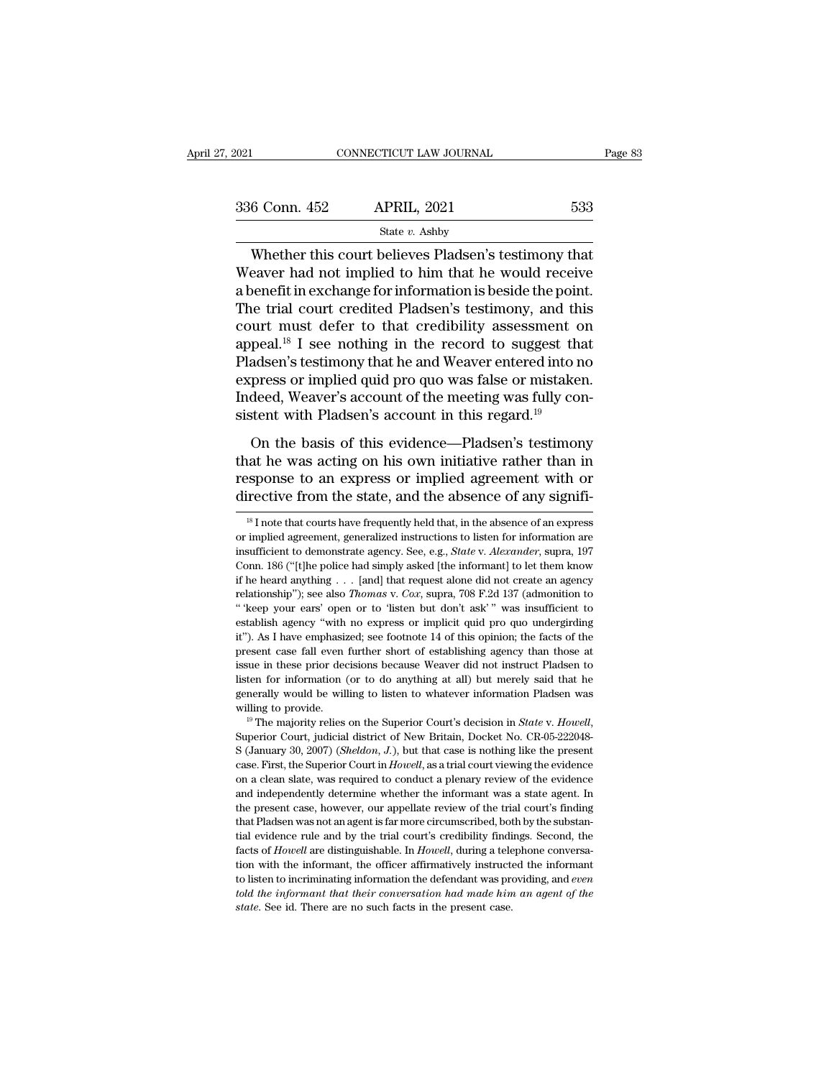| 2021          | CONNECTICUT LAW JOURNAL                                                                                     | Page 83 |
|---------------|-------------------------------------------------------------------------------------------------------------|---------|
|               |                                                                                                             |         |
| 336 Conn. 452 | <b>APRIL, 2021</b>                                                                                          | 533     |
|               | State $v$ . Ashby                                                                                           |         |
|               | Whether this court believes Pladsen's testimony that<br>Weaver had not implied to him that he would receive |         |

 $\begin{array}{r} \text{336 Conn. 452} \quad \text{APRIL, 2021} \quad \text{533} \\\text{State } v. \text{ Ashby} \end{array}$ <br>Whether this court believes Pladsen's testimony that Weaver had not implied to him that he would receive a benefit in exchange for information is beside th 336 Conn. 452 APRIL, 2021 533<br>
State v. Ashby<br>
Whether this court believes Pladsen's testimony that<br>
Weaver had not implied to him that he would receive<br>
a benefit in exchange for information is beside the point.<br>
The tri 336 Conn. 452 APRIL, 2021 533<br>
State v. Ashby<br>
Whether this court believes Pladsen's testimony that<br>
Weaver had not implied to him that he would receive<br>
a benefit in exchange for information is beside the point.<br>
The tri State v. Ashby<br>
State v. Ashby<br>
Whether this court believes Pladsen's testimony that<br>
Weaver had not implied to him that he would receive<br>
a benefit in exchange for information is beside the point.<br>
The trial court credit state v. Ashby<br>
Whether this court believes Pladsen's testimony that<br>
Weaver had not implied to him that he would receive<br>
a benefit in exchange for information is beside the point.<br>
The trial court credited Pladsen's tes Whether this court believes Pladsen's testimony that<br>Weaver had not implied to him that he would receive<br>a benefit in exchange for information is beside the point.<br>The trial court credited Pladsen's testimony, and this<br>cou Weaver had not implied to him that he would receive<br>a benefit in exchange for information is beside the point.<br>The trial court credited Pladsen's testimony, and this<br>court must defer to that credibility assessment on<br>appea a benefit in exchange for information is beside the point.<br>The trial court credited Pladsen's testimony, and this<br>court must defer to that credibility assessment on<br>appeal.<sup>18</sup> I see nothing in the record to suggest that<br>P The trial court credited Pladsen's testimony, and th<br>court must defer to that credibility assessment o<br>appeal.<sup>18</sup> I see nothing in the record to suggest tha<br>Pladsen's testimony that he and Weaver entered into n<br>express or diversing the basis of the problem in the record to suggest that<br>adsen's testimony that he and Weaver entered into no<br>press or implied quid pro quo was false or mistaken.<br>deed, Weaver's account of the meeting was fully co that he was action with a subset of the was actional product and Weaver entered into no<br>express or implied quid pro quo was false or mistaken.<br>Indeed, Weaver's account of the meeting was fully consistent with Pladsen's acc

response to and the and weaver entered mes no<br>express or implied quid pro quo was false or mistaken.<br>Indeed, Weaver's account of the meeting was fully consistent with Pladsen's account in this regard.<sup>19</sup><br>On the basis of t Indeed, Weaver's account of the meeting was fully consistent with Pladsen's account in this regard.<sup>19</sup><br>On the basis of this evidence—Pladsen's testimony<br>that he was acting on his own initiative rather than in<br>response to On the basis of this evidence—Pladsen's testimony<br>hat he was acting on his own initiative rather than in<br>sponse to an express or implied agreement with or<br>irective from the state, and the absence of any signifi-<br> $^{18}$  I n that he was acting on his own initiative rather than in response to an express or implied agreement with or directive from the state, and the absence of any signifi-<br><sup>18</sup> I note that courts have frequently held that, in t

response to an express or implied agreement with or<br>directive from the state, and the absence of any signifi-<br><sup>18</sup>I note that courts have frequently held that, in the absence of an express<br>or implied agreement, generalized directive from the state, and the absence of any signifi-<br>
<sup>18</sup> I note that courts have frequently held that, in the absence of an express<br>
or implied agreement, generalized instructions to listen for information are<br>
ins <sup>is</sup> I note that courts have frequently held that, in the absence of an express<br>or implied agreement, generalized instructions to listen for information are<br>insufficient to demonstrate agency. See, e.g., *State v. Alexand* <sup>18</sup> I note that courts have frequently held that, in the absence of an express or implied agreement, generalized instructions to listen for information are insufficient to demonstrate agency. See, e.g., *State* v. *Alexa* or implied agreement, generalized instructions to listen for information are<br>insufficient to demonstrate agency. See, e.g., *State v. Alexander*, supra, 197<br>Conn. 186 ("[t]he police had simply asked [the informant] to let is unificient to demonstrate agency. See, e.g., *State* v. *Alexander*, supra, 197 Conn. 186 ("[t]he police had simply asked [the informant] to let them know if he heard anything . . . [and] that request alone did not cre Conn. 186 ("[t]he police had simply asked [the informant] to let them know<br>
if he heard anything . . . [and] that request alone did not create an agency<br>
relationship"); see also *Thomas* v. *Cox*, supra, 708 F.2d 137 (ad Conn. 186 ("[t]he police had simply asked [the informant] to let them know if he heard anything . . . [and] that request alone did not create an agency relationship"); see also *Thomas* v. *Cox*, supra, 708 F.2d 137 (admo relationship"); see also *Thomas* v. *Cox*, supra, 708 F.2d 137 (admonition to " 'keep your ears' open or to 'listen but don't ask' " was insufficient to establish agency "with no express or implicit quid pro quo undergird " "keep your ears' open or to 'listen but don't ask' " was insufficient to establish agency "with no express or implicit quid pro quo undergirding it"). As I have emphasized; see footnote 14 of this opinion; the facts of establish agency "with no express or implicit quid pro quo undergirding it"). As I have emphasized; see footnote 14 of this opinion; the facts of the present case fall even further short of establishing agency than those it"). As I have emphasized; see footnote 14 of this opinion; the facts of the present case fall even further short of establishing agency than those at issue in these prior decisions because Weaver did not instruct Pladsen

External in the prior to do anything at all) but merely said that he generally would be willing to listen to whatever information Pladsen was willing to provide.<br><sup>19</sup> The majority relies on the Superior Court's decision in generally would be willing to listen to whatever information Pladsen was<br>willing to provide.<br><sup>19</sup> The majority relies on the Superior Court's decision in *State* v. *Howell*,<br>Superior Court, judicial district of New Britai whiling to provide.<br>
<sup>19</sup> The majority relies on the Superior Court's decision in *State* v. *Howell*,<br>
Superior Court, judicial district of New Britain, Docket No. CR-05-222048-<br>
S (January 30, 2007) (*Sheldon, J.*), but <sup>an</sup> The majority relies on the Superior Court's decision in *State* v. *Howell*, Superior Court, judicial district of New Britain, Docket No. CR-05-222048-S (January 30, 2007) (*Sheldon, J.*), but that case is nothing li Superior Court, judicial district of New Britain, Docket No. CR-05-222048-<br>S (January 30, 2007) (*Sheldon, J.*), but that case is nothing like the present<br>case. First, the Superior Court in *Howell*, as a trial court viewi S (January 30, 2007) (*Sheldon, J.*), but that case is nothing like the present case. First, the Superior Court in *Howell*, as a trial court viewing the evidence on a clean slate, was required to conduct a plenary review Existed Exist, the Superior Court in *Howell*, as a trial court viewing the evidence on a clean slate, was required to conduct a plenary review of the evidence and independently determine whether the informant was a state conduct a plenary review of the evidence on a clean slate, was required to conduct a plenary review of the evidence and independently determine whether the informant was a state agent. In the present case, however, our app and independently determine whether the informant was a state agent. In the present case, however, our appellate review of the trial court's finding that Pladsen was not an agent is far more circumscribed, both by the subs the present case, however, our appellate review of the trial court's finding<br>that Pladsen was not an agent is far more circumscribed, both by the substan-<br>tial evidence rule and by the trial court's credibility findings. S the present case, however, our appellate review of the trial court's finding that Pladsen was not an agent is far more circumscribed, both by the substantial evidence rule and by the trial court's credibility findings. Sec tial evidence rule and by the trial court's credibility findings. Second, the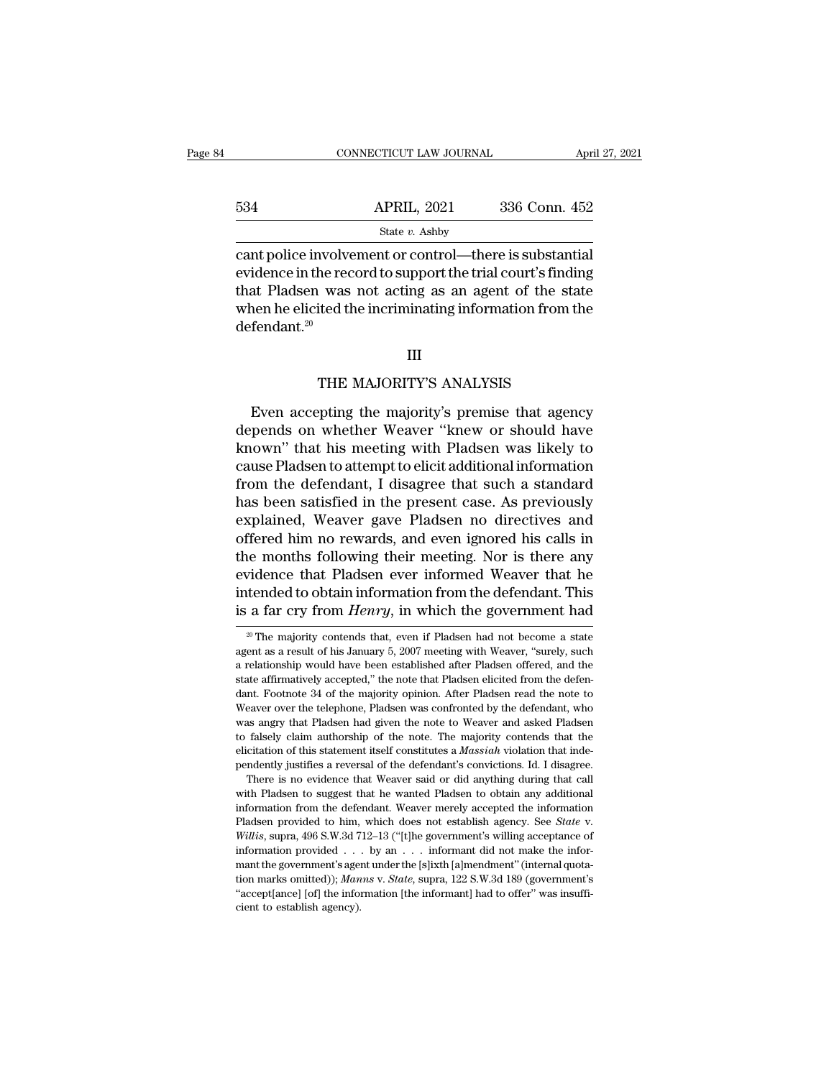|     | CONNECTICUT LAW JOURNAL                                                                                                                                                        | April 27, 2021 |
|-----|--------------------------------------------------------------------------------------------------------------------------------------------------------------------------------|----------------|
| 534 | <b>APRIL, 2021</b>                                                                                                                                                             | 336 Conn. 452  |
|     | State $v$ . Ashby                                                                                                                                                              |                |
|     | cant police involvement or control—there is substantial<br>evidence in the record to support the trial court's finding<br>that Dladson was not acting as an agant of the state |                |

 $\begin{array}{r} \text{534} \text{   }\text{  }\text{  }\text{~} \text{APRIL, 2021} \text{   } \text{336 Conn. 452} \end{array}$ <br>  $\begin{array}{r} \text{state } v. \text{ Ashy} \ \text{cant police involvement or control—there is substantial} \ \text{evidence in the record to support the trial court's finding} \ \text{that Pladsen was not acting as an agent of the state} \ \text{when be elicited the ineriminating information from the} \end{array}$ 534 APRIL, 2021 336 Conn. 452<br>
State v. Ashby<br>
cant police involvement or control—there is substantial<br>
evidence in the record to support the trial court's finding<br>
that Pladsen was not acting as an agent of the state<br>
wh 534 APRIL, 2021 336 Conn. 452<br>
State v. Ashby<br>
cant police involvement or control—there is substantial<br>
evidence in the record to support the trial court's finding<br>
that Pladsen was not acting as an agent of the state<br>
wh defendant.<sup>20</sup> he record to support the trial court's findin<br>I was not acting as an agent of the stat<br>ited the incriminating information from th<br>III<br>THE MAJORITY'S ANALYSIS<br>ppting the majority's premise that agenc

# III

Franchise and the incriminating information from the fendant.<sup>20</sup><br>
III<br>
THE MAJORITY'S ANALYSIS<br>
Even accepting the majority's premise that agency<br>
pends on whether Weaver "knew or should have defendant.<sup>20</sup><br>
III<br>
THE MAJORITY'S ANALYSIS<br>
Even accepting the majority's premise that agency<br>
depends on whether Weaver "knew or should have<br>
known" that his meeting with Pladsen was likely to<br>
gauge Pladsen to attempt III<br>THE MAJORITY'S ANALYSIS<br>Even accepting the majority's premise that agency<br>depends on whether Weaver "knew or should have<br>known" that his meeting with Pladsen was likely to<br>cause Pladsen to attempt to elicit additional THE MAJORITY'S ANALYSIS<br>Even accepting the majority's premise that agency<br>depends on whether Weaver "knew or should have<br>known" that his meeting with Pladsen was likely to<br>cause Pladsen to attempt to elicit additional info THE MAJORITY'S ANALYSIS<br>Even accepting the majority's premise that agency<br>depends on whether Weaver "knew or should have<br>known" that his meeting with Pladsen was likely to<br>cause Pladsen to attempt to elicit additional info Even accepting the majority's premise that agency<br>depends on whether Weaver "knew or should have<br>known" that his meeting with Pladsen was likely to<br>cause Pladsen to attempt to elicit additional information<br>from the defenda Even accepting the majority's premise that agency<br>depends on whether Weaver "knew or should have<br>known" that his meeting with Pladsen was likely to<br>cause Pladsen to attempt to elicit additional information<br>from the defenda depends on whether Weaver "knew or should have<br>known" that his meeting with Pladsen was likely to<br>cause Pladsen to attempt to elicit additional information<br>from the defendant, I disagree that such a standard<br>has been satis known" that his meeting with Pladsen was likely to<br>cause Pladsen to attempt to elicit additional information<br>from the defendant, I disagree that such a standard<br>has been satisfied in the present case. As previously<br>explain cause Pladsen to attempt to elicit additional information<br>from the defendant, I disagree that such a standard<br>has been satisfied in the present case. As previously<br>explained, Weaver gave Pladsen no directives and<br>offered h from the defendant, I disagree that such a standard<br>has been satisfied in the present case. As previously<br>explained, Weaver gave Pladsen no directives and<br>offered him no rewards, and even ignored his calls in<br>the months fo has been satisfied in the present case. As previously<br>explained, Weaver gave Pladsen no directives and<br>offered him no rewards, and even ignored his calls in<br>the months following their meeting. Nor is there any<br>evidence tha idence that Pladsen ever informed Weaver that he<br>tended to obtain information from the defendant. This<br>a far cry from *Henry*, in which the government had<br><sup>20</sup> The majority contends that, even if Pladsen had not become a s evidence that Pladsen ever informed Weaver that he<br>intended to obtain information from the defendant. This<br>is a far cry from *Henry*, in which the government had<br><sup>20</sup> The majority contends that, even if Pladsen had not bec

intended to obtain information from the defendant. This<br>is a far cry from *Henry*, in which the government had<br><sup>20</sup> The majority contends that, even if Pladsen had not become a state<br>agent as a result of his January 5, 200 intended to obtain information from the defendant. This<br>is a far cry from *Henry*, in which the government had<br> $\frac{20 \text{ T}}{100 \text{ m}}$  The majority contends that, even if Pladsen had not become a state<br>agent as a result of  $\frac{1}{20}$  The majority contends that, even if Pladsen had not become a state agent as a result of his January 5, 2007 meeting with Weaver, "surely, such a relationship would have been established after Pladsen offered, a <sup>20</sup> The majority contends that, even if Pladsen had not become a state agent as a result of his January 5, 2007 meeting with Weaver, "surely, such a relationship would have been established after Pladsen offered, and the end as a result of his January 5, 2007 meeting with Weaver, "surely, such a relationship would have been established after Pladsen offered, and the state affirmatively accepted," the note that Pladsen elicited from the def as relationship would have been established after Pladsen offered, and the state affirmatively accepted," the note that Pladsen elicited from the defendant. Footnote 34 of the majority opinion. After Pladsen read the note elf the affirmatively accepted," the note that Pladsen elicited from the defendant. Footnote 34 of the majority opinion. After Pladsen read the note to Weaver over the telephone, Pladsen was confronted by the defendant, wh bendently justifies a reversal of the defendant's convictions. After Pladsen read the note to Weaver over the telephone, Pladsen was confronted by the defendant, who was angry that Pladsen had given the note to Weaver and Easter over the telephone, Pladsen was confronted by the defendant, who as angry that Pladsen had given the note to Weaver and asked Pladsen falsely claim authorship of the note. The majority contends that the citation of was angry that Pladsen had given the note to Weaver and asked Pladsen<br>to falsely claim authorship of the note. The majority contends that the<br>elicitation of this statement itself constitutes a *Massiah* violation that ind

to falsely claim authorship of the note. The majority contends that the elicitation of this statement itself constitutes a *Massiah* violation that independently justifies a reversal of the defendant's convictions. Id. I Place establish agency. Ideal to this statement itself constitutes a *Massiah* violation that independently justifies a reversal of the defendant's convictions. Id. I disagree. There is no evidence that Weaver said or did There is no evidence that Weaver said or did anything during that call<br>There is no evidence that Weaver said or did anything during that call<br>with Pladsen to suggest that he wanted Pladsen to obtain any additional<br>informat with Pladsen to suggest that he wanted Pladsen to obtain any additional<br>information from the defendant. Weaver merely accepted the information<br>Pladsen provided to him, which does not establish agency. See *State* v.<br>Willi information from the defendant. Weaver merely accepted the information Pladsen provided to him, which does not establish agency. See *State* v. *Willis*, supra, 496 S.W.3d 712–13 ("[t]he government's willing acceptance of Pladsen provided to him, which does not establish agency. See State v. Willis, supra, 496 S.W.3d 712-13 ("[t]he government's willing acceptance of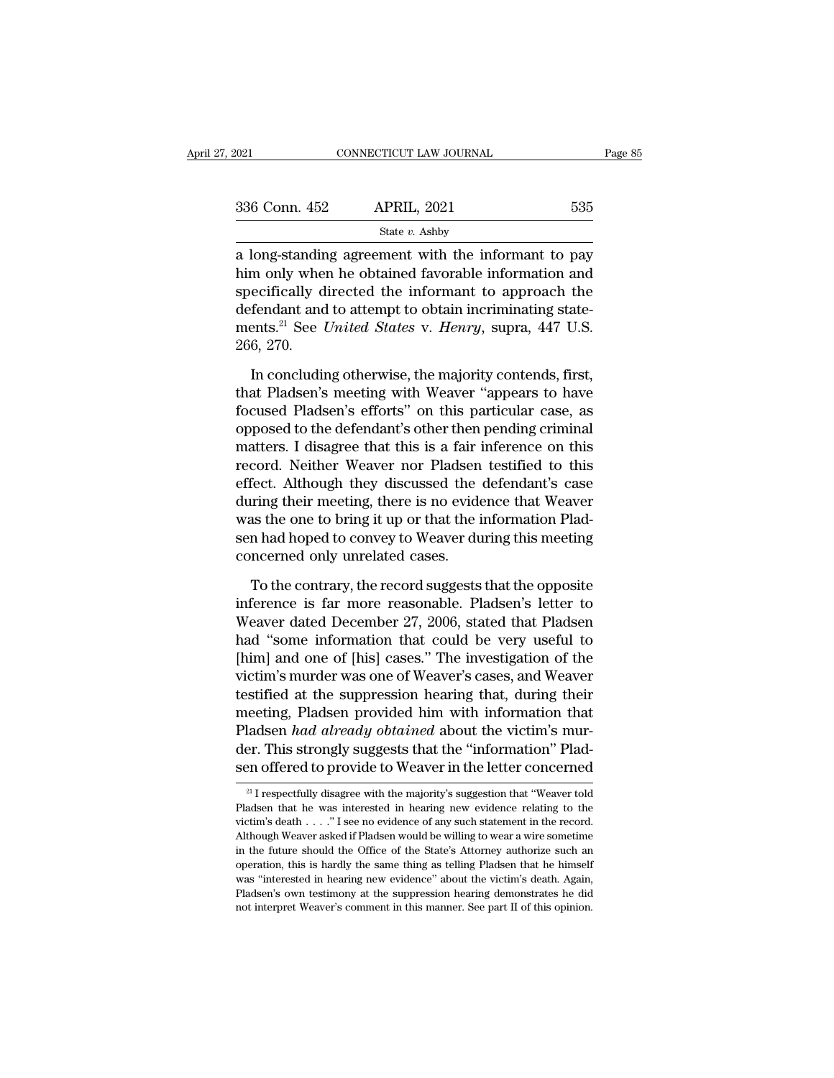| 2021          | CONNECTICUT LAW JOURNAL                                                                                                                                           |     | Page 85 |
|---------------|-------------------------------------------------------------------------------------------------------------------------------------------------------------------|-----|---------|
|               |                                                                                                                                                                   |     |         |
| 336 Conn. 452 | <b>APRIL, 2021</b>                                                                                                                                                | 535 |         |
|               | State $v$ . Ashby                                                                                                                                                 |     |         |
|               | a long-standing agreement with the informant to pay<br>him only when he obtained favorable information and<br>gpesifiestly directed the informant to approach the |     |         |

 $\begin{array}{ccc}\n 336 \text{ Conn. } 452 & \text{APRIL, } 2021 & 535 \\
 \hline\n & \text{State } v. \text{ Ashby} \\
 \hline\n a long-standing agreement with the information and  
\nhip only when he obtained favorable information and  
\nspecifically directed the information approach the  
\ndofendent and to attempt to obtain ineriminating state.\n\end{array}$ 336 Conn. 452 APRIL, 2021 535<br>
State v. Ashby<br>
a long-standing agreement with the informant to pay<br>
him only when he obtained favorable information and<br>
specifically directed the informant to approach the<br>
defendant and t 336 Conn. 452 APRIL, 2021 535<br>
State v. Ashby<br>
a long-standing agreement with the informant to pay<br>
him only when he obtained favorable information and<br>
specifically directed the informant to approach the<br>
defendant and t State *v*. Ashby<br>a long-standing agreement with the informant to pay<br>him only when he obtained favorable information and<br>specifically directed the informant to approach the<br>defendant and to attempt to obtain incriminating  $\frac{2}{\text{him}}$  ong-standir<br>him only whe<br>specifically d<br>defendant and<br>ments.<sup>21</sup> See 1<br>266, 270.<br>In concludir m only when he obtained favorable information and<br>ecifically directed the informant to approach the<br>fendant and to attempt to obtain incriminating state-<br>ents.<sup>21</sup> See *United States v. Henry*, supra, 447 U.S.<br>6, 270.<br>In c specifically directed the informant to approach the<br>defendant and to attempt to obtain incriminating state-<br>ments.<sup>21</sup> See *United States* v. *Henry*, supra, 447 U.S.<br>266, 270.<br>In concluding otherwise, the majority contend

defendant and to attempt to obtain incriminating state-<br>ments.<sup>21</sup> See *United States v. Henry*, supra, 447 U.S.<br>266, 270.<br>In concluding otherwise, the majority contends, first,<br>that Pladsen's meeting with Weaver "appears ments.<sup>21</sup> See *United States* v. *Henry*, supra, 447 U.S.<br>266, 270.<br>In concluding otherwise, the majority contends, first,<br>that Pladsen's meeting with Weaver "appears to have<br>focused Pladsen's efforts" on this particular 266, 270.<br>In concluding otherwise, the majority contends, first,<br>that Pladsen's meeting with Weaver "appears to have<br>focused Pladsen's efforts" on this particular case, as<br>opposed to the defendant's other then pending crim In concluding otherwise, the majority contends, first,<br>that Pladsen's meeting with Weaver "appears to have<br>focused Pladsen's efforts" on this particular case, as<br>opposed to the defendant's other then pending criminal<br>matte In concluding otherwise, the majority contends, first,<br>that Pladsen's meeting with Weaver "appears to have<br>focused Pladsen's efforts" on this particular case, as<br>opposed to the defendant's other then pending criminal<br>matte that Pladsen's meeting with Weaver "appears to have<br>focused Pladsen's efforts" on this particular case, as<br>opposed to the defendant's other then pending criminal<br>matters. I disagree that this is a fair inference on this<br>re focused Pladsen's efforts" on this particular case, as<br>opposed to the defendant's other then pending criminal<br>matters. I disagree that this is a fair inference on this<br>record. Neither Weaver nor Pladsen testified to this<br>e opposed to the defendant's other then pending criminal<br>matters. I disagree that this is a fair inference on this<br>record. Neither Weaver nor Pladsen testified to this<br>effect. Although they discussed the defendant's case<br>dur matters. I disagree that this is a fair i<br>record. Neither Weaver nor Pladsen<br>effect. Although they discussed the<br>during their meeting, there is no evide<br>was the one to bring it up or that the i<br>sen had hoped to convey to W fect. Although they discussed the defendant's case<br>ring their meeting, there is no evidence that Weaver<br>as the one to bring it up or that the information Plad-<br>in had hoped to convey to Weaver during this meeting<br>ncerned o during their meeting, there is no evidence that Weaver<br>was the one to bring it up or that the information Plad-<br>sen had hoped to convey to Weaver during this meeting<br>concerned only unrelated cases.<br>To the contrary, the rec

was the one to bring it up or that the information Plad-<br>sen had hoped to convey to Weaver during this meeting<br>concerned only unrelated cases.<br>To the contrary, the record suggests that the opposite<br>inference is far more re sen had hoped to convey to Weaver during this meeting<br>
concerned only unrelated cases.<br>
To the contrary, the record suggests that the opposite<br>
inference is far more reasonable. Pladsen's letter to<br>
Weaver dated December 2 concerned only unrelated cases.<br>To the contrary, the record suggests that the opposite<br>inference is far more reasonable. Pladsen's letter to<br>Weaver dated December 27, 2006, stated that Pladsen<br>had "some information that co To the contrary, the record suggests that the opposite<br>inference is far more reasonable. Pladsen's letter to<br>Weaver dated December 27, 2006, stated that Pladsen<br>had "some information that could be very useful to<br>[him] and To the contrary, the record suggests that the opposite<br>inference is far more reasonable. Pladsen's letter to<br>Weaver dated December 27, 2006, stated that Pladsen<br>had "some information that could be very useful to<br>[him] and inference is far more reasonable. Pladsen's letter to<br>Weaver dated December 27, 2006, stated that Pladsen<br>had "some information that could be very useful to<br>[him] and one of [his] cases." The investigation of the<br>victim's Weaver dated December 27, 2006, stated that Pladsen<br>had "some information that could be very useful to<br>[him] and one of [his] cases." The investigation of the<br>victim's murder was one of Weaver's cases, and Weaver<br>testified had "some information that could be very useful to<br>[him] and one of [his] cases." The investigation of the<br>victim's murder was one of Weaver's cases, and Weaver<br>testified at the suppression hearing that, during their<br>meeti [him] and one of [his] cases." The investigation of the victim's murder was one of Weaver's cases, and Weaver testified at the suppression hearing that, during their meeting, Pladsen provided him with information that Pla meeting, Pladsen provided him with information that Pladsen *had already obtained* about the victim's murder. This strongly suggests that the "information" Pladsen offered to provide to Weaver in the letter concerned  $\frac{$ Pladsen *had already obtained* about the victim's murder. This strongly suggests that the "information" Pladsen offered to provide to Weaver in the letter concerned  $\frac{21}{1}$  respectfully disagree with the majority's sug

der. This strongly suggests that the "information" Pladsen offered to provide to Weaver in the letter concerned<br> $\frac{1}{2}$  I respectfully disagree with the majority's suggestion that "Weaver told<br>Pladsen that he was intere Sen offered to provide to Weaver in the letter concerned<br>
<sup>21</sup> I respectfully disagree with the majority's suggestion that "Weaver told<br>
Pladsen that he was interested in hearing new evidence relating to the<br>
victim's dea <sup>21</sup> I respectfully disagree with the majority's suggestion that "Weaver told Pladsen that he was interested in hearing new evidence relating to the victim's death . . . . "I see no evidence of any such statement in the r <sup>21</sup> I respectfully disagree with the majority's suggestion that "Weaver told Pladsen that he was interested in hearing new evidence relating to the victim's death . . . ." I see no evidence of any such statement in the r Pladsen that he was interested in hearing new evidence relating to the victim's death . . . . ." I see no evidence of any such statement in the record. Although Weaver asked if Pladsen would be willing to wear a wire some Platter's death  $\ldots$ ." I see no evidence of any such statement in the record.<br>Although Weaver asked if Pladsen would be willing to wear a wire sometime<br>in the future should the Office of the State's Attorney authorize su Although Weaver asked if Pladsen would be willing to wear a wire sometime.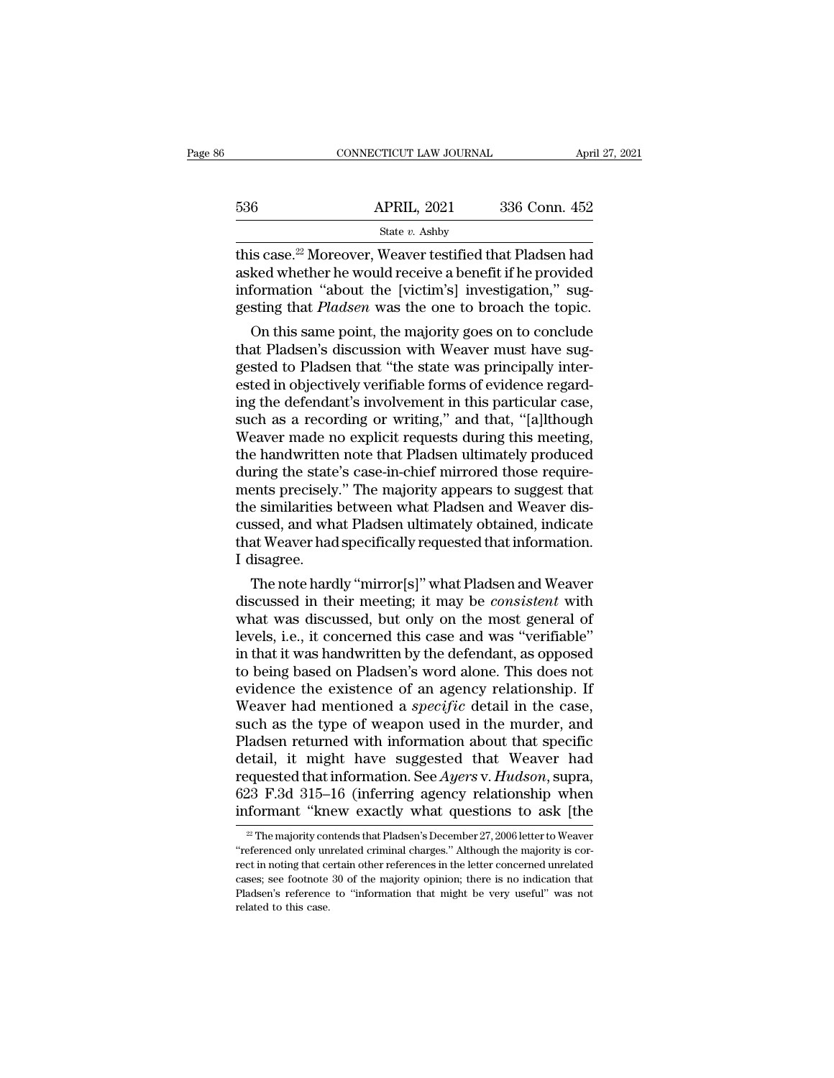|     | CONNECTICUT LAW JOURNAL | April 27, 2021 |
|-----|-------------------------|----------------|
| 536 | <b>APRIL, 2021</b>      | 336 Conn. 452  |
|     | State $v$ . Ashby       |                |

536 APRIL, 2021 336 Conn. 452<br>
State v. Ashby<br>
this case.<sup>22</sup> Moreover, Weaver testified that Pladsen had<br>
asked whether he would receive a benefit if he provided<br>
information "about the [victim's] investigation," sug-<br>
g 536 **APRIL**, 2021 336 Conn. 452<br>
State v. Ashby<br>
this case.<sup>22</sup> Moreover, Weaver testified that Pladsen had<br>
asked whether he would receive a benefit if he provided<br>
information "about the [victim's] investigation," sug-<br> 536 **APRIL, 2021** 336 Conn. 452<br>
State *v*. Ashby<br>
this case.<sup>22</sup> Moreover, Weaver testified that Pladsen had<br>
asked whether he would receive a benefit if he provided<br>
information "about the [victim's] investigation," sug-State v. Ashby<br>
is case.<sup>22</sup> Moreover, Weaver testified that Pladsen had<br>
ked whether he would receive a benefit if he provided<br>
formation "about the [victim's] investigation," sug-<br>
sting that *Pladsen* was the one to br this case.<sup>22</sup> Moreover, Weaver testified that Pladsen had<br>asked whether he would receive a benefit if he provided<br>information "about the [victim's] investigation," sug-<br>gesting that *Pladsen* was the one to broach the top

this case." Moreover, weaver testined that Pladsen had<br>asked whether he would receive a benefit if he provided<br>information "about the [victim's] investigation," sug-<br>gesting that *Pladsen* was the one to broach the topic.<br> asked whether he would receive a benefit if he provided<br>information "about the [victim's] investigation," sug-<br>gesting that *Pladsen* was the one to broach the topic.<br>On this same point, the majority goes on to conclude<br>th mormation about the [victim s] investigation, suggesting that *Pladsen* was the one to broach the topic.<br>On this same point, the majority goes on to conclude<br>that Pladsen's discussion with Weaver must have suggested to Pla gesting that *Piaasen* was the one to broach the topic.<br>
On this same point, the majority goes on to conclude<br>
that Pladsen's discussion with Weaver must have sug-<br>
gested to Pladsen that "the state was principally inter-<br> On this same point, the majority goes on to conclude<br>that Pladsen's discussion with Weaver must have sug-<br>gested to Pladsen that "the state was principally inter-<br>ested in objectively verifiable forms of evidence regard-<br>i that Pladsen's discussion with Weaver must have suggested to Pladsen that "the state was principally interested in objectively verifiable forms of evidence regarding the defendant's involvement in this particular case, suc gested to Pladsen that "the state was principally interested in objectively verifiable forms of evidence regarding the defendant's involvement in this particular case, such as a recording or writing," and that, "[a]lthough ested in objectively verifiable forms of evidence regard-<br>ing the defendant's involvement in this particular case,<br>such as a recording or writing," and that, "[a]lthough<br>Weaver made no explicit requests during this meeting ing the defendant's involvement in this particular case, such as a recording or writing," and that, "[a]lthough Weaver made no explicit requests during this meeting, the handwritten note that Pladsen ultimately produced du such as a recording or writing," and that, "[a]lthough<br>Weaver made no explicit requests during this meeting,<br>the handwritten note that Pladsen ultimately produced<br>during the state's case-in-chief mirrored those require-<br>me Weaver made no explicit requests during this meeting,<br>the handwritten note that Pladsen ultimately produced<br>during the state's case-in-chief mirrored those require-<br>ments precisely." The majority appears to suggest that<br>th the handwritten<br>during the state<br>ments precisely<br>the similarities<br>cussed, and what<br>that Weaver had<br>I disagree.<br>The note hard ring the state's case-in-chier infrored those require-<br>ents precisely." The majority appears to suggest that<br>e similarities between what Pladsen and Weaver dis-<br>ssed, and what Pladsen ultimately obtained, indicate<br>at Weave ments precisely. The majority appears to suggest that<br>the similarities between what Pladsen and Weaver dis-<br>cussed, and what Pladsen ultimately obtained, indicate<br>that Weaver had specifically requested that information.<br>I

the similarities between what Pladsen and weaver discussed, and what Pladsen ultimately obtained, indicate<br>that Weaver had specifically requested that information.<br>I disagree.<br>The note hardly "mirror[s]" what Pladsen and W cussed, and what Pladsen ultimately obtained, indicate<br>that Weaver had specifically requested that information.<br>I disagree.<br>The note hardly "mirror[s]" what Pladsen and Weaver<br>discussed in their meeting; it may be *consist* I disagree.<br>
I disagree.<br>
The note hardly "mirror[s]" what Pladsen and Weaver<br>
discussed in their meeting; it may be *consistent* with<br>
what was discussed, but only on the most general of<br>
levels, i.e., it concerned this c I disagree.<br>
The note hardly "mirror[s]" what Pladsen and Weaver<br>
discussed in their meeting; it may be *consistent* with<br>
what was discussed, but only on the most general of<br>
levels, i.e., it concerned this case and was " The note hardly "mirror[s]" what Pladsen and Weaver<br>discussed in their meeting; it may be *consistent* with<br>what was discussed, but only on the most general of<br>levels, i.e., it concerned this case and was "verifiable"<br>in discussed in their meeting; it may be *consistent* with<br>what was discussed, but only on the most general of<br>levels, i.e., it concerned this case and was "verifiable"<br>in that it was handwritten by the defendant, as opposed<br> what was discussed, but only on the most general of<br>levels, i.e., it concerned this case and was "verifiable"<br>in that it was handwritten by the defendant, as opposed<br>to being based on Pladsen's word alone. This does not<br>ev levels, i.e., it concerned this case and was "verifiable"<br>in that it was handwritten by the defendant, as opposed<br>to being based on Pladsen's word alone. This does not<br>evidence the existence of an agency relationship. If<br>W in that it was handwritten by the defendant, as opposed<br>to being based on Pladsen's word alone. This does not<br>evidence the existence of an agency relationship. If<br>Weaver had mentioned a *specific* detail in the case,<br>such to being based on Pladsen's word alone. This does not<br>evidence the existence of an agency relationship. If<br>Weaver had mentioned a *specific* detail in the case,<br>such as the type of weapon used in the murder, and<br>Pladsen re evidence the existence of an agency relationship. If<br>Weaver had mentioned a *specific* detail in the case,<br>such as the type of weapon used in the murder, and<br>Pladsen returned with information about that specific<br>detail, it Weaver had mentioned a *specific* detail in the case,<br>such as the type of weapon used in the murder, and<br>Pladsen returned with information about that specific<br>detail, it might have suggested that Weaver had<br>requested that etail, it might have suggested that Weaver had<br>equested that information. See Ayers v. Hudson, supra,<br>23 F.3d 315–16 (inferring agency relationship when<br>formant "knew exactly what questions to ask [the<br><sup>22</sup> The majority co requested that information. See Ayers v. Hudson, supra, 623 F.3d 315–16 (inferring agency relationship when informant "knew exactly what questions to ask [the  $\frac{2}{x}$  The majority contends that Pladsen's December 27, 20

<sup>623</sup> F.3d 315–16 (inferring agency relationship when<br>informant "knew exactly what questions to ask [the<br> $\frac{2}{\pi}$ The majority contends that Pladsen's December 27, 2006 letter to Weaver<br>"referenced only unrelated criminal informant "knew exactly what questions to ask [the  $\frac{2}{2}$  The majority contends that Pladsen's December 27, 2006 letter to Weaver "referenced only unrelated criminal charges." Although the majority is correct in noting **Plantificant EXECTS** With the exactly with the very  $^{22}$  The majority contends that Pladsen's December 27, 2006 letter to Weaver "referenced only unrelated criminal charges." Although the majority is correct in noting "referenced only unrelated criminal charges." Although the majority is cor-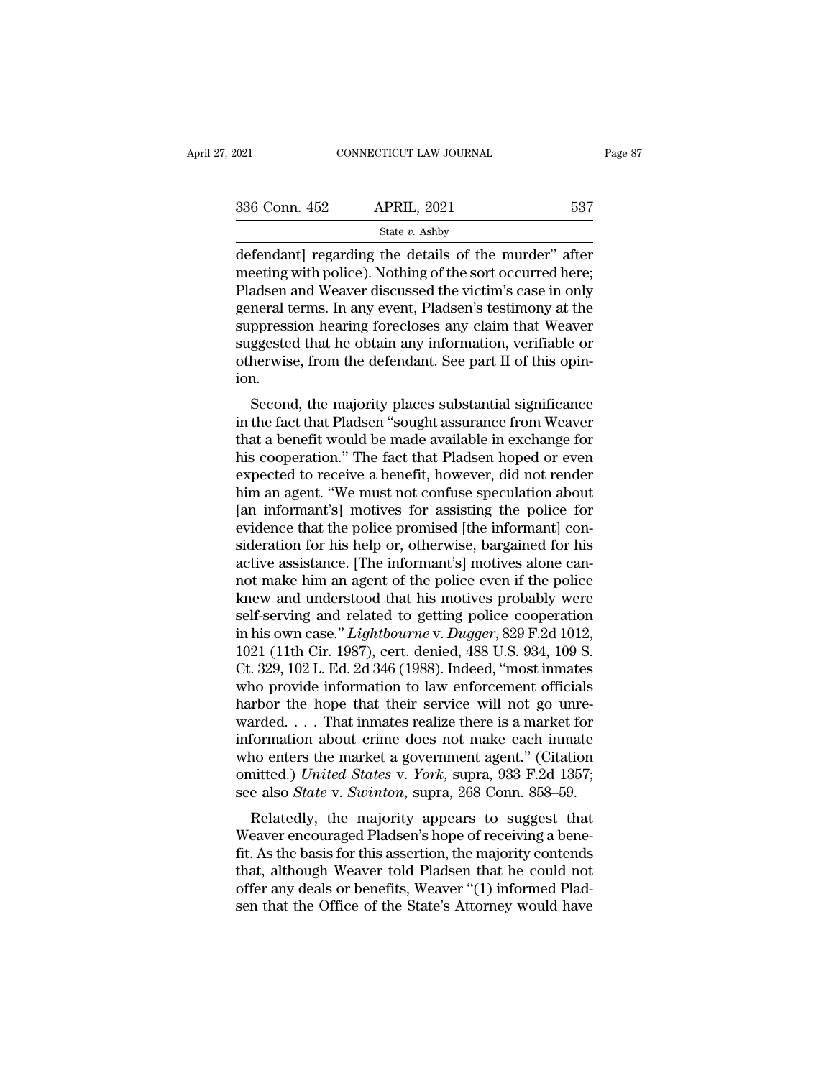| 2021          | CONNECTICUT LAW JOURNAL                                                                                                                                                    | Page 87 |
|---------------|----------------------------------------------------------------------------------------------------------------------------------------------------------------------------|---------|
| 336 Conn. 452 | <b>APRIL, 2021</b>                                                                                                                                                         | 537     |
|               | State $v$ . Ashby                                                                                                                                                          |         |
|               | defendant regarding the details of the murder" after<br>meeting with police). Nothing of the sort occurred here;<br>Dladson and Woayer discussed the victim's case in only |         |

336 Conn. 452 APRIL, 2021 537<br>
State  $v$ . Ashby<br>
defendant] regarding the details of the murder" after<br>
meeting with police). Nothing of the sort occurred here;<br>
Pladsen and Weaver discussed the victim's case in only<br>
see  $\begin{array}{c|l} \text{336 Conn. } \text{452} & \text{APRIL, } \text{2021} & \text{537} \\ \hline \text{State } v. \text{ Ashby} \\ \hline \text{defendant]} \text{ regarding the details of the murder" after meeting with police). Nothing of the sort occurred here; \text{Pladsen and Weaver discussed the victim's case in only \text{general terms. In any event, Pladsen's testimony at the \text{suppression} horizon for 1000008, and the \text{suppression.} \end{array}$  $\frac{\text{336 Conn. 452}}{\text{State } v. \text{ Ashby}}$ <br>
defendant] regarding the details of the murder" after<br>
meeting with police). Nothing of the sort occurred here;<br>
Pladsen and Weaver discussed the victim's case in only<br>
general terms. In a Suppression hearing the details of the murder" after<br>meeting with police). Nothing of the sort occurred here;<br>Pladsen and Weaver discussed the victim's case in only<br>general terms. In any event, Pladsen's testimony at the<br> state  $v$ . Ashby<br>defendant] regarding the details of the murder" after<br>meeting with police). Nothing of the sort occurred here;<br>Pladsen and Weaver discussed the victim's case in only<br>general terms. In any event, Pladsen's defendant] regarding the details of the murder" after meeting with police). Nothing of the sort occurred here;<br>Pladsen and Weaver discussed the victim's case in only<br>general terms. In any event, Pladsen's testimony at the<br> ion. ausen and weaver uscussed the victint's case in only<br>neral terms. In any event, Pladsen's testimony at the<br>ppression hearing forecloses any claim that Weaver<br>ggested that he obtain any information, verifiable or<br>herwise, f general terms. In any event, I lattern's testimony at the<br>suppression hearing forecloses any claim that Weaver<br>suggested that he obtain any information, verifiable or<br>otherwise, from the defendant. See part II of this opin

suppression hearing forecroses any claim that weaver<br>suggested that he obtain any information, verifiable or<br>otherwise, from the defendant. See part II of this opin-<br>ion.<br>Second, the majority places substantial significanc suggested that he obtain any mformation, vermable of<br>otherwise, from the defendant. See part II of this opin-<br>ion.<br>Second, the majority places substantial significance<br>in the fact that Pladsen "sought assurance from Weaver buterwise, from the detendant. See part if of this opinion.<br>Second, the majority places substantial significance<br>in the fact that Pladsen "sought assurance from Weaver<br>that a benefit would be made available in exchange for Second, the majority places substantial significance<br>in the fact that Pladsen "sought assurance from Weaver<br>that a benefit would be made available in exchange for<br>his cooperation." The fact that Pladsen hoped or even<br>expec Second, the majority places substantial significance<br>in the fact that Pladsen "sought assurance from Weaver<br>that a benefit would be made available in exchange for<br>his cooperation." The fact that Pladsen hoped or even<br>expec in the fact that Pladsen "sought assurance from Weaver<br>that a benefit would be made available in exchange for<br>his cooperation." The fact that Pladsen hoped or even<br>expected to receive a benefit, however, did not render<br>him that a benefit would be made available in exchange for<br>his cooperation." The fact that Pladsen hoped or even<br>expected to receive a benefit, however, did not render<br>him an agent. "We must not confuse speculation about<br>[an i his cooperation." The fact that Pladsen hoped or even<br>expected to receive a benefit, however, did not render<br>him an agent. "We must not confuse speculation about<br>[an informant's] motives for assisting the police for<br>eviden expected to receive a benefit, however, did not render<br>him an agent. "We must not confuse speculation about<br>[an informant's] motives for assisting the police for<br>evidence that the police promised [the informant] con-<br>sider him an agent. "We must not confuse speculation about<br>[an informant's] motives for assisting the police for<br>evidence that the police promised [the informant] con-<br>sideration for his help or, otherwise, bargained for his<br>ac [an informant's] motives for assisting the police for<br>evidence that the police promised [the informant] con-<br>sideration for his help or, otherwise, bargained for his<br>active assistance. [The informant's] motives alone canevidence that the police promised [the informant] consideration for his help or, otherwise, bargained for his active assistance. [The informant's] motives alone cannot make him an agent of the police even if the police kne sideration for his help or, otherwise, bargained for his active assistance. [The informant's] motives alone cannot make him an agent of the police even if the police knew and understood that his motives probably were selfactive assistance. [The informant's] motives alone cannot make him an agent of the police even if the police<br>knew and understood that his motives probably were<br>self-serving and related to getting police cooperation<br>in his not make him an agent of the police even if the police<br>knew and understood that his motives probably were<br>self-serving and related to getting police cooperation<br>in his own case." *Lightbourne* v. *Dugger*, 829 F.2d 1012,<br>1 knew and understood that his motives probably were<br>self-serving and related to getting police cooperation<br>in his own case." *Lightbourne* v. *Dugger*, 829 F.2d 1012,<br>1021 (11th Cir. 1987), cert. denied, 488 U.S. 934, 109 S self-serving and related to getting police cooperation<br>in his own case." *Lightbourne* v. *Dugger*, 829 F.2d 1012,<br>1021 (11th Cir. 1987), cert. denied, 488 U.S. 934, 109 S.<br>Ct. 329, 102 L. Ed. 2d 346 (1988). Indeed, "most in his own case." *Lightbourne* v. *Dugger*, 829 F.2d 1012,<br>1021 (11th Cir. 1987), cert. denied, 488 U.S. 934, 109 S.<br>Ct. 329, 102 L. Ed. 2d 346 (1988). Indeed, "most inmates<br>who provide information to law enforcement off 1021 (11th Cir. 1987), cert. denied, 488 U.S. 934, 109 S.<br>Ct. 329, 102 L. Ed. 2d 346 (1988). Indeed, "most inmates<br>who provide information to law enforcement officials<br>harbor the hope that their service will not go unre-<br> Ct. 329, 102 L. Ed. 2d 346 (1988). Indeed, "most inmates<br>who provide information to law enforcement officials<br>harbor the hope that their service will not go unre-<br>warded.... That inmates realize there is a market for<br>infor who provide information to law enforcement officials<br>harbor the hope that their service will not go unre-<br>warded.... That inmates realize there is a market for<br>information about crime does not make each inmate<br>who enters t Frold the majorities will not go unrealized.... That inmates realize there is a market for formation about crime does not make each inmate no enters the market a government agent." (Citation initted.) United States v. Yor watued.  $\ldots$  That initiates realize there is a hiarket for<br>information about crime does not make each inmate<br>who enters the market a government agent." (Citation<br>omitted.) United States v. York, supra, 933 F.2d 1357;<br>see

miorination about Critie does not make each initiate<br>who enters the market a government agent." (Citation<br>omitted.) United States v. York, supra, 933 F.2d 1357;<br>see also State v. Swinton, supra, 268 Conn. 858–59.<br>Relatedly who enters the market a government agent. (Chanon<br>omitted.) United States v. York, supra, 933 F.2d 1357;<br>see also State v. Swinton, supra, 268 Conn. 858–59.<br>Relatedly, the majority appears to suggest that<br>Weaver encouraged offer any deals or benefits, Weaver "(1) informed based also *State v. Swinton*, supra, 268 Conn. 858–59.<br>Relatedly, the majority appears to suggest that Weaver encouraged Pladsen's hope of receiving a benefit. As the basi see also *state* v. *Suthion*, supra, 200 Conit. 656–59.<br>Relatedly, the majority appears to suggest that<br>Weaver encouraged Pladsen's hope of receiving a bene-<br>fit. As the basis for this assertion, the majority contends<br>tha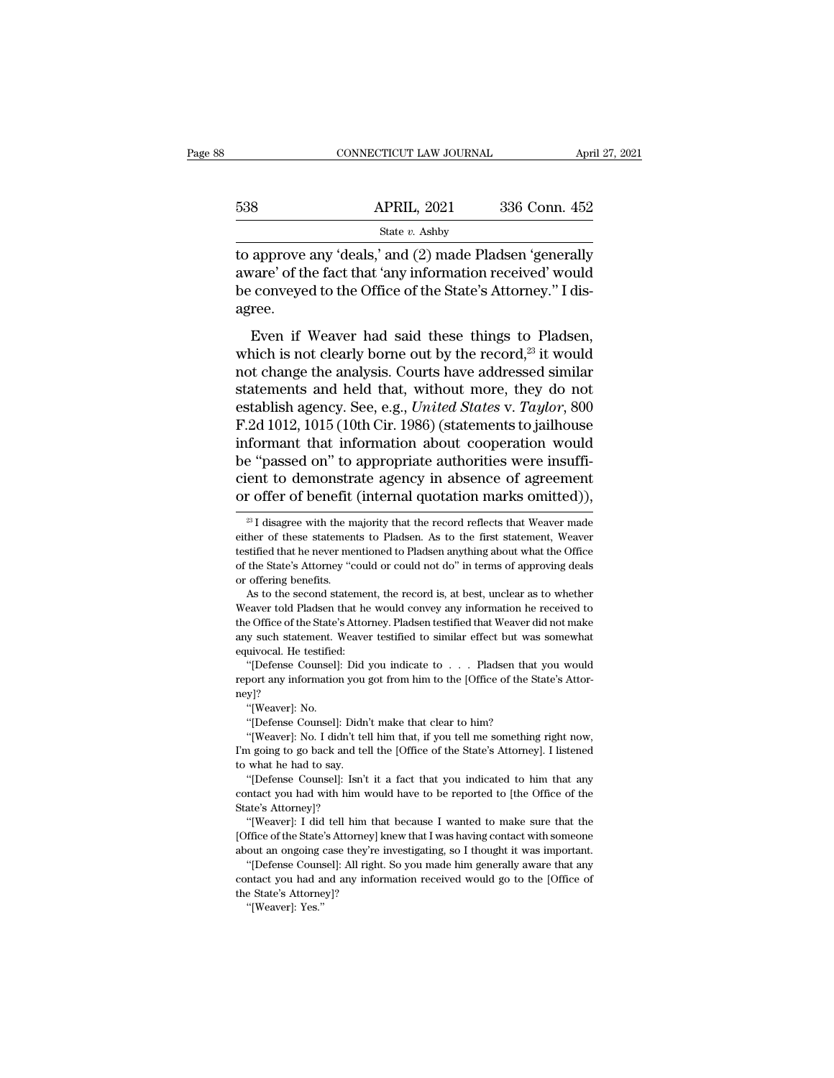|     | CONNECTICUT LAW JOURNAL |               | April 27, 2021 |
|-----|-------------------------|---------------|----------------|
|     |                         |               |                |
| 538 | <b>APRIL, 2021</b>      | 336 Conn. 452 |                |
|     | State v. Ashby          |               |                |

CONNECTICUT LAW JOURNAL April 27, 2021<br>
538 APRIL, 2021 336 Conn. 452<br>
538 APRIL, 2021 336 Conn. 452<br>
538 and (2) made Pladsen 'generally<br>
538 approve any 'deals,' and (2) made Pladsen 'generally<br>
548 approved to the Offic 538 APRIL, 2021 336 Conn. 452<br>
state  $v$ . Ashby<br>
to approve any 'deals,' and (2) made Pladsen 'generally<br>
aware' of the fact that 'any information received' would<br>
be conveyed to the Office of the State's Attorney.'' I di  $\begin{array}{r} \text{538} \qquad \qquad \text{APRIL, 2021} \qquad \qquad \text{336 Conn. 452} \ \text{State } v. \text{ Ashby} \ \text{to approve any 'deals,' and (2) made Pladsen 'generally aware' of the fact that 'any information received' would be conveyed to the Office of the State's Attorney." I disagree.} \end{array}$ agree. State v. Ashby<br>
approve any 'deals,' and (2) made Pladsen 'generally<br>
vare' of the fact that 'any information received' would<br>
conveyed to the Office of the State's Attorney." I dis-<br>
ree.<br>
Even if Weaver had said these t to approve any 'deals,' and (2) made Pladsen 'generally<br>aware' of the fact that 'any information received' would<br>be conveyed to the Office of the State's Attorney." I dis-<br>agree.<br>Even if Weaver had said these things to Pla

aware' of the fact that 'any information received' would<br>be conveyed to the Office of the State's Attorney." I dis-<br>agree.<br>Even if Weaver had said these things to Pladsen,<br>which is not clearly borne out by the record,<sup>23</sup> statements and the Office of the State's Attorney." I disagree.<br>
Even if Weaver had said these things to Pladsen,<br>
which is not clearly borne out by the record,<sup>23</sup> it would<br>
not change the analysis. Courts have addressed est conveyed to the onte of the state s ritionney. This<br>agree.<br>Even if Weaver had said these things to Pladsen,<br>which is not clearly borne out by the record,<sup>23</sup> it would<br>not change the analysis. Courts have addressed simi Even if Weaver had said these things to Pladsen,<br>which is not clearly borne out by the record,<sup>23</sup> it would<br>not change the analysis. Courts have addressed similar<br>statements and held that, without more, they do not<br>establ Even if Weaver had said these things to Pladsen,<br>which is not clearly borne out by the record,<sup>23</sup> it would<br>not change the analysis. Courts have addressed similar<br>statements and held that, without more, they do not<br>establ which is not clearly borne out by the record,<sup>23</sup> it would<br>not change the analysis. Courts have addressed similar<br>statements and held that, without more, they do not<br>establish agency. See, e.g., *United States* v. *Taylor* not change the analysis. Courts have addressed similar<br>statements and held that, without more, they do not<br>establish agency. See, e.g., *United States v. Taylor*, 800<br>F.2d 1012, 1015 (10th Cir. 1986) (statements to jailhou statements and held that, without more, they do not<br>establish agency. See, e.g., *United States* v. *Taylor*, 800<br>F.2d 1012, 1015 (10th Cir. 1986) (statements to jailhouse<br>informant that information about cooperation woul is a "frame with the majority in absence of agreement<br>
23 I disagree with the majority that the record reflects that Weaver made<br>
23 I disagree with the majority that the record reflects that Weaver made<br>
23 I disagree wit be "passed on" to appropriate authorities were insufficient to demonstrate agency in absence of agreement or offer of benefit (internal quotation marks omitted)),  $\frac{2}{3}$  I disagree with the majority that the record ref

If the goal is a good matched to the loffice of the State's Attorney]?<br>
"[Weaver]: No.<br>
"[Defense Counsel]: Didn't make that clear to him?<br>
"[Weaver]: No. I didn't tell him that, if you tell me something right now,<br>
I'm go "[Weaver]: No.<br>"(Defense Counsel]: Didn't make that clear to him?<br>"(Weaver]: No. I didn't tell him that, if you tell me something right now,<br>a going to go back and tell the [Office of the State's Attorney]. I listened<br>what

to what he had to say.<br>"[Defense Counsel]: Isn't it a fact that you indicated to him that any "(Defense Counsel]: Didn't make that clear to him?<br>"[Weaver]: No. I didn't tell him that, if you tell me something right now,<br>I'm going to go back and tell the [Office of the State's Attorney]. I listened<br>to what he had to "[Weaver]: No. I didn't to<br>I'm going to go back and to<br>to what he had to say.<br>"[Defense Counsel]: Isn'<br>contact you had with him<br>State's Attorney]?<br>"[Weaver]: I did tell him n going to go back and tell the [Office of the State's Attorney]. I listened what he had to say.<br>"[Defense Counsel]: Isn't it a fact that you indicated to him that any mtact you had with him would have to be reported to [t In what he had to say.<br>
"[Defense Counsel]: Isn't it a fact that you indicated to him that any<br>
contact you had with him would have to be reported to [the Office of the<br>
State's Attorney]?<br>
"[Weaver]: I did tell him that b "[Defense Counsel]: Isn't it a fact that you indicated to him that any contact you had with him would have to be reported to [the Office of the State's Attorney]?<br>"[Weaver]: I did tell him that because I wanted to make sur

The Unit of the Counsel]: All right would have to be reported to [the Office of the ate's Attorney]?<br>
"[Weaver]: I did tell him that because I wanted to make sure that the ffice of the State's Attorney] knew that I was hav

State's Attorney]?<br>
"(Weaver]: I did tell him that because I wanted to make sure that the<br>
[Office of the State's Attorney] knew that I was having contact with someone<br>
about an ongoing case they're investigating, so I tho "[Weaver]: I did tell him the "[Weaver]: I did tell him the State's Attorney] labout an ongoing case they're "[Defense Counsel]: All right contact you had and any infor the State's Attorney]? "[Weaver]: Yes." <sup>1</sup><br>
ffice of the State<br>
out an ongoing<br>
"[Defense Couns<br>
mtact you had a<br>
e State's Attorne<br>
"[Weaver]: Yes."

cient to demonstrate agency in absence of agreement<br>or offer of benefit (internal quotation marks omitted)),<br> $\frac{28}{1}$  disagree with the majority that the record reflects that Weaver made<br>either of these statements to Pl or offer of benefit (internal quotation marks omitted)),<br>  $\frac{1}{2}$  I disagree with the majority that the record reflects that Weaver made<br>
either of these statements to Pladsen. As to the first statement, Weaver<br>
testifi or offer of benefit<br>
<sup>23</sup> I disagree with the m<br>
either of these statemen<br>
testified that he never me<br>
of the State's Attorney "c<br>
or offering benefits.<br>
As to the second state  $^{23}$  I disagree with the majority that the record reflects that Weaver made<br>ther of these statements to Pladsen. As to the first statement, Weaver<br>stified that he never mentioned to Pladsen anything about what the Offic either of these statements to Pladsen. As to the first statement, Weaver<br>testified that he never mentioned to Pladsen anything about what the Office<br>of the State's Attorney "could or could not do" in terms of approving dea

testified that he never mentioned to Pladsen anything about what the Office of the State's Attorney "could or could not do" in terms of approving deals or offering benefits.<br>As to the second statement, the record is, at be For the State's Attorney "could or could not do" in terms of approving deals<br>or offering benefits. As to the second statement, the record is, at best, unclear as to whether<br>Weaver told Pladsen that he would convey any info even or offering benefits.<br>
As to the second statemer<br>
Meaver told Pladsen that he<br>
the Office of the State's Attor<br>
any such statement. Weaver<br>
equivocal. He testified:<br>
"[Defense Counsel]: Did ; As to the second statement, the record is, at best, unclear as to whether<br>eaver told Pladsen that he would convey any information he received to<br>e Office of the State's Attorney. Pladsen testified that Weaver did not make<br> Weaver told Pladsen that he would convey any information he received to the Office of the State's Attorney. Pladsen testified that Weaver did not make any such statement. Weaver testified to similar effect but was somewha

ney]? any such statement. Weaver testified to similar effect but was somewhat<br>
equivocal. He testified:<br>
"[Defense Counsel]: Did you indicate to . . . Pladsen that you would<br>
report any information you got from him to the [Offic "[Defense Counsel]: Did you indicate to . . . Pladsen that you would<br>report any information you got from him to the [Office of the State's Attor-<br>ney]?<br>"[Weaver]: No. "[Defense Counsel]: Didn't make that clear to him?<br>"[We "[Defense Counsel]: Did you indicate to . . . Pladsen that you would<br>port any information you got from him to the [Office of the State's Attor-<br>y]?<br>"[Weaver]: No.<br>"[Defense Counsel]: Didn't make that clear to him?<br>"[Weaver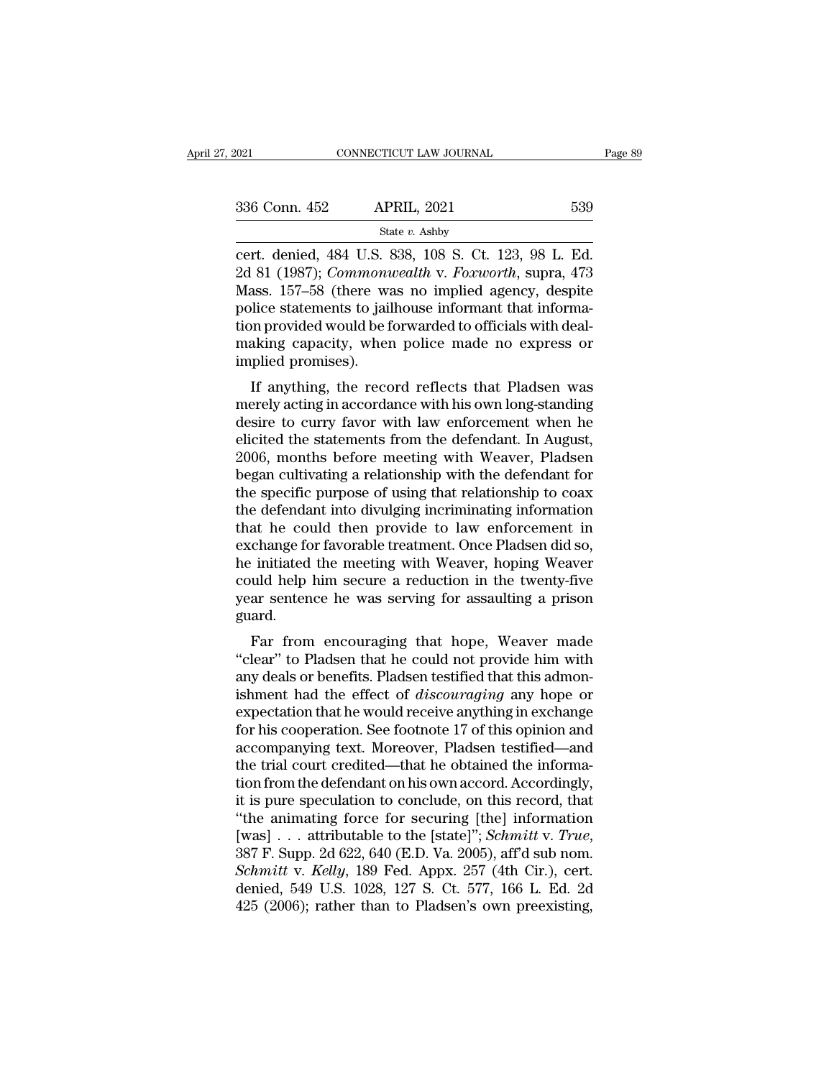| . 2021        | CONNECTICUT LAW JOURNAL                                    | Page 89 |
|---------------|------------------------------------------------------------|---------|
|               |                                                            |         |
| 336 Conn. 452 | <b>APRIL, 2021</b>                                         | 539     |
|               | State $v$ . Ashby                                          |         |
|               | cert. denied, 484 U.S. 838, 108 S. Ct. 123, 98 L. Ed.      |         |
|               | 2d 81 (1987); <i>Commonwealth v. Foxworth</i> , supra, 473 |         |
| $M$ occ       | 157.58 (thoro was no implied agency despite                |         |

236 Conn. 452 APRIL, 2021 539<br>
2021 539<br>
2021 539<br>
2021 539<br>
2021 539<br>
2021 539<br>
2021 539<br>
2021 539<br>
2021 539<br>
2021 639<br>
2021 644<br>
2021 644<br>
2021 644<br>
2021 644<br>
2021 644<br>
2021 645<br>
2021 645<br>
2021 645<br>
2021 645<br>
2021 645<br>
2 336 Conn. 452 APRIL, 2021 539<br>
State v. Ashby<br>
cert. denied, 484 U.S. 838, 108 S. Ct. 123, 98 L. Ed.<br>
2d 81 (1987); *Commonwealth* v. *Foxworth*, supra, 473<br>
Mass. 157–58 (there was no implied agency, despite<br>
police stat 336 Conn. 452 APRIL, 2021 539<br>
State v. Ashby<br>
cert. denied, 484 U.S. 838, 108 S. Ct. 123, 98 L. Ed.<br>
2d 81 (1987); *Commonwealth* v. *Foxworth*, supra, 473<br>
Mass. 157–58 (there was no implied agency, despite<br>
police stat Solution 1922 11 1121, 2022<br>
State v. Ashby<br>
cert. denied, 484 U.S. 838, 108 S. Ct. 123, 98 L. Ed.<br>
2d 81 (1987); *Commonwealth* v. *Foxworth*, supra, 473<br>
Mass. 157–58 (there was no implied agency, despite<br>
police statem state v. Ashby<br>cert. denied, 484 U.S. 838, 108 S. Ct. 123, 98 L. Ed.<br>2d 81 (1987); *Commonwealth* v. *Foxworth*, supra, 473<br>Mass. 157–58 (there was no implied agency, despite<br>police statements to jailhouse informant that cert. denied, 484 U.S. 8<br>2d 81 (1987); *Commoni*<br>Mass. 157–58 (there wa<br>police statements to jail<br>tion provided would be f<br>making capacity, wher<br>implied promises).<br>If anything, the recc If anything, the record reflects that Pladsen was<br>end agency, despite<br>lice statements to jailhouse informant that informa-<br>on provided would be forwarded to officials with deal-<br>aking capacity, when police made no express mass. 197–56 (there was no implied agency, despite<br>police statements to jailhouse informant that informa-<br>tion provided would be forwarded to officials with deal-<br>making capacity, when police made no express or<br>implied pro

ponce statements to jamouse mormant that morma-<br>tion provided would be forwarded to officials with deal-<br>making capacity, when police made no express or<br>implied promises).<br>If anything, the record reflects that Pladsen was<br> Frovided would be forwarded to officials with deal-<br>making capacity, when police made no express or<br>implied promises).<br>If anything, the record reflects that Pladsen was<br>merely acting in accordance with his own long-standin making capacity, when poince made no express or<br>implied promises).<br>If anything, the record reflects that Pladsen was<br>merely acting in accordance with his own long-standing<br>desire to curry favor with law enforcement when he If anything, the record reflects that Pladsen was<br>merely acting in accordance with his own long-standing<br>desire to curry favor with law enforcement when he<br>elicited the statements from the defendant. In August,<br>2006, month If anything, the record reflects that Pladsen was<br>merely acting in accordance with his own long-standing<br>desire to curry favor with law enforcement when he<br>elicited the statements from the defendant. In August,<br>2006, month merely acting in accordance with his own long-standing<br>desire to curry favor with law enforcement when he<br>elicited the statements from the defendant. In August,<br>2006, months before meeting with Weaver, Pladsen<br>began cultiv desire to curry favor with law enforcement when he<br>elicited the statements from the defendant. In August,<br>2006, months before meeting with Weaver, Pladsen<br>began cultivating a relationship with the defendant for<br>the specifi elicited the statements from the defendant. In August,<br>2006, months before meeting with Weaver, Pladsen<br>began cultivating a relationship with the defendant for<br>the specific purpose of using that relationship to coax<br>the de 2006, months before meeting with Weaver, Pladsen<br>began cultivating a relationship with the defendant for<br>the specific purpose of using that relationship to coax<br>the defendant into divulging incriminating information<br>that h began cultivating a relationship with the defendant for<br>the specific purpose of using that relationship to coax<br>the defendant into divulging incriminating information<br>that he could then provide to law enforcement in<br>exchan the specific purpose of using that relationship to coax<br>the defendant into divulging incriminating information<br>that he could then provide to law enforcement in<br>exchange for favorable treatment. Once Pladsen did so,<br>he init guard. at he could then provide to faw emforcement in<br>change for favorable treatment. Once Pladsen did so,<br>initiated the meeting with Weaver, hoping Weaver<br>uld help him secure a reduction in the twenty-five<br>ar sentence he was ser Exchange for favorable treatment. Once I fausen that so,<br>
the initiated the meeting with Weaver, hoping Weaver<br>
could help him secure a reduction in the twenty-five<br>
year sentence he was serving for assaulting a prison<br>
gu

The initiated the ineeting with weaver, hoping weaver<br>could help him secure a reduction in the twenty-five<br>year sentence he was serving for assaulting a prison<br>guard.<br>Far from encouraging that hope, Weaver made<br>"clear" to France he was serving for assaulting a prison<br>guard.<br>Far from encouraging that hope, Weaver made<br>"clear" to Pladsen that he could not provide him with<br>any deals or benefits. Pladsen testified that this admon-<br>ishment had t year sentence he was serving for assaunting a prison<br>guard.<br>"clear" to Pladsen that he could not provide him with<br>any deals or benefits. Pladsen testified that this admon-<br>ishment had the effect of *discouraging* any hope Far from encouraging that hope, Weaver made<br>
"clear" to Pladsen that he could not provide him with<br>
any deals or benefits. Pladsen testified that this admon-<br>
ishment had the effect of *discouraging* any hope or<br>
expectati Far from encouraging that hope, Weaver made<br>
"clear" to Pladsen that he could not provide him with<br>
any deals or benefits. Pladsen testified that this admon-<br>
ishment had the effect of *discouraging* any hope or<br>
expectat "clear" to Pladsen that he could not provide him with<br>any deals or benefits. Pladsen testified that this admon-<br>ishment had the effect of *discouraging* any hope or<br>expectation that he would receive anything in exchange<br>f any deals or benefits. Pladsen testified that this admonishment had the effect of *discouraging* any hope or expectation that he would receive anything in exchange for his cooperation. See footnote 17 of this opinion and a ishment had the effect of *discouraging* any hope or expectation that he would receive anything in exchange for his cooperation. See footnote 17 of this opinion and accompanying text. Moreover, Pladsen testified—and the t expectation that he would receive anything in exchange<br>for his cooperation. See footnote 17 of this opinion and<br>accompanying text. Moreover, Pladsen testified—and<br>the trial court credited—that he obtained the informa-<br>tio for his cooperation. See footnote 17 of this opinion and<br>accompanying text. Moreover, Pladsen testified—and<br>the trial court credited—that he obtained the informa-<br>tion from the defendant on his own accord. Accordingly,<br>it *Schmitter that he obtained the information from the defendant on his own accord. Accordingly,* it is pure speculation to conclude, on this record, that "the animating force for securing [the] information [was] . . . attri tion from the defendant on his own accord. Accordingly,<br>it is pure speculation to conclude, on this record, that<br>"the animating force for securing [the] information<br>[was] . . . attributable to the [state]"; *Schmitt* v. *T* it is pure speculation to conclude, on this record, that "the animating force for securing [the] information [was] . . . attributable to the [state]"; *Schmitt v. True*, 387 F. Supp. 2d 622, 640 (E.D. Va. 2005), aff'd sub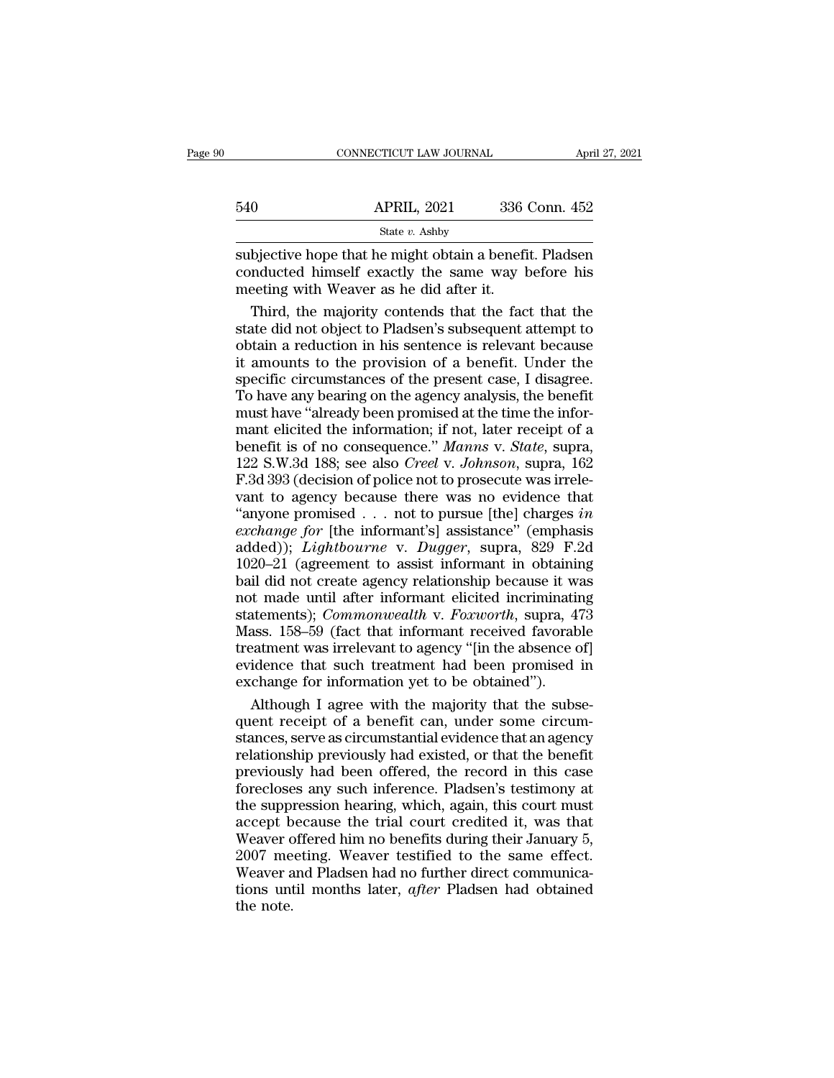|     | CONNECTICUT LAW JOURNAL | April 27, 2021 |  |
|-----|-------------------------|----------------|--|
|     |                         |                |  |
| 540 | <b>APRIL, 2021</b>      | 336 Conn. 452  |  |
|     | State v. Ashby          |                |  |

 $\begin{array}{ll}\n & \text{COMRECTICUT LAW JOURNAL} & \text{April 27, 2021} \\
 \hline\n 540 & \text{APRIL, 2021} & 336 \text{ Conn. } 452 \\
 \hline\n & \text{State } v. \text{ Ashby} \\
 \text{subjective hope that he might obtain a benefit. Pladsen} \\
 \text{conducted himself exactly the same way before his\n \text{meeting with Weaver as he did after it}\n \end{array}$ 540 APRIL, 2021 336 Conn. 452<br>
State v. Ashby<br>
subjective hope that he might obtain a benefit. Pladsen<br>
conducted himself exactly the same way before his<br>
meeting with Weaver as he did after it. 540 APRIL, 2021 336<br>
State v. Ashby<br>
Subjective hope that he might obtain a benefic<br>
conducted himself exactly the same way l<br>
meeting with Weaver as he did after it.<br>
Third, the majority contends that the fact  $\begin{array}{r} \text{APRIL, 2021} \text{336 Conn. 452} \ \text{State } v. \text{ Ashby} \end{array}$ <br>bjective hope that he might obtain a benefit. Pladsen mducted himself exactly the same way before his eeting with Weaver as he did after it.<br>Third, the majority cont

State v. Ashby<br>
subjective hope that he might obtain a benefit. Pladsen<br>
conducted himself exactly the same way before his<br>
meeting with Weaver as he did after it.<br>
Third, the majority contends that the fact that the<br>
sta subjective hope that he might obtain a benefit. Pladsen<br>conducted himself exactly the same way before his<br>meeting with Weaver as he did after it.<br>Third, the majority contends that the fact that the<br>state did not object to subjective hope that he might obtain a benefit. Pladsen<br>conducted himself exactly the same way before his<br>meeting with Weaver as he did after it.<br>Third, the majority contends that the fact that the<br>state did not object to conducted himself exactly the same way before his<br>meeting with Weaver as he did after it.<br>Third, the majority contends that the fact that the<br>state did not object to Pladsen's subsequent attempt to<br>obtain a reduction in hi meeting with Weaver as he did after it.<br>Third, the majority contends that the fact that the<br>state did not object to Pladsen's subsequent attempt to<br>obtain a reduction in his sentence is relevant because<br>it amounts to the p Third, the majority contends that the fact that the state did not object to Pladsen's subsequent attempt to obtain a reduction in his sentence is relevant because it amounts to the provision of a benefit. Under the specifi state did not object to Pladsen's subsequent attempt to<br>obtain a reduction in his sentence is relevant because<br>it amounts to the provision of a benefit. Under the<br>specific circumstances of the present case, I disagree.<br>To below and reduction in his sentence is relevant because<br>it amounts to the provision of a benefit. Under the<br>specific circumstances of the present case, I disagree.<br>To have any bearing on the agency analysis, the benefit<br>mu <sup>22</sup> S. Marked the provision of a benefit. Under the specific circumstances of the present case, I disagree.<br>To have any bearing on the agency analysis, the benefit must have "already been promised at the time the informan Example in the present of the present case, I disagree.<br>To have any bearing on the agency analysis, the benefit<br>must have "already been promised at the time the infor-<br>mant elicited the information; if not, later receipt To have any bearing on the agency analysis, the benefit<br>To have any bearing on the agency analysis, the benefit<br>must have "already been promised at the time the infor-<br>mant elicited the information; if not, later receipt Formust have "already been promised at the time the informant elicited the information; if not, later receipt of a<br>benefit is of no consequence." *Manns v. State*, supra,<br>122 S.W.3d 188; see also *Creel v. Johnson*, supra, mant elicited the information; if not, later receipt of a<br>benefit is of no consequence." *Manns v. State*, supra,<br>122 S.W.3d 188; see also *Creel v. Johnson*, supra, 162<br>F.3d 393 (decision of police not to prosecute was ir benefit is of no consequence." *Manns v. State*, supra, 122 S.W.3d 188; see also *Creel v. Johnson*, supra, 162 F.3d 393 (decision of police not to prosecute was irrelevant to agency because there was no evidence that "any 122 S.W.3d 188; see also *Creel v. Johnson*, supra, 162<br>F.3d 393 (decision of police not to prosecute was irrele-<br>vant to agency because there was no evidence that<br>"anyone promised . . . not to pursue [the] charges in<br>exc F.3d 393 (decision of police not to prosecute was irrelevant to agency because there was no evidence that<br>"anyone promised . . . not to pursue [the] charges in<br>exchange for [the informant's] assistance" (emphasis<br>added)); not to a gency because there was no evidence that<br>
"anyone promised . . . not to pursue [the] charges in<br> *exchange for* [the informant's] assistance" (emphasis<br>
added)); *Lightbourne* v. *Dugger*, supra, 829 F.2d<br>
1020–21 "anyone promised . . . not to pursue [the] charges *in*<br>exchange for [the informant's] assistance" (emphasis<br>added)); *Lightbourne* v. *Dugger*, supra, 829 F.2d<br>1020–21 (agreement to assist informant in obtaining<br>bail did exchange for [the informant's] assistance" (emphasis<br>added)); *Lightbourne* v. *Dugger*, supra, 829 F.2d<br>1020–21 (agreement to assist informant in obtaining<br>bail did not create agency relationship because it was<br>not made u added)); *Lightbourne* v. *Dugger*, supra, 829 F.2d 1020–21 (agreement to assist informant in obtaining bail did not create agency relationship because it was not made until after informant elicited incriminating statemen evidence that such treatment had been promised in<br>exchange that such that such that such that such that and the unit after informant elicited incriminating<br>statements); *Commonwealth* v. *Foxworth*, supra, 473<br>Mass. 158–5 For the did not create agency relationship because it w<br>hoil did not create agency relationship because it w<br>not made until after informant elicited incriminatii<br>statements); *Commonwealth* v. *Foxworth*, supra, 4<br>Mass. 15 to made until after informant elicited incriminating<br>atements); *Commonwealth* v. *Foxworth*, supra, 473<br>ass. 158–59 (fact that informant received favorable<br>eatment was irrelevant to agency "[in the absence of]<br>idence that statements); *Commonwealth* v. *Foxworth*, supra, 473<br>Mass. 158–59 (fact that informant received favorable<br>treatment was irrelevant to agency "[in the absence of]<br>evidence that such treatment had been promised in<br>exchange

Mass. 158–59 (fact that informant received favorable<br>treatment was irrelevant to agency "[in the absence of]<br>evidence that such treatment had been promised in<br>exchange for information yet to be obtained").<br>Although I agree treatment was irrelevant to agency "[in the absence of]<br>evidence that such treatment had been promised in<br>exchange for information yet to be obtained").<br>Although I agree with the majority that the subse-<br>quent receipt of a evidence that such treatment had been promised in<br>exchange for information yet to be obtained").<br>Although I agree with the majority that the subse-<br>quent receipt of a benefit can, under some circum-<br>stances, serve as circu exchange for information yet to be obtained").<br>Although I agree with the majority that the subsequent receipt of a benefit can, under some circumstances, serve as circumstantial evidence that an agency<br>relationship previou Although I agree with the majority that the subsequent receipt of a benefit can, under some circumstances, serve as circumstantial evidence that an agency relationship previously had existed, or that the benefit previously parameter a register and the trial courts and the same<br>quent receipt of a benefit can, under some circum-<br>stances, serve as circumstantial evidence that an agency<br>relationship previously had existed, or that the benefit<br>pr Frame of a sense of the state of the their stances, serve as circumstantial evidence that an agency<br>relationship previously had existed, or that the benefit<br>previously had been offered, the record in this case<br>forecloses a Elationship previously had existed, or that the benefit<br>previously had been offered, the record in this case<br>forecloses any such inference. Pladsen's testimony at<br>the suppression hearing, which, again, this court must<br>acce Francesculp previously had entertained, or and in this case<br>forecloses any such inference. Pladsen's testimony at<br>the suppression hearing, which, again, this court must<br>accept because the trial court credited it, was that<br> forecloses any such inference. Pladsen's testimony at<br>the suppression hearing, which, again, this court must<br>accept because the trial court credited it, was that<br>Weaver offered him no benefits during their January 5,<br>2007 the supple<br>accept b<br>Weaver c<br>2007 me<br>Weaver a<br>tions unt<br>the note.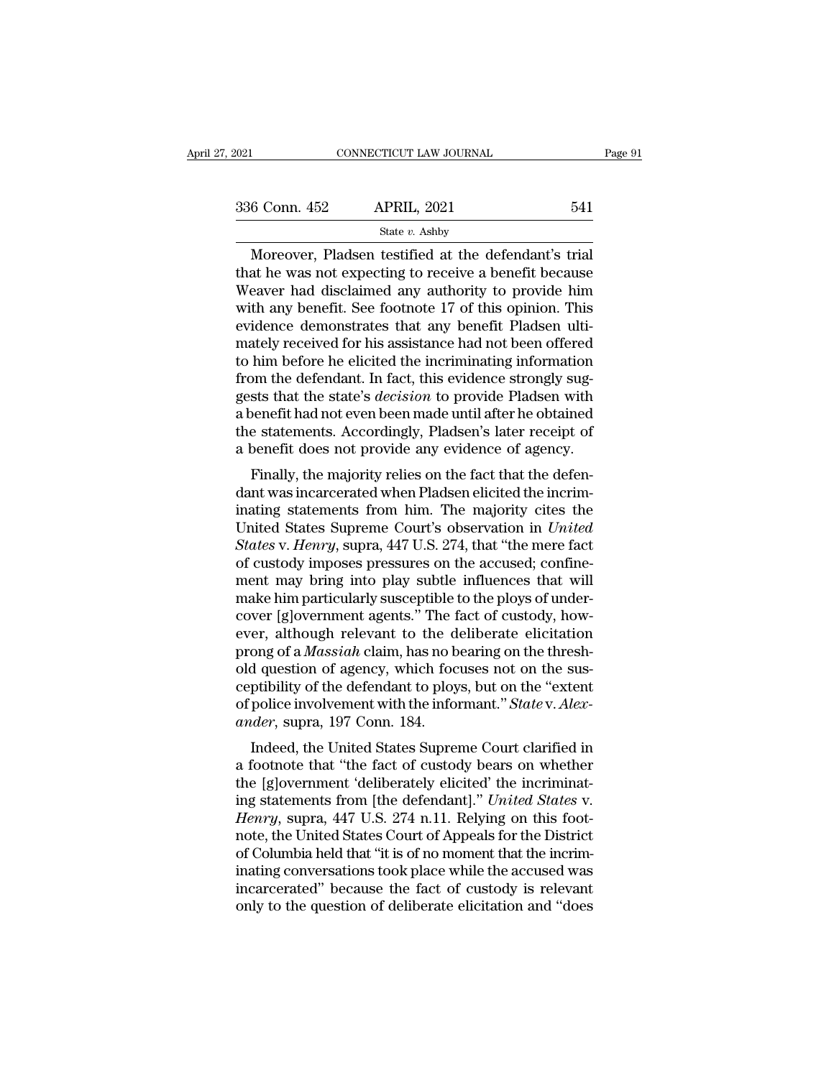| 2021          | CONNECTICUT LAW JOURNAL                                | Page 91 |
|---------------|--------------------------------------------------------|---------|
|               |                                                        |         |
| 336 Conn. 452 | <b>APRIL, 2021</b>                                     | 541     |
|               | State $v$ . Ashby                                      |         |
|               | Moreover, Pladsen testified at the defendant's trial   |         |
|               | that he was not expecting to receive a benefit because |         |
|               | Weaver had disclaimed any authority to provide him     |         |

336 Conn. 452 APRIL, 2021 541<br>
State v. Ashby<br>
Moreover, Pladsen testified at the defendant's trial<br>
that he was not expecting to receive a benefit because<br>
Weaver had disclaimed any authority to provide him<br>
with any bon  $\begin{array}{r} \n 336 \text{ Conn. } 452 \quad \text{APRIL, } 2021 \quad \text{541} \\
 \hline \n \text{Storeover, Pladsen testified at the defendant's trial} \\
 \text{that he was not expecting to receive a benefit because} \\
 \text{Weaver had disclaimed any authority to provide him} \\
 \text{with any benefit. See footnote 17 of this opinion. This} \n \end{array}$  $\frac{\text{336 Conn. 452}}{\text{State } v. \text{ Ashby}}$ <br>
Moreover, Pladsen testified at the defendant's trial<br>
that he was not expecting to receive a benefit because<br>
Weaver had disclaimed any authority to provide him<br>
with any benefit. See footn Solution 1922 and 1922 and 1923 state v. Ashby<br>
Moreover, Pladsen testified at the defendant's trial<br>
that he was not expecting to receive a benefit because<br>
Weaver had disclaimed any authority to provide him<br>
with any be State v. Ashby<br>Moreover, Pladsen testified at the defendant's trial<br>that he was not expecting to receive a benefit because<br>Weaver had disclaimed any authority to provide him<br>with any benefit. See footnote 17 of this opini Moreover, Pladsen testified at the defendant's trial<br>that he was not expecting to receive a benefit because<br>Weaver had disclaimed any authority to provide him<br>with any benefit. See footnote 17 of this opinion. This<br>evidenc that he was not expecting to receive a benefit because<br>Weaver had disclaimed any authority to provide him<br>with any benefit. See footnote 17 of this opinion. This<br>evidence demonstrates that any benefit Pladsen ulti-<br>mately Weaver had disclaimed any authority to provide him<br>with any benefit. See footnote 17 of this opinion. This<br>evidence demonstrates that any benefit Pladsen ulti-<br>mately received for his assistance had not been offered<br>to him with any benefit. See footnote 17 of this opinion. This<br>evidence demonstrates that any benefit Pladsen ulti-<br>mately received for his assistance had not been offered<br>to him before he elicited the incriminating information<br>f evidence demonstrates that any benefit Pladsen ulti-<br>mately received for his assistance had not been offered<br>to him before he elicited the incriminating information<br>from the defendant. In fact, this evidence strongly sug-<br> mately received for his assistance had not been offered<br>to him before he elicited the incriminating information<br>from the defendant. In fact, this evidence strongly sug-<br>gests that the state's *decision* to provide Pladsen Finally, the majority relies on the factometer and the majority sug-<br>Fiss that the state's *decision* to provide Pladsen with<br>benefit had not even been made until after he obtained<br>e statements. Accordingly, Pladsen's late from the detendant. In fact, this evidence strongly suggests that the state's *decision* to provide Pladsen with a benefit had not even been made until after he obtained the statements. Accordingly, Pladsen's later receipt

gests that the state's dectston to provide I lattern whit<br>a benefit had not even been made until after he obtained<br>the statements. Accordingly, Pladsen's later receipt of<br>a benefit does not provide any evidence of agency.<br> a benefit had not even been made until after he obtained<br>the statements. Accordingly, Pladsen's later receipt of<br>a benefit does not provide any evidence of agency.<br>Finally, the majority relies on the fact that the defen-<br>d *Statements. Accordingly, Tadsen's later receipt of* a benefit does not provide any evidence of agency.<br>
Finally, the majority relies on the fact that the defendant was incarcerated when Pladsen elicited the incriminating a benefit does not provide any evidence of agency.<br>Finally, the majority relies on the fact that the defendant was incarcerated when Pladsen elicited the incriminating statements from him. The majority cites the United Sta Finally, the majority relies on the fact that the defendant was incarcerated when Pladsen elicited the incriminating statements from him. The majority cites the United States Supreme Court's observation in *United States v* dant was incarcerated when Pladsen elicited the incriminating statements from him. The majority cites the United States Supreme Court's observation in *United States* v. *Henry*, supra, 447 U.S. 274, that "the mere fact of inating statements from him. The majority cites the<br>United States Supreme Court's observation in *United*<br>States v. Henry, supra, 447 U.S. 274, that "the mere fact<br>of custody imposes pressures on the accused; confine-<br>ment United States Supreme Court's observation in *United*<br>States v. Henry, supra, 447 U.S. 274, that "the mere fact<br>of custody imposes pressures on the accused; confine-<br>ment may bring into play subtle influences that will<br>mak States v. *Henry*, supra, 447 U.S. 274, that "the mere fact of custody imposes pressures on the accused; confine-<br>ment may bring into play subtle influences that will make him particularly susceptible to the ploys of under of custody imposes pressures on the accused; confinement may bring into play subtle influences that will make him particularly susceptible to the ploys of under-<br>cover [g]overnment agents." The fact of custody, how-<br>ever, ment may bring into play subtle influences that will<br>make him particularly susceptible to the ploys of under-<br>cover [g]overnment agents." The fact of custody, how-<br>ever, although relevant to the deliberate elicitation<br>pron make him particularly susceptible to the ploys of under-<br>cover [g]overnment agents." The fact of custody, how-<br>ever, although relevant to the deliberate elicitation<br>prong of a *Massiah* claim, has no bearing on the threshcover [g]overnment agents." The f<br>ever, although relevant to the d<br>prong of a *Massiah* claim, has no b<br>old question of agency, which foc<br>ceptibility of the defendant to ploy<br>of police involvement with the infor<br>ander, sup er, antiough relevant to the demberate enchation<br>ong of a *Massiah* claim, has no bearing on the thresh-<br>d question of agency, which focuses not on the sus-<br>ptibility of the defendant to ploys, but on the "extent<br>police in prong or a *massian* ciann, has no bearing on the thresh-<br>old question of agency, which focuses not on the sus-<br>ceptibility of the defendant to ploys, but on the "extent<br>of police involvement with the informant." *State* v

old question of agency, which focuses not on the sus-<br>ceptibility of the defendant to ploys, but on the "extent<br>of police involvement with the informant." State v. Alex-<br>ander, supra, 197 Conn. 184.<br>Indeed, the United Sta ceptibility of the defendant to ploys, but on the extent<br>of police involvement with the informant." *State* v. *Alexander*, supra, 197 Conn. 184.<br>Indeed, the United States Supreme Court clarified in<br>a footnote that "the fa *Hender, supra, 197 Conn. 184.*<br> *Hender, supra, 197 Conn. 184.*<br> *Hended, the United States Supreme Court clarified in a footnote that "the fact of custody bears on whether the [g]overnment 'deliberately elicited' the inc ander*, supra, 197 Colli. 104.<br>
Indeed, the United States Supreme Court clarified in<br>
a footnote that "the fact of custody bears on whether<br>
the [g]overnment 'deliberately elicited' the incriminat-<br>
ing statements from [t Indeed, the United States Supreme Court clarified in<br>a footnote that "the fact of custody bears on whether<br>the [g]overnment 'deliberately elicited' the incriminat-<br>ing statements from [the defendant]." United States v.<br>Hen a footnote that "the fact of custody bears on whether<br>the [g]overnment 'deliberately elicited' the incriminat-<br>ing statements from [the defendant]." *United States v.<br>Henry*, supra, 447 U.S. 274 n.11. Relying on this footthe [g]overnment 'deliberately elicited' the incriminating statements from [the defendant]." *United States v.*<br>Henry, supra, 447 U.S. 274 n.11. Relying on this footnote, the United States Court of Appeals for the District ing statements from [the defendant]." *United States v.*<br>Henry, supra, 447 U.S. 274 n.11. Relying on this foot-<br>note, the United States Court of Appeals for the District<br>of Columbia held that "it is of no moment that the i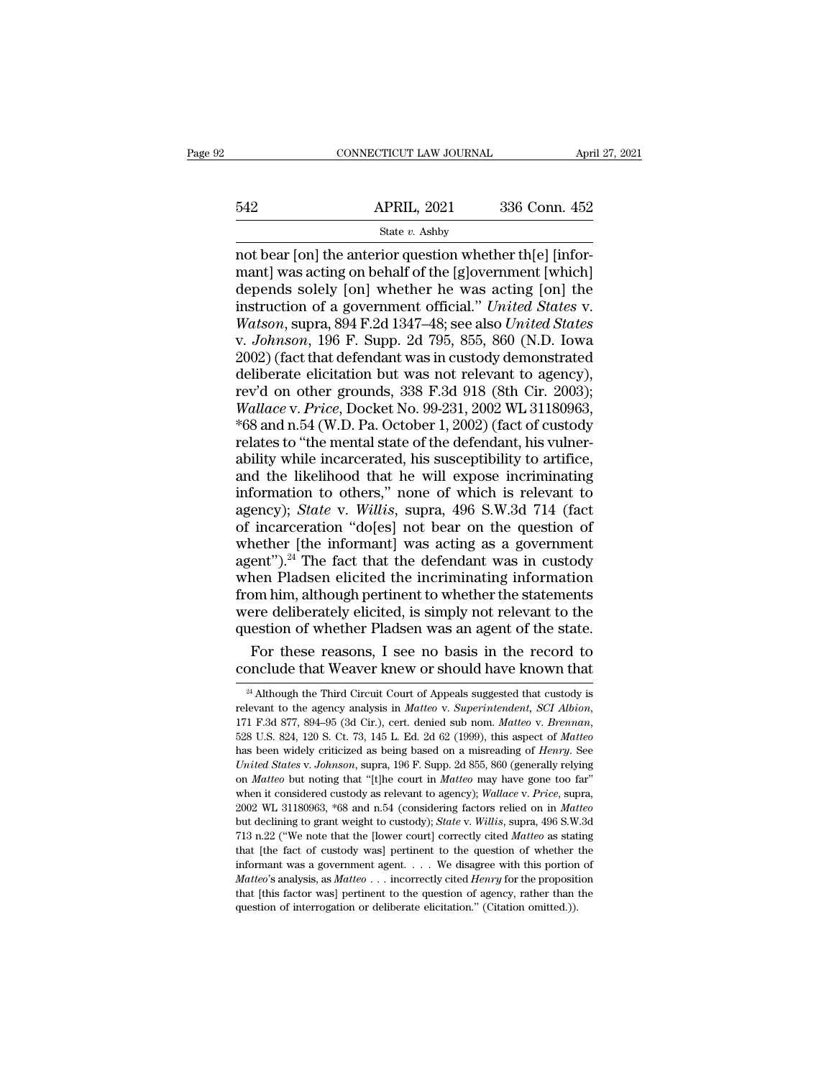# EXECUTE CONNECTICUT LAW JOURNAL April 27, 2021<br>542 APRIL, 2021 336 Conn. 452<br>542 State v. Ashby

# State *v.* Ashby

CONNECTICUT LAW JOURNAL APT<br>
542 APRIL, 2021 336 Conn. 452<br>
542 State v. Ashby<br>
75 The anterior question whether th[e] [infor-<br>
76 The anterior question whether the left [infor-<br>
76 The state of the [g]<br>
76 The state of th 542 APRIL, 2021 336 Conn. 452<br>
State v. Ashby<br>
mot bear [on] the anterior question whether th[e] [infor-<br>
mant] was acting on behalf of the [g]overnment [which]<br>
depends solely [on] whether he was acting [on] the<br>
instruc depends solely [on] whether he was acting [on] the S42 APRIL, 2021 336 Conn. 452<br>
State v. Ashby<br>
not bear [on] the anterior question whether th[e] [infor-<br>
mant] was acting on behalf of the [g]overnment [which]<br>
depends solely [on] whether he was acting [on] the<br>
instruct *MATHL, 2021 B30 COMI.* 402<br> *State v. Ashby*<br>
mot bear [on] the anterior question whether th[e] [infor-<br>
mant] was acting on behalf of the [g]overnment [which]<br>
depends solely [on] whether he was acting [on] the<br>
instru State v. Ashby<br>
not bear [on] the anterior question whether th[e] [infor-<br>
mant] was acting on behalf of the [g]overnment [which]<br>
depends solely [on] whether he was acting [on] the<br>
instruction of a government official." not bear [on] the anterior question whether th[e] [infor-<br>mant] was acting on behalf of the [g]overnment [which]<br>depends solely [on] whether he was acting [on] the<br>instruction of a government official." *United States v.<br>W* mant] was acting on behalf of the [g]overnment [which]<br>depends solely [on] whether he was acting [on] the<br>instruction of a government official." *United States v.*<br>Watson, supra, 894 F.2d 1347–48; see also *United States* depends solely [on] whether he was acting [on] the<br>instruction of a government official." *United States v.*<br>Watson, supra, 894 F.2d 1347–48; see also *United States*<br>v. *Johnson*, 196 F. Supp. 2d 795, 855, 860 (N.D. Iowa instruction of a government official." *United States v.*<br> *Watson*, supra, 894 F.2d 1347–48; see also *United States*<br> *w. Johnson*, 196 F. Supp. 2d 795, 855, 860 (N.D. Iowa<br>
2002) (fact that defendant was in custody demo Watson, supra, 894 F.2d 1347–48; see also *United States*<br>v. *Johnson*, 196 F. Supp. 2d 795, 855, 860 (N.D. Iowa<br>2002) (fact that defendant was in custody demonstrated<br>deliberate elicitation but was not relevant to agency) v. *Johnson*, 196 F. Supp. 2d 795, 855, 860 (N.D. Iowa<br>2002) (fact that defendant was in custody demonstrated<br>deliberate elicitation but was not relevant to agency),<br>rev'd on other grounds, 338 F.3d 918 (8th Cir. 2003);<br>*W* 2002) (fact that defendant was in custody demonstrated<br>deliberate elicitation but was not relevant to agency),<br>rev'd on other grounds, 338 F.3d 918 (8th Cir. 2003);<br>Wallace v. Price, Docket No. 99-231, 2002 WL 31180963,<br>\*6 deliberate elicitation but was not relevant to agency),<br>rev'd on other grounds, 338 F.3d 918 (8th Cir. 2003);<br>Wallace v. Price, Docket No. 99-231, 2002 WL 31180963,<br>\*68 and n.54 (W.D. Pa. October 1, 2002) (fact of custody rev'd on other grounds, 338 F.3d 918 (8th Cir. 2003);<br>Wallace v. Price, Docket No. 99-231, 2002 WL 31180963,<br>\*68 and n.54 (W.D. Pa. October 1, 2002) (fact of custody<br>relates to "the mental state of the defendant, his vulne *Wallace v. Price*, Docket No. 99-231, 2002 WL 31180963,<br>\*68 and n.54 (W.D. Pa. October 1, 2002) (fact of custody<br>relates to "the mental state of the defendant, his vulner-<br>ability while incarcerated, his susceptibility to \*68 and n.54 (W.D. Pa. October 1, 2002) (fact of custody relates to "the mental state of the defendant, his vulner-<br>ability while incarcerated, his susceptibility to artifice, and the likelihood that he will expose incrim relates to "the mental state of the defendant, his vulner-<br>ability while incarcerated, his susceptibility to artifice,<br>and the likelihood that he will expose incriminating<br>information to others," none of which is relevant ability while incarcerated, his susceptibility to artifice,<br>and the likelihood that he will expose incriminating<br>information to others," none of which is relevant to<br>agency); *State* v. Willis, supra, 496 S.W.3d 714 (fact<br> and the likelihood that he will expose incriminating<br>information to others," none of which is relevant to<br>agency); *State* v. *Willis*, supra, 496 S.W.3d 714 (fact<br>of incarceration "do[es] not bear on the question of<br>whet information to others," none of which is relevant to agency); *State* v. *Willis*, supra, 496 S.W.3d 714 (fact of incarceration "do[es] not bear on the question of whether [the informant] was acting as a government agent" agency); *State* v. *Willis*, supra, 496 S.W.3d 714 (fact of incarceration "do[es] not bear on the question of whether [the informant] was acting as a government agent").<sup>24</sup> The fact that the defendant was in custody when of incarceration "do[es] not bear on the question of whether [the informant] was acting as a government agent").<sup>24</sup> The fact that the defendant was in custody when Pladsen elicited the incriminating information from him, nether [the informant] was acting as a government<br>ent").<sup>24</sup> The fact that the defendant was in custody<br>nen Pladsen elicited the incriminating information<br>pom him, although pertinent to whether the statements<br>rere delibera agent").<sup>24</sup> The fact that the defendant was in custody<br>when Pladsen elicited the incriminating information<br>from him, although pertinent to whether the statements<br>were deliberately elicited, is simply not relevant to the<br>

were deliberately elicited, is simply not relevant to the question of whether Pladsen was an agent of the state.<br>For these reasons, I see no basis in the record to conclude that Weaver knew or should have known that  $\frac{2$ question of whether Pladsen was an agent of the state.<br>
For these reasons, I see no basis in the record to<br>
conclude that Weaver knew or should have known that<br>
<sup>24</sup> Although the Third Circuit Court of Appeals suggested th CONCIUGE LITTLE WEAVER KITEW OF SHOULD HAVE KHOWH LITTLE <sup>24</sup> Although the Third Circuit Court of Appeals suggested that custody is relevant to the agency analysis in *Matteo* v. *Superintendent*, *SCI Albion*, 171 F.3d 87 <sup>24</sup> Although the Third Circuit Court of Appeals suggested that custody is<br>relevant to the agency analysis in *Matteo* v. *Superintendent*, *SCI Albion*,<br>171 F.3d 877, 894–95 (3d Cir.), cert. denied sub nom. *Matteo* v. *B* 528 U.S. 824, 120 S. Ct. 73, 145 L. Ed. 2d 62 (1999), this aspect of *Matteo* has been widely criticized as being based on a misreading of *Henry*. See *United States* v. *Johnson*, supra, 196 F. Supp. 2d 855, 860 (genera 528 U.S. 824, 120 S. Ct. 73, 145 L. Ed. 2d 62 (1999), this aspect of *Matteo* has been widely criticized as being based on a misreading of *Henry*. See *United States v. Johnson*, supra, 196 F. Supp. 2d 855, 860 (generally has been widely criticized as being based on a misreading of *Henry*. See *United States v. Johnson*, supra, 196 F. Supp. 2d 855, 860 (generally relying on *Matteo* but noting that "[t]he court in *Matteo* may have gone to *United States v. Johnson*, supra, 196 F. Supp. 2d 855, 860 (generally relying on *Matteo* but noting that "[t]he court in *Matteo* may have gone too far" when it considered custody as relevant to agency); *Wallace v. Pric* on *Matteo* but noting that "[t] he court in *Matteo* may have gone too far" when it considered custody as relevant to agency); *Wallace* v. *Price*, supra, 2002 WL 31180963, \*68 and n.54 (considering factors relied on in when it considered custody as relevant to agency); *Wallace v. Price*, supra, 2002 WL 31180963, \*68 and n.54 (considering factors relied on in *Matteo* but declining to grant weight to custody); *State v. Willis*, supra, *Matteo*'s analysis, <sup>#68</sup> and n.54 (considering factors relied on in *Matteo* but declining to grant weight to custody); *State* v. *Willis*, supra, 496 S.W.3d 713 n.22 ("We note that the [lower court] correctly cited *Ma* but declining to grant weight to custody); *State* v. *Willis*, supra, 496 S.W.3d 713 n.22 ("We note that the [lower court] correctly cited *Matteo* as stating that [the fact of custody was] pertinent to the question of w 713 n.22 ("We note that the [lower court] correctly cited *Matteo* as stating that [the fact of custody was] pertinent to the question of whether the informant was a government agent. . . . We disagree with this portion o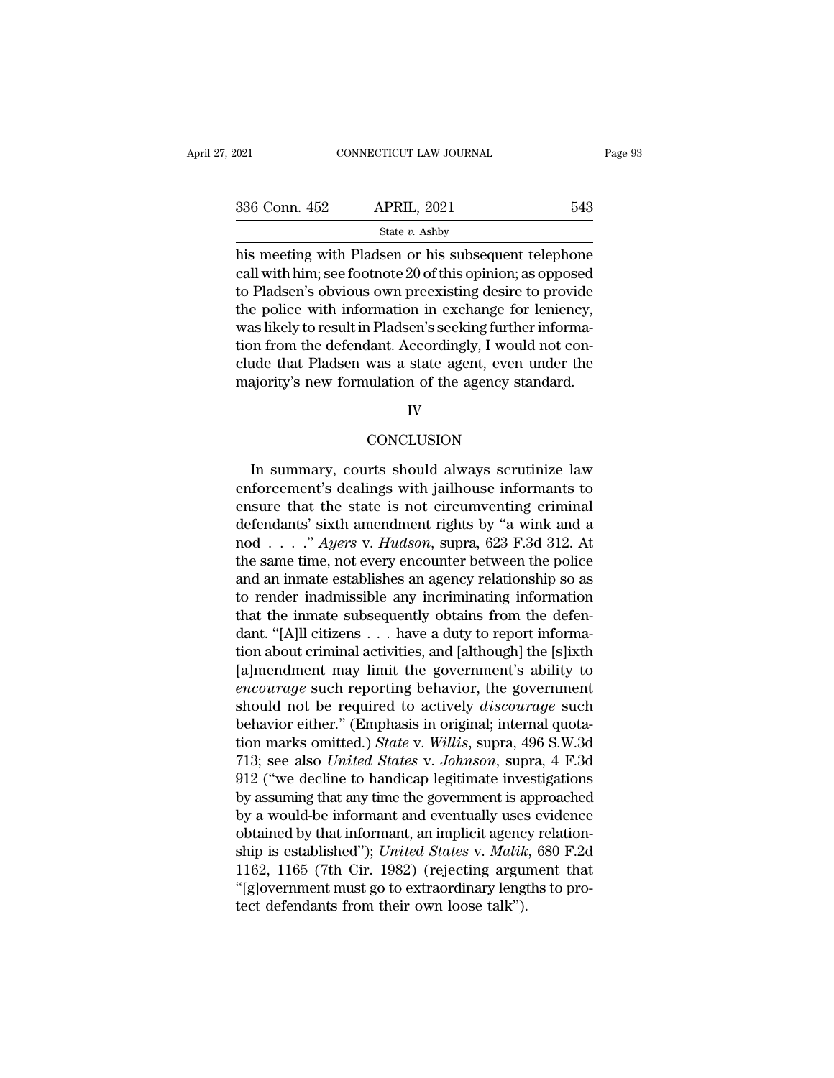| 2021          | CONNECTICUT LAW JOURNAL                                                                                                                                                     | Page 93 |
|---------------|-----------------------------------------------------------------------------------------------------------------------------------------------------------------------------|---------|
| 336 Conn. 452 | <b>APRIL, 2021</b>                                                                                                                                                          | 543     |
|               | State $v$ . Ashby                                                                                                                                                           |         |
|               | his meeting with Pladsen or his subsequent telephone<br>call with him; see footnote 20 of this opinion; as opposed<br>to Dladgen's obvious own preovising desire to provide |         |

336 Conn. 452 APRIL, 2021 543<br>
State  $v$ . Ashby<br>
his meeting with Pladsen or his subsequent telephone<br>
call with him; see footnote 20 of this opinion; as opposed<br>
to Pladsen's obvious own preexisting desire to provide<br>
th 336 Conn. 452 APRIL, 2021 543<br>
State v. Ashby<br>
his meeting with Pladsen or his subsequent telephone<br>
call with him; see footnote 20 of this opinion; as opposed<br>
to Pladsen's obvious own preexisting desire to provide<br>
the 336 Conn. 452 APRIL, 2021 543<br>
State v. Ashby<br>
his meeting with Pladsen or his subsequent telephone<br>
call with him; see footnote 20 of this opinion; as opposed<br>
to Pladsen's obvious own preexisting desire to provide<br>
the State  $v$ . Ashby<br>his meeting with Pladsen or his subsequent telephone<br>call with him; see footnote 20 of this opinion; as opposed<br>to Pladsen's obvious own preexisting desire to provide<br>the police with information in exchan siate  $v$ . Ashby<br>his meeting with Pladsen or his subsequent telephone<br>call with him; see footnote 20 of this opinion; as opposed<br>to Pladsen's obvious own preexisting desire to provide<br>the police with information in exchan his meeting with Pladsen or his subsequent telephone<br>call with him; see footnote 20 of this opinion; as opposed<br>to Pladsen's obvious own preexisting desire to provide<br>the police with information in exchange for leniency,<br>w call with him; see footnote 20 of this opinion; as opposed<br>to Pladsen's obvious own preexisting desire to provide<br>the police with information in exchange for leniency,<br>was likely to result in Pladsen's seeking further info

# IV

# **CONCLUSION**

In summary, courts should always scrutinize law<br>
In summary, courts should always scrutinize law<br>
forcement's dealings with jailhouse informants to<br>
give that the state is not cinemizating entimal majority's new formulation of the agency standard.<br>
IV<br>
CONCLUSION<br>
In summary, courts should always scrutinize law<br>
enforcement's dealings with jailhouse informants to<br>
ensure that the state is not circumventing criminal<br> EV<br>
ENDISION<br>
In summary, courts should always scrutinize law<br>
enforcement's dealings with jailhouse informants to<br>
ensure that the state is not circumventing criminal<br>
defendants' sixth amendment rights by "a wink and a<br>  $\footnotesize$  conclusion<br>  $\footnotesize$  conclusion<br>  $\footnotesize$  courts should always scrutinize law<br>
enforcement's dealings with jailhouse informants to<br>
ensure that the state is not circumventing criminal<br>
defendants' sixth amendment right CONCLUSION<br>In summary, courts should always scrutinize law<br>enforcement's dealings with jailhouse informants to<br>ensure that the state is not circumventing criminal<br>defendants' sixth amendment rights by "a wink and a<br>nod . . In summary, courts should always scrutinize law<br>enforcement's dealings with jailhouse informants to<br>ensure that the state is not circumventing criminal<br>defendants' sixth amendment rights by "a wink and a<br>nod . . . ." Ayer In summary, courts should always scrutinize law<br>enforcement's dealings with jailhouse informants to<br>ensure that the state is not circumventing criminal<br>defendants' sixth amendment rights by "a wink and a<br>nod . . . ." Ayer enforcement's dealings with jailhouse informants to<br>ensure that the state is not circumventing criminal<br>defendants' sixth amendment rights by "a wink and a<br>nod . . . ." Ayers v. Hudson, supra, 623 F.3d 312. At<br>the same ti ensure that the state is not circumventing criminal<br>defendants' sixth amendment rights by "a wink and a<br>nod . . . ." Ayers v. Hudson, supra, 623 F.3d 312. At<br>the same time, not every encounter between the police<br>and an in defendants' sixth amendment rights by "a wink and a<br>nod . . . . " Ayers v. Hudson, supra, 623 F.3d 312. At<br>the same time, not every encounter between the police<br>and an inmate establishes an agency relationship so as<br>to re nod . . . ." Ayers v. Hudson, supra, 623 F.3d 312. At<br>the same time, not every encounter between the police<br>and an inmate establishes an agency relationship so as<br>to render inadmissible any incriminating information<br>that the same time, not every encounter between the police<br>and an inmate establishes an agency relationship so as<br>to render inadmissible any incriminating information<br>that the inmate subsequently obtains from the defen-<br>dant. " and an inmate establishes an agency relationship so as<br>to render inadmissible any incriminating information<br>that the inmate subsequently obtains from the defen-<br>dant. "[A]ll citizens . . . have a duty to report informa-<br>ti to render inadmissible any incriminating information<br>that the inmate subsequently obtains from the defen-<br>dant. "[A]ll citizens . . . have a duty to report informa-<br>tion about criminal activities, and [although] the [s]ixt that the inmate subsequently obtains from the defen-<br>dant. "[A]ll citizens . . . have a duty to report informa-<br>tion about criminal activities, and [although] the [s]ixth<br>[a]mendment may limit the government's ability to<br> dant. "[A]ll citizens . . . have a duty to report information about criminal activities, and [although] the [s]ixth [a]mendment may limit the government's ability to *encourage* such reporting behavior, the government shou tion about criminal activities, and [although] the [s]ixth<br>[a]mendment may limit the government's ability to<br>*encourage* such reporting behavior, the government<br>should not be required to actively *discourage* such<br>behavior [a]mendment may limit the government's ability to<br>encourage such reporting behavior, the government<br>should not be required to actively discourage such<br>behavior either." (Emphasis in original; internal quota-<br>tion marks om encourage such reporting behavior, the government<br>should not be required to actively *discourage* such<br>behavior either." (Emphasis in original; internal quota-<br>tion marks omitted.) *State* v. *Willis*, supra, 496 S.W.3d<br>71 should not be required to actively *discourage* such<br>behavior either." (Emphasis in original; internal quota-<br>tion marks omitted.) *State* v. *Willis*, supra, 496 S.W.3d<br>713; see also *United States* v. *Johnson*, supra, behavior either." (Emphasis in original; internal quotation marks omitted.) *State* v. *Willis*, supra, 496 S.W.3d 713; see also *United States* v. *Johnson*, supra, 4 F.3d 912 ("we decline to handicap legitimate investiga tion marks omitted.) *State* v. *Willis*, supra, 496 S.W.3d<br>713; see also *United States* v. *Johnson*, supra, 4 F.3d<br>912 ("we decline to handicap legitimate investigations<br>by assuming that any time the government is appro 713; see also *United States v. Johnson*, supra, 4 F.3d<br>912 ("we decline to handicap legitimate investigations<br>by assuming that any time the government is approached<br>by a would-be informant and eventually uses evidence<br>ob  $912$  ("we decline to handicap legitimate investigations<br>by assuming that any time the government is approached<br>by a would-be informant and eventually uses evidence<br>obtained by that informant, an implicit agency relationby assuming that any time the government is a<br>by a would-be informant and eventually uses<br>obtained by that informant, an implicit agenc;<br>ship is established"); *United States v. Malik*<br>1162, 1165 (7th Cir. 1982) (rejecting